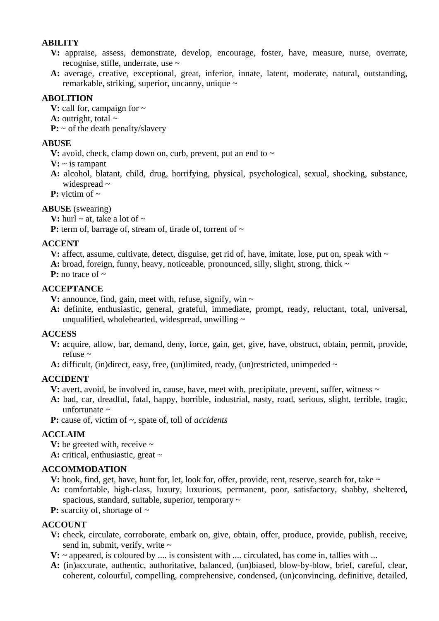## **ABILITY**

- **V:** appraise, assess, demonstrate, develop, encourage, foster, have, measure, nurse, overrate, recognise, stifle, underrate, use ~
- **A:** average, creative, exceptional, great, inferior, innate, latent, moderate, natural, outstanding, remarkable, striking, superior, uncanny, unique ~

#### **ABOLITION**

- **V:** call for, campaign for  $\sim$
- A: outright, total ~
- **P:**  $\sim$  of the death penalty/slavery

#### **ABUSE**

**V:** avoid, check, clamp down on, curb, prevent, put an end to  $\sim$ 

 $V: \sim$  is rampant

 **A:** alcohol, blatant, child, drug, horrifying, physical, psychological, sexual, shocking, substance, widespread ~

**P:** victim of  $\sim$ 

#### **ABUSE** (swearing)

**V:** hurl  $\sim$  at, take a lot of  $\sim$ 

**P:** term of, barrage of, stream of, tirade of, torrent of  $\sim$ 

#### **ACCENT**

**V:** affect, assume, cultivate, detect, disguise, get rid of, have, imitate, lose, put on, speak with  $\sim$ 

A: broad, foreign, funny, heavy, noticeable, pronounced, silly, slight, strong, thick  $\sim$ 

**P:** no trace of  $\sim$ 

### **ACCEPTANCE**

**V:** announce, find, gain, meet with, refuse, signify, win  $\sim$ 

 **A:** definite, enthusiastic, general, grateful, immediate, prompt, ready, reluctant, total, universal, unqualified, wholehearted, widespread, unwilling  $\sim$ 

#### **ACCESS**

- **V:** acquire, allow, bar, demand, deny, force, gain, get, give, have, obstruct, obtain, permit**,** provide, refuse ~
- A: difficult, (in)direct, easy, free, (un)limited, ready, (un)restricted, unimpeded  $\sim$

#### **ACCIDENT**

**V:** avert, avoid, be involved in, cause, have, meet with, precipitate, prevent, suffer, witness  $\sim$ 

 **A:** bad, car, dreadful, fatal, happy, horrible, industrial, nasty, road, serious, slight, terrible, tragic, unfortunate ~

 **P:** cause of, victim of ~, spate of, toll of *accidents* 

#### **ACCLAIM**

**V:** be greeted with, receive  $\sim$ 

A: critical, enthusiastic, great  $\sim$ 

#### **ACCOMMODATION**

- **V:** book, find, get, have, hunt for, let, look for, offer, provide, rent, reserve, search for, take  $\sim$
- **A:** comfortable, high-class, luxury, luxurious, permanent, poor, satisfactory, shabby, sheltered**,**  spacious, standard, suitable, superior, temporary  $\sim$
- **P:** scarcity of, shortage of  $\sim$

#### **ACCOUNT**

- **V:** check, circulate, corroborate, embark on, give, obtain, offer, produce, provide, publish, receive, send in, submit, verify, write  $\sim$
- $V: \sim$  appeared, is coloured by .... is consistent with .... circulated, has come in, tallies with ...
- **A:** (in)accurate, authentic, authoritative, balanced, (un)biased, blow-by-blow, brief, careful, clear, coherent, colourful, compelling, comprehensive, condensed, (un)convincing, definitive, detailed,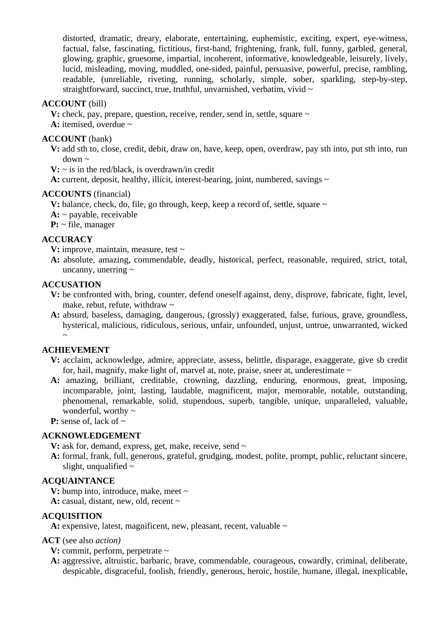distorted, dramatic, dreary, elaborate, entertaining, euphemistic, exciting, expert, eye-witness, factual, false, fascinating, fictitious, first-hand, frightening, frank, full, funny, garbled, general, glowing, graphic, gruesome, impartial, incoherent, informative, knowledgeable, leisurely, lively, lucid, misleading, moving, muddled, one-sided, painful, persuasive, powerful, precise, rambling, readable, (unreliable, riveting, running, scholarly, simple, sober, sparkling, step-by-step, straightforward, succinct, true, truthful, unvarnished, verbatim, vivid ~

### **ACCOUNT** (bill)

**V:** check, pay, prepare, question, receive, render, send in, settle, square  $\sim$ 

A: itemised, overdue ~

### **ACCOUNT** (bank)

 **V:** add sth to, close, credit, debit, draw on, have, keep, open, overdraw, pay sth into, put sth into, run  $down \sim$ 

 $V: \sim$  is in the red/black, is overdrawn/in credit

A: current, deposit, healthy, illicit, interest-bearing, joint, numbered, savings  $\sim$ 

### **ACCOUNTS** (financial)

**V:** balance, check, do, file, go through, keep, keep a record of, settle, square  $\sim$ 

 **A:** ~ payable, receivable

 **P:** ~ file, manager

## **ACCURACY**

V: improve, maintain, measure, test ~

 **A:** absolute, amazing, commendable, deadly, historical, perfect, reasonable, required, strict, total, uncanny, unerring  $\sim$ 

### **ACCUSATION**

- **V:** be confronted with, bring, counter, defend oneself against, deny, disprove, fabricate, fight, level, make, rebut, refute, withdraw  $\sim$
- **A:** absurd, baseless, damaging, dangerous, (grossly) exaggerated, false, furious, grave, groundless, hysterical, malicious, ridiculous, serious, unfair, unfounded, unjust, untrue, unwarranted, wicked  $\sim$

#### **ACHIEVEMENT**

- **V:** acclaim, acknowledge, admire, appreciate, assess, belittle, disparage, exaggerate, give sb credit for, hail, magnify, make light of, marvel at, note, praise, sneer at, underestimate  $\sim$
- **A:** amazing, brilliant, creditable, crowning, dazzling, enduring, enormous, great, imposing, incomparable, joint, lasting, laudable, magnificent, major, memorable, notable, outstanding, phenomenal, remarkable, solid, stupendous, superb, tangible, unique, unparalleled, valuable, wonderful, worthy  $\sim$

**P:** sense of, lack of  $\sim$ 

### **ACKNOWLEDGEMENT**

**V:** ask for, demand, express, get, make, receive, send  $\sim$ 

 **A:** formal, frank, full, generous, grateful, grudging, modest, polite, prompt, public, reluctant sincere, slight, unqualified  $\sim$ 

### **ACQUAINTANCE**

**V:** bump into, introduce, make, meet ~

A: casual, distant, new, old, recent  $\sim$ 

#### **ACQUISITION**

A: expensive, latest, magnificent, new, pleasant, recent, valuable  $\sim$ 

#### **ACT** (see also *action)*

**V:** commit, perform, perpetrate  $\sim$ 

 **A:** aggressive, altruistic, barbaric, brave, commendable, courageous, cowardly, criminal, deliberate, despicable, disgraceful, foolish, friendly, generous, heroic, hostile, humane, illegal, inexplicable,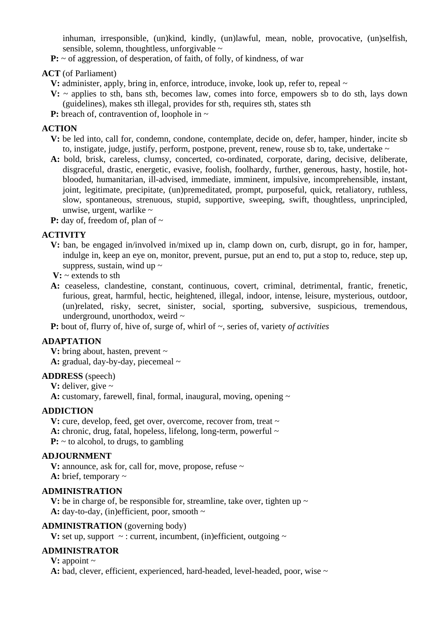inhuman, irresponsible, (un)kind, kindly, (un)lawful, mean, noble, provocative, (un)selfish, sensible, solemn, thoughtless, unforgivable  $\sim$ 

**P:**  $\sim$  of aggression, of desperation, of faith, of folly, of kindness, of war

#### **ACT** (of Parliament)

- **V:** administer, apply, bring in, enforce, introduce, invoke, look up, refer to, repeal  $\sim$
- **V:**  $\sim$  applies to sth, bans sth, becomes law, comes into force, empowers sb to do sth, lays down (guidelines), makes sth illegal, provides for sth, requires sth, states sth
- **P:** breach of, contravention of, loophole in  $\sim$

#### **ACTION**

- **V:** be led into, call for, condemn, condone, contemplate, decide on, defer, hamper, hinder, incite sb to, instigate, judge, justify, perform, postpone, prevent, renew, rouse sb to, take, undertake  $\sim$
- **A:** bold, brisk, careless, clumsy, concerted, co-ordinated, corporate, daring, decisive, deliberate, disgraceful, drastic, energetic, evasive, foolish, foolhardy, further, generous, hasty, hostile, hotblooded, humanitarian, ill-advised, immediate, imminent, impulsive, incomprehensible, instant, joint, legitimate, precipitate, (un)premeditated, prompt, purposeful, quick, retaliatory, ruthless, slow, spontaneous, strenuous, stupid, supportive, sweeping, swift, thoughtless, unprincipled, unwise, urgent, warlike ~

**P:** day of, freedom of, plan of  $\sim$ 

#### **ACTIVITY**

 **V:** ban, be engaged in/involved in/mixed up in, clamp down on, curb, disrupt, go in for, hamper, indulge in, keep an eye on, monitor, prevent, pursue, put an end to, put a stop to, reduce, step up, suppress, sustain, wind up  $\sim$ 

 $V: \sim$  extends to sth

 **A:** ceaseless, clandestine, constant, continuous, covert, criminal, detrimental, frantic, frenetic, furious, great, harmful, hectic, heightened, illegal, indoor, intense, leisure, mysterious, outdoor, (un)related, risky, secret, sinister, social, sporting, subversive, suspicious, tremendous, underground, unorthodox, weird ~

 **P:** bout of, flurry of, hive of, surge of, whirl of ~, series of, variety *of activities* 

#### **ADAPTATION**

**V:** bring about, hasten, prevent  $\sim$ 

A: gradual, day-by-day, piecemeal  $\sim$ 

### **ADDRESS** (speech)

**V:** deliver, give  $\sim$ 

 **A:** customary, farewell, final, formal, inaugural, moving, opening ~

#### **ADDICTION**

**V:** cure, develop, feed, get over, overcome, recover from, treat  $\sim$ A: chronic, drug, fatal, hopeless, lifelong, long-term, powerful ~  $P:~$   $\sim$  to alcohol, to drugs, to gambling

### **ADJOURNMENT**

V: announce, ask for, call for, move, propose, refuse  $\sim$ A: brief, temporary  $\sim$ 

#### **ADMINISTRATION**

**V:** be in charge of, be responsible for, streamline, take over, tighten up  $\sim$ A: day-to-day, (in)efficient, poor, smooth ~

#### **ADMINISTRATION** (governing body)

**V:** set up, support  $\sim$  : current, incumbent, (in)efficient, outgoing  $\sim$ 

### **ADMINISTRATOR**

**V:** appoint  $\sim$ 

 **A:** bad, clever, efficient, experienced, hard-headed, level-headed, poor, wise ~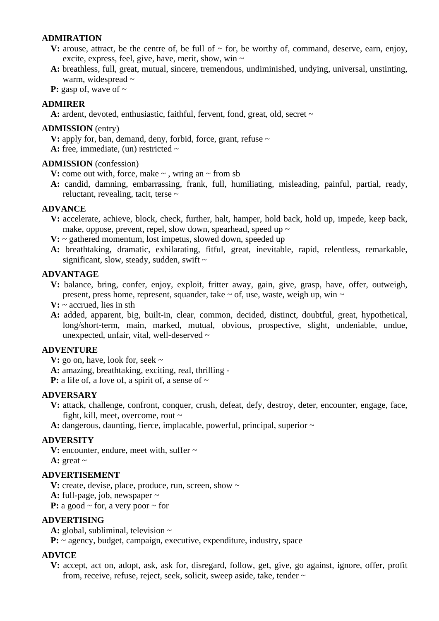### **ADMIRATION**

- **V:** arouse, attract, be the centre of, be full of  $\sim$  for, be worthy of, command, deserve, earn, enjoy, excite, express, feel, give, have, merit, show, win  $\sim$
- **A:** breathless, full, great, mutual, sincere, tremendous, undiminished, undying, universal, unstinting, warm, widespread  $\sim$

**P:** gasp of, wave of  $\sim$ 

# **ADMIRER**

 **A:** ardent, devoted, enthusiastic, faithful, fervent, fond, great, old, secret ~

### **ADMISSION** (entry)

**V:** apply for, ban, demand, deny, forbid, force, grant, refuse  $\sim$ 

**A:** free, immediate, (un) restricted  $\sim$ 

## **ADMISSION** (confession)

- **V:** come out with, force, make  $\sim$ , wring an  $\sim$  from sb
- **A:** candid, damning, embarrassing, frank, full, humiliating, misleading, painful, partial, ready, reluctant, revealing, tacit, terse ~

## **ADVANCE**

- **V:** accelerate, achieve, block, check, further, halt, hamper, hold back, hold up, impede, keep back, make, oppose, prevent, repel, slow down, spearhead, speed up  $\sim$
- **V:**  $\sim$  gathered momentum, lost impetus, slowed down, speeded up
- **A:** breathtaking, dramatic, exhilarating, fitful, great, inevitable, rapid, relentless, remarkable, significant, slow, steady, sudden, swift  $\sim$

## **ADVANTAGE**

- **V:** balance, bring, confer, enjoy, exploit, fritter away, gain, give, grasp, have, offer, outweigh, present, press home, represent, squander, take  $\sim$  of, use, waste, weigh up, win  $\sim$
- **V:** ~ accrued, lies in sth
- **A:** added, apparent, big, built-in, clear, common, decided, distinct, doubtful, great, hypothetical, long/short-term, main, marked, mutual, obvious, prospective, slight, undeniable, undue, unexpected, unfair, vital, well-deserved  $\sim$

## **ADVENTURE**

- **V:**  $\varphi$  on, have, look for, seek  $\sim$
- **A:** amazing, breathtaking, exciting, real, thrilling -

**P:** a life of, a love of, a spirit of, a sense of  $\sim$ 

## **ADVERSARY**

 **V:** attack, challenge, confront, conquer, crush, defeat, defy, destroy, deter, encounter, engage, face, fight, kill, meet, overcome, rout  $\sim$ 

A: dangerous, daunting, fierce, implacable, powerful, principal, superior  $\sim$ 

## **ADVERSITY**

**V:** encounter, endure, meet with, suffer  $\sim$ A:  $\text{great}$  ~

## **ADVERTISEMENT**

**V:** create, devise, place, produce, run, screen, show  $\sim$ 

A: full-page, job, newspaper  $\sim$ 

**P:** a good  $\sim$  for, a very poor  $\sim$  for

## **ADVERTISING**

A: global, subliminal, television ~

 **P:** ~ agency, budget, campaign, executive, expenditure, industry, space

## **ADVICE**

 **V:** accept, act on, adopt, ask, ask for, disregard, follow, get, give, go against, ignore, offer, profit from, receive, refuse, reject, seek, solicit, sweep aside, take, tender ~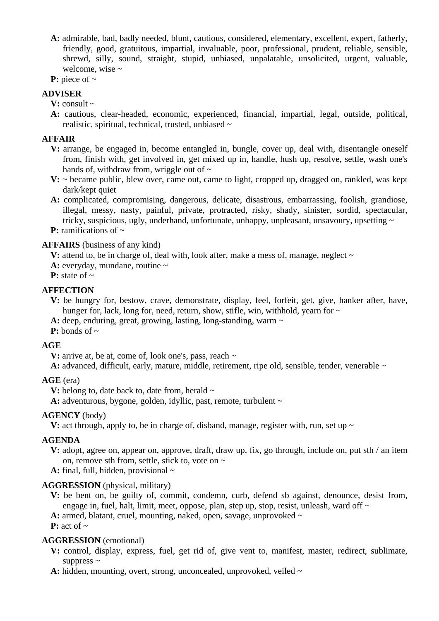**A:** admirable, bad, badly needed, blunt, cautious, considered, elementary, excellent, expert, fatherly, friendly, good, gratuitous, impartial, invaluable, poor, professional, prudent, reliable, sensible, shrewd, silly, sound, straight, stupid, unbiased, unpalatable, unsolicited, urgent, valuable, welcome, wise ~

**P:** piece of  $\sim$ 

### **ADVISER**

**V:** consult  $\sim$ 

 **A:** cautious, clear-headed, economic, experienced, financial, impartial, legal, outside, political, realistic, spiritual, technical, trusted, unbiased ~

#### **AFFAIR**

- **V:** arrange, be engaged in, become entangled in, bungle, cover up, deal with, disentangle oneself from, finish with, get involved in, get mixed up in, handle, hush up, resolve, settle, wash one's hands of, withdraw from, wriggle out of  $\sim$
- **V:** ~ became public, blew over, came out, came to light, cropped up, dragged on, rankled, was kept dark/kept quiet
- **A:** complicated, compromising, dangerous, delicate, disastrous, embarrassing, foolish, grandiose, illegal, messy, nasty, painful, private, protracted, risky, shady, sinister, sordid, spectacular, tricky, suspicious, ugly, underhand, unfortunate, unhappy, unpleasant, unsavoury, upsetting ~ **P:** ramifications of  $\sim$

# **AFFAIRS** (business of any kind)

**V:** attend to, be in charge of, deal with, look after, make a mess of, manage, neglect  $\sim$ 

A: everyday, mundane, routine ~

**P:** state of  $\sim$ 

#### **AFFECTION**

 **V:** be hungry for, bestow, crave, demonstrate, display, feel, forfeit, get, give, hanker after, have, hunger for, lack, long for, need, return, show, stifle, win, withhold, yearn for  $\sim$ 

**A:** deep, enduring, great, growing, lasting, long-standing, warm  $\sim$ 

**P:** bonds of  $\sim$ 

#### **AGE**

**V:** arrive at, be at, come of, look one's, pass, reach  $\sim$ 

A: advanced, difficult, early, mature, middle, retirement, ripe old, sensible, tender, venerable ~

#### **AGE** (era)

**V:** belong to, date back to, date from, herald  $\sim$ 

A: adventurous, bygone, golden, idyllic, past, remote, turbulent ~

### **AGENCY** (body)

**V:** act through, apply to, be in charge of, disband, manage, register with, run, set up  $\sim$ 

#### **AGENDA**

**V:** adopt, agree on, appear on, approve, draft, draw up, fix, go through, include on, put sth / an item on, remove sth from, settle, stick to, vote on  $\sim$ 

A: final, full, hidden, provisional  $\sim$ 

#### **AGGRESSION** (physical, military)

 **V:** be bent on, be guilty of, commit, condemn, curb, defend sb against, denounce, desist from, engage in, fuel, halt, limit, meet, oppose, plan, step up, stop, resist, unleash, ward off  $\sim$ 

A: armed, blatant, cruel, mounting, naked, open, savage, unprovoked ~

#### **P:** act of  $\sim$

#### **AGGRESSION** (emotional)

- **V:** control, display, express, fuel, get rid of, give vent to, manifest, master, redirect, sublimate, suppress  $\sim$
- A: hidden, mounting, overt, strong, unconcealed, unprovoked, veiled  $\sim$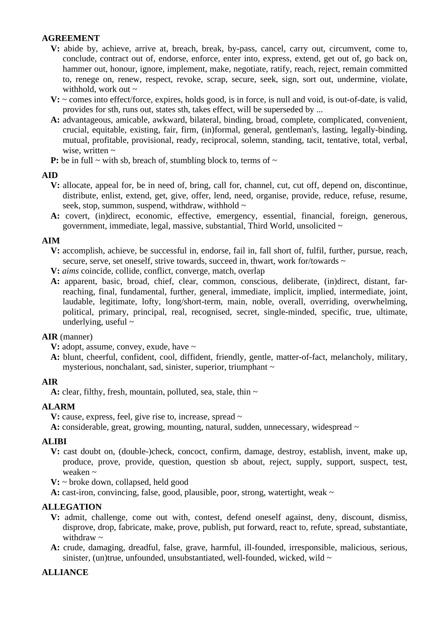### **AGREEMENT**

- **V:** abide by, achieve, arrive at, breach, break, by-pass, cancel, carry out, circumvent, come to, conclude, contract out of, endorse, enforce, enter into, express, extend, get out of, go back on, hammer out, honour, ignore, implement, make, negotiate, ratify, reach, reject, remain committed to, renege on, renew, respect, revoke, scrap, secure, seek, sign, sort out, undermine, violate, withhold, work out ~
- **V:** ~ comes into effect/force, expires, holds good, is in force, is null and void, is out-of-date, is valid, provides for sth, runs out, states sth, takes effect, will be superseded by ...
- **A:** advantageous, amicable, awkward, bilateral, binding, broad, complete, complicated, convenient, crucial, equitable, existing, fair, firm, (in)formal, general, gentleman's, lasting, legally-binding, mutual, profitable, provisional, ready, reciprocal, solemn, standing, tacit, tentative, total, verbal, wise, written  $\sim$
- **P:** be in full  $\sim$  with sb, breach of, stumbling block to, terms of  $\sim$

#### **AID**

- **V:** allocate, appeal for, be in need of, bring, call for, channel, cut, cut off, depend on, discontinue, distribute, enlist, extend, get, give, offer, lend, need, organise, provide, reduce, refuse, resume, seek, stop, summon, suspend, withdraw, withhold  $\sim$
- **A:** covert, (in)direct, economic, effective, emergency, essential, financial, foreign, generous, government, immediate, legal, massive, substantial, Third World, unsolicited ~

#### **AIM**

- **V:** accomplish, achieve, be successful in, endorse, fail in, fall short of, fulfil, further, pursue, reach, secure, serve, set oneself, strive towards, succeed in, thwart, work for/towards ~
- **V:** *aims* coincide, collide, conflict, converge, match, overlap
- **A:** apparent, basic, broad, chief, clear, common, conscious, deliberate, (in)direct, distant, farreaching, final, fundamental, further, general, immediate, implicit, implied, intermediate, joint, laudable, legitimate, lofty, long/short-term, main, noble, overall, overriding, overwhelming, political, primary, principal, real, recognised, secret, single-minded, specific, true, ultimate, underlying, useful  $\sim$

#### **AIR** (manner)

- V: adopt, assume, convey, exude, have  $\sim$
- **A:** blunt, cheerful, confident, cool, diffident, friendly, gentle, matter-of-fact, melancholy, military, mysterious, nonchalant, sad, sinister, superior, triumphant ~

#### **AIR**

**A:** clear, filthy, fresh, mountain, polluted, sea, stale, thin  $\sim$ 

#### **ALARM**

**V:** cause, express, feel, give rise to, increase, spread  $\sim$ 

 **A:** considerable, great, growing, mounting, natural, sudden, unnecessary, widespread ~

#### **ALIBI**

 **V:** cast doubt on, (double-)check, concoct, confirm, damage, destroy, establish, invent, make up, produce, prove, provide, question, question sb about, reject, supply, support, suspect, test, weaken ~

 **V:** ~ broke down, collapsed, held good

A: cast-iron, convincing, false, good, plausible, poor, strong, watertight, weak ~

#### **ALLEGATION**

- **V:** admit, challenge, come out with, contest, defend oneself against, deny, discount, dismiss, disprove, drop, fabricate, make, prove, publish, put forward, react to, refute, spread, substantiate, withdraw ~
- **A:** crude, damaging, dreadful, false, grave, harmful, ill-founded, irresponsible, malicious, serious, sinister, (un)true, unfounded, unsubstantiated, well-founded, wicked, wild  $\sim$

#### **ALLIANCE**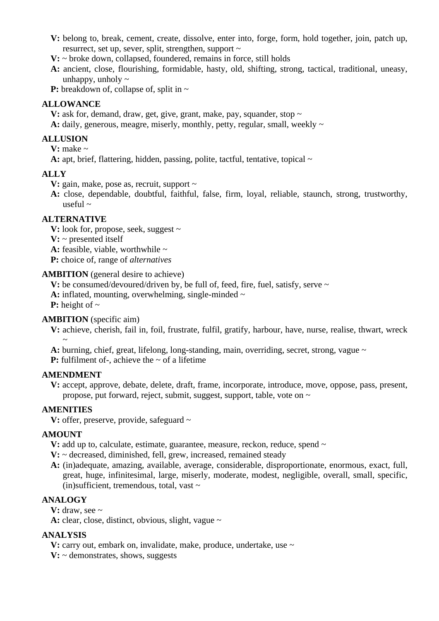- **V:** belong to, break, cement, create, dissolve, enter into, forge, form, hold together, join, patch up, resurrect, set up, sever, split, strengthen, support  $\sim$
- **V:** ~ broke down, collapsed, foundered, remains in force, still holds
- **A:** ancient, close, flourishing, formidable, hasty, old, shifting, strong, tactical, traditional, uneasy, unhappy, unholy  $\sim$
- **P:** breakdown of, collapse of, split in  $\sim$

## **ALLOWANCE**

**V:** ask for, demand, draw, get, give, grant, make, pay, squander, stop  $\sim$ 

 **A:** daily, generous, meagre, miserly, monthly, petty, regular, small, weekly ~

# **ALLUSION**

**V:** make  $\sim$ 

 **A:** apt, brief, flattering, hidden, passing, polite, tactful, tentative, topical ~

## **ALLY**

**V:** gain, make, pose as, recruit, support  $\sim$ 

 **A:** close, dependable, doubtful, faithful, false, firm, loyal, reliable, staunch, strong, trustworthy, useful  $\sim$ 

## **ALTERNATIVE**

**V:** look for, propose, seek, suggest  $\sim$ 

**V:** ~ presented itself

A: feasible, viable, worthwhile ~

 **P:** choice of, range of *alternatives* 

### **AMBITION** (general desire to achieve)

**V:** be consumed/devoured/driven by, be full of, feed, fire, fuel, satisfy, serve ~

A: inflated, mounting, overwhelming, single-minded  $\sim$ 

**P:** height of  $\sim$ 

## **AMBITION** (specific aim)

 **V:** achieve, cherish, fail in, foil, frustrate, fulfil, gratify, harbour, have, nurse, realise, thwart, wreck  $\sim$ 

 **A:** burning, chief, great, lifelong, long-standing, main, overriding, secret, strong, vague ~

**P:** fulfilment of-, achieve the  $\sim$  of a lifetime

## **AMENDMENT**

 **V:** accept, approve, debate, delete, draft, frame, incorporate, introduce, move, oppose, pass, present, propose, put forward, reject, submit, suggest, support, table, vote on ~

# **AMENITIES**

**V:** offer, preserve, provide, safeguard  $\sim$ 

## **AMOUNT**

**V:** add up to, calculate, estimate, guarantee, measure, reckon, reduce, spend  $\sim$ 

 **V:** ~ decreased, diminished, fell, grew, increased, remained steady

 **A:** (in)adequate, amazing, available, average, considerable, disproportionate, enormous, exact, full, great, huge, infinitesimal, large, miserly, moderate, modest, negligible, overall, small, specific, (in)sufficient, tremendous, total, vast  $\sim$ 

# **ANALOGY**

**V:** draw, see  $\sim$ 

A: clear, close, distinct, obvious, slight, vague ~

## **ANALYSIS**

**V:** carry out, embark on, invalidate, make, produce, undertake, use ~

**V:**  $\sim$  demonstrates, shows, suggests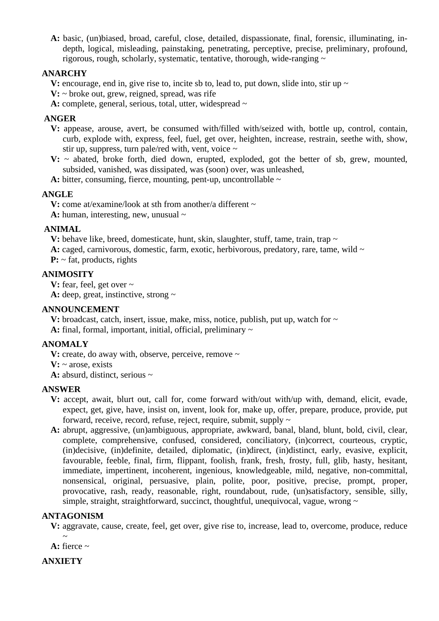**A:** basic, (un)biased, broad, careful, close, detailed, dispassionate, final, forensic, illuminating, indepth, logical, misleading, painstaking, penetrating, perceptive, precise, preliminary, profound, rigorous, rough, scholarly, systematic, tentative, thorough, wide-ranging  $\sim$ 

### **ANARCHY**

**V:** encourage, end in, give rise to, incite sb to, lead to, put down, slide into, stir up  $\sim$ 

 **V:** ~ broke out, grew, reigned, spread, was rife

A: complete, general, serious, total, utter, widespread  $\sim$ 

### **ANGER**

- **V:** appease, arouse, avert, be consumed with/filled with/seized with, bottle up, control, contain, curb, explode with, express, feel, fuel, get over, heighten, increase, restrain, seethe with, show, stir up, suppress, turn pale/red with, vent, voice  $\sim$
- **V:** ~ abated, broke forth, died down, erupted, exploded, got the better of sb, grew, mounted, subsided, vanished, was dissipated, was (soon) over, was unleashed,

**A:** bitter, consuming, fierce, mounting, pent-up, uncontrollable ~

### **ANGLE**

**V:** come at/examine/look at sth from another/a different  $\sim$ 

A: human, interesting, new, unusual  $\sim$ 

### **ANIMAL**

**V:** behave like, breed, domesticate, hunt, skin, slaughter, stuff, tame, train, trap  $\sim$ A: caged, carnivorous, domestic, farm, exotic, herbivorous, predatory, rare, tame, wild ~  **P:** ~ fat, products, rights

### **ANIMOSITY**

**V:** fear, feel, get over  $\sim$ 

A: deep, great, instinctive, strong  $\sim$ 

#### **ANNOUNCEMENT**

**V:** broadcast, catch, insert, issue, make, miss, notice, publish, put up, watch for  $\sim$  **A:** final, formal, important, initial, official, preliminary ~

#### **ANOMALY**

**V:** create, do away with, observe, perceive, remove  $\sim$ 

 $V: \sim \text{arcse. exists}$ 

 **A:** absurd, distinct, serious ~

#### **ANSWER**

- **V:** accept, await, blurt out, call for, come forward with/out with/up with, demand, elicit, evade, expect, get, give, have, insist on, invent, look for, make up, offer, prepare, produce, provide, put forward, receive, record, refuse, reject, require, submit, supply  $\sim$
- **A:** abrupt, aggressive, (un)ambiguous, appropriate, awkward, banal, bland, blunt, bold, civil, clear, complete, comprehensive, confused, considered, conciliatory, (in)correct, courteous, cryptic, (in)decisive, (in)definite, detailed, diplomatic, (in)direct, (in)distinct, early, evasive, explicit, favourable, feeble, final, firm, flippant, foolish, frank, fresh, frosty, full, glib, hasty, hesitant, immediate, impertinent, incoherent, ingenious, knowledgeable, mild, negative, non-committal, nonsensical, original, persuasive, plain, polite, poor, positive, precise, prompt, proper, provocative, rash, ready, reasonable, right, roundabout, rude, (un)satisfactory, sensible, silly, simple, straight, straightforward, succinct, thoughtful, unequivocal, vague, wrong  $\sim$

#### **ANTAGONISM**

 **V:** aggravate, cause, create, feel, get over, give rise to, increase, lead to, overcome, produce, reduce  $\sim$ 

A:  $f$ ierce ~

**ANXIETY**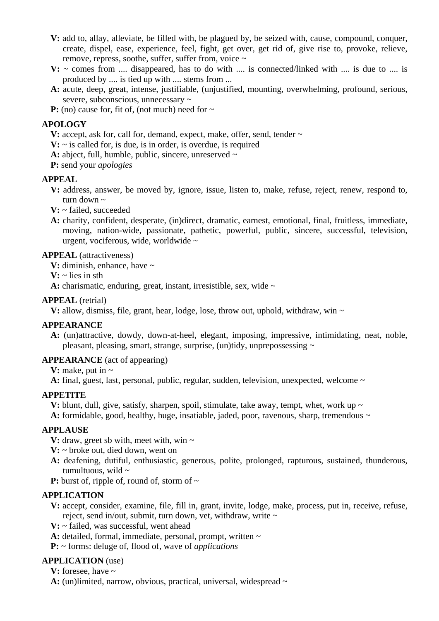- **V:** add to, allay, alleviate, be filled with, be plagued by, be seized with, cause, compound, conquer, create, dispel, ease, experience, feel, fight, get over, get rid of, give rise to, provoke, relieve, remove, repress, soothe, suffer, suffer from, voice  $\sim$
- $V: \sim$  comes from .... disappeared, has to do with .... is connected/linked with .... is due to .... is produced by .... is tied up with .... stems from ...
- **A:** acute, deep, great, intense, justifiable, (unjustified, mounting, overwhelming, profound, serious, severe, subconscious, unnecessary  $\sim$
- **P:** (no) cause for, fit of, (not much) need for  $\sim$

### **APOLOGY**

- **V:** accept, ask for, call for, demand, expect, make, offer, send, tender  $\sim$
- $V: \sim$  is called for, is due, is in order, is overdue, is required
- A: abject, full, humble, public, sincere, unreserved  $\sim$
- **P:** send your *apologies*

#### **APPEAL**

- **V:** address, answer, be moved by, ignore, issue, listen to, make, refuse, reject, renew, respond to, turn down ~
- **V:** ~ failed, succeeded
- **A:** charity, confident, desperate, (in)direct, dramatic, earnest, emotional, final, fruitless, immediate, moving, nation-wide, passionate, pathetic, powerful, public, sincere, successful, television, urgent, vociferous, wide, worldwide ~

## **APPEAL** (attractiveness)

**V:** diminish, enhance, have  $\sim$ 

 $V: \sim$  lies in sth

A: charismatic, enduring, great, instant, irresistible, sex, wide ~

#### **APPEAL** (retrial)

**V:** allow, dismiss, file, grant, hear, lodge, lose, throw out, uphold, withdraw, win  $\sim$ 

#### **APPEARANCE**

 **A:** (un)attractive, dowdy, down-at-heel, elegant, imposing, impressive, intimidating, neat, noble, pleasant, pleasing, smart, strange, surprise, (un)tidy, unprepossessing  $\sim$ 

#### **APPEARANCE** (act of appearing)

**V:** make, put in  $\sim$ 

A: final, guest, last, personal, public, regular, sudden, television, unexpected, welcome ~

#### **APPETITE**

**V:** blunt, dull, give, satisfy, sharpen, spoil, stimulate, take away, tempt, whet, work up  $\sim$ A: formidable, good, healthy, huge, insatiable, jaded, poor, ravenous, sharp, tremendous  $\sim$ 

#### **APPLAUSE**

**V:** draw, greet sb with, meet with, win  $\sim$ 

- **V:** ~ broke out, died down, went on
- **A:** deafening, dutiful, enthusiastic, generous, polite, prolonged, rapturous, sustained, thunderous, tumultuous, wild ~
- **P:** burst of, ripple of, round of, storm of  $\sim$

#### **APPLICATION**

- **V:** accept, consider, examine, file, fill in, grant, invite, lodge, make, process, put in, receive, refuse, reject, send in/out, submit, turn down, vet, withdraw, write  $\sim$
- **V:** ~ failed, was successful, went ahead
- A: detailed, formal, immediate, personal, prompt, written  $\sim$
- **P:** ~ forms: deluge of, flood of, wave of *applications*

#### **APPLICATION** (use)

**V:** foresee, have  $\sim$ 

A: (un)limited, narrow, obvious, practical, universal, widespread  $\sim$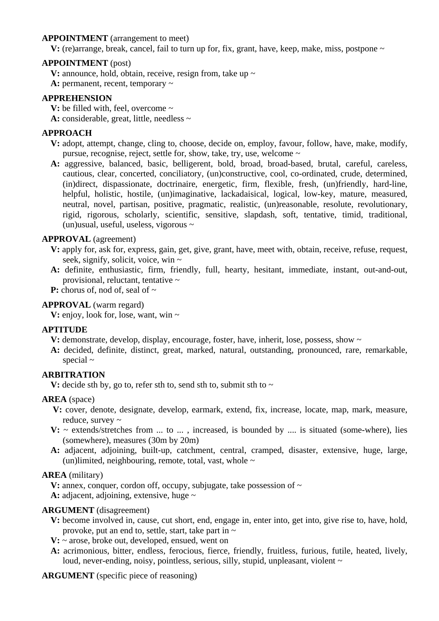#### **APPOINTMENT** (arrangement to meet)

**V:** (re)arrange, break, cancel, fail to turn up for, fix, grant, have, keep, make, miss, postpone  $\sim$ 

#### **APPOINTMENT** (post)

**V:** announce, hold, obtain, receive, resign from, take up  $\sim$ 

A: permanent, recent, temporary  $\sim$ 

#### **APPREHENSION**

**V:** be filled with, feel, overcome ~

A: considerable, great, little, needless ~

### **APPROACH**

- **V:** adopt, attempt, change, cling to, choose, decide on, employ, favour, follow, have, make, modify, pursue, recognise, reject, settle for, show, take, try, use, welcome ~
- **A:** aggressive, balanced, basic, belligerent, bold, broad, broad-based, brutal, careful, careless, cautious, clear, concerted, conciliatory, (un)constructive, cool, co-ordinated, crude, determined, (in)direct, dispassionate, doctrinaire, energetic, firm, flexible, fresh, (un)friendly, hard-line, helpful, holistic, hostile, (un)imaginative, lackadaisical, logical, low-key, mature, measured, neutral, novel, partisan, positive, pragmatic, realistic, (un)reasonable, resolute, revolutionary, rigid, rigorous, scholarly, scientific, sensitive, slapdash, soft, tentative, timid, traditional, (un)usual, useful, useless, vigorous ~

#### **APPROVAL** (agreement)

- **V:** apply for, ask for, express, gain, get, give, grant, have, meet with, obtain, receive, refuse, request, seek, signify, solicit, voice, win  $\sim$
- **A:** definite, enthusiastic, firm, friendly, full, hearty, hesitant, immediate, instant, out-and-out, provisional, reluctant, tentative ~
- **P:** chorus of, nod of, seal of  $\sim$

#### **APPROVAL** (warm regard)

**V:** enjoy, look for, lose, want, win ~

#### **APTITUDE**

**V:** demonstrate, develop, display, encourage, foster, have, inherit, lose, possess, show  $\sim$ 

 **A:** decided, definite, distinct, great, marked, natural, outstanding, pronounced, rare, remarkable, special  $\sim$ 

#### **ARBITRATION**

**V:** decide sth by, go to, refer sth to, send sth to, submit sth to  $\sim$ 

#### **AREA** (space)

- **V:** cover, denote, designate, develop, earmark, extend, fix, increase, locate, map, mark, measure, reduce, survey *~*
- $V: \sim$  extends/stretches from ... to ..., increased, is bounded by .... is situated (some-where), lies (somewhere), measures (30m by 20m)
- **A:** adjacent, adjoining, built-up, catchment, central, cramped, disaster, extensive, huge, large, (un)limited, neighbouring, remote, total, vast, whole  $\sim$

#### **AREA** (military)

**V:** annex, conquer, cordon off, occupy, subjugate, take possession of  $\sim$ 

A: adjacent, adjoining, extensive, huge  $\sim$ 

#### **ARGUMENT** (disagreement)

- **V:** become involved in, cause, cut short, end, engage in, enter into, get into, give rise to, have, hold, provoke, put an end to, settle, start, take part in  $\sim$
- **V:** ~ arose, broke out, developed, ensued, went on
- **A:** acrimonious, bitter, endless, ferocious, fierce, friendly, fruitless, furious, futile, heated, lively, loud, never-ending, noisy, pointless, serious, silly, stupid, unpleasant, violent  $\sim$

**ARGUMENT** (specific piece of reasoning)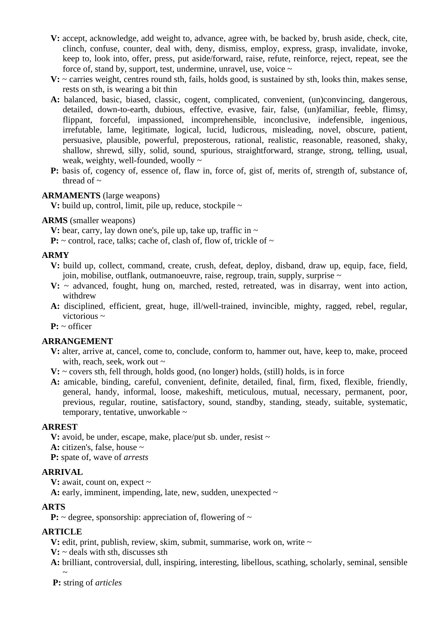- **V:** accept, acknowledge, add weight to, advance, agree with, be backed by, brush aside, check, cite, clinch, confuse, counter, deal with, deny, dismiss, employ, express, grasp, invalidate, invoke, keep to, look into, offer, press, put aside/forward, raise, refute, reinforce, reject, repeat, see the force of, stand by, support, test, undermine, unravel, use, voice  $\sim$
- **V:**  $\sim$  carries weight, centres round sth, fails, holds good, is sustained by sth, looks thin, makes sense, rests on sth, is wearing a bit thin
- **A:** balanced, basic, biased, classic, cogent, complicated, convenient, (un)convincing, dangerous, detailed, down-to-earth, dubious, effective, evasive, fair, false, (un)familiar, feeble, flimsy, flippant, forceful, impassioned, incomprehensible, inconclusive, indefensible, ingenious, irrefutable, lame, legitimate, logical, lucid, ludicrous, misleading, novel, obscure, patient, persuasive, plausible, powerful, preposterous, rational, realistic, reasonable, reasoned, shaky, shallow, shrewd, silly, solid, sound, spurious, straightforward, strange, strong, telling, usual, weak, weighty, well-founded, woolly  $\sim$
- **P:** basis of, cogency of, essence of, flaw in, force of, gist of, merits of, strength of, substance of, thread of  $\sim$

### **ARMAMENTS** (large weapons)

**V:** build up, control, limit, pile up, reduce, stockpile ~

### **ARMS** (smaller weapons)

**V:** bear, carry, lay down one's, pile up, take up, traffic in  $\sim$ 

**P:**  $\sim$  control, race, talks; cache of, clash of, flow of, trickle of  $\sim$ 

## **ARMY**

- **V:** build up, collect, command, create, crush, defeat, deploy, disband, draw up, equip, face, field, join, mobilise, outflank, outmanoeuvre, raise, regroup, train, supply, surprise  $\sim$
- **V:** ~ advanced, fought, hung on, marched, rested, retreated, was in disarray, went into action, withdrew
- **A:** disciplined, efficient, great, huge, ill/well-trained, invincible, mighty, ragged, rebel, regular, victorious ~

 $P: ~ of$ ficer

## **ARRANGEMENT**

- **V:** alter, arrive at, cancel, come to, conclude, conform to, hammer out, have, keep to, make, proceed with, reach, seek, work out  $\sim$
- **V:** ~ covers sth, fell through, holds good, (no longer) holds, (still) holds, is in force
- **A:** amicable, binding, careful, convenient, definite, detailed, final, firm, fixed, flexible, friendly, general, handy, informal, loose, makeshift, meticulous, mutual, necessary, permanent, poor, previous, regular, routine, satisfactory, sound, standby, standing, steady, suitable, systematic, temporary, tentative, unworkable ~

## **ARREST**

**V:** avoid, be under, escape, make, place/put sb. under, resist  $\sim$ 

 **A:** citizen's, false, house ~

 **P:** spate of, wave of *arrests* 

## **ARRIVAL**

**V:** await, count on, expect  $\sim$ 

A: early, imminent, impending, late, new, sudden, unexpected  $\sim$ 

## **ARTS**

**P:**  $\sim$  degree, sponsorship: appreciation of, flowering of  $\sim$ 

## **ARTICLE**

**V:** edit, print, publish, review, skim, submit, summarise, work on, write  $\sim$ 

 **V:** ~ deals with sth, discusses sth

 **A:** brilliant, controversial, dull, inspiring, interesting, libellous, scathing, scholarly, seminal, sensible

 $\sim$  **P:** string of *articles*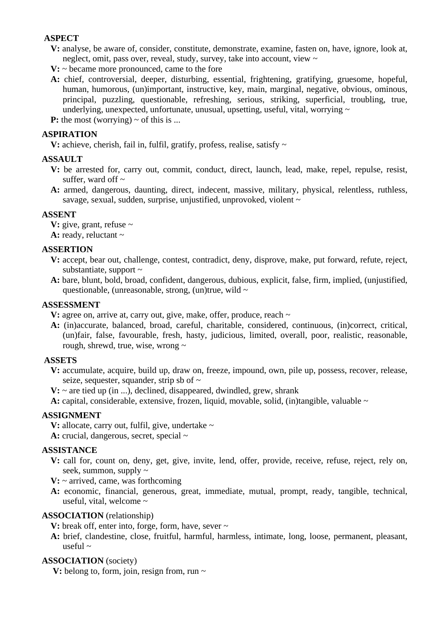### **ASPECT**

- **V:** analyse, be aware of, consider, constitute, demonstrate, examine, fasten on, have, ignore, look at, neglect, omit, pass over, reveal, study, survey, take into account, view  $\sim$
- **V:**  $\sim$  became more pronounced, came to the fore
- **A:** chief, controversial, deeper, disturbing, essential, frightening, gratifying, gruesome, hopeful, human, humorous, (un)important, instructive, key, main, marginal, negative, obvious, ominous, principal, puzzling, questionable, refreshing, serious, striking, superficial, troubling, true, underlying, unexpected, unfortunate, unusual, upsetting, useful, vital, worrying  $\sim$
- **P:** the most (worrying)  $\sim$  of this is ...

### **ASPIRATION**

**V:** achieve, cherish, fail in, fulfil, gratify, profess, realise, satisfy  $\sim$ 

### **ASSAULT**

- **V:** be arrested for, carry out, commit, conduct, direct, launch, lead, make, repel, repulse, resist, suffer, ward off  $\sim$
- **A:** armed, dangerous, daunting, direct, indecent, massive, military, physical, relentless, ruthless, savage, sexual, sudden, surprise, unjustified, unprovoked, violent ~

### **ASSENT**

**V:** give, grant, refuse ~

A: ready, reluctant  $\sim$ 

### **ASSERTION**

- **V:** accept, bear out, challenge, contest, contradict, deny, disprove, make, put forward, refute, reject, substantiate, support  $\sim$
- **A:** bare, blunt, bold, broad, confident, dangerous, dubious, explicit, false, firm, implied, (unjustified, questionable, (unreasonable, strong, (un)true, wild  $\sim$

### **ASSESSMENT**

**V:** agree on, arrive at, carry out, give, make, offer, produce, reach  $\sim$ 

 **A:** (in)accurate, balanced, broad, careful, charitable, considered, continuous, (in)correct, critical, (un)fair, false, favourable, fresh, hasty, judicious, limited, overall, poor, realistic, reasonable, rough, shrewd, true, wise, wrong ~

### **ASSETS**

- **V:** accumulate, acquire, build up, draw on, freeze, impound, own, pile up, possess, recover, release, seize, sequester, squander, strip sb of  $\sim$
- $V: \sim$  are tied up (in ...), declined, disappeared, dwindled, grew, shrank

A: capital, considerable, extensive, frozen, liquid, movable, solid, (in)tangible, valuable ~

### **ASSIGNMENT**

**V:** allocate, carry out, fulfil, give, undertake  $\sim$ 

A: crucial, dangerous, secret, special  $\sim$ 

### **ASSISTANCE**

- **V:** call for, count on, deny, get, give, invite, lend, offer, provide, receive, refuse, reject, rely on, seek, summon, supply  $\sim$
- **V:** ~ arrived, came, was forthcoming
- **A:** economic, financial, generous, great, immediate, mutual, prompt, ready, tangible, technical, useful, vital, welcome  $\sim$

### **ASSOCIATION** (relationship)

- V: break off, enter into, forge, form, have, sever  $\sim$
- **A:** brief, clandestine, close, fruitful, harmful, harmless, intimate, long, loose, permanent, pleasant, useful  $\sim$

### **ASSOCIATION** (society)

**V:** belong to, form, join, resign from, run  $\sim$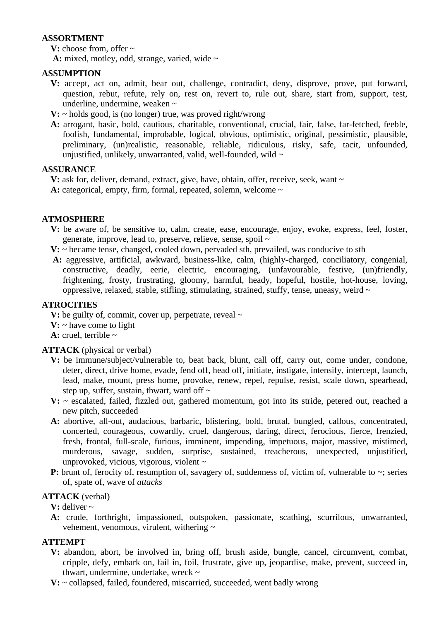### **ASSORTMENT**

**V:** choose from, offer  $\sim$ A: mixed, motley, odd, strange, varied, wide ~

#### **ASSUMPTION**

- **V:** accept, act on, admit, bear out, challenge, contradict, deny, disprove, prove, put forward, question, rebut, refute, rely on, rest on, revert to, rule out, share, start from, support, test, underline, undermine, weaken  $\sim$
- **V:** ~ holds good, is (no longer) true, was proved right/wrong
- **A:** arrogant, basic, bold, cautious, charitable, conventional, crucial, fair, false, far-fetched, feeble, foolish, fundamental, improbable, logical, obvious, optimistic, original, pessimistic, plausible, preliminary, (un)realistic, reasonable, reliable, ridiculous, risky, safe, tacit, unfounded, unjustified, unlikely, unwarranted, valid, well-founded, wild ~

#### **ASSURANCE**

**V:** ask for, deliver, demand, extract, give, have, obtain, offer, receive, seek, want ~ A: categorical, empty, firm, formal, repeated, solemn, welcome  $\sim$ 

#### **ATMOSPHERE**

- **V:** be aware of, be sensitive to, calm, create, ease, encourage, enjoy, evoke, express, feel, foster, generate, improve, lead to, preserve, relieve, sense, spoil ~
- **V:** ~ became tense, changed, cooled down, pervaded sth, prevailed, was conducive to sth
- **A:** aggressive, artificial, awkward, business-like, calm, (highly-charged, conciliatory, congenial, constructive, deadly, eerie, electric, encouraging, (unfavourable, festive, (un)friendly, frightening, frosty, frustrating, gloomy, harmful, heady, hopeful, hostile, hot-house, loving, oppressive, relaxed, stable, stifling, stimulating, strained, stuffy, tense, uneasy, weird ~

#### **ATROCITIES**

**V:** be guilty of, commit, cover up, perpetrate, reveal  $\sim$ 

- **V:** ~ have come to light
- **A:** cruel, terrible ~

#### **ATTACK** (physical or verbal)

- **V:** be immune/subject/vulnerable to, beat back, blunt, call off, carry out, come under, condone, deter, direct, drive home, evade, fend off, head off, initiate, instigate, intensify, intercept, launch, lead, make, mount, press home, provoke, renew, repel, repulse, resist, scale down, spearhead, step up, suffer, sustain, thwart, ward off  $\sim$
- **V:** ~ escalated, failed, fizzled out, gathered momentum, got into its stride, petered out, reached a new pitch, succeeded
- **A:** abortive, all-out, audacious, barbaric, blistering, bold, brutal, bungled, callous, concentrated, concerted, courageous, cowardly, cruel, dangerous, daring, direct, ferocious, fierce, frenzied, fresh, frontal, full-scale, furious, imminent, impending, impetuous, major, massive, mistimed, murderous, savage, sudden, surprise, sustained, treacherous, unexpected, unjustified, unprovoked, vicious, vigorous, violent ~
- **P:** brunt of, ferocity of, resumption of, savagery of, suddenness of, victim of, vulnerable to ~; series of, spate of, wave of *attacks*

#### **ATTACK** (verbal)

**V:** deliver  $\sim$ 

 **A:** crude, forthright, impassioned, outspoken, passionate, scathing, scurrilous, unwarranted, vehement, venomous, virulent, withering  $\sim$ 

#### **ATTEMPT**

- **V:** abandon, abort, be involved in, bring off, brush aside, bungle, cancel, circumvent, combat, cripple, defy, embark on, fail in, foil, frustrate, give up, jeopardise, make, prevent, succeed in, thwart, undermine, undertake, wreck  $\sim$
- **V:** ~ collapsed, failed, foundered, miscarried, succeeded, went badly wrong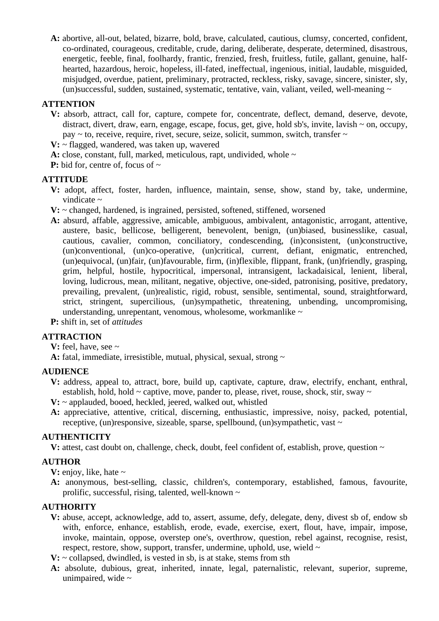**A:** abortive, all-out, belated, bizarre, bold, brave, calculated, cautious, clumsy, concerted, confident, co-ordinated, courageous, creditable, crude, daring, deliberate, desperate, determined, disastrous, energetic, feeble, final, foolhardy, frantic, frenzied, fresh, fruitless, futile, gallant, genuine, halfhearted, hazardous, heroic, hopeless, ill-fated, ineffectual, ingenious, initial, laudable, misguided, misjudged, overdue, patient, preliminary, protracted, reckless, risky, savage, sincere, sinister, sly, (un)successful, sudden, sustained, systematic, tentative, vain, valiant, veiled, well-meaning  $\sim$ 

## **ATTENTION**

 **V:** absorb, attract, call for, capture, compete for, concentrate, deflect, demand, deserve, devote, distract, divert, draw, earn, engage, escape, focus, get, give, hold sb's, invite, lavish ~ on, occupy,  $p$ ay  $\sim$  to, receive, require, rivet, secure, seize, solicit, summon, switch, transfer  $\sim$ 

**V:**  $\sim$  flagged, wandered, was taken up, wavered

A: close, constant, full, marked, meticulous, rapt, undivided, whole  $\sim$ 

**P:** bid for, centre of, focus of  $\sim$ 

### **ATTITUDE**

- **V:** adopt, affect, foster, harden, influence, maintain, sense, show, stand by, take, undermine, vindicate  $\sim$
- **V:** ~ changed, hardened, is ingrained, persisted, softened, stiffened, worsened
- **A:** absurd, affable, aggressive, amicable, ambiguous, ambivalent, antagonistic, arrogant, attentive, austere, basic, bellicose, belligerent, benevolent, benign, (un)biased, businesslike, casual, cautious, cavalier, common, conciliatory, condescending, (in)consistent, (un)constructive, (un)conventional, (un)co-operative, (un)critical, current, defiant, enigmatic, entrenched, (un)equivocal, (un)fair, (un)favourable, firm, (in)flexible, flippant, frank, (un)friendly, grasping, grim, helpful, hostile, hypocritical, impersonal, intransigent, lackadaisical, lenient, liberal, loving, ludicrous, mean, militant, negative, objective, one-sided, patronising, positive, predatory, prevailing, prevalent, (un)realistic, rigid, robust, sensible, sentimental, sound, straightforward, strict, stringent, supercilious, (un)sympathetic, threatening, unbending, uncompromising, understanding, unrepentant, venomous, wholesome, workmanlike ~
- **P:** shift in, set of *attitudes*

## **ATTRACTION**

**V:** feel, have, see  $\sim$ 

 **A:** fatal, immediate, irresistible, mutual, physical, sexual, strong ~

#### **AUDIENCE**

- **V:** address, appeal to, attract, bore, build up, captivate, capture, draw, electrify, enchant, enthral, establish, hold, hold  $\sim$  captive, move, pander to, please, rivet, rouse, shock, stir, sway  $\sim$
- **V:** ~ applauded, booed, heckled, jeered, walked out, whistled
- **A:** appreciative, attentive, critical, discerning, enthusiastic, impressive, noisy, packed, potential, receptive, (un)responsive, sizeable, sparse, spellbound, (un)sympathetic, vast ~

#### **AUTHENTICITY**

**V:** attest, cast doubt on, challenge, check, doubt, feel confident of, establish, prove, question  $\sim$ 

#### **AUTHOR**

**V:** enjoy, like, hate  $\sim$ 

 **A:** anonymous, best-selling, classic, children's, contemporary, established, famous, favourite, prolific, successful, rising, talented, well-known ~

#### **AUTHORITY**

- **V:** abuse, accept, acknowledge, add to, assert, assume, defy, delegate, deny, divest sb of, endow sb with, enforce, enhance, establish, erode, evade, exercise, exert, flout, have, impair, impose, invoke, maintain, oppose, overstep one's, overthrow, question, rebel against, recognise, resist, respect, restore, show, support, transfer, undermine, uphold, use, wield  $\sim$
- **V:** ~ collapsed, dwindled, is vested in sb, is at stake, stems from sth
- **A:** absolute, dubious, great, inherited, innate, legal, paternalistic, relevant, superior, supreme, unimpaired, wide ~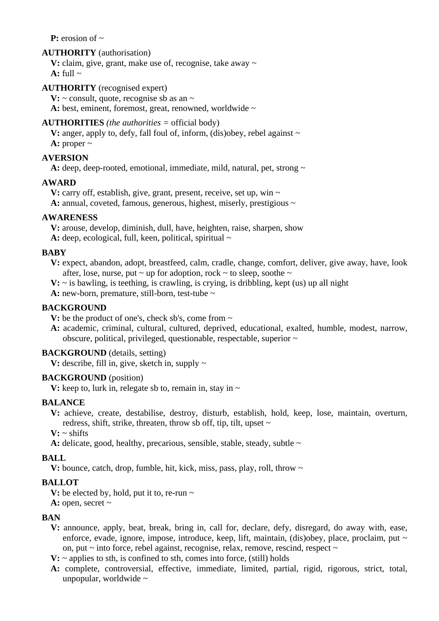**P:** erosion of  $\sim$ 

## **AUTHORITY** (authorisation)

**V:** claim, give, grant, make use of, recognise, take away  $\sim$  $A: full \sim$ 

# **AUTHORITY** (recognised expert)

 $V: \sim$  consult, quote, recognise sb as an  $\sim$ A: best, eminent, foremost, great, renowned, worldwide ~

# **AUTHORITIES** *(the authorities =* official body)

**V:** anger, apply to, defy, fall foul of, inform, (dis)obey, rebel against  $\sim$ A: proper  $\sim$ 

## **AVERSION**

 **A:** deep, deep-rooted, emotional, immediate, mild, natural, pet, strong ~

## **AWARD**

**V:** carry off, establish, give, grant, present, receive, set up, win  $\sim$ 

A: annual, coveted, famous, generous, highest, miserly, prestigious  $\sim$ 

## **AWARENESS**

 **V:** arouse, develop, diminish, dull, have, heighten, raise, sharpen, show A: deep, ecological, full, keen, political, spiritual  $\sim$ 

# **BABY**

 **V:** expect, abandon, adopt, breastfeed, calm, cradle, change, comfort, deliver, give away, have, look after, lose, nurse, put  $\sim$  up for adoption, rock  $\sim$  to sleep, soothe  $\sim$ 

- **V:** ~ is bawling, is teething, is crawling, is crying, is dribbling, kept (us) up all night
- A: new-born, premature, still-born, test-tube ~

# **BACKGROUND**

- **V:** be the product of one's, check sb's, come from  $\sim$
- **A:** academic, criminal, cultural, cultured, deprived, educational, exalted, humble, modest, narrow, obscure, political, privileged, questionable, respectable, superior ~

# **BACKGROUND** (details, setting)

**V:** describe, fill in, give, sketch in, supply  $\sim$ 

## **BACKGROUND** (position)

**V:** keep to, lurk in, relegate sb to, remain in, stay in  $\sim$ 

## **BALANCE**

 **V:** achieve, create, destabilise, destroy, disturb, establish, hold, keep, lose, maintain, overturn, redress, shift, strike, threaten, throw sb off, tip, tilt, upset ~

 $V: \sim$  shifts

A: delicate, good, healthy, precarious, sensible, stable, steady, subtle ~

# **BALL**

**V:** bounce, catch, drop, fumble, hit, kick, miss, pass, play, roll, throw  $\sim$ 

# **BALLOT**

**V:** be elected by, hold, put it to, re-run  $\sim$ 

A: open, secret  $\sim$ 

## **BAN**

- **V:** announce, apply, beat, break, bring in, call for, declare, defy, disregard, do away with, ease, enforce, evade, ignore, impose, introduce, keep, lift, maintain, (dis)obey, place, proclaim, put ~ on, put  $\sim$  into force, rebel against, recognise, relax, remove, rescind, respect  $\sim$
- $V: \sim$  applies to sth, is confined to sth, comes into force, (still) holds
- **A:** complete, controversial, effective, immediate, limited, partial, rigid, rigorous, strict, total, unpopular, worldwide ~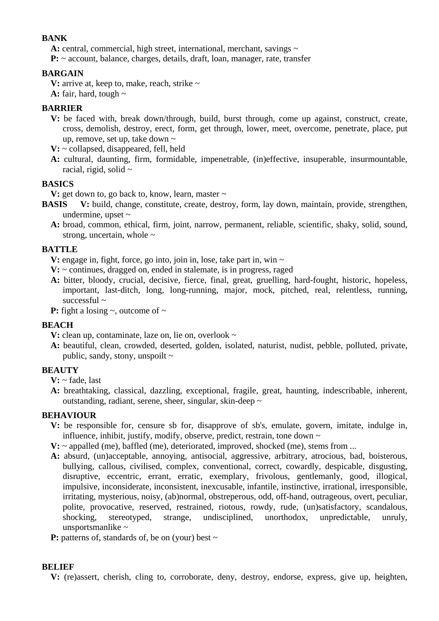# **BANK**

A: central, commercial, high street, international, merchant, savings ~

 **P:** ~ account, balance, charges, details, draft, loan, manager, rate, transfer

## **BARGAIN**

**V:** arrive at, keep to, make, reach, strike  $\sim$ 

**A:** fair, hard, tough  $\sim$ 

# **BARRIER**

- **V:** be faced with, break down/through, build, burst through, come up against, construct, create, cross, demolish, destroy, erect, form, get through, lower, meet, overcome, penetrate, place, put up, remove, set up, take down ~
- **V:** ~ collapsed, disappeared, fell, held
- **A:** cultural, daunting, firm, formidable, impenetrable, (in)effective, insuperable, insurmountable, racial, rigid, solid  $\sim$

# **BASICS**

**V:** get down to, go back to, know, learn, master  $\sim$ 

- **BASIS** V: build, change, constitute, create, destroy, form, lay down, maintain, provide, strengthen, undermine, upset ~
	- **A:** broad, common, ethical, firm, joint, narrow, permanent, reliable, scientific, shaky, solid, sound, strong, uncertain, whole ~

# **BATTLE**

**V:** engage in, fight, force, go into, join in, lose, take part in, win  $\sim$ 

- **V:** ~ continues, dragged on, ended in stalemate, is in progress, raged
- **A:** bitter, bloody, crucial, decisive, fierce, final, great, gruelling, hard-fought, historic, hopeless, important, last-ditch, long, long-running, major, mock, pitched, real, relentless, running, successful  $\sim$
- **P:** fight a losing  $\sim$ , outcome of  $\sim$

## **BEACH**

- **V:** clean up, contaminate, laze on, lie on, overlook ~
- **A:** beautiful, clean, crowded, deserted, golden, isolated, naturist, nudist, pebble, polluted, private, public, sandy, stony, unspoilt  $\sim$

# **BEAUTY**

 $V: ~$  fade, last

 **A:** breathtaking, classical, dazzling, exceptional, fragile, great, haunting, indescribable, inherent, outstanding, radiant, serene, sheer, singular, skin-deep  $\sim$ 

## **BEHAVIOUR**

- **V:** be responsible for, censure sb for, disapprove of sb's, emulate, govern, imitate, indulge in, influence, inhibit, justify, modify, observe, predict, restrain, tone down  $\sim$
- **V:**  $\sim$  appalled (me), baffled (me), deteriorated, improved, shocked (me), stems from ...
- **A:** absurd, (un)acceptable, annoying, antisocial, aggressive, arbitrary, atrocious, bad, boisterous, bullying, callous, civilised, complex, conventional, correct, cowardly, despicable, disgusting, disruptive, eccentric, errant, erratic, exemplary, frivolous, gentlemanly, good, illogical, impulsive, inconsiderate, inconsistent, inexcusable, infantile, instinctive, irrational, irresponsible, irritating, mysterious, noisy, (ab)normal, obstreperous, odd, off-hand, outrageous, overt, peculiar, polite, provocative, reserved, restrained, riotous, rowdy, rude, (un)satisfactory, scandalous, shocking, stereotyped, strange, undisciplined, unorthodox, unpredictable, unruly, unsportsmanlike ~
- **P:** patterns of, standards of, be on (your) best  $\sim$

## **BELIEF**

 **V:** (re)assert, cherish, cling to, corroborate, deny, destroy, endorse, express, give up, heighten,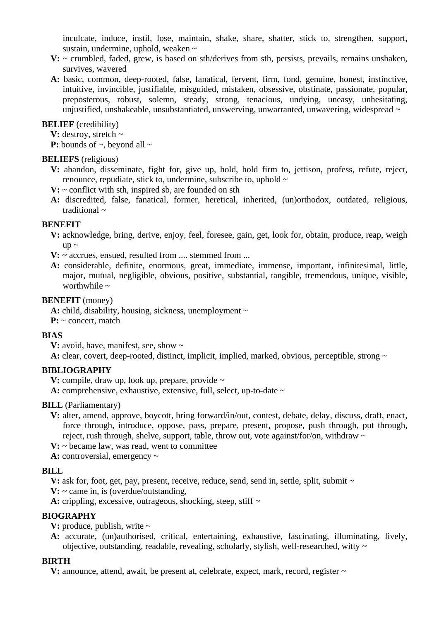inculcate, induce, instil, lose, maintain, shake, share, shatter, stick to, strengthen, support, sustain, undermine, uphold, weaken ~

- **V:** ~ crumbled, faded, grew, is based on sth/derives from sth, persists, prevails, remains unshaken, survives, wavered
- **A:** basic, common, deep-rooted, false, fanatical, fervent, firm, fond, genuine, honest, instinctive, intuitive, invincible, justifiable, misguided, mistaken, obsessive, obstinate, passionate, popular, preposterous, robust, solemn, steady, strong, tenacious, undying, uneasy, unhesitating, unjustified, unshakeable, unsubstantiated, unswerving, unwarranted, unwavering, widespread  $\sim$

### **BELIEF** (credibility)

**V:** destroy, stretch  $\sim$ 

**P:** bounds of  $\sim$ , beyond all  $\sim$ 

#### **BELIEFS** (religious)

- **V:** abandon, disseminate, fight for, give up, hold, hold firm to, jettison, profess, refute, reject, renounce, repudiate, stick to, undermine, subscribe to, uphold ~
- **V:** ~ conflict with sth, inspired sb, are founded on sth
- **A:** discredited, false, fanatical, former, heretical, inherited, (un)orthodox, outdated, religious, traditional ~

### **BENEFIT**

- **V:** acknowledge, bring, derive, enjoy, feel, foresee, gain, get, look for, obtain, produce, reap, weigh  $up \sim$
- **V:**  $\sim$  accrues, ensued, resulted from .... stemmed from ...
- **A:** considerable, definite, enormous, great, immediate, immense, important, infinitesimal, little, major, mutual, negligible, obvious, positive, substantial, tangible, tremendous, unique, visible, worthwhile ~

#### **BENEFIT** (money)

A: child, disability, housing, sickness, unemployment ~

**P:**  $\sim$  concert, match

#### **BIAS**

**V:** avoid, have, manifest, see, show  $\sim$ 

A: clear, covert, deep-rooted, distinct, implicit, implied, marked, obvious, perceptible, strong ~

#### **BIBLIOGRAPHY**

**V:** compile, draw up, look up, prepare, provide  $\sim$ 

 **A:** comprehensive, exhaustive, extensive, full, select, up-to-date ~

#### **BILL** (Parliamentary)

- **V:** alter, amend, approve, boycott, bring forward/in/out, contest, debate, delay, discuss, draft, enact, force through, introduce, oppose, pass, prepare, present, propose, push through, put through, reject, rush through, shelve, support, table, throw out, vote against/for/on, withdraw  $\sim$
- **V:** ~ became law, was read, went to committee

A: controversial, emergency  $\sim$ 

#### **BILL**

**V:** ask for, foot, get, pay, present, receive, reduce, send, send in, settle, split, submit  $\sim$ 

 $V: \sim$  came in, is (overdue/outstanding,

 **A:** crippling, excessive, outrageous, shocking, steep, stiff ~

#### **BIOGRAPHY**

**V:** produce, publish, write ~

 **A:** accurate, (un)authorised, critical, entertaining, exhaustive, fascinating, illuminating, lively, objective, outstanding, readable, revealing, scholarly, stylish, well-researched, witty  $\sim$ 

#### **BIRTH**

**V:** announce, attend, await, be present at, celebrate, expect, mark, record, register  $\sim$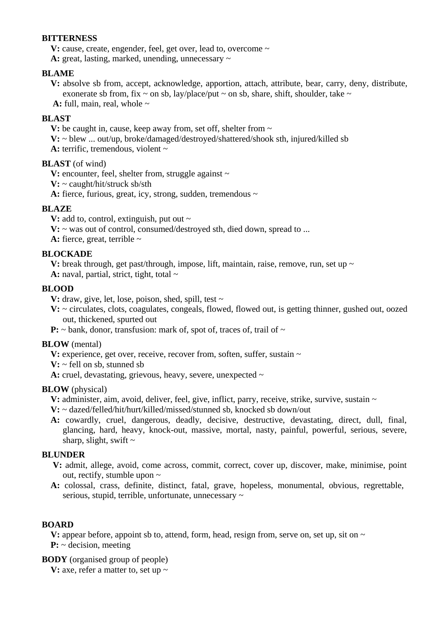#### **BITTERNESS**

**V:** cause, create, engender, feel, get over, lead to, overcome  $\sim$ A: great, lasting, marked, unending, unnecessary  $\sim$ 

#### **BLAME**

 **V:** absolve sb from, accept, acknowledge, apportion, attach, attribute, bear, carry, deny, distribute, exonerate sb from, fix  $\sim$  on sb, lay/place/put  $\sim$  on sb, share, shift, shoulder, take  $\sim$ **A:** full, main, real, whole  $\sim$ 

#### **BLAST**

**V:** be caught in, cause, keep away from, set off, shelter from  $\sim$ 

 **V:** ~ blew ... out/up, broke/damaged/destroyed/shattered/shook sth, injured/killed sb

A: terrific, tremendous, violent ~

#### **BLAST** (of wind)

V: encounter, feel, shelter from, struggle against ~

 **V:** ~ caught/hit/struck sb/sth

A: fierce, furious, great, icy, strong, sudden, tremendous ~

#### **BLAZE**

**V:** add to, control, extinguish, put out  $\sim$ 

**V:** ~ was out of control, consumed/destroyed sth, died down, spread to ...

A: fierce, great, terrible ~

### **BLOCKADE**

**V:** break through, get past/through, impose, lift, maintain, raise, remove, run, set up  $\sim$ 

A: naval, partial, strict, tight, total  $\sim$ 

#### **BLOOD**

**V:** draw, give, let, lose, poison, shed, spill, test  $\sim$ 

 **V:** ~ circulates, clots, coagulates, congeals, flowed, flowed out, is getting thinner, gushed out, oozed out, thickened, spurted out

**P:**  $\sim$  bank, donor, transfusion: mark of, spot of, traces of, trail of  $\sim$ 

### **BLOW** (mental)

**V:** experience, get over, receive, recover from, soften, suffer, sustain  $\sim$ 

**V:**  $\sim$  fell on sb, stunned sb

A: cruel, devastating, grievous, heavy, severe, unexpected  $\sim$ 

#### **BLOW** (physical)

**V:** administer, aim, avoid, deliver, feel, give, inflict, parry, receive, strike, survive, sustain  $\sim$ 

- **V:** ~ dazed/felled/hit/hurt/killed/missed/stunned sb, knocked sb down/out
- **A:** cowardly, cruel, dangerous, deadly, decisive, destructive, devastating, direct, dull, final, glancing, hard, heavy, knock-out, massive, mortal, nasty, painful, powerful, serious, severe, sharp, slight, swift  $\sim$

#### **BLUNDER**

- **V:** admit, allege, avoid, come across, commit, correct, cover up, discover, make, minimise, point out, rectify, stumble upon ~
- **A:** colossal, crass, definite, distinct, fatal, grave, hopeless, monumental, obvious, regrettable, serious, stupid, terrible, unfortunate, unnecessary ~

#### **BOARD**

**V:** appear before, appoint sb to, attend, form, head, resign from, serve on, set up, sit on  $\sim$ 

 **P:** ~ decision, meeting

**BODY** (organised group of people)

**V:** axe, refer a matter to, set up  $\sim$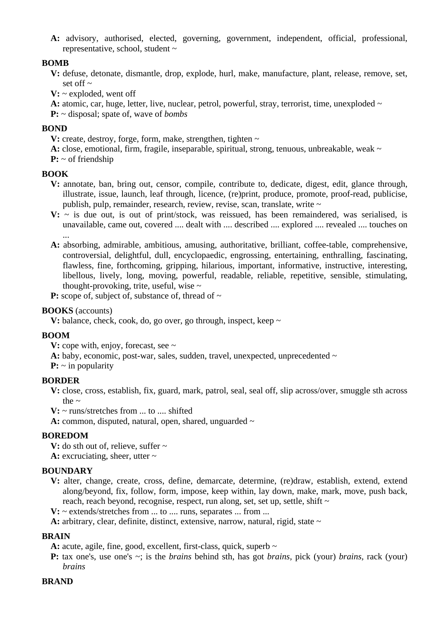**A:** advisory, authorised, elected, governing, government, independent, official, professional, representative, school, student ~

#### **BOMB**

 **V:** defuse, detonate, dismantle, drop, explode, hurl, make, manufacture, plant, release, remove, set, set of  $\sim$ 

 **V:** ~ exploded, went off

A: atomic, car, huge, letter, live, nuclear, petrol, powerful, stray, terrorist, time, unexploded ~

 **P:** ~ disposal; spate of, wave of *bombs* 

#### **BOND**

**V:** create, destroy, forge, form, make, strengthen, tighten  $\sim$ 

- A: close, emotional, firm, fragile, inseparable, spiritual, strong, tenuous, unbreakable, weak ~
- **P:** ~ of friendship

#### **BOOK**

- **V:** annotate, ban, bring out, censor, compile, contribute to, dedicate, digest, edit, glance through, illustrate, issue, launch, leaf through, licence, (re)print, produce, promote, proof-read, publicise, publish, pulp, remainder, research, review, revise, scan, translate, write ~
- $V: \sim$  is due out, is out of print/stock, was reissued, has been remaindered, was serialised, is unavailable, came out, covered .... dealt with .... described .... explored .... revealed .... touches on ...
- **A:** absorbing, admirable, ambitious, amusing, authoritative, brilliant, coffee-table, comprehensive, controversial, delightful, dull, encyclopaedic, engrossing, entertaining, enthralling, fascinating, flawless, fine, forthcoming, gripping, hilarious, important, informative, instructive, interesting, libellous, lively, long, moving, powerful, readable, reliable, repetitive, sensible, stimulating, thought-provoking, trite, useful, wise  $\sim$

**P:** scope of, subject of, substance of, thread of  $\sim$ 

#### **BOOKS** (accounts)

**V:** balance, check, cook, do, go over, go through, inspect, keep  $\sim$ 

#### **BOOM**

**V:** cope with, enjoy, forecast, see ~

A: baby, economic, post-war, sales, sudden, travel, unexpected, unprecedented  $\sim$ 

 $P: \sim$  in popularity

#### **BORDER**

 **V:** close, cross, establish, fix, guard, mark, patrol, seal, seal off, slip across/over, smuggle sth across the  $\sim$ 

**V:** ~ runs/stretches from ... to .... shifted

A: common, disputed, natural, open, shared, unguarded  $\sim$ 

#### **BOREDOM**

**V:** do sth out of, relieve, suffer  $\sim$ 

A: excruciating, sheer, utter  $\sim$ 

#### **BOUNDARY**

 **V:** alter, change, create, cross, define, demarcate, determine, (re)draw, establish, extend, extend along/beyond, fix, follow, form, impose, keep within, lay down, make, mark, move, push back, reach, reach beyond, recognise, respect, run along, set, set up, settle, shift ~

 $V: \sim$  extends/stretches from ... to .... runs, separates ... from ...

 **A:** arbitrary, clear, definite, distinct, extensive, narrow, natural, rigid, state ~

#### **BRAIN**

**A:** acute, agile, fine, good, excellent, first-class, quick, superb  $\sim$ 

 **P:** tax one's, use one's ~; is the *brains* behind sth, has got *brains,* pick (your) *brains,* rack (your) *brains* 

#### **BRAND**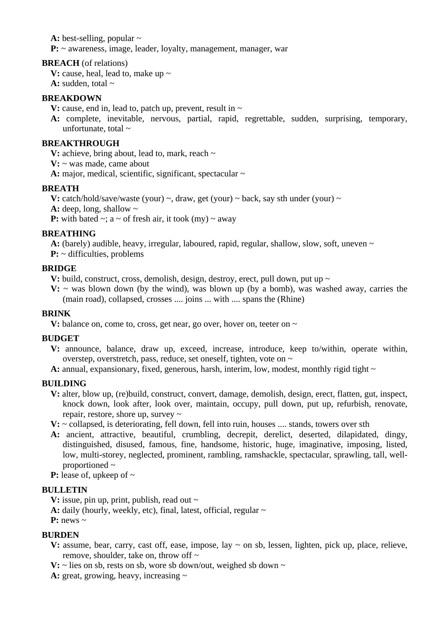A: best-selling, popular  $\sim$  **P:** ~ awareness, image, leader, loyalty, management, manager, war

#### **BREACH** (of relations)

**V:** cause, heal, lead to, make up  $\sim$ 

**A:** sudden, total  $\sim$ 

#### **BREAKDOWN**

**V:** cause, end in, lead to, patch up, prevent, result in  $\sim$ 

 **A:** complete, inevitable, nervous, partial, rapid, regrettable, sudden, surprising, temporary, unfortunate, total  $\sim$ 

#### **BREAKTHROUGH**

**V:** achieve, bring about, lead to, mark, reach  $\sim$ 

 **V:** ~ was made, came about

A: major, medical, scientific, significant, spectacular ~

#### **BREATH**

**V:** catch/hold/save/waste (your)  $\sim$ , draw, get (your)  $\sim$  back, say sth under (your)  $\sim$ 

**A:** deep, long, shallow  $\sim$ 

**P:** with bated  $\sim$ ; a  $\sim$  of fresh air, it took (my)  $\sim$  away

#### **BREATHING**

A: (barely) audible, heavy, irregular, laboured, rapid, regular, shallow, slow, soft, uneven ~

 **P:** ~ difficulties, problems

#### **BRIDGE**

**V:** build, construct, cross, demolish, design, destroy, erect, pull down, put up ~

 $V: \sim$  was blown down (by the wind), was blown up (by a bomb), was washed away, carries the (main road), collapsed, crosses .... joins ... with .... spans the (Rhine)

#### **BRINK**

**V:** balance on, come to, cross, get near, go over, hover on, teeter on  $\sim$ 

#### **BUDGET**

- **V:** announce, balance, draw up, exceed, increase, introduce, keep to/within, operate within, overstep, overstretch, pass, reduce, set oneself, tighten, vote on ~
- **A:** annual, expansionary, fixed, generous, harsh, interim, low, modest, monthly rigid tight ~

#### **BUILDING**

- **V:** alter, blow up, (re)build, construct, convert, damage, demolish, design, erect, flatten, gut, inspect, knock down, look after, look over, maintain, occupy, pull down, put up, refurbish, renovate, repair, restore, shore up, survey ~
- **V:**  $\sim$  collapsed, is deteriorating, fell down, fell into ruin, houses .... stands, towers over sth
- **A:** ancient, attractive, beautiful, crumbling, decrepit, derelict, deserted, dilapidated, dingy, distinguished, disused, famous, fine, handsome, historic, huge, imaginative, imposing, listed, low, multi-storey, neglected, prominent, rambling, ramshackle, spectacular, sprawling, tall, wellproportioned ~

**P:** lease of, upkeep of  $\sim$ 

#### **BULLETIN**

**V:** issue, pin up, print, publish, read out  $\sim$ 

A: daily (hourly, weekly, etc), final, latest, official, regular  $\sim$ 

**P:**  $news \sim$ 

#### **BURDEN**

- **V:** assume, bear, carry, cast off, ease, impose, lay  $\sim$  on sb, lessen, lighten, pick up, place, relieve, remove, shoulder, take on, throw off  $\sim$
- V: ~ lies on sb, rests on sb, wore sb down/out, weighed sb down ~
- A: great, growing, heavy, increasing  $\sim$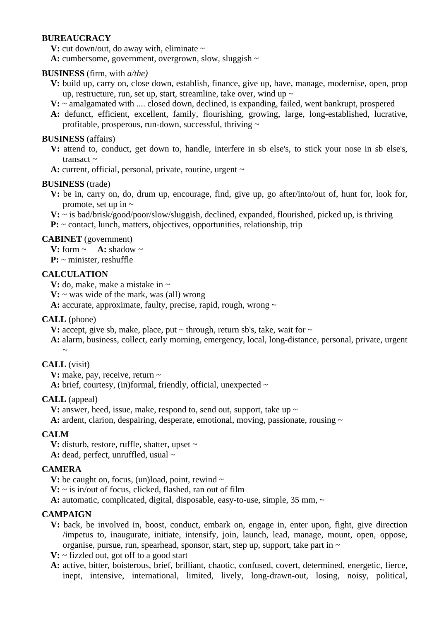### **BUREAUCRACY**

**V:** cut down/out, do away with, eliminate  $\sim$ 

A: cumbersome, government, overgrown, slow, sluggish  $\sim$ 

### **BUSINESS** (firm, with *a/the)*

- **V:** build up, carry on, close down, establish, finance, give up, have, manage, modernise, open, prop up, restructure, run, set up, start, streamline, take over, wind up  $\sim$
- **V:** ~ amalgamated with .... closed down, declined, is expanding, failed, went bankrupt, prospered
- **A:** defunct, efficient, excellent, family, flourishing, growing, large, long-established, lucrative, profitable, prosperous, run-down, successful, thriving ~

### **BUSINESS** (affairs)

 **V:** attend to, conduct, get down to, handle, interfere in sb else's, to stick your nose in sb else's, transact  $\sim$ 

A: current, official, personal, private, routine, urgent ~

### **BUSINESS** (trade)

- **V:** be in, carry on, do, drum up, encourage, find, give up, go after/into/out of, hunt for, look for, promote, set up in  $\sim$
- **V:** ~ is bad/brisk/good/poor/slow/sluggish, declined, expanded, flourished, picked up, is thriving
- **P:**  $\sim$  contact, lunch, matters, objectives, opportunities, relationship, trip

### **CABINET** (government)

**V:** form  $\sim$  **A:** shadow  $\sim$ 

 **P:** ~ minister, reshuffle

### **CALCULATION**

**V:** do, make, make a mistake in  $\sim$ 

 $V:$   $\sim$  was wide of the mark, was (all) wrong

A: accurate, approximate, faulty, precise, rapid, rough, wrong  $\sim$ 

## **CALL** (phone)

**V:** accept, give sb, make, place, put  $\sim$  through, return sb's, take, wait for  $\sim$ 

 **A:** alarm, business, collect, early morning, emergency, local, long-distance, personal, private, urgent  $\sim$ 

## **CALL** (visit)

**V:** make, pay, receive, return  $\sim$ A: brief, courtesy, (in)formal, friendly, official, unexpected  $\sim$ 

## **CALL** (appeal)

**V:** answer, heed, issue, make, respond to, send out, support, take up  $\sim$ 

A: ardent, clarion, despairing, desperate, emotional, moving, passionate, rousing  $\sim$ 

## **CALM**

**V:** disturb, restore, ruffle, shatter, upset  $\sim$ A: dead, perfect, unruffled, usual ~

## **CAMERA**

**V:** be caught on, focus, (un)load, point, rewind  $\sim$ 

 **V:** ~ is in/out of focus, clicked, flashed, ran out of film

 **A:** automatic, complicated, digital, disposable, easy-to-use, simple, 35 mm, ~

## **CAMPAIGN**

 **V:** back, be involved in, boost, conduct, embark on, engage in, enter upon, fight, give direction /impetus to, inaugurate, initiate, intensify, join, launch, lead, manage, mount, open, oppose, organise, pursue, run, spearhead, sponsor, start, step up, support, take part in  $\sim$ 

 **V:** ~ fizzled out, got off to a good start

 **A:** active, bitter, boisterous, brief, brilliant, chaotic, confused, covert, determined, energetic, fierce, inept, intensive, international, limited, lively, long-drawn-out, losing, noisy, political,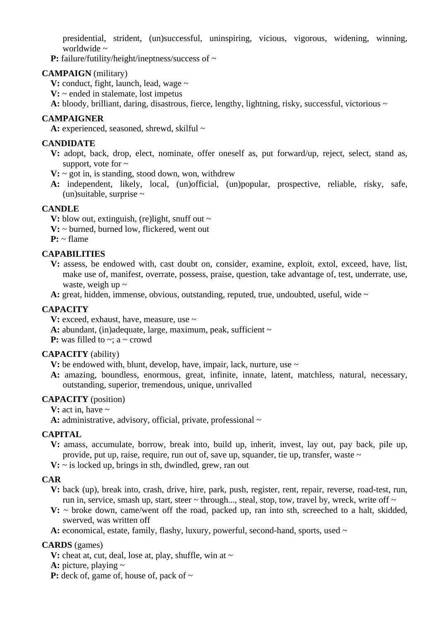presidential, strident, (un)successful, uninspiring, vicious, vigorous, widening, winning, worldwide ~

**P:** failure/futility/height/ineptness/success of  $\sim$ 

#### **CAMPAIGN** (military)

**V:** conduct, fight, launch, lead, wage  $\sim$ 

 **V:** ~ ended in stalemate, lost impetus

 **A:** bloody, brilliant, daring, disastrous, fierce, lengthy, lightning, risky, successful, victorious ~

### **CAMPAIGNER**

A: experienced, seasoned, shrewd, skilful ~

### **CANDIDATE**

- **V:** adopt, back, drop, elect, nominate, offer oneself as, put forward/up, reject, select, stand as, support, vote for  $\sim$
- $V: \sim$  got in, is standing, stood down, won, withdrew
- **A:** independent, likely, local, (un)official, (un)popular, prospective, reliable, risky, safe, (un)suitable, surprise  $\sim$

#### **CANDLE**

**V:** blow out, extinguish, (re)light, snuff out  $\sim$ 

 **V:** ~ burned, burned low, flickered, went out

 $P: ~$  flame

### **CAPABILITIES**

 **V:** assess, be endowed with, cast doubt on, consider, examine, exploit, extol, exceed, have, list, make use of, manifest, overrate, possess, praise, question, take advantage of, test, underrate, use, waste, weigh up  $\sim$ 

A: great, hidden, immense, obvious, outstanding, reputed, true, undoubted, useful, wide ~

### **CAPACITY**

**V:** exceed, exhaust, have, measure, use ~

A: abundant, (in)adequate, large, maximum, peak, sufficient ~

**P:** was filled to  $\sim$ ; a  $\sim$  crowd

#### **CAPACITY** (ability)

**V:** be endowed with, blunt, develop, have, impair, lack, nurture, use  $\sim$ 

 **A:** amazing, boundless, enormous, great, infinite, innate, latent, matchless, natural, necessary, outstanding, superior, tremendous, unique, unrivalled

## **CAPACITY** (position)

**V:** act in, have  $\sim$ 

A: administrative, advisory, official, private, professional  $\sim$ 

#### **CAPITAL**

 **V:** amass, accumulate, borrow, break into, build up, inherit, invest, lay out, pay back, pile up, provide, put up, raise, require, run out of, save up, squander, tie up, transfer, waste ~

 $V: \sim$  is locked up, brings in sth, dwindled, grew, ran out

#### **CAR**

- **V:** back (up), break into, crash, drive, hire, park, push, register, rent, repair, reverse, road-test, run, run in, service, smash up, start, steer  $\sim$  through..., steal, stop, tow, travel by, wreck, write off  $\sim$
- **V:** ~ broke down, came/went off the road, packed up, ran into sth, screeched to a halt, skidded, swerved, was written off

**A:** economical, estate, family, flashy, luxury, powerful, second-hand, sports, used ~

#### **CARDS** (games)

**V:** cheat at, cut, deal, lose at, play, shuffle, win at  $\sim$ 

**A:** picture, playing  $\sim$ 

**P:** deck of, game of, house of, pack of  $\sim$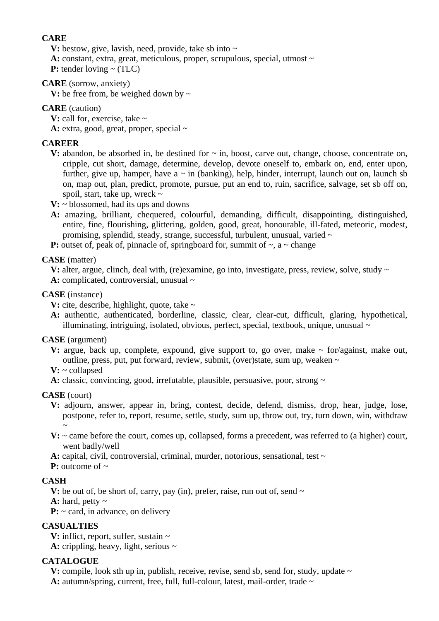# **CARE**

**V:** bestow, give, lavish, need, provide, take sb into  $\sim$ 

 **A:** constant, extra, great, meticulous, proper, scrupulous, special, utmost ~

**P:** tender loving  $\sim$  (TLC)

**CARE** (sorrow, anxiety)

**V:** be free from, be weighed down by  $\sim$ 

# **CARE** (caution)

**V:** call for, exercise, take  $\sim$ 

A: extra, good, great, proper, special  $\sim$ 

# **CAREER**

- V: abandon, be absorbed in, be destined for  $\sim$  in, boost, carve out, change, choose, concentrate on, cripple, cut short, damage, determine, develop, devote oneself to, embark on, end, enter upon, further, give up, hamper, have  $a \sim in$  (banking), help, hinder, interrupt, launch out on, launch sb on, map out, plan, predict, promote, pursue, put an end to, ruin, sacrifice, salvage, set sb off on, spoil, start, take up, wreck  $\sim$
- **V:** ~ blossomed, had its ups and downs
- **A:** amazing, brilliant, chequered, colourful, demanding, difficult, disappointing, distinguished, entire, fine, flourishing, glittering, golden, good, great, honourable, ill-fated, meteoric, modest, promising, splendid, steady, strange, successful, turbulent, unusual, varied ~

**P:** outset of, peak of, pinnacle of, springboard for, summit of  $\sim$ , a  $\sim$  change

# **CASE** (matter)

**V:** alter, argue, clinch, deal with, (re)examine, go into, investigate, press, review, solve, study  $\sim$ A: complicated, controversial, unusual  $\sim$ 

## **CASE** (instance)

**V:** cite, describe, highlight, quote, take ~

 **A:** authentic, authenticated, borderline, classic, clear, clear-cut, difficult, glaring, hypothetical, illuminating, intriguing, isolated, obvious, perfect, special, textbook, unique, unusual ~

## **CASE** (argument)

- **V:** argue, back up, complete, expound, give support to, go over, make  $\sim$  for/against, make out, outline, press, put, put forward, review, submit, (over) state, sum up, weaken  $\sim$
- **V:** ~ collapsed

 **A:** classic, convincing, good, irrefutable, plausible, persuasive, poor, strong ~

## **CASE** (court)

- **V:** adjourn, answer, appear in, bring, contest, decide, defend, dismiss, drop, hear, judge, lose, postpone, refer to, report, resume, settle, study, sum up, throw out, try, turn down, win, withdraw  $\sim$
- **V:** ~ came before the court, comes up, collapsed, forms a precedent, was referred to (a higher) court, went badly/well

A: capital, civil, controversial, criminal, murder, notorious, sensational, test ~

**P:** outcome of  $\sim$ 

## **CASH**

**V:** be out of, be short of, carry, pay (in), prefer, raise, run out of, send  $\sim$ 

**A:** hard, petty  $\sim$ 

**P:**  $\sim$  card, in advance, on delivery

## **CASUALTIES**

**V:** inflict, report, suffer, sustain  $\sim$ **A:** crippling, heavy, light, serious ~

# **CATALOGUE**

**V:** compile, look sth up in, publish, receive, revise, send sb, send for, study, update  $\sim$  **A:** autumn/spring, current, free, full, full-colour, latest, mail-order, trade ~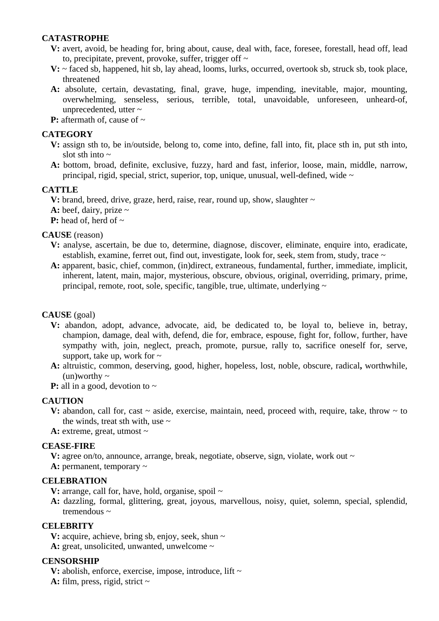### **CATASTROPHE**

- **V:** avert, avoid, be heading for, bring about, cause, deal with, face, foresee, forestall, head off, lead to, precipitate, prevent, provoke, suffer, trigger of  $\sim$
- **V:** ~ faced sb, happened, hit sb, lay ahead, looms, lurks, occurred, overtook sb, struck sb, took place, threatened
- **A:** absolute, certain, devastating, final, grave, huge, impending, inevitable, major, mounting, overwhelming, senseless, serious, terrible, total, unavoidable, unforeseen, unheard-of, unprecedented, utter  $\sim$

**P:** aftermath of, cause of  $\sim$ 

### **CATEGORY**

- **V:** assign sth to, be in/outside, belong to, come into, define, fall into, fit, place sth in, put sth into, slot sth into  $\sim$
- **A:** bottom, broad, definite, exclusive, fuzzy, hard and fast, inferior, loose, main, middle, narrow, principal, rigid, special, strict, superior, top, unique, unusual, well-defined, wide  $\sim$

### **CATTLE**

**V:** brand, breed, drive, graze, herd, raise, rear, round up, show, slaughter  $\sim$ 

A: beef, dairy, prize  $\sim$ 

**P:** head of, herd of  $\sim$ 

#### **CAUSE** (reason)

- **V:** analyse, ascertain, be due to, determine, diagnose, discover, eliminate, enquire into, eradicate, establish, examine, ferret out, find out, investigate, look for, seek, stem from, study, trace ~
- **A:** apparent, basic, chief, common, (in)direct, extraneous, fundamental, further, immediate, implicit, inherent, latent, main, major, mysterious, obscure, obvious, original, overriding, primary, prime, principal, remote, root, sole, specific, tangible, true, ultimate, underlying  $\sim$

#### **CAUSE** (goal)

- **V:** abandon, adopt, advance, advocate, aid, be dedicated to, be loyal to, believe in, betray, champion, damage, deal with, defend, die for, embrace, espouse, fight for, follow, further, have sympathy with, join, neglect, preach, promote, pursue, rally to, sacrifice oneself for, serve, support, take up, work for  $\sim$
- **A:** altruistic, common, deserving, good, higher, hopeless, lost, noble, obscure, radical**,** worthwhile,  $(un)$ worthy ~
- **P:** all in a good, devotion to  $\sim$

### **CAUTION**

- **V:** abandon, call for, cast  $\sim$  aside, exercise, maintain, need, proceed with, require, take, throw  $\sim$  to the winds, treat sth with, use  $\sim$
- A: extreme, great, utmost ~

#### **CEASE-FIRE**

**V:** agree on/to, announce, arrange, break, negotiate, observe, sign, violate, work out  $\sim$ 

A: permanent, temporary  $\sim$ 

### **CELEBRATION**

**V:** arrange, call for, have, hold, organise, spoil  $\sim$ 

 **A:** dazzling, formal, glittering, great, joyous, marvellous, noisy, quiet, solemn, special, splendid, tremendous ~

#### **CELEBRITY**

**V:** acquire, achieve, bring sb, enjoy, seek, shun  $\sim$ 

A: great, unsolicited, unwanted, unwelcome ~

### **CENSORSHIP**

**V:** abolish, enforce, exercise, impose, introduce, lift ~ **A:** film, press, rigid, strict  $\sim$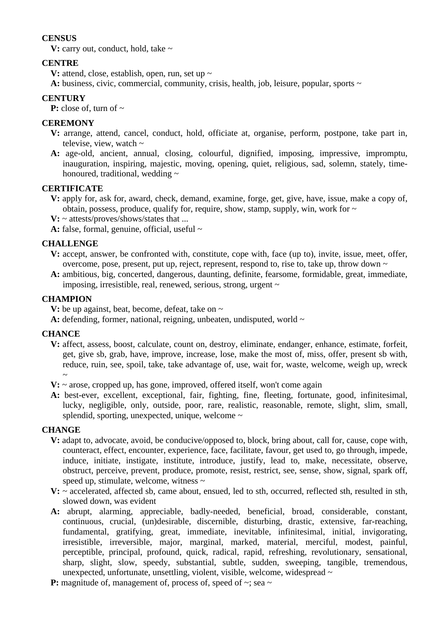# **CENSUS**

**V:** carry out, conduct, hold, take  $\sim$ 

## **CENTRE**

**V:** attend, close, establish, open, run, set up  $\sim$ 

A: business, civic, commercial, community, crisis, health, job, leisure, popular, sports ~

# **CENTURY**

**P:** close of, turn of  $\sim$ 

# **CEREMONY**

- **V:** arrange, attend, cancel, conduct, hold, officiate at, organise, perform, postpone, take part in, televise, view, watch  $\sim$
- **A:** age-old, ancient, annual, closing, colourful, dignified, imposing, impressive, impromptu, inauguration, inspiring, majestic, moving, opening, quiet, religious, sad, solemn, stately, timehonoured, traditional, wedding  $\sim$

## **CERTIFICATE**

 **V:** apply for, ask for, award, check, demand, examine, forge, get, give, have, issue, make a copy of, obtain, possess, produce, qualify for, require, show, stamp, supply, win, work for  $\sim$ 

**V:** ~ attests/proves/shows/states that ...

A: false, formal, genuine, official, useful ~

# **CHALLENGE**

- **V:** accept, answer, be confronted with, constitute, cope with, face (up to), invite, issue, meet, offer, overcome, pose, present, put up, reject, represent, respond to, rise to, take up, throw down  $\sim$
- **A:** ambitious, big, concerted, dangerous, daunting, definite, fearsome, formidable, great, immediate, imposing, irresistible, real, renewed, serious, strong, urgent ~

# **CHAMPION**

**V:** be up against, beat, become, defeat, take on  $\sim$ 

**A:** defending, former, national, reigning, unbeaten, undisputed, world  $\sim$ 

## **CHANCE**

- **V:** affect, assess, boost, calculate, count on, destroy, eliminate, endanger, enhance, estimate, forfeit, get, give sb, grab, have, improve, increase, lose, make the most of, miss, offer, present sb with, reduce, ruin, see, spoil, take, take advantage of, use, wait for, waste, welcome, weigh up, wreck  $\sim$
- **V:**  $\sim$  arose, cropped up, has gone, improved, offered itself, won't come again
- **A:** best-ever, excellent, exceptional, fair, fighting, fine, fleeting, fortunate, good, infinitesimal, lucky, negligible, only, outside, poor, rare, realistic, reasonable, remote, slight, slim, small, splendid, sporting, unexpected, unique, welcome  $\sim$

## **CHANGE**

- **V:** adapt to, advocate, avoid, be conducive/opposed to, block, bring about, call for, cause, cope with, counteract, effect, encounter, experience, face, facilitate, favour, get used to, go through, impede, induce, initiate, instigate, institute, introduce, justify, lead to, make, necessitate, observe, obstruct, perceive, prevent, produce, promote, resist, restrict, see, sense, show, signal, spark off, speed up, stimulate, welcome, witness  $\sim$
- **V:** ~ accelerated, affected sb, came about, ensued, led to sth, occurred, reflected sth, resulted in sth, slowed down, was evident
- **A:** abrupt, alarming, appreciable, badly-needed, beneficial, broad, considerable, constant, continuous, crucial, (un)desirable, discernible, disturbing, drastic, extensive, far-reaching, fundamental, gratifying, great, immediate, inevitable, infinitesimal, initial, invigorating, irresistible, irreversible, major, marginal, marked, material, merciful, modest, painful, perceptible, principal, profound, quick, radical, rapid, refreshing, revolutionary, sensational, sharp, slight, slow, speedy, substantial, subtle, sudden, sweeping, tangible, tremendous, unexpected, unfortunate, unsettling, violent, visible, welcome, widespread  $\sim$
- **P:** magnitude of, management of, process of, speed of  $\sim$ ; sea  $\sim$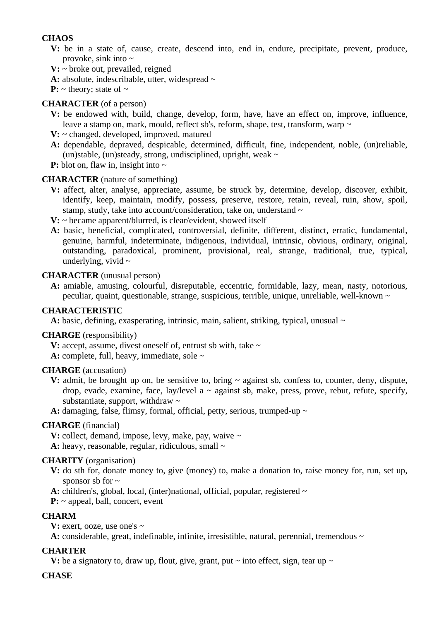# **CHAOS**

- **V:** be in a state of, cause, create, descend into, end in, endure, precipitate, prevent, produce, provoke, sink into  $\sim$
- **V:** ~ broke out, prevailed, reigned
- A: absolute, indescribable, utter, widespread  $\sim$
- $P: \sim$  theory; state of  $\sim$

# **CHARACTER** (of a person)

- **V:** be endowed with, build, change, develop, form, have, have an effect on, improve, influence, leave a stamp on, mark, mould, reflect sb's, reform, shape, test, transform, warp  $\sim$
- **V:** ~ changed, developed, improved, matured
- **A:** dependable, depraved, despicable, determined, difficult, fine, independent, noble, (un)reliable, (un)stable, (un)steady, strong, undisciplined, upright, weak  $\sim$
- **P:** blot on, flaw in, insight into  $\sim$

### **CHARACTER** (nature of something)

- **V:** affect, alter, analyse, appreciate, assume, be struck by, determine, develop, discover, exhibit, identify, keep, maintain, modify, possess, preserve, restore, retain, reveal, ruin, show, spoil, stamp, study, take into account/consideration, take on, understand  $\sim$
- **V:** ~ became apparent/blurred, is clear/evident, showed itself
- **A:** basic, beneficial, complicated, controversial, definite, different, distinct, erratic, fundamental, genuine, harmful, indeterminate, indigenous, individual, intrinsic, obvious, ordinary, original, outstanding, paradoxical, prominent, provisional, real, strange, traditional, true, typical, underlying, vivid  $\sim$

### **CHARACTER** (unusual person)

 **A:** amiable, amusing, colourful, disreputable, eccentric, formidable, lazy, mean, nasty, notorious, peculiar, quaint, questionable, strange, suspicious, terrible, unique, unreliable, well-known ~

## **CHARACTERISTIC**

 **A:** basic, defining, exasperating, intrinsic, main, salient, striking, typical, unusual ~

#### **CHARGE** (responsibility)

- **V:** accept, assume, divest oneself of, entrust sb with, take  $\sim$
- A: complete, full, heavy, immediate, sole ~

#### **CHARGE** (accusation)

**V:** admit, be brought up on, be sensitive to, bring  $\sim$  against sb, confess to, counter, deny, dispute, drop, evade, examine, face, lay/level a  $\sim$  against sb, make, press, prove, rebut, refute, specify, substantiate, support, withdraw  $\sim$ 

 **A:** damaging, false, flimsy, formal, official, petty, serious, trumped-up ~

## **CHARGE** (financial)

**V:** collect, demand, impose, levy, make, pay, waive ~

A: heavy, reasonable, regular, ridiculous, small ~

#### **CHARITY** (organisation)

- **V:** do sth for, donate money to, give (money) to, make a donation to, raise money for, run, set up, sponsor sb for  $\sim$
- **A:** children's, global, local, (inter)national, official, popular, registered ~
- **P:** ~ appeal, ball, concert, event

#### **CHARM**

**V:** exert, ooze, use one's  $\sim$ 

A: considerable, great, indefinable, infinite, irresistible, natural, perennial, tremendous ~

## **CHARTER**

**V:** be a signatory to, draw up, flout, give, grant, put  $\sim$  into effect, sign, tear up  $\sim$ 

#### **CHASE**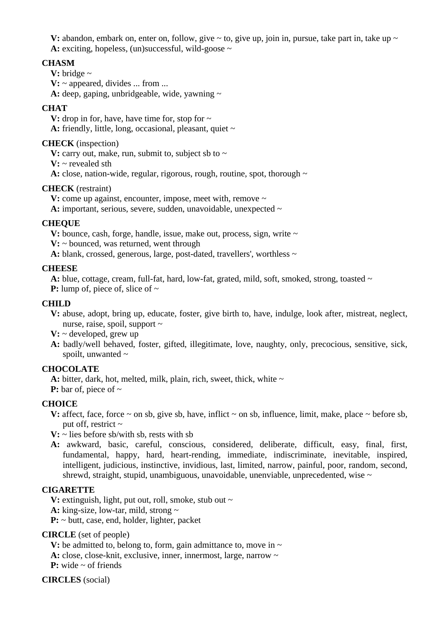**V:** abandon, embark on, enter on, follow, give  $\sim$  to, give up, join in, pursue, take part in, take up  $\sim$ A: exciting, hopeless, (un)successful, wild-goose  $\sim$ 

### **CHASM**

**V:** bridge  $\sim$  $V: \sim$  appeared, divides ... from ...

A: deep, gaping, unbridgeable, wide, yawning  $\sim$ 

### **CHAT**

**V:** drop in for, have, have time for, stop for  $\sim$ A: friendly, little, long, occasional, pleasant, quiet ~

#### **CHECK** (inspection)

**V:** carry out, make, run, submit to, subject sb to  $\sim$ 

 $V: \sim$  revealed sth

 **A:** close, nation-wide, regular, rigorous, rough, routine, spot, thorough ~

### **CHECK** (restraint)

**V:** come up against, encounter, impose, meet with, remove  $\sim$ 

A: important, serious, severe, sudden, unavoidable, unexpected ~

## **CHEQUE**

**V:** bounce, cash, forge, handle, issue, make out, process, sign, write ~

**V:** ~ bounced, was returned, went through

 **A:** blank, crossed, generous, large, post-dated, travellers', worthless ~

### **CHEESE**

 **A:** blue, cottage, cream, full-fat, hard, low-fat, grated, mild, soft, smoked, strong, toasted ~

**P:** lump of, piece of, slice of  $\sim$ 

### **CHILD**

 **V:** abuse, adopt, bring up, educate, foster, give birth to, have, indulge, look after, mistreat, neglect, nurse, raise, spoil, support  $\sim$ 

 **V:** ~ developed, grew up

 **A:** badly/well behaved, foster, gifted, illegitimate, love, naughty, only, precocious, sensitive, sick, spoilt, unwanted  $\sim$ 

### **CHOCOLATE**

A: bitter, dark, hot, melted, milk, plain, rich, sweet, thick, white ~ **P:** bar of, piece of  $\sim$ 

#### **CHOICE**

**V:** affect, face, force  $\sim$  on sb, give sb, have, inflict  $\sim$  on sb, influence, limit, make, place  $\sim$  before sb, put off, restrict  $\sim$ 

**V:** ~ lies before sb/with sb, rests with sb

 **A:** awkward, basic, careful, conscious, considered, deliberate, difficult, easy, final, first, fundamental, happy, hard, heart-rending, immediate, indiscriminate, inevitable, inspired, intelligent, judicious, instinctive, invidious, last, limited, narrow, painful, poor, random, second, shrewd, straight, stupid, unambiguous, unavoidable, unenviable, unprecedented, wise ~

### **CIGARETTE**

**V:** extinguish, light, put out, roll, smoke, stub out ~

A: king-size, low-tar, mild, strong  $\sim$ 

 **P:** ~ butt, case, end, holder, lighter, packet

#### **CIRCLE** (set of people)

**V:** be admitted to, belong to, form, gain admittance to, move in  $\sim$ 

**A:** close, close-knit, exclusive, inner, innermost, large, narrow  $\sim$ 

**P:** wide  $\sim$  of friends

**CIRCLES** (social)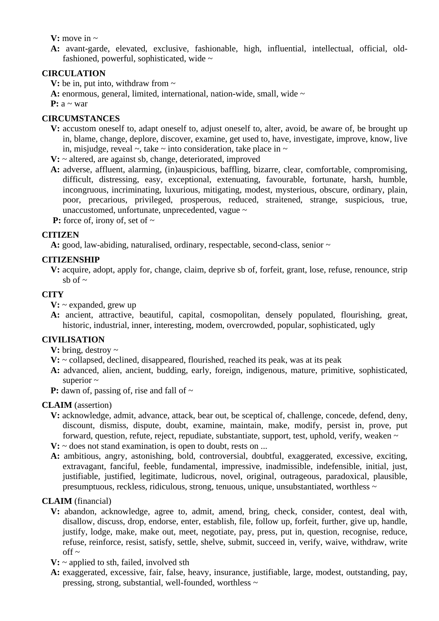**V:** move in  $\sim$ 

 **A:** avant-garde, elevated, exclusive, fashionable, high, influential, intellectual, official, oldfashioned, powerful, sophisticated, wide ~

## **CIRCULATION**

**V:** be in, put into, withdraw from  $\sim$ 

A: enormous, general, limited, international, nation-wide, small, wide ~

 $P: a \sim \text{war}$ 

### **CIRCUMSTANCES**

- **V:** accustom oneself to, adapt oneself to, adjust oneself to, alter, avoid, be aware of, be brought up in, blame, change, deplore, discover, examine, get used to, have, investigate, improve, know, live in, misjudge, reveal  $\sim$ , take  $\sim$  into consideration, take place in  $\sim$
- **V:** ~ altered, are against sb, change, deteriorated, improved
- **A:** adverse, affluent, alarming, (in)auspicious, baffling, bizarre, clear, comfortable, compromising, difficult, distressing, easy, exceptional, extenuating, favourable, fortunate, harsh, humble, incongruous, incriminating, luxurious, mitigating, modest, mysterious, obscure, ordinary, plain, poor, precarious, privileged, prosperous, reduced, straitened, strange, suspicious, true, unaccustomed, unfortunate, unprecedented, vague ~

**P:** force of, irony of, set of  $\sim$ 

## **CITIZEN**

 **A:** good, law-abiding, naturalised, ordinary, respectable, second-class, senior ~

## **CITIZENSHIP**

 **V:** acquire, adopt, apply for, change, claim, deprive sb of, forfeit, grant, lose, refuse, renounce, strip sh of  $\sim$ 

### **CITY**

 **V:** ~ expanded, grew up

 **A:** ancient, attractive, beautiful, capital, cosmopolitan, densely populated, flourishing, great, historic, industrial, inner, interesting, modem, overcrowded, popular, sophisticated, ugly

## **CIVILISATION**

**V:** bring, destroy  $\sim$ 

- **V:** ~ collapsed, declined, disappeared, flourished, reached its peak, was at its peak
- **A:** advanced, alien, ancient, budding, early, foreign, indigenous, mature, primitive, sophisticated, superior  $\sim$
- **P:** dawn of, passing of, rise and fall of  $\sim$

#### **CLAIM** (assertion)

- **V:** acknowledge, admit, advance, attack, bear out, be sceptical of, challenge, concede, defend, deny, discount, dismiss, dispute, doubt, examine, maintain, make, modify, persist in, prove, put forward, question, refute, reject, repudiate, substantiate, support, test, uphold, verify, weaken ~
- **V:** ~ does not stand examination, is open to doubt, rests on ...
- **A:** ambitious, angry, astonishing, bold, controversial, doubtful, exaggerated, excessive, exciting, extravagant, fanciful, feeble, fundamental, impressive, inadmissible, indefensible, initial, just, justifiable, justified, legitimate, ludicrous, novel, original, outrageous, paradoxical, plausible, presumptuous, reckless, ridiculous, strong, tenuous, unique, unsubstantiated, worthless ~

#### **CLAIM** (financial)

- **V:** abandon, acknowledge, agree to, admit, amend, bring, check, consider, contest, deal with, disallow, discuss, drop, endorse, enter, establish, file, follow up, forfeit, further, give up, handle, justify, lodge, make, make out, meet, negotiate, pay, press, put in, question, recognise, reduce, refuse, reinforce, resist, satisfy, settle, shelve, submit, succeed in, verify, waive, withdraw, write off  $\sim$
- **V:**  $\sim$  applied to sth, failed, involved sth
- **A:** exaggerated, excessive, fair, false, heavy, insurance, justifiable, large, modest, outstanding, pay, pressing, strong, substantial, well-founded, worthless ~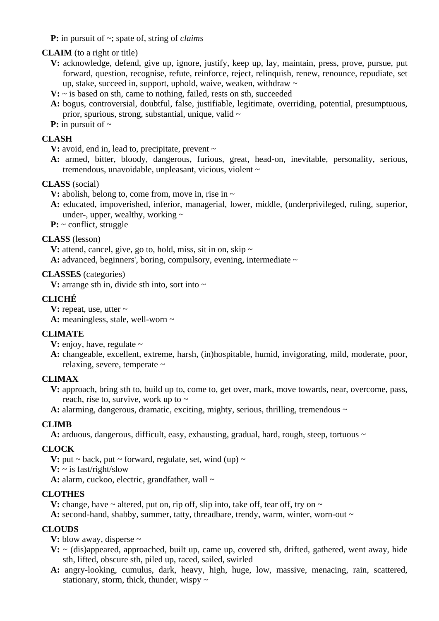**P:** in pursuit of ~; spate of, string of *claims* 

## **CLAIM** (to a right or title)

- **V:** acknowledge, defend, give up, ignore, justify, keep up, lay, maintain, press, prove, pursue, put forward, question, recognise, refute, reinforce, reject, relinquish, renew, renounce, repudiate, set up, stake, succeed in, support, uphold, waive, weaken, withdraw ~
- **V:** ~ is based on sth, came to nothing, failed, rests on sth, succeeded
- **A:** bogus, controversial, doubtful, false, justifiable, legitimate, overriding, potential, presumptuous, prior, spurious, strong, substantial, unique, valid ~
- **P:** in pursuit of  $\sim$

# **CLASH**

**V:** avoid, end in, lead to, precipitate, prevent  $\sim$ 

 **A:** armed, bitter, bloody, dangerous, furious, great, head-on, inevitable, personality, serious, tremendous, unavoidable, unpleasant, vicious, violent ~

## **CLASS** (social)

**V:** abolish, belong to, come from, move in, rise in  $\sim$ 

 **A:** educated, impoverished, inferior, managerial, lower, middle, (underprivileged, ruling, superior, under-, upper, wealthy, working  $\sim$ 

**P:** ~ conflict, struggle

### **CLASS** (lesson)

**V:** attend, cancel, give, go to, hold, miss, sit in on, skip  $\sim$ 

A: advanced, beginners', boring, compulsory, evening, intermediate ~

### **CLASSES** (categories)

**V:** arrange sth in, divide sth into, sort into  $\sim$ 

## **CLICHÉ**

**V:** repeat, use, utter  $\sim$ 

A: meaningless, stale, well-worn  $\sim$ 

## **CLIMATE**

**V:** enjoy, have, regulate  $\sim$ 

 **A:** changeable, excellent, extreme, harsh, (in)hospitable, humid, invigorating, mild, moderate, poor, relaxing, severe, temperate ~

## **CLIMAX**

 **V:** approach, bring sth to, build up to, come to, get over, mark, move towards, near, overcome, pass, reach, rise to, survive, work up to  $\sim$ 

A: alarming, dangerous, dramatic, exciting, mighty, serious, thrilling, tremendous  $\sim$ 

## **CLIMB**

 **A:** arduous, dangerous, difficult, easy, exhausting, gradual, hard, rough, steep, tortuous ~

# **CLOCK**

**V:** put  $\sim$  back, put  $\sim$  forward, regulate, set, wind (up)  $\sim$ 

 **V:** ~ is fast/right/slow

A: alarm, cuckoo, electric, grandfather, wall  $\sim$ 

## **CLOTHES**

**V:** change, have  $\sim$  altered, put on, rip off, slip into, take off, tear off, try on  $\sim$ 

A: second-hand, shabby, summer, tatty, threadbare, trendy, warm, winter, worn-out ~

# **CLOUDS**

**V:** blow away, disperse  $\sim$ 

- **V:** ~ (dis)appeared, approached, built up, came up, covered sth, drifted, gathered, went away, hide sth, lifted, obscure sth, piled up, raced, sailed, swirled
- **A:** angry-looking, cumulus, dark, heavy, high, huge, low, massive, menacing, rain, scattered, stationary, storm, thick, thunder, wispy  $\sim$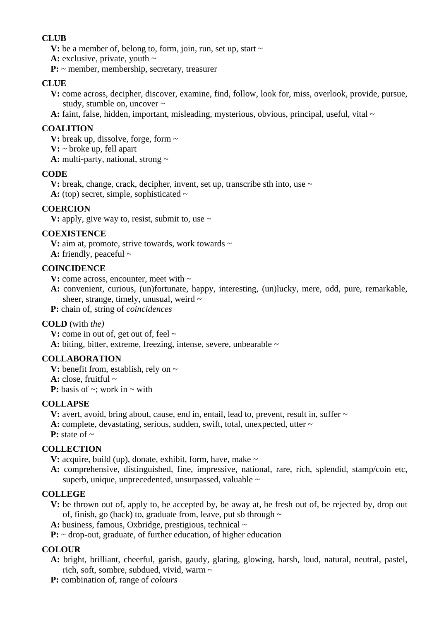# **CLUB**

**V:** be a member of, belong to, form, join, run, set up, start  $\sim$ 

A: exclusive, private, youth ~

 **P:** ~ member, membership, secretary, treasurer

# **CLUE**

 **V:** come across, decipher, discover, examine, find, follow, look for, miss, overlook, provide, pursue, study, stumble on, uncover ~

A: faint, false, hidden, important, misleading, mysterious, obvious, principal, useful, vital ~

# **COALITION**

**V:** break up, dissolve, forge, form  $\sim$ 

**V:** *~* broke up, fell apart

 **A:** multi-party, national, strong ~

# **CODE**

**V:** break, change, crack, decipher, invent, set up, transcribe sth into, use  $\sim$ 

**A:** (top) secret, simple, sophisticated  $\sim$ 

# **COERCION**

**V:** apply, give way to, resist, submit to, use  $\sim$ 

# **COEXISTENCE**

V: aim at, promote, strive towards, work towards ~

A: friendly, peaceful ~

# **COINCIDENCE**

**V:** come across, encounter, meet with  $\sim$ 

 **A:** convenient, curious, (un)fortunate, happy, interesting, (un)lucky, mere, odd, pure, remarkable, sheer, strange, timely, unusual, weird  $\sim$ 

 **P:** chain of, string of *coincidences* 

## **COLD** (with *the)*

**V:** come in out of, get out of, feel  $\sim$ 

A: biting, bitter, extreme, freezing, intense, severe, unbearable ~

# **COLLABORATION**

**V:** benefit from, establish, rely on  $\sim$ **A:** close, fruitful  $\sim$ **P:** basis of  $\sim$ ; work in  $\sim$  with

## **COLLAPSE**

**V:** avert, avoid, bring about, cause, end in, entail, lead to, prevent, result in, suffer  $\sim$ 

**A:** complete, devastating, serious, sudden, swift, total, unexpected, utter  $\sim$ 

**P:** state of  $\sim$ 

# **COLLECTION**

**V:** acquire, build (up), donate, exhibit, form, have, make  $\sim$ 

 **A:** comprehensive, distinguished, fine, impressive, national, rare, rich, splendid, stamp/coin etc, superb, unique, unprecedented, unsurpassed, valuable  $\sim$ 

# **COLLEGE**

**V:** be thrown out of, apply to, be accepted by, be away at, be fresh out of, be rejected by, drop out of, finish, go (back) to, graduate from, leave, put sb through  $\sim$ 

A: business, famous, Oxbridge, prestigious, technical ~

**P:**  $\sim$  drop-out, graduate, of further education, of higher education

# **COLOUR**

 **A:** bright, brilliant, cheerful, garish, gaudy, glaring, glowing, harsh, loud, natural, neutral, pastel, rich, soft, sombre, subdued, vivid, warm ~

 **P:** combination of, range of *colours*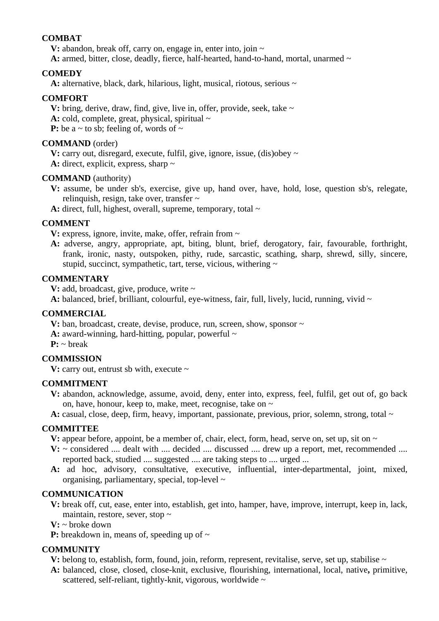## **COMBAT**

**V:** abandon, break off, carry on, engage in, enter into, join  $\sim$  **A:** armed, bitter, close, deadly, fierce, half-hearted, hand-to-hand, mortal, unarmed ~

## **COMEDY**

A: alternative, black, dark, hilarious, light, musical, riotous, serious ~

# **COMFORT**

**V:** bring, derive, draw, find, give, live in, offer, provide, seek, take  $\sim$ A: cold, complete, great, physical, spiritual  $\sim$ **P:** be a  $\sim$  to sb; feeling of, words of  $\sim$ 

# **COMMAND** (order)

**V:** carry out, disregard, execute, fulfil, give, ignore, issue, (dis)obey  $\sim$ A: direct, explicit, express, sharp  $\sim$ 

## **COMMAND** (authority)

 **V:** assume, be under sb's, exercise, give up, hand over, have, hold, lose, question sb's, relegate, relinquish, resign, take over, transfer  $\sim$ 

A: direct, full, highest, overall, supreme, temporary, total  $\sim$ 

## **COMMENT**

**V:** express, ignore, invite, make, offer, refrain from  $\sim$ 

 **A:** adverse, angry, appropriate, apt, biting, blunt, brief, derogatory, fair, favourable, forthright, frank, ironic, nasty, outspoken, pithy, rude, sarcastic, scathing, sharp, shrewd, silly, sincere, stupid, succinct, sympathetic, tart, terse, vicious, withering  $\sim$ 

## **COMMENTARY**

**V:** add, broadcast, give, produce, write  $\sim$ 

 **A:** balanced, brief, brilliant, colourful, eye-witness, fair, full, lively, lucid, running, vivid ~

## **COMMERCIAL**

- **V:** ban, broadcast, create, devise, produce, run, screen, show, sponsor  $\sim$
- A: award-winning, hard-hitting, popular, powerful ~
- $P: ~ \neg$  break

## **COMMISSION**

**V:** carry out, entrust sb with, execute  $\sim$ 

## **COMMITMENT**

 **V:** abandon, acknowledge, assume, avoid, deny, enter into, express, feel, fulfil, get out of, go back on, have, honour, keep to, make, meet, recognise, take on ~

A: casual, close, deep, firm, heavy, important, passionate, previous, prior, solemn, strong, total ~

## **COMMITTEE**

**V:** appear before, appoint, be a member of, chair, elect, form, head, serve on, set up, sit on  $\sim$ 

- $V: \sim$  considered .... dealt with .... decided .... discussed .... drew up a report, met, recommended .... reported back, studied .... suggested .... are taking steps to .... urged ...
- **A:** ad hoc, advisory, consultative, executive, influential, inter-departmental, joint, mixed, organising, parliamentary, special, top-level ~

## **COMMUNICATION**

- **V:** break off, cut, ease, enter into, establish, get into, hamper, have, improve, interrupt, keep in, lack, maintain, restore, sever, stop  $\sim$
- **V:** ~ broke down
- **P:** breakdown in, means of, speeding up of  $\sim$

## **COMMUNITY**

- **V:** belong to, establish, form, found, join, reform, represent, revitalise, serve, set up, stabilise ~
- **A:** balanced, close, closed, close-knit, exclusive, flourishing, international, local, native**,** primitive, scattered, self-reliant, tightly-knit, vigorous, worldwide ~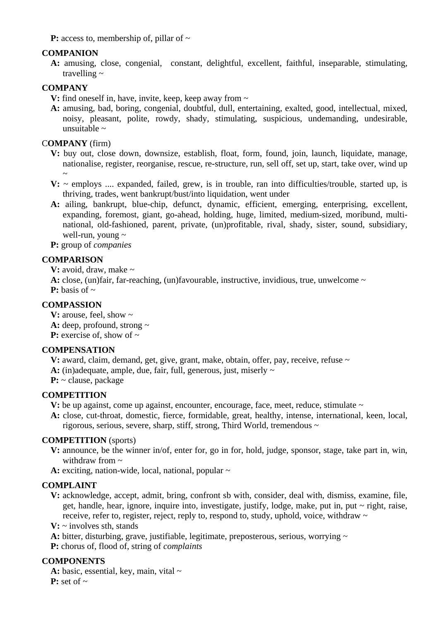**P:** access to, membership of, pillar of  $\sim$ 

# **COMPANION**

 **A:** amusing, close, congenial, constant, delightful, excellent, faithful, inseparable, stimulating, travelling  $\sim$ 

# **COMPANY**

**V:** find oneself in, have, invite, keep, keep away from  $\sim$ 

 **A:** amusing, bad, boring, congenial, doubtful, dull, entertaining, exalted, good, intellectual, mixed, noisy, pleasant, polite, rowdy, shady, stimulating, suspicious, undemanding, undesirable, unsuitable  $\sim$ 

# C**OMPANY** (firm)

- **V:** buy out, close down, downsize, establish, float, form, found, join, launch, liquidate, manage, nationalise, register, reorganise, rescue, re-structure, run, sell off, set up, start, take over, wind up  $\sim$
- **V:** ~ employs .... expanded, failed, grew, is in trouble, ran into difficulties/trouble, started up, is thriving, trades, went bankrupt/bust/into liquidation, went under
- **A:** ailing, bankrupt, blue-chip, defunct, dynamic, efficient, emerging, enterprising, excellent, expanding, foremost, giant, go-ahead, holding, huge, limited, medium-sized, moribund, multinational, old-fashioned, parent, private, (un)profitable, rival, shady, sister, sound, subsidiary, well-run, young  $\sim$

 **P:** group of *companies* 

# **COMPARISON**

V: avoid, draw, make ~

A: close, (un)fair, far-reaching, (un)favourable, instructive, invidious, true, unwelcome ~ **P:** basis of  $\sim$ 

# **COMPASSION**

**V:** arouse, feel, show  $\sim$ A: deep, profound, strong ~

**P:** exercise of, show of  $\sim$ 

## **COMPENSATION**

**V:** award, claim, demand, get, give, grant, make, obtain, offer, pay, receive, refuse ~

**A:** (in)adequate, ample, due, fair, full, generous, just, miserly  $\sim$ 

 **P:** ~ clause, package

## **COMPETITION**

**V:** be up against, come up against, encounter, encourage, face, meet, reduce, stimulate ~

 **A:** close, cut-throat, domestic, fierce, formidable, great, healthy, intense, international, keen, local, rigorous, serious, severe, sharp, stiff, strong, Third World, tremendous ~

## **COMPETITION** (sports)

 **V:** announce, be the winner in/of, enter for, go in for, hold, judge, sponsor, stage, take part in, win, withdraw from  $\sim$ 

A: exciting, nation-wide, local, national, popular  $\sim$ 

# **COMPLAINT**

 **V:** acknowledge, accept, admit, bring, confront sb with, consider, deal with, dismiss, examine, file, get, handle, hear, ignore, inquire into, investigate, justify, lodge, make, put in, put ~ right, raise, receive, refer to, register, reject, reply to, respond to, study, uphold, voice, withdraw  $\sim$ 

**V:**  $\sim$  involves sth, stands

A: bitter, disturbing, grave, justifiable, legitimate, preposterous, serious, worrying ~

 **P:** chorus of, flood of, string of *complaints* 

## **COMPONENTS**

A: basic, essential, key, main, vital  $\sim$ **P:** set of  $\sim$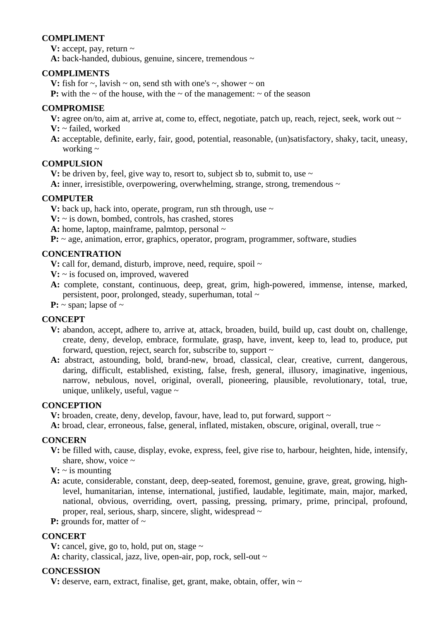### **COMPLIMENT**

**V:** accept, pay, return  $\sim$ A: back-handed, dubious, genuine, sincere, tremendous ~

#### **COMPLIMENTS**

**V:** fish for  $\sim$ , lavish  $\sim$  on, send sth with one's  $\sim$ , shower  $\sim$  on

**P:** with the  $\sim$  of the house, with the  $\sim$  of the management:  $\sim$  of the season

### **COMPROMISE**

**V:** agree on/to, aim at, arrive at, come to, effect, negotiate, patch up, reach, reject, seek, work out ~  **V:** ~ failed, worked

 **A:** acceptable, definite, early, fair, good, potential, reasonable, (un)satisfactory, shaky, tacit, uneasy, working  $\sim$ 

### **COMPULSION**

**V:** be driven by, feel, give way to, resort to, subject sb to, submit to, use  $\sim$ 

**A:** inner, irresistible, overpowering, overwhelming, strange, strong, tremendous  $\sim$ 

### **COMPUTER**

**V:** back up, hack into, operate, program, run sth through, use  $\sim$ 

 **V:** ~ is down, bombed, controls, has crashed, stores

A: home, laptop, mainframe, palmtop, personal  $\sim$ 

 **P:** ~ age, animation, error, graphics, operator, program, programmer, software, studies

### **CONCENTRATION**

**V:** call for, demand, disturb, improve, need, require, spoil  $\sim$ 

**V:**  $\sim$  is focused on, improved, wavered

- **A:** complete, constant, continuous, deep, great, grim, high-powered, immense, intense, marked, persistent, poor, prolonged, steady, superhuman, total  $\sim$
- **P:**  $\sim$  span; lapse of  $\sim$

### **CONCEPT**

- **V:** abandon, accept, adhere to, arrive at, attack, broaden, build, build up, cast doubt on, challenge, create, deny, develop, embrace, formulate, grasp, have, invent, keep to, lead to, produce, put forward, question, reject, search for, subscribe to, support  $\sim$
- **A:** abstract, astounding, bold, brand-new, broad, classical, clear, creative, current, dangerous, daring, difficult, established, existing, false, fresh, general, illusory, imaginative, ingenious, narrow, nebulous, novel, original, overall, pioneering, plausible, revolutionary, total, true, unique, unlikely, useful, vague ~

#### **CONCEPTION**

**V:** broaden, create, deny, develop, favour, have, lead to, put forward, support  $\sim$ 

 **A:** broad, clear, erroneous, false, general, inflated, mistaken, obscure, original, overall, true ~

#### **CONCERN**

 **V:** be filled with, cause, display, evoke, express, feel, give rise to, harbour, heighten, hide, intensify, share, show, voice  $\sim$ 

 $V: \sim$  is mounting

 **A:** acute, considerable, constant, deep, deep-seated, foremost, genuine, grave, great, growing, highlevel, humanitarian, intense, international, justified, laudable, legitimate, main, major, marked, national, obvious, overriding, overt, passing, pressing, primary, prime, principal, profound, proper, real, serious, sharp, sincere, slight, widespread ~

**P:** grounds for, matter of  $\sim$ 

## **CONCERT**

**V:** cancel, give, go to, hold, put on, stage  $\sim$ 

 **A:** charity, classical, jazz, live, open-air, pop, rock, sell-out ~

#### **CONCESSION**

**V:** deserve, earn, extract, finalise, get, grant, make, obtain, offer, win  $\sim$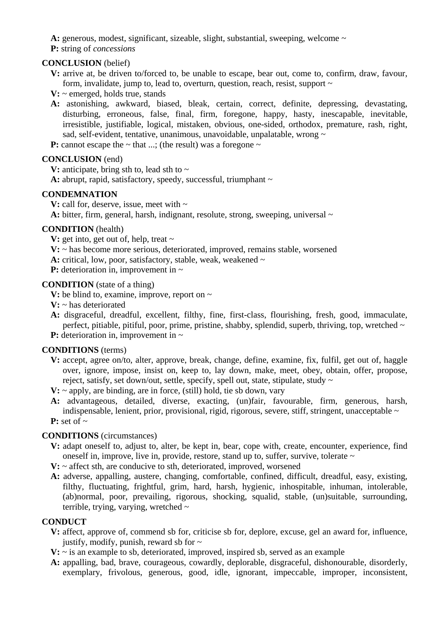A: generous, modest, significant, sizeable, slight, substantial, sweeping, welcome  $\sim$  **P:** string of *concessions*

#### **CONCLUSION** (belief)

- **V:** arrive at, be driven to/forced to, be unable to escape, bear out, come to, confirm, draw, favour, form, invalidate, jump to, lead to, overturn, question, reach, resist, support  $\sim$
- **V:**  $\sim$  emerged, holds true, stands
- **A:** astonishing, awkward, biased, bleak, certain, correct, definite, depressing, devastating, disturbing, erroneous, false, final, firm, foregone, happy, hasty, inescapable, inevitable, irresistible, justifiable, logical, mistaken, obvious, one-sided, orthodox, premature, rash, right, sad, self-evident, tentative, unanimous, unavoidable, unpalatable, wrong  $\sim$

**P:** cannot escape the  $\sim$  that ...; (the result) was a foregone  $\sim$ 

### **CONCLUSION** (end)

**V:** anticipate, bring sth to, lead sth to  $\sim$ 

A: abrupt, rapid, satisfactory, speedy, successful, triumphant  $\sim$ 

#### **CONDEMNATION**

**V:** call for, deserve, issue, meet with  $\sim$ 

A: bitter, firm, general, harsh, indignant, resolute, strong, sweeping, universal  $\sim$ 

#### **CONDITION** (health)

**V:** get into, get out of, help, treat  $\sim$ 

**V:**  $\sim$  has become more serious, deteriorated, improved, remains stable, worsened

A: critical, low, poor, satisfactory, stable, weak, weakened  $\sim$ 

**P:** deterioration in, improvement in  $\sim$ 

### **CONDITION** (state of a thing)

**V:** be blind to, examine, improve, report on  $\sim$ 

 **V:** ~ has deteriorated

- **A:** disgraceful, dreadful, excellent, filthy, fine, first-class, flourishing, fresh, good, immaculate, perfect, pitiable, pitiful, poor, prime, pristine, shabby, splendid, superb, thriving, top, wretched ~
- **P:** deterioration in, improvement in  $\sim$

#### **CONDITIONS** (terms)

- **V:** accept, agree on/to, alter, approve, break, change, define, examine, fix, fulfil, get out of, haggle over, ignore, impose, insist on, keep to, lay down, make, meet, obey, obtain, offer, propose, reject, satisfy, set down/out, settle, specify, spell out, state, stipulate, study ~
- **V:**  $\sim$  apply, are binding, are in force, (still) hold, tie sb down, vary
- **A:** advantageous, detailed, diverse, exacting, (un)fair, favourable, firm, generous, harsh, indispensable, lenient, prior, provisional, rigid, rigorous, severe, stiff, stringent, unacceptable  $\sim$ **P:** set of  $\sim$

### **CONDITIONS** (circumstances)

- **V:** adapt oneself to, adjust to, alter, be kept in, bear, cope with, create, encounter, experience, find oneself in, improve, live in, provide, restore, stand up to, suffer, survive, tolerate  $\sim$
- **V:** ~ affect sth, are conducive to sth, deteriorated, improved, worsened
- **A:** adverse, appalling, austere, changing, comfortable, confined, difficult, dreadful, easy, existing, filthy, fluctuating, frightful, grim, hard, harsh, hygienic, inhospitable, inhuman, intolerable, (ab)normal, poor, prevailing, rigorous, shocking, squalid, stable, (un)suitable, surrounding, terrible, trying, varying, wretched  $\sim$

#### **CONDUCT**

- **V:** affect, approve of, commend sb for, criticise sb for, deplore, excuse, gel an award for, influence, justify, modify, punish, reward sb for  $\sim$
- **V:** ~ is an example to sb, deteriorated, improved, inspired sb, served as an example
- **A:** appalling, bad, brave, courageous, cowardly, deplorable, disgraceful, dishonourable, disorderly, exemplary, frivolous, generous, good, idle, ignorant, impeccable, improper, inconsistent,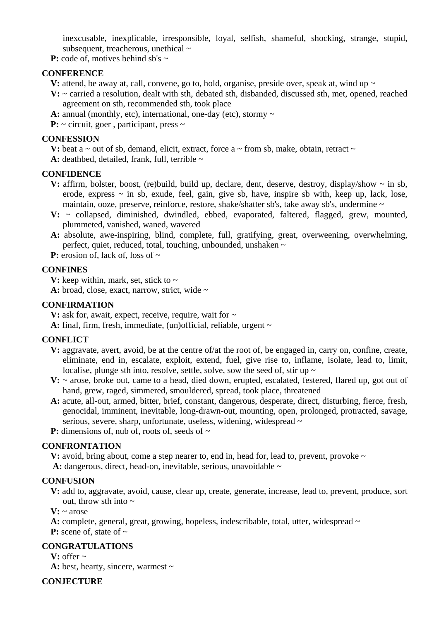inexcusable, inexplicable, irresponsible, loyal, selfish, shameful, shocking, strange, stupid, subsequent, treacherous, unethical  $\sim$ 

**P:** code of, motives behind sb's  $\sim$ 

#### **CONFERENCE**

- **V:** attend, be away at, call, convene, go to, hold, organise, preside over, speak at, wind up  $\sim$
- **V:** ~ carried a resolution, dealt with sth, debated sth, disbanded, discussed sth, met, opened, reached agreement on sth, recommended sth, took place
- **A:** annual (monthly, etc), international, one-day (etc), stormy  $\sim$
- $P: \sim$  circuit, goer, participant, press  $\sim$

#### **CONFESSION**

**V:** beat a  $\sim$  out of sb, demand, elicit, extract, force a  $\sim$  from sb, make, obtain, retract  $\sim$ A: deathbed, detailed, frank, full, terrible ~

#### **CONFIDENCE**

- **V:** affirm, bolster, boost, (re)build, build up, declare, dent, deserve, destroy, display/show  $\sim$  in sb, erode, express  $\sim$  in sb, exude, feel, gain, give sb, have, inspire sb with, keep up, lack, lose, maintain, ooze, preserve, reinforce, restore, shake/shatter sb's, take away sb's, undermine  $\sim$
- **V:** ~ collapsed, diminished, dwindled, ebbed, evaporated, faltered, flagged, grew, mounted, plummeted, vanished, waned, wavered
- **A:** absolute, awe-inspiring, blind, complete, full, gratifying, great, overweening, overwhelming, perfect, quiet, reduced, total, touching, unbounded, unshaken ~

**P:** erosion of, lack of, loss of  $\sim$ 

#### **CONFINES**

**V:** keep within, mark, set, stick to  $\sim$ 

A: broad, close, exact, narrow, strict, wide ~

#### **CONFIRMATION**

**V:** ask for, await, expect, receive, require, wait for  $\sim$ 

 **A:** final, firm, fresh, immediate, (un)official, reliable, urgent ~

#### **CONFLICT**

- **V:** aggravate, avert, avoid, be at the centre of/at the root of, be engaged in, carry on, confine, create, eliminate, end in, escalate, exploit, extend, fuel, give rise to, inflame, isolate, lead to, limit, localise, plunge sth into, resolve, settle, solve, sow the seed of, stir up  $\sim$
- **V:** ~ arose, broke out, came to a head, died down, erupted, escalated, festered, flared up, got out of hand, grew, raged, simmered, smouldered, spread, took place, threatened
- **A:** acute, all-out, armed, bitter, brief, constant, dangerous, desperate, direct, disturbing, fierce, fresh, genocidal, imminent, inevitable, long-drawn-out, mounting, open, prolonged, protracted, savage, serious, severe, sharp, unfortunate, useless, widening, widespread ~
- **P:** dimensions of, nub of, roots of, seeds of  $\sim$

#### **CONFRONTATION**

**V:** avoid, bring about, come a step nearer to, end in, head for, lead to, prevent, provoke  $\sim$ 

**A:** dangerous, direct, head-on, inevitable, serious, unavoidable ~

#### **CONFUSION**

 **V:** add to, aggravate, avoid, cause, clear up, create, generate, increase, lead to, prevent, produce, sort out, throw sth into  $\sim$ 

 $V: \sim \text{arcse}$ 

 **A:** complete, general, great, growing, hopeless, indescribable, total, utter, widespread ~ **P:** scene of, state of  $\sim$ 

## **CONGRATULATIONS**

**V:** offer  $\sim$ 

A: best, hearty, sincere, warmest ~

#### **CONJECTURE**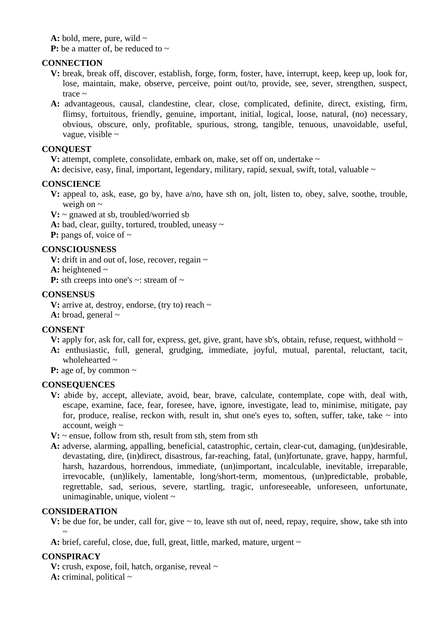A: bold, mere, pure, wild  $\sim$ 

**P:** be a matter of, be reduced to  $\sim$ 

### **CONNECTION**

- **V:** break, break off, discover, establish, forge, form, foster, have, interrupt, keep, keep up, look for, lose, maintain, make, observe, perceive, point out/to, provide, see, sever, strengthen, suspect, trace ~
- **A:** advantageous, causal, clandestine, clear, close, complicated, definite, direct, existing, firm, flimsy, fortuitous, friendly, genuine, important, initial, logical, loose, natural, (no) necessary, obvious, obscure, only, profitable, spurious, strong, tangible, tenuous, unavoidable, useful, vague, visible ~

### **CONQUEST**

**V:** attempt, complete, consolidate, embark on, make, set off on, undertake  $\sim$ 

A: decisive, easy, final, important, legendary, military, rapid, sexual, swift, total, valuable ~

### **CONSCIENCE**

**V:** appeal to, ask, ease, go by, have a/no, have sth on, jolt, listen to, obey, salve, soothe, trouble, weigh on  $\sim$ 

**V:** ~ gnawed at sb, troubled/worried sb

A: bad, clear, guilty, tortured, troubled, uneasy  $\sim$ 

**P:** pangs of, voice of  $\sim$ 

#### **CONSCIOUSNESS**

**V:** drift in and out of, lose, recover, regain  $\sim$ 

**A:** heightened  $\sim$ 

**P:** sth creeps into one's  $\sim$ : stream of  $\sim$ 

### **CONSENSUS**

**V:** arrive at, destroy, endorse, (try to) reach  $\sim$ 

A: broad, general  $\sim$ 

## **CONSENT**

V: apply for, ask for, call for, express, get, give, grant, have sb's, obtain, refuse, request, withhold ~

- **A:** enthusiastic, full, general, grudging, immediate, joyful, mutual, parental, reluctant, tacit, wholehearted  $\sim$
- **P:** age of, by common  $\sim$

#### **CONSEQUENCES**

 **V:** abide by, accept, alleviate, avoid, bear, brave, calculate, contemplate, cope with, deal with, escape, examine, face, fear, foresee, have, ignore, investigate, lead to, minimise, mitigate, pay for, produce, realise, reckon with, result in, shut one's eyes to, soften, suffer, take, take  $\sim$  into account, weigh ~

 **V:** ~ ensue, follow from sth, result from sth, stem from sth

 **A:** adverse, alarming, appalling, beneficial, catastrophic, certain, clear-cut, damaging, (un)desirable, devastating, dire, (in)direct, disastrous, far-reaching, fatal, (un)fortunate, grave, happy, harmful, harsh, hazardous, horrendous, immediate, (un)important, incalculable, inevitable, irreparable, irrevocable, (un)likely, lamentable, long/short-term, momentous, (un)predictable, probable, regrettable, sad, serious, severe, startling, tragic, unforeseeable, unforeseen, unfortunate, unimaginable, unique, violent ~

#### **CONSIDERATION**

**V:** be due for, be under, call for, give  $\sim$  to, leave sth out of, need, repay, require, show, take sth into  $\sim$ 

 **A:** brief, careful, close, due, full, great, little, marked, mature, urgent ~

## **CONSPIRACY**

**V:** crush, expose, foil, hatch, organise, reveal  $\sim$ A: criminal, political  $\sim$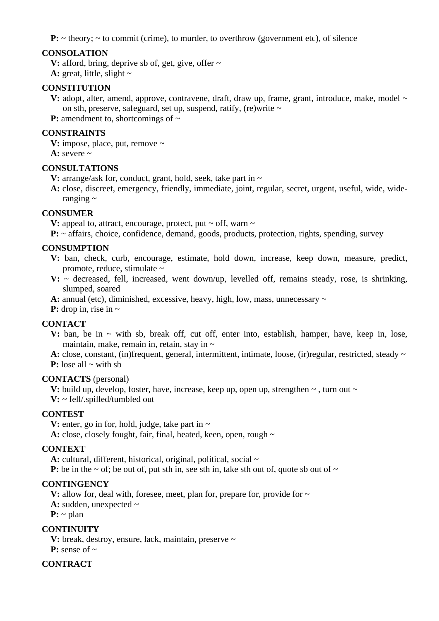**P:**  $\sim$  theory;  $\sim$  to commit (crime), to murder, to overthrow (government etc), of silence

## **CONSOLATION**

**V:** afford, bring, deprive sb of, get, give, offer  $\sim$ 

**A:** great, little, slight  $\sim$ 

## **CONSTITUTION**

**V:** adopt, alter, amend, approve, contravene, draft, draw up, frame, grant, introduce, make, model ~ on sth, preserve, safeguard, set up, suspend, ratify, (re)write  $\sim$ 

**P:** amendment to, shortcomings of  $\sim$ 

## **CONSTRAINTS**

**V:** impose, place, put, remove  $\sim$ A: severe  $\sim$ 

## **CONSULTATIONS**

**V:** arrange/ask for, conduct, grant, hold, seek, take part in  $\sim$ 

 **A:** close, discreet, emergency, friendly, immediate, joint, regular, secret, urgent, useful, wide, wideranging ~

## **CONSUMER**

**V:** appeal to, attract, encourage, protect, put  $\sim$  off, warn  $\sim$ 

**P:**  $\sim$  affairs, choice, confidence, demand, goods, products, protection, rights, spending, survey

## **CONSUMPTION**

- **V:** ban, check, curb, encourage, estimate, hold down, increase, keep down, measure, predict, promote, reduce, stimulate  $\sim$
- **V:** ~ decreased, fell, increased, went down/up, levelled off, remains steady, rose, is shrinking, slumped, soared

 **A:** annual (etc), diminished, excessive, heavy, high, low, mass, unnecessary ~

**P:** drop in, rise in  $\sim$ 

## **CONTACT**

**V:** ban, be in ~ with sb, break off, cut off, enter into, establish, hamper, have, keep in, lose, maintain, make, remain in, retain, stay in  $\sim$ 

 **A:** close, constant, (in)frequent, general, intermittent, intimate, loose, (ir)regular, restricted, steady ~ **P:**  $\log$  all  $\sim$  with sb

### **CONTACTS** (personal)

**V:** build up, develop, foster, have, increase, keep up, open up, strengthen  $\sim$ , turn out  $\sim$  **V:** ~ fell/.spilled/tumbled out

## **CONTEST**

**V:** enter, go in for, hold, judge, take part in  $\sim$ 

**A:** close, closely fought, fair, final, heated, keen, open, rough  $\sim$ 

### **CONTEXT**

A: cultural, different, historical, original, political, social  $\sim$ 

**P:** be in the  $\sim$  of; be out of, put sth in, see sth in, take sth out of, quote sb out of  $\sim$ 

## **CONTINGENCY**

**V:** allow for, deal with, foresee, meet, plan for, prepare for, provide for  $\sim$ 

A: sudden, unexpected  $\sim$ 

 $P: ~$  plan

## **CONTINUITY**

**V:** break, destroy, ensure, lack, maintain, preserve ~ **P:** sense of  $\sim$ 

# **CONTRACT**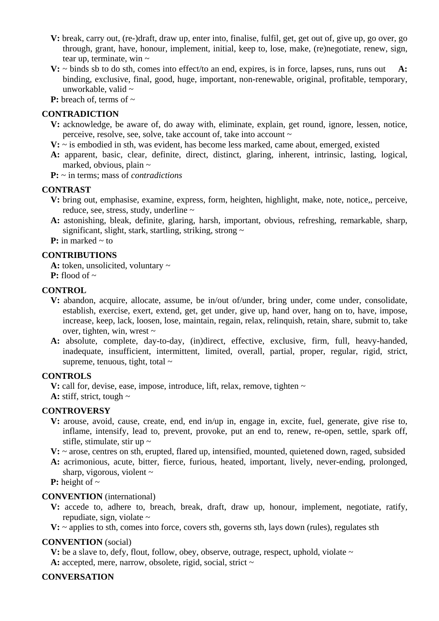- **V:** break, carry out, (re-)draft, draw up, enter into, finalise, fulfil, get, get out of, give up, go over, go through, grant, have, honour, implement, initial, keep to, lose, make, (re)negotiate, renew, sign, tear up, terminate, win  $\sim$
- **V:** ~ binds sb to do sth, comes into effect/to an end, expires, is in force, lapses, runs, runs out **A:**  binding, exclusive, final, good, huge, important, non-renewable, original, profitable, temporary, unworkable, valid ~
- **P:** breach of, terms of  $\sim$

## **CONTRADICTION**

- **V:** acknowledge, be aware of, do away with, eliminate, explain, get round, ignore, lessen, notice, perceive, resolve, see, solve, take account of, take into account  $\sim$
- **V:** ~ is embodied in sth, was evident, has become less marked, came about, emerged, existed
- **A:** apparent, basic, clear, definite, direct, distinct, glaring, inherent, intrinsic, lasting, logical, marked, obvious, plain ~
- **P:** ~ in terms; mass of *contradictions*

## **CONTRAST**

- **V:** bring out, emphasise, examine, express, form, heighten, highlight, make, note, notice,, perceive, reduce, see, stress, study, underline ~
- **A:** astonishing, bleak, definite, glaring, harsh, important, obvious, refreshing, remarkable, sharp, significant, slight, stark, startling, striking, strong  $\sim$

**P:** in marked  $\sim$  to

## **CONTRIBUTIONS**

A: token, unsolicited, voluntary  $\sim$ 

**P:** flood of  $\sim$ 

## **CONTROL**

- **V:** abandon, acquire, allocate, assume, be in/out of/under, bring under, come under, consolidate, establish, exercise, exert, extend, get, get under, give up, hand over, hang on to, have, impose, increase, keep, lack, loosen, lose, maintain, regain, relax, relinquish, retain, share, submit to, take over, tighten, win, wrest ~
- **A:** absolute, complete, day-to-day, (in)direct, effective, exclusive, firm, full, heavy-handed, inadequate, insufficient, intermittent, limited, overall, partial, proper, regular, rigid, strict, supreme, tenuous, tight, total  $\sim$

## **CONTROLS**

**V:** call for, devise, ease, impose, introduce, lift, relax, remove, tighten  $\sim$ 

 **A:** stiff, strict, tough ~

### **CONTROVERSY**

- **V:** arouse, avoid, cause, create, end, end in/up in, engage in, excite, fuel, generate, give rise to, inflame, intensify, lead to, prevent, provoke, put an end to, renew, re-open, settle, spark off, stifle, stimulate, stir up  $\sim$
- **V:** ~ arose, centres on sth, erupted, flared up, intensified, mounted, quietened down, raged, subsided
- **A:** acrimonious, acute, bitter, fierce, furious, heated, important, lively, never-ending, prolonged, sharp, vigorous, violent  $\sim$
- **P:** height of  $\sim$

## **CONVENTION** (international)

- **V:** accede to, adhere to, breach, break, draft, draw up, honour, implement, negotiate, ratify, repudiate, sign, violate  $\sim$
- **V:**  $\sim$  applies to sth, comes into force, covers sth, governs sth, lays down (rules), regulates sth

### **CONVENTION** (social)

**V:** be a slave to, defy, flout, follow, obey, observe, outrage, respect, uphold, violate  $\sim$ A: accepted, mere, narrow, obsolete, rigid, social, strict ~

### **CONVERSATION**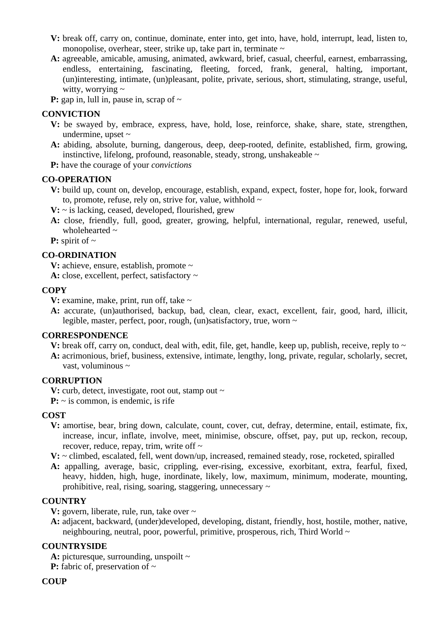- **V:** break off, carry on, continue, dominate, enter into, get into, have, hold, interrupt, lead, listen to, monopolise, overhear, steer, strike up, take part in, terminate  $\sim$
- **A:** agreeable, amicable, amusing, animated, awkward, brief, casual, cheerful, earnest, embarrassing, endless, entertaining, fascinating, fleeting, forced, frank, general, halting, important, (un)interesting, intimate, (un)pleasant, polite, private, serious, short, stimulating, strange, useful, witty, worrying  $\sim$
- **P:** gap in, lull in, pause in, scrap of  $\sim$

### **CONVICTION**

- **V:** be swayed by, embrace, express, have, hold, lose, reinforce, shake, share, state, strengthen, undermine, upset  $\sim$
- **A:** abiding, absolute, burning, dangerous, deep, deep-rooted, definite, established, firm, growing, instinctive, lifelong, profound, reasonable, steady, strong, unshakeable  $\sim$
- **P:** have the courage of your *convictions*

#### **CO-OPERATION**

- **V:** build up, count on, develop, encourage, establish, expand, expect, foster, hope for, look, forward to, promote, refuse, rely on, strive for, value, withhold  $\sim$
- **V:** ~ is lacking, ceased, developed, flourished, grew
- **A:** close, friendly, full, good, greater, growing, helpful, international, regular, renewed, useful, wholehearted  $\sim$

**P:** spirit of  $\sim$ 

## **CO-ORDINATION**

**V:** achieve, ensure, establish, promote ~

A: close, excellent, perfect, satisfactory  $\sim$ 

### **COPY**

**V:** examine, make, print, run off, take  $\sim$ 

 **A:** accurate, (un)authorised, backup, bad, clean, clear, exact, excellent, fair, good, hard, illicit, legible, master, perfect, poor, rough, (un)satisfactory, true, worn ~

#### **CORRESPONDENCE**

- **V:** break off, carry on, conduct, deal with, edit, file, get, handle, keep up, publish, receive, reply to  $\sim$
- **A:** acrimonious, brief, business, extensive, intimate, lengthy, long, private, regular, scholarly, secret, vast, voluminous ~

#### **CORRUPTION**

**V:** curb, detect, investigate, root out, stamp out ~

 $P: \sim$  is common, is endemic, is rife

#### **COST**

- **V:** amortise, bear, bring down, calculate, count, cover, cut, defray, determine, entail, estimate, fix, increase, incur, inflate, involve, meet, minimise, obscure, offset, pay, put up, reckon, recoup, recover, reduce, repay, trim, write off  $\sim$
- **V:** ~ climbed, escalated, fell, went down/up, increased, remained steady, rose, rocketed, spiralled
- **A:** appalling, average, basic, crippling, ever-rising, excessive, exorbitant, extra, fearful, fixed, heavy, hidden, high, huge, inordinate, likely, low, maximum, minimum, moderate, mounting, prohibitive, real, rising, soaring, staggering, unnecessary  $\sim$

### **COUNTRY**

- **V:** govern, liberate, rule, run, take over  $\sim$
- **A:** adjacent, backward, (under)developed, developing, distant, friendly, host, hostile, mother, native, neighbouring, neutral, poor, powerful, primitive, prosperous, rich, Third World ~

### **COUNTRYSIDE**

A: picturesque, surrounding, unspoilt  $\sim$ **P:** fabric of, preservation of  $\sim$ 

### **COUP**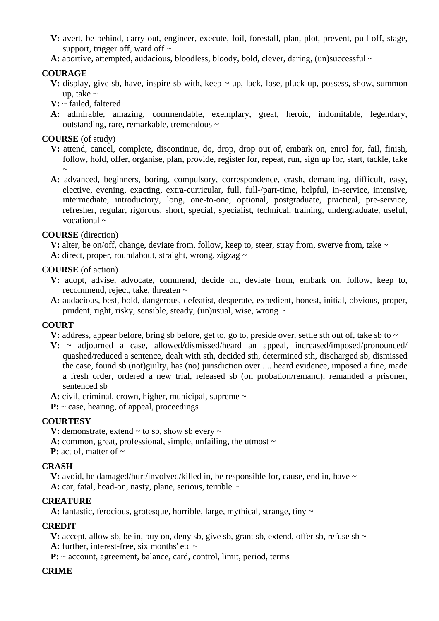- **V:** avert, be behind, carry out, engineer, execute, foil, forestall, plan, plot, prevent, pull off, stage, support, trigger off, ward off  $\sim$
- A: abortive, attempted, audacious, bloodless, bloody, bold, clever, daring, (un)successful ~

## **COURAGE**

- **V:** display, give sb, have, inspire sb with, keep  $\sim$  up, lack, lose, pluck up, possess, show, summon up, take ~
- **V:** ~ failed, faltered
- **A:** admirable, amazing, commendable, exemplary, great, heroic, indomitable, legendary, outstanding, rare, remarkable, tremendous ~

### **COURSE** (of study)

- **V:** attend, cancel, complete, discontinue, do, drop, drop out of, embark on, enrol for, fail, finish, follow, hold, offer, organise, plan, provide, register for, repeat, run, sign up for, start, tackle, take  $\sim$
- **A:** advanced, beginners, boring, compulsory, correspondence, crash, demanding, difficult, easy, elective, evening, exacting, extra-curricular, full, full-/part-time, helpful, in-service, intensive, intermediate, introductory, long, one-to-one, optional, postgraduate, practical, pre-service, refresher, regular, rigorous, short, special, specialist, technical, training, undergraduate, useful, vocational ~

## **COURSE** (direction)

**V:** alter, be on/off, change, deviate from, follow, keep to, steer, stray from, swerve from, take  $\sim$  **A:** direct, proper, roundabout, straight, wrong, zigzag ~

### **COURSE** (of action)

- **V:** adopt, advise, advocate, commend, decide on, deviate from, embark on, follow, keep to, recommend, reject, take, threaten ~
- **A:** audacious, best, bold, dangerous, defeatist, desperate, expedient, honest, initial, obvious, proper, prudent, right, risky, sensible, steady, (un)usual, wise, wrong  $\sim$

### **COURT**

- **V:** address, appear before, bring sb before, get to, go to, preside over, settle sth out of, take sb to  $\sim$
- **V:** ~ adjourned a case, allowed/dismissed/heard an appeal, increased/imposed/pronounced/ quashed/reduced a sentence, dealt with sth, decided sth, determined sth, discharged sb, dismissed the case, found sb (not)guilty, has (no) jurisdiction over .... heard evidence, imposed a fine, made a fresh order, ordered a new trial, released sb (on probation/remand), remanded a prisoner, sentenced sb

A: civil, criminal, crown, higher, municipal, supreme ~

**P:**  $\sim$  case, hearing, of appeal, proceedings

## **COURTESY**

**V:** demonstrate, extend  $\sim$  to sb, show sb every  $\sim$ 

A: common, great, professional, simple, unfailing, the utmost  $\sim$ 

**P:** act of, matter of  $\sim$ 

### **CRASH**

**V:** avoid, be damaged/hurt/involved/killed in, be responsible for, cause, end in, have  $\sim$ A: car, fatal, head-on, nasty, plane, serious, terrible ~

### **CREATURE**

 **A:** fantastic, ferocious, grotesque, horrible, large, mythical, strange, tiny ~

### **CREDIT**

**V:** accept, allow sb, be in, buy on, deny sb, give sb, grant sb, extend, offer sb, refuse sb  $\sim$ **A:** further, interest-free, six months' etc  $\sim$ 

 **P:** ~ account, agreement, balance, card, control, limit, period, terms

### **CRIME**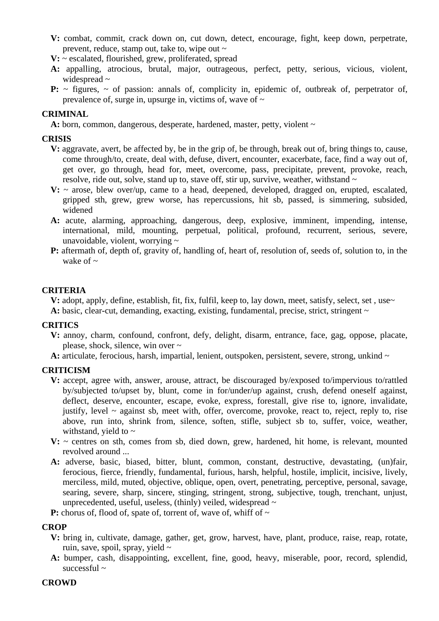- **V:** combat, commit, crack down on, cut down, detect, encourage, fight, keep down, perpetrate, prevent, reduce, stamp out, take to, wipe out ~
- **V:** ~ escalated, flourished, grew, proliferated, spread
- **A:** appalling, atrocious, brutal, major, outrageous, perfect, petty, serious, vicious, violent, widespread  $\sim$
- **P:**  $\sim$  figures,  $\sim$  of passion: annals of, complicity in, epidemic of, outbreak of, perpetrator of, prevalence of, surge in, upsurge in, victims of, wave of  $\sim$

### **CRIMINAL**

 **A:** born, common, dangerous, desperate, hardened, master, petty, violent ~

### **CRISIS**

- **V:** aggravate, avert, be affected by, be in the grip of, be through, break out of, bring things to, cause, come through/to, create, deal with, defuse, divert, encounter, exacerbate, face, find a way out of, get over, go through, head for, meet, overcome, pass, precipitate, prevent, provoke, reach, resolve, ride out, solve, stand up to, stave off, stir up, survive, weather, with stand  $\sim$
- **V:** ~ arose, blew over/up, came to a head, deepened, developed, dragged on, erupted, escalated, gripped sth, grew, grew worse, has repercussions, hit sb, passed, is simmering, subsided, widened
- **A:** acute, alarming, approaching, dangerous, deep, explosive, imminent, impending, intense, international, mild, mounting, perpetual, political, profound, recurrent, serious, severe, unavoidable, violent, worrying ~
- **P:** aftermath of, depth of, gravity of, handling of, heart of, resolution of, seeds of, solution to, in the wake of  $\sim$

### **CRITERIA**

**V:** adopt, apply, define, establish, fit, fix, fulfil, keep to, lay down, meet, satisfy, select, set, use~ A: basic, clear-cut, demanding, exacting, existing, fundamental, precise, strict, stringent ~

### **CRITICS**

- **V:** annoy, charm, confound, confront, defy, delight, disarm, entrance, face, gag, oppose, placate, please, shock, silence, win over  $\sim$
- A: articulate, ferocious, harsh, impartial, lenient, outspoken, persistent, severe, strong, unkind ~

### **CRITICISM**

- **V:** accept, agree with, answer, arouse, attract, be discouraged by/exposed to/impervious to/rattled by/subjected to/upset by, blunt, come in for/under/up against, crush, defend oneself against, deflect, deserve, encounter, escape, evoke, express, forestall, give rise to, ignore, invalidate, justify, level  $\sim$  against sb, meet with, offer, overcome, provoke, react to, reject, reply to, rise above, run into, shrink from, silence, soften, stifle, subject sb to, suffer, voice, weather, withstand, yield to  $\sim$
- **V:** ~ centres on sth, comes from sb, died down, grew, hardened, hit home, is relevant, mounted revolved around ...
- **A:** adverse, basic, biased, bitter, blunt, common, constant, destructive, devastating, (un)fair, ferocious, fierce, friendly, fundamental, furious, harsh, helpful, hostile, implicit, incisive, lively, merciless, mild, muted, objective, oblique, open, overt, penetrating, perceptive, personal, savage, searing, severe, sharp, sincere, stinging, stringent, strong, subjective, tough, trenchant, unjust, unprecedented, useful, useless, (thinly) veiled, widespread  $\sim$

**P:** chorus of, flood of, spate of, torrent of, wave of, whiff of  $\sim$ 

### **CROP**

- **V:** bring in, cultivate, damage, gather, get, grow, harvest, have, plant, produce, raise, reap, rotate, ruin, save, spoil, spray, yield ~
- **A:** bumper, cash, disappointing, excellent, fine, good, heavy, miserable, poor, record, splendid, successful ~

#### **CROWD**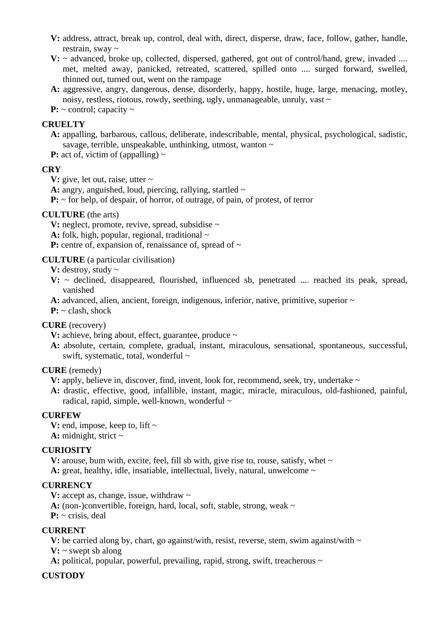- **V:** address, attract, break up, control, deal with, direct, disperse, draw, face, follow, gather, handle, restrain, sway ~
- **V:**  $\sim$  advanced, broke up, collected, dispersed, gathered, got out of control/hand, grew, invaded .... met, melted away, panicked, retreated, scattered, spilled onto .... surged forward, swelled, thinned out, turned out, went on the rampage
- **A:** aggressive, angry, dangerous, dense, disorderly, happy, hostile, huge, large, menacing, motley, noisy, restless, riotous, rowdy, seething, ugly, unmanageable, unruly, vast ~
- $P: \sim$  control: capacity  $\sim$

#### **CRUELTY**

- **A:** appalling, barbarous, callous, deliberate, indescribable, mental, physical, psychological, sadistic, savage, terrible, unspeakable, unthinking, utmost, wanton  $\sim$
- **P:** act of, victim of (appalling)  $\sim$

#### **CRY**

**V:** give, let out, raise, utter  $\sim$ 

A: angry, anguished, loud, piercing, rallying, startled ~

**P:**  $\sim$  for help, of despair, of horror, of outrage, of pain, of protest, of terror

#### **CULTURE** (the arts)

**V:** neglect, promote, revive, spread, subsidise ~

A: folk, high, popular, regional, traditional  $\sim$ 

**P:** centre of, expansion of, renaissance of, spread of  $\sim$ 

**CULTURE** (a particular civilisation)

**V:** destroy, study  $\sim$ 

- **V:** ~ declined, disappeared, flourished, influenced sb, penetrated .... reached its peak, spread, vanished
- A: advanced, alien, ancient, foreign, indigenous, inferior, native, primitive, superior ~

 $P: ~$  clash, shock

#### **CURE** (recovery)

**V:** achieve, bring about, effect, guarantee, produce  $\sim$ 

 **A:** absolute, certain, complete, gradual, instant, miraculous, sensational, spontaneous, successful, swift, systematic, total, wonderful ~

#### **CURE** (remedy)

- **V:** apply, believe in, discover, find, invent, look for, recommend, seek, try, undertake  $\sim$
- **A:** drastic, effective, good, infallible, instant, magic, miracle, miraculous, old-fashioned, painful, radical, rapid, simple, well-known, wonderful  $\sim$

### **CURFEW**

**V:** end, impose, keep to, lift  $\sim$ **A:** midnight, strict  $\sim$ 

#### **CURIOSITY**

**V:** arouse, bum with, excite, feel, fill sb with, give rise to, rouse, satisfy, whet ~ **A:** great, healthy, idle, insatiable, intellectual, lively, natural, unwelcome  $\sim$ 

#### **CURRENCY**

**V:** accept as, change, issue, withdraw  $\sim$ 

 **A:** (non-)convertible, foreign, hard, local, soft, stable, strong, weak ~

 $P: \sim$  crisis, deal

#### **CURRENT**

**V:** be carried along by, chart, go against/with, resist, reverse, stem, swim against/with  $\sim$ 

 $V: \sim$  swept sb along

 **A:** political, popular, powerful, prevailing, rapid, strong, swift, treacherous ~

#### **CUSTODY**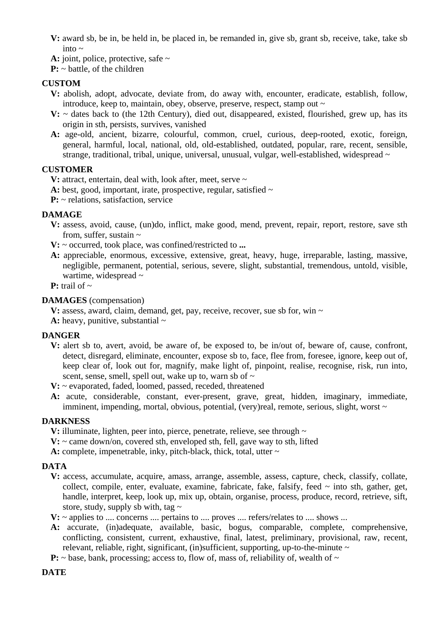**V:** award sb, be in, be held in, be placed in, be remanded in, give sb, grant sb, receive, take, take sb into  $\sim$ 

A: joint, police, protective, safe ~

**P:**  $\sim$  battle, of the children

## **CUSTOM**

- **V:** abolish, adopt, advocate, deviate from, do away with, encounter, eradicate, establish, follow, introduce, keep to, maintain, obey, observe, preserve, respect, stamp out ~
- **V:** ~ dates back to (the 12th Century), died out, disappeared, existed, flourished, grew up, has its origin in sth, persists, survives, vanished
- **A:** age-old, ancient, bizarre, colourful, common, cruel, curious, deep-rooted, exotic, foreign, general, harmful, local, national, old, old-established, outdated, popular, rare, recent, sensible, strange, traditional, tribal, unique, universal, unusual, vulgar, well-established, widespread ~

### **CUSTOMER**

**V:** attract, entertain, deal with, look after, meet, serve ~

A: best, good, important, irate, prospective, regular, satisfied  $\sim$ 

**P:** ~ relations, satisfaction, service

## **DAMAGE**

- **V:** assess, avoid, cause, (un)do, inflict, make good, mend, prevent, repair, report, restore, save sth from, suffer, sustain  $\sim$
- **V:** ~ occurred, took place, was confined/restricted to **...**
- **A:** appreciable, enormous, excessive, extensive, great, heavy, huge, irreparable, lasting, massive, negligible, permanent, potential, serious, severe, slight, substantial, tremendous, untold, visible, wartime, widespread ~
- **P:** trail of  $\sim$

## **DAMAGES** (compensation)

**V:** assess, award, claim, demand, get, pay, receive, recover, sue sb for, win  $\sim$ 

A: heavy, punitive, substantial  $\sim$ 

### **DANGER**

- **V:** alert sb to, avert, avoid, be aware of, be exposed to, be in/out of, beware of, cause, confront, detect, disregard, eliminate, encounter, expose sb to, face, flee from, foresee, ignore, keep out of, keep clear of, look out for, magnify, make light of, pinpoint, realise, recognise, risk, run into, scent, sense, smell, spell out, wake up to, warn sb of  $\sim$
- **V:** ~ evaporated, faded, loomed, passed, receded, threatened
- **A:** acute, considerable, constant, ever-present, grave, great, hidden, imaginary, immediate, imminent, impending, mortal, obvious, potential, (very)real, remote, serious, slight, worst ~

### **DARKNESS**

**V:** illuminate, lighten, peer into, pierce, penetrate, relieve, see through  $\sim$ 

**V:**  $\sim$  came down/on, covered sth, enveloped sth, fell, gave way to sth, lifted

A: complete, impenetrable, inky, pitch-black, thick, total, utter  $\sim$ 

### **DATA**

- **V:** access, accumulate, acquire, amass, arrange, assemble, assess, capture, check, classify, collate, collect, compile, enter, evaluate, examine, fabricate, fake, falsify, feed  $\sim$  into sth, gather, get, handle, interpret, keep, look up, mix up, obtain, organise, process, produce, record, retrieve, sift, store, study, supply sb with, tag  $\sim$
- **V:**  $\sim$  applies to .... concerns .... pertains to .... proves .... refers/relates to .... shows ...
- A: accurate, (in)adequate, available, basic, bogus, comparable, complete, comprehensive, conflicting, consistent, current, exhaustive, final, latest, preliminary, provisional, raw, recent, relevant, reliable, right, significant, (in)sufficient, supporting, up-to-the-minute  $\sim$
- **P:**  $\sim$  base, bank, processing; access to, flow of, mass of, reliability of, wealth of  $\sim$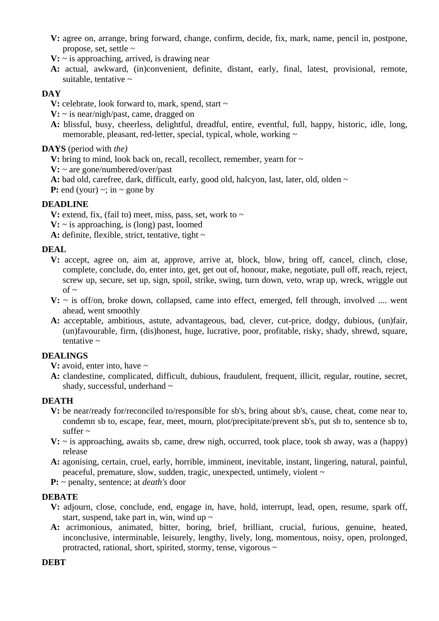- **V:** agree on, arrange, bring forward, change, confirm, decide, fix, mark, name, pencil in, postpone, propose, set, settle ~
- $V: \sim$  is approaching, arrived, is drawing near
- **A:** actual, awkward, (in)convenient, definite, distant, early, final, latest, provisional, remote, suitable, tentative  $\sim$

## **DAY**

**V:** celebrate, look forward to, mark, spend, start  $\sim$ 

- **V:** ~ is near/nigh/past, came, dragged on
- **A:** blissful, busy, cheerless, delightful, dreadful, entire, eventful, full, happy, historic, idle, long, memorable, pleasant, red-letter, special, typical, whole, working  $\sim$

### **DAYS** (period with *the)*

- **V:** bring to mind, look back on, recall, recollect, remember, yearn for  $\sim$
- **V:** ~ are gone/numbered/over/past
- A: bad old, carefree, dark, difficult, early, good old, halcyon, last, later, old, olden ~

**P:** end (your)  $\sim$ ; in  $\sim$  gone by

## **DEADLINE**

**V:** extend, fix, (fail to) meet, miss, pass, set, work to  $\sim$ 

 $V: \sim$  is approaching, is (long) past, loomed

A: definite, flexible, strict, tentative, tight ~

## **DEAL**

- **V:** accept, agree on, aim at, approve, arrive at, block, blow, bring off, cancel, clinch, close, complete, conclude, do, enter into, get, get out of, honour, make, negotiate, pull off, reach, reject, screw up, secure, set up, sign, spoil, strike, swing, turn down, veto, wrap up, wreck, wriggle out  $of \sim$
- **V:**  $\sim$  is off/on, broke down, collapsed, came into effect, emerged, fell through, involved .... went ahead, went smoothly
- **A:** acceptable, ambitious, astute, advantageous, bad, clever, cut-price, dodgy, dubious, (un)fair, (un)favourable, firm, (dis)honest, huge, lucrative, poor, profitable, risky, shady, shrewd, square, tentative  $\sim$

### **DEALINGS**

**V:** avoid, enter into, have  $\sim$ 

 **A:** clandestine, complicated, difficult, dubious, fraudulent, frequent, illicit, regular, routine, secret, shady, successful, underhand ~

## **DEATH**

- **V:** be near/ready for/reconciled to/responsible for sb's, bring about sb's, cause, cheat, come near to, condemn sb to, escape, fear, meet, mourn, plot/precipitate/prevent sb's, put sb to, sentence sb to, suffer  $\sim$
- **V:** ~ is approaching, awaits sb, came, drew nigh, occurred, took place, took sb away, was a (happy) release
- **A:** agonising, certain, cruel, early, horrible, imminent, inevitable, instant, lingering, natural, painful, peaceful, premature, slow, sudden, tragic, unexpected, untimely, violent ~
- **P:** ~ penalty, sentence; at *death's* door

## **DEBATE**

- **V:** adjourn, close, conclude, end, engage in, have, hold, interrupt, lead, open, resume, spark off, start, suspend, take part in, win, wind up  $\sim$
- **A:** acrimonious, animated, bitter, boring, brief, brilliant, crucial, furious, genuine, heated, inconclusive, interminable, leisurely, lengthy, lively, long, momentous, noisy, open, prolonged, protracted, rational, short, spirited, stormy, tense, vigorous ~

### **DEBT**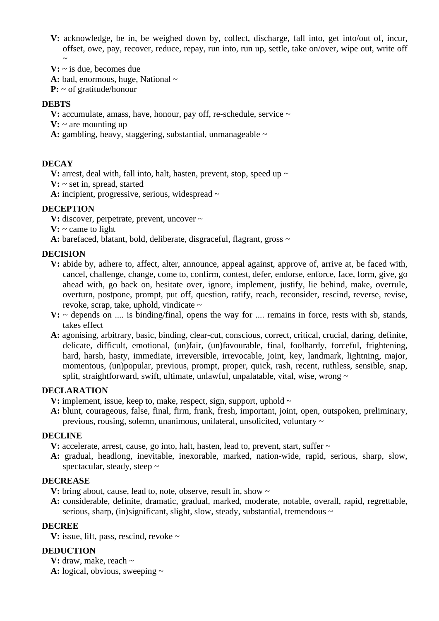**V:** acknowledge, be in, be weighed down by, collect, discharge, fall into, get into/out of, incur, offset, owe, pay, recover, reduce, repay, run into, run up, settle, take on/over, wipe out, write off  $\sim$ 

 **V:** ~ is due, becomes due A: bad, enormous, huge, National ~

 **P:** ~ of gratitude/honour

## **DEBTS**

**V:** accumulate, amass, have, honour, pay off, re-schedule, service ~

 $V: \sim$  are mounting up

A: gambling, heavy, staggering, substantial, unmanageable ~

# **DECAY**

**V:** arrest, deal with, fall into, halt, hasten, prevent, stop, speed up  $\sim$ 

 **V:** ~ set in, spread, started

A: incipient, progressive, serious, widespread  $\sim$ 

## **DECEPTION**

**V:** discover, perpetrate, prevent, uncover  $\sim$ 

 $V: \sim$  came to light

 **A:** barefaced, blatant, bold, deliberate, disgraceful, flagrant, gross ~

## **DECISION**

- **V:** abide by, adhere to, affect, alter, announce, appeal against, approve of, arrive at, be faced with, cancel, challenge, change, come to, confirm, contest, defer, endorse, enforce, face, form, give, go ahead with, go back on, hesitate over, ignore, implement, justify, lie behind, make, overrule, overturn, postpone, prompt, put off, question, ratify, reach, reconsider, rescind, reverse, revise, revoke, scrap, take, uphold, vindicate ~
- **V:** ~ depends on .... is binding/final, opens the way for .... remains in force, rests with sb, stands, takes effect
- **A:** agonising, arbitrary, basic, binding, clear-cut, conscious, correct, critical, crucial, daring, definite, delicate, difficult, emotional, (un)fair, (un)favourable, final, foolhardy, forceful, frightening, hard, harsh, hasty, immediate, irreversible, irrevocable, joint, key, landmark, lightning, major, momentous, (un)popular, previous, prompt, proper, quick, rash, recent, ruthless, sensible, snap, split, straightforward, swift, ultimate, unlawful, unpalatable, vital, wise, wrong  $\sim$

### **DECLARATION**

**V:** implement, issue, keep to, make, respect, sign, support, uphold  $\sim$ 

 **A:** blunt, courageous, false, final, firm, frank, fresh, important, joint, open, outspoken, preliminary, previous, rousing, solemn, unanimous, unilateral, unsolicited, voluntary ~

## **DECLINE**

**V:** accelerate, arrest, cause, go into, halt, hasten, lead to, prevent, start, suffer  $\sim$ 

 **A:** gradual, headlong, inevitable, inexorable, marked, nation-wide, rapid, serious, sharp, slow, spectacular, steady, steep  $\sim$ 

## **DECREASE**

**V:** bring about, cause, lead to, note, observe, result in, show  $\sim$ 

 **A:** considerable, definite, dramatic, gradual, marked, moderate, notable, overall, rapid, regrettable, serious, sharp, (in)significant, slight, slow, steady, substantial, tremendous  $\sim$ 

### **DECREE**

**V:** issue, lift, pass, rescind, revoke  $\sim$ 

## **DEDUCTION**

**V:** draw, make, reach  $\sim$ 

A: logical, obvious, sweeping  $\sim$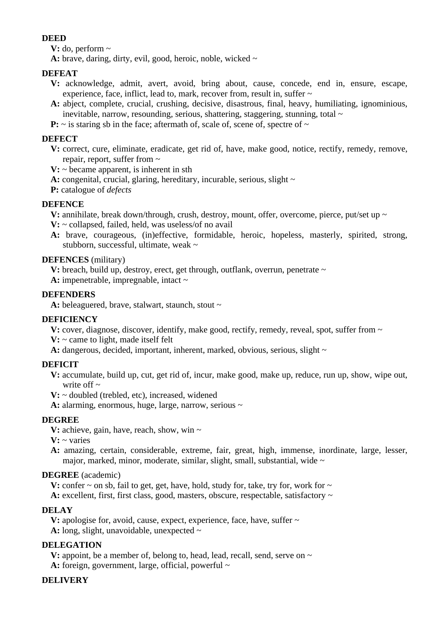## **DEED**

**V:** do, perform  $\sim$ 

 **A:** brave, daring, dirty, evil, good, heroic, noble, wicked ~

## **DEFEAT**

- **V:** acknowledge, admit, avert, avoid, bring about, cause, concede, end in, ensure, escape, experience, face, inflict, lead to, mark, recover from, result in, suffer  $\sim$
- **A:** abject, complete, crucial, crushing, decisive, disastrous, final, heavy, humiliating, ignominious, inevitable, narrow, resounding, serious, shattering, staggering, stunning, total  $\sim$

**P:**  $\sim$  is staring sb in the face; aftermath of, scale of, scene of, spectre of  $\sim$ 

## **DEFECT**

 **V:** correct, cure, eliminate, eradicate, get rid of, have, make good, notice, rectify, remedy, remove, repair, report, suffer from ~

- **V:** ~ became apparent, is inherent in sth
- A: congenital, crucial, glaring, hereditary, incurable, serious, slight ~

 **P:** catalogue of *defects* 

## **DEFENCE**

**V:** annihilate, break down/through, crush, destroy, mount, offer, overcome, pierce, put/set up  $\sim$ 

- **V:** ~ collapsed, failed, held, was useless/of no avail
- **A:** brave, courageous, (in)effective, formidable, heroic, hopeless, masterly, spirited, strong, stubborn, successful, ultimate, weak  $\sim$

## **DEFENCES** (military)

**V:** breach, build up, destroy, erect, get through, outflank, overrun, penetrate  $\sim$ 

A: impenetrable, impregnable, intact ~

## **DEFENDERS**

A: beleaguered, brave, stalwart, staunch, stout ~

## **DEFICIENCY**

**V:** cover, diagnose, discover, identify, make good, rectify, remedy, reveal, spot, suffer from  $\sim$ 

 **V:** ~ came to light, made itself felt

 **A:** dangerous, decided, important, inherent, marked, obvious, serious, slight ~

## **DEFICIT**

 **V:** accumulate, build up, cut, get rid of, incur, make good, make up, reduce, run up, show, wipe out, write off  $\sim$ 

 **V:** ~ doubled (trebled, etc), increased, widened

A: alarming, enormous, huge, large, narrow, serious ~

## **DEGREE**

**V:** achieve, gain, have, reach, show, win  $\sim$ 

- **V:** ~ varies
- **A:** amazing, certain, considerable, extreme, fair, great, high, immense, inordinate, large, lesser, major, marked, minor, moderate, similar, slight, small, substantial, wide ~

## **DEGREE** (academic)

**V:** confer  $\sim$  on sb, fail to get, get, have, hold, study for, take, try for, work for  $\sim$ 

A: excellent, first, first class, good, masters, obscure, respectable, satisfactory  $\sim$ 

## **DELAY**

**V:** apologise for, avoid, cause, expect, experience, face, have, suffer  $\sim$ 

A: long, slight, unavoidable, unexpected  $\sim$ 

## **DELEGATION**

**V:** appoint, be a member of, belong to, head, lead, recall, send, serve on  $\sim$ A: foreign, government, large, official, powerful ~

## **DELIVERY**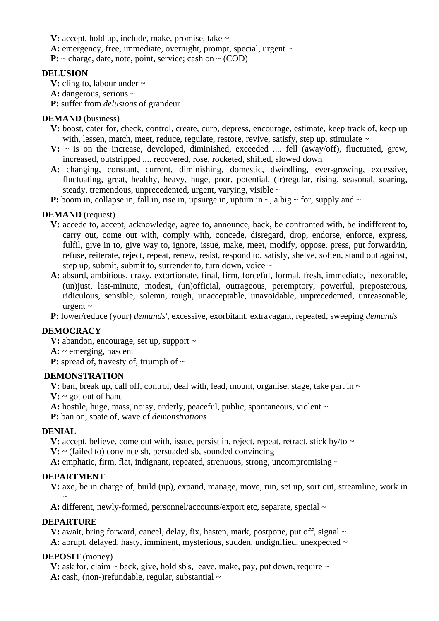**V:** accept, hold up, include, make, promise, take  $\sim$ 

A: emergency, free, immediate, overnight, prompt, special, urgent  $\sim$ 

 $P: \sim$  charge, date, note, point, service; cash on  $\sim$  (COD)

### **DELUSION**

**V:** cling to, labour under  $\sim$ 

 **A:** dangerous, serious ~

 **P:** suffer from *delusions* of grandeur

### **DEMAND** (business)

- **V:** boost, cater for, check, control, create, curb, depress, encourage, estimate, keep track of, keep up with, lessen, match, meet, reduce, regulate, restore, revive, satisfy, step up, stimulate  $\sim$
- **V:** ~ is on the increase, developed, diminished, exceeded .... fell (away/off), fluctuated, grew, increased, outstripped .... recovered, rose, rocketed, shifted, slowed down
- **A:** changing, constant, current, diminishing, domestic, dwindling, ever-growing, excessive, fluctuating, great, healthy, heavy, huge, poor, potential, (ir)regular, rising, seasonal, soaring, steady, tremendous, unprecedented, urgent, varying, visible  $\sim$
- **P:** boom in, collapse in, fall in, rise in, upsurge in, upturn in  $\sim$ , a big  $\sim$  for, supply and  $\sim$

### **DEMAND** (request)

- **V:** accede to, accept, acknowledge, agree to, announce, back, be confronted with, be indifferent to, carry out, come out with, comply with, concede, disregard, drop, endorse, enforce, express, fulfil, give in to, give way to, ignore, issue, make, meet, modify, oppose, press, put forward/in, refuse, reiterate, reject, repeat, renew, resist, respond to, satisfy, shelve, soften, stand out against, step up, submit, submit to, surrender to, turn down, voice  $\sim$
- **A:** absurd, ambitious, crazy, extortionate, final, firm, forceful, formal, fresh, immediate, inexorable, (un)just, last-minute, modest, (un)official, outrageous, peremptory, powerful, preposterous, ridiculous, sensible, solemn, tough, unacceptable, unavoidable, unprecedented, unreasonable, urgent ~

 **P:** lower/reduce (your) *demands',* excessive, exorbitant, extravagant, repeated, sweeping *demands* 

### **DEMOCRACY**

V: abandon, encourage, set up, support  $\sim$ 

 **A:** ~ emerging, nascent

**P:** spread of, travesty of, triumph of  $\sim$ 

### **DEMONSTRATION**

**V:** ban, break up, call off, control, deal with, lead, mount, organise, stage, take part in  $\sim$ 

 **V:** ~ got out of hand

A: hostile, huge, mass, noisy, orderly, peaceful, public, spontaneous, violent  $\sim$ 

 **P:** ban on, spate of, wave of *demonstrations* 

### **DENIAL**

**V:** accept, believe, come out with, issue, persist in, reject, repeat, retract, stick by/to  $\sim$ 

 **V:** ~ (failed to) convince sb, persuaded sb, sounded convincing

A: emphatic, firm, flat, indignant, repeated, strenuous, strong, uncompromising  $\sim$ 

### **DEPARTMENT**

 **V:** axe, be in charge of, build (up), expand, manage, move, run, set up, sort out, streamline, work in  $\sim$ 

**A:** different, newly-formed, personnel/accounts/export etc, separate, special  $\sim$ 

### **DEPARTURE**

**V:** await, bring forward, cancel, delay, fix, hasten, mark, postpone, put off, signal  $\sim$  **A:** abrupt, delayed, hasty, imminent, mysterious, sudden, undignified, unexpected ~

### **DEPOSIT** (money)

**V:** ask for, claim  $\sim$  back, give, hold sb's, leave, make, pay, put down, require  $\sim$ A: cash, (non-)refundable, regular, substantial  $\sim$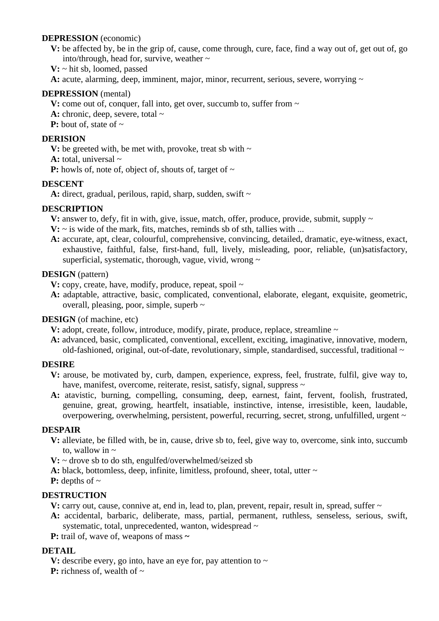## **DEPRESSION** (economic)

- **V:** be affected by, be in the grip of, cause, come through, cure, face, find a way out of, get out of, go into/through, head for, survive, weather  $\sim$
- **V:** ~ hit sb, loomed, passed

**A:** acute, alarming, deep, imminent, major, minor, recurrent, serious, severe, worrying ~

## **DEPRESSION** (mental)

- **V:** come out of, conquer, fall into, get over, succumb to, suffer from  $\sim$
- A: chronic, deep, severe, total  $\sim$
- **P:** bout of, state of  $\sim$

## **DERISION**

- **V:** be greeted with, be met with, provoke, treat sb with  $\sim$
- A: total, universal ~
- **P:** howls of, note of, object of, shouts of, target of  $\sim$

## **DESCENT**

A: direct, gradual, perilous, rapid, sharp, sudden, swift ~

## **DESCRIPTION**

**V:** answer to, defy, fit in with, give, issue, match, offer, produce, provide, submit, supply  $\sim$ 

- $V: \sim$  is wide of the mark, fits, matches, reminds sb of sth, tallies with ...
- **A:** accurate, apt, clear, colourful, comprehensive, convincing, detailed, dramatic, eye-witness, exact, exhaustive, faithful, false, first-hand, full, lively, misleading, poor, reliable, (un)satisfactory, superficial, systematic, thorough, vague, vivid, wrong  $\sim$

## **DESIGN** (pattern)

- **V:** copy, create, have, modify, produce, repeat, spoil  $\sim$
- **A:** adaptable, attractive, basic, complicated, conventional, elaborate, elegant, exquisite, geometric, overall, pleasing, poor, simple, superb  $\sim$

## **DESIGN** (of machine, etc)

- **V:** adopt, create, follow, introduce, modify, pirate, produce, replace, streamline ~
- **A:** advanced, basic, complicated, conventional, excellent, exciting, imaginative, innovative, modern, old-fashioned, original, out-of-date, revolutionary, simple, standardised, successful, traditional ~

## **DESIRE**

- **V:** arouse, be motivated by, curb, dampen, experience, express, feel, frustrate, fulfil, give way to, have, manifest, overcome, reiterate, resist, satisfy, signal, suppress  $\sim$
- **A:** atavistic, burning, compelling, consuming, deep, earnest, faint, fervent, foolish, frustrated, genuine, great, growing, heartfelt, insatiable, instinctive, intense, irresistible, keen, laudable, overpowering, overwhelming, persistent, powerful, recurring, secret, strong, unfulfilled, urgent ~

### **DESPAIR**

- **V:** alleviate, be filled with, be in, cause, drive sb to, feel, give way to, overcome, sink into, succumb to, wallow in  $\sim$
- **V:** ~ drove sb to do sth, engulfed/overwhelmed/seized sb
- **A:** black, bottomless, deep, infinite, limitless, profound, sheer, total, utter ~

**P:** depths of  $\sim$ 

## **DESTRUCTION**

**V:** carry out, cause, connive at, end in, lead to, plan, prevent, repair, result in, spread, suffer  $\sim$ 

 **A:** accidental, barbaric, deliberate, mass, partial, permanent, ruthless, senseless, serious, swift, systematic, total, unprecedented, wanton, widespread  $\sim$ 

**P:** trail of, wave of, weapons of mass  $\sim$ 

## **DETAIL**

**V:** describe every, go into, have an eye for, pay attention to  $\sim$ 

**P:** richness of, wealth of  $\sim$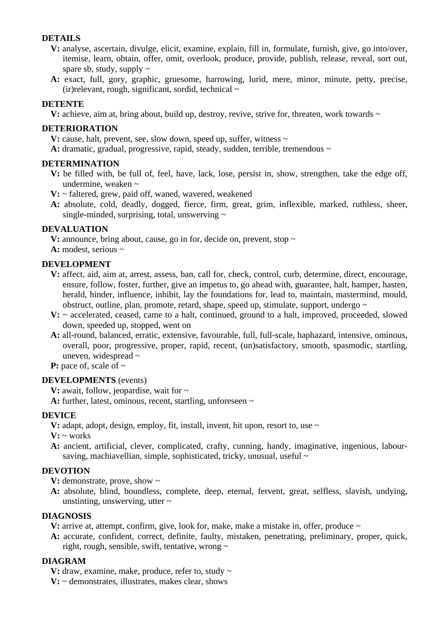## **DETAILS**

- **V:** analyse, ascertain, divulge, elicit, examine, explain, fill in, formulate, furnish, give, go into/over, itemise, learn, obtain, offer, omit, overlook, produce, provide, publish, release, reveal, sort out, spare sb, study, supply  $\sim$
- **A:** exact, full, gory, graphic, gruesome, harrowing, lurid, mere, minor, minute, petty, precise,  $(i)$ relevant, rough, significant, sordid, technical  $\sim$

## **DETENTE**

**V:** achieve, aim at, bring about, build up, destroy, revive, strive for, threaten, work towards  $\sim$ 

## **DETERIORATION**

**V:** cause, halt, prevent, see, slow down, speed up, suffer, witness  $\sim$ 

A: dramatic, gradual, progressive, rapid, steady, sudden, terrible, tremendous ~

#### **DETERMINATION**

- **V:** be filled with, be full of, feel, have, lack, lose, persist in, show, strengthen, take the edge off, undermine, weaken ~
- **V:** ~ faltered, grew, paid off, waned, wavered, weakened
- **A:** absolute, cold, deadly, dogged, fierce, firm, great, grim, inflexible, marked, ruthless, sheer, single-minded, surprising, total, unswerving  $\sim$

#### **DEVALUATION**

**V:** announce, bring about, cause, go in for, decide on, prevent, stop  $\sim$ 

 **A:** modest, serious ~

### **DEVELOPMENT**

- **V:** affect, aid, aim at, arrest, assess, ban, call for, check, control, curb, determine, direct, encourage, ensure, follow, foster, further, give an impetus to, go ahead with, guarantee, halt, hamper, hasten, herald, hinder, influence, inhibit, lay the foundations for, lead to, maintain, mastermind, mould, obstruct, outline, plan, promote, retard, shape, speed up, stimulate, support, undergo  $\sim$
- **V:** ~ accelerated, ceased, came to a halt, continued, ground to a halt, improved, proceeded, slowed down, speeded up, stopped, went on
- **A:** all-round, balanced, erratic, extensive, favourable, full, full-scale, haphazard, intensive, ominous, overall, poor, progressive, proper, rapid, recent, (un)satisfactory, smooth, spasmodic, startling, uneven, widespread ~
- **P:** pace of, scale of  $\sim$

### **DEVELOPMENTS** (events)

**V:** await, follow, jeopardise, wait for  $\sim$ 

**A:** further, latest, ominous, recent, startling, unforeseen ~

### **DEVICE**

**V:** adapt, adopt, design, employ, fit, install, invent, hit upon, resort to, use  $\sim$ 

 $V: ~ ~$ works

 **A:** ancient, artificial, clever, complicated, crafty, cunning, handy, imaginative, ingenious, laboursaving, machiavellian, simple, sophisticated, tricky, unusual, useful ~

### **DEVOTION**

**V:** demonstrate, prove, show  $\sim$ 

 **A:** absolute, blind, boundless, complete, deep, eternal, fervent, great, selfless, slavish, undying, unstinting, unswerving, utter  $\sim$ 

### **DIAGNOSIS**

- **V:** arrive at, attempt, confirm, give, look for, make, make a mistake in, offer, produce  $\sim$
- **A:** accurate, confident, correct, definite, faulty, mistaken, penetrating, preliminary, proper, quick, right, rough, sensible, swift, tentative, wrong  $\sim$

## **DIAGRAM**

**V:** draw, examine, make, produce, refer to, study  $\sim$ 

**V:**  $\sim$  demonstrates, illustrates, makes clear, shows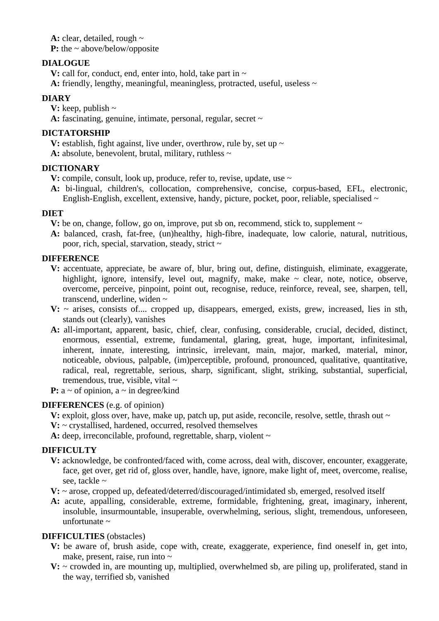A: clear, detailed, rough ~ **P:** the ~ above/below/opposite

## **DIALOGUE**

**V:** call for, conduct, end, enter into, hold, take part in  $\sim$ 

 **A:** friendly, lengthy, meaningful, meaningless, protracted, useful, useless ~

## **DIARY**

**V:** keep, publish  $\sim$ 

A: fascinating, genuine, intimate, personal, regular, secret ~

## **DICTATORSHIP**

**V:** establish, fight against, live under, overthrow, rule by, set up  $\sim$ 

A: absolute, benevolent, brutal, military, ruthless  $\sim$ 

## **DICTIONARY**

**V:** compile, consult, look up, produce, refer to, revise, update, use  $\sim$ 

 **A:** bi-lingual, children's, collocation, comprehensive, concise, corpus-based, EFL, electronic, English-English, excellent, extensive, handy, picture, pocket, poor, reliable, specialised  $\sim$ 

## **DIET**

**V:** be on, change, follow, go on, improve, put sb on, recommend, stick to, supplement  $\sim$ 

 **A:** balanced, crash, fat-free, (un)healthy, high-fibre, inadequate, low calorie, natural, nutritious, poor, rich, special, starvation, steady, strict ~

## **DIFFERENCE**

- **V:** accentuate, appreciate, be aware of, blur, bring out, define, distinguish, eliminate, exaggerate, highlight, ignore, intensify, level out, magnify, make, make  $\sim$  clear, note, notice, observe, overcome, perceive, pinpoint, point out, recognise, reduce, reinforce, reveal, see, sharpen, tell, transcend, underline, widen ~
- **V:** ~ arises, consists of.... cropped up, disappears, emerged, exists, grew, increased, lies in sth, stands out (clearly), vanishes
- **A:** all-important, apparent, basic, chief, clear, confusing, considerable, crucial, decided, distinct, enormous, essential, extreme, fundamental, glaring, great, huge, important, infinitesimal, inherent, innate, interesting, intrinsic, irrelevant, main, major, marked, material, minor, noticeable, obvious, palpable, (im)perceptible, profound, pronounced, qualitative, quantitative, radical, real, regrettable, serious, sharp, significant, slight, striking, substantial, superficial, tremendous, true, visible, vital  $\sim$

**P:**  $a \sim$  of opinion,  $a \sim$  in degree/kind

## **DIFFERENCES** (e.g. of opinion)

**V:** exploit, gloss over, have, make up, patch up, put aside, reconcile, resolve, settle, thrash out ~

 **V:** ~ crystallised, hardened, occurred, resolved themselves

A: deep, irreconcilable, profound, regrettable, sharp, violent  $\sim$ 

## **DIFFICULTY**

- **V:** acknowledge, be confronted/faced with, come across, deal with, discover, encounter, exaggerate, face, get over, get rid of, gloss over, handle, have, ignore, make light of, meet, overcome, realise, see, tackle ~
- **V:** ~ arose, cropped up, defeated/deterred/discouraged/intimidated sb, emerged, resolved itself
- **A:** acute, appalling, considerable, extreme, formidable, frightening, great, imaginary, inherent, insoluble, insurmountable, insuperable, overwhelming, serious, slight, tremendous, unforeseen, unfortunate ~

## **DIFFICULTIES** (obstacles)

- **V:** be aware of, brush aside, cope with, create, exaggerate, experience, find oneself in, get into, make, present, raise, run into ~
- V: ~ crowded in, are mounting up, multiplied, overwhelmed sb, are piling up, proliferated, stand in the way, terrified sb, vanished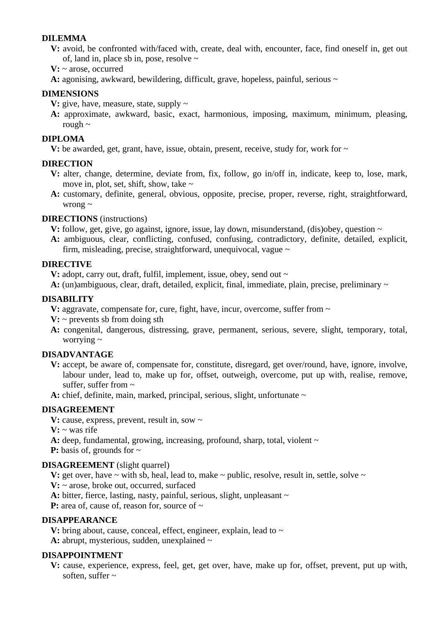## **DILEMMA**

 **V:** avoid, be confronted with/faced with, create, deal with, encounter, face, find oneself in, get out of, land in, place sb in, pose, resolve ~

 **V:** ~ arose, occurred

 **A:** agonising, awkward, bewildering, difficult, grave, hopeless, painful, serious ~

## **DIMENSIONS**

- **V:** give, have, measure, state, supply  $\sim$
- **A:** approximate, awkward, basic, exact, harmonious, imposing, maximum, minimum, pleasing, rough ~

## **DIPLOMA**

**V:** be awarded, get, grant, have, issue, obtain, present, receive, study for, work for  $\sim$ 

## **DIRECTION**

- **V:** alter, change, determine, deviate from, fix, follow, go in/off in, indicate, keep to, lose, mark, move in, plot, set, shift, show, take  $\sim$
- **A:** customary, definite, general, obvious, opposite, precise, proper, reverse, right, straightforward, wrong ~

## **DIRECTIONS** (instructions)

- **V:** follow, get, give, go against, ignore, issue, lay down, misunderstand, (dis)obey, question  $\sim$
- A: ambiguous, clear, conflicting, confused, confusing, contradictory, definite, detailed, explicit, firm, misleading, precise, straightforward, unequivocal, vague ~

## **DIRECTIVE**

**V:** adopt, carry out, draft, fulfil, implement, issue, obey, send out  $\sim$ 

A: (un)ambiguous, clear, draft, detailed, explicit, final, immediate, plain, precise, preliminary ~

## **DISABILITY**

**V:** aggravate, compensate for, cure, fight, have, incur, overcome, suffer from  $\sim$ 

- $V: \sim$  prevents sb from doing sth
- **A:** congenital, dangerous, distressing, grave, permanent, serious, severe, slight, temporary, total, worrying  $\sim$

## **DISADVANTAGE**

 **V:** accept, be aware of, compensate for, constitute, disregard, get over/round, have, ignore, involve, labour under, lead to, make up for, offset, outweigh, overcome, put up with, realise, remove, suffer, suffer from  $\sim$ 

A: chief, definite, main, marked, principal, serious, slight, unfortunate ~

# **DISAGREEMENT**

**V:** cause, express, prevent, result in, sow  $\sim$ 

 $V: \sim$  was rife

A: deep, fundamental, growing, increasing, profound, sharp, total, violent ~

**P:** basis of, grounds for  $\sim$ 

## **DISAGREEMENT** (slight quarrel)

**V:** get over, have  $\sim$  with sb, heal, lead to, make  $\sim$  public, resolve, result in, settle, solve  $\sim$ 

- **V:** ~ arose, broke out, occurred, surfaced
- A: bitter, fierce, lasting, nasty, painful, serious, slight, unpleasant ~

**P:** area of, cause of, reason for, source of  $\sim$ 

## **DISAPPEARANCE**

**V:** bring about, cause, conceal, effect, engineer, explain, lead to  $\sim$ 

A: abrupt, mysterious, sudden, unexplained  $\sim$ 

## **DISAPPOINTMENT**

 **V:** cause, experience, express, feel, get, get over, have, make up for, offset, prevent, put up with, soften, suffer  $\sim$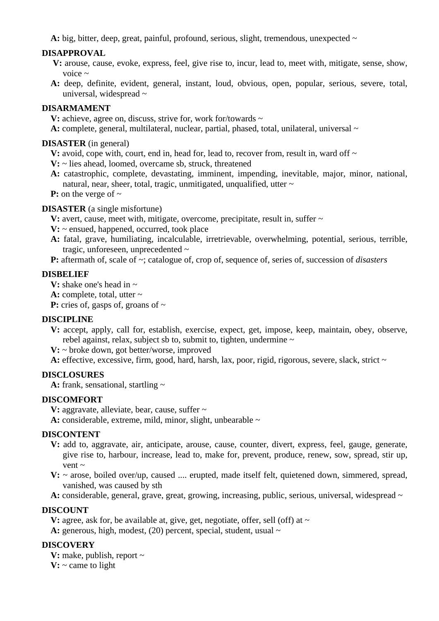**A:** big, bitter, deep, great, painful, profound, serious, slight, tremendous, unexpected ~

## **DISAPPROVAL**

- **V:** arouse, cause, evoke, express, feel, give rise to, incur, lead to, meet with, mitigate, sense, show, voice  $\sim$
- **A:** deep, definite, evident, general, instant, loud, obvious, open, popular, serious, severe, total, universal, widespread ~

### **DISARMAMENT**

**V:** achieve, agree on, discuss, strive for, work for/towards ~

A: complete, general, multilateral, nuclear, partial, phased, total, unilateral, universal ~

### **DISASTER** (in general)

V: avoid, cope with, court, end in, head for, lead to, recover from, result in, ward off ~

 **V:** ~ lies ahead, loomed, overcame sb, struck, threatened

- **A:** catastrophic, complete, devastating, imminent, impending, inevitable, major, minor, national, natural, near, sheer, total, tragic, unmitigated, unqualified, utter  $\sim$
- **P:** on the verge of  $\sim$

### **DISASTER** (a single misfortune)

V: avert, cause, meet with, mitigate, overcome, precipitate, result in, suffer ~

- **V:**  $\sim$  ensued, happened, occurred, took place
- **A:** fatal, grave, humiliating, incalculable, irretrievable, overwhelming, potential, serious, terrible, tragic, unforeseen, unprecedented ~

**P:** aftermath of, scale of  $\sim$ ; catalogue of, crop of, sequence of, series of, succession of *disasters* 

#### **DISBELIEF**

**V:** shake one's head in  $\sim$ 

A: complete, total, utter  $\sim$ 

**P:** cries of, gasps of, groans of  $\sim$ 

### **DISCIPLINE**

 **V:** accept, apply, call for, establish, exercise, expect, get, impose, keep, maintain, obey, observe, rebel against, relax, subject sb to, submit to, tighten, undermine ~

 **V:** ~ broke down, got better/worse, improved

 **A:** effective, excessive, firm, good, hard, harsh, lax, poor, rigid, rigorous, severe, slack, strict ~

### **DISCLOSURES**

A: frank, sensational, startling  $\sim$ 

### **DISCOMFORT**

**V:** aggravate, alleviate, bear, cause, suffer  $\sim$ 

 **A:** considerable, extreme, mild, minor, slight, unbearable ~

### **DISCONTENT**

- **V:** add to, aggravate, air, anticipate, arouse, cause, counter, divert, express, feel, gauge, generate, give rise to, harbour, increase, lead to, make for, prevent, produce, renew, sow, spread, stir up, vent  $\sim$
- **V:** ~ arose, boiled over/up, caused .... erupted, made itself felt, quietened down, simmered, spread, vanished, was caused by sth

A: considerable, general, grave, great, growing, increasing, public, serious, universal, widespread  $\sim$ 

### **DISCOUNT**

**V:** agree, ask for, be available at, give, get, negotiate, offer, sell (off) at  $\sim$ 

**A:** generous, high, modest, (20) percent, special, student, usual  $\sim$ 

## **DISCOVERY**

**V:** make, publish, report  $\sim$  $V: \sim$  came to light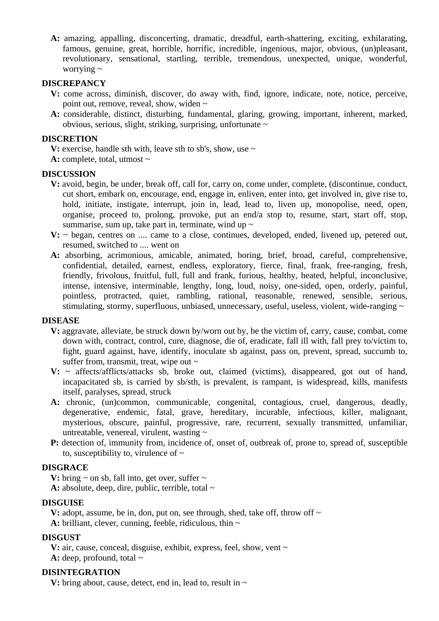**A:** amazing, appalling, disconcerting, dramatic, dreadful, earth-shattering, exciting, exhilarating, famous, genuine, great, horrible, horrific, incredible, ingenious, major, obvious, (un)pleasant, revolutionary, sensational, startling, terrible, tremendous, unexpected, unique, wonderful, worrying  $\sim$ 

### **DISCREPANCY**

- **V:** come across, diminish, discover, do away with, find, ignore, indicate, note, notice, perceive, point out, remove, reveal, show, widen ~
- **A:** considerable, distinct, disturbing, fundamental, glaring, growing, important, inherent, marked, obvious, serious, slight, striking, surprising, unfortunate  $\sim$

#### **DISCRETION**

**V:** exercise, handle sth with, leave sth to sb's, show, use  $\sim$ 

A: complete, total, utmost ~

#### **DISCUSSION**

- **V:** avoid, begin, be under, break off, call for, carry on, come under, complete, (discontinue, conduct, cut short, embark on, encourage, end, engage in, enliven, enter into, get involved in, give rise to, hold, initiate, instigate, interrupt, join in, lead, lead to, liven up, monopolise, need, open, organise, proceed to, prolong, provoke, put an end/a stop to, resume, start, start off, stop, summarise, sum up, take part in, terminate, wind up  $\sim$
- **V:** ~ began, centres on .... came to a close, continues, developed, ended, livened up, petered out, resumed, switched to .... went on
- **A:** absorbing, acrimonious, amicable, animated, boring, brief, broad, careful, comprehensive, confidential, detailed, earnest, endless, exploratory, fierce, final, frank, free-ranging, fresh, friendly, frivolous, fruitful, full, full and frank, furious, healthy, heated, helpful, inconclusive, intense, intensive, interminable, lengthy, long, loud, noisy, one-sided, open, orderly, painful, pointless, protracted, quiet, rambling, rational, reasonable, renewed, sensible, serious, stimulating, stormy, superfluous, unbiased, unnecessary, useful, useless, violent, wide-ranging ~

#### **DISEASE**

- **V:** aggravate, alleviate, be struck down by/worn out by, be the victim of, carry, cause, combat, come down with, contract, control, cure, diagnose, die of, eradicate, fall ill with, fall prey to/victim to, fight, guard against, have, identify, inoculate sb against, pass on, prevent, spread, succumb to, suffer from, transmit, treat, wipe out  $\sim$
- **V:** ~ affects/afflicts/attacks sb, broke out, claimed (victims), disappeared, got out of hand, incapacitated sb, is carried by sb/sth, is prevalent, is rampant, is widespread, kills, manifests itself, paralyses, spread, struck
- **A:** chronic, (un)common, communicable, congenital, contagious, cruel, dangerous, deadly, degenerative, endemic, fatal, grave, hereditary, incurable, infectious, killer, malignant, mysterious, obscure, painful, progressive, rare, recurrent, sexually transmitted, unfamiliar, untreatable, venereal, virulent, wasting  $\sim$
- **P:** detection of, immunity from, incidence of, onset of, outbreak of, prone to, spread of, susceptible to, susceptibility to, virulence of  $\sim$

### **DISGRACE**

**V:** bring  $\sim$  on sb, fall into, get over, suffer  $\sim$ 

A: absolute, deep, dire, public, terrible, total  $\sim$ 

#### **DISGUISE**

**V:** adopt, assume, be in, don, put on, see through, shed, take off, throw off  $\sim$ A: brilliant, clever, cunning, feeble, ridiculous, thin  $\sim$ 

### **DISGUST**

**V:** air, cause, conceal, disguise, exhibit, express, feel, show, vent  $\sim$ A: deep, profound, total  $\sim$ 

#### **DISINTEGRATION**

**V:** bring about, cause, detect, end in, lead to, result in  $\sim$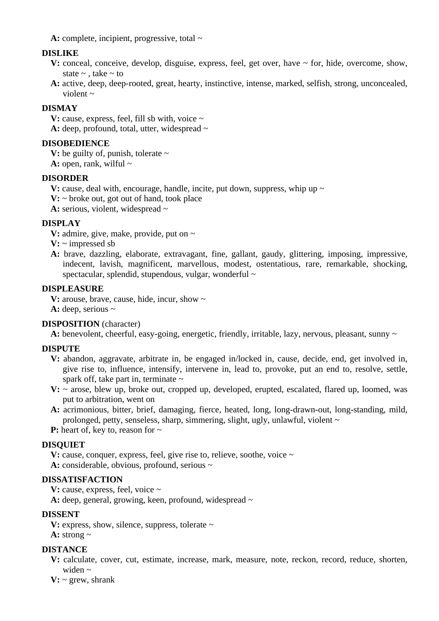A: complete, incipient, progressive, total  $\sim$ 

### **DISLIKE**

- **V:** conceal, conceive, develop, disguise, express, feel, get over, have  $\sim$  for, hide, overcome, show, state  $\sim$  , take  $\sim$  to
- **A:** active, deep, deep-rooted, great, hearty, instinctive, intense, marked, selfish, strong, unconcealed, violent  $\sim$

## **DISMAY**

**V:** cause, express, feel, fill sb with, voice  $\sim$ A: deep, profound, total, utter, widespread  $\sim$ 

### **DISOBEDIENCE**

**V:** be guilty of, punish, tolerate  $\sim$ A: open, rank, wilful  $\sim$ 

### **DISORDER**

**V:** cause, deal with, encourage, handle, incite, put down, suppress, whip up  $\sim$ 

**V:** ~ broke out, got out of hand, took place

A: serious, violent, widespread ~

# **DISPLAY**

**V:** admire, give, make, provide, put on  $\sim$ 

 $V: \sim$  impressed sb

 **A:** brave, dazzling, elaborate, extravagant, fine, gallant, gaudy, glittering, imposing, impressive, indecent, lavish, magnificent, marvellous, modest, ostentatious, rare, remarkable, shocking, spectacular, splendid, stupendous, vulgar, wonderful ~

### **DISPLEASURE**

**V:** arouse, brave, cause, hide, incur, show  $\sim$ 

A: deep, serious ~

### **DISPOSITION** (character)

A: benevolent, cheerful, easy-going, energetic, friendly, irritable, lazy, nervous, pleasant, sunny ~

### **DISPUTE**

- **V:** abandon, aggravate, arbitrate in, be engaged in/locked in, cause, decide, end, get involved in, give rise to, influence, intensify, intervene in, lead to, provoke, put an end to, resolve, settle, spark off, take part in, terminate  $\sim$
- **V:** ~ arose, blew up, broke out, cropped up, developed, erupted, escalated, flared up, loomed, was put to arbitration, went on
- **A:** acrimonious, bitter, brief, damaging, fierce, heated, long, long-drawn-out, long-standing, mild, prolonged, petty, senseless, sharp, simmering, slight, ugly, unlawful, violent  $\sim$

**P:** heart of, key to, reason for  $\sim$ 

### **DISQUIET**

**V:** cause, conquer, express, feel, give rise to, relieve, soothe, voice ~ A: considerable, obvious, profound, serious ~

### **DISSATISFACTION**

V: cause, express, feel, voice ~

A: deep, general, growing, keen, profound, widespread  $\sim$ 

### **DISSENT**

**V:** express, show, silence, suppress, tolerate  $\sim$ 

A:  $strong \sim$ 

### **DISTANCE**

 **V:** calculate, cover, cut, estimate, increase, mark, measure, note, reckon, record, reduce, shorten, widen  $\sim$ 

 $V: \sim$  grew, shrank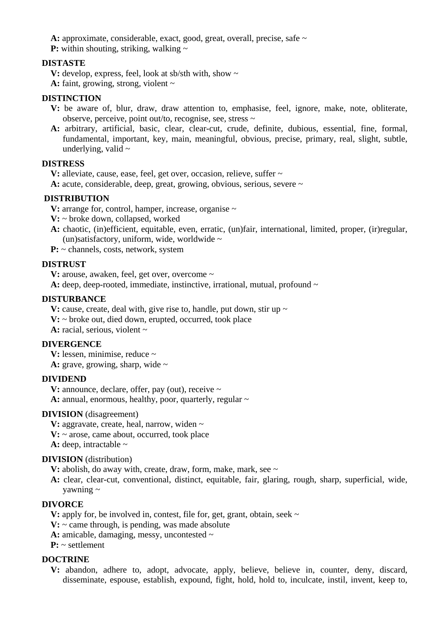A: approximate, considerable, exact, good, great, overall, precise, safe  $\sim$ 

**P:** within shouting, striking, walking ~

## **DISTASTE**

**V:** develop, express, feel, look at sb/sth with, show  $\sim$ A: faint, growing, strong, violent ~

## **DISTINCTION**

- **V:** be aware of, blur, draw, draw attention to, emphasise, feel, ignore, make, note, obliterate, observe, perceive, point out/to, recognise, see, stress ~
- **A:** arbitrary, artificial, basic, clear, clear-cut, crude, definite, dubious, essential, fine, formal, fundamental, important, key, main, meaningful, obvious, precise, primary, real, slight, subtle, underlying, valid  $\sim$

## **DISTRESS**

V: alleviate, cause, ease, feel, get over, occasion, relieve, suffer ~

 **A:** acute, considerable, deep, great, growing, obvious, serious, severe ~

## **DISTRIBUTION**

**V:** arrange for, control, hamper, increase, organise  $\sim$ 

 **V:** ~ broke down, collapsed, worked

- **A:** chaotic, (in)efficient, equitable, even, erratic, (un)fair, international, limited, proper, (ir)regular, (un)satisfactory, uniform, wide, worldwide  $\sim$
- **P:** ~ channels, costs, network, system

### **DISTRUST**

**V:** arouse, awaken, feel, get over, overcome  $\sim$ 

 **A:** deep, deep-rooted, immediate, instinctive, irrational, mutual, profound ~

## **DISTURBANCE**

**V:** cause, create, deal with, give rise to, handle, put down, stir up  $\sim$ 

 **V:** ~ broke out, died down, erupted, occurred, took place

A: racial, serious, violent ~

### **DIVERGENCE**

**V:** lessen, minimise, reduce  $\sim$ **A:** grave, growing, sharp, wide  $\sim$ 

### **DIVIDEND**

**V:** announce, declare, offer, pay (out), receive  $\sim$ 

A: annual, enormous, healthy, poor, quarterly, regular  $\sim$ 

### **DIVISION** (disagreement)

**V:** aggravate, create, heal, narrow, widen  $\sim$ 

**V:**  $\sim$  arose, came about, occurred, took place

A: deep, intractable ~

### **DIVISION** (distribution)

**V:** abolish, do away with, create, draw, form, make, mark, see ~

 **A:** clear, clear-cut, conventional, distinct, equitable, fair, glaring, rough, sharp, superficial, wide, yawning ~

## **DIVORCE**

**V:** apply for, be involved in, contest, file for, get, grant, obtain, seek  $\sim$ 

 $V: \sim$  came through, is pending, was made absolute

A: amicable, damaging, messy, uncontested  $\sim$ 

 **P:** ~ settlement

### **DOCTRINE**

 **V:** abandon, adhere to, adopt, advocate, apply, believe, believe in, counter, deny, discard, disseminate, espouse, establish, expound, fight, hold, hold to, inculcate, instil, invent, keep to,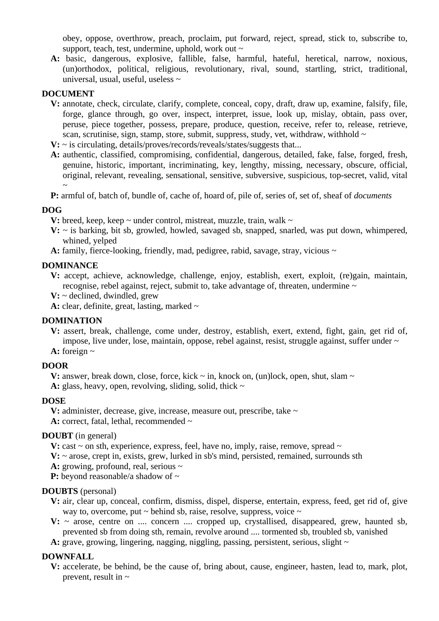obey, oppose, overthrow, preach, proclaim, put forward, reject, spread, stick to, subscribe to, support, teach, test, undermine, uphold, work out  $\sim$ 

 **A:** basic, dangerous, explosive, fallible, false, harmful, hateful, heretical, narrow, noxious, (un)orthodox, political, religious, revolutionary, rival, sound, startling, strict, traditional, universal, usual, useful, useless  $\sim$ 

### **DOCUMENT**

- **V:** annotate, check, circulate, clarify, complete, conceal, copy, draft, draw up, examine, falsify, file, forge, glance through, go over, inspect, interpret, issue, look up, mislay, obtain, pass over, peruse, piece together, possess, prepare, produce, question, receive, refer to, release, retrieve, scan, scrutinise, sign, stamp, store, submit, suppress, study, vet, withdraw, withhold  $\sim$
- **V:** ~ is circulating, details/proves/records/reveals/states/suggests that...
- **A:** authentic, classified, compromising, confidential, dangerous, detailed, fake, false, forged, fresh, genuine, historic, important, incriminating, key, lengthy, missing, necessary, obscure, official, original, relevant, revealing, sensational, sensitive, subversive, suspicious, top-secret, valid, vital  $\sim$

 **P:** armful of, batch of, bundle of, cache of, hoard of, pile of, series of, set of, sheaf of *documents* 

#### **DOG**

**V:** breed, keep, keep ~ under control, mistreat, muzzle, train, walk ~

- **V:** ~ is barking, bit sb, growled, howled, savaged sb, snapped, snarled, was put down, whimpered, whined, yelped
- **A:** family, fierce-looking, friendly, mad, pedigree, rabid, savage, stray, vicious ~

#### **DOMINANCE**

- **V:** accept, achieve, acknowledge, challenge, enjoy, establish, exert, exploit, (re)gain, maintain, recognise, rebel against, reject, submit to, take advantage of, threaten, undermine  $\sim$
- **V:** ~ declined, dwindled, grew
- A: clear, definite, great, lasting, marked ~

#### **DOMINATION**

 **V:** assert, break, challenge, come under, destroy, establish, exert, extend, fight, gain, get rid of, impose, live under, lose, maintain, oppose, rebel against, resist, struggle against, suffer under  $\sim$  **A:** foreign ~

#### **DOOR**

**V:** answer, break down, close, force, kick  $\sim$  in, knock on, (un)lock, open, shut, slam  $\sim$ 

A: glass, heavy, open, revolving, sliding, solid, thick  $\sim$ 

#### **DOSE**

**V:** administer, decrease, give, increase, measure out, prescribe, take  $\sim$ A: correct, fatal, lethal, recommended ~

#### **DOUBT** (in general)

**V:** cast  $\sim$  on sth, experience, express, feel, have no, imply, raise, remove, spread  $\sim$ 

- **V:** ~ arose, crept in, exists, grew, lurked in sb's mind, persisted, remained, surrounds sth
- A: growing, profound, real, serious ~
- **P:** beyond reasonable/a shadow of  $\sim$

#### **DOUBTS** (personal)

- **V:** air, clear up, conceal, confirm, dismiss, dispel, disperse, entertain, express, feed, get rid of, give way to, overcome, put  $\sim$  behind sb, raise, resolve, suppress, voice  $\sim$
- **V:**  $\sim$  arose, centre on .... concern .... cropped up, crystallised, disappeared, grew, haunted sb, prevented sb from doing sth, remain, revolve around .... tormented sb, troubled sb, vanished

A: grave, growing, lingering, nagging, niggling, passing, persistent, serious, slight ~

## **DOWNFALL**

 **V:** accelerate, be behind, be the cause of, bring about, cause, engineer, hasten, lead to, mark, plot, prevent, result in ~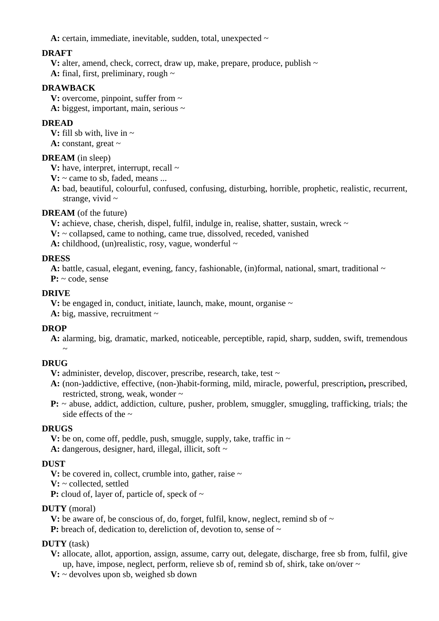**A:** certain, immediate, inevitable, sudden, total, unexpected ~

## **DRAFT**

**V:** alter, amend, check, correct, draw up, make, prepare, produce, publish ~ A: final, first, preliminary, rough ~

### **DRAWBACK**

**V:** overcome, pinpoint, suffer from  $\sim$  **A:** biggest, important, main, serious ~

## **DREAD**

**V:** fill sb with, live in  $\sim$ A: constant, great  $\sim$ 

### **DREAM** (in sleep)

**V:** have, interpret, interrupt, recall  $\sim$ 

- $V: \sim$  came to sb, faded, means ...
- **A:** bad, beautiful, colourful, confused, confusing, disturbing, horrible, prophetic, realistic, recurrent, strange, vivid ~

### **DREAM** (of the future)

V: achieve, chase, cherish, dispel, fulfil, indulge in, realise, shatter, sustain, wreck ~

 **V:** ~ collapsed, came to nothing, came true, dissolved, receded, vanished

A: childhood, (un)realistic, rosy, vague, wonderful ~

### **DRESS**

A: battle, casual, elegant, evening, fancy, fashionable, (in)formal, national, smart, traditional  $\sim$  $P: ~ \text{code},$  sense

#### **DRIVE**

**V:** be engaged in, conduct, initiate, launch, make, mount, organise ~ A: big, massive, recruitment ~

### **DROP**

 **A:** alarming, big, dramatic, marked, noticeable, perceptible, rapid, sharp, sudden, swift, tremendous  $\sim$ 

### **DRUG**

**V:** administer, develop, discover, prescribe, research, take, test ~

- **A:** (non-)addictive, effective, (non-)habit-forming, mild, miracle, powerful, prescription**,** prescribed, restricted, strong, weak, wonder  $\sim$
- **P:** ~ abuse, addict, addiction, culture, pusher, problem, smuggler, smuggling, trafficking, trials; the side effects of the  $\sim$

### **DRUGS**

**V:** be on, come off, peddle, push, smuggle, supply, take, traffic in  $\sim$ A: dangerous, designer, hard, illegal, illicit, soft ~

### **DUST**

**V:** be covered in, collect, crumble into, gather, raise  $\sim$ 

 **V:** ~ collected, settled

**P:** cloud of, layer of, particle of, speck of  $\sim$ 

### **DUTY** (moral)

**V:** be aware of, be conscious of, do, forget, fulfil, know, neglect, remind sb of  $\sim$ 

**P:** breach of, dedication to, dereliction of, devotion to, sense of  $\sim$ 

### **DUTY** (task)

- **V:** allocate, allot, apportion, assign, assume, carry out, delegate, discharge, free sb from, fulfil, give up, have, impose, neglect, perform, relieve sb of, remind sb of, shirk, take on/over  $\sim$
- **V:** ~ devolves upon sb, weighed sb down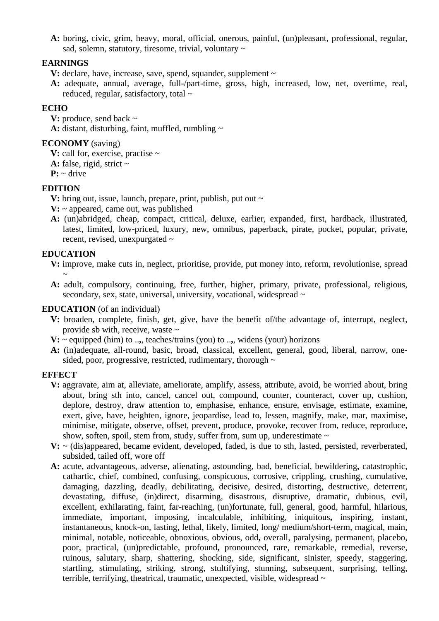**A:** boring, civic, grim, heavy, moral, official, onerous, painful, (un)pleasant, professional, regular, sad, solemn, statutory, tiresome, trivial, voluntary ~

## **EARNINGS**

**V:** declare, have, increase, save, spend, squander, supplement  $\sim$ 

 **A:** adequate, annual, average, full-/part-time, gross, high, increased, low, net, overtime, real, reduced, regular, satisfactory, total  $\sim$ 

### **ECHO**

**V:** produce, send back  $\sim$ A: distant, disturbing, faint, muffled, rumbling  $\sim$ 

### **ECONOMY** (saving)

**V:** call for, exercise, practise ~

**A:** false, rigid, strict  $\sim$ 

 $P: ~ d$ rive

## **EDITION**

**V:** bring out, issue, launch, prepare, print, publish, put out  $\sim$ 

- **V:** ~ appeared, came out, was published
- **A:** (un)abridged, cheap, compact, critical, deluxe, earlier, expanded, first, hardback, illustrated, latest, limited, low-priced, luxury, new, omnibus, paperback, pirate, pocket, popular, private, recent, revised, unexpurgated ~

## **EDUCATION**

- **V:** improve, make cuts in, neglect, prioritise, provide, put money into, reform, revolutionise, spread  $\sim$
- **A:** adult, compulsory, continuing, free, further, higher, primary, private, professional, religious, secondary, sex, state, universal, university, vocational, widespread  $\sim$

## **EDUCATION** (of an individual)

- **V:** broaden, complete, finish, get, give, have the benefit of/the advantage of, interrupt, neglect, provide sb with, receive, waste ~
- **V:** ~ equipped (him) to ..**,**, teaches/trains (you) to ..**,**, widens (your) horizons
- **A:** (in)adequate, all-round, basic, broad, classical, excellent, general, good, liberal, narrow, onesided, poor, progressive, restricted, rudimentary, thorough  $\sim$

### **EFFECT**

- **V:** aggravate, aim at, alleviate, ameliorate, amplify, assess, attribute, avoid, be worried about, bring about, bring sth into, cancel, cancel out, compound, counter, counteract, cover up, cushion, deplore, destroy, draw attention to, emphasise, enhance, ensure, envisage, estimate, examine, exert, give, have, heighten, ignore, jeopardise, lead to, lessen, magnify, make, mar, maximise, minimise, mitigate, observe, offset, prevent, produce, provoke, recover from, reduce, reproduce, show, soften, spoil, stem from, study, suffer from, sum up, underestimate  $\sim$
- **V:** ~ (dis)appeared, became evident, developed, faded, is due to sth, lasted, persisted, reverberated, subsided, tailed off, wore off
- **A:** acute, advantageous, adverse, alienating, astounding, bad, beneficial, bewildering**,** catastrophic, cathartic, chief, combined, confusing, conspicuous, corrosive, crippling, crushing, cumulative, damaging, dazzling, deadly, debilitating, decisive, desired, distorting, destructive, deterrent, devastating, diffuse, (in)direct, disarming, disastrous, disruptive, dramatic, dubious, evil, excellent, exhilarating, faint, far-reaching, (un)fortunate, full, general, good, harmful, hilarious, immediate, important, imposing, incalculable, inhibiting, iniquitous**,** inspiring, instant, instantaneous, knock-on, lasting, lethal, likely, limited, long/ medium/short-term, magical, main, minimal, notable, noticeable, obnoxious, obvious, odd**,** overall, paralysing, permanent, placebo, poor, practical, (un)predictable, profound**,** pronounced, rare, remarkable, remedial, reverse, ruinous, salutary, sharp, shattering, shocking, side, significant, sinister, speedy, staggering, startling, stimulating, striking, strong, stultifying, stunning, subsequent, surprising, telling, terrible, terrifying, theatrical, traumatic, unexpected, visible, widespread ~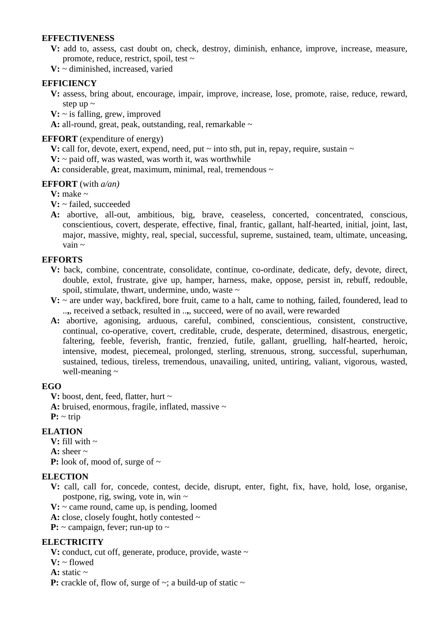### **EFFECTIVENESS**

- **V:** add to, assess, cast doubt on, check, destroy, diminish, enhance, improve, increase, measure, promote, reduce, restrict, spoil, test ~
- **V:** ~ diminished, increased, varied

### **EFFICIENCY**

 **V:** assess, bring about, encourage, impair, improve, increase, lose, promote, raise, reduce, reward, step up  $\sim$ 

 **V:** ~ is falling, grew, improved

A: all-round, great, peak, outstanding, real, remarkable  $\sim$ 

#### **EFFORT** (expenditure of energy)

**V:** call for, devote, exert, expend, need, put  $\sim$  into sth, put in, repay, require, sustain  $\sim$ 

**V:**  $\sim$  paid off, was wasted, was worth it, was worthwhile

A: considerable, great, maximum, minimal, real, tremendous  $\sim$ 

### **EFFORT** (with *a/an)*

**V:** make  $\sim$ 

- **V:** ~ failed, succeeded
- A: abortive, all-out, ambitious, big, brave, ceaseless, concerted, concentrated, conscious, conscientious, covert, desperate, effective, final, frantic, gallant, half-hearted, initial, joint, last, major, massive, mighty, real, special, successful, supreme, sustained, team, ultimate, unceasing, vain  $\sim$

#### **EFFORTS**

- **V:** back, combine, concentrate, consolidate, continue, co-ordinate, dedicate, defy, devote, direct, double, extol, frustrate, give up, hamper, harness, make, oppose, persist in, rebuff, redouble, spoil, stimulate, thwart, undermine, undo, waste  $\sim$
- **V:** ~ are under way, backfired, bore fruit, came to a halt, came to nothing, failed, foundered, lead to ..**,**, received a setback, resulted in ..**,**, succeed, were of no avail, were rewarded
- A: abortive, agonising, arduous, careful, combined, conscientious, consistent, constructive, continual, co-operative, covert, creditable, crude, desperate, determined, disastrous, energetic, faltering, feeble, feverish, frantic, frenzied, futile, gallant, gruelling, half-hearted, heroic, intensive, modest, piecemeal, prolonged, sterling, strenuous, strong, successful, superhuman, sustained, tedious, tireless, tremendous, unavailing, united, untiring, valiant, vigorous, wasted, well-meaning  $\sim$

### **EGO**

**V:** boost, dent, feed, flatter, hurt ~

- A: bruised, enormous, fragile, inflated, massive ~
- $P: ~$  trip

### **ELATION**

 $V:$  fill with  $\sim$ 

 $A:$  sheer  $\sim$ 

**P:** look of, mood of, surge of  $\sim$ 

### **ELECTION**

 **V:** call, call for, concede, contest, decide, disrupt, enter, fight, fix, have, hold, lose, organise, postpone, rig, swing, vote in, win  $\sim$ 

 $V: \sim$  came round, came up, is pending, loomed

A: close, closely fought, hotly contested  $\sim$ 

**P:**  $\sim$  campaign, fever; run-up to  $\sim$ 

### **ELECTRICITY**

V: conduct, cut off, generate, produce, provide, waste ~

 $V: \sim$  flowed

A:  $static \sim$ 

**P:** crackle of, flow of, surge of  $\sim$ ; a build-up of static  $\sim$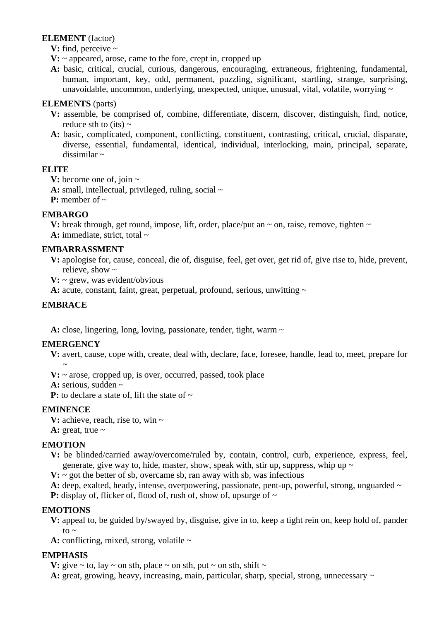## **ELEMENT** (factor)

**V:** find, perceive  $\sim$ 

**V:**  $\sim$  appeared, arose, came to the fore, crept in, cropped up

 **A:** basic, critical, crucial, curious, dangerous, encouraging, extraneous, frightening, fundamental, human, important, key, odd, permanent, puzzling, significant, startling, strange, surprising, unavoidable, uncommon, underlying, unexpected, unique, unusual, vital, volatile, worrying ~

## **ELEMENTS** (parts)

- **V:** assemble, be comprised of, combine, differentiate, discern, discover, distinguish, find, notice, reduce sth to (its)  $\sim$
- **A:** basic, complicated, component, conflicting, constituent, contrasting, critical, crucial, disparate, diverse, essential, fundamental, identical, individual, interlocking, main, principal, separate, dissimilar  $\sim$

## **ELITE**

**V:** become one of, join  $\sim$ 

A: small, intellectual, privileged, ruling, social  $\sim$ 

**P:** member of  $\sim$ 

## **EMBARGO**

**V:** break through, get round, impose, lift, order, place/put an  $\sim$  on, raise, remove, tighten  $\sim$ 

A: immediate, strict, total  $\sim$ 

## **EMBARRASSMENT**

 **V:** apologise for, cause, conceal, die of, disguise, feel, get over, get rid of, give rise to, hide, prevent, relieve, show  $\sim$ 

 **V:** ~ grew, was evident/obvious

 **A:** acute, constant, faint, great, perpetual, profound, serious, unwitting ~

## **EMBRACE**

A: close, lingering, long, loving, passionate, tender, tight, warm  $\sim$ 

## **EMERGENCY**

 **V:** avert, cause, cope with, create, deal with, declare, face, foresee, handle, lead to, meet, prepare for  $\sim$ 

**V:** ~ arose, cropped up, is over, occurred, passed, took place

A: serious, sudden ~

**P:** to declare a state of, lift the state of  $\sim$ 

## **EMINENCE**

**V:** achieve, reach, rise to, win  $\sim$ 

**A:** great, true  $\sim$ 

## **EMOTION**

 **V:** be blinded/carried away/overcome/ruled by, contain, control, curb, experience, express, feel, generate, give way to, hide, master, show, speak with, stir up, suppress, whip up  $\sim$ 

 $V: \sim$  got the better of sb, overcame sb, ran away with sb, was infectious

 **A:** deep, exalted, heady, intense, overpowering, passionate, pent-up, powerful, strong, unguarded ~ **P:** display of, flicker of, flood of, rush of, show of, upsurge of  $\sim$ 

## **EMOTIONS**

**V:** appeal to, be guided by/swayed by, disguise, give in to, keep a tight rein on, keep hold of, pander to  $\sim$ 

A: conflicting, mixed, strong, volatile ~

## **EMPHASIS**

**V:** give  $\sim$  to, lay  $\sim$  on sth, place  $\sim$  on sth, put  $\sim$  on sth, shift  $\sim$ 

A: great, growing, heavy, increasing, main, particular, sharp, special, strong, unnecessary  $\sim$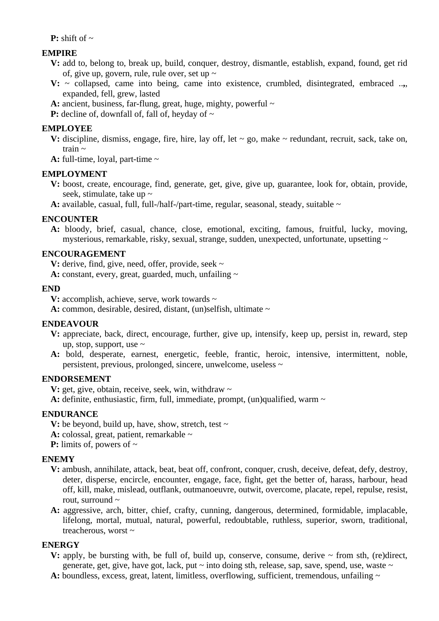**P:** shift of  $\sim$ 

# **EMPIRE**

- **V:** add to, belong to, break up, build, conquer, destroy, dismantle, establish, expand, found, get rid of, give up, govern, rule, rule over, set up  $\sim$
- **V:** ~ collapsed, came into being, came into existence, crumbled, disintegrated, embraced ..**,**, expanded, fell, grew, lasted
- A: ancient, business, far-flung, great, huge, mighty, powerful ~

**P:** decline of, downfall of, fall of, heyday of  $\sim$ 

## **EMPLOYEE**

- **V:** discipline, dismiss, engage, fire, hire, lay off, let  $\sim$  go, make  $\sim$  redundant, recruit, sack, take on, train ~
- A: full-time, loyal, part-time ~

## **EMPLOYMENT**

 **V:** boost, create, encourage, find, generate, get, give, give up, guarantee, look for, obtain, provide, seek, stimulate, take up  $\sim$ 

A: available, casual, full, full-/half-/part-time, regular, seasonal, steady, suitable ~

## **ENCOUNTER**

 **A:** bloody, brief, casual, chance, close, emotional, exciting, famous, fruitful, lucky, moving, mysterious, remarkable, risky, sexual, strange, sudden, unexpected, unfortunate, upsetting ~

## **ENCOURAGEMENT**

**V:** derive, find, give, need, offer, provide, seek  $\sim$ 

A: constant, every, great, guarded, much, unfailing  $\sim$ 

## **END**

**V:** accomplish, achieve, serve, work towards  $\sim$ 

A: common, desirable, desired, distant, (un)selfish, ultimate ~

## **ENDEAVOUR**

- **V:** appreciate, back, direct, encourage, further, give up, intensify, keep up, persist in, reward, step up, stop, support, use ~
- **A:** bold, desperate, earnest, energetic, feeble, frantic, heroic, intensive, intermittent, noble, persistent, previous, prolonged, sincere, unwelcome, useless ~

## **ENDORSEMENT**

**V:** get, give, obtain, receive, seek, win, withdraw  $\sim$ 

 **A:** definite, enthusiastic, firm, full, immediate, prompt, (un)qualified, warm ~

## **ENDURANCE**

**V:** be beyond, build up, have, show, stretch, test  $\sim$ 

 **A:** colossal, great, patient, remarkable ~

**P:** limits of, powers of  $\sim$ 

## **ENEMY**

- **V:** ambush, annihilate, attack, beat, beat off, confront, conquer, crush, deceive, defeat, defy, destroy, deter, disperse, encircle, encounter, engage, face, fight, get the better of, harass, harbour, head off, kill, make, mislead, outflank, outmanoeuvre, outwit, overcome, placate, repel, repulse, resist, rout, surround ~
- **A:** aggressive, arch, bitter, chief, crafty, cunning, dangerous, determined, formidable, implacable, lifelong, mortal, mutual, natural, powerful, redoubtable, ruthless, superior, sworn, traditional, treacherous, worst ~

## **ENERGY**

- **V:** apply, be bursting with, be full of, build up, conserve, consume, derive  $\sim$  from sth, (re)direct, generate, get, give, have got, lack, put  $\sim$  into doing sth, release, sap, save, spend, use, waste  $\sim$
- A: boundless, excess, great, latent, limitless, overflowing, sufficient, tremendous, unfailing ~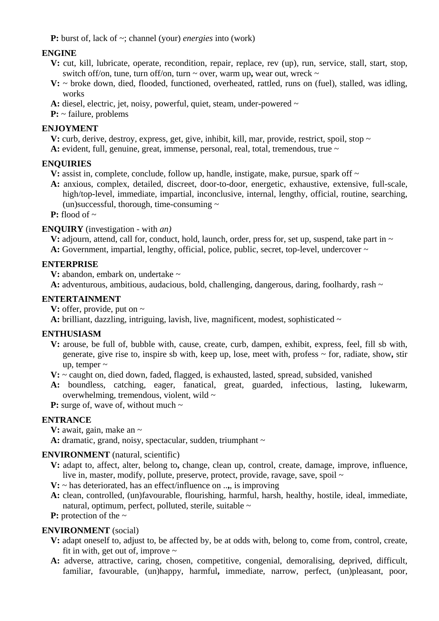**P:** burst of, lack of  $\sim$ ; channel (your) *energies* into (work)

## **ENGINE**

- **V:** cut, kill, lubricate, operate, recondition, repair, replace, rev (up), run, service, stall, start, stop, switch off/on, tune, turn off/on, turn  $\sim$  over, warm up, wear out, wreck  $\sim$
- **V:** ~ broke down, died, flooded, functioned, overheated, rattled, runs on (fuel), stalled, was idling, works
- A: diesel, electric, jet, noisy, powerful, quiet, steam, under-powered ~

 **P:** ~ failure, problems

## **ENJOYMENT**

**V:** curb, derive, destroy, express, get, give, inhibit, kill, mar, provide, restrict, spoil, stop ~ A: evident, full, genuine, great, immense, personal, real, total, tremendous, true ~

## **ENQUIRIES**

**V:** assist in, complete, conclude, follow up, handle, instigate, make, pursue, spark off  $\sim$ 

 **A:** anxious, complex, detailed, discreet, door-to-door, energetic, exhaustive, extensive, full-scale, high/top-level, immediate, impartial, inconclusive, internal, lengthy, official, routine, searching,  $(un)$ successful, thorough, time-consuming  $\sim$ 

**P:** flood of  $\sim$ 

### **ENQUIRY** (investigation - with *an)*

**V:** adjourn, attend, call for, conduct, hold, launch, order, press for, set up, suspend, take part in  $\sim$ A: Government, impartial, lengthy, official, police, public, secret, top-level, undercover  $\sim$ 

### **ENTERPRISE**

**V:** abandon, embark on, undertake ~

A: adventurous, ambitious, audacious, bold, challenging, dangerous, daring, foolhardy, rash ~

## **ENTERTAINMENT**

**V:** offer, provide, put on  $\sim$ 

 **A:** brilliant, dazzling, intriguing, lavish, live, magnificent, modest, sophisticated ~

### **ENTHUSIASM**

- **V:** arouse, be full of, bubble with, cause, create, curb, dampen, exhibit, express, feel, fill sb with, generate, give rise to, inspire sb with, keep up, lose, meet with, profess ~ for, radiate, show**,** stir up, temper  $\sim$
- **V:** ~ caught on, died down, faded, flagged, is exhausted, lasted, spread, subsided, vanished
- **A:** boundless, catching, eager, fanatical, great, guarded, infectious, lasting, lukewarm, overwhelming, tremendous, violent, wild ~

**P:** surge of, wave of, without much  $\sim$ 

## **ENTRANCE**

**V:** await, gain, make an  $\sim$ 

A: dramatic, grand, noisy, spectacular, sudden, triumphant ~

## **ENVIRONMENT** (natural, scientific)

- **V:** adapt to, affect, alter, belong to**,** change, clean up, control, create, damage, improve, influence, live in, master, modify, pollute, preserve, protect, provide, ravage, save, spoil  $\sim$
- **V:** ~ has deteriorated, has an effect/influence on ..**,**, is improving
- **A:** clean, controlled, (un)favourable, flourishing, harmful, harsh, healthy, hostile, ideal, immediate, natural, optimum, perfect, polluted, sterile, suitable ~
- **P:** protection of the  $\sim$

## **ENVIRONMENT** (social)

- **V:** adapt oneself to, adjust to, be affected by, be at odds with, belong to, come from, control, create, fit in with, get out of, improve  $\sim$
- **A:** adverse, attractive, caring, chosen, competitive, congenial, demoralising, deprived, difficult, familiar, favourable, (un)happy, harmful**,** immediate, narrow, perfect, (un)pleasant, poor,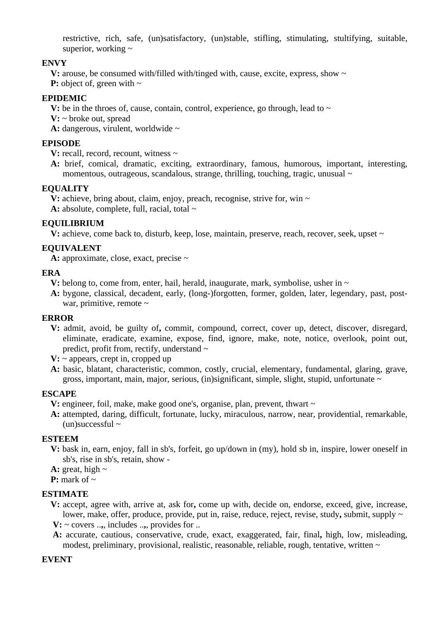restrictive, rich, safe, (un)satisfactory, (un)stable, stifling, stimulating, stultifying, suitable, superior, working  $\sim$ 

### **ENVY**

**V:** arouse, be consumed with/filled with/tinged with, cause, excite, express, show  $\sim$ 

**P:** object of, green with  $\sim$ 

# **EPIDEMIC**

**V:** be in the throes of, cause, contain, control, experience, go through, lead to  $\sim$ 

 **V:** ~ broke out, spread

A: dangerous, virulent, worldwide ~

## **EPISODE**

**V:** recall, record, recount, witness ~

 **A:** brief, comical, dramatic, exciting, extraordinary, famous, humorous, important, interesting, momentous, outrageous, scandalous, strange, thrilling, touching, tragic, unusual  $\sim$ 

## **EQUALITY**

**V:** achieve, bring about, claim, enjoy, preach, recognise, strive for, win  $\sim$ A: absolute, complete, full, racial, total  $\sim$ 

## **EQUILIBRIUM**

**V:** achieve, come back to, disturb, keep, lose, maintain, preserve, reach, recover, seek, upset  $\sim$ 

## **EQUIVALENT**

A: approximate, close, exact, precise ~

## **ERA**

**V:** belong to, come from, enter, hail, herald, inaugurate, mark, symbolise, usher in  $\sim$ 

 **A:** bygone, classical, decadent, early, (long-)forgotten, former, golden, later, legendary, past, postwar, primitive, remote  $\sim$ 

### **ERROR**

- **V:** admit, avoid, be guilty of**,** commit, compound, correct, cover up, detect, discover, disregard, eliminate, eradicate, examine, expose, find, ignore, make, note, notice, overlook, point out, predict, profit from, rectify, understand ~
- **V:** ~ appears, crept in, cropped up
- **A:** basic, blatant, characteristic, common, costly, crucial, elementary, fundamental, glaring, grave, gross, important, main, major, serious, (in)significant, simple, slight, stupid, unfortunate  $\sim$

## **ESCAPE**

**V:** engineer, foil, make, make good one's, organise, plan, prevent, thwart  $\sim$ 

 **A:** attempted, daring, difficult, fortunate, lucky, miraculous, narrow, near, providential, remarkable, (un)successful  $\sim$ 

## **ESTEEM**

- **V:** bask in, earn, enjoy, fall in sb's, forfeit, go up/down in (my), hold sb in, inspire, lower oneself in sb's, rise in sb's, retain, show -
- **A:** great, high  $\sim$

**P:** mark of  $\sim$ 

## **ESTIMATE**

- **V:** accept, agree with, arrive at, ask for**,** come up with, decide on, endorse, exceed, give, increase, lower, make, offer, produce, provide, put in, raise, reduce, reject, revise, study, submit, supply  $\sim$
- $V: \sim$  covers ..., includes ..., provides for ...
- **A:** accurate, cautious, conservative, crude, exact, exaggerated, fair, final**,** high, low, misleading, modest, preliminary, provisional, realistic, reasonable, reliable, rough, tentative, written ~

### **EVENT**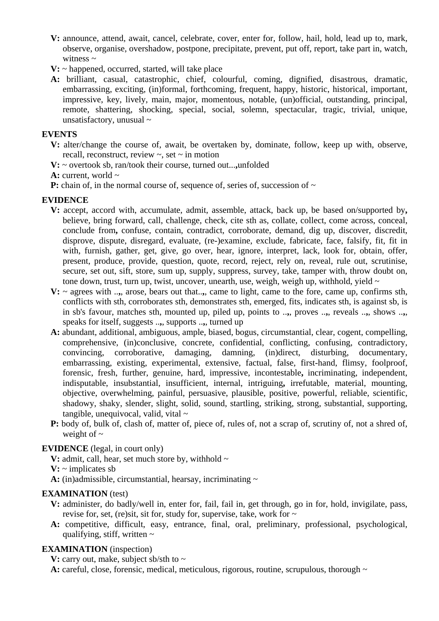- **V:** announce, attend, await, cancel, celebrate, cover, enter for, follow, hail, hold, lead up to, mark, observe, organise, overshadow, postpone, precipitate, prevent, put off, report, take part in, watch, witness  $\sim$
- **V:** ~ happened, occurred, started, will take place
- **A:** brilliant, casual, catastrophic, chief, colourful, coming, dignified, disastrous, dramatic, embarrassing, exciting, (in)formal, forthcoming, frequent, happy, historic, historical, important, impressive, key, lively, main, major, momentous, notable, (un)official, outstanding, principal, remote, shattering, shocking, special, social, solemn, spectacular, tragic, trivial, unique, unsatisfactory, unusual ~

### **EVENTS**

 **V:** alter/change the course of, await, be overtaken by, dominate, follow, keep up with, observe, recall, reconstruct, review  $\sim$ , set  $\sim$  in motion

 **V:** ~ overtook sb, ran/took their course, turned out...**,**unfolded

**A:** current, world  $\sim$ 

**P:** chain of, in the normal course of, sequence of, series of, succession of  $\sim$ 

## **EVIDENCE**

- **V:** accept, accord with, accumulate, admit, assemble, attack, back up, be based on/supported by**,**  believe, bring forward, call, challenge, check, cite sth as, collate, collect, come across, conceal, conclude from**,** confuse, contain, contradict, corroborate, demand, dig up, discover, discredit, disprove, dispute, disregard, evaluate, (re-)examine, exclude, fabricate, face, falsify, fit, fit in with, furnish, gather, get, give, go over, hear, ignore, interpret, lack, look for, obtain, offer, present, produce, provide, question, quote, record, reject, rely on, reveal, rule out, scrutinise, secure, set out, sift, store, sum up, supply, suppress, survey, take, tamper with, throw doubt on, tone down, trust, turn up, twist, uncover, unearth, use, weigh, weigh up, withhold, yield  $\sim$
- **V:** ~ agrees with ..**,**, arose, bears out that..**,**, came to light, came to the fore, came up, confirms sth, conflicts with sth, corroborates sth, demonstrates sth, emerged, fits, indicates sth, is against sb, is in sb's favour, matches sth, mounted up, piled up, points to ..**,**, proves ..**,**, reveals ..**,**, shows ..**,**, speaks for itself, suggests ..**,**, supports ..**,**, turned up
- **A:** abundant, additional, ambiguous, ample, biased, bogus, circumstantial, clear, cogent, compelling, comprehensive, (in)conclusive, concrete, confidential, conflicting, confusing, contradictory, convincing, corroborative, damaging, damning, (in)direct, disturbing, documentary, embarrassing, existing, experimental, extensive, factual, false, first-hand, flimsy, foolproof, forensic, fresh, further, genuine, hard, impressive, incontestable**,** incriminating, independent, indisputable, insubstantial, insufficient, internal, intriguing**,** irrefutable, material, mounting, objective, overwhelming, painful, persuasive, plausible, positive, powerful, reliable, scientific, shadowy, shaky, slender, slight, solid, sound, startling, striking, strong, substantial, supporting, tangible, unequivocal, valid, vital  $\sim$
- **P:** body of, bulk of, clash of, matter of, piece of, rules of, not a scrap of, scrutiny of, not a shred of, weight of  $\sim$

### **EVIDENCE** (legal, in court only)

**V:** admit, call, hear, set much store by, withhold  $\sim$ 

**V:** ~ implicates sb

 **A:** (in)admissible, circumstantial, hearsay, incriminating ~

### **EXAMINATION** (test)

- **V:** administer, do badly/well in, enter for, fail, fail in, get through, go in for, hold, invigilate, pass, revise for, set, (re)sit, sit for, study for, supervise, take, work for  $\sim$
- **A:** competitive, difficult, easy, entrance, final, oral, preliminary, professional, psychological, qualifying, stiff, written  $\sim$

## **EXAMINATION** (inspection)

**V:** carry out, make, subject sb/sth to  $\sim$ 

A: careful, close, forensic, medical, meticulous, rigorous, routine, scrupulous, thorough  $\sim$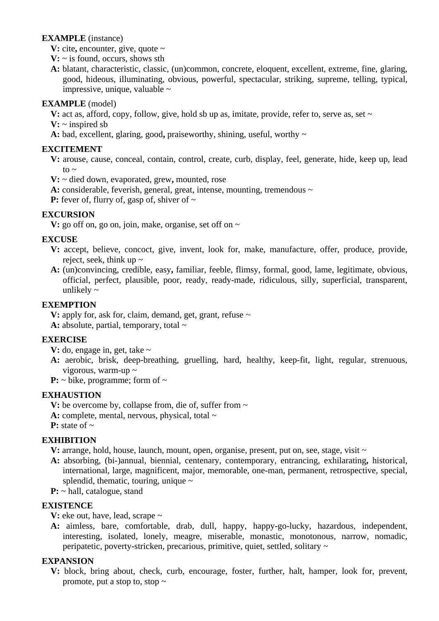## **EXAMPLE** (instance)

**V:** cite, encounter, give, quote ~

**V:**  $\sim$  is found, occurs, shows sth

 **A:** blatant, characteristic, classic, (un)common, concrete, eloquent, excellent, extreme, fine, glaring, good, hideous, illuminating, obvious, powerful, spectacular, striking, supreme, telling, typical, impressive, unique, valuable  $\sim$ 

# **EXAMPLE** (model)

**V:** act as, afford, copy, follow, give, hold sb up as, imitate, provide, refer to, serve as, set  $\sim$ 

## $V: \sim$  inspired sb

 **A:** bad, excellent, glaring, good**,** praiseworthy, shining, useful, worthy ~

## **EXCITEMENT**

 **V:** arouse, cause, conceal, contain, control, create, curb, display, feel, generate, hide, keep up, lead to  $\sim$ 

 **V:** ~ died down, evaporated, grew**,** mounted, rose

 **A:** considerable, feverish, general, great, intense, mounting, tremendous ~

**P:** fever of, flurry of, gasp of, shiver of  $\sim$ 

# **EXCURSION**

**V:** go off on, go on, join, make, organise, set off on  $\sim$ 

# **EXCUSE**

- **V:** accept, believe, concoct, give, invent, look for, make, manufacture, offer, produce, provide, reject, seek, think up  $\sim$
- **A:** (un)convincing, credible, easy**,** familiar, feeble, flimsy, formal, good, lame, legitimate, obvious, official, perfect, plausible, poor, ready, ready-made, ridiculous, silly, superficial, transparent, unlikely  $\sim$

## **EXEMPTION**

**V:** apply for, ask for, claim, demand, get, grant, refuse  $\sim$ 

A: absolute, partial, temporary, total  $\sim$ 

## **EXERCISE**

**V:** do, engage in, get, take  $\sim$ 

- **A:** aerobic, brisk, deep-breathing, gruelling, hard, healthy, keep-fit, light, regular, strenuous, vigorous, warm-up ~
- **P:**  $\sim$  bike, programme; form of  $\sim$

## **EXHAUSTION**

**V:** be overcome by, collapse from, die of, suffer from  $\sim$ 

A: complete, mental, nervous, physical, total  $\sim$ 

**P:** state of  $\sim$ 

## **EXHIBITION**

- **V:** arrange, hold, house, launch, mount, open, organise, present, put on, see, stage, visit ~
- **A:** absorbing, (bi-)annual, biennial, centenary, contemporary, entrancing, exhilarating**,** historical, international, large, magnificent, major, memorable, one-man, permanent, retrospective, special, splendid, thematic, touring, unique  $\sim$
- **P:** ~ hall, catalogue, stand

## **EXISTENCE**

**V:** eke out, have, lead, scrape  $\sim$ 

 **A:** aimless, bare, comfortable, drab, dull, happy, happy-go-lucky, hazardous, independent, interesting, isolated, lonely, meagre, miserable, monastic, monotonous, narrow, nomadic, peripatetic, poverty-stricken, precarious, primitive, quiet, settled, solitary ~

## **EXPANSION**

 **V:** block, bring about, check, curb, encourage, foster, further, halt, hamper, look for, prevent, promote, put a stop to, stop  $\sim$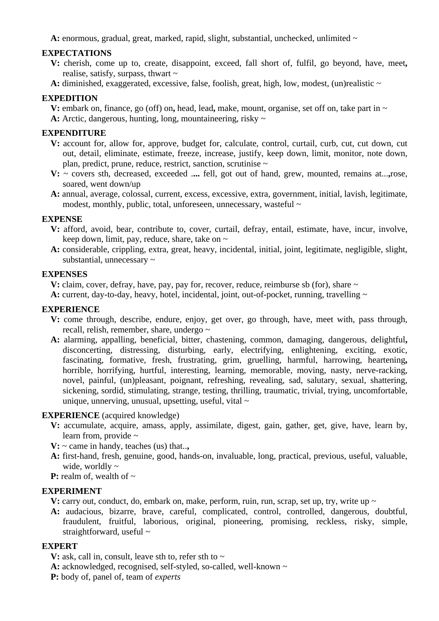**A:** enormous, gradual, great, marked, rapid, slight, substantial, unchecked, unlimited  $\sim$ 

## **EXPECTATIONS**

- **V:** cherish, come up to, create, disappoint, exceed, fall short of, fulfil, go beyond, have, meet**,**  realise, satisfy, surpass, thwart  $\sim$
- A: diminished, exaggerated, excessive, false, foolish, great, high, low, modest, (un)realistic  $\sim$

## **EXPEDITION**

**V:** embark on, finance, go (off) on, head, lead, make, mount, organise, set off on, take part in  $\sim$  **A:** Arctic, dangerous, hunting, long, mountaineering, risky ~

### **EXPENDITURE**

- **V:** account for, allow for, approve, budget for, calculate, control, curtail, curb, cut, cut down, cut out, detail, eliminate, estimate, freeze, increase, justify, keep down, limit, monitor, note down, plan, predict, prune, reduce, restrict, sanction, scrutinise ~
- **V:** ~ covers sth, decreased, exceeded .**...** fell, got out of hand, grew, mounted, remains at...**,**rose, soared, went down/up
- **A:** annual, average, colossal, current, excess, excessive, extra, government, initial, lavish, legitimate, modest, monthly, public, total, unforeseen, unnecessary, wasteful ~

### **EXPENSE**

- **V:** afford, avoid, bear, contribute to, cover, curtail, defray, entail, estimate, have, incur, involve, keep down, limit, pay, reduce, share, take on  $\sim$
- **A:** considerable, crippling, extra, great, heavy, incidental, initial, joint, legitimate, negligible, slight, substantial, unnecessary ~

### **EXPENSES**

**V:** claim, cover, defray, have, pay, pay for, recover, reduce, reimburse sb (for), share  $\sim$ 

A: current, day-to-day, heavy, hotel, incidental, joint, out-of-pocket, running, travelling ~

### **EXPERIENCE**

- **V:** come through, describe, endure, enjoy, get over, go through, have, meet with, pass through, recall, relish, remember, share, undergo ~
- **A:** alarming, appalling, beneficial, bitter, chastening, common, damaging, dangerous, delightful**,**  disconcerting, distressing, disturbing, early, electrifying, enlightening, exciting, exotic, fascinating, formative, fresh, frustrating, grim, gruelling, harmful, harrowing, heartening**,**  horrible, horrifying, hurtful, interesting, learning, memorable, moving, nasty, nerve-racking, novel, painful, (un)pleasant, poignant, refreshing, revealing, sad, salutary, sexual, shattering, sickening, sordid, stimulating, strange, testing, thrilling, traumatic, trivial, trying, uncomfortable, unique, unnerving, unusual, upsetting, useful, vital  $\sim$

### **EXPERIENCE** (acquired knowledge)

- **V:** accumulate, acquire, amass, apply, assimilate, digest, gain, gather, get, give, have, learn by, learn from, provide  $\sim$
- $V: \sim$  came in handy, teaches (us) that...
- **A:** first-hand, fresh, genuine, good, hands-on, invaluable, long, practical, previous, useful, valuable, wide, worldly  $\sim$
- **P:** realm of, wealth of  $\sim$

### **EXPERIMENT**

- **V:** carry out, conduct, do, embark on, make, perform, ruin, run, scrap, set up, try, write up ~
- A: audacious, bizarre, brave, careful, complicated, control, controlled, dangerous, doubtful, fraudulent, fruitful, laborious, original, pioneering, promising, reckless, risky, simple, straightforward, useful ~

## **EXPERT**

**V:** ask, call in, consult, leave sth to, refer sth to  $\sim$ 

- A: acknowledged, recognised, self-styled, so-called, well-known  $\sim$
- **P:** body of, panel of, team of *experts*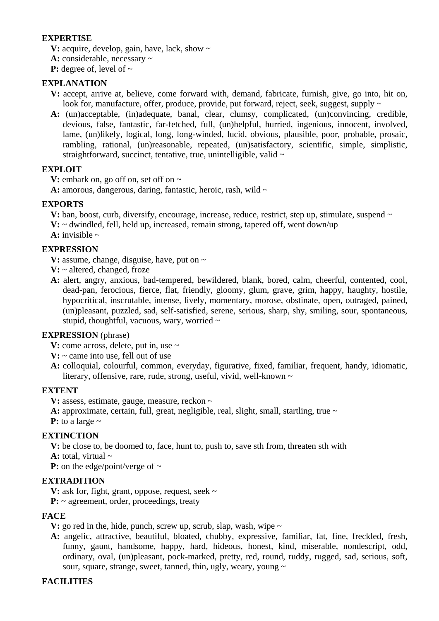## **EXPERTISE**

**V:** acquire, develop, gain, have, lack, show  $\sim$ 

A: considerable, necessary  $\sim$ 

**P:** degree of, level of  $\sim$ 

# **EXPLANATION**

- **V:** accept, arrive at, believe, come forward with, demand, fabricate, furnish, give, go into, hit on, look for, manufacture, offer, produce, provide, put forward, reject, seek, suggest, supply  $\sim$
- **A:** (un)acceptable, (in)adequate, banal, clear, clumsy, complicated, (un)convincing, credible, devious, false, fantastic, far-fetched, full, (un)helpful, hurried, ingenious, innocent, involved, lame, (un)likely, logical, long, long-winded, lucid, obvious, plausible, poor, probable, prosaic, rambling, rational, (un)reasonable, repeated, (un)satisfactory, scientific, simple, simplistic, straightforward, succinct, tentative, true, unintelligible, valid ~

## **EXPLOIT**

**V:** embark on, go off on, set off on  $\sim$ 

A: amorous, dangerous, daring, fantastic, heroic, rash, wild ~

# **EXPORTS**

**V:** ban, boost, curb, diversify, encourage, increase, reduce, restrict, step up, stimulate, suspend  $\sim$  **V:** ~ dwindled, fell, held up, increased, remain strong, tapered off, went down/up **A:** invisible  $\sim$ 

## **EXPRESSION**

**V:** assume, change, disguise, have, put on  $\sim$ 

- **V:** ~ altered, changed, froze
- **A:** alert, angry, anxious, bad-tempered, bewildered, blank, bored, calm, cheerful, contented, cool, dead-pan, ferocious, fierce, flat, friendly, gloomy, glum, grave, grim, happy, haughty, hostile, hypocritical, inscrutable, intense, lively, momentary, morose, obstinate, open, outraged, pained, (un)pleasant, puzzled, sad, self-satisfied, serene, serious, sharp, shy, smiling, sour, spontaneous, stupid, thoughtful, vacuous, wary, worried  $\sim$

## **EXPRESSION** (phrase)

**V:** come across, delete, put in, use  $\sim$ 

- **V:**  $\sim$  came into use, fell out of use
- **A:** colloquial, colourful, common, everyday, figurative, fixed, familiar, frequent, handy, idiomatic, literary, offensive, rare, rude, strong, useful, vivid, well-known ~

## **EXTENT**

**V:** assess, estimate, gauge, measure, reckon ~

A: approximate, certain, full, great, negligible, real, slight, small, startling, true ~

**P:** to a large  $\sim$ 

## **EXTINCTION**

 **V:** be close to, be doomed to, face, hunt to, push to, save sth from, threaten sth with

 **A:** total, virtual ~

**P:** on the edge/point/verge of  $\sim$ 

## **EXTRADITION**

**V:** ask for, fight, grant, oppose, request, seek  $\sim$ 

**P:**  $\sim$  agreement, order, proceedings, treaty

## **FACE**

**V:** go red in the, hide, punch, screw up, scrub, slap, wash, wipe  $\sim$ 

 **A:** angelic, attractive, beautiful, bloated, chubby, expressive, familiar, fat, fine, freckled, fresh, funny, gaunt, handsome, happy, hard, hideous, honest, kind, miserable, nondescript, odd, ordinary, oval, (un)pleasant, pock-marked, pretty, red, round, ruddy, rugged, sad, serious, soft, sour, square, strange, sweet, tanned, thin, ugly, weary, young  $\sim$ 

# **FACILITIES**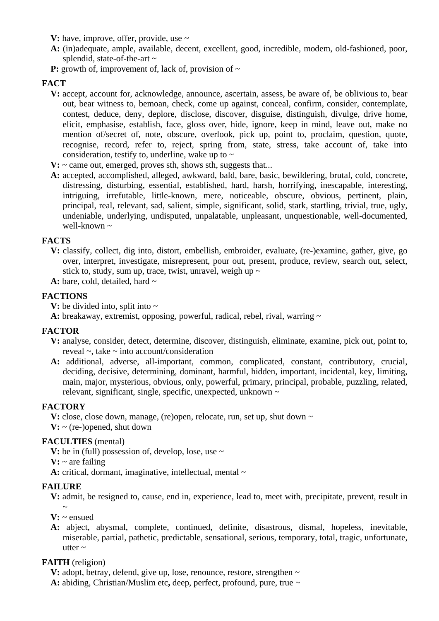- **V:** have, improve, offer, provide, use  $\sim$
- **A:** (in)adequate, ample, available, decent, excellent, good, incredible, modem, old-fashioned, poor, splendid, state-of-the-art  $\sim$
- **P:** growth of, improvement of, lack of, provision of  $\sim$

## **FACT**

- **V:** accept, account for, acknowledge, announce, ascertain, assess, be aware of, be oblivious to, bear out, bear witness to, bemoan, check, come up against, conceal, confirm, consider, contemplate, contest, deduce, deny, deplore, disclose, discover, disguise, distinguish, divulge, drive home, elicit, emphasise, establish, face, gloss over, hide, ignore, keep in mind, leave out, make no mention of/secret of, note, obscure, overlook, pick up, point to, proclaim, question, quote, recognise, record, refer to, reject, spring from, state, stress, take account of, take into consideration, testify to, underline, wake up to  $\sim$
- **V:**  $\sim$  came out, emerged, proves sth, shows sth, suggests that...
- **A:** accepted, accomplished, alleged, awkward, bald, bare, basic, bewildering, brutal, cold, concrete, distressing, disturbing, essential, established, hard, harsh, horrifying, inescapable, interesting, intriguing, irrefutable, little-known, mere, noticeable, obscure, obvious, pertinent, plain, principal, real, relevant, sad, salient, simple, significant, solid, stark, startling, trivial, true, ugly, undeniable, underlying, undisputed, unpalatable, unpleasant, unquestionable, well-documented, well-known ~

### **FACTS**

 **V:** classify, collect, dig into, distort, embellish, embroider, evaluate, (re-)examine, gather, give, go over, interpret, investigate, misrepresent, pour out, present, produce, review, search out, select, stick to, study, sum up, trace, twist, unravel, weigh up  $\sim$ 

A: bare, cold, detailed, hard  $\sim$ 

### **FACTIONS**

**V:** be divided into, split into  $\sim$ 

 **A:** breakaway, extremist, opposing, powerful, radical, rebel, rival, warring ~

### **FACTOR**

- **V:** analyse, consider, detect, determine, discover, distinguish, eliminate, examine, pick out, point to, reveal  $\sim$ , take  $\sim$  into account/consideration
- **A:** additional, adverse, all-important, common, complicated, constant, contributory, crucial, deciding, decisive, determining, dominant, harmful, hidden, important, incidental, key, limiting, main, major, mysterious, obvious, only, powerful, primary, principal, probable, puzzling, related, relevant, significant, single, specific, unexpected, unknown  $\sim$

#### **FACTORY**

**V:** close, close down, manage, (re)open, relocate, run, set up, shut down  $\sim$  $V: ~ (re-)opened, shut down$ 

### **FACULTIES** (mental)

**V:** be in (full) possession of, develop, lose, use  $\sim$ 

 $V: \sim$  are failing

A: critical, dormant, imaginative, intellectual, mental  $\sim$ 

#### **FAILURE**

 **V:** admit, be resigned to, cause, end in, experience, lead to, meet with, precipitate, prevent, result in  $\sim$ 

- $V: \sim$  ensued
- **A:** abject, abysmal, complete, continued, definite, disastrous, dismal, hopeless, inevitable, miserable, partial, pathetic, predictable, sensational, serious, temporary, total, tragic, unfortunate, utter  $\sim$

### **FAITH** (religion)

V: adopt, betray, defend, give up, lose, renounce, restore, strengthen  $\sim$ 

 **A:** abiding, Christian/Muslim etc**,** deep, perfect, profound, pure, true ~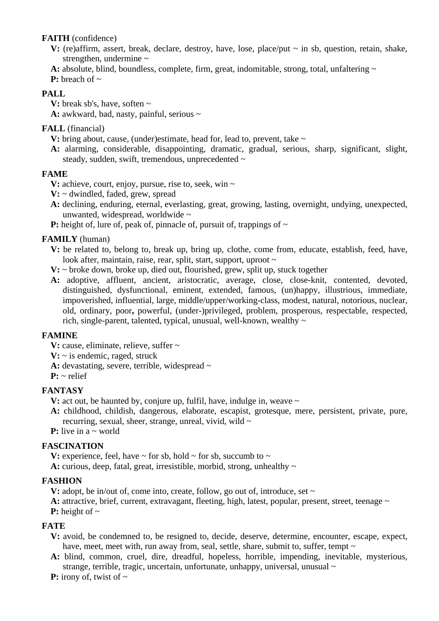## **FAITH** (confidence)

- V: (re)affirm, assert, break, declare, destroy, have, lose, place/put ~ in sb, question, retain, shake, strengthen, undermine ~
- A: absolute, blind, boundless, complete, firm, great, indomitable, strong, total, unfaltering  $\sim$

**P:** breach of  $\sim$ 

## **PALL**

**V:** break sb's, have, soften  $\sim$ 

 **A:** awkward, bad, nasty, painful, serious ~

# **FALL** (financial)

- **V:** bring about, cause, (under)estimate, head for, lead to, prevent, take  $\sim$
- **A:** alarming, considerable, disappointing, dramatic, gradual, serious, sharp, significant, slight, steady, sudden, swift, tremendous, unprecedented ~

## **FAME**

**V:** achieve, court, enjoy, pursue, rise to, seek, win  $\sim$ 

- **V:** ~ dwindled, faded, grew, spread
- **A:** declining, enduring, eternal, everlasting, great, growing, lasting, overnight, undying, unexpected, unwanted, widespread, worldwide ~

**P:** height of, lure of, peak of, pinnacle of, pursuit of, trappings of  $\sim$ 

## **FAMILY** (human)

- **V:** be related to, belong to, break up, bring up, clothe, come from, educate, establish, feed, have, look after, maintain, raise, rear, split, start, support, uproot  $\sim$
- **V:** ~ broke down, broke up, died out, flourished, grew, split up, stuck together
- **A:** adoptive, affluent, ancient, aristocratic, average, close, close-knit, contented, devoted, distinguished, dysfunctional, eminent, extended, famous, (un)happy, illustrious, immediate, impoverished, influential, large, middle/upper/working-class, modest, natural, notorious, nuclear, old, ordinary, poor**,** powerful, (under-)privileged, problem, prosperous, respectable, respected, rich, single-parent, talented, typical, unusual, well-known, wealthy  $\sim$

## **FAMINE**

- **V:** cause, eliminate, relieve, suffer ~
- **V:** ~ is endemic, raged, struck
- A: devastating, severe, terrible, widespread  $\sim$

 $P: ~$  relief

## **FANTASY**

**V:** act out, be haunted by, conjure up, fulfil, have, indulge in, weave  $\sim$ 

- **A:** childhood, childish, dangerous, elaborate, escapist, grotesque, mere, persistent, private, pure, recurring, sexual, sheer, strange, unreal, vivid, wild  $\sim$
- **P:** live in a  $\sim$  world

## **FASCINATION**

**V:** experience, feel, have  $\sim$  for sb, hold  $\sim$  for sb, succumb to  $\sim$ **A:** curious, deep, fatal, great, irresistible, morbid, strong, unhealthy  $\sim$ 

## **FASHION**

**V:** adopt, be in/out of, come into, create, follow, go out of, introduce, set  $\sim$ 

A: attractive, brief, current, extravagant, fleeting, high, latest, popular, present, street, teenage ~

**P:** height of  $\sim$ 

## **FATE**

- **V:** avoid, be condemned to, be resigned to, decide, deserve, determine, encounter, escape, expect, have, meet, meet with, run away from, seal, settle, share, submit to, suffer, tempt  $\sim$
- **A:** blind, common, cruel, dire, dreadful, hopeless, horrible, impending, inevitable, mysterious, strange, terrible, tragic, uncertain, unfortunate, unhappy, universal, unusual ~
- **P:** irony of, twist of  $\sim$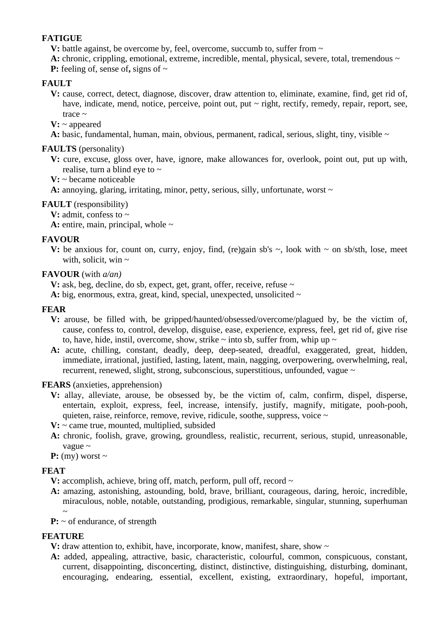# **FATIGUE**

**V:** battle against, be overcome by, feel, overcome, succumb to, suffer from  $\sim$ 

A: chronic, crippling, emotional, extreme, incredible, mental, physical, severe, total, tremendous  $\sim$ **P:** feeling of, sense of, signs of  $\sim$ 

# **FAULT**

 **V:** cause, correct, detect, diagnose, discover, draw attention to, eliminate, examine, find, get rid of, have, indicate, mend, notice, perceive, point out, put ~ right, rectify, remedy, repair, report, see, trace  $\sim$ 

 **V:** ~ appeared

 **A:** basic, fundamental, human, main, obvious, permanent, radical, serious, slight, tiny, visible ~

## **FAULTS** (personality)

- **V:** cure, excuse, gloss over, have, ignore, make allowances for, overlook, point out, put up with, realise, turn a blind eye to  $\sim$
- **V:** ~ became noticeable
- A: annoying, glaring, irritating, minor, petty, serious, silly, unfortunate, worst  $\sim$

**FAULT** (responsibility)

**V:** admit, confess to  $\sim$ 

**A:** entire, main, principal, whole  $\sim$ 

## **FAVOUR**

**V:** be anxious for, count on, curry, enjoy, find, (re)gain sb's  $\sim$ , look with  $\sim$  on sb/sth, lose, meet with, solicit, win  $\sim$ 

## **FAVOUR** (with *a/an)*

**V:** ask, beg, decline, do sb, expect, get, grant, offer, receive, refuse ~

 **A:** big, enormous, extra, great, kind, special, unexpected, unsolicited ~

## **FEAR**

- **V:** arouse, be filled with, be gripped/haunted/obsessed/overcome/plagued by, be the victim of, cause, confess to, control, develop, disguise, ease, experience, express, feel, get rid of, give rise to, have, hide, instil, overcome, show, strike  $\sim$  into sb, suffer from, whip up  $\sim$
- **A:** acute, chilling, constant, deadly, deep, deep-seated, dreadful, exaggerated, great, hidden, immediate, irrational, justified, lasting, latent, main, nagging, overpowering, overwhelming, real, recurrent, renewed, slight, strong, subconscious, superstitious, unfounded, vague ~

### **FEARS** (anxieties, apprehension)

- **V:** allay, alleviate, arouse, be obsessed by, be the victim of, calm, confirm, dispel, disperse, entertain, exploit, express, feel, increase, intensify, justify, magnify, mitigate, pooh-pooh, quieten, raise, reinforce, remove, revive, ridicule, soothe, suppress, voice  $\sim$
- **V:** ~ came true, mounted, multiplied, subsided
- **A:** chronic, foolish, grave, growing, groundless, realistic, recurrent, serious, stupid, unreasonable, vague ~

**P:**  $(mv)$  worst  $\sim$ 

## **FEAT**

**V:** accomplish, achieve, bring off, match, perform, pull off, record  $\sim$ 

 **A:** amazing, astonishing, astounding, bold, brave, brilliant, courageous, daring, heroic, incredible, miraculous, noble, notable, outstanding, prodigious, remarkable, singular, stunning, superhuman  $\sim$ 

**P:**  $\sim$  of endurance, of strength

## **FEATURE**

**V:** draw attention to, exhibit, have, incorporate, know, manifest, share, show  $\sim$ 

 **A:** added, appealing, attractive, basic, characteristic, colourful, common, conspicuous, constant, current, disappointing, disconcerting, distinct, distinctive, distinguishing, disturbing, dominant, encouraging, endearing, essential, excellent, existing, extraordinary, hopeful, important,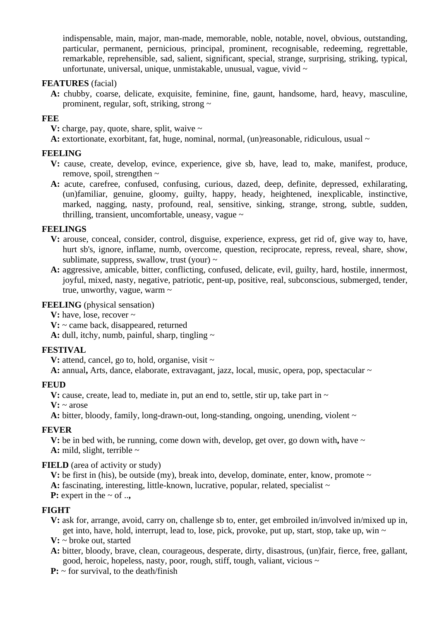indispensable, main, major, man-made, memorable, noble, notable, novel, obvious, outstanding, particular, permanent, pernicious, principal, prominent, recognisable, redeeming, regrettable, remarkable, reprehensible, sad, salient, significant, special, strange, surprising, striking, typical, unfortunate, universal, unique, unmistakable, unusual, vague, vivid ~

### **FEATURES** (facial)

 **A:** chubby, coarse, delicate, exquisite, feminine, fine, gaunt, handsome, hard, heavy, masculine, prominent, regular, soft, striking, strong ~

## **FEE**

**V:** charge, pay, quote, share, split, waive  $\sim$ 

 **A:** extortionate, exorbitant, fat, huge, nominal, normal, (un)reasonable, ridiculous, usual ~

### **FEELING**

- **V:** cause, create, develop, evince, experience, give sb, have, lead to, make, manifest, produce, remove, spoil, strengthen  $\sim$
- **A:** acute, carefree, confused, confusing, curious, dazed, deep, definite, depressed, exhilarating, (un)familiar, genuine, gloomy, guilty, happy, heady, heightened, inexplicable, instinctive, marked, nagging, nasty, profound, real, sensitive, sinking, strange, strong, subtle, sudden, thrilling, transient, uncomfortable, uneasy, vague ~

#### **FEELINGS**

- **V:** arouse, conceal, consider, control, disguise, experience, express, get rid of, give way to, have, hurt sb's, ignore, inflame, numb, overcome, question, reciprocate, repress, reveal, share, show, sublimate, suppress, swallow, trust (your)  $\sim$
- **A:** aggressive, amicable, bitter, conflicting, confused, delicate, evil, guilty, hard, hostile, innermost, joyful, mixed, nasty, negative, patriotic, pent-up, positive, real, subconscious, submerged, tender, true, unworthy, vague, warm  $\sim$

#### **FEELING** (physical sensation)

- **V:** have, lose, recover  $\sim$
- **V:** ~ came back, disappeared, returned

**A:** dull, itchy, numb, painful, sharp, tingling  $\sim$ 

### **FESTIVAL**

**V:** attend, cancel, go to, hold, organise, visit  $\sim$ 

 **A:** annual**,** Arts, dance, elaborate, extravagant, jazz, local, music, opera, pop, spectacular ~

#### **FEUD**

**V:** cause, create, lead to, mediate in, put an end to, settle, stir up, take part in  $\sim$ 

 $V: ~ \sim \text{arcse}$ 

A: bitter, bloody, family, long-drawn-out, long-standing, ongoing, unending, violent ~

### **FEVER**

**V**: be in bed with, be running, come down with, develop, get over, go down with, have  $\sim$  **A:** mild, slight, terrible ~

### **FIELD** (area of activity or study)

**V:** be first in (his), be outside (my), break into, develop, dominate, enter, know, promote  $\sim$ A: fascinating, interesting, little-known, lucrative, popular, related, specialist ~ **P:** expert in the  $\sim$  of ...

### **FIGHT**

- **V:** ask for, arrange, avoid, carry on, challenge sb to, enter, get embroiled in/involved in/mixed up in, get into, have, hold, interrupt, lead to, lose, pick, provoke, put up, start, stop, take up, win  $\sim$
- **V:** ~ broke out, started
- **A:** bitter, bloody, brave, clean, courageous, desperate, dirty, disastrous, (un)fair, fierce, free, gallant, good, heroic, hopeless, nasty, poor, rough, stiff, tough, valiant, vicious  $\sim$
- $P: \sim$  for survival, to the death/finish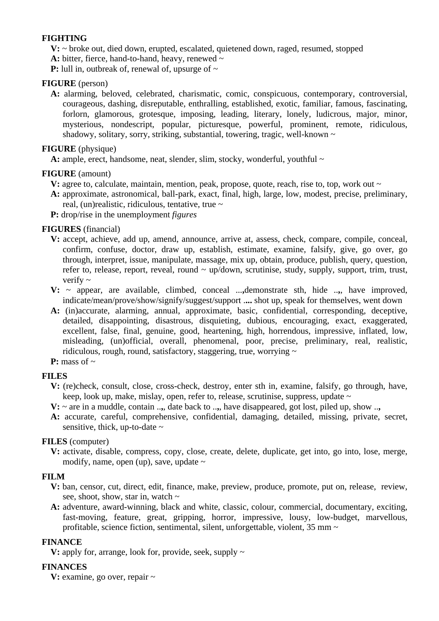## **FIGHTING**

 **V:** ~ broke out, died down, erupted, escalated, quietened down, raged, resumed, stopped A: bitter, fierce, hand-to-hand, heavy, renewed  $\sim$ 

**P:** lull in, outbreak of, renewal of, upsurge of  $\sim$ 

## **FIGURE** (person)

 **A:** alarming, beloved, celebrated, charismatic, comic, conspicuous, contemporary, controversial, courageous, dashing, disreputable, enthralling, established, exotic, familiar, famous, fascinating, forlorn, glamorous, grotesque, imposing, leading, literary, lonely, ludicrous, major, minor, mysterious, nondescript, popular, picturesque, powerful, prominent, remote, ridiculous, shadowy, solitary, sorry, striking, substantial, towering, tragic, well-known  $\sim$ 

### **FIGURE** (physique)

**A:** ample, erect, handsome, neat, slender, slim, stocky, wonderful, youthful ~

## **FIGURE** (amount)

- **V:** agree to, calculate, maintain, mention, peak, propose, quote, reach, rise to, top, work out  $\sim$
- **A:** approximate, astronomical, ball-park, exact, final, high, large, low, modest, precise, preliminary, real, (un)realistic, ridiculous, tentative, true  $\sim$
- **P:** drop/rise in the unemployment *figures*

## **FIGURES** (financial)

- **V:** accept, achieve, add up, amend, announce, arrive at, assess, check, compare, compile, conceal, confirm, confuse, doctor, draw up, establish, estimate, examine, falsify, give, go over, go through, interpret, issue, manipulate, massage, mix up, obtain, produce, publish, query, question, refer to, release, report, reveal, round  $\sim$  up/down, scrutinise, study, supply, support, trim, trust, verify  $\sim$
- **V:** ~ appear, are available, climbed, conceal ...**,**demonstrate sth, hide ..**,**, have improved, indicate/mean/prove/show/signify/suggest/support .**...** shot up, speak for themselves, went down
- **A:** (in)accurate, alarming, annual, approximate, basic, confidential, corresponding, deceptive, detailed, disappointing, disastrous, disquieting, dubious, encouraging, exact, exaggerated, excellent, false, final, genuine, good, heartening, high, horrendous, impressive, inflated, low, misleading, (un)official, overall, phenomenal, poor, precise, preliminary, real, realistic, ridiculous, rough, round, satisfactory, staggering, true, worrying  $\sim$

**P:** mass of  $\sim$ 

## **FILES**

- **V:** (re)check, consult, close, cross-check, destroy, enter sth in, examine, falsify, go through, have, keep, look up, make, mislay, open, refer to, release, scrutinise, suppress, update ~
- **V:**  $\sim$  are in a muddle, contain ..., date back to ..., have disappeared, got lost, piled up, show ...
- **A:** accurate, careful, comprehensive, confidential, damaging, detailed, missing, private, secret, sensitive, thick, up-to-date  $\sim$

## **FILES** (computer)

 **V:** activate, disable, compress, copy, close, create, delete, duplicate, get into, go into, lose, merge, modify, name, open (up), save, update  $\sim$ 

### **FILM**

- **V:** ban, censor, cut, direct, edit, finance, make, preview, produce, promote, put on, release, review, see, shoot, show, star in, watch  $\sim$
- **A:** adventure, award-winning, black and white, classic, colour, commercial, documentary, exciting, fast-moving, feature, great, gripping, horror, impressive, lousy, low-budget, marvellous, profitable, science fiction, sentimental, silent, unforgettable, violent, 35 mm ~

## **FINANCE**

**V:** apply for, arrange, look for, provide, seek, supply  $\sim$ 

## **FINANCES**

V: examine, go over, repair  $\sim$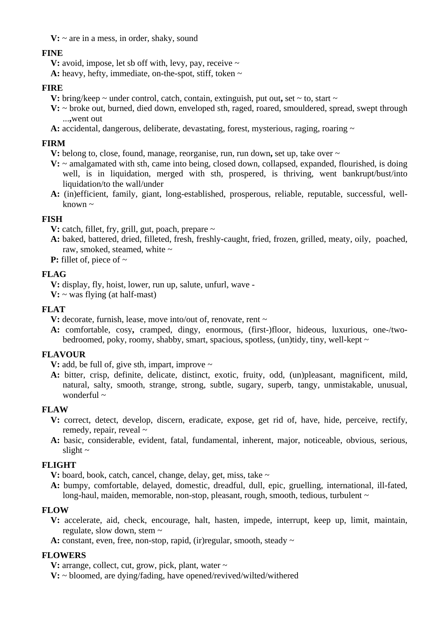**V:**  $\sim$  are in a mess, in order, shaky, sound

# **FINE**

**V:** avoid, impose, let sb off with, levy, pay, receive  $\sim$ 

 **A:** heavy, hefty, immediate, on-the-spot, stiff, token ~

## **FIRE**

**V:** bring/keep ~ under control, catch, contain, extinguish, put out, set ~ to, start ~

 **V:** ~ broke out, burned, died down, enveloped sth, raged, roared, smouldered, spread, swept through ...**,**went out

 **A:** accidental, dangerous, deliberate, devastating, forest, mysterious, raging, roaring ~

# **FIRM**

- **V:** belong to, close, found, manage, reorganise, run, run down, set up, take over  $\sim$
- **V:**  $\sim$  amalgamated with sth, came into being, closed down, collapsed, expanded, flourished, is doing well, is in liquidation, merged with sth, prospered, is thriving, went bankrupt/bust/into liquidation/to the wall/under
- **A:** (in)efficient, family, giant, long-established, prosperous, reliable, reputable, successful, wellknown ~

# **FISH**

**V:** catch, fillet, fry, grill, gut, poach, prepare  $\sim$ 

 **A:** baked, battered, dried, filleted, fresh, freshly-caught, fried, frozen, grilled, meaty, oily, poached, raw, smoked, steamed, white ~

**P:** fillet of, piece of  $\sim$ 

# **FLAG**

 **V:** display, fly, hoist, lower, run up, salute, unfurl, wave -

**V:** ~ was flying (at half-mast)

# **FLAT**

**V:** decorate, furnish, lease, move into/out of, renovate, rent ~

 **A:** comfortable, cosy**,** cramped, dingy, enormous, (first-)floor, hideous, luxurious, one-/twobedroomed, poky, roomy, shabby, smart, spacious, spotless, (un)tidy, tiny, well-kept ~

# **FLAVOUR**

**V:** add, be full of, give sth, impart, improve  $\sim$ 

 **A:** bitter, crisp, definite, delicate, distinct, exotic, fruity, odd, (un)pleasant, magnificent, mild, natural, salty, smooth, strange, strong, subtle, sugary, superb, tangy, unmistakable, unusual, wonderful ~

# **FLAW**

- **V:** correct, detect, develop, discern, eradicate, expose, get rid of, have, hide, perceive, rectify, remedy, repair, reveal  $\sim$
- **A:** basic, considerable, evident, fatal, fundamental, inherent, major, noticeable, obvious, serious, slight  $\sim$

# **FLIGHT**

**V:** board, book, catch, cancel, change, delay, get, miss, take  $\sim$ 

 **A:** bumpy, comfortable, delayed, domestic, dreadful, dull, epic, gruelling, international, ill-fated, long-haul, maiden, memorable, non-stop, pleasant, rough, smooth, tedious, turbulent ~

# **FLOW**

 **V:** accelerate, aid, check, encourage, halt, hasten, impede, interrupt, keep up, limit, maintain, regulate, slow down, stem ~

 **A:** constant, even, free, non-stop, rapid, (ir)regular, smooth, steady ~

# **FLOWERS**

**V:** arrange, collect, cut, grow, pick, plant, water  $\sim$ 

 **V:** ~ bloomed, are dying/fading, have opened/revived/wilted/withered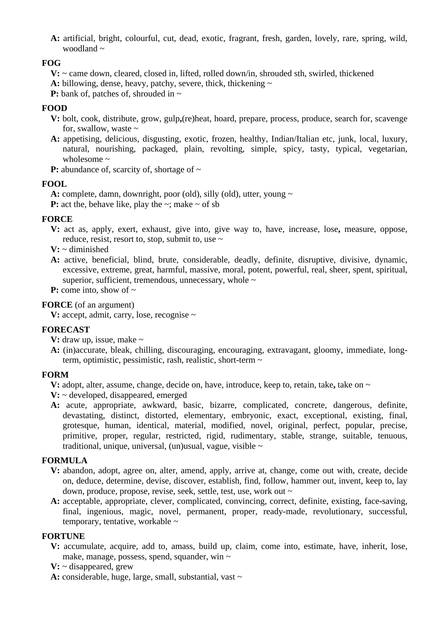**A:** artificial, bright, colourful, cut, dead, exotic, fragrant, fresh, garden, lovely, rare, spring, wild, woodland ~

### **FOG**

- **V:** ~ came down, cleared, closed in, lifted, rolled down/in, shrouded sth, swirled, thickened
- A: billowing, dense, heavy, patchy, severe, thick, thickening  $\sim$

**P:** bank of, patches of, shrouded in  $\sim$ 

## **FOOD**

- **V:** bolt, cook, distribute, grow, gulp**,**(re)heat, hoard, prepare, process, produce, search for, scavenge for, swallow, waste  $\sim$
- **A:** appetising, delicious, disgusting, exotic, frozen, healthy, Indian/Italian etc, junk, local, luxury, natural, nourishing, packaged, plain, revolting, simple, spicy, tasty, typical, vegetarian, wholesome  $\sim$
- **P:** abundance of, scarcity of, shortage of  $\sim$

### **FOOL**

**A:** complete, damn, downright, poor (old), silly (old), utter, young ~

**P:** act the, behave like, play the  $\sim$ ; make  $\sim$  of sb

### **FORCE**

 **V:** act as, apply, exert, exhaust, give into, give way to, have, increase, lose**,** measure, oppose, reduce, resist, resort to, stop, submit to, use  $\sim$ 

 $V: \sim$  diminished

- **A:** active, beneficial, blind, brute, considerable, deadly, definite, disruptive, divisive, dynamic, excessive, extreme, great, harmful, massive, moral, potent, powerful, real, sheer, spent, spiritual, superior, sufficient, tremendous, unnecessary, whole  $\sim$
- **P:** come into, show of  $\sim$

### **FORCE** (of an argument)

**V:** accept, admit, carry, lose, recognise ~

#### **FORECAST**

**V:** draw up, issue, make  $\sim$ 

 **A:** (in)accurate, bleak, chilling, discouraging, encouraging, extravagant, gloomy, immediate, longterm, optimistic, pessimistic, rash, realistic, short-term ~

#### **FORM**

 **V:** adopt, alter, assume, change, decide on, have, introduce, keep to, retain, take**,** take on ~

 **V:** ~ developed, disappeared, emerged

 **A:** acute, appropriate, awkward, basic, bizarre, complicated, concrete, dangerous, definite, devastating, distinct, distorted, elementary, embryonic, exact, exceptional, existing, final, grotesque, human, identical, material, modified, novel, original, perfect, popular, precise, primitive, proper, regular, restricted, rigid, rudimentary, stable, strange, suitable, tenuous, traditional, unique, universal, (un)usual, vague, visible ~

#### **FORMULA**

- **V:** abandon, adopt, agree on, alter, amend, apply, arrive at, change, come out with, create, decide on, deduce, determine, devise, discover, establish, find, follow, hammer out, invent, keep to, lay down, produce, propose, revise, seek, settle, test, use, work out ~
- **A:** acceptable, appropriate, clever, complicated, convincing, correct, definite, existing, face-saving, final, ingenious, magic, novel, permanent, proper, ready-made, revolutionary, successful, temporary, tentative, workable ~

#### **FORTUNE**

- **V:** accumulate, acquire, add to, amass, build up, claim, come into, estimate, have, inherit, lose, make, manage, possess, spend, squander, win  $\sim$
- **V:** ~ disappeared, grew
- A: considerable, huge, large, small, substantial, vast  $\sim$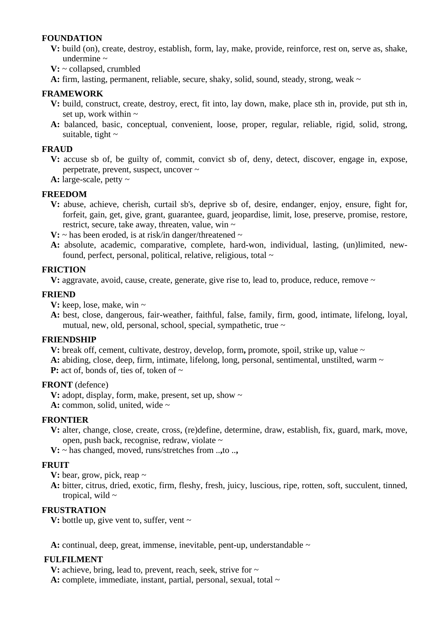#### **FOUNDATION**

- **V:** build (on), create, destroy, establish, form, lay, make, provide, reinforce, rest on, serve as, shake, undermine ~
- **V:** ~ collapsed, crumbled

 **A:** firm, lasting, permanent, reliable, secure, shaky, solid, sound, steady, strong, weak ~

#### **FRAMEWORK**

- **V:** build, construct, create, destroy, erect, fit into, lay down, make, place sth in, provide, put sth in, set up, work within  $\sim$
- **A:** balanced, basic, conceptual, convenient, loose, proper, regular, reliable, rigid, solid, strong, suitable, tight  $\sim$

#### **FRAUD**

- **V:** accuse sb of, be guilty of, commit, convict sb of, deny, detect, discover, engage in, expose, perpetrate, prevent, suspect, uncover ~
- A: large-scale, petty  $\sim$

#### **FREEDOM**

- **V:** abuse, achieve, cherish, curtail sb's, deprive sb of, desire, endanger, enjoy, ensure, fight for, forfeit, gain, get, give, grant, guarantee, guard, jeopardise, limit, lose, preserve, promise, restore, restrict, secure, take away, threaten, value, win ~
- $V: \sim$  has been eroded, is at risk/in danger/threatened  $\sim$
- **A:** absolute, academic, comparative, complete, hard-won, individual, lasting, (un)limited, newfound, perfect, personal, political, relative, religious, total  $\sim$

#### **FRICTION**

**V:** aggravate, avoid, cause, create, generate, give rise to, lead to, produce, reduce, remove  $\sim$ 

#### **FRIEND**

**V:** keep, lose, make, win  $\sim$ 

 **A:** best, close, dangerous, fair-weather, faithful, false, family, firm, good, intimate, lifelong, loyal, mutual, new, old, personal, school, special, sympathetic, true ~

#### **FRIENDSHIP**

**V:** break off, cement, cultivate, destroy, develop, form, promote, spoil, strike up, value ~  **A:** abiding, close, deep, firm, intimate, lifelong, long, personal, sentimental, unstilted, warm ~ **P:** act of, bonds of, ties of, token of  $\sim$ 

#### **FRONT** (defence)

**V:** adopt, display, form, make, present, set up, show  $\sim$ 

A: common, solid, united, wide ~

#### **FRONTIER**

 **V:** alter, change, close, create, cross, (re)define, determine, draw, establish, fix, guard, mark, move, open, push back, recognise, redraw, violate  $\sim$ 

 **V:** ~ has changed, moved, runs/stretches from ..**,**to ..**,**

#### **FRUIT**

**V:** bear, grow, pick, reap  $\sim$ 

 **A:** bitter, citrus, dried, exotic, firm, fleshy, fresh, juicy, luscious, ripe, rotten, soft, succulent, tinned, tropical, wild  $\sim$ 

#### **FRUSTRATION**

**V:** bottle up, give vent to, suffer, vent  $\sim$ 

 **A:** continual, deep, great, immense, inevitable, pent-up, understandable ~

#### **FULFILMENT**

**V:** achieve, bring, lead to, prevent, reach, seek, strive for  $\sim$ 

 **A:** complete, immediate, instant, partial, personal, sexual, total ~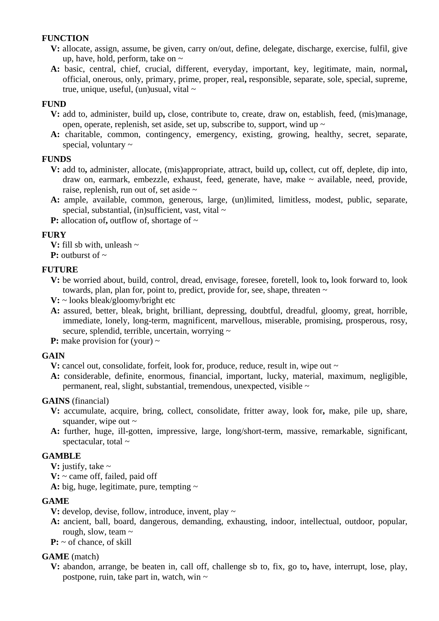### **FUNCTION**

- **V:** allocate, assign, assume, be given, carry on/out, define, delegate, discharge, exercise, fulfil, give up, have, hold, perform, take on  $\sim$
- **A:** basic, central, chief, crucial, different, everyday, important, key, legitimate, main, normal**,**  official, onerous, only, primary, prime, proper, real**,** responsible, separate, sole, special, supreme, true, unique, useful, (un)usual, vital ~

### **FUND**

- **V:** add to, administer, build up**,** close, contribute to, create, draw on, establish, feed, (mis)manage, open, operate, replenish, set aside, set up, subscribe to, support, wind up  $\sim$
- **A:** charitable, common, contingency, emergency, existing, growing, healthy, secret, separate, special, voluntary  $\sim$

### **FUNDS**

- **V:** add to**,** administer, allocate, (mis)appropriate, attract, build up**,** collect, cut off, deplete, dip into, draw on, earmark, embezzle, exhaust, feed, generate, have, make ~ available, need, provide, raise, replenish, run out of, set aside  $\sim$
- **A:** ample, available, common, generous, large, (un)limited, limitless, modest, public, separate, special, substantial, (in)sufficient, vast, vital  $\sim$

**P:** allocation of, outflow of, shortage of  $\sim$ 

## **FURY**

**V:** fill sb with, unleash  $\sim$ 

**P:** outburst of  $\sim$ 

### **FUTURE**

 **V:** be worried about, build, control, dread, envisage, foresee, foretell, look to**,** look forward to, look towards, plan, plan for, point to, predict, provide for, see, shape, threaten  $\sim$ 

 **V:** ~ looks bleak/gloomy/bright etc

 **A:** assured, better, bleak, bright, brilliant, depressing, doubtful, dreadful, gloomy, great, horrible, immediate, lonely, long-term, magnificent, marvellous, miserable, promising, prosperous, rosy, secure, splendid, terrible, uncertain, worrying ~

**P:** make provision for (your)  $\sim$ 

## **GAIN**

**V:** cancel out, consolidate, forfeit, look for, produce, reduce, result in, wipe out  $\sim$ 

 **A:** considerable, definite, enormous, financial, important, lucky, material, maximum, negligible, permanent, real, slight, substantial, tremendous, unexpected, visible ~

#### **GAINS** (financial)

- **V:** accumulate, acquire, bring, collect, consolidate, fritter away, look for**,** make, pile up, share, squander, wipe out  $\sim$
- **A:** further, huge, ill-gotten, impressive, large, long/short-term, massive, remarkable, significant, spectacular, total  $\sim$

## **GAMBLE**

- **V:** justify, take  $\sim$
- **V:** ~ came off, failed, paid off
- **A:** big, huge, legitimate, pure, tempting ~

## **GAME**

**V:** develop, devise, follow, introduce, invent, play  $\sim$ 

 **A:** ancient, ball, board, dangerous, demanding, exhausting, indoor, intellectual, outdoor, popular, rough, slow, team  $\sim$ 

**P:**  $\sim$  of chance, of skill

## **GAME** (match)

 **V:** abandon, arrange, be beaten in, call off, challenge sb to, fix, go to**,** have, interrupt, lose, play, postpone, ruin, take part in, watch, win  $\sim$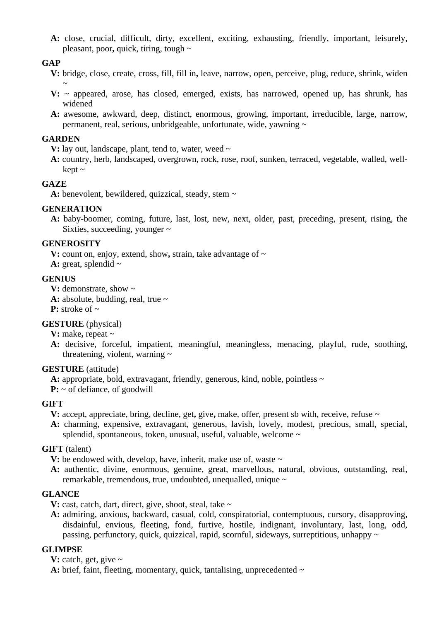**A:** close, crucial, difficult, dirty, excellent, exciting, exhausting, friendly, important, leisurely, pleasant, poor**,** quick, tiring, tough ~

#### **GAP**

- **V:** bridge, close, create, cross, fill, fill in**,** leave, narrow, open, perceive, plug, reduce, shrink, widen  $\sim$
- **V:** ~ appeared, arose, has closed, emerged, exists, has narrowed, opened up, has shrunk, has widened
- **A:** awesome, awkward, deep, distinct, enormous, growing, important, irreducible, large, narrow, permanent, real, serious, unbridgeable, unfortunate, wide, yawning ~

#### **GARDEN**

**V:** lay out, landscape, plant, tend to, water, weed  $\sim$ 

 **A:** country, herb, landscaped, overgrown, rock, rose, roof, sunken, terraced, vegetable, walled, well $kept ~\sim$ 

#### **GAZE**

A: benevolent, bewildered, quizzical, steady, stem  $\sim$ 

#### **GENERATION**

 **A:** baby-boomer, coming, future, last, lost, new, next, older, past, preceding, present, rising, the Sixties, succeeding, younger ~

#### **GENEROSITY**

**V:** count on, enjoy, extend, show, strain, take advantage of  $\sim$ 

**A:** great, splendid  $\sim$ 

#### **GENIUS**

**V:** demonstrate, show  $\sim$ A: absolute, budding, real, true ~ **P:** stroke of  $\sim$ 

#### **GESTURE** (physical)

 **V:** make**,** repeat ~

 **A:** decisive, forceful, impatient, meaningful, meaningless, menacing, playful, rude, soothing, threatening, violent, warning  $\sim$ 

#### **GESTURE** (attitude)

A: appropriate, bold, extravagant, friendly, generous, kind, noble, pointless  $\sim$ 

**P:**  $\sim$  of defiance, of goodwill

#### **GIFT**

- **V:** accept, appreciate, bring, decline, get, give, make, offer, present sb with, receive, refuse ~
- **A:** charming, expensive, extravagant, generous, lavish, lovely, modest, precious, small, special, splendid, spontaneous, token, unusual, useful, valuable, welcome ~

#### **GIFT** (talent)

- **V:** be endowed with, develop, have, inherit, make use of, waste  $\sim$
- **A:** authentic, divine, enormous, genuine, great, marvellous, natural, obvious, outstanding, real, remarkable, tremendous, true, undoubted, unequalled, unique ~

#### **GLANCE**

**V:** cast, catch, dart, direct, give, shoot, steal, take  $\sim$ 

 **A:** admiring, anxious, backward, casual, cold, conspiratorial, contemptuous, cursory, disapproving, disdainful, envious, fleeting, fond, furtive, hostile, indignant, involuntary, last, long, odd, passing, perfunctory, quick, quizzical, rapid, scornful, sideways, surreptitious, unhappy ~

#### **GLIMPSE**

**V:** catch, get, give  $\sim$ 

 **A:** brief, faint, fleeting, momentary, quick, tantalising, unprecedented ~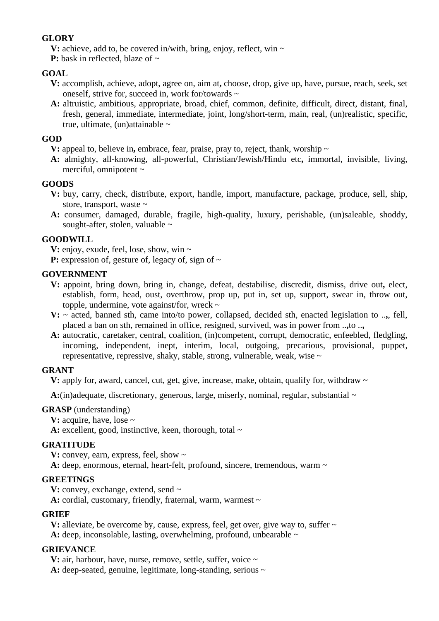## **GLORY**

**V:** achieve, add to, be covered in/with, bring, enjoy, reflect, win  $\sim$ 

**P:** bask in reflected, blaze of  $\sim$ 

## **GOAL**

- **V:** accomplish, achieve, adopt, agree on, aim at**,** choose, drop, give up, have, pursue, reach, seek, set oneself, strive for, succeed in, work for/towards ~
- **A:** altruistic, ambitious, appropriate, broad, chief, common, definite, difficult, direct, distant, final, fresh, general, immediate, intermediate, joint, long/short-term, main, real, (un)realistic, specific, true, ultimate, (un)attainable  $\sim$

### **GOD**

- **V:** appeal to, believe in, embrace, fear, praise, pray to, reject, thank, worship ~
- **A:** almighty, all-knowing, all-powerful, Christian/Jewish/Hindu etc**,** immortal, invisible, living, merciful, omnipotent ~

## **GOODS**

- **V:** buy, carry, check, distribute, export, handle, import, manufacture, package, produce, sell, ship, store, transport, waste ~
- **A:** consumer, damaged, durable, fragile, high-quality, luxury, perishable, (un)saleable, shoddy, sought-after, stolen, valuable ~

### **GOODWILL**

**V:** enjoy, exude, feel, lose, show, win  $\sim$ 

**P:** expression of, gesture of, legacy of, sign of  $\sim$ 

### **GOVERNMENT**

- **V:** appoint, bring down, bring in, change, defeat, destabilise, discredit, dismiss, drive out**,** elect, establish, form, head, oust, overthrow, prop up, put in, set up, support, swear in, throw out, topple, undermine, vote against/for, wreck  $\sim$
- **V:** ~ acted, banned sth, came into/to power, collapsed, decided sth, enacted legislation to ..**,**, fell, placed a ban on sth, remained in office, resigned, survived, was in power from ..**,**to ..**,**
- **A:** autocratic, caretaker, central, coalition, (in)competent, corrupt, democratic, enfeebled, fledgling, incoming, independent, inept, interim, local, outgoing, precarious, provisional, puppet, representative, repressive, shaky, stable, strong, vulnerable, weak, wise ~

## **GRANT**

**V:** apply for, award, cancel, cut, get, give, increase, make, obtain, qualify for, withdraw  $\sim$ 

 **A:**(in)adequate, discretionary, generous, large, miserly, nominal, regular, substantial ~

#### **GRASP** (understanding)

**V:** acquire, have, lose ~

A: excellent, good, instinctive, keen, thorough, total  $\sim$ 

## **GRATITUDE**

**V:** convey, earn, express, feel, show  $\sim$ 

 **A:** deep, enormous, eternal, heart-felt, profound, sincere, tremendous, warm ~

#### **GREETINGS**

**V:** convey, exchange, extend, send  $\sim$ 

 **A:** cordial, customary, friendly, fraternal, warm, warmest ~

#### **GRIEF**

**V:** alleviate, be overcome by, cause, express, feel, get over, give way to, suffer  $\sim$ A: deep, inconsolable, lasting, overwhelming, profound, unbearable ~

#### **GRIEVANCE**

**V:** air, harbour, have, nurse, remove, settle, suffer, voice ~ A: deep-seated, genuine, legitimate, long-standing, serious ~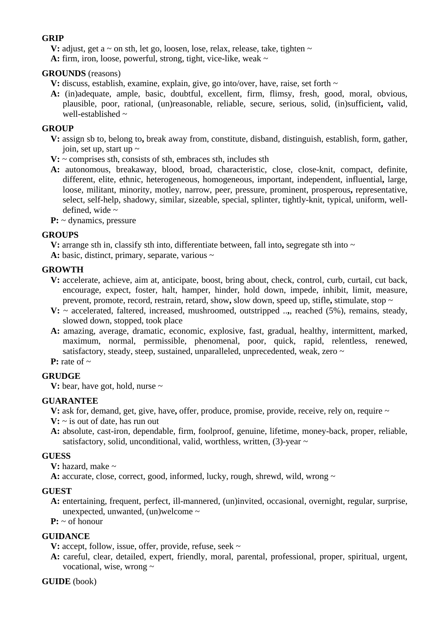## **GRIP**

**V:** adjust, get a  $\sim$  on sth, let go, loosen, lose, relax, release, take, tighten  $\sim$ 

A: firm, iron, loose, powerful, strong, tight, vice-like, weak  $\sim$ 

### **GROUNDS** (reasons)

- **V:** discuss, establish, examine, explain, give, go into/over, have, raise, set forth  $\sim$
- **A:** (in)adequate, ample, basic, doubtful, excellent, firm, flimsy, fresh, good, moral, obvious, plausible, poor, rational, (un)reasonable, reliable, secure, serious, solid, (in)sufficient**,** valid, well-established  $\sim$

#### **GROUP**

- **V:** assign sb to, belong to**,** break away from, constitute, disband, distinguish, establish, form, gather, join, set up, start up  $\sim$
- **V:** ~ comprises sth, consists of sth, embraces sth, includes sth
- **A:** autonomous, breakaway, blood, broad, characteristic, close, close-knit, compact, definite, different, elite, ethnic, heterogeneous, homogeneous, important, independent, influential**,** large, loose, militant, minority, motley, narrow, peer, pressure, prominent, prosperous**,** representative, select, self-help, shadowy, similar, sizeable, special, splinter, tightly-knit, typical, uniform, welldefined, wide ~

 **P:** ~ dynamics, pressure

### **GROUPS**

**V:** arrange sth in, classify sth into, differentiate between, fall into, segregate sth into  $\sim$ 

A: basic, distinct, primary, separate, various ~

#### **GROWTH**

- **V:** accelerate, achieve, aim at, anticipate, boost, bring about, check, control, curb, curtail, cut back, encourage, expect, foster, halt, hamper, hinder, hold down, impede, inhibit, limit, measure, prevent, promote, record, restrain, retard, show**,** slow down, speed up, stifle**,** stimulate, stop ~
- **V:** ~ accelerated, faltered, increased, mushroomed, outstripped ..**,**, reached (5%), remains, steady, slowed down, stopped, took place
- **A:** amazing, average, dramatic, economic, explosive, fast, gradual, healthy, intermittent, marked, maximum, normal, permissible, phenomenal, poor, quick, rapid, relentless, renewed, satisfactory, steady, steep, sustained, unparalleled, unprecedented, weak, zero  $\sim$

**P:** rate of  $\sim$ 

## **GRUDGE**

**V:** bear, have got, hold, nurse  $\sim$ 

#### **GUARANTEE**

**V:** ask for, demand, get, give, have, offer, produce, promise, provide, receive, rely on, require ~

 **V:** ~ is out of date, has run out

 **A:** absolute, cast-iron, dependable, firm, foolproof, genuine, lifetime, money-back, proper, reliable, satisfactory, solid, unconditional, valid, worthless, written, (3)-year ~

#### **GUESS**

**V**: hazard, make ~

 **A:** accurate, close, correct, good, informed, lucky, rough, shrewd, wild, wrong ~

#### **GUEST**

 **A:** entertaining, frequent, perfect, ill-mannered, (un)invited, occasional, overnight, regular, surprise, unexpected, unwanted, (un)welcome ~

 $P: ~ of$  honour

## **GUIDANCE**

**V:** accept, follow, issue, offer, provide, refuse, seek  $\sim$ 

 **A:** careful, clear, detailed, expert, friendly, moral, parental, professional, proper, spiritual, urgent, vocational, wise, wrong ~

#### **GUIDE** (book)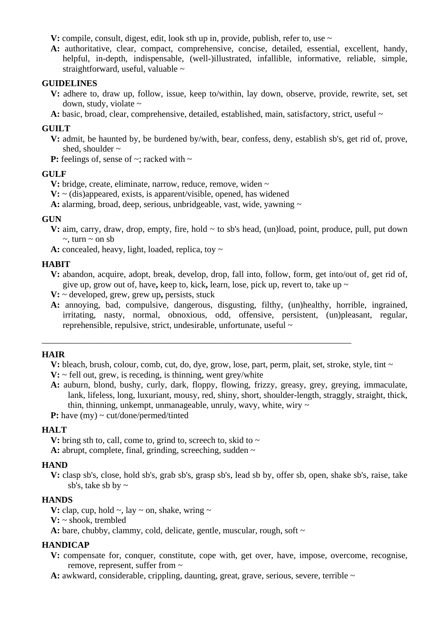**V:** compile, consult, digest, edit, look sth up in, provide, publish, refer to, use  $\sim$ 

 **A:** authoritative, clear, compact, comprehensive, concise, detailed, essential, excellent, handy, helpful, in-depth, indispensable, (well-)illustrated, infallible, informative, reliable, simple, straightforward, useful, valuable ~

#### **GUIDELINES**

- **V:** adhere to, draw up, follow, issue, keep to/within, lay down, observe, provide, rewrite, set, set down, study, violate  $\sim$
- **A:** basic, broad, clear, comprehensive, detailed, established, main, satisfactory, strict, useful ~

#### **GUILT**

- **V:** admit, be haunted by, be burdened by/with, bear, confess, deny, establish sb's, get rid of, prove, shed, shoulder  $\sim$
- **P:** feelings of, sense of  $\sim$ ; racked with  $\sim$

#### **GULF**

**V:** bridge, create, eliminate, narrow, reduce, remove, widen  $\sim$ 

- **V:** ~ (dis)appeared, exists, is apparent/visible, opened, has widened
- A: alarming, broad, deep, serious, unbridgeable, vast, wide, yawning  $\sim$

#### **GUN**

- **V:** aim, carry, draw, drop, empty, fire, hold  $\sim$  to sb's head, (un)load, point, produce, pull, put down  $\sim$ , turn  $\sim$  on sb
- **A:** concealed, heavy, light, loaded, replica, toy ~

#### **HABIT**

- **V:** abandon, acquire, adopt, break, develop, drop, fall into, follow, form, get into/out of, get rid of, give up, grow out of, have**,** keep to, kick**,** learn, lose, pick up, revert to, take up ~
- **V:** ~ developed, grew, grew up**,** persists, stuck
- **A:** annoying, bad, compulsive, dangerous, disgusting, filthy, (un)healthy, horrible, ingrained, irritating, nasty, normal, obnoxious, odd, offensive, persistent, (un)pleasant, regular, reprehensible, repulsive, strict, undesirable, unfortunate, useful ~

#### **HAIR**

**V:** bleach, brush, colour, comb, cut, do, dye, grow, lose, part, perm, plait, set, stroke, style, tint ~

\_\_\_\_\_\_\_\_\_\_\_\_\_\_\_\_\_\_\_\_\_\_\_\_\_\_\_\_\_\_\_\_\_\_\_\_\_\_\_\_\_\_\_\_\_\_\_\_\_\_\_\_\_\_\_\_\_\_\_\_\_\_\_\_\_\_\_\_\_\_

- **V:** ~ fell out, grew, is receding, is thinning, went grey/white
- **A:** auburn, blond, bushy, curly, dark, floppy, flowing, frizzy, greasy, grey, greying, immaculate, lank, lifeless, long, luxuriant, mousy, red, shiny, short, shoulder-length, straggly, straight, thick, thin, thinning, unkempt, unmanageable, unruly, wavy, white, wiry  $\sim$

**P:** have (my) ~ cut/done/permed/tinted

#### **HALT**

**V:** bring sth to, call, come to, grind to, screech to, skid to  $\sim$ 

A: abrupt, complete, final, grinding, screeching, sudden  $\sim$ 

#### **HAND**

 **V:** clasp sb's, close, hold sb's, grab sb's, grasp sb's, lead sb by, offer sb, open, shake sb's, raise, take sb's, take sb by  $\sim$ 

#### **HANDS**

**V:** clap, cup, hold  $\sim$ , lay  $\sim$  on, shake, wring  $\sim$ 

 **V:** ~ shook, trembled

**A:** bare, chubby, clammy, cold, delicate, gentle, muscular, rough, soft ~

### **HANDICAP**

- **V:** compensate for, conquer, constitute, cope with, get over, have, impose, overcome, recognise, remove, represent, suffer from ~
- A: awkward, considerable, crippling, daunting, great, grave, serious, severe, terrible ~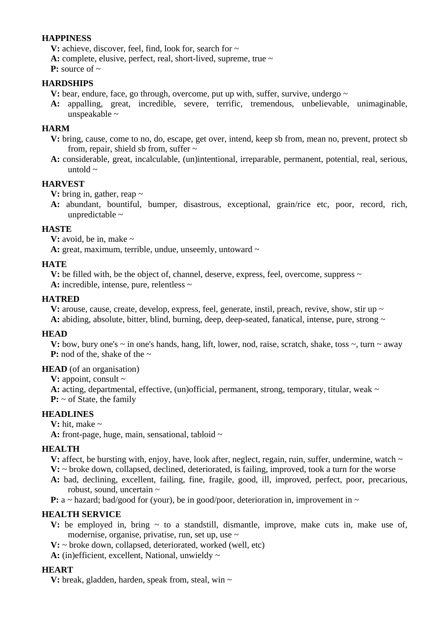### **HAPPINESS**

**V:** achieve, discover, feel, find, look for, search for  $\sim$ 

 **A:** complete, elusive, perfect, real, short-lived, supreme, true ~

**P:** source of  $\sim$ 

## **HARDSHIPS**

**V:** bear, endure, face, go through, overcome, put up with, suffer, survive, undergo  $\sim$ 

 **A:** appalling, great, incredible, severe, terrific, tremendous, unbelievable, unimaginable, unspeakable ~

## **HARM**

- **V:** bring, cause, come to no, do, escape, get over, intend, keep sb from, mean no, prevent, protect sb from, repair, shield sb from, suffer  $\sim$
- **A:** considerable, great, incalculable, (un)intentional, irreparable, permanent, potential, real, serious, untold  $\sim$

## **HARVEST**

**V:** bring in, gather, reap ~

 **A:** abundant, bountiful, bumper, disastrous, exceptional, grain/rice etc, poor, record, rich, unpredictable ~

### **HASTE**

**V:** avoid, be in, make  $\sim$ 

**A:** great, maximum, terrible, undue, unseemly, untoward  $\sim$ 

### **HATE**

**V:** be filled with, be the object of, channel, deserve, express, feel, overcome, suppress  $\sim$ 

A: incredible, intense, pure, relentless  $\sim$ 

## **HATRED**

**V:** arouse, cause, create, develop, express, feel, generate, instil, preach, revive, show, stir up ~

 **A:** abiding, absolute, bitter, blind, burning, deep, deep-seated, fanatical, intense, pure, strong ~

## **HEAD**

**V:** bow, bury one's  $\sim$  in one's hands, hang, lift, lower, nod, raise, scratch, shake, toss  $\sim$ , turn  $\sim$  away **P:** nod of the, shake of the  $\sim$ 

## **HEAD** (of an organisation)

**V:** appoint, consult  $\sim$ 

A: acting, departmental, effective, (un)official, permanent, strong, temporary, titular, weak ~  **P:** ~ of State, the family

# **HEADLINES**

**V:** hit, make  $\sim$ 

A: front-page, huge, main, sensational, tabloid  $\sim$ 

## **HEALTH**

**V:** affect, be bursting with, enjoy, have, look after, neglect, regain, ruin, suffer, undermine, watch  $\sim$ 

- **V:** ~ broke down, collapsed, declined, deteriorated, is failing, improved, took a turn for the worse
- **A:** bad, declining, excellent, failing, fine, fragile, good, ill, improved, perfect, poor, precarious, robust, sound, uncertain  $\sim$
- **P:**  $a \sim$  hazard; bad/good for (your), be in good/poor, deterioration in, improvement in  $\sim$

## **HEALTH SERVICE**

- **V:** be employed in, bring  $\sim$  to a standstill, dismantle, improve, make cuts in, make use of, modernise, organise, privatise, run, set up, use ~
- **V:** ~ broke down, collapsed, deteriorated, worked (well, etc)

A: (in)efficient, excellent, National, unwieldy ~

#### **HEART**

**V:** break, gladden, harden, speak from, steal, win  $\sim$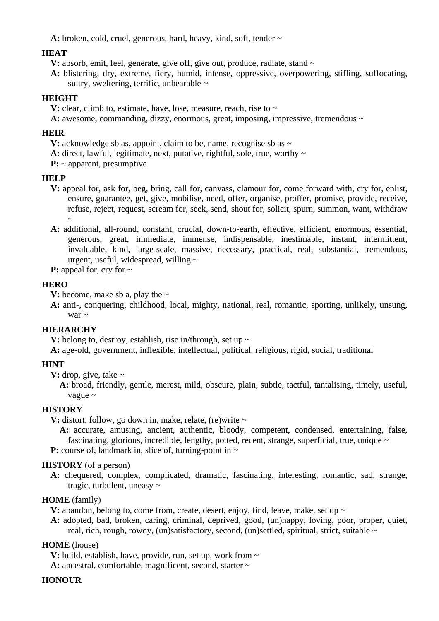A: broken, cold, cruel, generous, hard, heavy, kind, soft, tender  $\sim$ 

## **HEAT**

**V:** absorb, emit, feel, generate, give off, give out, produce, radiate, stand  $\sim$ 

 **A:** blistering, dry, extreme, fiery, humid, intense, oppressive, overpowering, stifling, suffocating, sultry, sweltering, terrific, unbearable  $\sim$ 

## **HEIGHT**

**V:** clear, climb to, estimate, have, lose, measure, reach, rise to  $\sim$ 

A: awesome, commanding, dizzy, enormous, great, imposing, impressive, tremendous ~

## **HEIR**

**V:** acknowledge sb as, appoint, claim to be, name, recognise sb as  $\sim$ 

- **A:** direct, lawful, legitimate, next, putative, rightful, sole, true, worthy ~
- **P:** ~ apparent, presumptive

## **HELP**

- **V:** appeal for, ask for, beg, bring, call for, canvass, clamour for, come forward with, cry for, enlist, ensure, guarantee, get, give, mobilise, need, offer, organise, proffer, promise, provide, receive, refuse, reject, request, scream for, seek, send, shout for, solicit, spurn, summon, want, withdraw  $\sim$
- **A:** additional, all-round, constant, crucial, down-to-earth, effective, efficient, enormous, essential, generous, great, immediate, immense, indispensable, inestimable, instant, intermittent, invaluable, kind, large-scale, massive, necessary, practical, real, substantial, tremendous, urgent, useful, widespread, willing  $\sim$

**P:** appeal for, cry for  $\sim$ 

# **HERO**

**V:** become, make sb a, play the  $\sim$ 

 **A:** anti-, conquering, childhood, local, mighty, national, real, romantic, sporting, unlikely, unsung, war  $\sim$ 

## **HIERARCHY**

**V:** belong to, destroy, establish, rise in/through, set up ~

 **A:** age-old, government, inflexible, intellectual, political, religious, rigid, social, traditional

## **HINT**

**V:** drop, give, take  $\sim$ 

 **A:** broad, friendly, gentle, merest, mild, obscure, plain, subtle, tactful, tantalising, timely, useful, vague ~

## **HISTORY**

**V:** distort, follow, go down in, make, relate, (re)write  $\sim$ 

 **A:** accurate, amusing, ancient, authentic, bloody, competent, condensed, entertaining, false, fascinating, glorious, incredible, lengthy, potted, recent, strange, superficial, true, unique  $\sim$ 

**P:** course of, landmark in, slice of, turning-point in  $\sim$ 

## **HISTORY** (of a person)

 **A:** chequered, complex, complicated, dramatic, fascinating, interesting, romantic, sad, strange, tragic, turbulent, uneasy  $\sim$ 

## **HOME** (family)

V: abandon, belong to, come from, create, desert, enjoy, find, leave, make, set up ~

 **A:** adopted, bad, broken, caring, criminal, deprived, good, (un)happy, loving, poor, proper, quiet, real, rich, rough, rowdy, (un)satisfactory, second, (un)settled, spiritual, strict, suitable  $\sim$ 

# **HOME** (house)

**V:** build, establish, have, provide, run, set up, work from  $\sim$ 

A: ancestral, comfortable, magnificent, second, starter ~

## **HONOUR**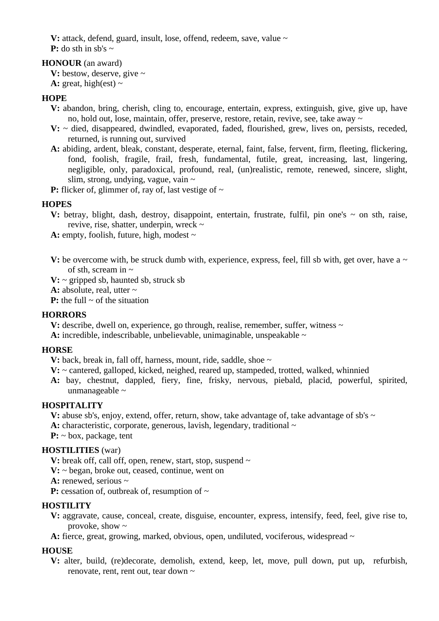**V:** attack, defend, guard, insult, lose, offend, redeem, save, value ~ **P:** do sth in sb's  $\sim$ 

#### **HONOUR** (an award)

**V:** bestow, deserve, give  $\sim$ **A:** great, high(est)  $\sim$ 

#### **HOPE**

- **V:** abandon, bring, cherish, cling to, encourage, entertain, express, extinguish, give, give up, have no, hold out, lose, maintain, offer, preserve, restore, retain, revive, see, take away ~
- **V:** ~ died, disappeared, dwindled, evaporated, faded, flourished, grew, lives on, persists, receded, returned, is running out, survived
- **A:** abiding, ardent, bleak, constant, desperate, eternal, faint, false, fervent, firm, fleeting, flickering, fond, foolish, fragile, frail, fresh, fundamental, futile, great, increasing, last, lingering, negligible, only, paradoxical, profound, real, (un)realistic, remote, renewed, sincere, slight, slim, strong, undying, vague, vain  $\sim$

**P:** flicker of, glimmer of, ray of, last vestige of  $\sim$ 

#### **HOPES**

**V:** betray, blight, dash, destroy, disappoint, entertain, frustrate, fulfil, pin one's  $\sim$  on sth, raise, revive, rise, shatter, underpin, wreck ~

A: empty, foolish, future, high, modest  $\sim$ 

**V:** be overcome with, be struck dumb with, experience, express, feel, fill sb with, get over, have a  $\sim$ of sth, scream in ~

 **V:** ~ gripped sb, haunted sb, struck sb

A: absolute, real, utter  $\sim$ 

**P:** the full  $\sim$  of the situation

#### **HORRORS**

**V:** describe, dwell on, experience, go through, realise, remember, suffer, witness  $\sim$ 

A: incredible, indescribable, unbelievable, unimaginable, unspeakable ~

#### **HORSE**

**V:** back, break in, fall off, harness, mount, ride, saddle, shoe ~

- **V:** ~ cantered, galloped, kicked, neighed, reared up, stampeded, trotted, walked, whinnied
- **A:** bay, chestnut, dappled, fiery, fine, frisky, nervous, piebald, placid, powerful, spirited, unmanageable ~

#### **HOSPITALITY**

**V:** abuse sb's, enjoy, extend, offer, return, show, take advantage of, take advantage of sb's  $\sim$ 

A: characteristic, corporate, generous, lavish, legendary, traditional  $\sim$ 

 **P:** ~ box, package, tent

#### **HOSTILITIES** (war)

**V:** break off, call off, open, renew, start, stop, suspend  $\sim$ 

 **V:** ~ began, broke out, ceased, continue, went on

A: renewed, serious  $\sim$ 

**P:** cessation of, outbreak of, resumption of  $\sim$ 

#### **HOSTILITY**

 **V:** aggravate, cause, conceal, create, disguise, encounter, express, intensify, feed, feel, give rise to, provoke, show  $\sim$ 

A: fierce, great, growing, marked, obvious, open, undiluted, vociferous, widespread  $\sim$ 

#### **HOUSE**

 **V:** alter, build, (re)decorate, demolish, extend, keep, let, move, pull down, put up, refurbish, renovate, rent, rent out, tear down ~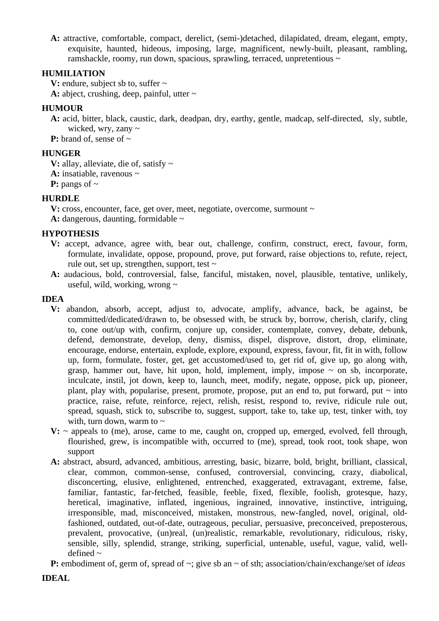**A:** attractive, comfortable, compact, derelict, (semi-)detached, dilapidated, dream, elegant, empty, exquisite, haunted, hideous, imposing, large, magnificent, newly-built, pleasant, rambling, ramshackle, roomy, run down, spacious, sprawling, terraced, unpretentious  $\sim$ 

### **HUMILIATION**

**V:** endure, subject sb to, suffer  $\sim$ 

A: abject, crushing, deep, painful, utter  $\sim$ 

## **HUMOUR**

 **A:** acid, bitter, black, caustic, dark, deadpan, dry, earthy, gentle, madcap, self-directed, sly, subtle, wicked, wry, zany ~

**P:** brand of, sense of  $\sim$ 

## **HUNGER**

**V:** allay, alleviate, die of, satisfy  $\sim$ 

A: insatiable, ravenous ~

**P:** pangs of  $\sim$ 

# **HURDLE**

**V:** cross, encounter, face, get over, meet, negotiate, overcome, surmount  $\sim$ A: dangerous, daunting, formidable ~

## **HYPOTHESIS**

- **V:** accept, advance, agree with, bear out, challenge, confirm, construct, erect, favour, form, formulate, invalidate, oppose, propound, prove, put forward, raise objections to, refute, reject, rule out, set up, strengthen, support, test  $\sim$
- **A:** audacious, bold, controversial, false, fanciful, mistaken, novel, plausible, tentative, unlikely, useful, wild, working, wrong  $\sim$

# **IDEA**

- **V:** abandon, absorb, accept, adjust to, advocate, amplify, advance, back, be against, be committed/dedicated/drawn to, be obsessed with, be struck by, borrow, cherish, clarify, cling to, cone out/up with, confirm, conjure up, consider, contemplate, convey, debate, debunk, defend, demonstrate, develop, deny, dismiss, dispel, disprove, distort, drop, eliminate, encourage, endorse, entertain, explode, explore, expound, express, favour, fit, fit in with, follow up, form, formulate, foster, get, get accustomed/used to, get rid of, give up, go along with, grasp, hammer out, have, hit upon, hold, implement, imply, impose  $\sim$  on sb, incorporate, inculcate, instil, jot down, keep to, launch, meet, modify, negate, oppose, pick up, pioneer, plant, play with, popularise, present, promote, propose, put an end to, put forward, put  $\sim$  into practice, raise, refute, reinforce, reject, relish, resist, respond to, revive, ridicule rule out, spread, squash, stick to, subscribe to, suggest, support, take to, take up, test, tinker with, toy with, turn down, warm to  $\sim$
- **V:** ~ appeals to (me), arose, came to me, caught on, cropped up, emerged, evolved, fell through, flourished, grew, is incompatible with, occurred to (me), spread, took root, took shape, won support
- **A:** abstract, absurd, advanced, ambitious, arresting, basic, bizarre, bold, bright, brilliant, classical, clear, common, common-sense, confused, controversial, convincing, crazy, diabolical, disconcerting, elusive, enlightened, entrenched, exaggerated, extravagant, extreme, false, familiar, fantastic, far-fetched, feasible, feeble, fixed, flexible, foolish, grotesque, hazy, heretical, imaginative, inflated, ingenious, ingrained, innovative, instinctive, intriguing, irresponsible, mad, misconceived, mistaken, monstrous, new-fangled, novel, original, oldfashioned, outdated, out-of-date, outrageous, peculiar, persuasive, preconceived, preposterous, prevalent, provocative, (un)real, (un)realistic, remarkable, revolutionary, ridiculous, risky, sensible, silly, splendid, strange, striking, superficial, untenable, useful, vague, valid, welldefined  $\sim$

**P:** embodiment of, germ of, spread of ~; give sb an ~ of sth; association/chain/exchange/set of *ideas*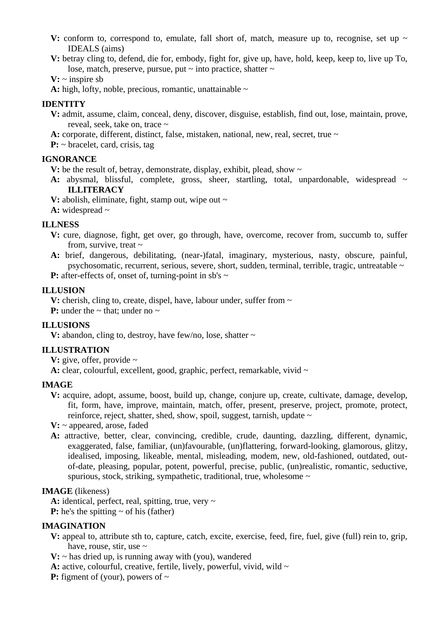- **V:** conform to, correspond to, emulate, fall short of, match, measure up to, recognise, set up  $\sim$ IDEALS (aims)
- **V:** betray cling to, defend, die for, embody, fight for, give up, have, hold, keep, keep to, live up To, lose, match, preserve, pursue, put  $\sim$  into practice, shatter  $\sim$

```
V: \sim inspire sh
```
A: high, lofty, noble, precious, romantic, unattainable ~

#### **IDENTITY**

- **V:** admit, assume, claim, conceal, deny, discover, disguise, establish, find out, lose, maintain, prove, reveal, seek, take on, trace ~
- **A:** corporate, different, distinct, false, mistaken, national, new, real, secret, true ~

 **P:** ~ bracelet, card, crisis, tag

## **IGNORANCE**

**V:** be the result of, betray, demonstrate, display, exhibit, plead, show  $\sim$ 

A: abysmal, blissful, complete, gross, sheer, startling, total, unpardonable, widespread ~ **ILLITERACY** 

**V:** abolish, eliminate, fight, stamp out, wipe out ~

A: widespread ~

#### **ILLNESS**

- **V:** cure, diagnose, fight, get over, go through, have, overcome, recover from, succumb to, suffer from, survive, treat  $\sim$
- **A:** brief, dangerous, debilitating, (near-)fatal, imaginary, mysterious, nasty, obscure, painful, psychosomatic, recurrent, serious, severe, short, sudden, terminal, terrible, tragic, untreatable ~

**P:** after-effects of, onset of, turning-point in sb's  $\sim$ 

#### **ILLUSION**

**V:** cherish, cling to, create, dispel, have, labour under, suffer from  $\sim$ 

**P:** under the  $\sim$  that; under no  $\sim$ 

#### **ILLUSIONS**

**V:** abandon, cling to, destroy, have few/no, lose, shatter  $\sim$ 

#### **ILLUSTRATION**

**V:** give, offer, provide  $\sim$ 

 **A:** clear, colourful, excellent, good, graphic, perfect, remarkable, vivid ~

#### **IMAGE**

- **V:** acquire, adopt, assume, boost, build up, change, conjure up, create, cultivate, damage, develop, fit, form, have, improve, maintain, match, offer, present, preserve, project, promote, protect, reinforce, reject, shatter, shed, show, spoil, suggest, tarnish, update ~
- **V:** ~ appeared, arose, faded
- **A:** attractive, better, clear, convincing, credible, crude, daunting, dazzling, different, dynamic, exaggerated, false, familiar, (un)favourable, (un)flattering, forward-looking, glamorous, glitzy, idealised, imposing, likeable, mental, misleading, modem, new, old-fashioned, outdated, outof-date, pleasing, popular, potent, powerful, precise, public, (un)realistic, romantic, seductive, spurious, stock, striking, sympathetic, traditional, true, wholesome  $\sim$

### **IMAGE** (likeness)

A: identical, perfect, real, spitting, true, very  $\sim$ 

**P:** he's the spitting  $\sim$  of his (father)

#### **IMAGINATION**

- **V:** appeal to, attribute sth to, capture, catch, excite, exercise, feed, fire, fuel, give (full) rein to, grip, have, rouse, stir, use  $\sim$
- **V:** ~ has dried up, is running away with (you), wandered
- **A:** active, colourful, creative, fertile, lively, powerful, vivid, wild ~
- **P:** figment of (your), powers of  $\sim$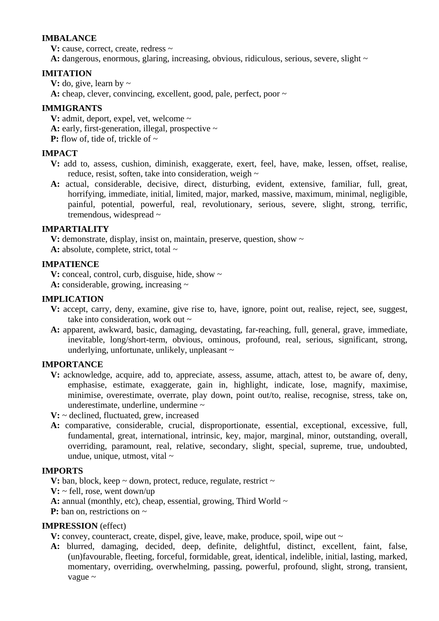## **IMBALANCE**

**V:** cause, correct, create, redress  $\sim$ A: dangerous, enormous, glaring, increasing, obvious, ridiculous, serious, severe, slight ~

# **IMITATION**

**V:** do, give, learn by  $\sim$ 

A: cheap, clever, convincing, excellent, good, pale, perfect, poor  $\sim$ 

# **IMMIGRANTS**

V: admit, deport, expel, vet, welcome  $\sim$ 

A: early, first-generation, illegal, prospective  $\sim$ 

**P:** flow of, tide of, trickle of  $\sim$ 

# **IMPACT**

- **V:** add to, assess, cushion, diminish, exaggerate, exert, feel, have, make, lessen, offset, realise, reduce, resist, soften, take into consideration, weigh  $\sim$
- **A:** actual, considerable, decisive, direct, disturbing, evident, extensive, familiar, full, great, horrifying, immediate, initial, limited, major, marked, massive, maximum, minimal, negligible, painful, potential, powerful, real, revolutionary, serious, severe, slight, strong, terrific, tremendous, widespread ~

# **IMPARTIALITY**

**V:** demonstrate, display, insist on, maintain, preserve, question, show  $\sim$ 

A: absolute, complete, strict, total  $\sim$ 

# **IMPATIENCE**

**V:** conceal, control, curb, disguise, hide, show  $\sim$ 

A: considerable, growing, increasing  $\sim$ 

# **IMPLICATION**

- **V:** accept, carry, deny, examine, give rise to, have, ignore, point out, realise, reject, see, suggest, take into consideration, work out  $\sim$
- **A:** apparent, awkward, basic, damaging, devastating, far-reaching, full, general, grave, immediate, inevitable, long/short-term, obvious, ominous, profound, real, serious, significant, strong, underlying, unfortunate, unlikely, unpleasant  $\sim$

# **IMPORTANCE**

- **V:** acknowledge, acquire, add to, appreciate, assess, assume, attach, attest to, be aware of, deny, emphasise, estimate, exaggerate, gain in, highlight, indicate, lose, magnify, maximise, minimise, overestimate, overrate, play down, point out/to, realise, recognise, stress, take on, underestimate, underline, undermine ~
- **V:** ~ declined, fluctuated, grew, increased
- **A:** comparative, considerable, crucial, disproportionate, essential, exceptional, excessive, full, fundamental, great, international, intrinsic, key, major, marginal, minor, outstanding, overall, overriding, paramount, real, relative, secondary, slight, special, supreme, true, undoubted, undue, unique, utmost, vital  $\sim$

# **IMPORTS**

**V:** ban, block, keep  $\sim$  down, protect, reduce, regulate, restrict  $\sim$ 

 **V:** ~ fell, rose, went down/up

A: annual (monthly, etc), cheap, essential, growing, Third World ~

**P:** ban on, restrictions on  $\sim$ 

## **IMPRESSION** (effect)

**V:** convey, counteract, create, dispel, give, leave, make, produce, spoil, wipe out  $\sim$ 

 **A:** blurred, damaging, decided, deep, definite, delightful, distinct, excellent, faint, false, (un)favourable, fleeting, forceful, formidable, great, identical, indelible, initial, lasting, marked, momentary, overriding, overwhelming, passing, powerful, profound, slight, strong, transient, vague ~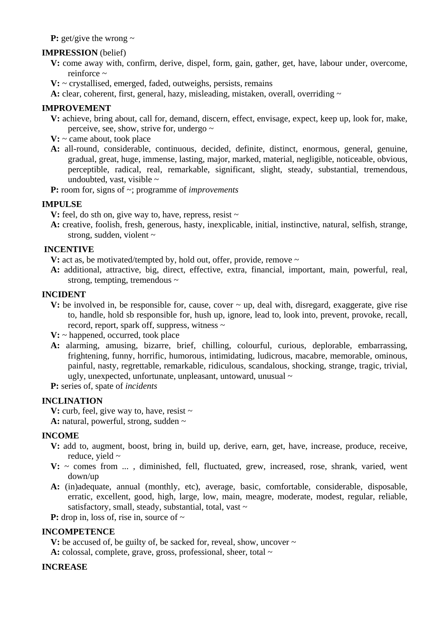**P:**  $get/give$  the wrong  $\sim$ 

# **IMPRESSION** (belief)

- **V:** come away with, confirm, derive, dispel, form, gain, gather, get, have, labour under, overcome, reinforce ~
- **V:** ~ crystallised, emerged, faded, outweighs, persists, remains

A: clear, coherent, first, general, hazy, misleading, mistaken, overall, overriding ~

# **IMPROVEMENT**

 **V:** achieve, bring about, call for, demand, discern, effect, envisage, expect, keep up, look for, make, perceive, see, show, strive for, undergo  $\sim$ 

- **V:** ~ came about, took place
- **A:** all-round, considerable, continuous, decided, definite, distinct, enormous, general, genuine, gradual, great, huge, immense, lasting, major, marked, material, negligible, noticeable, obvious, perceptible, radical, real, remarkable, significant, slight, steady, substantial, tremendous, undoubted, vast, visible  $\sim$

**P:** room for, signs of  $\sim$ ; programme of *improvements* 

## **IMPULSE**

**V:** feel, do sth on, give way to, have, repress, resist  $\sim$ 

 **A:** creative, foolish, fresh, generous, hasty, inexplicable, initial, instinctive, natural, selfish, strange, strong, sudden, violent  $\sim$ 

## **INCENTIVE**

**V:** act as, be motivated/tempted by, hold out, offer, provide, remove  $\sim$ 

 **A:** additional, attractive, big, direct, effective, extra, financial, important, main, powerful, real, strong, tempting, tremendous  $\sim$ 

## **INCIDENT**

- **V:** be involved in, be responsible for, cause, cover  $\sim$  up, deal with, disregard, exaggerate, give rise to, handle, hold sb responsible for, hush up, ignore, lead to, look into, prevent, provoke, recall, record, report, spark off, suppress, witness ~
- **V:** ~ happened, occurred, took place
- **A:** alarming, amusing, bizarre, brief, chilling, colourful, curious, deplorable, embarrassing, frightening, funny, horrific, humorous, intimidating, ludicrous, macabre, memorable, ominous, painful, nasty, regrettable, remarkable, ridiculous, scandalous, shocking, strange, tragic, trivial, ugly, unexpected, unfortunate, unpleasant, untoward, unusual  $\sim$
- **P:** series of, spate of *incidents*

## **INCLINATION**

**V:** curb, feel, give way to, have, resist  $\sim$ 

A: natural, powerful, strong, sudden ~

## **INCOME**

- **V:** add to, augment, boost, bring in, build up, derive, earn, get, have, increase, produce, receive, reduce, yield ~
- **V:**  $\sim$  comes from ..., diminished, fell, fluctuated, grew, increased, rose, shrank, varied, went down/up
- **A:** (in)adequate, annual (monthly, etc), average, basic, comfortable, considerable, disposable, erratic, excellent, good, high, large, low, main, meagre, moderate, modest, regular, reliable, satisfactory, small, steady, substantial, total, vast ~
- **P:** drop in, loss of, rise in, source of  $\sim$

## **INCOMPETENCE**

**V:** be accused of, be guilty of, be sacked for, reveal, show, uncover  $\sim$ 

A: colossal, complete, grave, gross, professional, sheer, total  $\sim$ 

## **INCREASE**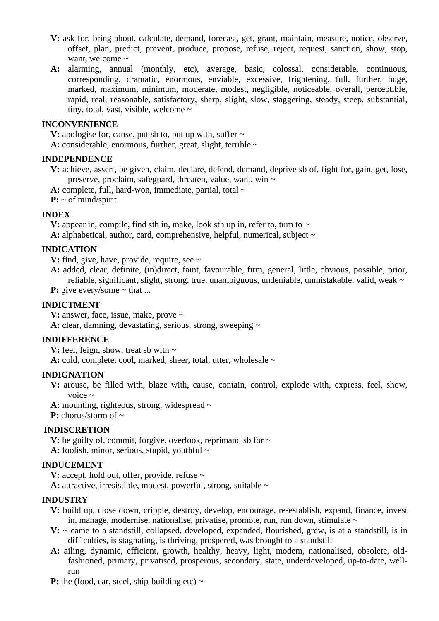- **V:** ask for, bring about, calculate, demand, forecast, get, grant, maintain, measure, notice, observe, offset, plan, predict, prevent, produce, propose, refuse, reject, request, sanction, show, stop, want, welcome ~
- **A:** alarming, annual (monthly, etc), average, basic, colossal, considerable, continuous, corresponding, dramatic, enormous, enviable, excessive, frightening, full, further, huge, marked, maximum, minimum, moderate, modest, negligible, noticeable, overall, perceptible, rapid, real, reasonable, satisfactory, sharp, slight, slow, staggering, steady, steep, substantial, tiny, total, vast, visible, welcome  $\sim$

#### **INCONVENIENCE**

**V:** apologise for, cause, put sb to, put up with, suffer  $\sim$ 

A: considerable, enormous, further, great, slight, terrible ~

#### **INDEPENDENCE**

 **V:** achieve, assert, be given, claim, declare, defend, demand, deprive sb of, fight for, gain, get, lose, preserve, proclaim, safeguard, threaten, value, want, win  $\sim$ 

A: complete, full, hard-won, immediate, partial, total  $\sim$ 

 $P: ~ of mind/spirit$ 

#### **INDEX**

**V:** appear in, compile, find sth in, make, look sth up in, refer to, turn to  $\sim$ 

A: alphabetical, author, card, comprehensive, helpful, numerical, subject ~

#### **INDICATION**

**V:** find, give, have, provide, require, see ~

- **A:** added, clear, definite, (in)direct, faint, favourable, firm, general, little, obvious, possible, prior, reliable, significant, slight, strong, true, unambiguous, undeniable, unmistakable, valid, weak ~
- **P:** give every/some  $\sim$  that ...

#### **INDICTMENT**

**V:** answer, face, issue, make, prove  $\sim$ 

A: clear, damning, devastating, serious, strong, sweeping  $\sim$ 

#### **INDIFFERENCE**

**V:** feel, feign, show, treat sb with  $\sim$ 

**A:** cold, complete, cool, marked, sheer, total, utter, wholesale ~

#### **INDIGNATION**

- **V:** arouse, be filled with, blaze with, cause, contain, control, explode with, express, feel, show, voice  $\sim$
- A: mounting, righteous, strong, widespread  $\sim$

**P:** chorus/storm of  $\sim$ 

#### **INDISCRETION**

**V:** be guilty of, commit, forgive, overlook, reprimand sb for  $\sim$ 

A: foolish, minor, serious, stupid, youthful ~

#### **INDUCEMENT**

**V:** accept, hold out, offer, provide, refuse ~

A: attractive, irresistible, modest, powerful, strong, suitable ~

#### **INDUSTRY**

- **V:** build up, close down, cripple, destroy, develop, encourage, re-establish, expand, finance, invest in, manage, modernise, nationalise, privatise, promote, run, run down, stimulate  $\sim$
- **V:**  $\sim$  came to a standstill, collapsed, developed, expanded, flourished, grew, is at a standstill, is in difficulties, is stagnating, is thriving, prospered, was brought to a standstill
- **A:** ailing, dynamic, efficient, growth, healthy, heavy, light, modem, nationalised, obsolete, oldfashioned, primary, privatised, prosperous, secondary, state, underdeveloped, up-to-date, wellrun
- **P:** the (food, car, steel, ship-building etc)  $\sim$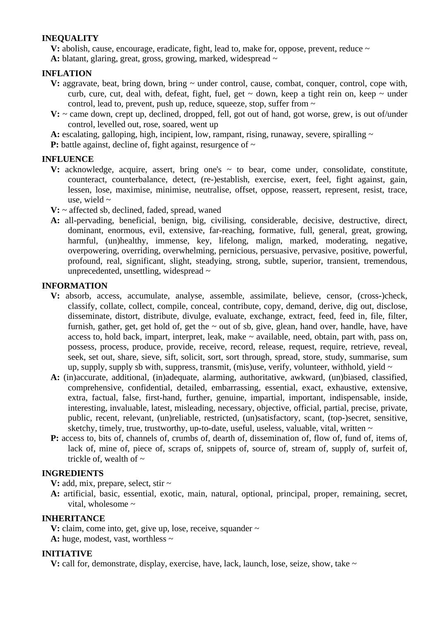### **INEQUALITY**

**V:** abolish, cause, encourage, eradicate, fight, lead to, make for, oppose, prevent, reduce  $\sim$ 

A: blatant, glaring, great, gross, growing, marked, widespread  $\sim$ 

### **INFLATION**

- **V:** aggravate, beat, bring down, bring  $\sim$  under control, cause, combat, conquer, control, cope with, curb, cure, cut, deal with, defeat, fight, fuel, get  $\sim$  down, keep a tight rein on, keep  $\sim$  under control, lead to, prevent, push up, reduce, squeeze, stop, suffer from ~
- **V:**  $\sim$  came down, crept up, declined, dropped, fell, got out of hand, got worse, grew, is out of/under control, levelled out, rose, soared, went up

A: escalating, galloping, high, incipient, low, rampant, rising, runaway, severe, spiralling  $\sim$ 

**P:** battle against, decline of, fight against, resurgence of  $\sim$ 

### **INFLUENCE**

**V:** acknowledge, acquire, assert, bring one's  $\sim$  to bear, come under, consolidate, constitute, counteract, counterbalance, detect, (re-)establish, exercise, exert, feel, fight against, gain, lessen, lose, maximise, minimise, neutralise, offset, oppose, reassert, represent, resist, trace, use, wield  $\sim$ 

 **V:** ~ affected sb, declined, faded, spread, waned

 **A:** all-pervading, beneficial, benign, big, civilising, considerable, decisive, destructive, direct, dominant, enormous, evil, extensive, far-reaching, formative, full, general, great, growing, harmful, (un)healthy, immense, key, lifelong, malign, marked, moderating, negative, overpowering, overriding, overwhelming, pernicious, persuasive, pervasive, positive, powerful, profound, real, significant, slight, steadying, strong, subtle, superior, transient, tremendous, unprecedented, unsettling, widespread  $\sim$ 

### **INFORMATION**

- **V:** absorb, access, accumulate, analyse, assemble, assimilate, believe, censor, (cross-)check, classify, collate, collect, compile, conceal, contribute, copy, demand, derive, dig out, disclose, disseminate, distort, distribute, divulge, evaluate, exchange, extract, feed, feed in, file, filter, furnish, gather, get, get hold of, get the  $\sim$  out of sb, give, glean, hand over, handle, have, have access to, hold back, impart, interpret, leak, make  $\sim$  available, need, obtain, part with, pass on, possess, process, produce, provide, receive, record, release, request, require, retrieve, reveal, seek, set out, share, sieve, sift, solicit, sort, sort through, spread, store, study, summarise, sum up, supply, supply sb with, suppress, transmit, (mis)use, verify, volunteer, withhold, yield  $\sim$
- **A:** (in)accurate, additional, (in)adequate, alarming, authoritative, awkward, (un)biased, classified, comprehensive, confidential, detailed, embarrassing, essential, exact, exhaustive, extensive, extra, factual, false, first-hand, further, genuine, impartial, important, indispensable, inside, interesting, invaluable, latest, misleading, necessary, objective, official, partial, precise, private, public, recent, relevant, (un)reliable, restricted, (un)satisfactory, scant, (top-)secret, sensitive, sketchy, timely, true, trustworthy, up-to-date, useful, useless, valuable, vital, written  $\sim$
- **P:** access to, bits of, channels of, crumbs of, dearth of, dissemination of, flow of, fund of, items of, lack of, mine of, piece of, scraps of, snippets of, source of, stream of, supply of, surfeit of, trickle of, wealth of  $\sim$

## **INGREDIENTS**

**V:** add, mix, prepare, select, stir  $\sim$ 

 **A:** artificial, basic, essential, exotic, main, natural, optional, principal, proper, remaining, secret, vital, wholesome ~

## **INHERITANCE**

**V:** claim, come into, get, give up, lose, receive, squander  $\sim$ 

A: huge, modest, vast, worthless ~

## **INITIATIVE**

**V:** call for, demonstrate, display, exercise, have, lack, launch, lose, seize, show, take  $\sim$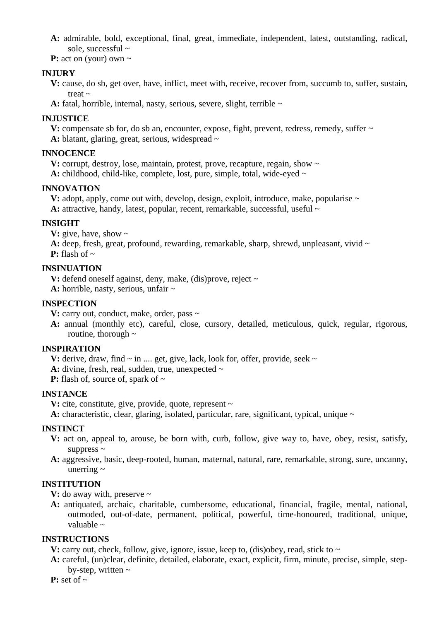**A:** admirable, bold, exceptional, final, great, immediate, independent, latest, outstanding, radical, sole, successful ~

**P:** act on (your) own  $\sim$ 

#### **INJURY**

 **V:** cause, do sb, get over, have, inflict, meet with, receive, recover from, succumb to, suffer, sustain, treat  $\sim$ 

A: fatal, horrible, internal, nasty, serious, severe, slight, terrible ~

### **INJUSTICE**

**V:** compensate sb for, do sb an, encounter, expose, fight, prevent, redress, remedy, suffer  $\sim$ A: blatant, glaring, great, serious, widespread  $\sim$ 

### **INNOCENCE**

**V:** corrupt, destroy, lose, maintain, protest, prove, recapture, regain, show  $\sim$ 

 **A:** childhood, child-like, complete, lost, pure, simple, total, wide-eyed ~

## **INNOVATION**

**V:** adopt, apply, come out with, develop, design, exploit, introduce, make, popularise  $\sim$  **A:** attractive, handy, latest, popular, recent, remarkable, successful, useful ~

# **INSIGHT**

**V:** give, have, show  $\sim$ 

A: deep, fresh, great, profound, rewarding, remarkable, sharp, shrewd, unpleasant, vivid ~ **P:** flash of  $\sim$ 

### **INSINUATION**

**V:** defend oneself against, deny, make, (dis)prove, reject  $\sim$ 

A: horrible, nasty, serious, unfair ~

### **INSPECTION**

**V:** carry out, conduct, make, order, pass  $\sim$ 

A: annual (monthly etc), careful, close, cursory, detailed, meticulous, quick, regular, rigorous, routine, thorough  $\sim$ 

## **INSPIRATION**

**V:** derive, draw, find  $\sim$  in .... get, give, lack, look for, offer, provide, seek  $\sim$ 

A: divine, fresh, real, sudden, true, unexpected  $\sim$ 

**P:** flash of, source of, spark of  $\sim$ 

#### **INSTANCE**

**V:** cite, constitute, give, provide, quote, represent ~

A: characteristic, clear, glaring, isolated, particular, rare, significant, typical, unique ~

## **INSTINCT**

- **V:** act on, appeal to, arouse, be born with, curb, follow, give way to, have, obey, resist, satisfy, suppress  $\sim$
- **A:** aggressive, basic, deep-rooted, human, maternal, natural, rare, remarkable, strong, sure, uncanny, unerring  $\sim$

#### **INSTITUTION**

**V:** do away with, preserve  $\sim$ 

 **A:** antiquated, archaic, charitable, cumbersome, educational, financial, fragile, mental, national, outmoded, out-of-date, permanent, political, powerful, time-honoured, traditional, unique, valuable ~

## **INSTRUCTIONS**

**V:** carry out, check, follow, give, ignore, issue, keep to, (dis)obey, read, stick to  $\sim$ 

 **A:** careful, (un)clear, definite, detailed, elaborate, exact, explicit, firm, minute, precise, simple, stepby-step, written  $\sim$ 

**P:** set of  $\sim$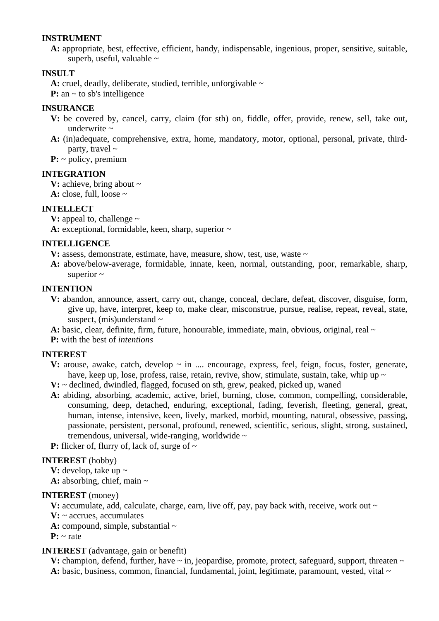#### **INSTRUMENT**

 **A:** appropriate, best, effective, efficient, handy, indispensable, ingenious, proper, sensitive, suitable, superb, useful, valuable  $\sim$ 

#### **INSULT**

A: cruel, deadly, deliberate, studied, terrible, unforgivable ~

**P:** an  $\sim$  to sb's intelligence

#### **INSURANCE**

- **V:** be covered by, cancel, carry, claim (for sth) on, fiddle, offer, provide, renew, sell, take out, underwrite ~
- **A:** (in)adequate, comprehensive, extra, home, mandatory, motor, optional, personal, private, thirdparty, travel ~

 **P:** ~ policy, premium

## **INTEGRATION**

**V:** achieve, bring about  $\sim$ 

**A:** close, full, loose  $\sim$ 

### **INTELLECT**

**V:** appeal to, challenge  $\sim$ 

A: exceptional, formidable, keen, sharp, superior  $\sim$ 

#### **INTELLIGENCE**

**V:** assess, demonstrate, estimate, have, measure, show, test, use, waste ~

 **A:** above/below-average, formidable, innate, keen, normal, outstanding, poor, remarkable, sharp, superior  $\sim$ 

#### **INTENTION**

- **V:** abandon, announce, assert, carry out, change, conceal, declare, defeat, discover, disguise, form, give up, have, interpret, keep to, make clear, misconstrue, pursue, realise, repeat, reveal, state, suspect, (mis)understand  $\sim$
- **A:** basic, clear, definite, firm, future, honourable, immediate, main, obvious, original, real ~

 **P:** with the best of *intentions* 

#### **INTEREST**

**V:** arouse, awake, catch, develop  $\sim$  in .... encourage, express, feel, feign, focus, foster, generate, have, keep up, lose, profess, raise, retain, revive, show, stimulate, sustain, take, whip up ~

 **V:** ~ declined, dwindled, flagged, focused on sth, grew, peaked, picked up, waned

 **A:** abiding, absorbing, academic, active, brief, burning, close, common, compelling, considerable, consuming, deep, detached, enduring, exceptional, fading, feverish, fleeting, general, great, human, intense, intensive, keen, lively, marked, morbid, mounting, natural, obsessive, passing, passionate, persistent, personal, profound, renewed, scientific, serious, slight, strong, sustained, tremendous, universal, wide-ranging, worldwide ~

**P:** flicker of, flurry of, lack of, surge of  $\sim$ 

#### **INTEREST** (hobby)

**V:** develop, take up  $\sim$ 

A: absorbing, chief, main ~

#### **INTEREST** (money)

**V:** accumulate, add, calculate, charge, earn, live off, pay, pay back with, receive, work out  $\sim$ 

 **V:** ~ accrues, accumulates

A: compound, simple, substantial  $\sim$ 

 $P: ~$  rate

#### **INTEREST** (advantage, gain or benefit)

**V:** champion, defend, further, have  $\sim$  in, jeopardise, promote, protect, safeguard, support, threaten  $\sim$ A: basic, business, common, financial, fundamental, joint, legitimate, paramount, vested, vital ~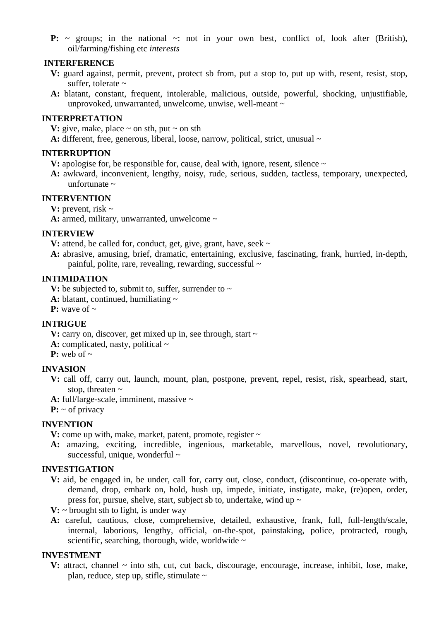**P:**  $\sim$  groups; in the national  $\sim$ : not in your own best, conflict of, look after (British), oil/farming/fishing etc *interests* 

#### **INTERFERENCE**

- **V:** guard against, permit, prevent, protect sb from, put a stop to, put up with, resent, resist, stop, suffer, tolerate ~
- **A:** blatant, constant, frequent, intolerable, malicious, outside, powerful, shocking, unjustifiable, unprovoked, unwarranted, unwelcome, unwise, well-meant  $\sim$

#### **INTERPRETATION**

**V:** give, make, place  $\sim$  on sth, put  $\sim$  on sth

A: different, free, generous, liberal, loose, narrow, political, strict, unusual ~

#### **INTERRUPTION**

- **V:** apologise for, be responsible for, cause, deal with, ignore, resent, silence  $\sim$
- **A:** awkward, inconvenient, lengthy, noisy, rude, serious, sudden, tactless, temporary, unexpected, unfortunate  $\sim$

# **INTERVENTION**

**V:** prevent, risk  $\sim$ 

A: armed, military, unwarranted, unwelcome ~

### **INTERVIEW**

**V:** attend, be called for, conduct, get, give, grant, have, seek  $\sim$ 

 **A:** abrasive, amusing, brief, dramatic, entertaining, exclusive, fascinating, frank, hurried, in-depth, painful, polite, rare, revealing, rewarding, successful  $\sim$ 

#### **INTIMIDATION**

**V:** be subjected to, submit to, suffer, surrender to  $\sim$ 

A: blatant, continued, humiliating  $\sim$ 

**P:** wave of  $\sim$ 

#### **INTRIGUE**

**V:** carry on, discover, get mixed up in, see through, start  $\sim$ 

A: complicated, nasty, political  $\sim$ 

**P:** web of  $\sim$ 

#### **INVASION**

- **V:** call off, carry out, launch, mount, plan, postpone, prevent, repel, resist, risk, spearhead, start, stop, threaten ~
- A: full/large-scale, imminent, massive ~

 $P: ~ of \, privacy$ 

### **INVENTION**

**V:** come up with, make, market, patent, promote, register  $\sim$ 

A: amazing, exciting, incredible, ingenious, marketable, marvellous, novel, revolutionary, successful, unique, wonderful ~

### **INVESTIGATION**

- **V:** aid, be engaged in, be under, call for, carry out, close, conduct, (discontinue, co-operate with, demand, drop, embark on, hold, hush up, impede, initiate, instigate, make, (re)open, order, press for, pursue, shelve, start, subject sb to, undertake, wind up  $\sim$
- **V:** ~ brought sth to light, is under way
- **A:** careful, cautious, close, comprehensive, detailed, exhaustive, frank, full, full-length/scale, internal, laborious, lengthy, official, on-the-spot, painstaking, police, protracted, rough, scientific, searching, thorough, wide, worldwide  $\sim$

#### **INVESTMENT**

**V:** attract, channel ~ into sth, cut, cut back, discourage, encourage, increase, inhibit, lose, make, plan, reduce, step up, stifle, stimulate ~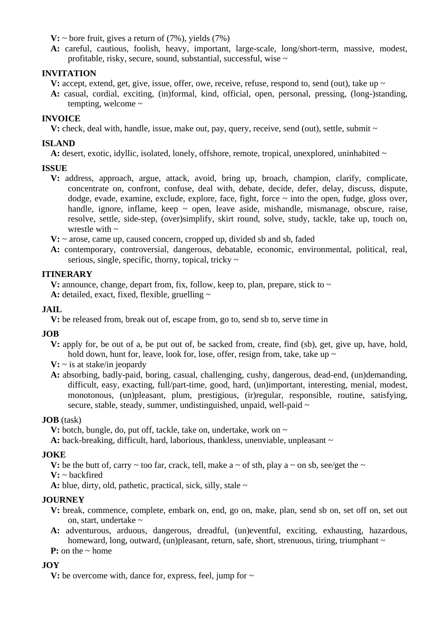- $V: \sim$  bore fruit, gives a return of (7%), yields (7%)
- **A:** careful, cautious, foolish, heavy, important, large-scale, long/short-term, massive, modest, profitable, risky, secure, sound, substantial, successful, wise ~

### **INVITATION**

- **V:** accept, extend, get, give, issue, offer, owe, receive, refuse, respond to, send (out), take up  $\sim$
- **A:** casual, cordial, exciting, (in)formal, kind, official, open, personal, pressing, (long-)standing, tempting, welcome  $\sim$

### **INVOICE**

**V:** check, deal with, handle, issue, make out, pay, query, receive, send (out), settle, submit  $\sim$ 

### **ISLAND**

A: desert, exotic, idyllic, isolated, lonely, offshore, remote, tropical, unexplored, uninhabited ~

### **ISSUE**

- **V:** address, approach, argue, attack, avoid, bring up, broach, champion, clarify, complicate, concentrate on, confront, confuse, deal with, debate, decide, defer, delay, discuss, dispute, dodge, evade, examine, exclude, explore, face, fight, force ~ into the open, fudge, gloss over, handle, ignore, inflame, keep  $\sim$  open, leave aside, mishandle, mismanage, obscure, raise, resolve, settle, side-step, (over)simplify, skirt round, solve, study, tackle, take up, touch on, wrestle with  $\sim$
- **V:** ~ arose, came up, caused concern, cropped up, divided sb and sb, faded
- **A:** contemporary, controversial, dangerous, debatable, economic, environmental, political, real, serious, single, specific, thorny, topical, tricky ~

## **ITINERARY**

**V:** announce, change, depart from, fix, follow, keep to, plan, prepare, stick to  $\sim$ A: detailed, exact, fixed, flexible, gruelling  $\sim$ 

#### **JAIL**

**V:** be released from, break out of, escape from, go to, send sb to, serve time in

## **JOB**

- **V:** apply for, be out of a, be put out of, be sacked from, create, find (sb), get, give up, have, hold, hold down, hunt for, leave, look for, lose, offer, resign from, take, take up  $\sim$
- $V: \sim$  is at stake/in jeopardy
- **A:** absorbing, badly-paid, boring, casual, challenging, cushy, dangerous, dead-end, (un)demanding, difficult, easy, exacting, full/part-time, good, hard, (un)important, interesting, menial, modest, monotonous, (un)pleasant, plum, prestigious, (ir)regular, responsible, routine, satisfying, secure, stable, steady, summer, undistinguished, unpaid, well-paid ~

#### **JOB** (task)

**V:** botch, bungle, do, put off, tackle, take on, undertake, work on  $\sim$ 

A: back-breaking, difficult, hard, laborious, thankless, unenviable, unpleasant ~

## **JOKE**

**V:** be the butt of, carry  $\sim$  too far, crack, tell, make a  $\sim$  of sth, play a  $\sim$  on sb, see/get the  $\sim$ 

 **V:** ~ backfired

 **A:** blue, dirty, old, pathetic, practical, sick, silly, stale ~

## **JOURNEY**

- **V:** break, commence, complete, embark on, end, go on, make, plan, send sb on, set off on, set out on, start, undertake ~
- **A:** adventurous, arduous, dangerous, dreadful, (un)eventful, exciting, exhausting, hazardous, homeward, long, outward, (un)pleasant, return, safe, short, strenuous, tiring, triumphant  $\sim$ **P:** on the  $\sim$  home

## **JOY**

**V:** be overcome with, dance for, express, feel, jump for  $\sim$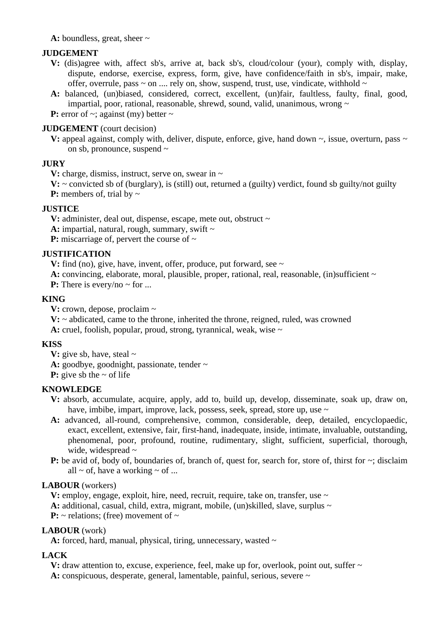A: boundless, great, sheer  $\sim$ 

# **JUDGEMENT**

- **V:** (dis)agree with, affect sb's, arrive at, back sb's, cloud/colour (your), comply with, display, dispute, endorse, exercise, express, form, give, have confidence/faith in sb's, impair, make, offer, overrule, pass  $\sim$  on  $\ldots$  rely on, show, suspend, trust, use, vindicate, withhold  $\sim$
- A: balanced, (un)biased, considered, correct, excellent, (un)fair, faultless, faulty, final, good, impartial, poor, rational, reasonable, shrewd, sound, valid, unanimous, wrong ~

**P:** error of  $\sim$ ; against (my) better  $\sim$ 

## **JUDGEMENT** (court decision)

**V:** appeal against, comply with, deliver, dispute, enforce, give, hand down  $\sim$ , issue, overturn, pass  $\sim$ on sb, pronounce, suspend ~

# **JURY**

**V:** charge, dismiss, instruct, serve on, swear in  $\sim$ 

**V:** ~ convicted sb of (burglary), is (still) out, returned a (guilty) verdict, found sb guilty/not guilty **P:** members of, trial by  $\sim$ 

# **JUSTICE**

**V:** administer, deal out, dispense, escape, mete out, obstruct  $\sim$ 

A: impartial, natural, rough, summary, swift  $\sim$ 

**P:** miscarriage of, pervert the course of ~

## **JUSTIFICATION**

**V:** find (no), give, have, invent, offer, produce, put forward, see  $\sim$ 

A: convincing, elaborate, moral, plausible, proper, rational, real, reasonable, (in)sufficient ~

**P:** There is every/no  $\sim$  for ...

## **KING**

**V:** crown, depose, proclaim ~

 **V:** ~ abdicated, came to the throne, inherited the throne, reigned, ruled, was crowned

**A:** cruel, foolish, popular, proud, strong, tyrannical, weak, wise ~

## **KISS**

**V:** give sb, have, steal  $\sim$ 

A: goodbye, goodnight, passionate, tender ~

**P:** give sb the  $\sim$  of life

## **KNOWLEDGE**

- **V:** absorb, accumulate, acquire, apply, add to, build up, develop, disseminate, soak up, draw on, have, imbibe, impart, improve, lack, possess, seek, spread, store up, use ~
- **A:** advanced, all-round, comprehensive, common, considerable, deep, detailed, encyclopaedic, exact, excellent, extensive, fair, first-hand, inadequate, inside, intimate, invaluable, outstanding, phenomenal, poor, profound, routine, rudimentary, slight, sufficient, superficial, thorough, wide, widespread ~
- **P:** be avid of, body of, boundaries of, branch of, quest for, search for, store of, thirst for  $\sim$ ; disclaim all  $\sim$  of, have a working  $\sim$  of ...

## **LABOUR** (workers)

**V:** employ, engage, exploit, hire, need, recruit, require, take on, transfer, use ~

 **A:** additional, casual, child, extra, migrant, mobile, (un)skilled, slave, surplus ~

**P:**  $\sim$  relations: (free) movement of  $\sim$ 

## **LABOUR** (work)

A: forced, hard, manual, physical, tiring, unnecessary, wasted  $\sim$ 

## **LACK**

**V:** draw attention to, excuse, experience, feel, make up for, overlook, point out, suffer  $\sim$  **A:** conspicuous, desperate, general, lamentable, painful, serious, severe ~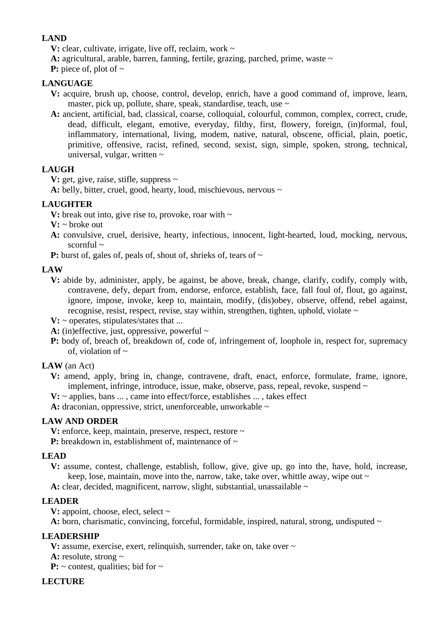# **LAND**

**V:** clear, cultivate, irrigate, live off, reclaim, work  $\sim$ 

 **A:** agricultural, arable, barren, fanning, fertile, grazing, parched, prime, waste ~

**P:** piece of, plot of  $\sim$ 

# **LANGUAGE**

- **V:** acquire, brush up, choose, control, develop, enrich, have a good command of, improve, learn, master, pick up, pollute, share, speak, standardise, teach, use ~
- **A:** ancient, artificial, bad, classical, coarse, colloquial, colourful, common, complex, correct, crude, dead, difficult, elegant, emotive, everyday, filthy, first, flowery, foreign, (in)formal, foul, inflammatory, international, living, modem, native, natural, obscene, official, plain, poetic, primitive, offensive, racist, refined, second, sexist, sign, simple, spoken, strong, technical, universal, vulgar, written ~

# **LAUGH**

**V:** get, give, raise, stifle, suppress  $\sim$ 

A: belly, bitter, cruel, good, hearty, loud, mischievous, nervous ~

# **LAUGHTER**

**V:** break out into, give rise to, provoke, roar with  $\sim$ 

 **V:** ~ broke out

 **A:** convulsive, cruel, derisive, hearty, infectious, innocent, light-hearted, loud, mocking, nervous, scornful  $\sim$ 

**P:** burst of, gales of, peals of, shout of, shrieks of, tears of  $\sim$ 

# **LAW**

- **V:** abide by, administer, apply, be against, be above, break, change, clarify, codify, comply with, contravene, defy, depart from, endorse, enforce, establish, face, fall foul of, flout, go against, ignore, impose, invoke, keep to, maintain, modify, (dis)obey, observe, offend, rebel against, recognise, resist, respect, revise, stay within, strengthen, tighten, uphold, violate  $\sim$
- **V:** ~ operates, stipulates/states that ...
- A: (in)effective, just, oppressive, powerful ~
- **P:** body of, breach of, breakdown of, code of, infringement of, loophole in, respect for, supremacy of, violation of  $\sim$

# **LAW** (an Act)

 **V:** amend, apply, bring in, change, contravene, draft, enact, enforce, formulate, frame, ignore, implement, infringe, introduce, issue, make, observe, pass, repeal, revoke, suspend  $\sim$ 

 **V:** ~ applies, bans ... , came into effect/force, establishes ... , takes effect

A: draconian, oppressive, strict, unenforceable, unworkable ~

## **LAW AND ORDER**

V: enforce, keep, maintain, preserve, respect, restore  $\sim$ 

**P:** breakdown in, establishment of, maintenance of  $\sim$ 

## **LEAD**

 **V:** assume, contest, challenge, establish, follow, give, give up, go into the, have, hold, increase, keep, lose, maintain, move into the, narrow, take, take over, whittle away, wipe out  $\sim$ 

A: clear, decided, magnificent, narrow, slight, substantial, unassailable ~

# **LEADER**

**V:** appoint, choose, elect, select ~

A: born, charismatic, convincing, forceful, formidable, inspired, natural, strong, undisputed ~

# **LEADERSHIP**

**V:** assume, exercise, exert, relinquish, surrender, take on, take over  $\sim$ 

 **A:** resolute, strong ~

**P:**  $\sim$  contest, qualities; bid for  $\sim$ 

# **LECTURE**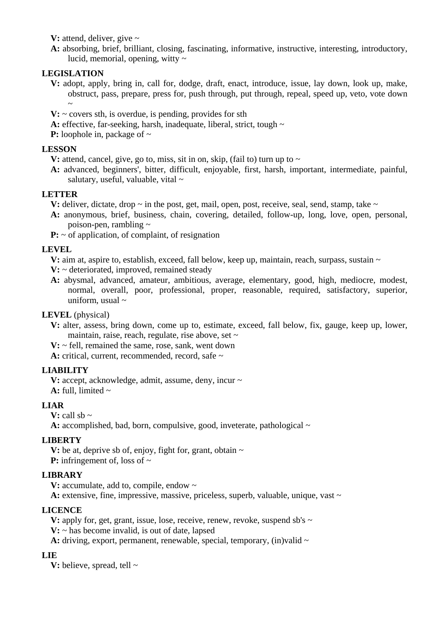**V:** attend, deliver, give  $\sim$ 

 **A:** absorbing, brief, brilliant, closing, fascinating, informative, instructive, interesting, introductory, lucid, memorial, opening, witty ~

## **LEGISLATION**

 $\sim$ 

- **V:** adopt, apply, bring in, call for, dodge, draft, enact, introduce, issue, lay down, look up, make, obstruct, pass, prepare, press for, push through, put through, repeal, speed up, veto, vote down
- $V: \sim$  covers sth, is overdue, is pending, provides for sth
- **A:** effective, far-seeking, harsh, inadequate, liberal, strict, tough ~

**P:** loophole in, package of  $\sim$ 

# **LESSON**

**V:** attend, cancel, give, go to, miss, sit in on, skip, (fail to) turn up to  $\sim$ 

 **A:** advanced, beginners', bitter, difficult, enjoyable, first, harsh, important, intermediate, painful, salutary, useful, valuable, vital  $\sim$ 

## **LETTER**

- **V:** deliver, dictate, drop  $\sim$  in the post, get, mail, open, post, receive, seal, send, stamp, take  $\sim$
- **A:** anonymous, brief, business, chain, covering, detailed, follow-up, long, love, open, personal, poison-pen, rambling  $\sim$
- **P:**  $\sim$  of application, of complaint, of resignation

# **LEVEL**

**V:** aim at, aspire to, establish, exceed, fall below, keep up, maintain, reach, surpass, sustain  $\sim$ 

- **V:** ~ deteriorated, improved, remained steady
- **A:** abysmal, advanced, amateur, ambitious, average, elementary, good, high, mediocre, modest, normal, overall, poor, professional, proper, reasonable, required, satisfactory, superior, uniform, usual  $\sim$

## **LEVEL** (physical)

 **V:** alter, assess, bring down, come up to, estimate, exceed, fall below, fix, gauge, keep up, lower, maintain, raise, reach, regulate, rise above, set  $\sim$ 

**V:**  $\sim$  fell, remained the same, rose, sank, went down

A: critical, current, recommended, record, safe ~

# **LIABILITY**

**V:** accept, acknowledge, admit, assume, deny, incur  $\sim$  **A:** full, limited ~

# **LIAR**

**V:** call sh  $\sim$ 

A: accomplished, bad, born, compulsive, good, inveterate, pathological  $\sim$ 

## **LIBERTY**

**V:** be at, deprive sb of, enjoy, fight for, grant, obtain  $\sim$ **P:** infringement of, loss of  $\sim$ 

## **LIBRARY**

**V:** accumulate, add to, compile, endow  $\sim$ 

A: extensive, fine, impressive, massive, priceless, superb, valuable, unique, vast  $\sim$ 

## **LICENCE**

**V:** apply for, get, grant, issue, lose, receive, renew, revoke, suspend sb's  $\sim$  $V: \sim$  has become invalid, is out of date, lapsed

 **A:** driving, export, permanent, renewable, special, temporary, (in)valid ~

# **LIE**

**V:** believe, spread, tell ~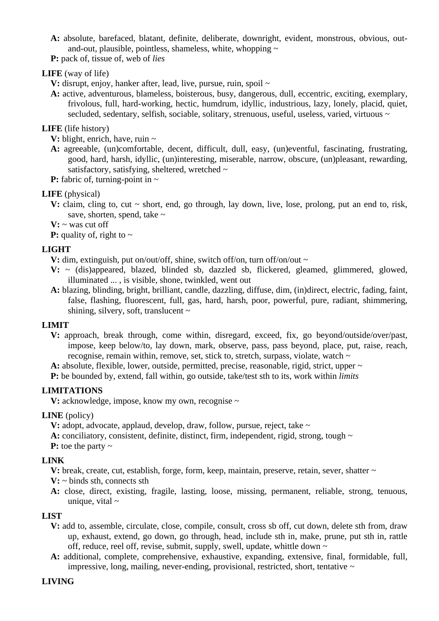**A:** absolute, barefaced, blatant, definite, deliberate, downright, evident, monstrous, obvious, outand-out, plausible, pointless, shameless, white, whopping  $\sim$ 

 **P:** pack of, tissue of, web of *lies* 

### **LIFE** (way of life)

- **V:** disrupt, enjoy, hanker after, lead, live, pursue, ruin, spoil  $\sim$
- **A:** active, adventurous, blameless, boisterous, busy, dangerous, dull, eccentric, exciting, exemplary, frivolous, full, hard-working, hectic, humdrum, idyllic, industrious, lazy, lonely, placid, quiet, secluded, sedentary, selfish, sociable, solitary, strenuous, useful, useless, varied, virtuous ~

### **LIFE** (life history)

V: blight, enrich, have, ruin ~

 **A:** agreeable, (un)comfortable, decent, difficult, dull, easy, (un)eventful, fascinating, frustrating, good, hard, harsh, idyllic, (un)interesting, miserable, narrow, obscure, (un)pleasant, rewarding, satisfactory, satisfying, sheltered, wretched ~

**P:** fabric of, turning-point in  $\sim$ 

### **LIFE** (physical)

**V:** claim, cling to, cut ~ short, end, go through, lay down, live, lose, prolong, put an end to, risk, save, shorten, spend, take ~

 $V: \sim$  was cut off

**P:** quality of, right to  $\sim$ 

### **LIGHT**

**V:** dim, extinguish, put on/out/off, shine, switch off/on, turn off/on/out ~

- **V:** ~ (dis)appeared, blazed, blinded sb, dazzled sb, flickered, gleamed, glimmered, glowed, illuminated ... , is visible, shone, twinkled, went out
- **A:** blazing, blinding, bright, brilliant, candle, dazzling, diffuse, dim, (in)direct, electric, fading, faint, false, flashing, fluorescent, full, gas, hard, harsh, poor, powerful, pure, radiant, shimmering, shining, silvery, soft, translucent  $\sim$

#### **LIMIT**

 **V:** approach, break through, come within, disregard, exceed, fix, go beyond/outside/over/past, impose, keep below/to, lay down, mark, observe, pass, pass beyond, place, put, raise, reach, recognise, remain within, remove, set, stick to, stretch, surpass, violate, watch ~

A: absolute, flexible, lower, outside, permitted, precise, reasonable, rigid, strict, upper ~

 **P:** be bounded by, extend, fall within, go outside, take/test sth to its, work within *limits* 

### **LIMITATIONS**

**V:** acknowledge, impose, know my own, recognise  $\sim$ 

#### **LINE** (policy)

**V:** adopt, advocate, applaud, develop, draw, follow, pursue, reject, take  $\sim$ 

A: conciliatory, consistent, definite, distinct, firm, independent, rigid, strong, tough  $\sim$ 

**P:** toe the party  $\sim$ 

#### **LINK**

**V:** break, create, cut, establish, forge, form, keep, maintain, preserve, retain, sever, shatter  $\sim$ 

- **V:**  $\sim$  binds sth, connects sth
- **A:** close, direct, existing, fragile, lasting, loose, missing, permanent, reliable, strong, tenuous, unique, vital  $\sim$

#### **LIST**

- **V:** add to, assemble, circulate, close, compile, consult, cross sb off, cut down, delete sth from, draw up, exhaust, extend, go down, go through, head, include sth in, make, prune, put sth in, rattle off, reduce, reel off, revise, submit, supply, swell, update, whittle down  $\sim$
- **A:** additional, complete, comprehensive, exhaustive, expanding, extensive, final, formidable, full, impressive, long, mailing, never-ending, provisional, restricted, short, tentative  $\sim$

## **LIVING**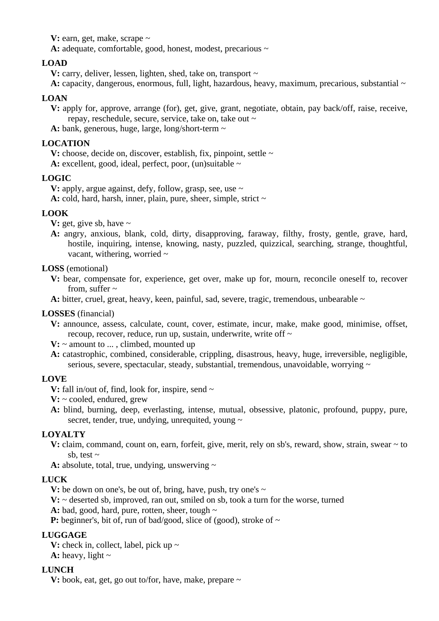**V:** earn, get, make, scrape  $\sim$ 

A: adequate, comfortable, good, honest, modest, precarious ~

### **LOAD**

**V:** carry, deliver, lessen, lighten, shed, take on, transport  $\sim$ 

 **A:** capacity, dangerous, enormous, full, light, hazardous, heavy, maximum, precarious, substantial ~

## **LOAN**

 **V:** apply for, approve, arrange (for), get, give, grant, negotiate, obtain, pay back/off, raise, receive, repay, reschedule, secure, service, take on, take out ~

A: bank, generous, huge, large, long/short-term  $\sim$ 

## **LOCATION**

**V:** choose, decide on, discover, establish, fix, pinpoint, settle ~ A: excellent, good, ideal, perfect, poor, (un)suitable ~

## **LOGIC**

**V:** apply, argue against, defy, follow, grasp, see, use  $\sim$ 

A: cold, hard, harsh, inner, plain, pure, sheer, simple, strict ~

# **LOOK**

**V:** get, give sb, have  $\sim$ 

 **A:** angry, anxious, blank, cold, dirty, disapproving, faraway, filthy, frosty, gentle, grave, hard, hostile, inquiring, intense, knowing, nasty, puzzled, quizzical, searching, strange, thoughtful, vacant, withering, worried ~

# **LOSS** (emotional)

 **V:** bear, compensate for, experience, get over, make up for, mourn, reconcile oneself to, recover from, suffer  $\sim$ 

A: bitter, cruel, great, heavy, keen, painful, sad, severe, tragic, tremendous, unbearable ~

### **LOSSES** (financial)

- **V:** announce, assess, calculate, count, cover, estimate, incur, make, make good, minimise, offset, recoup, recover, reduce, run up, sustain, underwrite, write off  $\sim$
- $V:~$  amount to ..., climbed, mounted up
- **A:** catastrophic, combined, considerable, crippling, disastrous, heavy, huge, irreversible, negligible, serious, severe, spectacular, steady, substantial, tremendous, unavoidable, worrying ~

## **LOVE**

- **V:** fall in/out of, find, look for, inspire, send  $\sim$
- **V:** ~ cooled, endured, grew
- **A:** blind, burning, deep, everlasting, intense, mutual, obsessive, platonic, profound, puppy, pure, secret, tender, true, undving, unrequited, young  $\sim$

## **LOYALTY**

**V:** claim, command, count on, earn, forfeit, give, merit, rely on sb's, reward, show, strain, swear  $\sim$  to sb, test  $\sim$ 

A: absolute, total, true, undying, unswerving  $\sim$ 

## **LUCK**

**V:** be down on one's, be out of, bring, have, push, try one's  $\sim$ 

 **V:** ~ deserted sb, improved, ran out, smiled on sb, took a turn for the worse, turned

A: bad, good, hard, pure, rotten, sheer, tough ~

**P:** beginner's, bit of, run of bad/good, slice of (good), stroke of  $\sim$ 

# **LUGGAGE**

**V:** check in, collect, label, pick up  $\sim$ **A:** heavy, light  $\sim$ 

## **LUNCH**

**V:** book, eat, get, go out to/for, have, make, prepare  $\sim$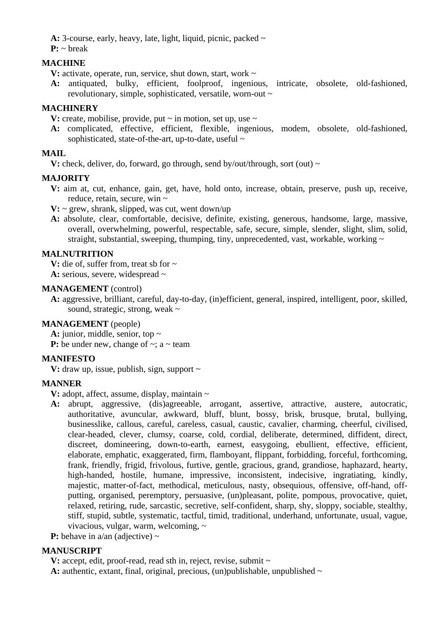**A:** 3-course, early, heavy, late, light, liquid, picnic, packed ~

 $P: ~ \text{break}$ 

# **MACHINE**

- **V:** activate, operate, run, service, shut down, start, work ~
- **A:** antiquated, bulky, efficient, foolproof, ingenious, intricate, obsolete, old-fashioned, revolutionary, simple, sophisticated, versatile, worn-out ~

# **MACHINERY**

**V:** create, mobilise, provide, put  $\sim$  in motion, set up, use  $\sim$ 

 **A:** complicated, effective, efficient, flexible, ingenious, modem, obsolete, old-fashioned, sophisticated, state-of-the-art, up-to-date, useful  $\sim$ 

# **MAIL**

**V:** check, deliver, do, forward, go through, send by/out/through, sort (out) ~

# **MAJORITY**

- **V:** aim at, cut, enhance, gain, get, have, hold onto, increase, obtain, preserve, push up, receive, reduce, retain, secure, win  $\sim$
- $V: \sim$  grew, shrank, slipped, was cut, went down/up
- **A:** absolute, clear, comfortable, decisive, definite, existing, generous, handsome, large, massive, overall, overwhelming, powerful, respectable, safe, secure, simple, slender, slight, slim, solid, straight, substantial, sweeping, thumping, tiny, unprecedented, vast, workable, working  $\sim$

# **MALNUTRITION**

**V:** die of, suffer from, treat sb for  $\sim$ 

A: serious, severe, widespread  $\sim$ 

# **MANAGEMENT** (control)

 **A:** aggressive, brilliant, careful, day-to-day, (in)efficient, general, inspired, intelligent, poor, skilled, sound, strategic, strong, weak ~

# **MANAGEMENT** (people)

A: junior, middle, senior, top ~ **P:** be under new, change of  $\sim$ ; a  $\sim$  team

## **MANIFESTO**

**V:** draw up, issue, publish, sign, support  $\sim$ 

# **MANNER**

**V:** adopt, affect, assume, display, maintain  $\sim$ 

A: abrupt, aggressive, (dis)agreeable, arrogant, assertive, attractive, austere, autocratic, authoritative, avuncular, awkward, bluff, blunt, bossy, brisk, brusque, brutal, bullying, businesslike, callous, careful, careless, casual, caustic, cavalier, charming, cheerful, civilised, clear-headed, clever, clumsy, coarse, cold, cordial, deliberate, determined, diffident, direct, discreet, domineering, down-to-earth, earnest, easygoing, ebullient, effective, efficient, elaborate, emphatic, exaggerated, firm, flamboyant, flippant, forbidding, forceful, forthcoming, frank, friendly, frigid, frivolous, furtive, gentle, gracious, grand, grandiose, haphazard, hearty, high-handed, hostile, humane, impressive, inconsistent, indecisive, ingratiating, kindly, majestic, matter-of-fact, methodical, meticulous, nasty, obsequious, offensive, off-hand, offputting, organised, peremptory, persuasive, (un)pleasant, polite, pompous, provocative, quiet, relaxed, retiring, rude, sarcastic, secretive, self-confident, sharp, shy, sloppy, sociable, stealthy, stiff, stupid, subtle, systematic, tactful, timid, traditional, underhand, unfortunate, usual, vague, vivacious, vulgar, warm, welcoming, ~

**P:** behave in  $a$ /an (adjective) ~

## **MANUSCRIPT**

**V:** accept, edit, proof-read, read sth in, reject, revise, submit  $\sim$ 

 **A:** authentic, extant, final, original, precious, (un)publishable, unpublished ~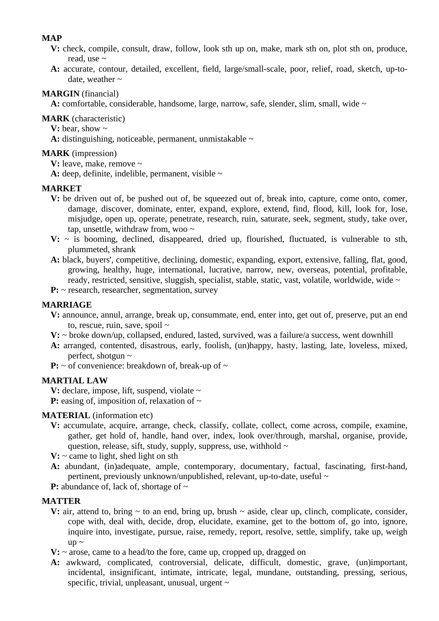### **MAP**

- **V:** check, compile, consult, draw, follow, look sth up on, make, mark sth on, plot sth on, produce, read, use  $\sim$
- **A:** accurate, contour, detailed, excellent, field, large/small-scale, poor, relief, road, sketch, up-todate, weather  $\sim$

#### **MARGIN** (financial)

A: comfortable, considerable, handsome, large, narrow, safe, slender, slim, small, wide ~

### **MARK** (characteristic)

**V:** bear, show  $\sim$ 

A: distinguishing, noticeable, permanent, unmistakable ~

#### **MARK** (impression)

**V:** leave, make, remove ~

A: deep, definite, indelible, permanent, visible ~

#### **MARKET**

- **V:** be driven out of, be pushed out of, be squeezed out of, break into, capture, come onto, comer, damage, discover, dominate, enter, expand, explore, extend, find, flood, kill, look for, lose, misjudge, open up, operate, penetrate, research, ruin, saturate, seek, segment, study, take over, tap, unsettle, withdraw from, woo  $\sim$
- **V:** ~ is booming, declined, disappeared, dried up, flourished, fluctuated, is vulnerable to sth, plummeted, shrank
- **A:** black, buyers', competitive, declining, domestic, expanding, export, extensive, falling, flat, good, growing, healthy, huge, international, lucrative, narrow, new, overseas, potential, profitable, ready, restricted, sensitive, sluggish, specialist, stable, static, vast, volatile, worldwide, wide ~

**P:**  $\sim$  research, researcher, segmentation, survey

#### **MARRIAGE**

- **V:** announce, annul, arrange, break up, consummate, end, enter into, get out of, preserve, put an end to, rescue, ruin, save, spoil ~
- **V:** ~ broke down/up, collapsed, endured, lasted, survived, was a failure/a success, went downhill
- **A:** arranged, contented, disastrous, early, foolish, (un)happy, hasty, lasting, late, loveless, mixed, perfect, shotgun ~
- **P:**  $\sim$  of convenience: breakdown of, break-up of  $\sim$

#### **MARTIAL LAW**

**V:** declare, impose, lift, suspend, violate  $\sim$ 

**P:** easing of, imposition of, relaxation of  $\sim$ 

#### **MATERIAL** (information etc)

 **V:** accumulate, acquire, arrange, check, classify, collate, collect, come across, compile, examine, gather, get hold of, handle, hand over, index, look over/through, marshal, organise, provide, question, release, sift, study, supply, suppress, use, withhold  $\sim$ 

 $V: \sim$  came to light, shed light on sth

- **A:** abundant, (in)adequate, ample, contemporary, documentary, factual, fascinating, first-hand, pertinent, previously unknown/unpublished, relevant, up-to-date, useful ~
- **P:** abundance of, lack of, shortage of  $\sim$

#### **MATTER**

- **V:** air, attend to, bring  $\sim$  to an end, bring up, brush  $\sim$  aside, clear up, clinch, complicate, consider, cope with, deal with, decide, drop, elucidate, examine, get to the bottom of, go into, ignore, inquire into, investigate, pursue, raise, remedy, report, resolve, settle, simplify, take up, weigh  $up \sim$
- **V:** ~ arose, came to a head/to the fore, came up, cropped up, dragged on
- **A:** awkward, complicated, controversial, delicate, difficult, domestic, grave, (un)important, incidental, insignificant, intimate, intricate, legal, mundane, outstanding, pressing, serious, specific, trivial, unpleasant, unusual, urgent  $\sim$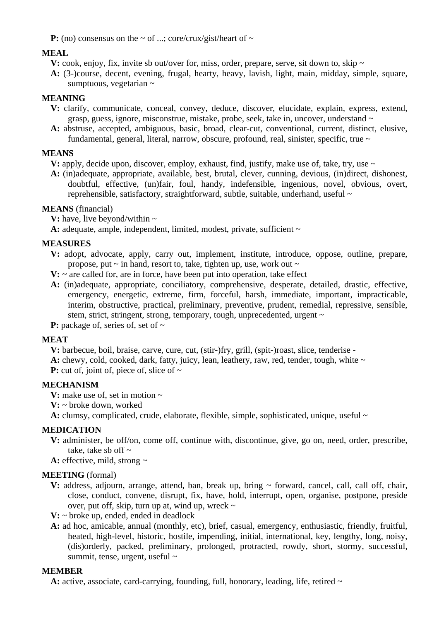**P:** (no) consensus on the  $\sim$  of ...; core/crux/gist/heart of  $\sim$ 

## **MEAL**

**V:** cook, enjoy, fix, invite sb out/over for, miss, order, prepare, serve, sit down to, skip ~

 **A:** (3-)course, decent, evening, frugal, hearty, heavy, lavish, light, main, midday, simple, square, sumptuous, vegetarian  $\sim$ 

## **MEANING**

- **V:** clarify, communicate, conceal, convey, deduce, discover, elucidate, explain, express, extend, grasp, guess, ignore, misconstrue, mistake, probe, seek, take in, uncover, understand ~
- **A:** abstruse, accepted, ambiguous, basic, broad, clear-cut, conventional, current, distinct, elusive, fundamental, general, literal, narrow, obscure, profound, real, sinister, specific, true ~

### **MEANS**

- **V:** apply, decide upon, discover, employ, exhaust, find, justify, make use of, take, try, use  $\sim$
- **A:** (in)adequate, appropriate, available, best, brutal, clever, cunning, devious, (in)direct, dishonest, doubtful, effective, (un)fair, foul, handy, indefensible, ingenious, novel, obvious, overt, reprehensible, satisfactory, straightforward, subtle, suitable, underhand, useful ~

## **MEANS** (financial)

**V:** have, live beyond/within  $\sim$ 

A: adequate, ample, independent, limited, modest, private, sufficient ~

### **MEASURES**

- **V:** adopt, advocate, apply, carry out, implement, institute, introduce, oppose, outline, prepare, propose, put  $\sim$  in hand, resort to, take, tighten up, use, work out  $\sim$
- **V:**  $\sim$  are called for, are in force, have been put into operation, take effect
- **A:** (in)adequate, appropriate, conciliatory, comprehensive, desperate, detailed, drastic, effective, emergency, energetic, extreme, firm, forceful, harsh, immediate, important, impracticable, interim, obstructive, practical, preliminary, preventive, prudent, remedial, repressive, sensible, stem, strict, stringent, strong, temporary, tough, unprecedented, urgent ~

**P:** package of, series of, set of  $\sim$ 

## **MEAT**

 **V:** barbecue, boil, braise, carve, cure, cut, (stir-)fry, grill, (spit-)roast, slice, tenderise -

**A:** chewy, cold, cooked, dark, fatty, juicy, lean, leathery, raw, red, tender, tough, white ~

**P:** cut of, joint of, piece of, slice of  $\sim$ 

#### **MECHANISM**

**V:** make use of, set in motion  $\sim$ 

 **V:** ~ broke down, worked

A: clumsy, complicated, crude, elaborate, flexible, simple, sophisticated, unique, useful ~

#### **MEDICATION**

 **V:** administer, be off/on, come off, continue with, discontinue, give, go on, need, order, prescribe, take, take sb of f $\sim$ 

A: effective, mild, strong ~

#### **MEETING** (formal)

**V:** address, adjourn, arrange, attend, ban, break up, bring  $\sim$  forward, cancel, call, call off, chair, close, conduct, convene, disrupt, fix, have, hold, interrupt, open, organise, postpone, preside over, put off, skip, turn up at, wind up, wreck  $\sim$ 

 **V:** ~ broke up, ended, ended in deadlock

 **A:** ad hoc, amicable, annual (monthly, etc), brief, casual, emergency, enthusiastic, friendly, fruitful, heated, high-level, historic, hostile, impending, initial, international, key, lengthy, long, noisy, (dis)orderly, packed, preliminary, prolonged, protracted, rowdy, short, stormy, successful, summit, tense, urgent, useful ~

#### **MEMBER**

A: active, associate, card-carrying, founding, full, honorary, leading, life, retired ~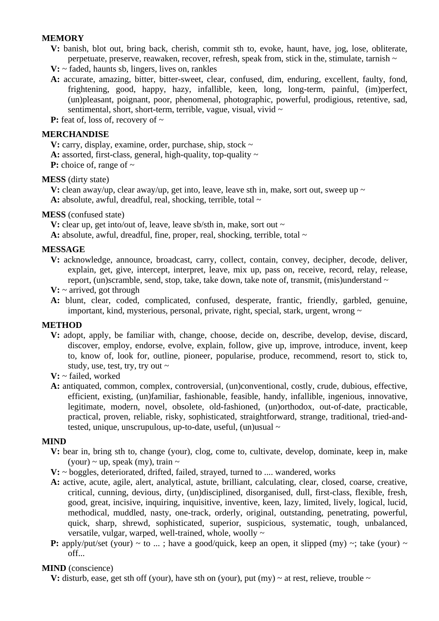### **MEMORY**

- **V:** banish, blot out, bring back, cherish, commit sth to, evoke, haunt, have, jog, lose, obliterate, perpetuate, preserve, reawaken, recover, refresh, speak from, stick in the, stimulate, tarnish  $\sim$
- **V:** ~ faded, haunts sb, lingers, lives on, rankles
- **A:** accurate, amazing, bitter, bitter-sweet, clear, confused, dim, enduring, excellent, faulty, fond, frightening, good, happy, hazy, infallible, keen, long, long-term, painful, (im)perfect, (un)pleasant, poignant, poor, phenomenal, photographic, powerful, prodigious, retentive, sad, sentimental, short, short-term, terrible, vague, visual, vivid  $\sim$

**P:** feat of, loss of, recovery of  $\sim$ 

### **MERCHANDISE**

**V:** carry, display, examine, order, purchase, ship, stock  $\sim$  **A:** assorted, first-class, general, high-quality, top-quality ~ **P:** choice of, range of  $\sim$ 

## **MESS** (dirty state)

**V:** clean away/up, clear away/up, get into, leave, leave sth in, make, sort out, sweep up  $\sim$ A: absolute, awful, dreadful, real, shocking, terrible, total  $\sim$ 

#### **MESS** (confused state)

**V:** clear up, get into/out of, leave, leave sb/sth in, make, sort out  $\sim$ 

A: absolute, awful, dreadful, fine, proper, real, shocking, terrible, total  $\sim$ 

#### **MESSAGE**

 **V:** acknowledge, announce, broadcast, carry, collect, contain, convey, decipher, decode, deliver, explain, get, give, intercept, interpret, leave, mix up, pass on, receive, record, relay, release, report, (un)scramble, send, stop, take, take down, take note of, transmit, (mis)understand  $\sim$ 

**V:** ~ arrived, got through

 **A:** blunt, clear, coded, complicated, confused, desperate, frantic, friendly, garbled, genuine, important, kind, mysterious, personal, private, right, special, stark, urgent, wrong ~

#### **METHOD**

 **V:** adopt, apply, be familiar with, change, choose, decide on, describe, develop, devise, discard, discover, employ, endorse, evolve, explain, follow, give up, improve, introduce, invent, keep to, know of, look for, outline, pioneer, popularise, produce, recommend, resort to, stick to, study, use, test, try, try out  $\sim$ 

 **V:** ~ failed, worked

 **A:** antiquated, common, complex, controversial, (un)conventional, costly, crude, dubious, effective, efficient, existing, (un)familiar, fashionable, feasible, handy, infallible, ingenious, innovative, legitimate, modern, novel, obsolete, old-fashioned, (un)orthodox, out-of-date, practicable, practical, proven, reliable, risky, sophisticated, straightforward, strange, traditional, tried-andtested, unique, unscrupulous, up-to-date, useful,  $(un)$ usual  $\sim$ 

#### **MIND**

- **V:** bear in, bring sth to, change (your), clog, come to, cultivate, develop, dominate, keep in, make (your) ~ up, speak (my), train ~
- **V:** ~ boggles, deteriorated, drifted, failed, strayed, turned to .... wandered, works
- **A:** active, acute, agile, alert, analytical, astute, brilliant, calculating, clear, closed, coarse, creative, critical, cunning, devious, dirty, (un)disciplined, disorganised, dull, first-class, flexible, fresh, good, great, incisive, inquiring, inquisitive, inventive, keen, lazy, limited, lively, logical, lucid, methodical, muddled, nasty, one-track, orderly, original, outstanding, penetrating, powerful, quick, sharp, shrewd, sophisticated, superior, suspicious, systematic, tough, unbalanced, versatile, vulgar, warped, well-trained, whole, woolly ~
- **P:** apply/put/set (your) ~ to ...; have a good/quick, keep an open, it slipped (my) ~; take (your) ~ off...

#### **MIND** (conscience)

**V:** disturb, ease, get sth off (your), have sth on (your), put (my)  $\sim$  at rest, relieve, trouble  $\sim$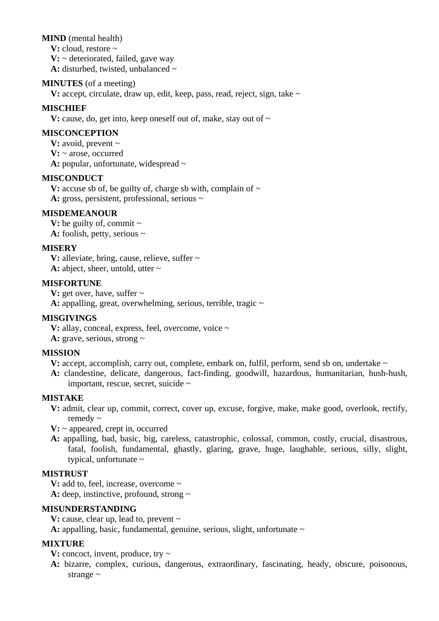#### **MIND** (mental health)

**V:** cloud, restore  $\sim$ 

**V:** ~ deteriorated, failed, gave way

A: disturbed, twisted, unbalanced ~

#### **MINUTES** (of a meeting)

**V:** accept, circulate, draw up, edit, keep, pass, read, reject, sign, take  $\sim$ 

### **MISCHIEF**

**V:** cause, do, get into, keep oneself out of, make, stay out of  $\sim$ 

#### **MISCONCEPTION**

**V:** avoid, prevent ~

 **V:** ~ arose, occurred

A: popular, unfortunate, widespread  $\sim$ 

### **MISCONDUCT**

**V:** accuse sb of, be guilty of, charge sb with, complain of  $\sim$ A: gross, persistent, professional, serious ~

### **MISDEMEANOUR**

**V:** be guilty of, commit  $\sim$  **A:** foolish, petty, serious ~

### **MISERY**

**V:** alleviate, bring, cause, relieve, suffer  $\sim$ A: abject, sheer, untold, utter  $\sim$ 

### **MISFORTUNE**

**V:** get over, have, suffer  $\sim$ A: appalling, great, overwhelming, serious, terrible, tragic ~

#### **MISGIVINGS**

**V:** allay, conceal, express, feel, overcome, voice ~ A: grave, serious, strong ~

#### **MISSION**

- **V:** accept, accomplish, carry out, complete, embark on, fulfil, perform, send sb on, undertake  $\sim$
- **A:** clandestine, delicate, dangerous, fact-finding, goodwill, hazardous, humanitarian, hush-hush, important, rescue, secret, suicide ~

## **MISTAKE**

 **V:** admit, clear up, commit, correct, cover up, excuse, forgive, make, make good, overlook, rectify, remedy ~

 **V:** ~ appeared, crept in, occurred

 **A:** appalling, bad, basic, big, careless, catastrophic, colossal, common, costly, crucial, disastrous, fatal, foolish, fundamental, ghastly, glaring, grave, huge, laughable, serious, silly, slight, typical, unfortunate ~

#### **MISTRUST**

**V:** add to, feel, increase, overcome ~

A: deep, instinctive, profound, strong  $\sim$ 

#### **MISUNDERSTANDING**

V: cause, clear up, lead to, prevent  $\sim$ 

 **A:** appalling, basic, fundamental, genuine, serious, slight, unfortunate ~

## **MIXTURE**

**V:** concoct, invent, produce, try  $\sim$ 

 **A:** bizarre, complex, curious, dangerous, extraordinary, fascinating, heady, obscure, poisonous, strange ~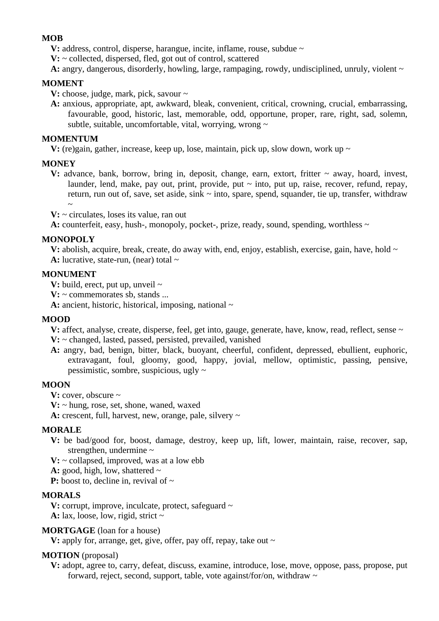### **MOB**

**V:** address, control, disperse, harangue, incite, inflame, rouse, subdue ~

 **V:** ~ collected, dispersed, fled, got out of control, scattered

A: angry, dangerous, disorderly, howling, large, rampaging, rowdy, undisciplined, unruly, violent  $\sim$ 

### **MOMENT**

**V:** choose, judge, mark, pick, savour ~

 **A:** anxious, appropriate, apt, awkward, bleak, convenient, critical, crowning, crucial, embarrassing, favourable, good, historic, last, memorable, odd, opportune, proper, rare, right, sad, solemn, subtle, suitable, uncomfortable, vital, worrying, wrong ~

#### **MOMENTUM**

**V:** (re)gain, gather, increase, keep up, lose, maintain, pick up, slow down, work up  $\sim$ 

### **MONEY**

**V:** advance, bank, borrow, bring in, deposit, change, earn, extort, fritter  $\sim$  away, hoard, invest, launder, lend, make, pay out, print, provide, put  $\sim$  into, put up, raise, recover, refund, repay, return, run out of, save, set aside, sink  $\sim$  into, spare, spend, squander, tie up, transfer, withdraw

 **V:** ~ circulates, loses its value, ran out

A: counterfeit, easy, hush-, monopoly, pocket-, prize, ready, sound, spending, worthless  $\sim$ 

## **MONOPOLY**

 $\sim$ 

**V:** abolish, acquire, break, create, do away with, end, enjoy, establish, exercise, gain, have, hold  $\sim$ A: lucrative, state-run, (near) total  $\sim$ 

### **MONUMENT**

**V:** build, erect, put up, unveil ~

**V:** ~ commemorates sb, stands ...

A: ancient, historic, historical, imposing, national  $\sim$ 

## **MOOD**

**V:** affect, analyse, create, disperse, feel, get into, gauge, generate, have, know, read, reflect, sense ~

- **V:** ~ changed, lasted, passed, persisted, prevailed, vanished
- **A:** angry, bad, benign, bitter, black, buoyant, cheerful, confident, depressed, ebullient, euphoric, extravagant, foul, gloomy, good, happy, jovial, mellow, optimistic, passing, pensive, pessimistic, sombre, suspicious, ugly ~

## **MOON**

**V:** cover, obscure  $\sim$ 

 **V:** ~ hung, rose, set, shone, waned, waxed

A: crescent, full, harvest, new, orange, pale, silvery  $\sim$ 

#### **MORALE**

- **V:** be bad/good for, boost, damage, destroy, keep up, lift, lower, maintain, raise, recover, sap, strengthen, undermine ~
- **V:** ~ collapsed, improved, was at a low ebb

A: good, high, low, shattered  $\sim$ 

**P:** boost to, decline in, revival of  $\sim$ 

## **MORALS**

V: corrupt, improve, inculcate, protect, safeguard  $\sim$ 

**A:** lax, loose, low, rigid, strict  $\sim$ 

## **MORTGAGE** (loan for a house)

**V:** apply for, arrange, get, give, offer, pay off, repay, take out  $\sim$ 

## **MOTION** (proposal)

 **V:** adopt, agree to, carry, defeat, discuss, examine, introduce, lose, move, oppose, pass, propose, put forward, reject, second, support, table, vote against/for/on, withdraw ~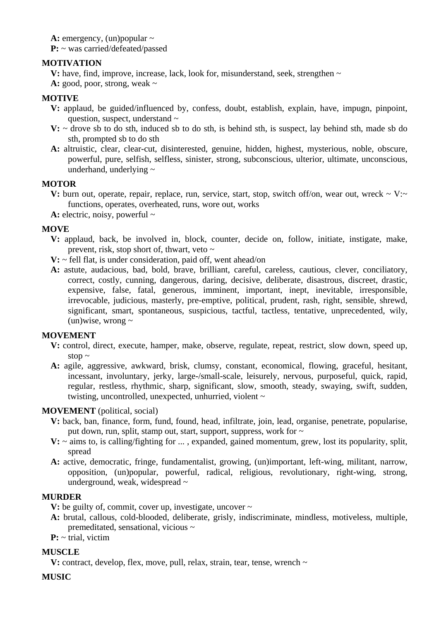A: emergency,  $(un)$  popular  $\sim$  **P:** ~ was carried/defeated/passed

### **MOTIVATION**

**V:** have, find, improve, increase, lack, look for, misunderstand, seek, strengthen  $\sim$ A: good, poor, strong, weak  $\sim$ 

### **MOTIVE**

- **V:** applaud, be guided/influenced by, confess, doubt, establish, explain, have, impugn, pinpoint, question, suspect, understand  $\sim$
- $V: \sim$  drove sb to do sth, induced sb to do sth, is behind sth, is suspect, lay behind sth, made sb do sth, prompted sb to do sth
- **A:** altruistic, clear, clear-cut, disinterested, genuine, hidden, highest, mysterious, noble, obscure, powerful, pure, selfish, selfless, sinister, strong, subconscious, ulterior, ultimate, unconscious, underhand, underlying  $\sim$

#### **MOTOR**

**V:** burn out, operate, repair, replace, run, service, start, stop, switch off/on, wear out, wreck  $\sim$  V: $\sim$ functions, operates, overheated, runs, wore out, works

A: electric, noisy, powerful ~

#### **MOVE**

- **V:** applaud, back, be involved in, block, counter, decide on, follow, initiate, instigate, make, prevent, risk, stop short of, thwart, veto  $\sim$
- **V:** ~ fell flat, is under consideration, paid off, went ahead/on
- **A:** astute, audacious, bad, bold, brave, brilliant, careful, careless, cautious, clever, conciliatory, correct, costly, cunning, dangerous, daring, decisive, deliberate, disastrous, discreet, drastic, expensive, false, fatal, generous, imminent, important, inept, inevitable, irresponsible, irrevocable, judicious, masterly, pre-emptive, political, prudent, rash, right, sensible, shrewd, significant, smart, spontaneous, suspicious, tactful, tactless, tentative, unprecedented, wily, (un)wise, wrong  $\sim$

#### **MOVEMENT**

- **V:** control, direct, execute, hamper, make, observe, regulate, repeat, restrict, slow down, speed up, stop  $\sim$
- **A:** agile, aggressive, awkward, brisk, clumsy, constant, economical, flowing, graceful, hesitant, incessant, involuntary, jerky, large-/small-scale, leisurely, nervous, purposeful, quick, rapid, regular, restless, rhythmic, sharp, significant, slow, smooth, steady, swaying, swift, sudden, twisting, uncontrolled, unexpected, unhurried, violent ~

#### **MOVEMENT** (political, social)

- **V:** back, ban, finance, form, fund, found, head, infiltrate, join, lead, organise, penetrate, popularise, put down, run, split, stamp out, start, support, suppress, work for  $\sim$
- **V:** ~ aims to, is calling/fighting for ... , expanded, gained momentum, grew, lost its popularity, split, spread
- **A:** active, democratic, fringe, fundamentalist, growing, (un)important, left-wing, militant, narrow, opposition, (un)popular, powerful, radical, religious, revolutionary, right-wing, strong, underground, weak, widespread  $\sim$

#### **MURDER**

**V:** be guilty of, commit, cover up, investigate, uncover  $\sim$ 

- **A:** brutal, callous, cold-blooded, deliberate, grisly, indiscriminate, mindless, motiveless, multiple, premeditated, sensational, vicious ~
- **P:** ~ trial, victim

### **MUSCLE**

**V:** contract, develop, flex, move, pull, relax, strain, tear, tense, wrench  $\sim$ 

#### **MUSIC**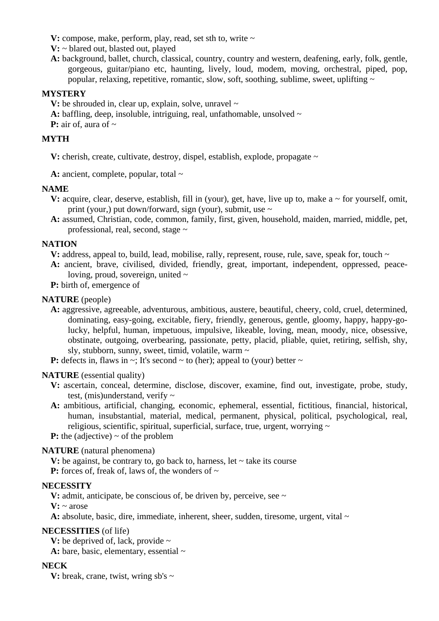**V:** compose, make, perform, play, read, set sth to, write  $\sim$ 

 **V:** ~ blared out, blasted out, played

 **A:** background, ballet, church, classical, country, country and western, deafening, early, folk, gentle, gorgeous, guitar/piano etc, haunting, lively, loud, modem, moving, orchestral, piped, pop, popular, relaxing, repetitive, romantic, slow, soft, soothing, sublime, sweet, uplifting  $\sim$ 

#### **MYSTERY**

**V:** be shrouded in, clear up, explain, solve, unravel  $\sim$ 

A: baffling, deep, insoluble, intriguing, real, unfathomable, unsolved  $\sim$ 

**P:** air of, aura of  $\sim$ 

### **MYTH**

**V:** cherish, create, cultivate, destroy, dispel, establish, explode, propagate  $\sim$ 

A: ancient, complete, popular, total  $\sim$ 

#### **NAME**

- **V:** acquire, clear, deserve, establish, fill in (your), get, have, live up to, make a  $\sim$  for yourself, omit, print (your,) put down/forward, sign (your), submit, use  $\sim$
- **A:** assumed, Christian, code, common, family, first, given, household, maiden, married, middle, pet, professional, real, second, stage ~

#### **NATION**

**V:** address, appeal to, build, lead, mobilise, rally, represent, rouse, rule, save, speak for, touch  $\sim$ 

 **A:** ancient, brave, civilised, divided, friendly, great, important, independent, oppressed, peaceloving, proud, sovereign, united  $\sim$ 

**P:** birth of, emergence of

#### **NATURE** (people)

 **A:** aggressive, agreeable, adventurous, ambitious, austere, beautiful, cheery, cold, cruel, determined, dominating, easy-going, excitable, fiery, friendly, generous, gentle, gloomy, happy, happy-golucky, helpful, human, impetuous, impulsive, likeable, loving, mean, moody, nice, obsessive, obstinate, outgoing, overbearing, passionate, petty, placid, pliable, quiet, retiring, selfish, shy, sly, stubborn, sunny, sweet, timid, volatile, warm ~

**P:** defects in, flaws in  $\sim$ ; It's second  $\sim$  to (her); appeal to (your) better  $\sim$ 

#### **NATURE** (essential quality)

- **V:** ascertain, conceal, determine, disclose, discover, examine, find out, investigate, probe, study, test, (mis)understand, verify ~
- **A:** ambitious, artificial, changing, economic, ephemeral, essential, fictitious, financial, historical, human, insubstantial, material, medical, permanent, physical, political, psychological, real, religious, scientific, spiritual, superficial, surface, true, urgent, worrying  $\sim$

**P:** the (adjective)  $\sim$  of the problem

#### **NATURE** (natural phenomena)

**V:** be against, be contrary to, go back to, harness, let  $\sim$  take its course

**P:** forces of, freak of, laws of, the wonders of  $\sim$ 

#### **NECESSITY**

**V:** admit, anticipate, be conscious of, be driven by, perceive, see  $\sim$ 

 $V: ~ ~$  arose

A: absolute, basic, dire, immediate, inherent, sheer, sudden, tiresome, urgent, vital  $\sim$ 

#### **NECESSITIES** (of life)

**V:** be deprived of, lack, provide  $\sim$ 

A: bare, basic, elementary, essential ~

#### **NECK**

**V:** break, crane, twist, wring sb's  $\sim$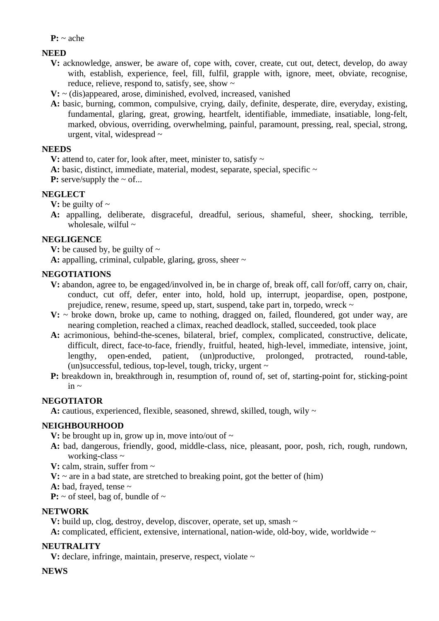### $P: ~ \circ$  ache

## **NEED**

- **V:** acknowledge, answer, be aware of, cope with, cover, create, cut out, detect, develop, do away with, establish, experience, feel, fill, fulfil, grapple with, ignore, meet, obviate, recognise, reduce, relieve, respond to, satisfy, see, show  $\sim$
- **V:** ~ (dis)appeared, arose, diminished, evolved, increased, vanished
- **A:** basic, burning, common, compulsive, crying, daily, definite, desperate, dire, everyday, existing, fundamental, glaring, great, growing, heartfelt, identifiable, immediate, insatiable, long-felt, marked, obvious, overriding, overwhelming, painful, paramount, pressing, real, special, strong, urgent, vital, widespread  $\sim$

#### **NEEDS**

**V:** attend to, cater for, look after, meet, minister to, satisfy  $\sim$ 

 **A:** basic, distinct, immediate, material, modest, separate, special, specific ~

**P:** serve/supply the  $\sim$  of...

## **NEGLECT**

- **V:** be guilty of  $\sim$
- **A:** appalling, deliberate, disgraceful, dreadful, serious, shameful, sheer, shocking, terrible, wholesale, wilful  $\sim$

### **NEGLIGENCE**

**V:** be caused by, be guilty of  $\sim$ 

A: appalling, criminal, culpable, glaring, gross, sheer  $\sim$ 

## **NEGOTIATIONS**

- **V:** abandon, agree to, be engaged/involved in, be in charge of, break off, call for/off, carry on, chair, conduct, cut off, defer, enter into, hold, hold up, interrupt, jeopardise, open, postpone, prejudice, renew, resume, speed up, start, suspend, take part in, torpedo, wreck ~
- **V:** ~ broke down, broke up, came to nothing, dragged on, failed, floundered, got under way, are nearing completion, reached a climax, reached deadlock, stalled, succeeded, took place
- **A:** acrimonious, behind-the-scenes, bilateral, brief, complex, complicated, constructive, delicate, difficult, direct, face-to-face, friendly, fruitful, heated, high-level, immediate, intensive, joint, lengthy, open-ended, patient, (un)productive, prolonged, protracted, round-table, (un)successful, tedious, top-level, tough, tricky, urgent  $\sim$
- **P:** breakdown in, breakthrough in, resumption of, round of, set of, starting-point for, sticking-point  $in \sim$

## **NEGOTIATOR**

A: cautious, experienced, flexible, seasoned, shrewd, skilled, tough, wily  $\sim$ 

## **NEIGHBOURHOOD**

**V:** be brought up in, grow up in, move into/out of  $\sim$ 

 **A:** bad, dangerous, friendly, good, middle-class, nice, pleasant, poor, posh, rich, rough, rundown, working-class ~

**V:** calm, strain, suffer from  $\sim$ 

- $V: \sim$  are in a bad state, are stretched to breaking point, got the better of (him)
- A: bad, frayed, tense ~

**P:**  $\sim$  of steel, bag of, bundle of  $\sim$ 

## **NETWORK**

**V:** build up, clog, destroy, develop, discover, operate, set up, smash  $\sim$ 

A: complicated, efficient, extensive, international, nation-wide, old-boy, wide, worldwide ~

## **NEUTRALITY**

**V:** declare, infringe, maintain, preserve, respect, violate ~

## **NEWS**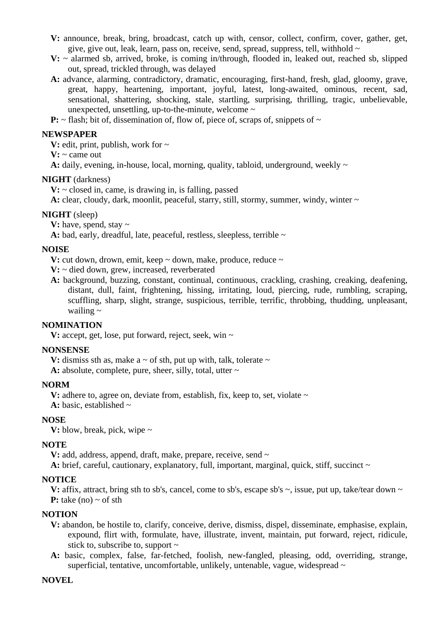- **V:** announce, break, bring, broadcast, catch up with, censor, collect, confirm, cover, gather, get, give, give out, leak, learn, pass on, receive, send, spread, suppress, tell, withhold  $\sim$
- **V:** ~ alarmed sb, arrived, broke, is coming in/through, flooded in, leaked out, reached sb, slipped out, spread, trickled through, was delayed
- **A:** advance, alarming, contradictory, dramatic, encouraging, first-hand, fresh, glad, gloomy, grave, great, happy, heartening, important, joyful, latest, long-awaited, ominous, recent, sad, sensational, shattering, shocking, stale, startling, surprising, thrilling, tragic, unbelievable, unexpected, unsettling, up-to-the-minute, welcome  $\sim$
- **P:**  $\sim$  flash; bit of, dissemination of, flow of, piece of, scraps of, snippets of  $\sim$

#### **NEWSPAPER**

**V:** edit, print, publish, work for  $\sim$ 

 **V:** ~ came out

A: daily, evening, in-house, local, morning, quality, tabloid, underground, weekly  $\sim$ 

#### **NIGHT** (darkness)

 $V: \sim$  closed in, came, is drawing in, is falling, passed

A: clear, cloudy, dark, moonlit, peaceful, starry, still, stormy, summer, windy, winter  $\sim$ 

### **NIGHT** (sleep)

**V:** have, spend, stay  $\sim$ 

 **A:** bad, early, dreadful, late, peaceful, restless, sleepless, terrible ~

#### **NOISE**

**V:** cut down, drown, emit, keep ~ down, make, produce, reduce ~

 **V:** ~ died down, grew, increased, reverberated

 **A:** background, buzzing, constant, continual, continuous, crackling, crashing, creaking, deafening, distant, dull, faint, frightening, hissing, irritating, loud, piercing, rude, rumbling, scraping, scuffling, sharp, slight, strange, suspicious, terrible, terrific, throbbing, thudding, unpleasant, wailing  $\sim$ 

#### **NOMINATION**

**V:** accept, get, lose, put forward, reject, seek, win  $\sim$ 

#### **NONSENSE**

**V:** dismiss sth as, make a  $\sim$  of sth, put up with, talk, tolerate  $\sim$ 

A: absolute, complete, pure, sheer, silly, total, utter  $\sim$ 

#### **NORM**

**V:** adhere to, agree on, deviate from, establish, fix, keep to, set, violate  $\sim$ 

A: basic, established ~

#### **NOSE**

**V:** blow, break, pick, wipe  $\sim$ 

#### **NOTE**

V: add, address, append, draft, make, prepare, receive, send  $\sim$ 

A: brief, careful, cautionary, explanatory, full, important, marginal, quick, stiff, succinct ~

#### **NOTICE**

**V:** affix, attract, bring sth to sb's, cancel, come to sb's, escape sb's  $\sim$ , issue, put up, take/tear down  $\sim$ **P:** take (no)  $\sim$  of sth

#### **NOTION**

- **V:** abandon, be hostile to, clarify, conceive, derive, dismiss, dispel, disseminate, emphasise, explain, expound, flirt with, formulate, have, illustrate, invent, maintain, put forward, reject, ridicule, stick to, subscribe to, support  $\sim$
- **A:** basic, complex, false, far-fetched, foolish, new-fangled, pleasing, odd, overriding, strange, superficial, tentative, uncomfortable, unlikely, untenable, vague, widespread  $\sim$

#### **NOVEL**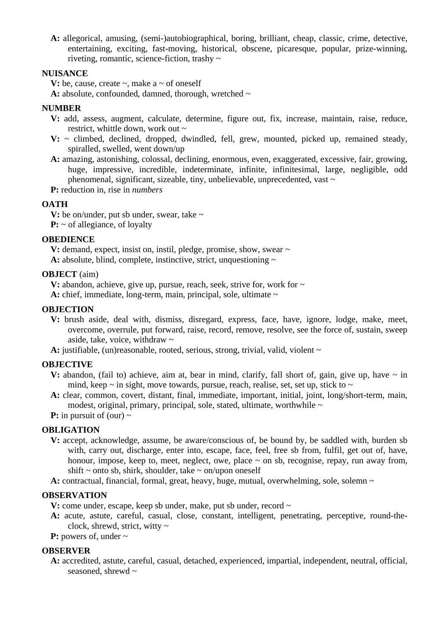**A:** allegorical, amusing, (semi-)autobiographical, boring, brilliant, cheap, classic, crime, detective, entertaining, exciting, fast-moving, historical, obscene, picaresque, popular, prize-winning, riveting, romantic, science-fiction, trashy ~

### **NUISANCE**

**V:** be, cause, create  $\sim$ , make a  $\sim$  of oneself

A: absolute, confounded, damned, thorough, wretched  $\sim$ 

## **NUMBER**

- **V:** add, assess, augment, calculate, determine, figure out, fix, increase, maintain, raise, reduce, restrict, whittle down, work out ~
- **V:** ~ climbed, declined, dropped, dwindled, fell, grew, mounted, picked up, remained steady, spiralled, swelled, went down/up
- **A:** amazing, astonishing, colossal, declining, enormous, even, exaggerated, excessive, fair, growing, huge, impressive, incredible, indeterminate, infinite, infinitesimal, large, negligible, odd phenomenal, significant, sizeable, tiny, unbelievable, unprecedented, vast  $\sim$

 **P:** reduction in, rise in *numbers* 

## **OATH**

**V:** be on/under, put sb under, swear, take  $\sim$ 

**P:**  $\sim$  of allegiance, of loyalty

### **OBEDIENCE**

**V:** demand, expect, insist on, instil, pledge, promise, show, swear  $\sim$ A: absolute, blind, complete, instinctive, strict, unquestioning  $\sim$ 

#### **OBJECT** (aim)

**V:** abandon, achieve, give up, pursue, reach, seek, strive for, work for  $\sim$ 

A: chief, immediate, long-term, main, principal, sole, ultimate ~

#### **OBJECTION**

 **V:** brush aside, deal with, dismiss, disregard, express, face, have, ignore, lodge, make, meet, overcome, overrule, put forward, raise, record, remove, resolve, see the force of, sustain, sweep aside, take, voice, withdraw ~

A: justifiable, (un)reasonable, rooted, serious, strong, trivial, valid, violent ~

## **OBJECTIVE**

- **V:** abandon, (fail to) achieve, aim at, bear in mind, clarify, fall short of, gain, give up, have  $\sim$  in mind, keep  $\sim$  in sight, move towards, pursue, reach, realise, set, set up, stick to  $\sim$
- **A:** clear, common, covert, distant, final, immediate, important, initial, joint, long/short-term, main, modest, original, primary, principal, sole, stated, ultimate, worthwhile  $\sim$

**P:** in pursuit of (our)  $\sim$ 

## **OBLIGATION**

 **V:** accept, acknowledge, assume, be aware/conscious of, be bound by, be saddled with, burden sb with, carry out, discharge, enter into, escape, face, feel, free sb from, fulfil, get out of, have, honour, impose, keep to, meet, neglect, owe, place  $\sim$  on sb, recognise, repay, run away from, shift  $\sim$  onto sb, shirk, shoulder, take  $\sim$  on/upon oneself

A: contractual, financial, formal, great, heavy, huge, mutual, overwhelming, sole, solemn  $\sim$ 

## **OBSERVATION**

**V:** come under, escape, keep sb under, make, put sb under, record  $\sim$ 

 **A:** acute, astute, careful, casual, close, constant, intelligent, penetrating, perceptive, round-theclock, shrewd, strict, witty ~

**P:** powers of, under  $\sim$ 

## **OBSERVER**

 **A:** accredited, astute, careful, casual, detached, experienced, impartial, independent, neutral, official, seasoned, shrewd ~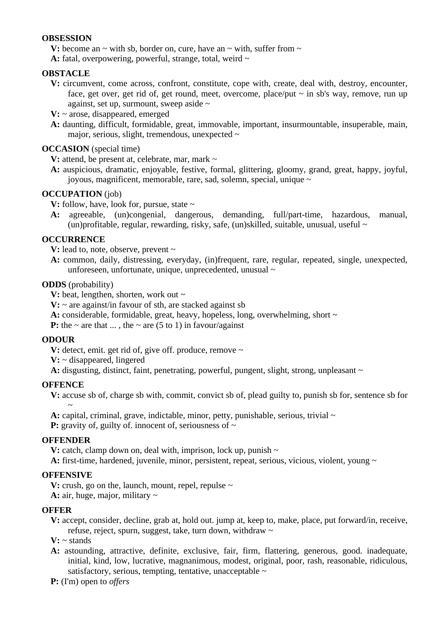## **OBSESSION**

**V:** become an  $\sim$  with sb, border on, cure, have an  $\sim$  with, suffer from  $\sim$ 

A: fatal, overpowering, powerful, strange, total, weird  $\sim$ 

## **OBSTACLE**

- **V:** circumvent, come across, confront, constitute, cope with, create, deal with, destroy, encounter, face, get over, get rid of, get round, meet, overcome, place/put  $\sim$  in sb's way, remove, run up against, set up, surmount, sweep aside ~
- **V:** ~ arose, disappeared, emerged
- **A:** daunting, difficult, formidable, great, immovable, important, insurmountable, insuperable, main, major, serious, slight, tremendous, unexpected  $\sim$

## **OCCASION** (special time)

**V:** attend, be present at, celebrate, mar, mark  $\sim$ 

 **A:** auspicious, dramatic, enjoyable, festive, formal, glittering, gloomy, grand, great, happy, joyful, joyous, magnificent, memorable, rare, sad, solemn, special, unique ~

## **OCCUPATION** (job)

**V:** follow, have, look for, pursue, state  $\sim$ 

 **A:** agreeable, (un)congenial, dangerous, demanding, full/part-time, hazardous, manual, (un)profitable, regular, rewarding, risky, safe, (un)skilled, suitable, unusual, useful  $\sim$ 

## **OCCURRENCE**

**V:** lead to, note, observe, prevent  $\sim$ 

 **A:** common, daily, distressing, everyday, (in)frequent, rare, regular, repeated, single, unexpected, unforeseen, unfortunate, unique, unprecedented, unusual ~

## **ODDS** (probability)

**V:** beat, lengthen, shorten, work out ~

- $V: \sim$  are against/in favour of sth, are stacked against sb
- A: considerable, formidable, great, heavy, hopeless, long, overwhelming, short ~

**P:** the  $\sim$  are that ..., the  $\sim$  are (5 to 1) in favour/against

## **ODOUR**

**V:** detect, emit. get rid of, give off. produce, remove  $\sim$ 

 **V:** ~ disappeared, lingered

A: disgusting, distinct, faint, penetrating, powerful, pungent, slight, strong, unpleasant ~

## **OFFENCE**

 **V:** accuse sb of, charge sb with, commit, convict sb of, plead guilty to, punish sb for, sentence sb for

 $\sim$ A: capital, criminal, grave, indictable, minor, petty, punishable, serious, trivial  $\sim$ 

**P:** gravity of, guilty of, innocent of, seriousness of  $\sim$ 

## **OFFENDER**

**V:** catch, clamp down on, deal with, imprison, lock up, punish  $\sim$ 

A: first-time, hardened, juvenile, minor, persistent, repeat, serious, vicious, violent, young ~

## **OFFENSIVE**

**V:** crush, go on the, launch, mount, repel, repulse  $\sim$ A: air, huge, major, military  $\sim$ 

## **OFFER**

 **V:** accept, consider, decline, grab at, hold out. jump at, keep to, make, place, put forward/in, receive, refuse, reject, spurn, suggest, take, turn down, withdraw  $\sim$ 

 $V: \sim$  stands

- **A:** astounding, attractive, definite, exclusive, fair, firm, flattering, generous, good. inadequate, initial, kind, low, lucrative, magnanimous, modest, original, poor, rash, reasonable, ridiculous, satisfactory, serious, tempting, tentative, unacceptable  $\sim$
- **P:** (I'm) open to *offers*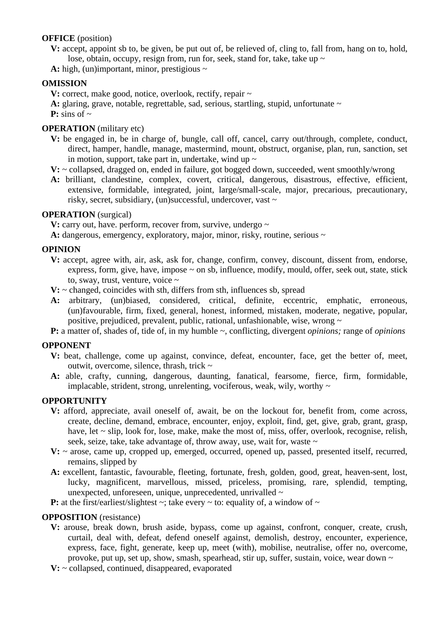## **OFFICE** (position)

- **V:** accept, appoint sb to, be given, be put out of, be relieved of, cling to, fall from, hang on to, hold, lose, obtain, occupy, resign from, run for, seek, stand for, take, take up  $\sim$
- A: high, (un)important, minor, prestigious  $\sim$

## **OMISSION**

**V:** correct, make good, notice, overlook, rectify, repair  $\sim$ 

A: glaring, grave, notable, regrettable, sad, serious, startling, stupid, unfortunate ~ **P:** sins of  $\sim$ 

## **OPERATION** (military etc)

- **V:** be engaged in, be in charge of, bungle, call off, cancel, carry out/through, complete, conduct, direct, hamper, handle, manage, mastermind, mount, obstruct, organise, plan, run, sanction, set in motion, support, take part in, undertake, wind up  $\sim$
- **V:** ~ collapsed, dragged on, ended in failure, got bogged down, succeeded, went smoothly/wrong
- **A:** brilliant, clandestine, complex, covert, critical, dangerous, disastrous, effective, efficient, extensive, formidable, integrated, joint, large/small-scale, major, precarious, precautionary, risky, secret, subsidiary, (un)successful, undercover, vast ~

## **OPERATION** (surgical)

**V:** carry out, have. perform, recover from, survive, undergo  $\sim$ 

 **A:** dangerous, emergency, exploratory, major, minor, risky, routine, serious ~

## **OPINION**

- **V:** accept, agree with, air, ask, ask for, change, confirm, convey, discount, dissent from, endorse, express, form, give, have, impose  $\sim$  on sb, influence, modify, mould, offer, seek out, state, stick to, sway, trust, venture, voice  $\sim$
- **V:** ~ changed, coincides with sth, differs from sth, influences sb, spread
- A: arbitrary, (un)biased, considered, critical, definite, eccentric, emphatic, erroneous, (un)favourable, firm, fixed, general, honest, informed, mistaken, moderate, negative, popular, positive, prejudiced, prevalent, public, rational, unfashionable, wise, wrong  $\sim$

 **P:** a matter of, shades of, tide of, in my humble ~, conflicting, divergent *opinions;* range of *opinions* 

## **OPPONENT**

- **V:** beat, challenge, come up against, convince, defeat, encounter, face, get the better of, meet, outwit, overcome, silence, thrash, trick ~
- **A:** able, crafty, cunning, dangerous, daunting, fanatical, fearsome, fierce, firm, formidable, implacable, strident, strong, unrelenting, vociferous, weak, wily, worthy  $\sim$

# **OPPORTUNITY**

- **V:** afford, appreciate, avail oneself of, await, be on the lockout for, benefit from, come across, create, decline, demand, embrace, encounter, enjoy, exploit, find, get, give, grab, grant, grasp, have, let ~ slip, look for, lose, make, make the most of, miss, offer, overlook, recognise, relish, seek, seize, take, take advantage of, throw away, use, wait for, waste ~
- **V:** ~ arose, came up, cropped up, emerged, occurred, opened up, passed, presented itself, recurred, remains, slipped by
- **A:** excellent, fantastic, favourable, fleeting, fortunate, fresh, golden, good, great, heaven-sent, lost, lucky, magnificent, marvellous, missed, priceless, promising, rare, splendid, tempting, unexpected, unforeseen, unique, unprecedented, unrivalled ~
- **P:** at the first/earliest/slightest  $\sim$ ; take every  $\sim$  to: equality of, a window of  $\sim$

## **OPPOSITION** (resistance)

- **V:** arouse, break down, brush aside, bypass, come up against, confront, conquer, create, crush, curtail, deal with, defeat, defend oneself against, demolish, destroy, encounter, experience, express, face, fight, generate, keep up, meet (with), mobilise, neutralise, offer no, overcome, provoke, put up, set up, show, smash, spearhead, stir up, suffer, sustain, voice, wear down ~
- **V:** ~ collapsed, continued, disappeared, evaporated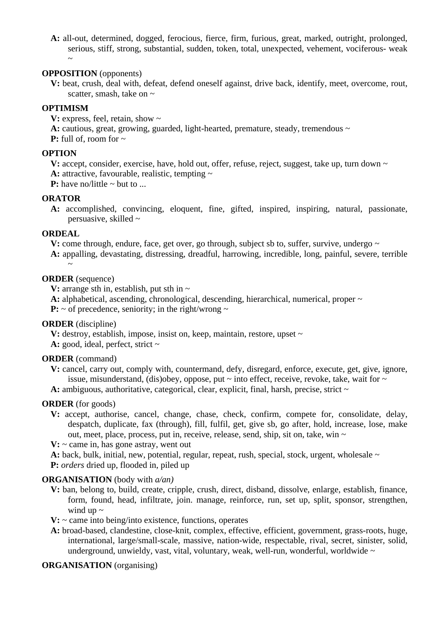**A:** all-out, determined, dogged, ferocious, fierce, firm, furious, great, marked, outright, prolonged, serious, stiff, strong, substantial, sudden, token, total, unexpected, vehement, vociferous- weak  $\sim$ 

## **OPPOSITION** (opponents)

 **V:** beat, crush, deal with, defeat, defend oneself against, drive back, identify, meet, overcome, rout, scatter, smash, take on  $\sim$ 

#### **OPTIMISM**

**V:** express, feel, retain, show  $\sim$ 

- A: cautious, great, growing, guarded, light-hearted, premature, steady, tremendous  $\sim$
- **P:** full of, room for  $\sim$

## **OPTION**

- **V:** accept, consider, exercise, have, hold out, offer, refuse, reject, suggest, take up, turn down  $\sim$
- **A:** attractive, favourable, realistic, tempting  $\sim$
- **P:** have no/little  $\sim$  but to ...

#### **ORATOR**

 **A:** accomplished, convincing, eloquent, fine, gifted, inspired, inspiring, natural, passionate, persuasive, skilled ~

### **ORDEAL**

- **V:** come through, endure, face, get over, go through, subject sb to, suffer, survive, undergo  $\sim$
- **A:** appalling, devastating, distressing, dreadful, harrowing, incredible, long, painful, severe, terrible

#### **ORDER** (sequence)

 $\sim$ 

**V:** arrange sth in, establish, put sth in  $\sim$ 

- A: alphabetical, ascending, chronological, descending, hierarchical, numerical, proper ~
- **P:**  $\sim$  of precedence, seniority; in the right/wrong  $\sim$

## **ORDER** (discipline)

**V:** destroy, establish, impose, insist on, keep, maintain, restore, upset  $\sim$ 

A: good, ideal, perfect, strict ~

## **ORDER** (command)

**V:** cancel, carry out, comply with, countermand, defy, disregard, enforce, execute, get, give, ignore, issue, misunderstand, (dis)obey, oppose, put  $\sim$  into effect, receive, revoke, take, wait for  $\sim$ 

A: ambiguous, authoritative, categorical, clear, explicit, final, harsh, precise, strict ~

#### **ORDER** (for goods)

 **V:** accept, authorise, cancel, change, chase, check, confirm, compete for, consolidate, delay, despatch, duplicate, fax (through), fill, fulfil, get, give sb, go after, hold, increase, lose, make out, meet, place, process, put in, receive, release, send, ship, sit on, take, win ~

**V:**  $\sim$  came in, has gone astray, went out

A: back, bulk, initial, new, potential, regular, repeat, rush, special, stock, urgent, wholesale ~  **P:** *orders* dried up, flooded in, piled up

#### **ORGANISATION** (body with *a/an)*

- **V:** ban, belong to, build, create, cripple, crush, direct, disband, dissolve, enlarge, establish, finance, form, found, head, infiltrate, join. manage, reinforce, run, set up, split, sponsor, strengthen, wind up  $\sim$
- **V:** ~ came into being/into existence, functions, operates
- **A:** broad-based, clandestine, close-knit, complex, effective, efficient, government, grass-roots, huge, international, large/small-scale, massive, nation-wide, respectable, rival, secret, sinister, solid, underground, unwieldy, vast, vital, voluntary, weak, well-run, wonderful, worldwide  $\sim$

#### **ORGANISATION** (organising)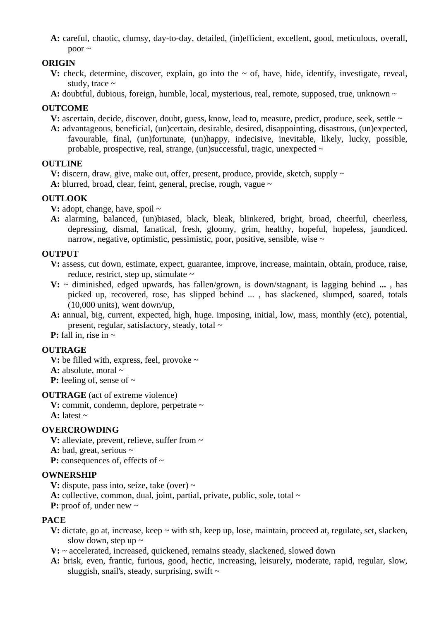**A:** careful, chaotic, clumsy, day-to-day, detailed, (in)efficient, excellent, good, meticulous, overall, poor  $\sim$ 

## **ORIGIN**

**V:** check, determine, discover, explain, go into the  $\sim$  of, have, hide, identify, investigate, reveal, study, trace  $\sim$ 

A: doubtful, dubious, foreign, humble, local, mysterious, real, remote, supposed, true, unknown ~

## **OUTCOME**

**V:** ascertain, decide, discover, doubt, guess, know, lead to, measure, predict, produce, seek, settle  $\sim$ 

 **A:** advantageous, beneficial, (un)certain, desirable, desired, disappointing, disastrous, (un)expected, favourable, final, (un)fortunate, (un)happy, indecisive, inevitable, likely, lucky, possible, probable, prospective, real, strange, (un)successful, tragic, unexpected  $\sim$ 

## **OUTLINE**

**V:** discern, draw, give, make out, offer, present, produce, provide, sketch, supply  $\sim$ 

A: blurred, broad, clear, feint, general, precise, rough, vague ~

# **OUTLOOK**

**V:** adopt, change, have, spoil  $\sim$ 

 **A:** alarming, balanced, (un)biased, black, bleak, blinkered, bright, broad, cheerful, cheerless, depressing, dismal, fanatical, fresh, gloomy, grim, healthy, hopeful, hopeless, jaundiced. narrow, negative, optimistic, pessimistic, poor, positive, sensible, wise  $\sim$ 

## **OUTPUT**

- **V:** assess, cut down, estimate, expect, guarantee, improve, increase, maintain, obtain, produce, raise, reduce, restrict, step up, stimulate  $\sim$
- **V:** ~ diminished, edged upwards, has fallen/grown, is down/stagnant, is lagging behind **...** , has picked up, recovered, rose, has slipped behind ... , has slackened, slumped, soared, totals (10,000 units), went down/up,
- **A:** annual, big, current, expected, high, huge. imposing, initial, low, mass, monthly (etc), potential, present, regular, satisfactory, steady, total ~
- **P:** fall in, rise in  $\sim$

## **OUTRAGE**

**V:** be filled with, express, feel, provoke  $\sim$ 

- A: absolute, moral  $\sim$
- **P:** feeling of, sense of  $\sim$

## **OUTRAGE** (act of extreme violence)

**V:** commit, condemn, deplore, perpetrate ~  $A:$  latest  $\sim$ 

## **OVERCROWDING**

**V:** alleviate, prevent, relieve, suffer from  $\sim$ 

 **A:** bad, great, serious ~

**P:** consequences of, effects of  $\sim$ 

## **OWNERSHIP**

**V:** dispute, pass into, seize, take (over) ~

A: collective, common, dual, joint, partial, private, public, sole, total  $\sim$ 

**P:** proof of, under new  $\sim$ 

## **PACE**

- **V:** dictate, go at, increase, keep ~ with sth, keep up, lose, maintain, proceed at, regulate, set, slacken, slow down, step up  $\sim$
- **V:** ~ accelerated, increased, quickened, remains steady, slackened, slowed down
- **A:** brisk, even, frantic, furious, good, hectic, increasing, leisurely, moderate, rapid, regular, slow, sluggish, snail's, steady, surprising, swift  $\sim$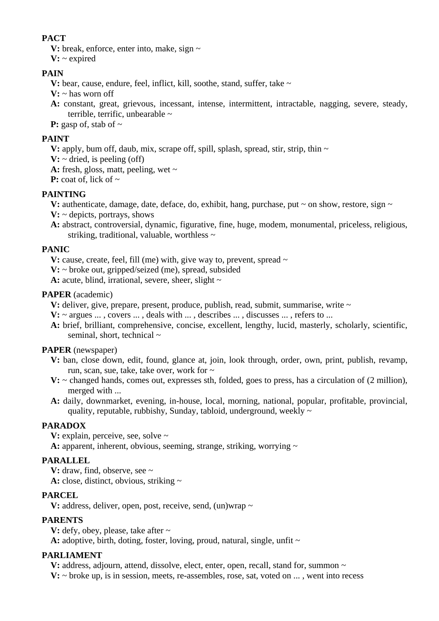# **PACT**

**V:** break, enforce, enter into, make, sign  $\sim$ 

 $V: \sim$  expired

# **PAIN**

**V:** bear, cause, endure, feel, inflict, kill, soothe, stand, suffer, take  $\sim$ 

 **V:** ~ has worn off

 **A:** constant, great, grievous, incessant, intense, intermittent, intractable, nagging, severe, steady, terrible, terrific, unbearable ~

**P:** gasp of, stab of  $\sim$ 

# **PAINT**

**V:** apply, bum off, daub, mix, scrape off, spill, splash, spread, stir, strip, thin  $\sim$ 

- $V: \sim$  dried, is peeling (off)
- A: fresh, gloss, matt, peeling, wet ~
- **P:** coat of, lick of  $\sim$

# **PAINTING**

**V:** authenticate, damage, date, deface, do, exhibit, hang, purchase, put  $\sim$  on show, restore, sign  $\sim$ 

 **V:** ~ depicts, portrays, shows

 **A:** abstract, controversial, dynamic, figurative, fine, huge, modem, monumental, priceless, religious, striking, traditional, valuable, worthless ~

# **PANIC**

**V:** cause, create, feel, fill (me) with, give way to, prevent, spread  $\sim$ 

 **V:** ~ broke out, gripped/seized (me), spread, subsided

A: acute, blind, irrational, severe, sheer, slight ~

# **PAPER** (academic)

**V:** deliver, give, prepare, present, produce, publish, read, submit, summarise, write  $\sim$ 

 $V: \sim \text{argues} \dots$ , covers  $\dots$ , deals with  $\dots$ , describes  $\dots$ , discusses  $\dots$ , refers to  $\dots$ 

 **A:** brief, brilliant, comprehensive, concise, excellent, lengthy, lucid, masterly, scholarly, scientific, seminal, short, technical  $\sim$ 

# **PAPER** (newspaper)

- **V:** ban, close down, edit, found, glance at, join, look through, order, own, print, publish, revamp, run, scan, sue, take, take over, work for ~
- **V:** ~ changed hands, comes out, expresses sth, folded, goes to press, has a circulation of (2 million), merged with ...
- **A:** daily, downmarket, evening, in-house, local, morning, national, popular, profitable, provincial, quality, reputable, rubbishy, Sunday, tabloid, underground, weekly  $\sim$

# **PARADOX**

**V:** explain, perceive, see, solve ~

 **A:** apparent, inherent, obvious, seeming, strange, striking, worrying ~

# **PARALLEL**

**V:** draw, find, observe, see  $\sim$ A: close, distinct, obvious, striking  $\sim$ 

# **PARCEL**

**V:** address, deliver, open, post, receive, send, (un)wrap  $\sim$ 

# **PARENTS**

**V:** defy, obey, please, take after  $\sim$ 

**A:** adoptive, birth, doting, foster, loving, proud, natural, single, unfit ~

# **PARLIAMENT**

**V:** address, adjourn, attend, dissolve, elect, enter, open, recall, stand for, summon ~

 **V:** ~ broke up, is in session, meets, re-assembles, rose, sat, voted on ... , went into recess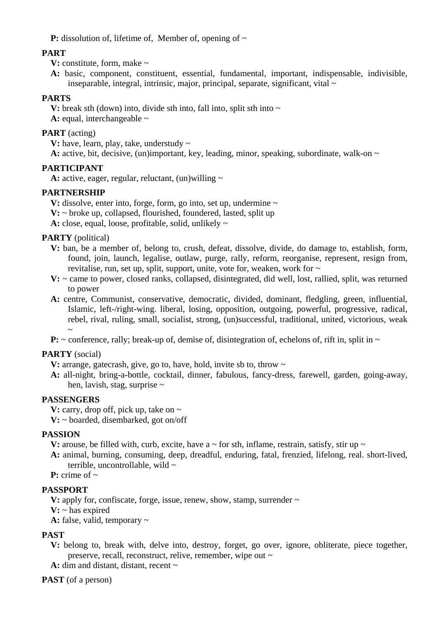**P:** dissolution of, lifetime of, Member of, opening of  $\sim$ 

## **PART**

**V:** constitute, form, make ~

 **A:** basic, component, constituent, essential, fundamental, important, indispensable, indivisible, inseparable, integral, intrinsic, major, principal, separate, significant, vital  $\sim$ 

## **PARTS**

**V:** break sth (down) into, divide sth into, fall into, split sth into  $\sim$ 

A: equal, interchangeable ~

## **PART** (acting)

**V:** have, learn, play, take, understudy ~

A: active, bit, decisive, (un)important, key, leading, minor, speaking, subordinate, walk-on  $\sim$ 

## **PARTICIPANT**

A: active, eager, regular, reluctant, (un)willing  $\sim$ 

## **PARTNERSHIP**

**V:** dissolve, enter into, forge, form, go into, set up, undermine  $\sim$ 

 **V:** ~ broke up, collapsed, flourished, foundered, lasted, split up

A: close, equal, loose, profitable, solid, unlikely ~

## **PARTY** (political)

- **V:** ban, be a member of, belong to, crush, defeat, dissolve, divide, do damage to, establish, form, found, join, launch, legalise, outlaw, purge, rally, reform, reorganise, represent, resign from, revitalise, run, set up, split, support, unite, vote for, weaken, work for  $\sim$
- **V:** ~ came to power, closed ranks, collapsed, disintegrated, did well, lost, rallied, split, was returned to power
- **A:** centre, Communist, conservative, democratic, divided, dominant, fledgling, green, influential, Islamic, left-/right-wing. liberal, losing, opposition, outgoing, powerful, progressive, radical, rebel, rival, ruling, small, socialist, strong, (un)successful, traditional, united, victorious, weak  $\sim$

**P:**  $\sim$  conference, rally; break-up of, demise of, disintegration of, echelons of, rift in, split in  $\sim$ 

## **PARTY** (social)

**V:** arrange, gatecrash, give, go to, have, hold, invite sb to, throw  $\sim$ 

 **A:** all-night, bring-a-bottle, cocktail, dinner, fabulous, fancy-dress, farewell, garden, going-away, hen, lavish, stag, surprise ~

## **PASSENGERS**

**V:** carry, drop off, pick up, take on  $\sim$ 

 **V:** ~ boarded, disembarked, got on/off

## **PASSION**

**V:** arouse, be filled with, curb, excite, have a  $\sim$  for sth, inflame, restrain, satisfy, stir up  $\sim$ 

 **A:** animal, burning, consuming, deep, dreadful, enduring, fatal, frenzied, lifelong, real. short-lived, terrible, uncontrollable, wild  $\sim$ 

**P:** crime of  $\sim$ 

## **PASSPORT**

**V:** apply for, confiscate, forge, issue, renew, show, stamp, surrender  $\sim$ 

 **V:** ~ has expired

A: false, valid, temporary  $\sim$ 

## **PAST**

 **V:** belong to, break with, delve into, destroy, forget, go over, ignore, obliterate, piece together, preserve, recall, reconstruct, relive, remember, wipe out ~

A: dim and distant, distant, recent  $\sim$ 

**PAST** (of a person)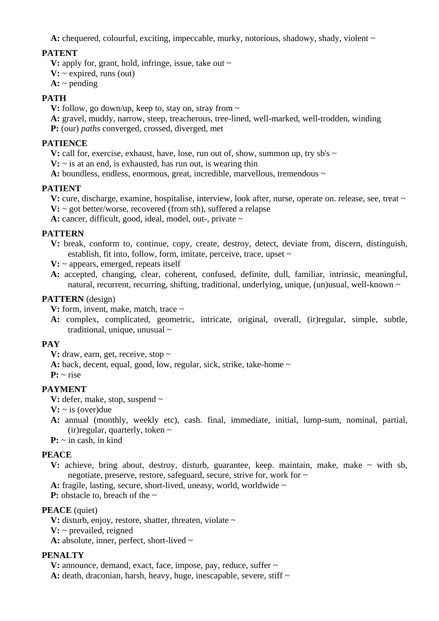A: chequered, colourful, exciting, impeccable, murky, notorious, shadowy, shady, violent  $\sim$ 

# **PATENT**

**V:** apply for, grant, hold, infringe, issue, take out  $\sim$ 

 $V: \sim$  expired, runs (out)

 $A: \sim$  pending

# **PATH**

**V:** follow, go down/up, keep to, stay on, stray from  $\sim$ 

 **A:** gravel, muddy, narrow, steep, treacherous, tree-lined, well-marked, well-trodden, winding  **P:** (our) *paths* converged, crossed, diverged, met

# **PATIENCE**

**V:** call for, exercise, exhaust, have, lose, run out of, show, summon up, try sb's  $\sim$ 

 $V: \sim$  is at an end, is exhausted, has run out, is wearing thin

 **A:** boundless, endless, enormous, great, incredible, marvellous, tremendous ~

# **PATIENT**

**V:** cure, discharge, examine, hospitalise, interview, look after, nurse, operate on. release, see, treat ~

**V:** ~ got better/worse, recovered (from sth), suffered a relapse

A: cancer, difficult, good, ideal, model, out-, private ~

# **PATTERN**

- **V:** break, conform to, continue, copy, create, destroy, detect, deviate from, discern, distinguish, establish, fit into, follow, form, imitate, perceive, trace, upset  $\sim$
- **V:** ~ appears, emerged, repeats itself
- **A:** accepted, changing, clear, coherent, confused, definite, dull, familiar, intrinsic, meaningful, natural, recurrent, recurring, shifting, traditional, underlying, unique, (un)usual, well-known ~

# **PATTERN** (design)

**V:** form, invent, make, match, trace  $\sim$ 

 **A:** complex, complicated, geometric, intricate, original, overall, (ir)regular, simple, subtle, traditional, unique, unusual ~

## **PAY**

**V:** draw, earn, get, receive, stop ~

**A:** back, decent, equal, good, low, regular, sick, strike, take-home ~

 $P: ~$  rise

## **PAYMENT**

**V:** defer, make, stop, suspend  $\sim$ 

 $V: \sim$  is (over)due

- **A:** annual (monthly, weekly etc), cash. final, immediate, initial, lump-sum, nominal, partial, (ir) regular, quarterly, token  $\sim$
- $P: \sim$  in cash, in kind

## **PEACE**

**V:** achieve, bring about, destroy, disturb, guarantee, keep. maintain, make, make  $\sim$  with sb, negotiate, preserve, restore, safeguard, secure, strive for, work for  $\sim$ 

A: fragile, lasting, secure, short-lived, uneasy, world, worldwide ~

**P:** obstacle to, breach of the  $\sim$ 

## **PEACE** (quiet)

**V:** disturb, enjoy, restore, shatter, threaten, violate  $\sim$ 

 **V:** ~ prevailed, reigned

A: absolute, inner, perfect, short-lived  $\sim$ 

## **PENALTY**

V: announce, demand, exact, face, impose, pay, reduce, suffer  $\sim$ 

A: death, draconian, harsh, heavy, huge, inescapable, severe, stiff ~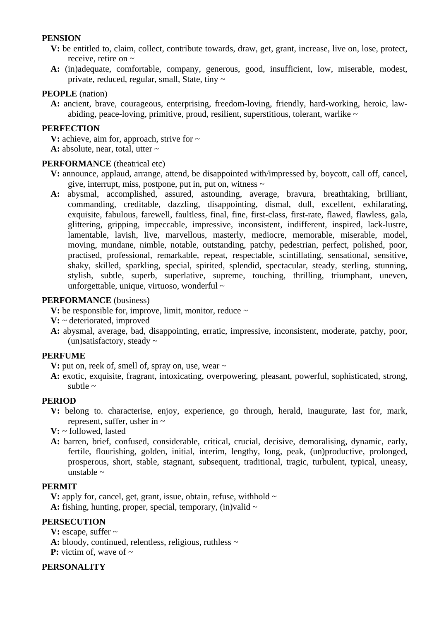## **PENSION**

- **V:** be entitled to, claim, collect, contribute towards, draw, get, grant, increase, live on, lose, protect, receive, retire on ~
- **A:** (in)adequate, comfortable, company, generous, good, insufficient, low, miserable, modest, private, reduced, regular, small, State, tiny  $\sim$

# **PEOPLE** (nation)

 **A:** ancient, brave, courageous, enterprising, freedom-loving, friendly, hard-working, heroic, lawabiding, peace-loving, primitive, proud, resilient, superstitious, tolerant, warlike  $\sim$ 

## **PERFECTION**

**V:** achieve, aim for, approach, strive for  $\sim$ 

A: absolute, near, total, utter  $\sim$ 

## **PERFORMANCE** (theatrical etc)

- **V:** announce, applaud, arrange, attend, be disappointed with/impressed by, boycott, call off, cancel, give, interrupt, miss, postpone, put in, put on, witness  $\sim$
- A: abysmal, accomplished, assured, astounding, average, bravura, breathtaking, brilliant, commanding, creditable, dazzling, disappointing, dismal, dull, excellent, exhilarating, exquisite, fabulous, farewell, faultless, final, fine, first-class, first-rate, flawed, flawless, gala, glittering, gripping, impeccable, impressive, inconsistent, indifferent, inspired, lack-lustre, lamentable, lavish, live, marvellous, masterly, mediocre, memorable, miserable, model, moving, mundane, nimble, notable, outstanding, patchy, pedestrian, perfect, polished, poor, practised, professional, remarkable, repeat, respectable, scintillating, sensational, sensitive, shaky, skilled, sparkling, special, spirited, splendid, spectacular, steady, sterling, stunning, stylish, subtle, superb, superlative, supreme, touching, thrilling, triumphant, uneven, unforgettable, unique, virtuoso, wonderful ~

## **PERFORMANCE** (business)

**V:** be responsible for, improve, limit, monitor, reduce  $\sim$ 

- **V:** ~ deteriorated, improved
- **A:** abysmal, average, bad, disappointing, erratic, impressive, inconsistent, moderate, patchy, poor, (un)satisfactory, steady  $\sim$

## **PERFUME**

**V:** put on, reek of, smell of, spray on, use, wear  $\sim$ 

 **A:** exotic, exquisite, fragrant, intoxicating, overpowering, pleasant, powerful, sophisticated, strong, subtle  $\sim$ 

## **PERIOD**

- **V:** belong to. characterise, enjoy, experience, go through, herald, inaugurate, last for, mark, represent, suffer, usher in  $\sim$
- **V:** ~ followed, lasted
- **A:** barren, brief, confused, considerable, critical, crucial, decisive, demoralising, dynamic, early, fertile, flourishing, golden, initial, interim, lengthy, long, peak, (un)productive, prolonged, prosperous, short, stable, stagnant, subsequent, traditional, tragic, turbulent, typical, uneasy, unstable ~

## **PERMIT**

**V:** apply for, cancel, get, grant, issue, obtain, refuse, withhold  $\sim$ 

 **A:** fishing, hunting, proper, special, temporary, (in)valid ~

## **PERSECUTION**

**V:** escape, suffer ~ A: bloody, continued, relentless, religious, ruthless  $\sim$ **P:** victim of, wave of  $\sim$ 

## **PERSONALITY**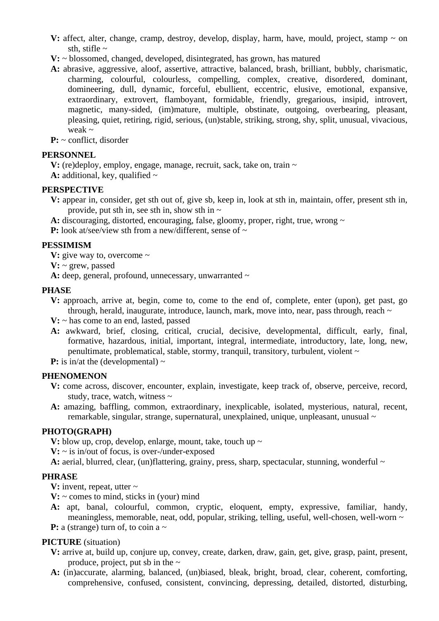- **V:** affect, alter, change, cramp, destroy, develop, display, harm, have, mould, project, stamp ~ on sth, stifle  $\sim$
- **V:** ~ blossomed, changed, developed, disintegrated, has grown, has matured
- **A:** abrasive, aggressive, aloof, assertive, attractive, balanced, brash, brilliant, bubbly, charismatic, charming, colourful, colourless, compelling, complex, creative, disordered, dominant, domineering, dull, dynamic, forceful, ebullient, eccentric, elusive, emotional, expansive, extraordinary, extrovert, flamboyant, formidable, friendly, gregarious, insipid, introvert, magnetic, many-sided, (im)mature, multiple, obstinate, outgoing, overbearing, pleasant, pleasing, quiet, retiring, rigid, serious, (un)stable, striking, strong, shy, split, unusual, vivacious, weak  $\sim$

 **P:** ~ conflict, disorder

## **PERSONNEL**

**V:** (re)deploy, employ, engage, manage, recruit, sack, take on, train  $\sim$ 

A: additional, key, qualified ~

## **PERSPECTIVE**

- **V:** appear in, consider, get sth out of, give sb, keep in, look at sth in, maintain, offer, present sth in, provide, put sth in, see sth in, show sth in  $\sim$
- A: discouraging, distorted, encouraging, false, gloomy, proper, right, true, wrong ~

**P:** look at/see/view sth from a new/different, sense of  $\sim$ 

## **PESSIMISM**

**V:** give way to, overcome ~

 $V: \sim$  grew, passed

A: deep, general, profound, unnecessary, unwarranted ~

## **PHASE**

- **V:** approach, arrive at, begin, come to, come to the end of, complete, enter (upon), get past, go through, herald, inaugurate, introduce, launch, mark, move into, near, pass through, reach  $\sim$
- **V:**  $\sim$  has come to an end, lasted, passed
- **A:** awkward, brief, closing, critical, crucial, decisive, developmental, difficult, early, final, formative, hazardous, initial, important, integral, intermediate, introductory, late, long, new, penultimate, problematical, stable, stormy, tranquil, transitory, turbulent, violent  $\sim$
- **P:** is in/at the (developmental)  $\sim$

## **PHENOMENON**

- **V:** come across, discover, encounter, explain, investigate, keep track of, observe, perceive, record, study, trace, watch, witness  $\sim$
- **A:** amazing, baffling, common, extraordinary, inexplicable, isolated, mysterious, natural, recent, remarkable, singular, strange, supernatural, unexplained, unique, unpleasant, unusual  $\sim$

## **PHOTO(GRAPH)**

**V:** blow up, crop, develop, enlarge, mount, take, touch up  $\sim$ 

 $V: \sim$  is in/out of focus, is over-/under-exposed

A: aerial, blurred, clear, (un)flattering, grainy, press, sharp, spectacular, stunning, wonderful ~

## **PHRASE**

- **V:** invent, repeat, utter  $\sim$
- $V: \sim$  comes to mind, sticks in (your) mind
- **A:** apt, banal, colourful, common, cryptic, eloquent, empty, expressive, familiar, handy, meaningless, memorable, neat, odd, popular, striking, telling, useful, well-chosen, well-worn ~
- **P:** a (strange) turn of, to coin a  $\sim$

## **PICTURE** (situation)

- **V:** arrive at, build up, conjure up, convey, create, darken, draw, gain, get, give, grasp, paint, present, produce, project, put sb in the  $\sim$
- **A:** (in)accurate, alarming, balanced, (un)biased, bleak, bright, broad, clear, coherent, comforting, comprehensive, confused, consistent, convincing, depressing, detailed, distorted, disturbing,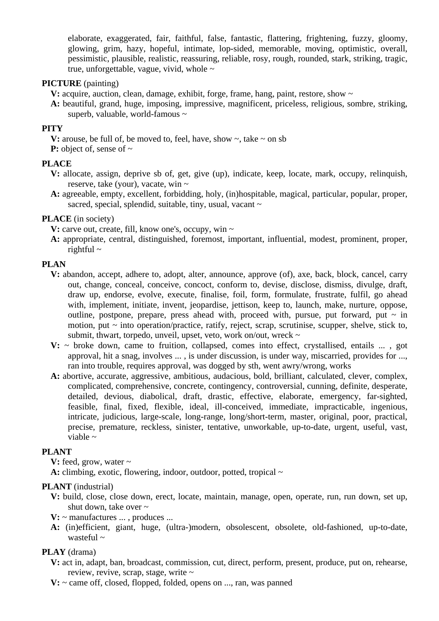elaborate, exaggerated, fair, faithful, false, fantastic, flattering, frightening, fuzzy, gloomy, glowing, grim, hazy, hopeful, intimate, lop-sided, memorable, moving, optimistic, overall, pessimistic, plausible, realistic, reassuring, reliable, rosy, rough, rounded, stark, striking, tragic, true, unforgettable, vague, vivid, whole  $\sim$ 

## **PICTURE** (painting)

**V:** acquire, auction, clean, damage, exhibit, forge, frame, hang, paint, restore, show  $\sim$ 

 **A:** beautiful, grand, huge, imposing, impressive, magnificent, priceless, religious, sombre, striking, superb, valuable, world-famous ~

## **PITY**

**V:** arouse, be full of, be moved to, feel, have, show  $\sim$ , take  $\sim$  on sb

**P:** object of, sense of  $\sim$ 

## **PLACE**

- **V:** allocate, assign, deprive sb of, get, give (up), indicate, keep, locate, mark, occupy, relinquish, reserve, take (your), vacate, win  $\sim$
- **A:** agreeable, empty, excellent, forbidding, holy, (in)hospitable, magical, particular, popular, proper, sacred, special, splendid, suitable, tiny, usual, vacant  $\sim$

## **PLACE** (in society)

**V:** carve out, create, fill, know one's, occupy, win  $\sim$ 

 **A:** appropriate, central, distinguished, foremost, important, influential, modest, prominent, proper, rightful ~

## **PLAN**

- **V:** abandon, accept, adhere to, adopt, alter, announce, approve (of), axe, back, block, cancel, carry out, change, conceal, conceive, concoct, conform to, devise, disclose, dismiss, divulge, draft, draw up, endorse, evolve, execute, finalise, foil, form, formulate, frustrate, fulfil, go ahead with, implement, initiate, invent, jeopardise, jettison, keep to, launch, make, nurture, oppose, outline, postpone, prepare, press ahead with, proceed with, pursue, put forward, put  $\sim$  in motion, put  $\sim$  into operation/practice, ratify, reject, scrap, scrutinise, scupper, shelve, stick to, submit, thwart, torpedo, unveil, upset, veto, work on/out, wreck  $\sim$
- **V:**  $\sim$  broke down, came to fruition, collapsed, comes into effect, crystallised, entails ..., got approval, hit a snag, involves ... , is under discussion, is under way, miscarried, provides for ..., ran into trouble, requires approval, was dogged by sth, went awry/wrong, works
- **A:** abortive, accurate, aggressive, ambitious, audacious, bold, brilliant, calculated, clever, complex, complicated, comprehensive, concrete, contingency, controversial, cunning, definite, desperate, detailed, devious, diabolical, draft, drastic, effective, elaborate, emergency, far-sighted, feasible, final, fixed, flexible, ideal, ill-conceived, immediate, impracticable, ingenious, intricate, judicious, large-scale, long-range, long/short-term, master, original, poor, practical, precise, premature, reckless, sinister, tentative, unworkable, up-to-date, urgent, useful, vast, viable  $\sim$

## **PLANT**

**V:** feed, grow, water  $\sim$ 

**A:** climbing, exotic, flowering, indoor, outdoor, potted, tropical  $\sim$ 

## **PLANT** (industrial)

- **V:** build, close, close down, erect, locate, maintain, manage, open, operate, run, run down, set up, shut down, take over  $\sim$
- **V:**  $\sim$  manufactures ... , produces ...
- **A:** (in)efficient, giant, huge, (ultra-)modern, obsolescent, obsolete, old-fashioned, up-to-date, wasteful ~

## **PLAY** (drama)

- **V:** act in, adapt, ban, broadcast, commission, cut, direct, perform, present, produce, put on, rehearse, review, revive, scrap, stage, write ~
- **V:** ~ came off, closed, flopped, folded, opens on ..., ran, was panned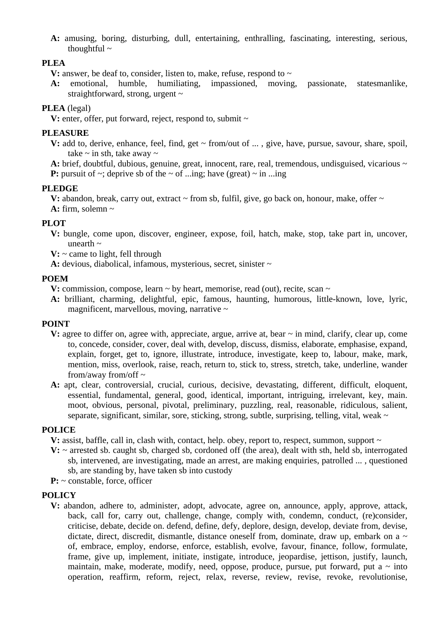**A:** amusing, boring, disturbing, dull, entertaining, enthralling, fascinating, interesting, serious, thoughtful ~

## **PLEA**

- **V:** answer, be deaf to, consider, listen to, make, refuse, respond to  $\sim$
- **A:** emotional, humble, humiliating, impassioned, moving, passionate, statesmanlike, straightforward, strong, urgent  $\sim$

## **PLEA** (legal)

**V:** enter, offer, put forward, reject, respond to, submit  $\sim$ 

## **PLEASURE**

V: add to, derive, enhance, feel, find, get ~ from/out of ..., give, have, pursue, savour, share, spoil, take  $\sim$  in sth, take away  $\sim$ 

A: brief, doubtful, dubious, genuine, great, innocent, rare, real, tremendous, undisguised, vicarious ~ **P:** pursuit of  $\sim$ ; deprive sb of the  $\sim$  of ...ing; have (great)  $\sim$  in ...ing

## **PLEDGE**

**V:** abandon, break, carry out, extract  $\sim$  from sb, fulfil, give, go back on, honour, make, offer  $\sim$  **A:** firm, solemn ~

## **PLOT**

 **V:** bungle, come upon, discover, engineer, expose, foil, hatch, make, stop, take part in, uncover, unearth  $\sim$ 

 **V:** ~ came to light, fell through

A: devious, diabolical, infamous, mysterious, secret, sinister ~

## **POEM**

**V:** commission, compose, learn  $\sim$  by heart, memorise, read (out), recite, scan  $\sim$ 

 **A:** brilliant, charming, delightful, epic, famous, haunting, humorous, little-known, love, lyric, magnificent, marvellous, moving, narrative  $\sim$ 

## **POINT**

- **V:** agree to differ on, agree with, appreciate, argue, arrive at, bear  $\sim$  in mind, clarify, clear up, come to, concede, consider, cover, deal with, develop, discuss, dismiss, elaborate, emphasise, expand, explain, forget, get to, ignore, illustrate, introduce, investigate, keep to, labour, make, mark, mention, miss, overlook, raise, reach, return to, stick to, stress, stretch, take, underline, wander from/away from/off  $\sim$
- **A:** apt, clear, controversial, crucial, curious, decisive, devastating, different, difficult, eloquent, essential, fundamental, general, good, identical, important, intriguing, irrelevant, key, main. moot, obvious, personal, pivotal, preliminary, puzzling, real, reasonable, ridiculous, salient, separate, significant, similar, sore, sticking, strong, subtle, surprising, telling, vital, weak  $\sim$

## **POLICE**

**V:** assist, baffle, call in, clash with, contact, help. obey, report to, respect, summon, support  $\sim$ 

- **V:** ~ arrested sb. caught sb, charged sb, cordoned off (the area), dealt with sth, held sb, interrogated sb, intervened, are investigating, made an arrest, are making enquiries, patrolled ... , questioned sb, are standing by, have taken sb into custody
- **P:**  $\sim$  constable, force, officer

## **POLICY**

 **V:** abandon, adhere to, administer, adopt, advocate, agree on, announce, apply, approve, attack, back, call for, carry out, challenge, change, comply with, condemn, conduct, (re)consider, criticise, debate, decide on. defend, define, defy, deplore, design, develop, deviate from, devise, dictate, direct, discredit, dismantle, distance oneself from, dominate, draw up, embark on a ~ of, embrace, employ, endorse, enforce, establish, evolve, favour, finance, follow, formulate, frame, give up, implement, initiate, instigate, introduce, jeopardise, jettison, justify, launch, maintain, make, moderate, modify, need, oppose, produce, pursue, put forward, put a  $\sim$  into operation, reaffirm, reform, reject, relax, reverse, review, revise, revoke, revolutionise,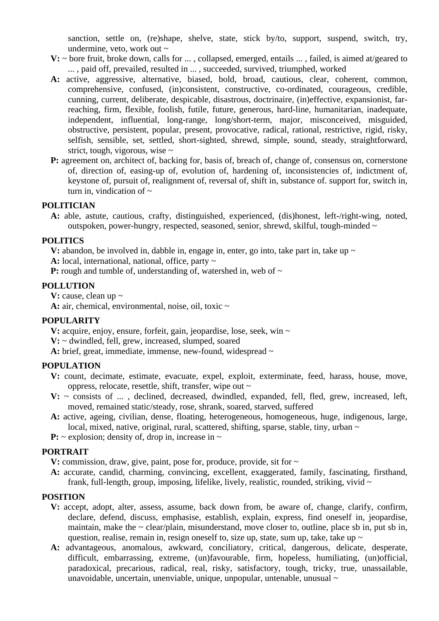sanction, settle on, (re)shape, shelve, state, stick by/to, support, suspend, switch, try, undermine, veto, work out  $\sim$ 

- **V:** ~ bore fruit, broke down, calls for ... , collapsed, emerged, entails ... , failed, is aimed at/geared to ... , paid off, prevailed, resulted in ... , succeeded, survived, triumphed, worked
- A: active, aggressive, alternative, biased, bold, broad, cautious, clear, coherent, common, comprehensive, confused, (in)consistent, constructive, co-ordinated, courageous, credible, cunning, current, deliberate, despicable, disastrous, doctrinaire, (in)effective, expansionist, farreaching, firm, flexible, foolish, futile, future, generous, hard-line, humanitarian, inadequate, independent, influential, long-range, long/short-term, major, misconceived, misguided, obstructive, persistent, popular, present, provocative, radical, rational, restrictive, rigid, risky, selfish, sensible, set, settled, short-sighted, shrewd, simple, sound, steady, straightforward, strict, tough, vigorous, wise  $\sim$
- **P:** agreement on, architect of, backing for, basis of, breach of, change of, consensus on, cornerstone of, direction of, easing-up of, evolution of, hardening of, inconsistencies of, indictment of, keystone of, pursuit of, realignment of, reversal of, shift in, substance of. support for, switch in, turn in, vindication of  $\sim$

## **POLITICIAN**

 **A:** able, astute, cautious, crafty, distinguished, experienced, (dis)honest, left-/right-wing, noted, outspoken, power-hungry, respected, seasoned, senior, shrewd, skilful, tough-minded ~

### **POLITICS**

**V:** abandon, be involved in, dabble in, engage in, enter, go into, take part in, take up  $\sim$ 

A: local, international, national, office, party  $\sim$ 

**P:** rough and tumble of, understanding of, watershed in, web of  $\sim$ 

#### **POLLUTION**

**V:** cause, clean up  $\sim$ 

A: air, chemical, environmental, noise, oil, toxic ~

## **POPULARITY**

**V:** acquire, enjoy, ensure, forfeit, gain, jeopardise, lose, seek, win  $\sim$ 

 **V:** ~ dwindled, fell, grew, increased, slumped, soared

 **A:** brief, great, immediate, immense, new-found, widespread ~

## **POPULATION**

- **V:** count, decimate, estimate, evacuate, expel, exploit, exterminate, feed, harass, house, move, oppress, relocate, resettle, shift, transfer, wipe out ~
- **V:** ~ consists of ... , declined, decreased, dwindled, expanded, fell, fled, grew, increased, left, moved, remained static/steady, rose, shrank, soared, starved, suffered
- **A:** active, ageing, civilian, dense, floating, heterogeneous, homogeneous, huge, indigenous, large, local, mixed, native, original, rural, scattered, shifting, sparse, stable, tiny, urban  $\sim$
- **P:**  $\sim$  explosion; density of, drop in, increase in  $\sim$

## **PORTRAIT**

**V:** commission, draw, give, paint, pose for, produce, provide, sit for  $\sim$ 

 **A:** accurate, candid, charming, convincing, excellent, exaggerated, family, fascinating, firsthand, frank, full-length, group, imposing, lifelike, lively, realistic, rounded, striking, vivid  $\sim$ 

#### **POSITION**

- **V:** accept, adopt, alter, assess, assume, back down from, be aware of, change, clarify, confirm, declare, defend, discuss, emphasise, establish, explain, express, find oneself in, jeopardise, maintain, make the  $\sim$  clear/plain, misunderstand, move closer to, outline, place sb in, put sb in, question, realise, remain in, resign oneself to, size up, state, sum up, take, take up  $\sim$
- **A:** advantageous, anomalous, awkward, conciliatory, critical, dangerous, delicate, desperate, difficult, embarrassing, extreme, (un)favourable, firm, hopeless, humiliating, (un)official, paradoxical, precarious, radical, real, risky, satisfactory, tough, tricky, true, unassailable, unavoidable, uncertain, unenviable, unique, unpopular, untenable, unusual ~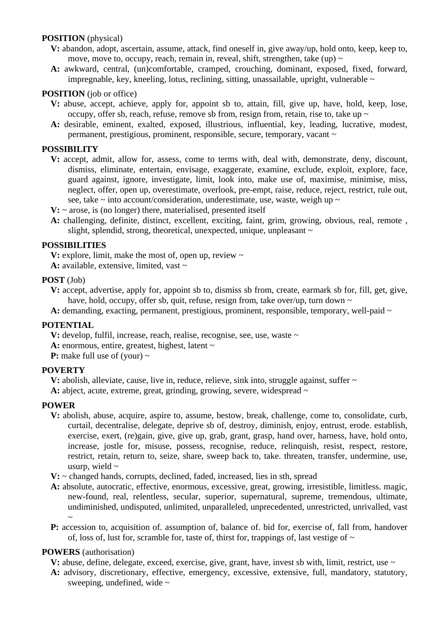## **POSITION** (physical)

- **V:** abandon, adopt, ascertain, assume, attack, find oneself in, give away/up, hold onto, keep, keep to, move, move to, occupy, reach, remain in, reveal, shift, strengthen, take (up)  $\sim$
- **A:** awkward, central, (un)comfortable, cramped, crouching, dominant, exposed, fixed, forward, impregnable, key, kneeling, lotus, reclining, sitting, unassailable, upright, vulnerable  $\sim$

## **POSITION** (job or office)

- **V:** abuse, accept, achieve, apply for, appoint sb to, attain, fill, give up, have, hold, keep, lose, occupy, offer sb, reach, refuse, remove sb from, resign from, retain, rise to, take up  $\sim$
- **A:** desirable, eminent, exalted, exposed, illustrious, influential, key, leading, lucrative, modest, permanent, prestigious, prominent, responsible, secure, temporary, vacant ~

## **POSSIBILITY**

- **V:** accept, admit, allow for, assess, come to terms with, deal with, demonstrate, deny, discount, dismiss, eliminate, entertain, envisage, exaggerate, examine, exclude, exploit, explore, face, guard against, ignore, investigate, limit, look into, make use of, maximise, minimise, miss, neglect, offer, open up, overestimate, overlook, pre-empt, raise, reduce, reject, restrict, rule out, see, take  $\sim$  into account/consideration, underestimate, use, waste, weigh up  $\sim$
- **V:** ~ arose, is (no longer) there, materialised, presented itself
- **A:** challenging, definite, distinct, excellent, exciting, faint, grim, growing, obvious, real, remote , slight, splendid, strong, theoretical, unexpected, unique, unpleasant ~

## **POSSIBILITIES**

**V:** explore, limit, make the most of, open up, review  $\sim$ A: available, extensive, limited, vast ~

## **POST** (Job)

- **V:** accept, advertise, apply for, appoint sb to, dismiss sb from, create, earmark sb for, fill, get, give, have, hold, occupy, offer sb, quit, refuse, resign from, take over/up, turn down  $\sim$
- A: demanding, exacting, permanent, prestigious, prominent, responsible, temporary, well-paid ~

## **POTENTIAL**

**V:** develop, fulfil, increase, reach, realise, recognise, see, use, waste ~

A: enormous, entire, greatest, highest, latent  $\sim$ 

**P:** make full use of (your)  $\sim$ 

## **POVERTY**

**V:** abolish, alleviate, cause, live in, reduce, relieve, sink into, struggle against, suffer  $\sim$ 

A: abject, acute, extreme, great, grinding, growing, severe, widespread ~

## **POWER**

- **V:** abolish, abuse, acquire, aspire to, assume, bestow, break, challenge, come to, consolidate, curb, curtail, decentralise, delegate, deprive sb of, destroy, diminish, enjoy, entrust, erode. establish, exercise, exert, (re)gain, give, give up, grab, grant, grasp, hand over, harness, have, hold onto, increase, jostle for, misuse, possess, recognise, reduce, relinquish, resist, respect, restore, restrict, retain, return to, seize, share, sweep back to, take. threaten, transfer, undermine, use, usurp, wield  $\sim$
- **V:** ~ changed hands, corrupts, declined, faded, increased, lies in sth, spread
- **A:** absolute, autocratic, effective, enormous, excessive, great, growing, irresistible, limitless. magic, new-found, real, relentless, secular, superior, supernatural, supreme, tremendous, ultimate, undiminished, undisputed, unlimited, unparalleled, unprecedented, unrestricted, unrivalled, vast  $\sim$
- **P:** accession to, acquisition of, assumption of, balance of, bid for, exercise of, fall from, handover of, loss of, lust for, scramble for, taste of, thirst for, trappings of, last vestige of  $\sim$

## **POWERS** (authorisation)

- **V:** abuse, define, delegate, exceed, exercise, give, grant, have, invest sb with, limit, restrict, use ~
- **A:** advisory, discretionary, effective, emergency, excessive, extensive, full, mandatory, statutory, sweeping, undefined, wide  $\sim$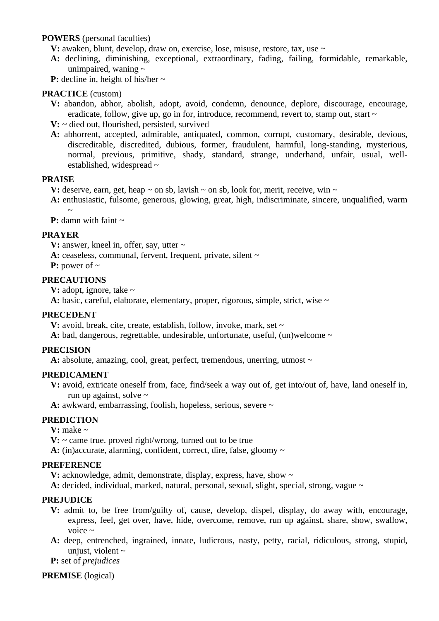## **POWERS** (personal faculties)

- **V:** awaken, blunt, develop, draw on, exercise, lose, misuse, restore, tax, use ~
- **A:** declining, diminishing, exceptional, extraordinary, fading, failing, formidable, remarkable, unimpaired, waning  $\sim$
- **P:** decline in, height of his/her  $\sim$

## **PRACTICE** (custom)

- **V:** abandon, abhor, abolish, adopt, avoid, condemn, denounce, deplore, discourage, encourage, eradicate, follow, give up, go in for, introduce, recommend, revert to, stamp out, start ~
- **V:** ~ died out, flourished, persisted, survived
- A: abhorrent, accepted, admirable, antiquated, common, corrupt, customary, desirable, devious, discreditable, discredited, dubious, former, fraudulent, harmful, long-standing, mysterious, normal, previous, primitive, shady, standard, strange, underhand, unfair, usual, wellestablished, widespread ~

#### **PRAISE**

**V:** deserve, earn, get, heap  $\sim$  on sb, lavish  $\sim$  on sb, look for, merit, receive, win  $\sim$ 

 **A:** enthusiastic, fulsome, generous, glowing, great, high, indiscriminate, sincere, unqualified, warm

 $\sim$ **P:** damn with faint  $\sim$ 

#### **PRAYER**

**V:** answer, kneel in, offer, say, utter  $\sim$ 

- A: ceaseless, communal, fervent, frequent, private, silent ~
- **P:** power of  $\sim$

## **PRECAUTIONS**

**V:** adopt, ignore, take  $\sim$ 

 **A:** basic, careful, elaborate, elementary, proper, rigorous, simple, strict, wise ~

### **PRECEDENT**

**V:** avoid, break, cite, create, establish, follow, invoke, mark, set ~

 **A:** bad, dangerous, regrettable, undesirable, unfortunate, useful, (un)welcome ~

## **PRECISION**

**A:** absolute, amazing, cool, great, perfect, tremendous, unerring, utmost  $\sim$ 

## **PREDICAMENT**

 **V:** avoid, extricate oneself from, face, find/seek a way out of, get into/out of, have, land oneself in, run up against, solve ~

A: awkward, embarrassing, foolish, hopeless, serious, severe ~

#### **PREDICTION**

**V:** make  $\sim$ 

**V:**  $\sim$  came true. proved right/wrong, turned out to be true

A: (in)accurate, alarming, confident, correct, dire, false, gloomy  $\sim$ 

## **PREFERENCE**

**V:** acknowledge, admit, demonstrate, display, express, have, show  $\sim$ 

 **A:** decided, individual, marked, natural, personal, sexual, slight, special, strong, vague ~

## **PREJUDICE**

- **V:** admit to, be free from/guilty of, cause, develop, dispel, display, do away with, encourage, express, feel, get over, have, hide, overcome, remove, run up against, share, show, swallow, voice  $\sim$
- **A:** deep, entrenched, ingrained, innate, ludicrous, nasty, petty, racial, ridiculous, strong, stupid, uniust, violent  $\sim$

 **P:** set of *prejudices* 

**PREMISE** (logical)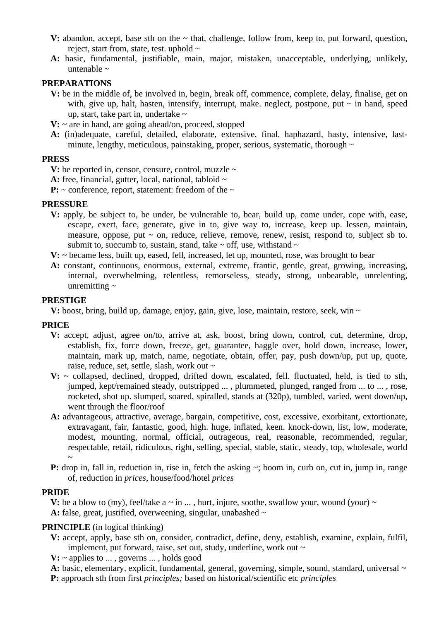- **V:** abandon, accept, base sth on the  $\sim$  that, challenge, follow from, keep to, put forward, question, reject, start from, state, test. uphold  $\sim$
- **A:** basic, fundamental, justifiable, main, major, mistaken, unacceptable, underlying, unlikely, untenable  $\sim$

#### **PREPARATIONS**

- **V:** be in the middle of, be involved in, begin, break off, commence, complete, delay, finalise, get on with, give up, halt, hasten, intensify, interrupt, make. neglect, postpone, put  $\sim$  in hand, speed up, start, take part in, undertake  $\sim$
- **V:** ~ are in hand, are going ahead/on, proceed, stopped
- **A:** (in)adequate, careful, detailed, elaborate, extensive, final, haphazard, hasty, intensive, lastminute, lengthy, meticulous, painstaking, proper, serious, systematic, thorough  $\sim$

## **PRESS**

- **V:** be reported in, censor, censure, control, muzzle ~
- A: free, financial, gutter, local, national, tabloid ~
- **P:**  $\sim$  conference, report, statement: freedom of the  $\sim$

#### **PRESSURE**

- **V:** apply, be subject to, be under, be vulnerable to, bear, build up, come under, cope with, ease, escape, exert, face, generate, give in to, give way to, increase, keep up. lessen, maintain, measure, oppose, put  $\sim$  on, reduce, relieve, remove, renew, resist, respond to, subject sb to. submit to, succumb to, sustain, stand, take  $\sim$  off, use, withstand  $\sim$
- **V:** ~ became less, built up, eased, fell, increased, let up, mounted, rose, was brought to bear
- **A:** constant, continuous, enormous, external, extreme, frantic, gentle, great, growing, increasing, internal, overwhelming, relentless, remorseless, steady, strong, unbearable, unrelenting, unremitting  $\sim$

#### **PRESTIGE**

**V:** boost, bring, build up, damage, enjoy, gain, give, lose, maintain, restore, seek, win ~

#### **PRICE**

- **V:** accept, adjust, agree on/to, arrive at, ask, boost, bring down, control, cut, determine, drop, establish, fix, force down, freeze, get, guarantee, haggle over, hold down, increase, lower, maintain, mark up, match, name, negotiate, obtain, offer, pay, push down/up, put up, quote, raise, reduce, set, settle, slash, work out ~
- **V:** ~ collapsed, declined, dropped, drifted down, escalated, fell. fluctuated, held, is tied to sth, jumped, kept/remained steady, outstripped ... , plummeted, plunged, ranged from ... to ... , rose, rocketed, shot up. slumped, soared, spiralled, stands at (320p), tumbled, varied, went down/up, went through the floor/roof
- **A:** advantageous, attractive, average, bargain, competitive, cost, excessive, exorbitant, extortionate, extravagant, fair, fantastic, good, high. huge, inflated, keen. knock-down, list, low, moderate, modest, mounting, normal, official, outrageous, real, reasonable, recommended, regular, respectable, retail, ridiculous, right, selling, special, stable, static, steady, top, wholesale, world  $\sim$
- **P:** drop in, fall in, reduction in, rise in, fetch the asking  $\sim$ ; boom in, curb on, cut in, jump in, range of, reduction in *prices,* house/food/hotel *prices*

#### **PRIDE**

**V:** be a blow to (my), feel/take  $a \sim in$  ..., hurt, injure, soothe, swallow your, wound (your)  $\sim$  **A:** false, great, justified, overweening, singular, unabashed ~

## **PRINCIPLE** (in logical thinking)

- **V:** accept, apply, base sth on, consider, contradict, define, deny, establish, examine, explain, fulfil, implement, put forward, raise, set out, study, underline, work out  $\sim$
- $V:~\sim$  applies to ..., governs ..., holds good
- **A:** basic, elementary, explicit, fundamental, general, governing, simple, sound, standard, universal ~  **P:** approach sth from first *principles;* based on historical/scientific etc *principles*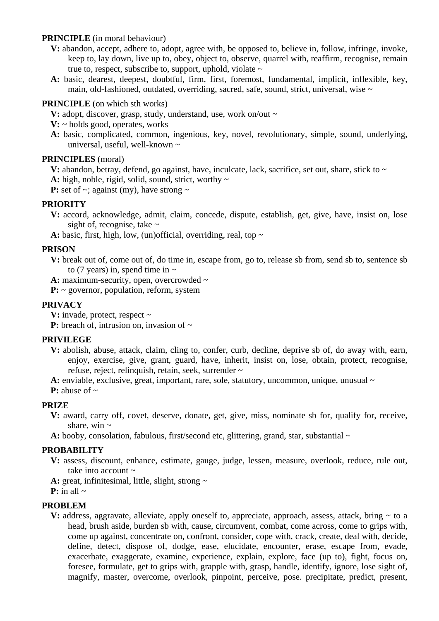## **PRINCIPLE** (in moral behaviour)

- **V:** abandon, accept, adhere to, adopt, agree with, be opposed to, believe in, follow, infringe, invoke, keep to, lay down, live up to, obey, object to, observe, quarrel with, reaffirm, recognise, remain true to, respect, subscribe to, support, uphold, violate  $\sim$
- **A:** basic, dearest, deepest, doubtful, firm, first, foremost, fundamental, implicit, inflexible, key, main, old-fashioned, outdated, overriding, sacred, safe, sound, strict, universal, wise ~

## **PRINCIPLE** (on which sth works)

**V:** adopt, discover, grasp, study, understand, use, work on/out ~

 **V:** ~ holds good, operates, works

 **A:** basic, complicated, common, ingenious, key, novel, revolutionary, simple, sound, underlying, universal, useful, well-known ~

#### **PRINCIPLES** (moral)

**V:** abandon, betray, defend, go against, have, inculcate, lack, sacrifice, set out, share, stick to  $\sim$ 

A: high, noble, rigid, solid, sound, strict, worthy  $\sim$ 

**P:** set of  $\sim$ ; against (my), have strong  $\sim$ 

## **PRIORITY**

 **V:** accord, acknowledge, admit, claim, concede, dispute, establish, get, give, have, insist on, lose sight of, recognise, take  $\sim$ 

**A:** basic, first, high, low, (un)official, overriding, real, top ~

#### **PRISON**

 **V:** break out of, come out of, do time in, escape from, go to, release sb from, send sb to, sentence sb to (7 years) in, spend time in  $\sim$ 

A: maximum-security, open, overcrowded ~

**P:** ~ governor, population, reform, system

## **PRIVACY**

**V:** invade, protect, respect  $\sim$ 

**P:** breach of, intrusion on, invasion of  $\sim$ 

#### **PRIVILEGE**

 **V:** abolish, abuse, attack, claim, cling to, confer, curb, decline, deprive sb of, do away with, earn, enjoy, exercise, give, grant, guard, have, inherit, insist on, lose, obtain, protect, recognise, refuse, reject, relinquish, retain, seek, surrender ~

 **A:** enviable, exclusive, great, important, rare, sole, statutory, uncommon, unique, unusual ~

**P:** abuse of  $\sim$ 

## **PRIZE**

 **V:** award, carry off, covet, deserve, donate, get, give, miss, nominate sb for, qualify for, receive, share, win  $\sim$ 

A: booby, consolation, fabulous, first/second etc, glittering, grand, star, substantial ~

#### **PROBABILITY**

 **V:** assess, discount, enhance, estimate, gauge, judge, lessen, measure, overlook, reduce, rule out, take into account ~

A: great, infinitesimal, little, slight, strong  $\sim$ 

**P:** in all  $\sim$ 

#### **PROBLEM**

**V:** address, aggravate, alleviate, apply oneself to, appreciate, approach, assess, attack, bring  $\sim$  to a head, brush aside, burden sb with, cause, circumvent, combat, come across, come to grips with, come up against, concentrate on, confront, consider, cope with, crack, create, deal with, decide, define, detect, dispose of, dodge, ease, elucidate, encounter, erase, escape from, evade, exacerbate, exaggerate, examine, experience, explain, explore, face (up to), fight, focus on, foresee, formulate, get to grips with, grapple with, grasp, handle, identify, ignore, lose sight of, magnify, master, overcome, overlook, pinpoint, perceive, pose. precipitate, predict, present,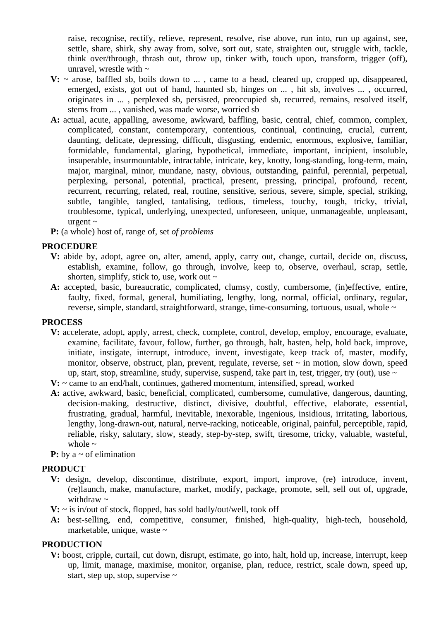raise, recognise, rectify, relieve, represent, resolve, rise above, run into, run up against, see, settle, share, shirk, shy away from, solve, sort out, state, straighten out, struggle with, tackle, think over/through, thrash out, throw up, tinker with, touch upon, transform, trigger (off), unravel, wrestle with  $\sim$ 

- $V: \sim$  arose, baffled sb, boils down to ..., came to a head, cleared up, cropped up, disappeared, emerged, exists, got out of hand, haunted sb, hinges on ..., hit sb, involves ..., occurred, originates in ... , perplexed sb, persisted, preoccupied sb, recurred, remains, resolved itself, stems from ... , vanished, was made worse, worried sb
- **A:** actual, acute, appalling, awesome, awkward, baffling, basic, central, chief, common, complex, complicated, constant, contemporary, contentious, continual, continuing, crucial, current, daunting, delicate, depressing, difficult, disgusting, endemic, enormous, explosive, familiar, formidable, fundamental, glaring, hypothetical, immediate, important, incipient, insoluble, insuperable, insurmountable, intractable, intricate, key, knotty, long-standing, long-term, main, major, marginal, minor, mundane, nasty, obvious, outstanding, painful, perennial, perpetual, perplexing, personal, potential, practical, present, pressing, principal, profound, recent, recurrent, recurring, related, real, routine, sensitive, serious, severe, simple, special, striking, subtle, tangible, tangled, tantalising, tedious, timeless, touchy, tough, tricky, trivial, troublesome, typical, underlying, unexpected, unforeseen, unique, unmanageable, unpleasant, urgent ~
- **P:** (a whole) host of, range of, set *of problems*

## **PROCEDURE**

- **V:** abide by, adopt, agree on, alter, amend, apply, carry out, change, curtail, decide on, discuss, establish, examine, follow, go through, involve, keep to, observe, overhaul, scrap, settle, shorten, simplify, stick to, use, work out  $\sim$
- **A:** accepted, basic, bureaucratic, complicated, clumsy, costly, cumbersome, (in)effective, entire, faulty, fixed, formal, general, humiliating, lengthy, long, normal, official, ordinary, regular, reverse, simple, standard, straightforward, strange, time-consuming, tortuous, usual, whole ~

## **PROCESS**

- **V:** accelerate, adopt, apply, arrest, check, complete, control, develop, employ, encourage, evaluate, examine, facilitate, favour, follow, further, go through, halt, hasten, help, hold back, improve, initiate, instigate, interrupt, introduce, invent, investigate, keep track of, master, modify, monitor, observe, obstruct, plan, prevent, regulate, reverse, set  $\sim$  in motion, slow down, speed up, start, stop, streamline, study, supervise, suspend, take part in, test, trigger, try (out), use  $\sim$
- **V:** ~ came to an end/halt, continues, gathered momentum, intensified, spread, worked
- **A:** active, awkward, basic, beneficial, complicated, cumbersome, cumulative, dangerous, daunting, decision-making, destructive, distinct, divisive, doubtful, effective, elaborate, essential, frustrating, gradual, harmful, inevitable, inexorable, ingenious, insidious, irritating, laborious, lengthy, long-drawn-out, natural, nerve-racking, noticeable, original, painful, perceptible, rapid, reliable, risky, salutary, slow, steady, step-by-step, swift, tiresome, tricky, valuable, wasteful, whole  $\sim$

**P:** by a  $\sim$  of elimination

## **PRODUCT**

 **V:** design, develop, discontinue, distribute, export, import, improve, (re) introduce, invent, (re)launch, make, manufacture, market, modify, package, promote, sell, sell out of, upgrade, withdraw  $\sim$ 

 **V:** ~ is in/out of stock, flopped, has sold badly/out/well, took off

 **A:** best-selling, end, competitive, consumer, finished, high-quality, high-tech, household, marketable, unique, waste ~

## **PRODUCTION**

 **V:** boost, cripple, curtail, cut down, disrupt, estimate, go into, halt, hold up, increase, interrupt, keep up, limit, manage, maximise, monitor, organise, plan, reduce, restrict, scale down, speed up, start, step up, stop, supervise  $\sim$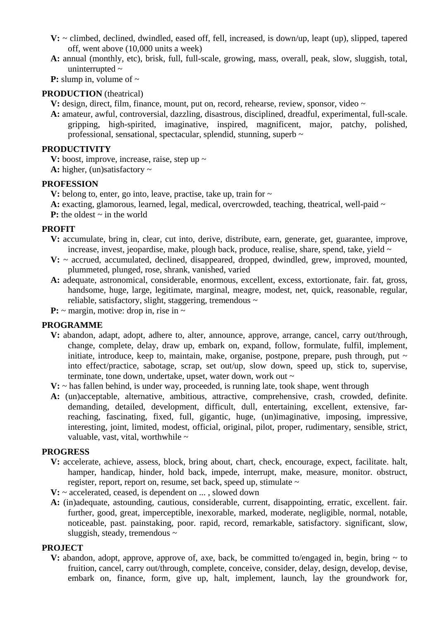- **V:** ~ climbed, declined, dwindled, eased off, fell, increased, is down/up, leapt (up), slipped, tapered off, went above (10,000 units a week)
- **A:** annual (monthly, etc), brisk, full, full-scale, growing, mass, overall, peak, slow, sluggish, total, uninterrupted ~

**P:** slump in, volume of  $\sim$ 

## **PRODUCTION** (theatrical)

- V: design, direct, film, finance, mount, put on, record, rehearse, review, sponsor, video ~
- **A:** amateur, awful, controversial, dazzling, disastrous, disciplined, dreadful, experimental, full-scale. gripping, high-spirited, imaginative, inspired, magnificent, major, patchy, polished, professional, sensational, spectacular, splendid, stunning, superb  $\sim$

## **PRODUCTIVITY**

**V:** boost, improve, increase, raise, step up  $\sim$ 

A: higher, (un)satisfactory  $\sim$ 

#### **PROFESSION**

**V:** belong to, enter, go into, leave, practise, take up, train for  $\sim$ 

A: exacting, glamorous, learned, legal, medical, overcrowded, teaching, theatrical, well-paid  $\sim$ 

**P:** the oldest  $\sim$  in the world

#### **PROFIT**

- **V:** accumulate, bring in, clear, cut into, derive, distribute, earn, generate, get, guarantee, improve, increase, invest, jeopardise, make, plough back, produce, realise, share, spend, take, yield  $\sim$
- **V:** ~ accrued, accumulated, declined, disappeared, dropped, dwindled, grew, improved, mounted, plummeted, plunged, rose, shrank, vanished, varied
- **A:** adequate, astronomical, considerable, enormous, excellent, excess, extortionate, fair. fat, gross, handsome, huge, large, legitimate, marginal, meagre, modest, net, quick, reasonable, regular, reliable, satisfactory, slight, staggering, tremendous ~
- **P:**  $\sim$  margin, motive: drop in, rise in  $\sim$

### **PROGRAMME**

- **V:** abandon, adapt, adopt, adhere to, alter, announce, approve, arrange, cancel, carry out/through, change, complete, delay, draw up, embark on, expand, follow, formulate, fulfil, implement, initiate, introduce, keep to, maintain, make, organise, postpone, prepare, push through, put  $\sim$ into effect/practice, sabotage, scrap, set out/up, slow down, speed up, stick to, supervise, terminate, tone down, undertake, upset, water down, work out ~
- $V: \sim$  has fallen behind, is under way, proceeded, is running late, took shape, went through
- **A:** (un)acceptable, alternative, ambitious, attractive, comprehensive, crash, crowded, definite. demanding, detailed, development, difficult, dull, entertaining, excellent, extensive, farreaching, fascinating, fixed, full, gigantic, huge, (un)imaginative, imposing, impressive, interesting, joint, limited, modest, official, original, pilot, proper, rudimentary, sensible, strict, valuable, vast, vital, worthwhile ~

#### **PROGRESS**

- **V:** accelerate, achieve, assess, block, bring about, chart, check, encourage, expect, facilitate. halt, hamper, handicap, hinder, hold back, impede, interrupt, make, measure, monitor. obstruct, register, report, report on, resume, set back, speed up, stimulate  $\sim$
- **V:** ~ accelerated, ceased, is dependent on ... , slowed down
- **A:** (in)adequate, astounding, cautious, considerable, current, disappointing, erratic, excellent. fair. further, good, great, imperceptible, inexorable, marked, moderate, negligible, normal, notable, noticeable, past. painstaking, poor. rapid, record, remarkable, satisfactory. significant, slow, sluggish, steady, tremendous ~

### **PROJECT**

**V:** abandon, adopt, approve, approve of, axe, back, be committed to/engaged in, begin, bring  $\sim$  to fruition, cancel, carry out/through, complete, conceive, consider, delay, design, develop, devise, embark on, finance, form, give up, halt, implement, launch, lay the groundwork for,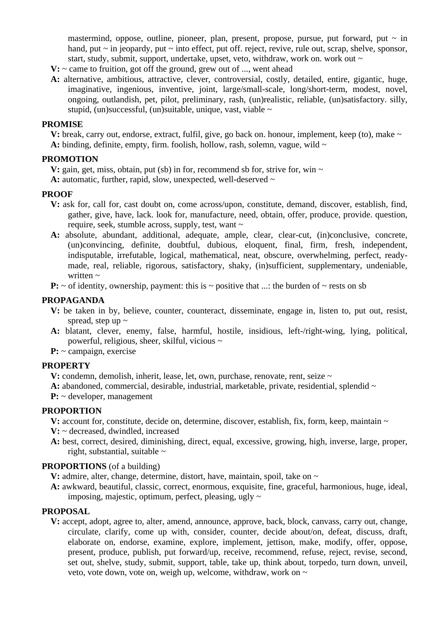mastermind, oppose, outline, pioneer, plan, present, propose, pursue, put forward, put  $\sim$  in hand, put ~ in jeopardy, put ~ into effect, put off. reject, revive, rule out, scrap, shelve, sponsor, start, study, submit, support, undertake, upset, veto, withdraw, work on. work out ~

 $V: \sim$  came to fruition, got off the ground, grew out of ..., went ahead

 **A:** alternative, ambitious, attractive, clever, controversial, costly, detailed, entire, gigantic, huge, imaginative, ingenious, inventive, joint, large/small-scale, long/short-term, modest, novel, ongoing, outlandish, pet, pilot, preliminary, rash, (un)realistic, reliable, (un)satisfactory. silly, stupid, (un)successful, (un)suitable, unique, vast, viable  $\sim$ 

### **PROMISE**

**V:** break, carry out, endorse, extract, fulfil, give, go back on. honour, implement, keep (to), make  $\sim$  **A:** binding, definite, empty, firm. foolish, hollow, rash, solemn, vague, wild ~

## **PROMOTION**

**V:** gain, get, miss, obtain, put (sb) in for, recommend sb for, strive for, win  $\sim$ 

A: automatic, further, rapid, slow, unexpected, well-deserved  $\sim$ 

## **PROOF**

- **V:** ask for, call for, cast doubt on, come across/upon, constitute, demand, discover, establish, find, gather, give, have, lack. look for, manufacture, need, obtain, offer, produce, provide. question, require, seek, stumble across, supply, test, want  $\sim$
- **A:** absolute, abundant, additional, adequate, ample, clear, clear-cut, (in)conclusive, concrete, (un)convincing, definite, doubtful, dubious, eloquent, final, firm, fresh, independent, indisputable, irrefutable, logical, mathematical, neat, obscure, overwhelming, perfect, readymade, real, reliable, rigorous, satisfactory, shaky, (in)sufficient, supplementary, undeniable, written  $\sim$

**P:**  $\sim$  of identity, ownership, payment: this is  $\sim$  positive that ...: the burden of  $\sim$  rests on sb

## **PROPAGANDA**

- **V:** be taken in by, believe, counter, counteract, disseminate, engage in, listen to, put out, resist, spread, step up  $\sim$
- **A:** blatant, clever, enemy, false, harmful, hostile, insidious, left-/right-wing, lying, political, powerful, religious, sheer, skilful, vicious ~
- **P:** ~ campaign, exercise

## **PROPERTY**

**V:** condemn, demolish, inherit, lease, let, own, purchase, renovate, rent, seize ~

A: abandoned, commercial, desirable, industrial, marketable, private, residential, splendid ~

 **P:** ~ developer, management

## **PROPORTION**

**V:** account for, constitute, decide on, determine, discover, establish, fix, form, keep, maintain ~

 **V:** ~ decreased, dwindled, increased

 **A:** best, correct, desired, diminishing, direct, equal, excessive, growing, high, inverse, large, proper, right, substantial, suitable  $\sim$ 

## **PROPORTIONS** (of a building)

- V: admire, alter, change, determine, distort, have, maintain, spoil, take on  $\sim$
- **A:** awkward, beautiful, classic, correct, enormous, exquisite, fine, graceful, harmonious, huge, ideal, imposing, majestic, optimum, perfect, pleasing, ugly ~

## **PROPOSAL**

**V:** accept, adopt, agree to, alter, amend, announce, approve, back, block, canvass, carry out, change, circulate, clarify, come up with, consider, counter, decide about/on, defeat, discuss, draft, elaborate on, endorse, examine, explore, implement, jettison, make, modify, offer, oppose, present, produce, publish, put forward/up, receive, recommend, refuse, reject, revise, second, set out, shelve, study, submit, support, table, take up, think about, torpedo, turn down, unveil, veto, vote down, vote on, weigh up, welcome, withdraw, work on ~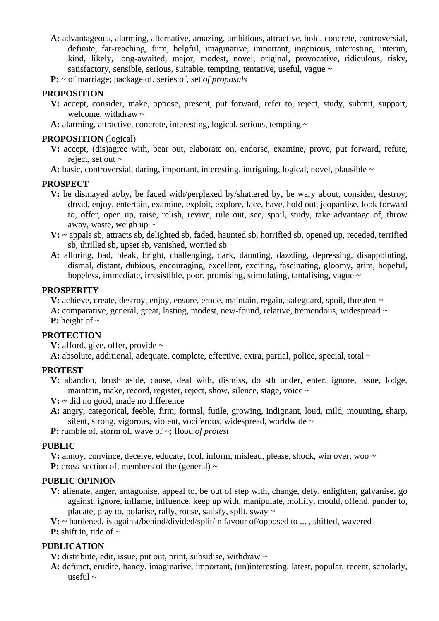- **A:** advantageous, alarming, alternative, amazing, ambitious, attractive, bold, concrete, controversial, definite, far-reaching, firm, helpful, imaginative, important, ingenious, interesting, interim, kind, likely, long-awaited, major, modest, novel, original, provocative, ridiculous, risky, satisfactory, sensible, serious, suitable, tempting, tentative, useful, vague ~
- **P:** ~ of marriage; package of, series of, set *of proposals*

### **PROPOSITION**

- **V:** accept, consider, make, oppose, present, put forward, refer to, reject, study, submit, support, welcome, withdraw  $\sim$
- **A:** alarming, attractive, concrete, interesting, logical, serious, tempting ~

#### **PROPOSITION** (logical)

- **V:** accept, (dis)agree with, bear out, elaborate on, endorse, examine, prove, put forward, refute, reject, set out  $\sim$
- A: basic, controversial, daring, important, interesting, intriguing, logical, novel, plausible  $\sim$

### **PROSPECT**

- **V:** be dismayed at/by, be faced with/perplexed by/shattered by, be wary about, consider, destroy, dread, enjoy, entertain, examine, exploit, explore, face, have, hold out, jeopardise, look forward to, offer, open up, raise, relish, revive, rule out, see, spoil, study, take advantage of, throw away, waste, weigh up ~
- **V:** ~ appals sb, attracts sb, delighted sb, faded, haunted sb, horrified sb, opened up, receded, terrified sb, thrilled sb, upset sb, vanished, worried sb
- **A:** alluring, bad, bleak, bright, challenging, dark, daunting, dazzling, depressing, disappointing, dismal, distant, dubious, encouraging, excellent, exciting, fascinating, gloomy, grim, hopeful, hopeless, immediate, irresistible, poor, promising, stimulating, tantalising, vague ~

### **PROSPERITY**

**V:** achieve, create, destroy, enjoy, ensure, erode, maintain, regain, safeguard, spoil, threaten  $\sim$ A: comparative, general, great, lasting, modest, new-found, relative, tremendous, widespread  $\sim$ **P:** height of  $\sim$ 

## **PROTECTION**

**V:** afford, give, offer, provide  $\sim$ 

A: absolute, additional, adequate, complete, effective, extra, partial, police, special, total  $\sim$ 

## **PROTEST**

- **V:** abandon, brush aside, cause, deal with, dismiss, do sth under, enter, ignore, issue, lodge, maintain, make, record, register, reject, show, silence, stage, voice ~
- **V:** ~ did no good, made no difference
- **A:** angry, categorical, feeble, firm, formal, futile, growing, indignant, loud, mild, mounting, sharp, silent, strong, vigorous, violent, vociferous, widespread, worldwide ~

 **P:** rumble of, storm of, wave of ~; flood *of protest* 

#### **PUBLIC**

**V:** annoy, convince, deceive, educate, fool, inform, mislead, please, shock, win over, woo ~ **P:** cross-section of, members of the (general)  $\sim$ 

## **PUBLIC OPINION**

 **V:** alienate, anger, antagonise, appeal to, be out of step with, change, defy, enlighten, galvanise, go against, ignore, inflame, influence, keep up with, manipulate, mollify, mould, offend. pander to, placate, play to, polarise, rally, rouse, satisfy, split, sway  $\sim$ 

 **V:** ~ hardened, is against/behind/divided/split/in favour of/opposed to ... , shifted, wavered

**P:** shift in, tide of  $\sim$ 

## **PUBLICATION**

**V:** distribute, edit, issue, put out, print, subsidise, withdraw  $\sim$ 

 **A:** defunct, erudite, handy, imaginative, important, (un)interesting, latest, popular, recent, scholarly, useful ~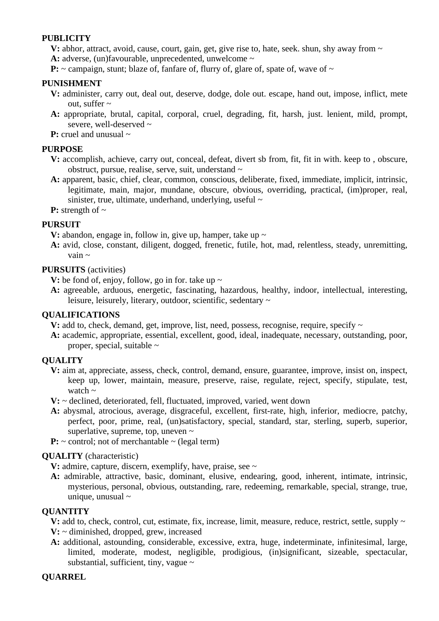## **PUBLICITY**

**V:** abhor, attract, avoid, cause, court, gain, get, give rise to, hate, seek. shun, shy away from  $\sim$ 

A: adverse, (un)favourable, unprecedented, unwelcome  $\sim$ 

**P:**  $\sim$  campaign, stunt; blaze of, fanfare of, flurry of, glare of, spate of, wave of  $\sim$ 

## **PUNISHMENT**

- **V:** administer, carry out, deal out, deserve, dodge, dole out. escape, hand out, impose, inflict, mete out. suffer  $\sim$
- **A:** appropriate, brutal, capital, corporal, cruel, degrading, fit, harsh, just. lenient, mild, prompt, severe, well-deserved ~

**P:** cruel and unusual  $\sim$ 

## **PURPOSE**

 **V:** accomplish, achieve, carry out, conceal, defeat, divert sb from, fit, fit in with. keep to , obscure, obstruct, pursue, realise, serve, suit, understand  $\sim$ 

 **A:** apparent, basic, chief, clear, common, conscious, deliberate, fixed, immediate, implicit, intrinsic, legitimate, main, major, mundane, obscure, obvious, overriding, practical, (im)proper, real, sinister, true, ultimate, underhand, underlying, useful  $\sim$ 

**P:** strength of  $\sim$ 

# **PURSUIT**

**V:** abandon, engage in, follow in, give up, hamper, take up  $\sim$ 

 **A:** avid, close, constant, diligent, dogged, frenetic, futile, hot, mad, relentless, steady, unremitting, vain  $\sim$ 

## **PURSUITS** (activities)

**V:** be fond of, enjoy, follow, go in for. take up  $\sim$ 

 **A:** agreeable, arduous, energetic, fascinating, hazardous, healthy, indoor, intellectual, interesting, leisure, leisurely, literary, outdoor, scientific, sedentary ~

## **QUALIFICATIONS**

**V:** add to, check, demand, get, improve, list, need, possess, recognise, require, specify  $\sim$ 

 **A:** academic, appropriate, essential, excellent, good, ideal, inadequate, necessary, outstanding, poor, proper, special, suitable  $\sim$ 

## **QUALITY**

- **V:** aim at, appreciate, assess, check, control, demand, ensure, guarantee, improve, insist on, inspect, keep up, lower, maintain, measure, preserve, raise, regulate, reject, specify, stipulate, test, watch  $\sim$
- **V:** ~ declined, deteriorated, fell, fluctuated, improved, varied, went down
- **A:** abysmal, atrocious, average, disgraceful, excellent, first-rate, high, inferior, mediocre, patchy, perfect, poor, prime, real, (un)satisfactory, special, standard, star, sterling, superb, superior, superlative, supreme, top, uneven  $\sim$
- $P: ~$  control; not of merchantable  $~$  (legal term)

## **QUALITY** (characteristic)

**V:** admire, capture, discern, exemplify, have, praise, see ~

 **A:** admirable, attractive, basic, dominant, elusive, endearing, good, inherent, intimate, intrinsic, mysterious, personal, obvious, outstanding, rare, redeeming, remarkable, special, strange, true, unique, unusual ~

## **QUANTITY**

**V:** add to, check, control, cut, estimate, fix, increase, limit, measure, reduce, restrict, settle, supply  $\sim$ 

- **V:** ~ diminished, dropped, grew, increased
- **A:** additional, astounding, considerable, excessive, extra, huge, indeterminate, infinitesimal, large, limited, moderate, modest, negligible, prodigious, (in)significant, sizeable, spectacular, substantial, sufficient, tiny, vague ~

## **QUARREL**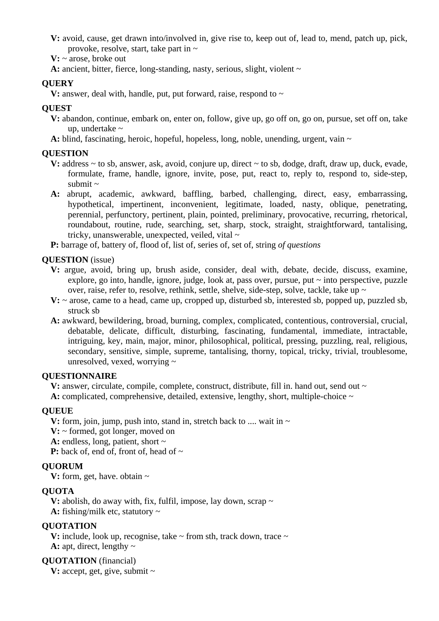**V:** avoid, cause, get drawn into/involved in, give rise to, keep out of, lead to, mend, patch up, pick, provoke, resolve, start, take part in ~

 **V:** ~ arose, broke out

A: ancient, bitter, fierce, long-standing, nasty, serious, slight, violent ~

## **QUERY**

**V:** answer, deal with, handle, put, put forward, raise, respond to  $\sim$ 

### **QUEST**

 **V:** abandon, continue, embark on, enter on, follow, give up, go off on, go on, pursue, set off on, take up, undertake ~

 **A:** blind, fascinating, heroic, hopeful, hopeless, long, noble, unending, urgent, vain ~

### **QUESTION**

- **V:** address  $\sim$  to sb, answer, ask, avoid, conjure up, direct  $\sim$  to sb, dodge, draft, draw up, duck, evade, formulate, frame, handle, ignore, invite, pose, put, react to, reply to, respond to, side-step, submit  $\sim$
- **A:** abrupt, academic, awkward, baffling, barbed, challenging, direct, easy, embarrassing, hypothetical, impertinent, inconvenient, legitimate, loaded, nasty, oblique, penetrating, perennial, perfunctory, pertinent, plain, pointed, preliminary, provocative, recurring, rhetorical, roundabout, routine, rude, searching, set, sharp, stock, straight, straightforward, tantalising, tricky, unanswerable, unexpected, veiled, vital ~

 **P:** barrage of, battery of, flood of, list of, series of, set of, string *of questions* 

#### **QUESTION** (issue)

- **V:** argue, avoid, bring up, brush aside, consider, deal with, debate, decide, discuss, examine, explore, go into, handle, ignore, judge, look at, pass over, pursue, put ~ into perspective, puzzle over, raise, refer to, resolve, rethink, settle, shelve, side-step, solve, tackle, take up ~
- **V:** ~ arose, came to a head, came up, cropped up, disturbed sb, interested sb, popped up, puzzled sb, struck sb
- **A:** awkward, bewildering, broad, burning, complex, complicated, contentious, controversial, crucial, debatable, delicate, difficult, disturbing, fascinating, fundamental, immediate, intractable, intriguing, key, main, major, minor, philosophical, political, pressing, puzzling, real, religious, secondary, sensitive, simple, supreme, tantalising, thorny, topical, tricky, trivial, troublesome, unresolved, vexed, worrying  $\sim$

## **QUESTIONNAIRE**

**V:** answer, circulate, compile, complete, construct, distribute, fill in. hand out, send out ~ A: complicated, comprehensive, detailed, extensive, lengthy, short, multiple-choice  $\sim$ 

#### **QUEUE**

**V:** form, join, jump, push into, stand in, stretch back to .... wait in  $\sim$ 

- **V:** ~ formed, got longer, moved on
- A: endless, long, patient, short  $\sim$

**P:** back of, end of, front of, head of  $\sim$ 

## **QUORUM**

**V:** form, get, have. obtain  $\sim$ 

## **QUOTA**

**V:** abolish, do away with, fix, fulfil, impose, lay down, scrap  $\sim$ A: fishing/milk etc, statutory  $\sim$ 

#### **QUOTATION**

**V:** include, look up, recognise, take  $\sim$  from sth, track down, trace  $\sim$ **A:** apt. direct, lengthy  $\sim$ 

## **QUOTATION** (financial)

**V:** accept, get, give, submit  $\sim$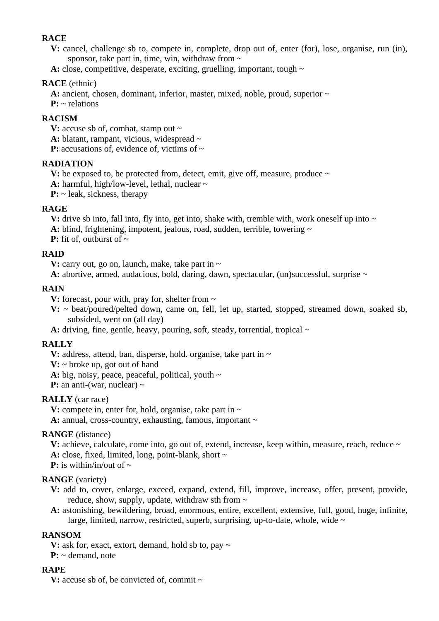# **RACE**

 **V:** cancel, challenge sb to, compete in, complete, drop out of, enter (for), lose, organise, run (in), sponsor, take part in, time, win, withdraw from  $\sim$ 

A: close, competitive, desperate, exciting, gruelling, important, tough  $\sim$ 

# **RACE** (ethnic)

A: ancient, chosen, dominant, inferior, master, mixed, noble, proud, superior ~

 **P:** ~ relations

# **RACISM**

**V:** accuse sb of, combat, stamp out ~

A: blatant, rampant, vicious, widespread  $\sim$ 

**P:** accusations of, evidence of, victims of  $\sim$ 

# **RADIATION**

**V:** be exposed to, be protected from, detect, emit, give off, measure, produce  $\sim$ 

A: harmful, high/low-level, lethal, nuclear  $\sim$ 

 **P:** ~ leak, sickness, therapy

# **RAGE**

**V:** drive sb into, fall into, fly into, get into, shake with, tremble with, work oneself up into  $\sim$  **A:** blind, frightening, impotent, jealous, road, sudden, terrible, towering ~

**P:** fit of, outburst of  $\sim$ 

# **RAID**

**V:** carry out, go on, launch, make, take part in  $\sim$ 

A: abortive, armed, audacious, bold, daring, dawn, spectacular, (un)successful, surprise ~

# **RAIN**

**V:** forecast, pour with, pray for, shelter from  $\sim$ 

 **V:** ~ beat/poured/pelted down, came on, fell, let up, started, stopped, streamed down, soaked sb, subsided, went on (all day)

 **A:** driving, fine, gentle, heavy, pouring, soft, steady, torrential, tropical ~

# **RALLY**

**V:** address, attend, ban, disperse, hold. organise, take part in  $\sim$ 

 **V:** ~ broke up, got out of hand

- A: big, noisy, peace, peaceful, political, youth  $\sim$
- **P:** an anti-(war, nuclear)  $\sim$

# **RALLY** (car race)

**V:** compete in, enter for, hold, organise, take part in  $\sim$ 

 **A:** annual, cross-country, exhausting, famous, important ~

# **RANGE** (distance)

**V:** achieve, calculate, come into, go out of, extend, increase, keep within, measure, reach, reduce  $\sim$ A: close, fixed, limited, long, point-blank, short  $\sim$ 

**P:** is within/in/out of  $\sim$ 

## **RANGE** (variety)

- **V:** add to, cover, enlarge, exceed, expand, extend, fill, improve, increase, offer, present, provide, reduce, show, supply, update, withdraw sth from  $\sim$
- **A:** astonishing, bewildering, broad, enormous, entire, excellent, extensive, full, good, huge, infinite, large, limited, narrow, restricted, superb, surprising, up-to-date, whole, wide ~

# **RANSOM**

**V:** ask for, exact, extort, demand, hold sb to, pay  $\sim$  **P:** ~ demand, note

## **RAPE**

**V:** accuse sb of, be convicted of, commit  $\sim$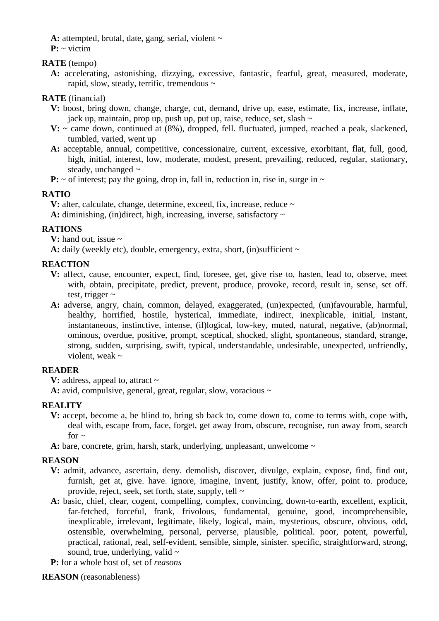A: attempted, brutal, date, gang, serial, violent  $\sim$ 

 $P: \sim$  victim

## **RATE** (tempo)

 **A:** accelerating, astonishing, dizzying, excessive, fantastic, fearful, great, measured, moderate, rapid, slow, steady, terrific, tremendous  $\sim$ 

# **RATE** (financial)

- **V:** boost, bring down, change, charge, cut, demand, drive up, ease, estimate, fix, increase, inflate, jack up, maintain, prop up, push up, put up, raise, reduce, set, slash ~
- **V:**  $\sim$  came down, continued at (8%), dropped, fell. fluctuated, jumped, reached a peak, slackened, tumbled, varied, went up
- **A:** acceptable, annual, competitive, concessionaire, current, excessive, exorbitant, flat, full, good, high, initial, interest, low, moderate, modest, present, prevailing, reduced, regular, stationary, steady, unchanged ~

**P:**  $\sim$  of interest; pay the going, drop in, fall in, reduction in, rise in, surge in  $\sim$ 

# **RATIO**

**V:** alter, calculate, change, determine, exceed, fix, increase, reduce  $\sim$ 

A: diminishing, (in)direct, high, increasing, inverse, satisfactory  $\sim$ 

# **RATIONS**

**V:** hand out, issue  $\sim$ 

**A:** daily (weekly etc), double, emergency, extra, short, (in)sufficient ~

# **REACTION**

- **V:** affect, cause, encounter, expect, find, foresee, get, give rise to, hasten, lead to, observe, meet with, obtain, precipitate, predict, prevent, produce, provoke, record, result in, sense, set off. test, trigger  $\sim$
- **A:** adverse, angry, chain, common, delayed, exaggerated, (un)expected, (un)favourable, harmful, healthy, horrified, hostile, hysterical, immediate, indirect, inexplicable, initial, instant, instantaneous, instinctive, intense, (il)logical, low-key, muted, natural, negative, (ab)normal, ominous, overdue, positive, prompt, sceptical, shocked, slight, spontaneous, standard, strange, strong, sudden, surprising, swift, typical, understandable, undesirable, unexpected, unfriendly, violent, weak ~

# **READER**

**V:** address, appeal to, attract  $\sim$ 

A: avid, compulsive, general, great, regular, slow, voracious ~

# **REALITY**

 **V:** accept, become a, be blind to, bring sb back to, come down to, come to terms with, cope with, deal with, escape from, face, forget, get away from, obscure, recognise, run away from, search for  $\sim$ 

A: bare, concrete, grim, harsh, stark, underlying, unpleasant, unwelcome ~

# **REASON**

- **V:** admit, advance, ascertain, deny. demolish, discover, divulge, explain, expose, find, find out, furnish, get at, give. have. ignore, imagine, invent, justify, know, offer, point to. produce, provide, reject, seek, set forth, state, supply, tell ~
- **A:** basic, chief, clear, cogent, compelling, complex, convincing, down-to-earth, excellent, explicit, far-fetched, forceful, frank, frivolous, fundamental, genuine, good, incomprehensible, inexplicable, irrelevant, legitimate, likely, logical, main, mysterious, obscure, obvious, odd, ostensible, overwhelming, personal, perverse, plausible, political. poor, potent, powerful, practical, rational, real, self-evident, sensible, simple, sinister. specific, straightforward, strong, sound, true, underlying, valid  $\sim$

 **P:** for a whole host of, set of *reasons* 

## **REASON** (reasonableness)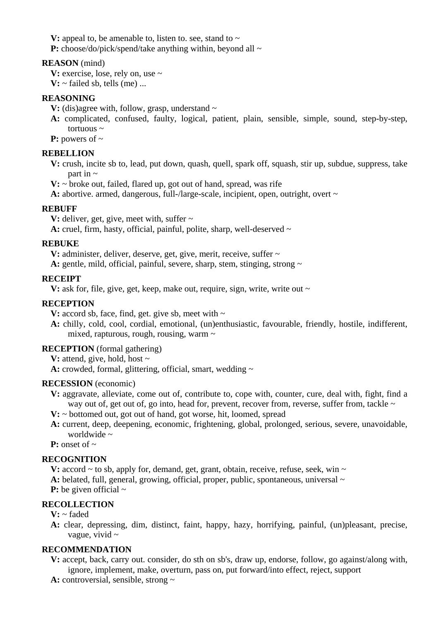**V:** appeal to, be amenable to, listen to. see, stand to  $\sim$ **P:** choose/do/pick/spend/take anything within, beyond all ~

## **REASON** (mind)

**V:** exercise, lose, rely on, use  $\sim$ 

 $V: \sim$  failed sb, tells (me) ...

## **REASONING**

**V:** (dis)agree with, follow, grasp, understand  $\sim$ 

- **A:** complicated, confused, faulty, logical, patient, plain, sensible, simple, sound, step-by-step, tortuous ~
- **P:** powers of  $\sim$

## **REBELLION**

- **V:** crush, incite sb to, lead, put down, quash, quell, spark off, squash, stir up, subdue, suppress, take part in  $\sim$
- **V:** ~ broke out, failed, flared up, got out of hand, spread, was rife

A: abortive. armed, dangerous, full-/large-scale, incipient, open, outright, overt ~

## **REBUFF**

**V:** deliver, get, give, meet with, suffer  $\sim$ 

 **A:** cruel, firm, hasty, official, painful, polite, sharp, well-deserved ~

## **REBUKE**

**V:** administer, deliver, deserve, get, give, merit, receive, suffer  $\sim$ 

 **A:** gentle, mild, official, painful, severe, sharp, stem, stinging, strong ~

## **RECEIPT**

**V:** ask for, file, give, get, keep, make out, require, sign, write, write out  $\sim$ 

## **RECEPTION**

**V:** accord sb, face, find, get. give sb, meet with  $\sim$ 

 **A:** chilly, cold, cool, cordial, emotional, (un)enthusiastic, favourable, friendly, hostile, indifferent, mixed, rapturous, rough, rousing, warm ~

## **RECEPTION** (formal gathering)

**V:** attend, give, hold, host  $\sim$ 

**A:** crowded, formal, glittering, official, smart, wedding  $\sim$ 

## **RECESSION** (economic)

- **V:** aggravate, alleviate, come out of, contribute to, cope with, counter, cure, deal with, fight, find a way out of, get out of, go into, head for, prevent, recover from, reverse, suffer from, tackle  $\sim$
- **V:** ~ bottomed out, got out of hand, got worse, hit, loomed, spread
- **A:** current, deep, deepening, economic, frightening, global, prolonged, serious, severe, unavoidable, worldwide ~

**P:** onset of  $\sim$ 

## **RECOGNITION**

**V:**  $acord \sim to sb$ , apply for, demand, get, grant, obtain, receive, refuse, seek, win  $\sim$ 

A: belated, full, general, growing, official, proper, public, spontaneous, universal  $\sim$ 

**P:** be given official  $\sim$ 

## **RECOLLECTION**

 $V: ~ \sim$  faded

 **A:** clear, depressing, dim, distinct, faint, happy, hazy, horrifying, painful, (un)pleasant, precise, vague, vivid ~

## **RECOMMENDATION**

 **V:** accept, back, carry out. consider, do sth on sb's, draw up, endorse, follow, go against/along with, ignore, implement, make, overturn, pass on, put forward/into effect, reject, support

A: controversial, sensible, strong  $\sim$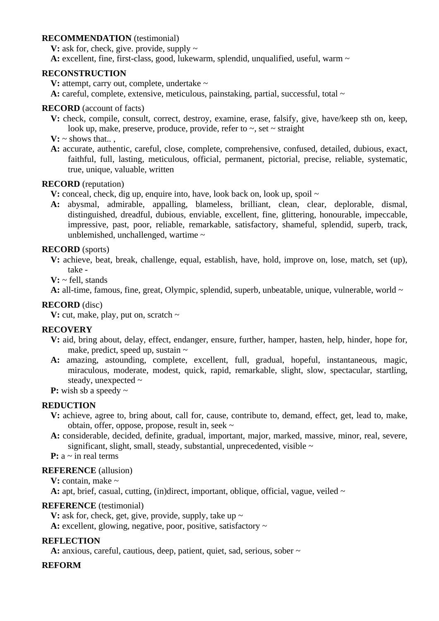## **RECOMMENDATION** (testimonial)

**V:** ask for, check, give. provide, supply  $\sim$ A: excellent, fine, first-class, good, lukewarm, splendid, unqualified, useful, warm  $\sim$ 

## **RECONSTRUCTION**

**V:** attempt, carry out, complete, undertake  $\sim$ 

A: careful, complete, extensive, meticulous, painstaking, partial, successful, total  $\sim$ 

## **RECORD** (account of facts)

- **V:** check, compile, consult, correct, destroy, examine, erase, falsify, give, have/keep sth on, keep, look up, make, preserve, produce, provide, refer to  $\sim$ , set  $\sim$  straight
- $V: \sim$  shows that...
- **A:** accurate, authentic, careful, close, complete, comprehensive, confused, detailed, dubious, exact, faithful, full, lasting, meticulous, official, permanent, pictorial, precise, reliable, systematic, true, unique, valuable, written

#### **RECORD** (reputation)

**V:** conceal, check, dig up, enquire into, have, look back on, look up, spoil  $\sim$ 

 **A:** abysmal, admirable, appalling, blameless, brilliant, clean, clear, deplorable, dismal, distinguished, dreadful, dubious, enviable, excellent, fine, glittering, honourable, impeccable, impressive, past, poor, reliable, remarkable, satisfactory, shameful, splendid, superb, track, unblemished, unchallenged, wartime ~

## **RECORD** (sports)

 **V:** achieve, beat, break, challenge, equal, establish, have, hold, improve on, lose, match, set (up), take -

 **V:** ~ fell, stands

 **A:** all-time, famous, fine, great, Olympic, splendid, superb, unbeatable, unique, vulnerable, world ~

#### **RECORD** (disc)

**V:** cut, make, play, put on, scratch  $\sim$ 

## **RECOVERY**

- **V:** aid, bring about, delay, effect, endanger, ensure, further, hamper, hasten, help, hinder, hope for, make, predict, speed up, sustain ~
- **A:** amazing, astounding, complete, excellent, full, gradual, hopeful, instantaneous, magic, miraculous, moderate, modest, quick, rapid, remarkable, slight, slow, spectacular, startling, steady, unexpected ~

**P:** wish sb a speedy  $\sim$ 

## **REDUCTION**

- **V:** achieve, agree to, bring about, call for, cause, contribute to, demand, effect, get, lead to, make, obtain, offer, oppose, propose, result in, seek ~
- **A:** considerable, decided, definite, gradual, important, major, marked, massive, minor, real, severe, significant, slight, small, steady, substantial, unprecedented, visible ~

**P:**  $a \sim$  in real terms

#### **REFERENCE** (allusion)

**V:** contain, make  $\sim$ 

A: apt, brief, casual, cutting, (in)direct, important, oblique, official, vague, veiled ~

#### **REFERENCE** (testimonial)

**V:** ask for, check, get, give, provide, supply, take up  $\sim$ 

A: excellent, glowing, negative, poor, positive, satisfactory  $\sim$ 

## **REFLECTION**

**A:** anxious, careful, cautious, deep, patient, quiet, sad, serious, sober ~

## **REFORM**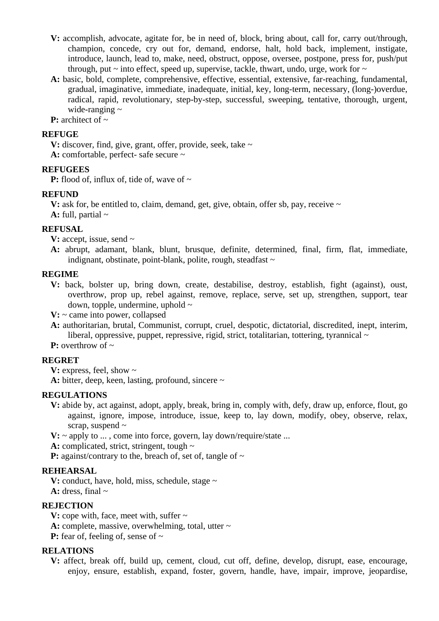- **V:** accomplish, advocate, agitate for, be in need of, block, bring about, call for, carry out/through, champion, concede, cry out for, demand, endorse, halt, hold back, implement, instigate, introduce, launch, lead to, make, need, obstruct, oppose, oversee, postpone, press for, push/put through, put  $\sim$  into effect, speed up, supervise, tackle, thwart, undo, urge, work for  $\sim$
- **A:** basic, bold, complete, comprehensive, effective, essential, extensive, far-reaching, fundamental, gradual, imaginative, immediate, inadequate, initial, key, long-term, necessary, (long-)overdue, radical, rapid, revolutionary, step-by-step, successful, sweeping, tentative, thorough, urgent, wide-ranging  $\sim$

**P:** architect of  $\sim$ 

## **REFUGE**

**V:** discover, find, give, grant, offer, provide, seek, take  $\sim$ A: comfortable, perfect- safe secure ~

#### **REFUGEES**

**P:** flood of, influx of, tide of, wave of  $\sim$ 

#### **REFUND**

**V:** ask for, be entitled to, claim, demand, get, give, obtain, offer sb, pay, receive  $\sim$  **A:** full, partial ~

#### **REFUSAL**

**V:** accept, issue, send  $\sim$ 

 **A:** abrupt, adamant, blank, blunt, brusque, definite, determined, final, firm, flat, immediate, indignant, obstinate, point-blank, polite, rough, steadfast  $\sim$ 

#### **REGIME**

 **V:** back, bolster up, bring down, create, destabilise, destroy, establish, fight (against), oust, overthrow, prop up, rebel against, remove, replace, serve, set up, strengthen, support, tear down, topple, undermine, uphold ~

**V:** ~ came into power, collapsed

 **A:** authoritarian, brutal, Communist, corrupt, cruel, despotic, dictatorial, discredited, inept, interim, liberal, oppressive, puppet, repressive, rigid, strict, totalitarian, tottering, tyrannical  $\sim$ 

**P:** overthrow of  $\sim$ 

### **REGRET**

**V:** express, feel, show  $\sim$ 

A: bitter, deep, keen, lasting, profound, sincere ~

#### **REGULATIONS**

- **V**: abide by, act against, adopt, apply, break, bring in, comply with, defy, draw up, enforce, flout, go against, ignore, impose, introduce, issue, keep to, lay down, modify, obey, observe, relax, scrap, suspend  $\sim$
- $V: \sim$  apply to ..., come into force, govern, lay down/require/state ...

A: complicated, strict, stringent, tough ~

**P:** against/contrary to the, breach of, set of, tangle of  $\sim$ 

#### **REHEARSAL**

**V:** conduct, have, hold, miss, schedule, stage  $\sim$ A:  $d$ ress, final  $\sim$ 

#### **REJECTION**

**V:** cope with, face, meet with, suffer  $\sim$ 

A: complete, massive, overwhelming, total, utter ~

**P:** fear of, feeling of, sense of  $\sim$ 

#### **RELATIONS**

 **V:** affect, break off, build up, cement, cloud, cut off, define, develop, disrupt, ease, encourage, enjoy, ensure, establish, expand, foster, govern, handle, have, impair, improve, jeopardise,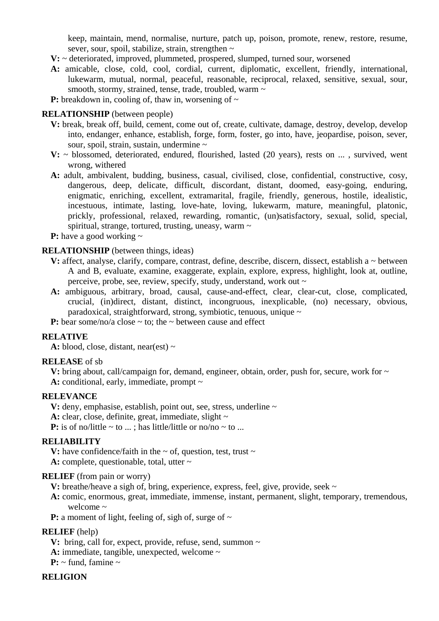keep, maintain, mend, normalise, nurture, patch up, poison, promote, renew, restore, resume, sever, sour, spoil, stabilize, strain, strengthen  $\sim$ 

- **V:** ~ deteriorated, improved, plummeted, prospered, slumped, turned sour, worsened
- **A:** amicable, close, cold, cool, cordial, current, diplomatic, excellent, friendly, international, lukewarm, mutual, normal, peaceful, reasonable, reciprocal, relaxed, sensitive, sexual, sour, smooth, stormy, strained, tense, trade, troubled, warm ~
- **P:** breakdown in, cooling of, thaw in, worsening of  $\sim$

### **RELATIONSHIP** (between people)

- **V:** break, break off, build, cement, come out of, create, cultivate, damage, destroy, develop, develop into, endanger, enhance, establish, forge, form, foster, go into, have, jeopardise, poison, sever, sour, spoil, strain, sustain, undermine ~
- **V:** ~ blossomed, deteriorated, endured, flourished, lasted (20 years), rests on ... , survived, went wrong, withered
- **A:** adult, ambivalent, budding, business, casual, civilised, close, confidential, constructive, cosy, dangerous, deep, delicate, difficult, discordant, distant, doomed, easy-going, enduring, enigmatic, enriching, excellent, extramarital, fragile, friendly, generous, hostile, idealistic, incestuous, intimate, lasting, love-hate, loving, lukewarm, mature, meaningful, platonic, prickly, professional, relaxed, rewarding, romantic, (un)satisfactory, sexual, solid, special, spiritual, strange, tortured, trusting, uneasy, warm  $\sim$
- **P:** have a good working  $\sim$

## **RELATIONSHIP** (between things, ideas)

- **V:** affect, analyse, clarify, compare, contrast, define, describe, discern, dissect, establish a  $\sim$  between A and B, evaluate, examine, exaggerate, explain, explore, express, highlight, look at, outline, perceive, probe, see, review, specify, study, understand, work out ~
- A: ambiguous, arbitrary, broad, causal, cause-and-effect, clear, clear-cut, close, complicated, crucial, (in)direct, distant, distinct, incongruous, inexplicable, (no) necessary, obvious, paradoxical, straightforward, strong, symbiotic, tenuous, unique ~
- **P:** bear some/no/a close  $\sim$  to; the  $\sim$  between cause and effect

## **RELATIVE**

A: blood, close, distant, near(est)  $\sim$ 

#### **RELEASE** of sb

**V:** bring about, call/campaign for, demand, engineer, obtain, order, push for, secure, work for  $\sim$ A: conditional, early, immediate, prompt  $\sim$ 

#### **RELEVANCE**

**V:** deny, emphasise, establish, point out, see, stress, underline  $\sim$ 

A: clear, close, definite, great, immediate, slight ~

**P:** is of no/little  $\sim$  to ... ; has little/little or no/no  $\sim$  to ...

## **RELIABILITY**

**V:** have confidence/faith in the  $\sim$  of, question, test, trust  $\sim$ 

A: complete, questionable, total, utter  $\sim$ 

#### **RELIEF** (from pain or worry)

**V:** breathe/heave a sigh of, bring, experience, express, feel, give, provide, seek  $\sim$ 

- **A:** comic, enormous, great, immediate, immense, instant, permanent, slight, temporary, tremendous, welcome ~
- **P:** a moment of light, feeling of, sigh of, surge of  $\sim$

#### **RELIEF** (help)

**V:** bring, call for, expect, provide, refuse, send, summon  $\sim$ 

- A: immediate, tangible, unexpected, welcome ~
- $P: \sim$  fund, famine  $\sim$

### **RELIGION**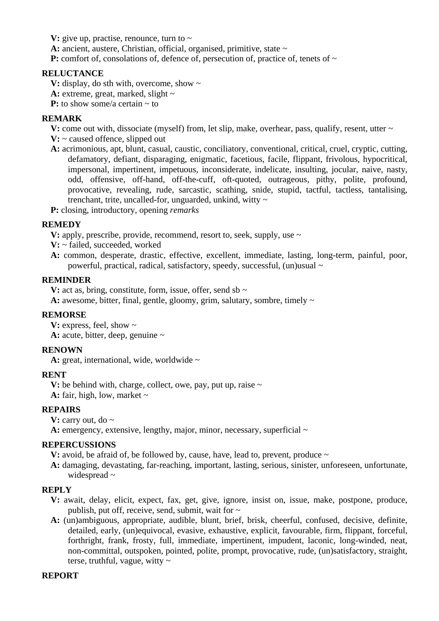**V:** give up, practise, renounce, turn to  $\sim$ 

A: ancient, austere, Christian, official, organised, primitive, state ~

**P:** comfort of, consolations of, defence of, persecution of, practice of, tenets of  $\sim$ 

## **RELUCTANCE**

**V:** display, do sth with, overcome, show  $\sim$ 

A: extreme, great, marked, slight ~

**P:** to show some/a certain  $\sim$  to

## **REMARK**

**V:** come out with, dissociate (myself) from, let slip, make, overhear, pass, qualify, resent, utter  $\sim$ 

**V:** ~ caused offence, slipped out

 **A:** acrimonious, apt, blunt, casual, caustic, conciliatory, conventional, critical, cruel, cryptic, cutting, defamatory, defiant, disparaging, enigmatic, facetious, facile, flippant, frivolous, hypocritical, impersonal, impertinent, impetuous, inconsiderate, indelicate, insulting, jocular, naive, nasty, odd, offensive, off-hand, off-the-cuff, oft-quoted, outrageous, pithy, polite, profound, provocative, revealing, rude, sarcastic, scathing, snide, stupid, tactful, tactless, tantalising, trenchant, trite, uncalled-for, unguarded, unkind, witty  $\sim$ 

 **P:** closing, introductory, opening *remarks* 

## **REMEDY**

**V:** apply, prescribe, provide, recommend, resort to, seek, supply, use  $\sim$ 

 **V:** ~ failed, succeeded, worked

 **A:** common, desperate, drastic, effective, excellent, immediate, lasting, long-term, painful, poor, powerful, practical, radical, satisfactory, speedy, successful, (un)usual  $\sim$ 

## **REMINDER**

**V:** act as, bring, constitute, form, issue, offer, send sb  $\sim$ 

A: awesome, bitter, final, gentle, gloomy, grim, salutary, sombre, timely  $\sim$ 

## **REMORSE**

**V:** express, feel, show  $\sim$ A: acute, bitter, deep, genuine ~

## **RENOWN**

A: great, international, wide, worldwide ~

## **RENT**

**V:** be behind with, charge, collect, owe, pay, put up, raise  $\sim$ 

A: fair, high, low, market ~

## **REPAIRS**

**V:** carry out, do  $\sim$ 

A: emergency, extensive, lengthy, major, minor, necessary, superficial  $\sim$ 

## **REPERCUSSIONS**

**V:** avoid, be afraid of, be followed by, cause, have, lead to, prevent, produce  $\sim$ 

 **A:** damaging, devastating, far-reaching, important, lasting, serious, sinister, unforeseen, unfortunate, widespread ~

## **REPLY**

- **V:** await, delay, elicit, expect, fax, get, give, ignore, insist on, issue, make, postpone, produce, publish, put off, receive, send, submit, wait for  $\sim$
- **A:** (un)ambiguous, appropriate, audible, blunt, brief, brisk, cheerful, confused, decisive, definite, detailed, early, (un)equivocal, evasive, exhaustive, explicit, favourable, firm, flippant, forceful, forthright, frank, frosty, full, immediate, impertinent, impudent, laconic, long-winded, neat, non-committal, outspoken, pointed, polite, prompt, provocative, rude, (un)satisfactory, straight, terse, truthful, vague, witty  $\sim$

## **REPORT**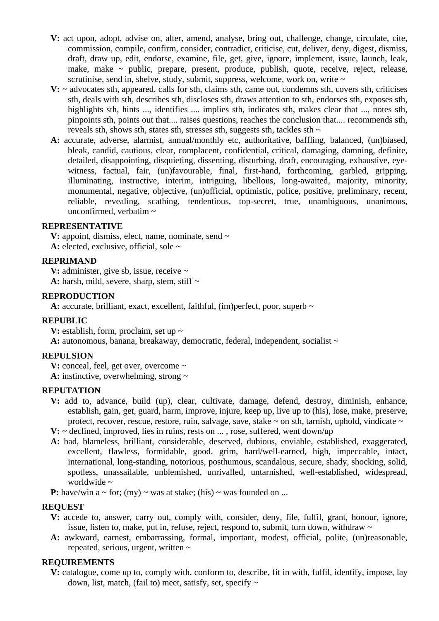- **V:** act upon, adopt, advise on, alter, amend, analyse, bring out, challenge, change, circulate, cite, commission, compile, confirm, consider, contradict, criticise, cut, deliver, deny, digest, dismiss, draft, draw up, edit, endorse, examine, file, get, give, ignore, implement, issue, launch, leak, make, make  $\sim$  public, prepare, present, produce, publish, quote, receive, reject, release, scrutinise, send in, shelve, study, submit, suppress, welcome, work on, write  $\sim$
- **V:** ~ advocates sth, appeared, calls for sth, claims sth, came out, condemns sth, covers sth, criticises sth, deals with sth, describes sth, discloses sth, draws attention to sth, endorses sth, exposes sth, highlights sth, hints ..., identifies ..., implies sth, indicates sth, makes clear that ..., notes sth, pinpoints sth, points out that.... raises questions, reaches the conclusion that.... recommends sth, reveals sth, shows sth, states sth, stresses sth, suggests sth, tackles sth ~
- **A:** accurate, adverse, alarmist, annual/monthly etc, authoritative, baffling, balanced, (un)biased, bleak, candid, cautious, clear, complacent, confidential, critical, damaging, damning, definite, detailed, disappointing, disquieting, dissenting, disturbing, draft, encouraging, exhaustive, eyewitness, factual, fair, (un)favourable, final, first-hand, forthcoming, garbled, gripping, illuminating, instructive, interim, intriguing, libellous, long-awaited, majority, minority, monumental, negative, objective, (un)official, optimistic, police, positive, preliminary, recent, reliable, revealing, scathing, tendentious, top-secret, true, unambiguous, unanimous, unconfirmed, verbatim  $\sim$

#### **REPRESENTATIVE**

**V:** appoint, dismiss, elect, name, nominate, send  $\sim$ A: elected, exclusive, official, sole ~

#### **REPRIMAND**

**V:** administer, give sb, issue, receive ~

**A:** harsh, mild, severe, sharp, stem, stiff  $\sim$ 

#### **REPRODUCTION**

**A:** accurate, brilliant, exact, excellent, faithful, (im)perfect, poor, superb  $\sim$ 

## **REPUBLIC**

**V:** establish, form, proclaim, set up ~

A: autonomous, banana, breakaway, democratic, federal, independent, socialist ~

#### **REPULSION**

**V:** conceal, feel, get over, overcome  $\sim$ 

**A:** instinctive, overwhelming, strong ~

#### **REPUTATION**

- **V:** add to, advance, build (up), clear, cultivate, damage, defend, destroy, diminish, enhance, establish, gain, get, guard, harm, improve, injure, keep up, live up to (his), lose, make, preserve, protect, recover, rescue, restore, ruin, salvage, save, stake  $\sim$  on sth, tarnish, uphold, vindicate  $\sim$
- **V:** ~ declined, improved, lies in ruins, rests on ... , rose, suffered, went down/up
- **A:** bad, blameless, brilliant, considerable, deserved, dubious, enviable, established, exaggerated, excellent, flawless, formidable, good. grim, hard/well-earned, high, impeccable, intact, international, long-standing, notorious, posthumous, scandalous, secure, shady, shocking, solid, spotless, unassailable, unblemished, unrivalled, untarnished, well-established, widespread, worldwide ~

**P:** have/win a  $\sim$  for; (my)  $\sim$  was at stake; (his)  $\sim$  was founded on ...

## **REQUEST**

- **V:** accede to, answer, carry out, comply with, consider, deny, file, fulfil, grant, honour, ignore, issue, listen to, make, put in, refuse, reject, respond to, submit, turn down, withdraw  $\sim$
- **A:** awkward, earnest, embarrassing, formal, important, modest, official, polite, (un)reasonable, repeated, serious, urgent, written ~

## **REQUIREMENTS**

**V:** catalogue, come up to, comply with, conform to, describe, fit in with, fulfil, identify, impose, lay down, list, match, (fail to) meet, satisfy, set, specify ~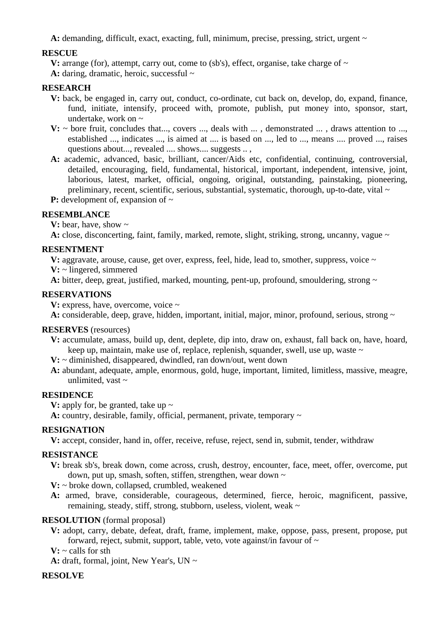A: demanding, difficult, exact, exacting, full, minimum, precise, pressing, strict, urgent  $\sim$ 

## **RESCUE**

**V:** arrange (for), attempt, carry out, come to (sb's), effect, organise, take charge of  $\sim$ A: daring, dramatic, heroic, successful ~

### **RESEARCH**

- **V:** back, be engaged in, carry out, conduct, co-ordinate, cut back on, develop, do, expand, finance, fund, initiate, intensify, proceed with, promote, publish, put money into, sponsor, start, undertake, work on ~
- **V:** ~ bore fruit, concludes that..., covers ..., deals with ..., demonstrated ..., draws attention to ..., established ..., indicates ..., is aimed at .... is based on ..., led to ..., means .... proved ..., raises questions about..., revealed .... shows.... suggests .. ,
- **A:** academic, advanced, basic, brilliant, cancer/Aids etc, confidential, continuing, controversial, detailed, encouraging, field, fundamental, historical, important, independent, intensive, joint, laborious, latest, market, official, ongoing, original, outstanding, painstaking, pioneering, preliminary, recent, scientific, serious, substantial, systematic, thorough, up-to-date, vital ~

**P:** development of, expansion of  $\sim$ 

## **RESEMBLANCE**

**V:** bear, have, show  $\sim$ 

A: close, disconcerting, faint, family, marked, remote, slight, striking, strong, uncanny, vague ~

### **RESENTMENT**

**V:** aggravate, arouse, cause, get over, express, feel, hide, lead to, smother, suppress, voice  $\sim$  **V:** ~ lingered, simmered

A: bitter, deep, great, justified, marked, mounting, pent-up, profound, smouldering, strong ~

#### **RESERVATIONS**

**V:** express, have, overcome, voice ~

 **A:** considerable, deep, grave, hidden, important, initial, major, minor, profound, serious, strong ~

#### **RESERVES** (resources)

- **V:** accumulate, amass, build up, dent, deplete, dip into, draw on, exhaust, fall back on, have, hoard, keep up, maintain, make use of, replace, replenish, squander, swell, use up, waste  $\sim$
- **V:** ~ diminished, disappeared, dwindled, ran down/out, went down
- **A:** abundant, adequate, ample, enormous, gold, huge, important, limited, limitless, massive, meagre, unlimited, vast  $\sim$

#### **RESIDENCE**

**V:** apply for, be granted, take up  $\sim$ 

 **A:** country, desirable, family, official, permanent, private, temporary ~

## **RESIGNATION**

 **V:** accept, consider, hand in, offer, receive, refuse, reject, send in, submit, tender, withdraw

## **RESISTANCE**

- **V:** break sb's, break down, come across, crush, destroy, encounter, face, meet, offer, overcome, put down, put up, smash, soften, stiffen, strengthen, wear down ~
- **V:** ~ broke down, collapsed, crumbled, weakened
- **A:** armed, brave, considerable, courageous, determined, fierce, heroic, magnificent, passive, remaining, steady, stiff, strong, stubborn, useless, violent, weak ~

## **RESOLUTION** (formal proposal)

- **V:** adopt, carry, debate, defeat, draft, frame, implement, make, oppose, pass, present, propose, put forward, reject, submit, support, table, veto, vote against/in favour of  $\sim$
- $V: \sim$  calls for sth
- **A:** draft, formal, joint, New Year's, UN ~

## **RESOLVE**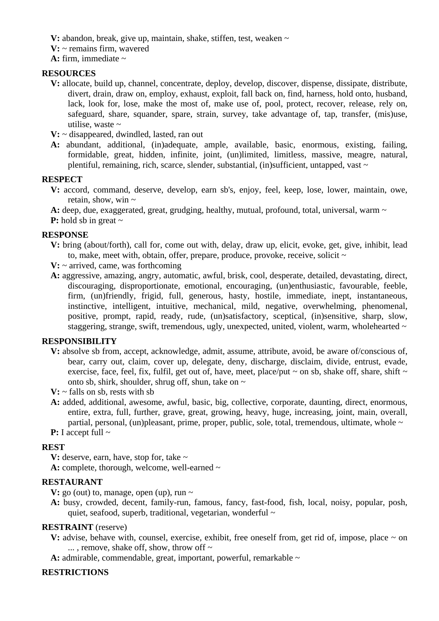**V:** abandon, break, give up, maintain, shake, stiffen, test, weaken  $\sim$ 

**V:** ~ remains firm, wavered

**A:** firm, immediate  $\sim$ 

## **RESOURCES**

- **V:** allocate, build up, channel, concentrate, deploy, develop, discover, dispense, dissipate, distribute, divert, drain, draw on, employ, exhaust, exploit, fall back on, find, harness, hold onto, husband, lack, look for, lose, make the most of, make use of, pool, protect, recover, release, rely on, safeguard, share, squander, spare, strain, survey, take advantage of, tap, transfer, (mis)use, utilise, waste  $\sim$
- **V:** ~ disappeared, dwindled, lasted, ran out
- **A:** abundant, additional, (in)adequate, ample, available, basic, enormous, existing, failing, formidable, great, hidden, infinite, joint, (un)limited, limitless, massive, meagre, natural, plentiful, remaining, rich, scarce, slender, substantial, (in)sufficient, untapped, vast ~

## **RESPECT**

 **V:** accord, command, deserve, develop, earn sb's, enjoy, feel, keep, lose, lower, maintain, owe, retain, show, win  $\sim$ 

A: deep, due, exaggerated, great, grudging, healthy, mutual, profound, total, universal, warm  $\sim$ **P:** hold sb in great  $\sim$ 

## **RESPONSE**

- **V:** bring (about/forth), call for, come out with, delay, draw up, elicit, evoke, get, give, inhibit, lead to, make, meet with, obtain, offer, prepare, produce, provoke, receive, solicit  $\sim$
- **V:** ~ arrived, came, was forthcoming
- **A:** aggressive, amazing, angry, automatic, awful, brisk, cool, desperate, detailed, devastating, direct, discouraging, disproportionate, emotional, encouraging, (un)enthusiastic, favourable, feeble, firm, (un)friendly, frigid, full, generous, hasty, hostile, immediate, inept, instantaneous, instinctive, intelligent, intuitive, mechanical, mild, negative, overwhelming, phenomenal, positive, prompt, rapid, ready, rude, (un)satisfactory, sceptical, (in)sensitive, sharp, slow, staggering, strange, swift, tremendous, ugly, unexpected, united, violent, warm, wholehearted ~

## **RESPONSIBILITY**

- **V:** absolve sb from, accept, acknowledge, admit, assume, attribute, avoid, be aware of/conscious of, bear, carry out, claim, cover up, delegate, deny, discharge, disclaim, divide, entrust, evade, exercise, face, feel, fix, fulfil, get out of, have, meet, place/put  $\sim$  on sb, shake off, share, shift  $\sim$ onto sb, shirk, shoulder, shrug off, shun, take on ~
- $V: \sim$  falls on sb, rests with sb
- **A:** added, additional, awesome, awful, basic, big, collective, corporate, daunting, direct, enormous, entire, extra, full, further, grave, great, growing, heavy, huge, increasing, joint, main, overall, partial, personal, (un)pleasant, prime, proper, public, sole, total, tremendous, ultimate, whole  $\sim$
- **P:** I accept full  $\sim$

## **REST**

**V:** deserve, earn, have, stop for, take  $\sim$ 

A: complete, thorough, welcome, well-earned  $\sim$ 

## **RESTAURANT**

**V:** go (out) to, manage, open (up), run  $\sim$ 

 **A:** busy, crowded, decent, family-run, famous, fancy, fast-food, fish, local, noisy, popular, posh, quiet, seafood, superb, traditional, vegetarian, wonderful  $\sim$ 

## **RESTRAINT** (reserve)

**V:** advise, behave with, counsel, exercise, exhibit, free oneself from, get rid of, impose, place  $\sim$  on  $\ldots$ , remove, shake off, show, throw off  $\sim$ 

A: admirable, commendable, great, important, powerful, remarkable ~

## **RESTRICTIONS**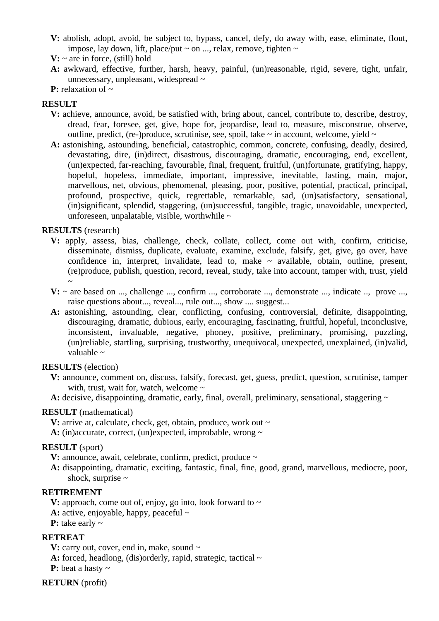- **V:** abolish, adopt, avoid, be subject to, bypass, cancel, defy, do away with, ease, eliminate, flout, impose, lay down, lift, place/put  $\sim$  on ..., relax, remove, tighten  $\sim$
- $V: \sim$  are in force, (still) hold
- **A:** awkward, effective, further, harsh, heavy, painful, (un)reasonable, rigid, severe, tight, unfair, unnecessary, unpleasant, widespread  $\sim$
- **P:** relaxation of ~

## **RESULT**

- **V:** achieve, announce, avoid, be satisfied with, bring about, cancel, contribute to, describe, destroy, dread, fear, foresee, get, give, hope for, jeopardise, lead to, measure, misconstrue, observe, outline, predict, (re-)produce, scrutinise, see, spoil, take  $\sim$  in account, welcome, yield  $\sim$
- **A:** astonishing, astounding, beneficial, catastrophic, common, concrete, confusing, deadly, desired, devastating, dire, (in)direct, disastrous, discouraging, dramatic, encouraging, end, excellent, (un)expected, far-reaching, favourable, final, frequent, fruitful, (un)fortunate, gratifying, happy, hopeful, hopeless, immediate, important, impressive, inevitable, lasting, main, major, marvellous, net, obvious, phenomenal, pleasing, poor, positive, potential, practical, principal, profound, prospective, quick, regrettable, remarkable, sad, (un)satisfactory, sensational, (in)significant, splendid, staggering, (un)successful, tangible, tragic, unavoidable, unexpected, unforeseen, unpalatable, visible, worthwhile  $\sim$

## **RESULTS** (research)

- **V:** apply, assess, bias, challenge, check, collate, collect, come out with, confirm, criticise, disseminate, dismiss, duplicate, evaluate, examine, exclude, falsify, get, give, go over, have confidence in, interpret, invalidate, lead to, make ~ available, obtain, outline, present, (re)produce, publish, question, record, reveal, study, take into account, tamper with, trust, yield  $\sim$
- **V:**  $\sim$  are based on ..., challenge ..., confirm ..., corroborate ..., demonstrate ..., indicate .., prove ..., raise questions about..., reveal..., rule out..., show .... suggest...
- **A:** astonishing, astounding, clear, conflicting, confusing, controversial, definite, disappointing, discouraging, dramatic, dubious, early, encouraging, fascinating, fruitful, hopeful, inconclusive, inconsistent, invaluable, negative, phoney, positive, preliminary, promising, puzzling, (un)reliable, startling, surprising, trustworthy, unequivocal, unexpected, unexplained, (in)valid, valuable ~

## **RESULTS** (election)

 **V:** announce, comment on, discuss, falsify, forecast, get, guess, predict, question, scrutinise, tamper with, trust, wait for, watch, welcome  $\sim$ 

A: decisive, disappointing, dramatic, early, final, overall, preliminary, sensational, staggering  $\sim$ 

### **RESULT** (mathematical)

- **V:** arrive at, calculate, check, get, obtain, produce, work out  $\sim$
- A: (in)accurate, correct, (un)expected, improbable, wrong  $\sim$

### **RESULT** (sport)

- **V:** announce, await, celebrate, confirm, predict, produce  $\sim$
- **A:** disappointing, dramatic, exciting, fantastic, final, fine, good, grand, marvellous, mediocre, poor, shock, surprise  $\sim$

### **RETIREMENT**

- **V:** approach, come out of, enjoy, go into, look forward to  $\sim$
- **A:** active, enjoyable, happy, peaceful ~
- **P:** take early  $\sim$

## **RETREAT**

- **V:** carry out, cover, end in, make, sound  $\sim$
- A: forced, headlong, (dis)orderly, rapid, strategic, tactical ~
- **P:** beat a hasty  $\sim$

### **RETURN** (profit)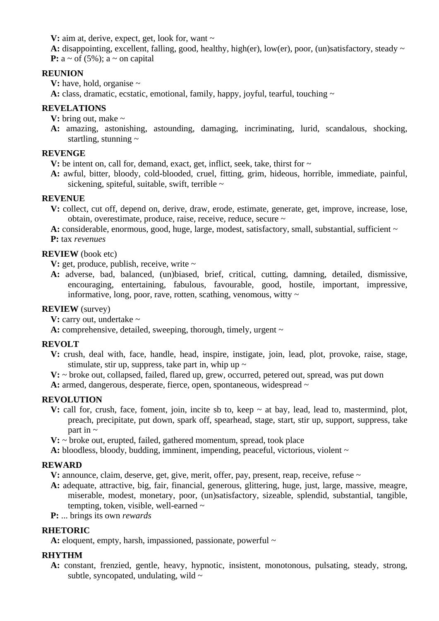**V:** aim at, derive, expect, get, look for, want  $\sim$ 

**A:** disappointing, excellent, falling, good, healthy, high(er), low(er), poor, (un)satisfactory, steady ~ **P:**  $a \sim of (5\%)$ ;  $a \sim on capital$ 

## **REUNION**

**V:** have, hold, organise  $\sim$ 

 **A:** class, dramatic, ecstatic, emotional, family, happy, joyful, tearful, touching ~

## **REVELATIONS**

**V:** bring out, make  $\sim$ 

 **A:** amazing, astonishing, astounding, damaging, incriminating, lurid, scandalous, shocking, startling, stunning  $\sim$ 

## **REVENGE**

**V:** be intent on, call for, demand, exact, get, inflict, seek, take, thirst for  $\sim$ 

 **A:** awful, bitter, bloody, cold-blooded, cruel, fitting, grim, hideous, horrible, immediate, painful, sickening, spiteful, suitable, swift, terrible  $\sim$ 

## **REVENUE**

 **V:** collect, cut off, depend on, derive, draw, erode, estimate, generate, get, improve, increase, lose, obtain, overestimate, produce, raise, receive, reduce, secure ~

A: considerable, enormous, good, huge, large, modest, satisfactory, small, substantial, sufficient ~  **P:** tax *revenues* 

## **REVIEW** (book etc)

**V:** get, produce, publish, receive, write  $\sim$ 

 **A:** adverse, bad, balanced, (un)biased, brief, critical, cutting, damning, detailed, dismissive, encouraging, entertaining, fabulous, favourable, good, hostile, important, impressive, informative, long, poor, rave, rotten, scathing, venomous, witty  $\sim$ 

## **REVIEW** (survey)

**V:** carry out, undertake ~

A: comprehensive, detailed, sweeping, thorough, timely, urgent ~

## **REVOLT**

- **V:** crush, deal with, face, handle, head, inspire, instigate, join, lead, plot, provoke, raise, stage, stimulate, stir up, suppress, take part in, whip up  $\sim$
- **V:** ~ broke out, collapsed, failed, flared up, grew, occurred, petered out, spread, was put down

 **A:** armed, dangerous, desperate, fierce, open, spontaneous, widespread ~

## **REVOLUTION**

**V:** call for, crush, face, foment, join, incite sb to, keep  $\sim$  at bay, lead, lead to, mastermind, plot, preach, precipitate, put down, spark off, spearhead, stage, start, stir up, support, suppress, take part in  $\sim$ 

 **V:** ~ broke out, erupted, failed, gathered momentum, spread, took place

 **A:** bloodless, bloody, budding, imminent, impending, peaceful, victorious, violent ~

## **REWARD**

**V:** announce, claim, deserve, get, give, merit, offer, pay, present, reap, receive, refuse ~

- **A:** adequate, attractive, big, fair, financial, generous, glittering, huge, just, large, massive, meagre, miserable, modest, monetary, poor, (un)satisfactory, sizeable, splendid, substantial, tangible, tempting, token, visible, well-earned ~
- **P:** ... brings its own *rewards*

## **RHETORIC**

A: eloquent, empty, harsh, impassioned, passionate, powerful ~

## **RHYTHM**

 **A:** constant, frenzied, gentle, heavy, hypnotic, insistent, monotonous, pulsating, steady, strong, subtle, syncopated, undulating, wild  $\sim$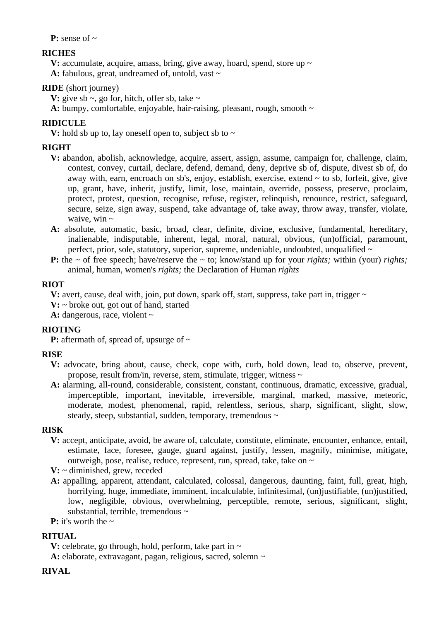**P:** sense of  $\sim$ 

# **RICHES**

**V:** accumulate, acquire, amass, bring, give away, hoard, spend, store up  $\sim$ A: fabulous, great, undreamed of, untold, vast  $\sim$ 

# **RIDE** (short journey)

**V:** give sb  $\sim$ , go for, hitch, offer sb, take  $\sim$ 

 **A:** bumpy, comfortable, enjoyable, hair-raising, pleasant, rough, smooth ~

# **RIDICULE**

**V:** hold sb up to, lay oneself open to, subject sb to  $\sim$ 

# **RIGHT**

- **V:** abandon, abolish, acknowledge, acquire, assert, assign, assume, campaign for, challenge, claim, contest, convey, curtail, declare, defend, demand, deny, deprive sb of, dispute, divest sb of, do away with, earn, encroach on sb's, enjoy, establish, exercise, extend ~ to sb, forfeit, give, give up, grant, have, inherit, justify, limit, lose, maintain, override, possess, preserve, proclaim, protect, protest, question, recognise, refuse, register, relinquish, renounce, restrict, safeguard, secure, seize, sign away, suspend, take advantage of, take away, throw away, transfer, violate, waive, win ~
- **A:** absolute, automatic, basic, broad, clear, definite, divine, exclusive, fundamental, hereditary, inalienable, indisputable, inherent, legal, moral, natural, obvious, (un)official, paramount, perfect, prior, sole, statutory, superior, supreme, undeniable, undoubted, unqualified  $\sim$
- **P:** the  $\sim$  of free speech; have/reserve the  $\sim$  to; know/stand up for your *rights*; within (your) *rights*; animal, human, women's *rights;* the Declaration of Human *rights*

# **RIOT**

**V:** avert, cause, deal with, join, put down, spark off, start, suppress, take part in, trigger  $\sim$ 

 **V:** ~ broke out, got out of hand, started

A: dangerous, race, violent ~

# **RIOTING**

**P:** aftermath of, spread of, upsurge of  $\sim$ 

# **RISE**

- **V:** advocate, bring about, cause, check, cope with, curb, hold down, lead to, observe, prevent, propose, result from/in, reverse, stem, stimulate, trigger, witness  $\sim$
- **A:** alarming, all-round, considerable, consistent, constant, continuous, dramatic, excessive, gradual, imperceptible, important, inevitable, irreversible, marginal, marked, massive, meteoric, moderate, modest, phenomenal, rapid, relentless, serious, sharp, significant, slight, slow, steady, steep, substantial, sudden, temporary, tremendous  $\sim$

## **RISK**

- **V:** accept, anticipate, avoid, be aware of, calculate, constitute, eliminate, encounter, enhance, entail, estimate, face, foresee, gauge, guard against, justify, lessen, magnify, minimise, mitigate, outweigh, pose, realise, reduce, represent, run, spread, take, take on ~
- **V:** ~ diminished, grew, receded
- **A:** appalling, apparent, attendant, calculated, colossal, dangerous, daunting, faint, full, great, high, horrifying, huge, immediate, imminent, incalculable, infinitesimal, (un)justifiable, (un)justified, low, negligible, obvious, overwhelming, perceptible, remote, serious, significant, slight, substantial, terrible, tremendous ~

**P:** it's worth the  $\sim$ 

# **RITUAL**

**V:** celebrate, go through, hold, perform, take part in  $\sim$ 

A: elaborate, extravagant, pagan, religious, sacred, solemn ~

# **RIVAL**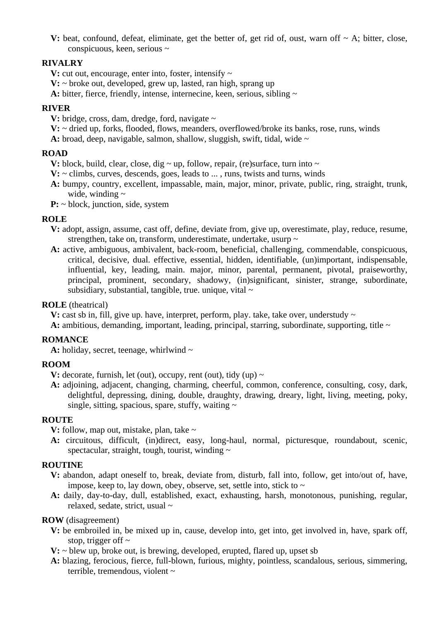**V:** beat, confound, defeat, eliminate, get the better of, get rid of, oust, warn off  $\sim A$ ; bitter, close, conspicuous, keen, serious ~

## **RIVALRY**

**V:** cut out, encourage, enter into, foster, intensify  $\sim$ 

 **V:** ~ broke out, developed, grew up, lasted, ran high, sprang up

A: bitter, fierce, friendly, intense, internecine, keen, serious, sibling ~

## **RIVER**

**V:** bridge, cross, dam, dredge, ford, navigate  $\sim$ 

 **V:** ~ dried up, forks, flooded, flows, meanders, overflowed/broke its banks, rose, runs, winds

**A:** broad, deep, navigable, salmon, shallow, sluggish, swift, tidal, wide ~

## **ROAD**

**V:** block, build, clear, close, dig  $\sim$  up, follow, repair, (re)surface, turn into  $\sim$ 

- **V:**  $\sim$  climbs, curves, descends, goes, leads to ..., runs, twists and turns, winds
- **A:** bumpy, country, excellent, impassable, main, major, minor, private, public, ring, straight, trunk, wide, winding  $\sim$

 **P:** ~ block, junction, side, system

## **ROLE**

- **V:** adopt, assign, assume, cast off, define, deviate from, give up, overestimate, play, reduce, resume, strengthen, take on, transform, underestimate, undertake, usurp ~
- **A:** active, ambiguous, ambivalent, back-room, beneficial, challenging, commendable, conspicuous, critical, decisive, dual. effective, essential, hidden, identifiable, (un)important, indispensable, influential, key, leading, main. major, minor, parental, permanent, pivotal, praiseworthy, principal, prominent, secondary, shadowy, (in)significant, sinister, strange, subordinate, subsidiary, substantial, tangible, true. unique, vital ~

### **ROLE** (theatrical)

**V:** cast sb in, fill, give up. have, interpret, perform, play. take, take over, understudy  $\sim$ 

A: ambitious, demanding, important, leading, principal, starring, subordinate, supporting, title ~

### **ROMANCE**

A: holiday, secret, teenage, whirlwind  $\sim$ 

### **ROOM**

**V:** decorate, furnish, let (out), occupy, rent (out), tidy (up)  $\sim$ 

 **A:** adjoining, adjacent, changing, charming, cheerful, common, conference, consulting, cosy, dark, delightful, depressing, dining, double, draughty, drawing, dreary, light, living, meeting, poky, single, sitting, spacious, spare, stuffy, waiting  $\sim$ 

### **ROUTE**

**V:** follow, map out, mistake, plan, take  $\sim$ 

 **A:** circuitous, difficult, (in)direct, easy, long-haul, normal, picturesque, roundabout, scenic, spectacular, straight, tough, tourist, winding  $\sim$ 

## **ROUTINE**

- **V:** abandon, adapt oneself to, break, deviate from, disturb, fall into, follow, get into/out of, have, impose, keep to, lay down, obey, observe, set, settle into, stick to  $\sim$
- **A:** daily, day-to-day, dull, established, exact, exhausting, harsh, monotonous, punishing, regular, relaxed, sedate, strict, usual ~

### **ROW** (disagreement)

- **V:** be embroiled in, be mixed up in, cause, develop into, get into, get involved in, have, spark off, stop, trigger of  $\sim$
- **V:** ~ blew up, broke out, is brewing, developed, erupted, flared up, upset sb
- **A:** blazing, ferocious, fierce, full-blown, furious, mighty, pointless, scandalous, serious, simmering, terrible, tremendous, violent ~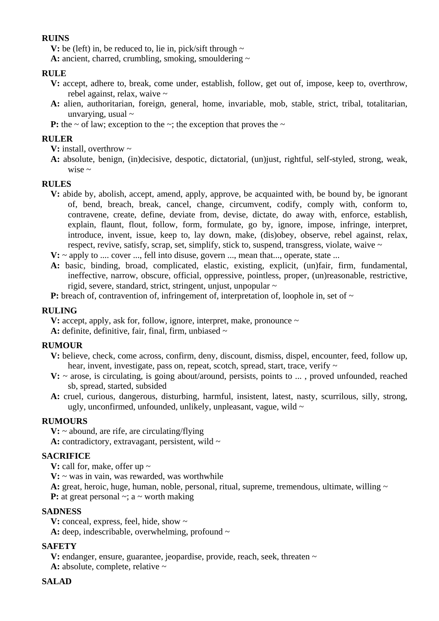## **RUINS**

**V:** be (left) in, be reduced to, lie in, pick/sift through  $\sim$ 

A: ancient, charred, crumbling, smoking, smouldering  $\sim$ 

## **RULE**

- **V:** accept, adhere to, break, come under, establish, follow, get out of, impose, keep to, overthrow, rebel against, relax, waive ~
- **A:** alien, authoritarian, foreign, general, home, invariable, mob, stable, strict, tribal, totalitarian, unvarying, usual  $\sim$
- **P:** the  $\sim$  of law; exception to the  $\sim$ ; the exception that proves the  $\sim$

## **RULER**

**V:** install, overthrow  $\sim$ 

 **A:** absolute, benign, (in)decisive, despotic, dictatorial, (un)just, rightful, self-styled, strong, weak, wise  $\sim$ 

## **RULES**

- **V:** abide by, abolish, accept, amend, apply, approve, be acquainted with, be bound by, be ignorant of, bend, breach, break, cancel, change, circumvent, codify, comply with, conform to, contravene, create, define, deviate from, devise, dictate, do away with, enforce, establish, explain, flaunt, flout, follow, form, formulate, go by, ignore, impose, infringe, interpret, introduce, invent, issue, keep to, lay down, make, (dis)obey, observe, rebel against, relax, respect, revive, satisfy, scrap, set, simplify, stick to, suspend, transgress, violate, waive ~
- **V:**  $\sim$  apply to .... cover ..., fell into disuse, govern ..., mean that..., operate, state ...
- **A:** basic, binding, broad, complicated, elastic, existing, explicit, (un)fair, firm, fundamental, ineffective, narrow, obscure, official, oppressive, pointless, proper, (un)reasonable, restrictive, rigid, severe, standard, strict, stringent, unjust, unpopular  $\sim$

**P:** breach of, contravention of, infringement of, interpretation of, loophole in, set of ~

### **RULING**

**V:** accept, apply, ask for, follow, ignore, interpret, make, pronounce  $\sim$ 

A: definite, definitive, fair, final, firm, unbiased  $\sim$ 

# **RUMOUR**

- **V:** believe, check, come across, confirm, deny, discount, dismiss, dispel, encounter, feed, follow up, hear, invent, investigate, pass on, repeat, scotch, spread, start, trace, verify  $\sim$
- **V:** ~ arose, is circulating, is going about/around, persists, points to ... , proved unfounded, reached sb, spread, started, subsided
- **A:** cruel, curious, dangerous, disturbing, harmful, insistent, latest, nasty, scurrilous, silly, strong, ugly, unconfirmed, unfounded, unlikely, unpleasant, vague, wild ~

# **RUMOURS**

 $V: \sim$  abound, are rife, are circulating/flying

A: contradictory, extravagant, persistent, wild  $\sim$ 

# **SACRIFICE**

**V:** call for, make, offer up  $\sim$ 

**V:**  $\sim$  was in vain, was rewarded, was worthwhile

A: great, heroic, huge, human, noble, personal, ritual, supreme, tremendous, ultimate, willing ~

**P:** at great personal  $\sim$ ; a  $\sim$  worth making

### **SADNESS**

**V:** conceal, express, feel, hide, show  $\sim$ A: deep, indescribable, overwhelming, profound  $\sim$ 

# **SAFETY**

**V:** endanger, ensure, guarantee, jeopardise, provide, reach, seek, threaten  $\sim$ A: absolute, complete, relative  $\sim$ 

# **SALAD**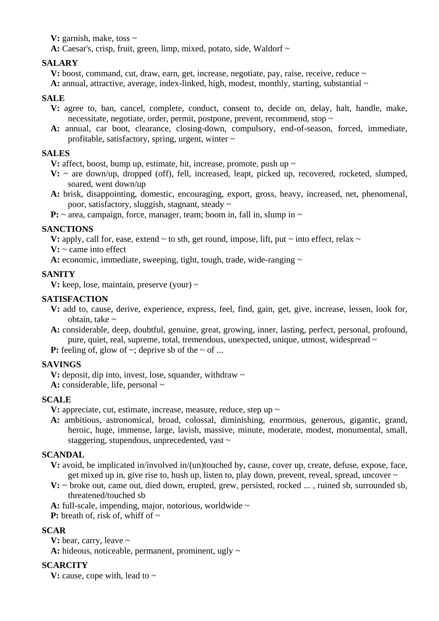**V:** garnish, make, toss  $\sim$ 

A: Caesar's, crisp, fruit, green, limp, mixed, potato, side, Waldorf ~

# **SALARY**

**V:** boost, command, cut, draw, earn, get, increase, negotiate, pay, raise, receive, reduce  $\sim$ 

A: annual, attractive, average, index-linked, high, modest, monthly, starting, substantial  $\sim$ 

## **SALE**

- **V:** agree to, ban, cancel, complete, conduct, consent to, decide on, delay, halt, handle, make, necessitate, negotiate, order, permit, postpone, prevent, recommend, stop ~
- **A:** annual, car boot, clearance, closing-down, compulsory, end-of-season, forced, immediate, profitable, satisfactory, spring, urgent, winter  $\sim$

## **SALES**

**V:** affect, boost, bump up, estimate, hit, increase, promote, push up  $\sim$ 

- **V:** ~ are down/up, dropped (off), fell, increased, leapt, picked up, recovered, rocketed, slumped, soared, went down/up
- **A:** brisk, disappointing, domestic, encouraging, export, gross, heavy, increased, net, phenomenal, poor, satisfactory, sluggish, stagnant, steady  $\sim$
- **P:**  $\sim$  area, campaign, force, manager, team; boom in, fall in, slump in  $\sim$

## **SANCTIONS**

**V:** apply, call for, ease, extend  $\sim$  to sth, get round, impose, lift, put  $\sim$  into effect, relax  $\sim$ 

 $V: \sim$  came into effect

A: economic, immediate, sweeping, tight, tough, trade, wide-ranging  $\sim$ 

## **SANITY**

**V:** keep, lose, maintain, preserve (your) ~

## **SATISFACTION**

- **V:** add to, cause, derive, experience, express, feel, find, gain, get, give, increase, lessen, look for, obtain, take ~
- **A:** considerable, deep, doubtful, genuine, great, growing, inner, lasting, perfect, personal, profound, pure, quiet, real, supreme, total, tremendous, unexpected, unique, utmost, widespread ~

**P:** feeling of, glow of  $\sim$ ; deprive sb of the  $\sim$  of ...

# **SAVINGS**

**V:** deposit, dip into, invest, lose, squander, withdraw  $\sim$ 

A: considerable, life, personal  $\sim$ 

# **SCALE**

**V:** appreciate, cut, estimate, increase, measure, reduce, step up  $\sim$ 

 **A:** ambitious, astronomical, broad, colossal, diminishing, enormous, generous, gigantic, grand, heroic, huge, immense, large, lavish, massive, minute, moderate, modest, monumental, small, staggering, stupendous, unprecedented, vast ~

# **SCANDAL**

- **V:** avoid, be implicated in/involved in/(un)touched by, cause, cover up, create, defuse, expose, face, get mixed up in, give rise to, hush up, listen to, play down, prevent, reveal, spread, uncover  $\sim$
- **V:** ~ broke out, came out, died down, erupted, grew, persisted, rocked ... , ruined sb, surrounded sb, threatened/touched sb

A: full-scale, impending, major, notorious, worldwide ~

**P:** breath of, risk of, whiff of  $\sim$ 

# **SCAR**

**V:** bear, carry, leave  $\sim$ 

A: hideous, noticeable, permanent, prominent, ugly  $\sim$ 

# **SCARCITY**

**V:** cause, cope with, lead to  $\sim$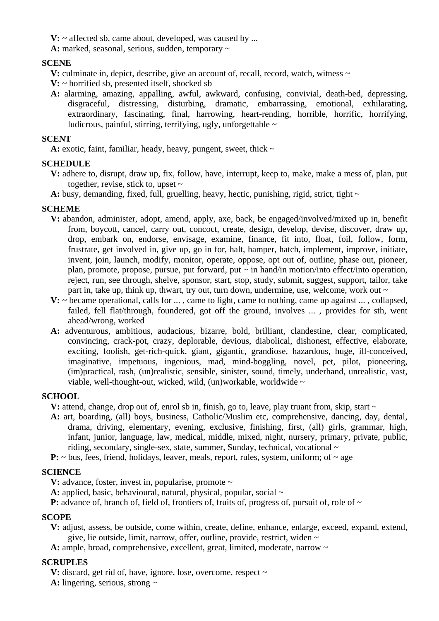**V:** ~ affected sb, came about, developed, was caused by ...

A: marked, seasonal, serious, sudden, temporary  $\sim$ 

## **SCENE**

**V:** culminate in, depict, describe, give an account of, recall, record, watch, witness  $\sim$ 

- **V:** ~ horrified sb, presented itself, shocked sb
- **A:** alarming, amazing, appalling, awful, awkward, confusing, convivial, death-bed, depressing, disgraceful, distressing, disturbing, dramatic, embarrassing, emotional, exhilarating, extraordinary, fascinating, final, harrowing, heart-rending, horrible, horrific, horrifying, ludicrous, painful, stirring, terrifying, ugly, unforgettable ~

### **SCENT**

A: exotic, faint, familiar, heady, heavy, pungent, sweet, thick ~

## **SCHEDULE**

 **V:** adhere to, disrupt, draw up, fix, follow, have, interrupt, keep to, make, make a mess of, plan, put together, revise, stick to, upset  $\sim$ 

A: busy, demanding, fixed, full, gruelling, heavy, hectic, punishing, rigid, strict, tight ~

## **SCHEME**

- **V:** abandon, administer, adopt, amend, apply, axe, back, be engaged/involved/mixed up in, benefit from, boycott, cancel, carry out, concoct, create, design, develop, devise, discover, draw up, drop, embark on, endorse, envisage, examine, finance, fit into, float, foil, follow, form, frustrate, get involved in, give up, go in for, halt, hamper, hatch, implement, improve, initiate, invent, join, launch, modify, monitor, operate, oppose, opt out of, outline, phase out, pioneer, plan, promote, propose, pursue, put forward, put  $\sim$  in hand/in motion/into effect/into operation, reject, run, see through, shelve, sponsor, start, stop, study, submit, suggest, support, tailor, take part in, take up, think up, thwart, try out, turn down, undermine, use, welcome, work out ~
- **V:**  $\sim$  became operational, calls for ..., came to light, came to nothing, came up against ..., collapsed, failed, fell flat/through, foundered, got off the ground, involves ... , provides for sth, went ahead/wrong, worked
- **A:** adventurous, ambitious, audacious, bizarre, bold, brilliant, clandestine, clear, complicated, convincing, crack-pot, crazy, deplorable, devious, diabolical, dishonest, effective, elaborate, exciting, foolish, get-rich-quick, giant, gigantic, grandiose, hazardous, huge, ill-conceived, imaginative, impetuous, ingenious, mad, mind-boggling, novel, pet, pilot, pioneering, (im)practical, rash, (un)realistic, sensible, sinister, sound, timely, underhand, unrealistic, vast, viable, well-thought-out, wicked, wild, (un)workable, worldwide ~

# **SCHOOL**

**V:** attend, change, drop out of, enrol sb in, finish, go to, leave, play truant from, skip, start  $\sim$ 

 **A:** art, boarding, (all) boys, business, Catholic/Muslim etc, comprehensive, dancing, day, dental, drama, driving, elementary, evening, exclusive, finishing, first, (all) girls, grammar, high, infant, junior, language, law, medical, middle, mixed, night, nursery, primary, private, public, riding, secondary, single-sex, state, summer, Sunday, technical, vocational  $\sim$ 

**P:**  $\sim$  bus, fees, friend, holidays, leaver, meals, report, rules, system, uniform; of  $\sim$  age

### **SCIENCE**

**V:** advance, foster, invest in, popularise, promote ~

A: applied, basic, behavioural, natural, physical, popular, social  $\sim$ 

**P:** advance of, branch of, field of, frontiers of, fruits of, progress of, pursuit of, role of  $\sim$ 

### **SCOPE**

 **V:** adjust, assess, be outside, come within, create, define, enhance, enlarge, exceed, expand, extend, give, lie outside, limit, narrow, offer, outline, provide, restrict, widen ~

A: ample, broad, comprehensive, excellent, great, limited, moderate, narrow  $\sim$ 

# **SCRUPLES**

**V:** discard, get rid of, have, ignore, lose, overcome, respect  $\sim$ 

A: lingering, serious, strong ~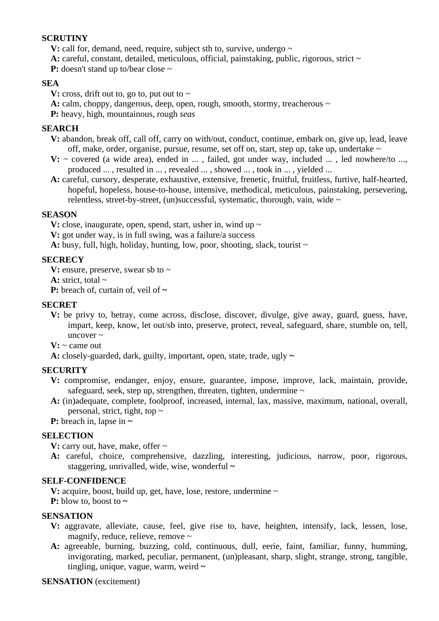## **SCRUTINY**

**V:** call for, demand, need, require, subject sth to, survive, undergo  $\sim$ 

A: careful, constant, detailed, meticulous, official, painstaking, public, rigorous, strict ~

**P:** doesn't stand up to/bear close  $\sim$ 

## **SEA**

**V:** cross, drift out to, go to, put out to  $\sim$ 

A: calm, choppy, dangerous, deep, open, rough, smooth, stormy, treacherous ~

 **P:** heavy, high, mountainous, rough *seas* 

# **SEARCH**

- **V:** abandon, break off, call off, carry on with/out, conduct, continue, embark on, give up, lead, leave off, make, order, organise, pursue, resume, set off on, start, step up, take up, undertake ~
- **V:** ~ covered (a wide area), ended in ..., failed, got under way, included ..., led nowhere/to ..., produced ... , resulted in ... , revealed ... , showed ... , took in ... , yielded ...
- **A:** careful, cursory, desperate, exhaustive, extensive, frenetic, fruitful, fruitless, furtive, half-hearted, hopeful, hopeless, house-to-house, intensive, methodical, meticulous, painstaking, persevering, relentless, street-by-street, (un)successful, systematic, thorough, vain, wide  $\sim$

## **SEASON**

**V:** close, inaugurate, open, spend, start, usher in, wind up  $\sim$ 

**V:** got under way, is in full swing, was a failure/a success

 **A:** busy, full, high, holiday, hunting, low, poor, shooting, slack, tourist ~

# **SECRECY**

**V:** ensure, preserve, swear sb to  $\sim$ 

 **A:** strict, total ~

 **P:** breach of, curtain of, veil of **~** 

## **SECRET**

- **V:** be privy to, betray, come across, disclose, discover, divulge, give away, guard, guess, have, impart, keep, know, let out/sb into, preserve, protect, reveal, safeguard, share, stumble on, tell, uncover  $\sim$
- $V: \sim$  came out
- **A:** closely-guarded, dark, guilty, important, open, state, trade, ugly **~**

# **SECURITY**

- **V:** compromise, endanger, enjoy, ensure, guarantee, impose, improve, lack, maintain, provide, safeguard, seek, step up, strengthen, threaten, tighten, undermine  $\sim$
- **A:** (in)adequate, complete, foolproof, increased, internal, lax, massive, maximum, national, overall, personal, strict, tight, top  $\sim$
- **P:** breach in, lapse in  $\sim$

### **SELECTION**

**V:** carry out, have, make, offer  $\sim$ 

 **A:** careful, choice, comprehensive, dazzling, interesting, judicious, narrow, poor, rigorous, staggering, unrivalled, wide, wise, wonderful **~** 

## **SELF-CONFIDENCE**

**V:** acquire, boost, build up, get, have, lose, restore, undermine  $\sim$ 

**P:** blow to, boost to  $\sim$ 

### **SENSATION**

- **V:** aggravate, alleviate, cause, feel, give rise to, have, heighten, intensify, lack, lessen, lose, magnify, reduce, relieve, remove ~
- **A:** agreeable, burning, buzzing, cold, continuous, dull, eerie, faint, familiar, funny, humming, invigorating, marked, peculiar, permanent, (un)pleasant, sharp, slight, strange, strong, tangible, tingling, unique, vague, warm, weird **~**

### **SENSATION** (excitement)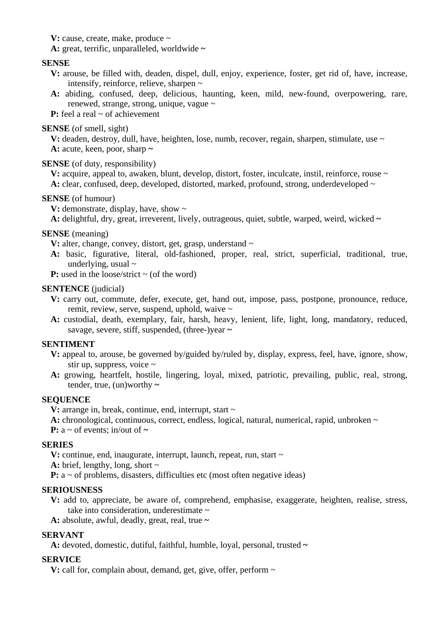V: cause, create, make, produce ~

 **A:** great, terrific, unparalleled, worldwide **~** 

### **SENSE**

- **V:** arouse, be filled with, deaden, dispel, dull, enjoy, experience, foster, get rid of, have, increase, intensify, reinforce, relieve, sharpen ~
- **A:** abiding, confused, deep, delicious, haunting, keen, mild, new-found, overpowering, rare, renewed, strange, strong, unique, vague ~

**P:** feel a real  $\sim$  of achievement

#### **SENSE** (of smell, sight)

**V:** deaden, destroy, dull, have, heighten, lose, numb, recover, regain, sharpen, stimulate, use ~  **A:** acute, keen, poor, sharp **~** 

### **SENSE** (of duty, responsibility)

**V:** acquire, appeal to, awaken, blunt, develop, distort, foster, inculcate, instil, reinforce, rouse  $\sim$ A: clear, confused, deep, developed, distorted, marked, profound, strong, underdeveloped  $\sim$ 

#### **SENSE** (of humour)

**V:** demonstrate, display, have, show  $\sim$ 

 **A:** delightful, dry, great, irreverent, lively, outrageous, quiet, subtle, warped, weird, wicked **~** 

#### **SENSE** (meaning)

**V:** alter, change, convey, distort, get, grasp, understand  $\sim$ 

- **A:** basic, figurative, literal, old-fashioned, proper, real, strict, superficial, traditional, true, underlying, usual  $\sim$
- **P:** used in the loose/strict  $\sim$  (of the word)

#### **SENTENCE** (judicial)

- **V:** carry out, commute, defer, execute, get, hand out, impose, pass, postpone, pronounce, reduce, remit, review, serve, suspend, uphold, waive ~
- **A:** custodial, death, exemplary, fair, harsh, heavy, lenient, life, light, long, mandatory, reduced, savage, severe, stiff, suspended, (three-)year **~**

#### **SENTIMENT**

- **V:** appeal to, arouse, be governed by/guided by/ruled by, display, express, feel, have, ignore, show, stir up, suppress, voice  $\sim$
- **A:** growing, heartfelt, hostile, lingering, loyal, mixed, patriotic, prevailing, public, real, strong, tender, true, (un)worthy **~**

### **SEQUENCE**

**V:** arrange in, break, continue, end, interrupt, start  $\sim$ 

A: chronological, continuous, correct, endless, logical, natural, numerical, rapid, unbroken ~

**P:**  $a \sim$  of events; in/out of  $\sim$ 

#### **SERIES**

**V:** continue, end, inaugurate, interrupt, launch, repeat, run, start  $\sim$ 

**A:** brief, lengthy, long, short  $\sim$ 

**P:**  $a \sim$  of problems, disasters, difficulties etc (most often negative ideas)

### **SERIOUSNESS**

 **V:** add to, appreciate, be aware of, comprehend, emphasise, exaggerate, heighten, realise, stress, take into consideration, underestimate ~

 **A:** absolute, awful, deadly, great, real, true **~** 

### **SERVANT**

 **A:** devoted, domestic, dutiful, faithful, humble, loyal, personal, trusted **~** 

### **SERVICE**

**V:** call for, complain about, demand, get, give, offer, perform  $\sim$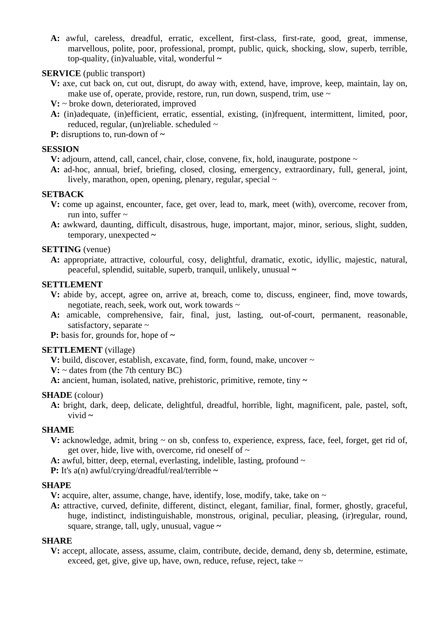**A:** awful, careless, dreadful, erratic, excellent, first-class, first-rate, good, great, immense, marvellous, polite, poor, professional, prompt, public, quick, shocking, slow, superb, terrible, top-quality, (in)valuable, vital, wonderful **~** 

# **SERVICE** (public transport)

- **V:** axe, cut back on, cut out, disrupt, do away with, extend, have, improve, keep, maintain, lay on, make use of, operate, provide, restore, run, run down, suspend, trim, use  $\sim$
- **V:** ~ broke down, deteriorated, improved
- **A:** (in)adequate, (in)efficient, erratic, essential, existing, (in)frequent, intermittent, limited, poor, reduced, regular, (un)reliable. scheduled  $\sim$

 **P:** disruptions to, run-down of **~** 

### **SESSION**

**V:** adjourn, attend, call, cancel, chair, close, convene, fix, hold, inaugurate, postpone  $\sim$ 

 **A:** ad-hoc, annual, brief, briefing, closed, closing, emergency, extraordinary, full, general, joint, lively, marathon, open, opening, plenary, regular, special  $\sim$ 

#### **SETBACK**

- **V:** come up against, encounter, face, get over, lead to, mark, meet (with), overcome, recover from, run into, suffer  $\sim$
- **A:** awkward, daunting, difficult, disastrous, huge, important, major, minor, serious, slight, sudden, temporary, unexpected **~**

### **SETTING** (venue)

 **A:** appropriate, attractive, colourful, cosy, delightful, dramatic, exotic, idyllic, majestic, natural, peaceful, splendid, suitable, superb, tranquil, unlikely, unusual **~** 

### **SETTLEMENT**

- **V:** abide by, accept, agree on, arrive at, breach, come to, discuss, engineer, find, move towards, negotiate, reach, seek, work out, work towards ~
- **A:** amicable, comprehensive, fair, final, just, lasting, out-of-court, permanent, reasonable, satisfactory, separate ~
- **P:** basis for, grounds for, hope of  $\sim$

#### **SETTLEMENT** (village)

**V:** build, discover, establish, excavate, find, form, found, make, uncover  $\sim$ 

 **V:** ~ dates from (the 7th century BC)

 **A:** ancient, human, isolated, native, prehistoric, primitive, remote, tiny **~** 

#### **SHADE** (colour)

 **A:** bright, dark, deep, delicate, delightful, dreadful, horrible, light, magnificent, pale, pastel, soft, vivid **~** 

#### **SHAME**

- **V:** acknowledge, admit, bring  $\sim$  on sb, confess to, experience, express, face, feel, forget, get rid of, get over, hide, live with, overcome, rid oneself of  $\sim$
- **A:** awful, bitter, deep, eternal, everlasting, indelible, lasting, profound ~

 **P:** It's a(n) awful/crying/dreadful/real/terrible **~** 

#### **SHAPE**

**V:** acquire, alter, assume, change, have, identify, lose, modify, take, take on  $\sim$ 

 **A:** attractive, curved, definite, different, distinct, elegant, familiar, final, former, ghostly, graceful, huge, indistinct, indistinguishable, monstrous, original, peculiar, pleasing, (ir)regular, round, square, strange, tall, ugly, unusual, vague **~** 

#### **SHARE**

 **V:** accept, allocate, assess, assume, claim, contribute, decide, demand, deny sb, determine, estimate, exceed, get, give, give up, have, own, reduce, refuse, reject, take  $\sim$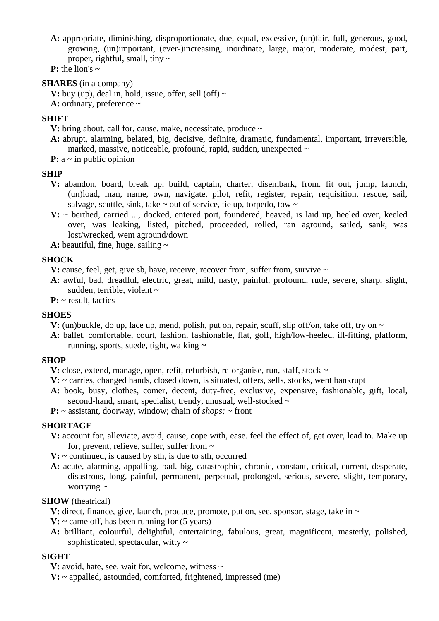**A:** appropriate, diminishing, disproportionate, due, equal, excessive, (un)fair, full, generous, good, growing, (un)important, (ever-)increasing, inordinate, large, major, moderate, modest, part, proper, rightful, small, tiny  $\sim$ 

**P:** the lion's  $\sim$ 

#### **SHARES** (in a company)

**V:** buy (up), deal in, hold, issue, offer, sell (off)  $\sim$ 

 **A:** ordinary, preference **~** 

#### **SHIFT**

**V:** bring about, call for, cause, make, necessitate, produce  $\sim$ 

- **A:** abrupt, alarming, belated, big, decisive, definite, dramatic, fundamental, important, irreversible, marked, massive, noticeable, profound, rapid, sudden, unexpected  $\sim$
- **P:**  $a \sim$  in public opinion

#### **SHIP**

- **V:** abandon, board, break up, build, captain, charter, disembark, from. fit out, jump, launch, (un)load, man, name, own, navigate, pilot, refit, register, repair, requisition, rescue, sail, salvage, scuttle, sink, take  $\sim$  out of service, tie up, torpedo, tow  $\sim$
- **V:** ~ berthed, carried ..., docked, entered port, foundered, heaved, is laid up, heeled over, keeled over, was leaking, listed, pitched, proceeded, rolled, ran aground, sailed, sank, was lost/wrecked, went aground/down

 **A:** beautiful, fine, huge, sailing **~** 

### **SHOCK**

**V:** cause, feel, get, give sb, have, receive, recover from, suffer from, survive  $\sim$ 

 **A:** awful, bad, dreadful, electric, great, mild, nasty, painful, profound, rude, severe, sharp, slight, sudden, terrible, violent  $\sim$ 

 $P: \sim$  result, tactics

### **SHOES**

**V:** (un)buckle, do up, lace up, mend, polish, put on, repair, scuff, slip off/on, take off, try on  $\sim$ 

 **A:** ballet, comfortable, court, fashion, fashionable, flat, golf, high/low-heeled, ill-fitting, platform, running, sports, suede, tight, walking **~** 

### **SHOP**

**V:** close, extend, manage, open, refit, refurbish, re-organise, run, staff, stock  $\sim$ 

- **V:** ~ carries, changed hands, closed down, is situated, offers, sells, stocks, went bankrupt
- **A:** book, busy, clothes, comer, decent, duty-free, exclusive, expensive, fashionable, gift, local, second-hand, smart, specialist, trendy, unusual, well-stocked ~

 **P:** ~ assistant, doorway, window; chain of *shops;* ~ front

### **SHORTAGE**

- **V:** account for, alleviate, avoid, cause, cope with, ease. feel the effect of, get over, lead to. Make up for, prevent, relieve, suffer, suffer from  $\sim$
- $V: \sim$  continued, is caused by sth, is due to sth, occurred
- **A:** acute, alarming, appalling, bad. big, catastrophic, chronic, constant, critical, current, desperate, disastrous, long, painful, permanent, perpetual, prolonged, serious, severe, slight, temporary, worrying **~**

### **SHOW** (theatrical)

**V:** direct, finance, give, launch, produce, promote, put on, see, sponsor, stage, take in  $\sim$ 

- $V: \sim$  came off, has been running for (5 years)
- **A:** brilliant, colourful, delightful, entertaining, fabulous, great, magnificent, masterly, polished, sophisticated, spectacular, witty **~**

#### **SIGHT**

**V:** avoid, hate, see, wait for, welcome, witness ~

 **V:** ~ appalled, astounded, comforted, frightened, impressed (me)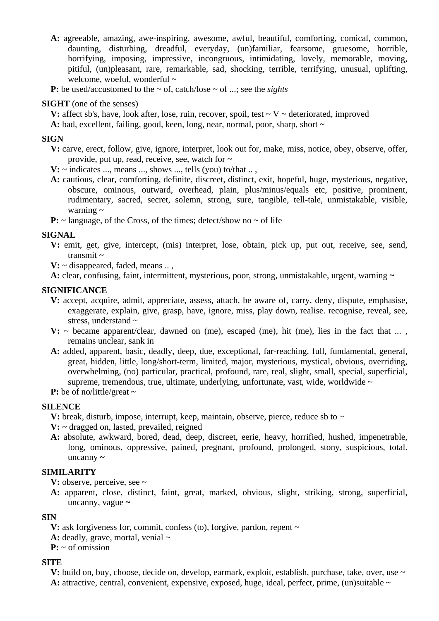**A:** agreeable, amazing, awe-inspiring, awesome, awful, beautiful, comforting, comical, common, daunting, disturbing, dreadful, everyday, (un)familiar, fearsome, gruesome, horrible, horrifying, imposing, impressive, incongruous, intimidating, lovely, memorable, moving, pitiful, (un)pleasant, rare, remarkable, sad, shocking, terrible, terrifying, unusual, uplifting, welcome, woeful, wonderful  $\sim$ 

**P:** be used/accustomed to the  $\sim$  of, catch/lose  $\sim$  of ...; see the *sights* 

#### **SIGHT** (one of the senses)

**V:** affect sb's, have, look after, lose, ruin, recover, spoil, test ~ V ~ deteriorated, improved

 **A:** bad, excellent, failing, good, keen, long, near, normal, poor, sharp, short ~

#### **SIGN**

- **V:** carve, erect, follow, give, ignore, interpret, look out for, make, miss, notice, obey, observe, offer, provide, put up, read, receive, see, watch for ~
- $V: \sim$  indicates ..., means ..., shows ..., tells (you) to/that ...
- **A:** cautious, clear, comforting, definite, discreet, distinct, exit, hopeful, huge, mysterious, negative, obscure, ominous, outward, overhead, plain, plus/minus/equals etc, positive, prominent, rudimentary, sacred, secret, solemn, strong, sure, tangible, tell-tale, unmistakable, visible, warning ~

**P:**  $\sim$  language, of the Cross, of the times; detect/show no  $\sim$  of life

### **SIGNAL**

- **V:** emit, get, give, intercept, (mis) interpret, lose, obtain, pick up, put out, receive, see, send, transmit  $\sim$
- **V:**  $\sim$  disappeared, faded, means ...

 **A:** clear, confusing, faint, intermittent, mysterious, poor, strong, unmistakable, urgent, warning **~** 

#### **SIGNIFICANCE**

- **V:** accept, acquire, admit, appreciate, assess, attach, be aware of, carry, deny, dispute, emphasise, exaggerate, explain, give, grasp, have, ignore, miss, play down, realise. recognise, reveal, see, stress, understand  $\sim$
- V: ~ became apparent/clear, dawned on (me), escaped (me), hit (me), lies in the fact that ..., remains unclear, sank in
- **A:** added, apparent, basic, deadly, deep, due, exceptional, far-reaching, full, fundamental, general, great, hidden, little, long/short-term, limited, major, mysterious, mystical, obvious, overriding, overwhelming, (no) particular, practical, profound, rare, real, slight, small, special, superficial, supreme, tremendous, true, ultimate, underlying, unfortunate, vast, wide, worldwide ~

 **P:** be of no/little/great **~** 

### **SILENCE**

**V:** break, disturb, impose, interrupt, keep, maintain, observe, pierce, reduce sb to  $\sim$ 

- **V:** ~ dragged on, lasted, prevailed, reigned
- **A:** absolute, awkward, bored, dead, deep, discreet, eerie, heavy, horrified, hushed, impenetrable, long, ominous, oppressive, pained, pregnant, profound, prolonged, stony, suspicious, total. uncanny **~**

### **SIMILARITY**

**V:** observe, perceive, see ~

 **A:** apparent, close, distinct, faint, great, marked, obvious, slight, striking, strong, superficial, uncanny, vague **~** 

#### **SIN**

**V:** ask forgiveness for, commit, confess (to), forgive, pardon, repent  $\sim$ 

A: deadly, grave, mortal, venial  $\sim$ 

 $P: ~ of omission$ 

### **SITE**

**V:** build on, buy, choose, decide on, develop, earmark, exploit, establish, purchase, take, over, use ~  **A:** attractive, central, convenient, expensive, exposed, huge, ideal, perfect, prime, (un)suitable **~**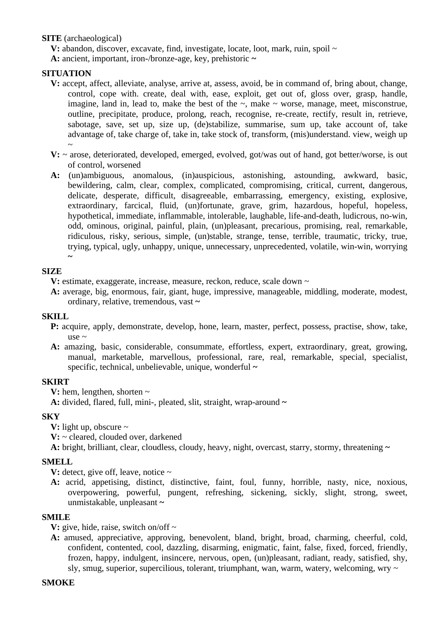### **SITE** (archaeological)

**V:** abandon, discover, excavate, find, investigate, locate, loot, mark, ruin, spoil  $\sim$ 

 **A:** ancient, important, iron-/bronze-age, key, prehistoric **~** 

### **SITUATION**

- **V:** accept, affect, alleviate, analyse, arrive at, assess, avoid, be in command of, bring about, change, control, cope with. create, deal with, ease, exploit, get out of, gloss over, grasp, handle, imagine, land in, lead to, make the best of the  $\sim$ , make  $\sim$  worse, manage, meet, misconstrue, outline, precipitate, produce, prolong, reach, recognise, re-create, rectify, result in, retrieve, sabotage, save, set up, size up, (de)stabilize, summarise, sum up, take account of, take advantage of, take charge of, take in, take stock of, transform, (mis)understand. view, weigh up
- $\sim$  **V:** ~ arose, deteriorated, developed, emerged, evolved, got/was out of hand, got better/worse, is out of control, worsened
- **A:** (un)ambiguous, anomalous, (in)auspicious, astonishing, astounding, awkward, basic, bewildering, calm, clear, complex, complicated, compromising, critical, current, dangerous, delicate, desperate, difficult, disagreeable, embarrassing, emergency, existing, explosive, extraordinary, farcical, fluid, (un)fortunate, grave, grim, hazardous, hopeful, hopeless, hypothetical, immediate, inflammable, intolerable, laughable, life-and-death, ludicrous, no-win, odd, ominous, original, painful, plain, (un)pleasant, precarious, promising, real, remarkable, ridiculous, risky, serious, simple, (un)stable, strange, tense, terrible, traumatic, tricky, true, trying, typical, ugly, unhappy, unique, unnecessary, unprecedented, volatile, win-win, worrying **~**

### **SIZE**

**V:** estimate, exaggerate, increase, measure, reckon, reduce, scale down  $\sim$ 

 **A:** average, big, enormous, fair, giant, huge, impressive, manageable, middling, moderate, modest, ordinary, relative, tremendous, vast **~** 

### **SKILL**

- **P:** acquire, apply, demonstrate, develop, hone, learn, master, perfect, possess, practise, show, take, use  $\sim$
- **A:** amazing, basic, considerable, consummate, effortless, expert, extraordinary, great, growing, manual, marketable, marvellous, professional, rare, real, remarkable, special, specialist, specific, technical, unbelievable, unique, wonderful **~**

#### **SKIRT**

**V:** hem, lengthen, shorten  $\sim$ 

 **A:** divided, flared, full, mini-, pleated, slit, straight, wrap-around **~** 

### **SKY**

**V:** light up, obscure  $\sim$ 

 **V:** ~ cleared, clouded over, darkened

 **A:** bright, brilliant, clear, cloudless, cloudy, heavy, night, overcast, starry, stormy, threatening **~** 

#### **SMELL**

**V:** detect, give off, leave, notice ~

 **A:** acrid, appetising, distinct, distinctive, faint, foul, funny, horrible, nasty, nice, noxious, overpowering, powerful, pungent, refreshing, sickening, sickly, slight, strong, sweet, unmistakable, unpleasant **~** 

### **SMILE**

**V:** give, hide, raise, switch on/off  $\sim$ 

 **A:** amused, appreciative, approving, benevolent, bland, bright, broad, charming, cheerful, cold, confident, contented, cool, dazzling, disarming, enigmatic, faint, false, fixed, forced, friendly, frozen, happy, indulgent, insincere, nervous, open, (un)pleasant, radiant, ready, satisfied, shy, sly, smug, superior, supercilious, tolerant, triumphant, wan, warm, watery, welcoming, wry  $\sim$ 

#### **SMOKE**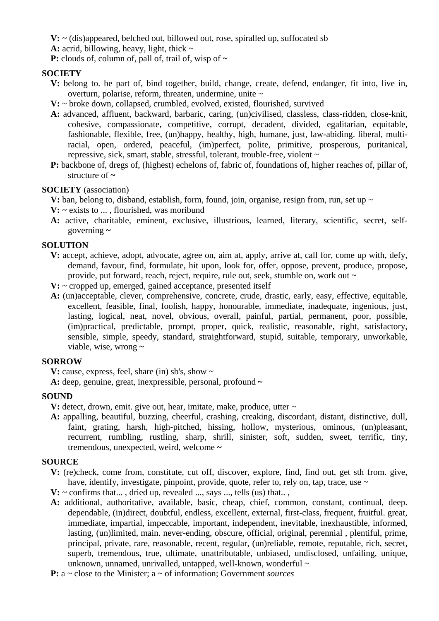**V:** ~ (dis)appeared, belched out, billowed out, rose, spiralled up, suffocated sb

**A:** acrid, billowing, heavy, light, thick  $\sim$ 

**P:** clouds of, column of, pall of, trail of, wisp of  $\sim$ 

### **SOCIETY**

- **V:** belong to. be part of, bind together, build, change, create, defend, endanger, fit into, live in, overturn, polarise, reform, threaten, undermine, unite  $\sim$
- **V:** ~ broke down, collapsed, crumbled, evolved, existed, flourished, survived
- **A:** advanced, affluent, backward, barbaric, caring, (un)civilised, classless, class-ridden, close-knit, cohesive, compassionate, competitive, corrupt, decadent, divided, egalitarian, equitable, fashionable, flexible, free, (un)happy, healthy, high, humane, just, law-abiding. liberal, multiracial, open, ordered, peaceful, (im)perfect, polite, primitive, prosperous, puritanical, repressive, sick, smart, stable, stressful, tolerant, trouble-free, violent ~
- **P:** backbone of, dregs of, (highest) echelons of, fabric of, foundations of, higher reaches of, pillar of, structure of **~**

### **SOCIETY** (association)

**V:** ban, belong to, disband, establish, form, found, join, organise, resign from, run, set up ~

- **V:** ~ exists to ..., flourished, was moribund
- **A:** active, charitable, eminent, exclusive, illustrious, learned, literary, scientific, secret, selfgoverning **~**

### **SOLUTION**

- **V:** accept, achieve, adopt, advocate, agree on, aim at, apply, arrive at, call for, come up with, defy, demand, favour, find, formulate, hit upon, look for, offer, oppose, prevent, produce, propose, provide, put forward, reach, reject, require, rule out, seek, stumble on, work out ~
- **V:** ~ cropped up, emerged, gained acceptance, presented itself
- A:  $(u_n)$  acceptable, clever, comprehensive, concrete, crude, drastic, early, easy, effective, equitable, excellent, feasible, final, foolish, happy, honourable, immediate, inadequate, ingenious, just, lasting, logical, neat, novel, obvious, overall, painful, partial, permanent, poor, possible, (im)practical, predictable, prompt, proper, quick, realistic, reasonable, right, satisfactory, sensible, simple, speedy, standard, straightforward, stupid, suitable, temporary, unworkable, viable, wise, wrong **~**

### **SORROW**

**V:** cause, express, feel, share (in) sb's, show  $\sim$ 

 **A:** deep, genuine, great, inexpressible, personal, profound **~** 

### **SOUND**

**V:** detect, drown, emit. give out, hear, imitate, make, produce, utter  $\sim$ 

 **A:** appalling, beautiful, buzzing, cheerful, crashing, creaking, discordant, distant, distinctive, dull, faint, grating, harsh, high-pitched, hissing, hollow, mysterious, ominous, (un)pleasant, recurrent, rumbling, rustling, sharp, shrill, sinister, soft, sudden, sweet, terrific, tiny, tremendous, unexpected, weird, welcome **~** 

### **SOURCE**

- **V:** (re)check, come from, constitute, cut off, discover, explore, find, find out, get sth from. give, have, identify, investigate, pinpoint, provide, quote, refer to, rely on, tap, trace, use ~
- $V: \sim$  confirms that..., dried up, revealed ..., says ..., tells (us) that...
- **A:** additional, authoritative, available, basic, cheap, chief, common, constant, continual, deep. dependable, (in)direct, doubtful, endless, excellent, external, first-class, frequent, fruitful. great, immediate, impartial, impeccable, important, independent, inevitable, inexhaustible, informed, lasting, (un)limited, main. never-ending, obscure, official, original, perennial , plentiful, prime, principal, private, rare, reasonable, recent, regular, (un)reliable, remote, reputable, rich, secret, superb, tremendous, true, ultimate, unattributable, unbiased, undisclosed, unfailing, unique, unknown, unnamed, unrivalled, untapped, well-known, wonderful  $\sim$
- **P:** a ~ close to the Minister; a ~ of information; Government *sources*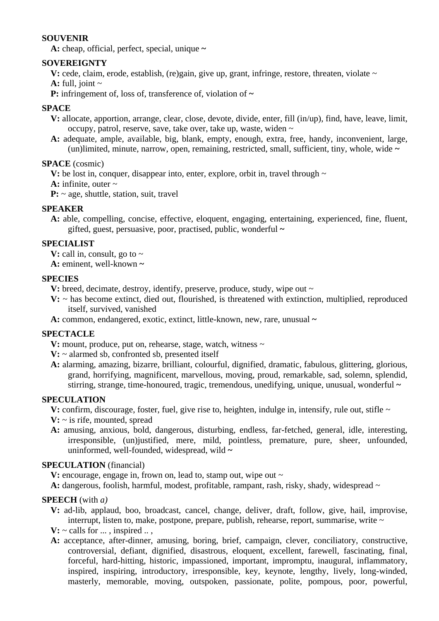## **SOUVENIR**

 **A:** cheap, official, perfect, special, unique **~** 

## **SOVEREIGNTY**

**V:** cede, claim, erode, establish, (re)gain, give up, grant, infringe, restore, threaten, violate ~ **A:** full, joint  $\sim$ 

**P:** infringement of, loss of, transference of, violation of  $\sim$ 

## **SPACE**

 **V:** allocate, apportion, arrange, clear, close, devote, divide, enter, fill (in/up), find, have, leave, limit, occupy, patrol, reserve, save, take over, take up, waste, widen ~

 **A:** adequate, ample, available, big, blank, empty, enough, extra, free, handy, inconvenient, large, (un)limited, minute, narrow, open, remaining, restricted, small, sufficient, tiny, whole, wide **~** 

## **SPACE** (cosmic)

**V:** be lost in, conquer, disappear into, enter, explore, orbit in, travel through  $\sim$ 

A: infinite, outer ~

**P:**  $\sim$  age, shuttle, station, suit, travel

## **SPEAKER**

 **A:** able, compelling, concise, effective, eloquent, engaging, entertaining, experienced, fine, fluent, gifted, guest, persuasive, poor, practised, public, wonderful **~** 

## **SPECIALIST**

**V:** call in, consult, go to  $\sim$ 

 **A:** eminent, well-known **~** 

## **SPECIES**

**V:** breed, decimate, destroy, identify, preserve, produce, study, wipe out  $\sim$ 

 **V:** ~ has become extinct, died out, flourished, is threatened with extinction, multiplied, reproduced itself, survived, vanished

 **A:** common, endangered, exotic, extinct, little-known, new, rare, unusual **~** 

# **SPECTACLE**

**V:** mount, produce, put on, rehearse, stage, watch, witness  $\sim$ 

 **V:** ~ alarmed sb, confronted sb, presented itself

 **A:** alarming, amazing, bizarre, brilliant, colourful, dignified, dramatic, fabulous, glittering, glorious, grand, horrifying, magnificent, marvellous, moving, proud, remarkable, sad, solemn, splendid, stirring, strange, time-honoured, tragic, tremendous, unedifying, unique, unusual, wonderful **~** 

### **SPECULATION**

**V:** confirm, discourage, foster, fuel, give rise to, heighten, indulge in, intensify, rule out, stifle  $\sim$ **V:**  $\sim$  is rife, mounted, spread

 **A:** amusing, anxious, bold, dangerous, disturbing, endless, far-fetched, general, idle, interesting, irresponsible, (un)justified, mere, mild, pointless, premature, pure, sheer, unfounded, uninformed, well-founded, widespread, wild **~** 

# **SPECULATION** (financial)

**V:** encourage, engage in, frown on, lead to, stamp out, wipe out  $\sim$ 

 **A:** dangerous, foolish, harmful, modest, profitable, rampant, rash, risky, shady, widespread ~

# **SPEECH** (with *a)*

 **V:** ad-lib, applaud, boo, broadcast, cancel, change, deliver, draft, follow, give, hail, improvise, interrupt, listen to, make, postpone, prepare, publish, rehearse, report, summarise, write  $\sim$ 

 $V: \sim$  calls for ..., inspired ...

 **A:** acceptance, after-dinner, amusing, boring, brief, campaign, clever, conciliatory, constructive, controversial, defiant, dignified, disastrous, eloquent, excellent, farewell, fascinating, final, forceful, hard-hitting, historic, impassioned, important, impromptu, inaugural, inflammatory, inspired, inspiring, introductory, irresponsible, key, keynote, lengthy, lively, long-winded, masterly, memorable, moving, outspoken, passionate, polite, pompous, poor, powerful,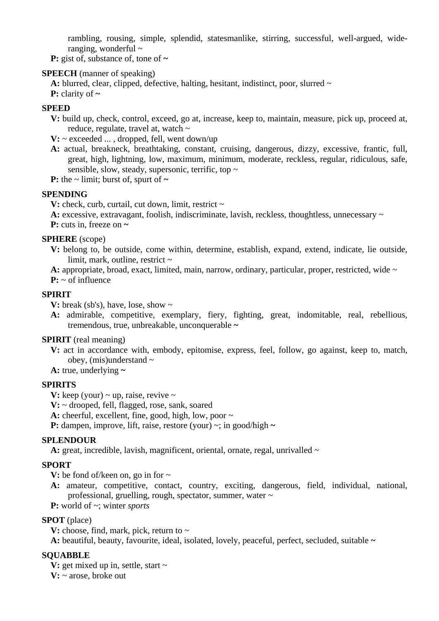rambling, rousing, simple, splendid, statesmanlike, stirring, successful, well-argued, wideranging, wonderful ~

**P:** gist of, substance of, tone of  $\sim$ 

### **SPEECH** (manner of speaking)

 **A:** blurred, clear, clipped, defective, halting, hesitant, indistinct, poor, slurred ~

 **P:** clarity of **~** 

## **SPEED**

 **V:** build up, check, control, exceed, go at, increase, keep to, maintain, measure, pick up, proceed at, reduce, regulate, travel at, watch ~

 **V:** ~ exceeded ... , dropped, fell, went down/up

- **A:** actual, breakneck, breathtaking, constant, cruising, dangerous, dizzy, excessive, frantic, full, great, high, lightning, low, maximum, minimum, moderate, reckless, regular, ridiculous, safe, sensible, slow, steady, supersonic, terrific, top  $\sim$
- **P:** the  $\sim$  limit; burst of, spurt of  $\sim$

### **SPENDING**

**V:** check, curb, curtail, cut down, limit, restrict  $\sim$ 

A: excessive, extravagant, foolish, indiscriminate, lavish, reckless, thoughtless, unnecessary  $\sim$ 

 **P:** cuts in, freeze on **~** 

## **SPHERE** (scope)

- **V:** belong to, be outside, come within, determine, establish, expand, extend, indicate, lie outside, limit, mark, outline, restrict ~
- A: appropriate, broad, exact, limited, main, narrow, ordinary, particular, proper, restricted, wide ~

 $P: ~ of$  influence

### **SPIRIT**

**V:** break (sb's), have, lose, show  $\sim$ 

A: admirable, competitive, exemplary, fiery, fighting, great, indomitable, real, rebellious, tremendous, true, unbreakable, unconquerable **~** 

### **SPIRIT** (real meaning)

- **V:** act in accordance with, embody, epitomise, express, feel, follow, go against, keep to, match, obey, (mis)understand  $\sim$
- **A:** true, underlying **~**

### **SPIRITS**

**V:** keep (your)  $\sim$  up, raise, revive  $\sim$ 

 **V:** ~ drooped, fell, flagged, rose, sank, soared

**A:** cheerful, excellent, fine, good, high, low, poor  $\sim$ 

**P:** dampen, improve, lift, raise, restore (your)  $\sim$ ; in good/high  $\sim$ 

## **SPLENDOUR**

 **A:** great, incredible, lavish, magnificent, oriental, ornate, regal, unrivalled ~

### **SPORT**

**V:** be fond of/keen on, go in for  $\sim$ 

A: amateur, competitive, contact, country, exciting, dangerous, field, individual, national, professional, gruelling, rough, spectator, summer, water ~

 **P:** world of ~; winter *sports* 

## **SPOT** (place)

**V:** choose, find, mark, pick, return to  $\sim$ 

 **A:** beautiful, beauty, favourite, ideal, isolated, lovely, peaceful, perfect, secluded, suitable **~** 

### **SQUABBLE**

**V:** get mixed up in, settle, start  $\sim$ 

 **V:** ~ arose, broke out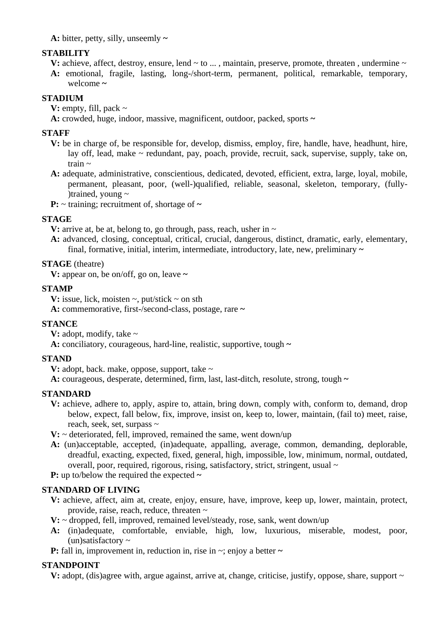**A:** bitter, petty, silly, unseemly **~** 

# **STABILITY**

**V:** achieve, affect, destroy, ensure, lend ~ to ..., maintain, preserve, promote, threaten, undermine ~

 **A:** emotional, fragile, lasting, long-/short-term, permanent, political, remarkable, temporary, welcome **~** 

# **STADIUM**

**V:** empty, fill, pack  $\sim$ 

 **A:** crowded, huge, indoor, massive, magnificent, outdoor, packed, sports **~** 

# **STAFF**

- **V:** be in charge of, be responsible for, develop, dismiss, employ, fire, handle, have, headhunt, hire, lay off, lead, make ~ redundant, pay, poach, provide, recruit, sack, supervise, supply, take on, train  $\sim$
- **A:** adequate, administrative, conscientious, dedicated, devoted, efficient, extra, large, loyal, mobile, permanent, pleasant, poor, (well-)qualified, reliable, seasonal, skeleton, temporary, (fully- )trained, young ~

**P:**  $\sim$  training; recruitment of, shortage of  $\sim$ 

# **STAGE**

**V:** arrive at, be at, belong to, go through, pass, reach, usher in  $\sim$ 

 **A:** advanced, closing, conceptual, critical, crucial, dangerous, distinct, dramatic, early, elementary, final, formative, initial, interim, intermediate, introductory, late, new, preliminary **~** 

# **STAGE** (theatre)

**V:** appear on, be on/off, go on, leave  $\sim$ 

# **STAMP**

**V:** issue, lick, moisten  $\sim$ , put/stick  $\sim$  on sth

 **A:** commemorative, first-/second-class, postage, rare **~** 

# **STANCE**

**V:** adopt, modify, take  $\sim$ 

 **A:** conciliatory, courageous, hard-line, realistic, supportive, tough **~** 

# **STAND**

**V:** adopt, back. make, oppose, support, take  $\sim$ 

 **A:** courageous, desperate, determined, firm, last, last-ditch, resolute, strong, tough **~** 

# **STANDARD**

 **V:** achieve, adhere to, apply, aspire to, attain, bring down, comply with, conform to, demand, drop below, expect, fall below, fix, improve, insist on, keep to, lower, maintain, (fail to) meet, raise, reach, seek, set, surpass ~

 **V:** ~ deteriorated, fell, improved, remained the same, went down/up

- **A:** (un)acceptable, accepted, (in)adequate, appalling, average, common, demanding, deplorable, dreadful, exacting, expected, fixed, general, high, impossible, low, minimum, normal, outdated, overall, poor, required, rigorous, rising, satisfactory, strict, stringent, usual ~
- **P:** up to/below the required the expected **~**

# **STANDARD OF LIVING**

- **V:** achieve, affect, aim at, create, enjoy, ensure, have, improve, keep up, lower, maintain, protect, provide, raise, reach, reduce, threaten ~
- **V:** ~ dropped, fell, improved, remained level/steady, rose, sank, went down/up
- **A:** (in)adequate, comfortable, enviable, high, low, luxurious, miserable, modest, poor, (un)satisfactory  $\sim$

**P:** fall in, improvement in, reduction in, rise in  $\sim$ ; enjoy a better  $\sim$ 

# **STANDPOINT**

**V:** adopt, (dis)agree with, argue against, arrive at, change, criticise, justify, oppose, share, support ~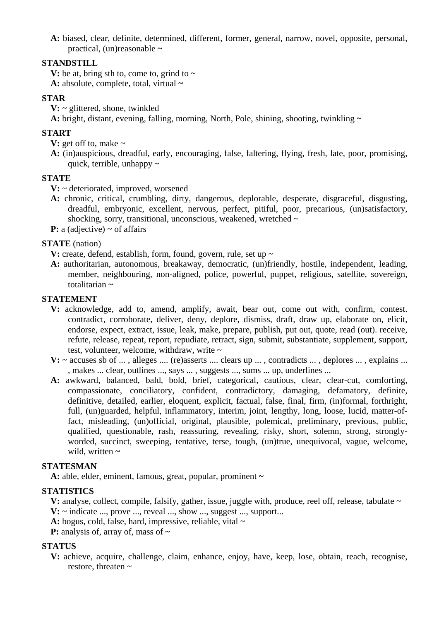**A:** biased, clear, definite, determined, different, former, general, narrow, novel, opposite, personal, practical, (un)reasonable **~** 

# **STANDSTILL**

**V:** be at, bring sth to, come to, grind to  $\sim$  **A:** absolute, complete, total, virtual **~** 

### **STAR**

 **V:** ~ glittered, shone, twinkled

 **A:** bright, distant, evening, falling, morning, North, Pole, shining, shooting, twinkling **~** 

## **START**

**V:** get off to, make  $\sim$ 

 **A:** (in)auspicious, dreadful, early, encouraging, false, faltering, flying, fresh, late, poor, promising, quick, terrible, unhappy **~** 

## **STATE**

 **V:** ~ deteriorated, improved, worsened

 **A:** chronic, critical, crumbling, dirty, dangerous, deplorable, desperate, disgraceful, disgusting, dreadful, embryonic, excellent, nervous, perfect, pitiful, poor, precarious, (un)satisfactory, shocking, sorry, transitional, unconscious, weakened, wretched ~

**P:** a (adjective)  $\sim$  of affairs

## **STATE** (nation)

**V:** create, defend, establish, form, found, govern, rule, set up ~

 **A:** authoritarian, autonomous, breakaway, democratic, (un)friendly, hostile, independent, leading, member, neighbouring, non-aligned, police, powerful, puppet, religious, satellite, sovereign, totalitarian **~** 

## **STATEMENT**

- **V:** acknowledge, add to, amend, amplify, await, bear out, come out with, confirm, contest. contradict, corroborate, deliver, deny, deplore, dismiss, draft, draw up, elaborate on, elicit, endorse, expect, extract, issue, leak, make, prepare, publish, put out, quote, read (out). receive, refute, release, repeat, report, repudiate, retract, sign, submit, substantiate, supplement, support, test, volunteer, welcome, withdraw, write ~
- $V: \sim$  accuses sb of  $\ldots$ , alleges  $\ldots$  (re)asserts  $\ldots$  clears up  $\ldots$ , contradicts  $\ldots$ , deplores  $\ldots$ , explains  $\ldots$ , makes ... clear, outlines ..., says ... , suggests ..., sums ... up, underlines ...
- **A:** awkward, balanced, bald, bold, brief, categorical, cautious, clear, clear-cut, comforting, compassionate, conciliatory, confident, contradictory, damaging, defamatory, definite, definitive, detailed, earlier, eloquent, explicit, factual, false, final, firm, (in)formal, forthright, full, (un)guarded, helpful, inflammatory, interim, joint, lengthy, long, loose, lucid, matter-offact, misleading, (un)official, original, plausible, polemical, preliminary, previous, public, qualified, questionable, rash, reassuring, revealing, risky, short, solemn, strong, stronglyworded, succinct, sweeping, tentative, terse, tough, (un)true, unequivocal, vague, welcome, wild, written **~**

# **STATESMAN**

 **A:** able, elder, eminent, famous, great, popular, prominent **~** 

### **STATISTICS**

**V:** analyse, collect, compile, falsify, gather, issue, juggle with, produce, reel off, release, tabulate ~  $V: \sim$  indicate ..., prove ..., reveal ..., show ..., suggest ..., support...

 **A:** bogus, cold, false, hard, impressive, reliable, vital ~

 **P:** analysis of, array of, mass of **~** 

### **STATUS**

 **V:** achieve, acquire, challenge, claim, enhance, enjoy, have, keep, lose, obtain, reach, recognise, restore, threaten ~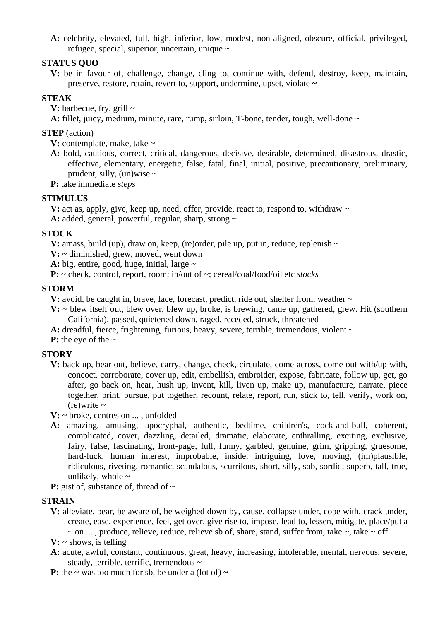**A:** celebrity, elevated, full, high, inferior, low, modest, non-aligned, obscure, official, privileged, refugee, special, superior, uncertain, unique **~** 

## **STATUS QUO**

 **V:** be in favour of, challenge, change, cling to, continue with, defend, destroy, keep, maintain, preserve, restore, retain, revert to, support, undermine, upset, violate **~** 

### **STEAK**

**V:** barbecue, fry, grill  $\sim$ 

 **A:** fillet, juicy, medium, minute, rare, rump, sirloin, T-bone, tender, tough, well-done **~** 

### **STEP** (action)

**V:** contemplate, make, take  $\sim$ 

 **A:** bold, cautious, correct, critical, dangerous, decisive, desirable, determined, disastrous, drastic, effective, elementary, energetic, false, fatal, final, initial, positive, precautionary, preliminary, prudent, silly, (un)wise  $\sim$ 

 **P:** take immediate *steps* 

### **STIMULUS**

**V:** act as, apply, give, keep up, need, offer, provide, react to, respond to, withdraw  $\sim$  **A:** added, general, powerful, regular, sharp, strong **~** 

### **STOCK**

**V:** amass, build (up), draw on, keep, (re) order, pile up, put in, reduce, replenish  $\sim$ 

 **V:** ~ diminished, grew, moved, went down

A: big, entire, good, huge, initial, large  $\sim$ 

 **P:** ~ check, control, report, room; in/out of ~; cereal/coal/food/oil etc *stocks* 

#### **STORM**

**V:** avoid, be caught in, brave, face, forecast, predict, ride out, shelter from, weather  $\sim$ 

- **V:** ~ blew itself out, blew over, blew up, broke, is brewing, came up, gathered, grew. Hit (southern California), passed, quietened down, raged, receded, struck, threatened
- **A:** dreadful, fierce, frightening, furious, heavy, severe, terrible, tremendous, violent ~

**P:** the eye of the  $\sim$ 

### **STORY**

- **V:** back up, bear out, believe, carry, change, check, circulate, come across, come out with/up with, concoct, corroborate, cover up, edit, embellish, embroider, expose, fabricate, follow up, get, go after, go back on, hear, hush up, invent, kill, liven up, make up, manufacture, narrate, piece together, print, pursue, put together, recount, relate, report, run, stick to, tell, verify, work on,  $(re)$ write ~
- **V:** ~ broke, centres on ... , unfolded
- **A:** amazing, amusing, apocryphal, authentic, bedtime, children's, cock-and-bull, coherent, complicated, cover, dazzling, detailed, dramatic, elaborate, enthralling, exciting, exclusive, fairy, false, fascinating, front-page, full, funny, garbled, genuine, grim, gripping, gruesome, hard-luck, human interest, improbable, inside, intriguing, love, moving, (im)plausible, ridiculous, riveting, romantic, scandalous, scurrilous, short, silly, sob, sordid, superb, tall, true, unlikely, whole  $\sim$

 **P:** gist of, substance of, thread of **~** 

#### **STRAIN**

- **V:** alleviate, bear, be aware of, be weighed down by, cause, collapse under, cope with, crack under, create, ease, experience, feel, get over. give rise to, impose, lead to, lessen, mitigate, place/put a  $\sim$  on ..., produce, relieve, reduce, relieve sb of, share, stand, suffer from, take  $\sim$ , take  $\sim$  off...
- $V: \sim$  shows, is telling
- **A:** acute, awful, constant, continuous, great, heavy, increasing, intolerable, mental, nervous, severe, steady, terrible, terrific, tremendous ~
- **P:** the  $\sim$  was too much for sb, be under a (lot of)  $\sim$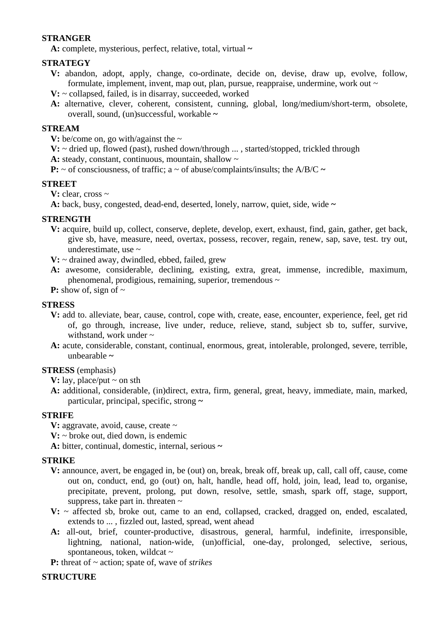### **STRANGER**

 **A:** complete, mysterious, perfect, relative, total, virtual **~** 

## **STRATEGY**

- **V:** abandon, adopt, apply, change, co-ordinate, decide on, devise, draw up, evolve, follow, formulate, implement, invent, map out, plan, pursue, reappraise, undermine, work out ~
- **V:** ~ collapsed, failed, is in disarray, succeeded, worked
- **A:** alternative, clever, coherent, consistent, cunning, global, long/medium/short-term, obsolete, overall, sound, (un)successful, workable **~**

## **STREAM**

**V:** be/come on, go with/against the  $\sim$ 

 **V:** ~ dried up, flowed (past), rushed down/through ... , started/stopped, trickled through

A: steady, constant, continuous, mountain, shallow  $\sim$ 

**P:**  $\sim$  of consciousness, of traffic; a  $\sim$  of abuse/complaints/insults; the A/B/C  $\sim$ 

#### **STREET**

**V:** clear, cross ~

 **A:** back, busy, congested, dead-end, deserted, lonely, narrow, quiet, side, wide **~** 

### **STRENGTH**

- **V:** acquire, build up, collect, conserve, deplete, develop, exert, exhaust, find, gain, gather, get back, give sb, have, measure, need, overtax, possess, recover, regain, renew, sap, save, test. try out, underestimate, use  $\sim$
- **V:** ~ drained away, dwindled, ebbed, failed, grew
- **A:** awesome, considerable, declining, existing, extra, great, immense, incredible, maximum, phenomenal, prodigious, remaining, superior, tremendous ~

**P:** show of, sign of  $\sim$ 

### **STRESS**

- **V:** add to. alleviate, bear, cause, control, cope with, create, ease, encounter, experience, feel, get rid of, go through, increase, live under, reduce, relieve, stand, subject sb to, suffer, survive, withstand, work under  $\sim$
- **A:** acute, considerable, constant, continual, enormous, great, intolerable, prolonged, severe, terrible, unbearable **~**

### **STRESS** (emphasis)

**V:** lay, place/put  $\sim$  on sth

 **A:** additional, considerable, (in)direct, extra, firm, general, great, heavy, immediate, main, marked, particular, principal, specific, strong **~** 

## **STRIFE**

**V:** aggravate, avoid, cause, create ~

 **V:** ~ broke out, died down, is endemic

 **A:** bitter, continual, domestic, internal, serious **~** 

### **STRIKE**

- **V:** announce, avert, be engaged in, be (out) on, break, break off, break up, call, call off, cause, come out on, conduct, end, go (out) on, halt, handle, head off, hold, join, lead, lead to, organise, precipitate, prevent, prolong, put down, resolve, settle, smash, spark off, stage, support, suppress, take part in. threaten  $\sim$
- **V:** ~ affected sb, broke out, came to an end, collapsed, cracked, dragged on, ended, escalated, extends to ... , fizzled out, lasted, spread, went ahead
- **A:** all-out, brief, counter-productive, disastrous, general, harmful, indefinite, irresponsible, lightning, national, nation-wide, (un)official, one-day, prolonged, selective, serious, spontaneous, token, wildcat ~

 **P:** threat of ~ action; spate of, wave of *strikes* 

### **STRUCTURE**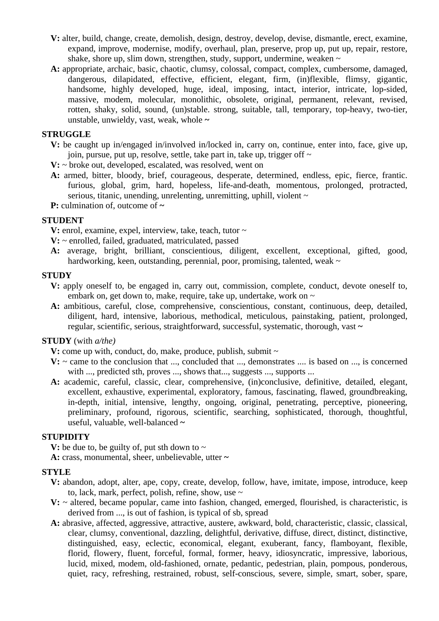- **V:** alter, build, change, create, demolish, design, destroy, develop, devise, dismantle, erect, examine, expand, improve, modernise, modify, overhaul, plan, preserve, prop up, put up, repair, restore, shake, shore up, slim down, strengthen, study, support, undermine, weaken  $\sim$
- **A:** appropriate, archaic, basic, chaotic, clumsy, colossal, compact, complex, cumbersome, damaged, dangerous, dilapidated, effective, efficient, elegant, firm, (in)flexible, flimsy, gigantic, handsome, highly developed, huge, ideal, imposing, intact, interior, intricate, lop-sided, massive, modem, molecular, monolithic, obsolete, original, permanent, relevant, revised, rotten, shaky, solid, sound, (un)stable. strong, suitable, tall, temporary, top-heavy, two-tier, unstable, unwieldy, vast, weak, whole **~**

### **STRUGGLE**

- **V:** be caught up in/engaged in/involved in/locked in, carry on, continue, enter into, face, give up, join, pursue, put up, resolve, settle, take part in, take up, trigger off  $\sim$
- **V:** ~ broke out, developed, escalated, was resolved, went on
- **A:** armed, bitter, bloody, brief, courageous, desperate, determined, endless, epic, fierce, frantic. furious, global, grim, hard, hopeless, life-and-death, momentous, prolonged, protracted, serious, titanic, unending, unrelenting, unremitting, uphill, violent ~
- **P:** culmination of, outcome of **~**

### **STUDENT**

- **V:** enrol, examine, expel, interview, take, teach, tutor  $\sim$
- **V:** ~ enrolled, failed, graduated, matriculated, passed
- A: average, bright, brilliant, conscientious, diligent, excellent, exceptional, gifted, good, hardworking, keen, outstanding, perennial, poor, promising, talented, weak ~

### **STUDY**

- **V:** apply oneself to, be engaged in, carry out, commission, complete, conduct, devote oneself to, embark on, get down to, make, require, take up, undertake, work on  $\sim$
- **A:** ambitious, careful, close, comprehensive, conscientious, constant, continuous, deep, detailed, diligent, hard, intensive, laborious, methodical, meticulous, painstaking, patient, prolonged, regular, scientific, serious, straightforward, successful, systematic, thorough, vast **~**

### **STUDY** (with *a/the)*

**V:** come up with, conduct, do, make, produce, publish, submit  $\sim$ 

- **V:**  $\sim$  came to the conclusion that ..., concluded that ..., demonstrates .... is based on ..., is concerned with ..., predicted sth, proves ..., shows that..., suggests ..., supports ...
- **A:** academic, careful, classic, clear, comprehensive, (in)conclusive, definitive, detailed, elegant, excellent, exhaustive, experimental, exploratory, famous, fascinating, flawed, groundbreaking, in-depth, initial, intensive, lengthy, ongoing, original, penetrating, perceptive, pioneering, preliminary, profound, rigorous, scientific, searching, sophisticated, thorough, thoughtful, useful, valuable, well-balanced **~**

### **STUPIDITY**

**V:** be due to, be guilty of, put sth down to  $\sim$ 

 **A:** crass, monumental, sheer, unbelievable, utter **~** 

### **STYLE**

- **V:** abandon, adopt, alter, ape, copy, create, develop, follow, have, imitate, impose, introduce, keep to, lack, mark, perfect, polish, refine, show, use  $\sim$
- **V:** ~ altered, became popular, came into fashion, changed, emerged, flourished, is characteristic, is derived from ..., is out of fashion, is typical of sb, spread
- **A:** abrasive, affected, aggressive, attractive, austere, awkward, bold, characteristic, classic, classical, clear, clumsy, conventional, dazzling, delightful, derivative, diffuse, direct, distinct, distinctive, distinguished, easy, eclectic, economical, elegant, exuberant, fancy, flamboyant, flexible, florid, flowery, fluent, forceful, formal, former, heavy, idiosyncratic, impressive, laborious, lucid, mixed, modem, old-fashioned, ornate, pedantic, pedestrian, plain, pompous, ponderous, quiet, racy, refreshing, restrained, robust, self-conscious, severe, simple, smart, sober, spare,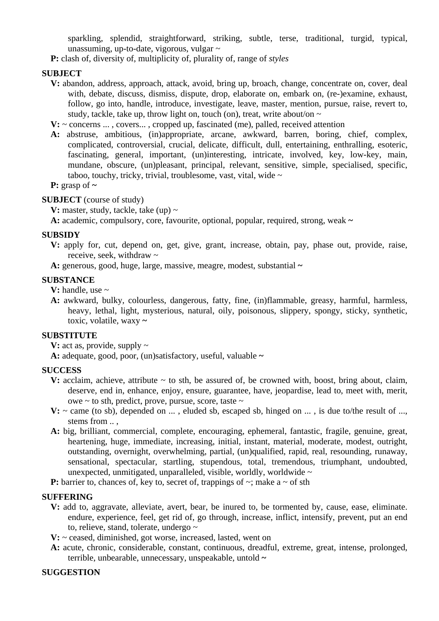sparkling, splendid, straightforward, striking, subtle, terse, traditional, turgid, typical, unassuming, up-to-date, vigorous, vulgar ~

 **P:** clash of, diversity of, multiplicity of, plurality of, range of *styles* 

### **SUBJECT**

- **V:** abandon, address, approach, attack, avoid, bring up, broach, change, concentrate on, cover, deal with, debate, discuss, dismiss, dispute, drop, elaborate on, embark on, (re-)examine, exhaust, follow, go into, handle, introduce, investigate, leave, master, mention, pursue, raise, revert to, study, tackle, take up, throw light on, touch (on), treat, write about/on  $\sim$
- **V:**  $\sim$  concerns ..., covers..., cropped up, fascinated (me), palled, received attention
- **A:** abstruse, ambitious, (in)appropriate, arcane, awkward, barren, boring, chief, complex, complicated, controversial, crucial, delicate, difficult, dull, entertaining, enthralling, esoteric, fascinating, general, important, (un)interesting, intricate, involved, key, low-key, main, mundane, obscure, (un)pleasant, principal, relevant, sensitive, simple, specialised, specific, taboo, touchy, tricky, trivial, troublesome, vast, vital, wide  $\sim$

**P:**  $\text{grasp of } \sim$ 

### **SUBJECT** (course of study)

**V:** master, study, tackle, take  $(up) \sim$ 

 **A:** academic, compulsory, core, favourite, optional, popular, required, strong, weak **~** 

### **SUBSIDY**

 **V:** apply for, cut, depend on, get, give, grant, increase, obtain, pay, phase out, provide, raise, receive, seek, withdraw  $\sim$ 

 **A:** generous, good, huge, large, massive, meagre, modest, substantial **~** 

#### **SUBSTANCE**

**V:** handle, use  $\sim$ 

 **A:** awkward, bulky, colourless, dangerous, fatty, fine, (in)flammable, greasy, harmful, harmless, heavy, lethal, light, mysterious, natural, oily, poisonous, slippery, spongy, sticky, synthetic, toxic, volatile, waxy **~** 

#### **SUBSTITUTE**

**V:** act as, provide, supply  $\sim$ 

 **A:** adequate, good, poor, (un)satisfactory, useful, valuable **~** 

### **SUCCESS**

- **V:** acclaim, achieve, attribute  $\sim$  to sth, be assured of, be crowned with, boost, bring about, claim, deserve, end in, enhance, enjoy, ensure, guarantee, have, jeopardise, lead to, meet with, merit, owe  $\sim$  to sth, predict, prove, pursue, score, taste  $\sim$
- $V: \sim$  came (to sb), depended on  $\dots$ , eluded sb, escaped sb, hinged on  $\dots$ , is due to/the result of  $\dots$ stems from .. ,
- **A:** big, brilliant, commercial, complete, encouraging, ephemeral, fantastic, fragile, genuine, great, heartening, huge, immediate, increasing, initial, instant, material, moderate, modest, outright, outstanding, overnight, overwhelming, partial, (un)qualified, rapid, real, resounding, runaway, sensational, spectacular, startling, stupendous, total, tremendous, triumphant, undoubted, unexpected, unmitigated, unparalleled, visible, worldly, worldwide  $\sim$

**P:** barrier to, chances of, key to, secret of, trappings of  $\sim$ ; make a  $\sim$  of sth

#### **SUFFERING**

- **V:** add to, aggravate, alleviate, avert, bear, be inured to, be tormented by, cause, ease, eliminate. endure, experience, feel, get rid of, go through, increase, inflict, intensify, prevent, put an end to, relieve, stand, tolerate, undergo ~
- **V:** ~ ceased, diminished, got worse, increased, lasted, went on
- **A:** acute, chronic, considerable, constant, continuous, dreadful, extreme, great, intense, prolonged, terrible, unbearable, unnecessary, unspeakable, untold **~**

#### **SUGGESTION**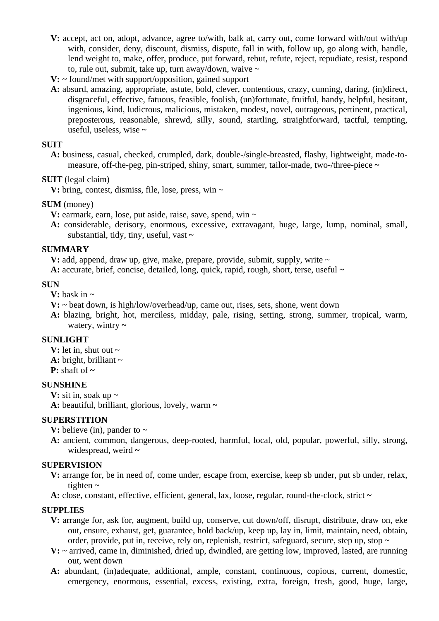- **V:** accept, act on, adopt, advance, agree to/with, balk at, carry out, come forward with/out with/up with, consider, deny, discount, dismiss, dispute, fall in with, follow up, go along with, handle, lend weight to, make, offer, produce, put forward, rebut, refute, reject, repudiate, resist, respond to, rule out, submit, take up, turn away/down, waive  $\sim$
- **V:** ~ found/met with support/opposition, gained support
- **A:** absurd, amazing, appropriate, astute, bold, clever, contentious, crazy, cunning, daring, (in)direct, disgraceful, effective, fatuous, feasible, foolish, (un)fortunate, fruitful, handy, helpful, hesitant, ingenious, kind, ludicrous, malicious, mistaken, modest, novel, outrageous, pertinent, practical, preposterous, reasonable, shrewd, silly, sound, startling, straightforward, tactful, tempting, useful, useless, wise **~**

### **SUIT**

 **A:** business, casual, checked, crumpled, dark, double-/single-breasted, flashy, lightweight, made-tomeasure, off-the-peg, pin-striped, shiny, smart, summer, tailor-made, two-/three-piece **~** 

## **SUIT** (legal claim)

**V:** bring, contest, dismiss, file, lose, press, win  $\sim$ 

### **SUM** (money)

- **V:** earmark, earn, lose, put aside, raise, save, spend, win  $\sim$
- **A:** considerable, derisory, enormous, excessive, extravagant, huge, large, lump, nominal, small, substantial, tidy, tiny, useful, vast **~**

## **SUMMARY**

**V:** add, append, draw up, give, make, prepare, provide, submit, supply, write  $\sim$ 

 **A:** accurate, brief, concise, detailed, long, quick, rapid, rough, short, terse, useful **~** 

### **SUN**

**V:** bask in  $\sim$ 

- **V:** ~ beat down, is high/low/overhead/up, came out, rises, sets, shone, went down
- **A:** blazing, bright, hot, merciless, midday, pale, rising, setting, strong, summer, tropical, warm, watery, wintry **~**

### **SUNLIGHT**

**V:** let in, shut out  $\sim$  **A:** bright, brilliant ~ **P:** shaft of  $\sim$ 

### **SUNSHINE**

**V:** sit in, soak up  $\sim$ 

 **A:** beautiful, brilliant, glorious, lovely, warm **~** 

### **SUPERSTITION**

**V:** believe (in), pander to  $\sim$ 

 **A:** ancient, common, dangerous, deep-rooted, harmful, local, old, popular, powerful, silly, strong, widespread, weird **~** 

### **SUPERVISION**

 **V:** arrange for, be in need of, come under, escape from, exercise, keep sb under, put sb under, relax, tighten ~

 **A:** close, constant, effective, efficient, general, lax, loose, regular, round-the-clock, strict **~** 

### **SUPPLIES**

- **V:** arrange for, ask for, augment, build up, conserve, cut down/off, disrupt, distribute, draw on, eke out, ensure, exhaust, get, guarantee, hold back/up, keep up, lay in, limit, maintain, need, obtain, order, provide, put in, receive, rely on, replenish, restrict, safeguard, secure, step up, stop  $\sim$
- **V:** ~ arrived, came in, diminished, dried up, dwindled, are getting low, improved. lasted, are running out, went down
- **A:** abundant, (in)adequate, additional, ample, constant, continuous, copious, current, domestic, emergency, enormous, essential, excess, existing, extra, foreign, fresh, good, huge, large,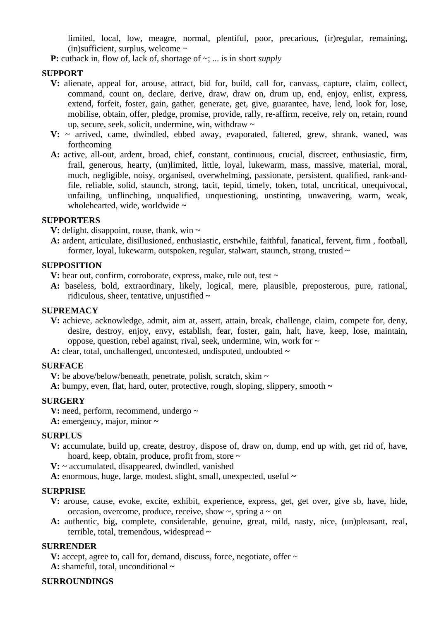limited, local, low, meagre, normal, plentiful, poor, precarious, (ir)regular, remaining,  $(in)$ sufficient, surplus, welcome ~

**P:** cutback in, flow of, lack of, shortage of  $\sim$ ; ... is in short *supply* 

## **SUPPORT**

- **V:** alienate, appeal for, arouse, attract, bid for, build, call for, canvass, capture, claim, collect, command, count on, declare, derive, draw, draw on, drum up, end, enjoy, enlist, express, extend, forfeit, foster, gain, gather, generate, get, give, guarantee, have, lend, look for, lose, mobilise, obtain, offer, pledge, promise, provide, rally, re-affirm, receive, rely on, retain, round up, secure, seek, solicit, undermine, win, withdraw ~
- **V:** ~ arrived, came, dwindled, ebbed away, evaporated, faltered, grew, shrank, waned, was forthcoming
- **A:** active, all-out, ardent, broad, chief, constant, continuous, crucial, discreet, enthusiastic, firm, frail, generous, hearty, (un)limited, little, loyal, lukewarm, mass, massive, material, moral, much, negligible, noisy, organised, overwhelming, passionate, persistent, qualified, rank-andfile, reliable, solid, staunch, strong, tacit, tepid, timely, token, total, uncritical, unequivocal, unfailing, unflinching, unqualified, unquestioning, unstinting, unwavering, warm, weak, wholehearted, wide, worldwide **~**

### **SUPPORTERS**

**V:** delight, disappoint, rouse, thank, win  $\sim$ 

 **A:** ardent, articulate, disillusioned, enthusiastic, erstwhile, faithful, fanatical, fervent, firm , football, former, loyal, lukewarm, outspoken, regular, stalwart, staunch, strong, trusted **~** 

## **SUPPOSITION**

**V:** bear out, confirm, corroborate, express, make, rule out, test  $\sim$ 

 **A:** baseless, bold, extraordinary, likely, logical, mere, plausible, preposterous, pure, rational, ridiculous, sheer, tentative, unjustified **~** 

### **SUPREMACY**

 **V:** achieve, acknowledge, admit, aim at, assert, attain, break, challenge, claim, compete for, deny, desire, destroy, enjoy, envy, establish, fear, foster, gain, halt, have, keep, lose, maintain, oppose, question, rebel against, rival, seek, undermine, win, work for  $\sim$ 

 **A:** clear, total, unchallenged, uncontested, undisputed, undoubted **~** 

### **SURFACE**

**V:** be above/below/beneath, penetrate, polish, scratch, skim  $\sim$ 

 **A:** bumpy, even, flat, hard, outer, protective, rough, sloping, slippery, smooth **~** 

### **SURGERY**

**V:** need, perform, recommend, undergo ~

 **A:** emergency, major, minor **~** 

### **SURPLUS**

 **V:** accumulate, build up, create, destroy, dispose of, draw on, dump, end up with, get rid of, have, hoard, keep, obtain, produce, profit from, store ~

 **V:** ~ accumulated, disappeared, dwindled, vanished

 **A:** enormous, huge, large, modest, slight, small, unexpected, useful **~** 

### **SURPRISE**

- **V:** arouse, cause, evoke, excite, exhibit, experience, express, get, get over, give sb, have, hide, occasion, overcome, produce, receive, show  $\sim$ , spring a  $\sim$  on
- **A:** authentic, big, complete, considerable, genuine, great, mild, nasty, nice, (un)pleasant, real, terrible, total, tremendous, widespread **~**

### **SURRENDER**

**V:** accept, agree to, call for, demand, discuss, force, negotiate, offer  $\sim$  **A:** shameful, total, unconditional **~** 

### **SURROUNDINGS**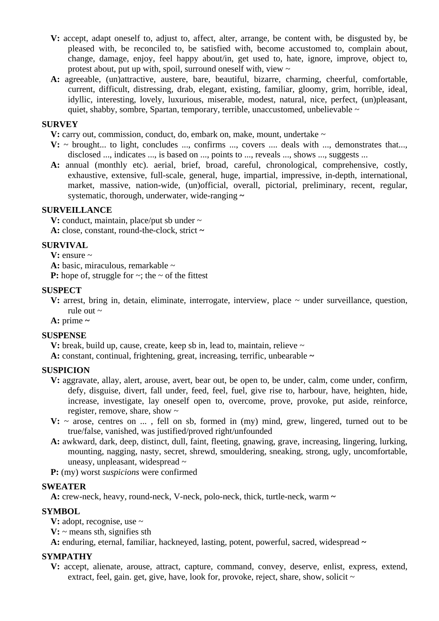- **V:** accept, adapt oneself to, adjust to, affect, alter, arrange, be content with, be disgusted by, be pleased with, be reconciled to, be satisfied with, become accustomed to, complain about, change, damage, enjoy, feel happy about/in, get used to, hate, ignore, improve, object to, protest about, put up with, spoil, surround oneself with, view  $\sim$
- **A:** agreeable, (un)attractive, austere, bare, beautiful, bizarre, charming, cheerful, comfortable, current, difficult, distressing, drab, elegant, existing, familiar, gloomy, grim, horrible, ideal, idyllic, interesting, lovely, luxurious, miserable, modest, natural, nice, perfect, (un)pleasant, quiet, shabby, sombre, Spartan, temporary, terrible, unaccustomed, unbelievable  $\sim$

#### **SURVEY**

**V:** carry out, commission, conduct, do, embark on, make, mount, undertake  $\sim$ 

- **V:** ~ brought... to light, concludes ..., confirms ..., covers .... deals with ..., demonstrates that..., disclosed ..., indicates ..., is based on ..., points to ..., reveals ..., shows ..., suggests ...
- A: annual (monthly etc). aerial, brief, broad, careful, chronological, comprehensive, costly, exhaustive, extensive, full-scale, general, huge, impartial, impressive, in-depth, international, market, massive, nation-wide, (un)official, overall, pictorial, preliminary, recent, regular, systematic, thorough, underwater, wide-ranging **~**

### **SURVEILLANCE**

**V:** conduct, maintain, place/put sb under  $\sim$  **A:** close, constant, round-the-clock, strict **~** 

### **SURVIVAL**

**V:** ensure  $\sim$ 

A: basic, miraculous, remarkable ~

**P:** hope of, struggle for  $\sim$ ; the  $\sim$  of the fittest

#### **SUSPECT**

**V:** arrest, bring in, detain, eliminate, interrogate, interview, place  $\sim$  under surveillance, question, rule out ~

A:  $\text{prime}$   $\sim$ 

### **SUSPENSE**

**V:** break, build up, cause, create, keep sb in, lead to, maintain, relieve  $\sim$ 

 **A:** constant, continual, frightening, great, increasing, terrific, unbearable **~** 

## **SUSPICION**

- **V:** aggravate, allay, alert, arouse, avert, bear out, be open to, be under, calm, come under, confirm, defy, disguise, divert, fall under, feed, feel, fuel, give rise to, harbour, have, heighten, hide, increase, investigate, lay oneself open to, overcome, prove, provoke, put aside, reinforce, register, remove, share, show  $\sim$
- $V: \sim$  arose, centres on  $\ldots$ , fell on sb, formed in (my) mind, grew, lingered, turned out to be true/false, vanished, was justified/proved right/unfounded
- **A:** awkward, dark, deep, distinct, dull, faint, fleeting, gnawing, grave, increasing, lingering, lurking, mounting, nagging, nasty, secret, shrewd, smouldering, sneaking, strong, ugly, uncomfortable, uneasy, unpleasant, widespread  $\sim$
- **P:** (my) worst *suspicions* were confirmed

#### **SWEATER**

 **A:** crew-neck, heavy, round-neck, V-neck, polo-neck, thick, turtle-neck, warm **~** 

### **SYMBOL**

- **V:** adopt, recognise, use  $\sim$
- **V:** ~ means sth, signifies sth

 **A:** enduring, eternal, familiar, hackneyed, lasting, potent, powerful, sacred, widespread **~** 

#### **SYMPATHY**

 **V:** accept, alienate, arouse, attract, capture, command, convey, deserve, enlist, express, extend, extract, feel, gain. get, give, have, look for, provoke, reject, share, show, solicit  $\sim$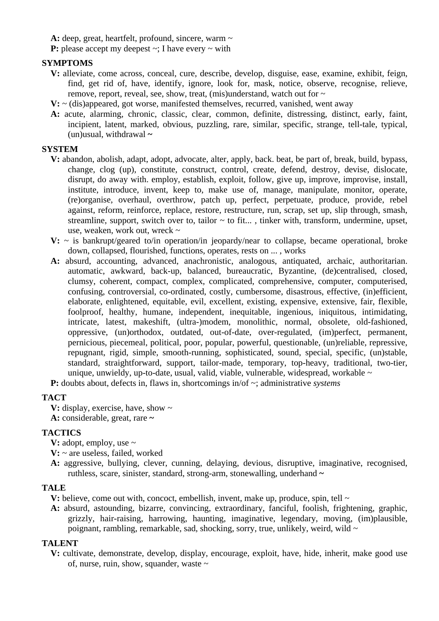A: deep, great, heartfelt, profound, sincere, warm  $\sim$ 

**P:** please accept my deepest  $\sim$ ; I have every  $\sim$  with

## **SYMPTOMS**

- **V:** alleviate, come across, conceal, cure, describe, develop, disguise, ease, examine, exhibit, feign, find, get rid of, have, identify, ignore, look for, mask, notice, observe, recognise, relieve, remove, report, reveal, see, show, treat, (mis)understand, watch out for  $\sim$
- **V:** ~ (dis)appeared, got worse, manifested themselves, recurred, vanished, went away
- **A:** acute, alarming, chronic, classic, clear, common, definite, distressing, distinct, early, faint, incipient, latent, marked, obvious, puzzling, rare, similar, specific, strange, tell-tale, typical, (un)usual, withdrawal **~**

### **SYSTEM**

- **V:** abandon, abolish, adapt, adopt, advocate, alter, apply, back. beat, be part of, break, build, bypass, change, clog (up), constitute, construct, control, create, defend, destroy, devise, dislocate, disrupt, do away with. employ, establish, exploit, follow, give up, improve, improvise, install, institute, introduce, invent, keep to, make use of, manage, manipulate, monitor, operate, (re)organise, overhaul, overthrow, patch up, perfect, perpetuate, produce, provide, rebel against, reform, reinforce, replace, restore, restructure, run, scrap, set up, slip through, smash, streamline, support, switch over to, tailor ~ to fit..., tinker with, transform, undermine, upset, use, weaken, work out, wreck ~
- **V:** ~ is bankrupt/geared to/in operation/in jeopardy/near to collapse, became operational, broke down, collapsed, flourished, functions, operates, rests on ... , works
- **A:** absurd, accounting, advanced, anachronistic, analogous, antiquated, archaic, authoritarian. automatic, awkward, back-up, balanced, bureaucratic, Byzantine, (de)centralised, closed, clumsy, coherent, compact, complex, complicated, comprehensive, computer, computerised, confusing, controversial, co-ordinated, costly, cumbersome, disastrous, effective, (in)efficient, elaborate, enlightened, equitable, evil, excellent, existing, expensive, extensive, fair, flexible, foolproof, healthy, humane, independent, inequitable, ingenious, iniquitous, intimidating, intricate, latest, makeshift, (ultra-)modem, monolithic, normal, obsolete, old-fashioned, oppressive, (un)orthodox, outdated, out-of-date, over-regulated, (im)perfect, permanent, pernicious, piecemeal, political, poor, popular, powerful, questionable, (un)reliable, repressive, repugnant, rigid, simple, smooth-running, sophisticated, sound, special, specific, (un)stable, standard, straightforward, support, tailor-made, temporary, top-heavy, traditional, two-tier, unique, unwieldy, up-to-date, usual, valid, viable, vulnerable, widespread, workable  $\sim$

**P:** doubts about, defects in, flaws in, shortcomings in/of  $\sim$ ; administrative *systems* 

# **TACT**

**V:** display, exercise, have, show  $\sim$ 

 **A:** considerable, great, rare **~** 

# **TACTICS**

**V:** adopt, employ, use  $\sim$ 

- **V:** ~ are useless, failed, worked
- **A:** aggressive, bullying, clever, cunning, delaying, devious, disruptive, imaginative, recognised, ruthless, scare, sinister, standard, strong-arm, stonewalling, underhand **~**

### **TALE**

**V:** believe, come out with, concoct, embellish, invent, make up, produce, spin, tell  $\sim$ 

 **A:** absurd, astounding, bizarre, convincing, extraordinary, fanciful, foolish, frightening, graphic, grizzly, hair-raising, harrowing, haunting, imaginative, legendary, moving, (im)plausible, poignant, rambling, remarkable, sad, shocking, sorry, true, unlikely, weird, wild  $\sim$ 

# **TALENT**

 **V:** cultivate, demonstrate, develop, display, encourage, exploit, have, hide, inherit, make good use of, nurse, ruin, show, squander, waste  $\sim$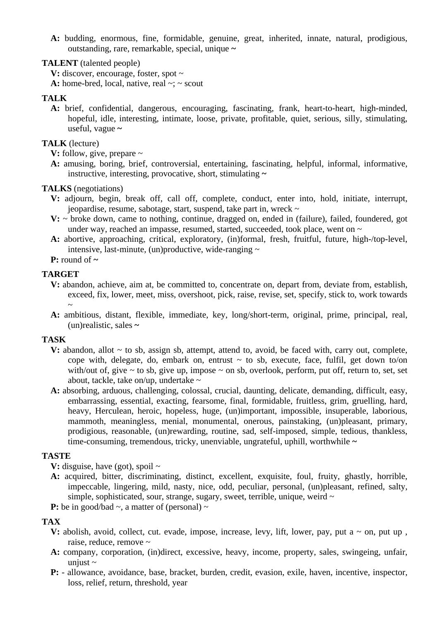**A:** budding, enormous, fine, formidable, genuine, great, inherited, innate, natural, prodigious, outstanding, rare, remarkable, special, unique **~** 

### **TALENT** (talented people)

**V:** discover, encourage, foster, spot  $\sim$ 

**A:** home-bred, local, native, real  $\sim$ ;  $\sim$  scout

## **TALK**

 **A:** brief, confidential, dangerous, encouraging, fascinating, frank, heart-to-heart, high-minded, hopeful, idle, interesting, intimate, loose, private, profitable, quiet, serious, silly, stimulating, useful, vague **~** 

## **TALK** (lecture)

**V:** follow, give, prepare  $\sim$ 

 **A:** amusing, boring, brief, controversial, entertaining, fascinating, helpful, informal, informative, instructive, interesting, provocative, short, stimulating **~** 

## **TALKS** (negotiations)

- **V:** adjourn, begin, break off, call off, complete, conduct, enter into, hold, initiate, interrupt, jeopardise, resume, sabotage, start, suspend, take part in, wreck ~
- **V:** ~ broke down, came to nothing, continue, dragged on, ended in (failure), failed, foundered, got under way, reached an impasse, resumed, started, succeeded, took place, went on  $\sim$
- **A:** abortive, approaching, critical, exploratory, (in)formal, fresh, fruitful, future, high-/top-level, intensive, last-minute, (un)productive, wide-ranging  $\sim$

**P:** round of  $\sim$ 

# **TARGET**

- **V:** abandon, achieve, aim at, be committed to, concentrate on, depart from, deviate from, establish, exceed, fix, lower, meet, miss, overshoot, pick, raise, revise, set, specify, stick to, work towards  $\sim$
- **A:** ambitious, distant, flexible, immediate, key, long/short-term, original, prime, principal, real, (un)realistic, sales **~**

### **TASK**

- **V:** abandon, allot ~ to sb, assign sb, attempt, attend to, avoid, be faced with, carry out, complete, cope with, delegate, do, embark on, entrust  $\sim$  to sb, execute, face, fulfil, get down to/on with/out of, give  $\sim$  to sb, give up, impose  $\sim$  on sb, overlook, perform, put off, return to, set, set about, tackle, take on/up, undertake ~
- **A:** absorbing, arduous, challenging, colossal, crucial, daunting, delicate, demanding, difficult, easy, embarrassing, essential, exacting, fearsome, final, formidable, fruitless, grim, gruelling, hard, heavy, Herculean, heroic, hopeless, huge, (un)important, impossible, insuperable, laborious, mammoth, meaningless, menial, monumental, onerous, painstaking, (un)pleasant, primary, prodigious, reasonable, (un)rewarding, routine, sad, self-imposed, simple, tedious, thankless, time-consuming, tremendous, tricky, unenviable, ungrateful, uphill, worthwhile **~**

# **TASTE**

**V:** disguise, have (got), spoil  $\sim$ 

 **A:** acquired, bitter, discriminating, distinct, excellent, exquisite, foul, fruity, ghastly, horrible, impeccable, lingering, mild, nasty, nice, odd, peculiar, personal, (un)pleasant, refined, salty, simple, sophisticated, sour, strange, sugary, sweet, terrible, unique, weird  $\sim$ 

**P:** be in good/bad  $\sim$ , a matter of (personal)  $\sim$ 

# **TAX**

- **V:** abolish, avoid, collect, cut. evade, impose, increase, levy, lift, lower, pay, put a  $\sim$  on, put up, raise, reduce, remove ~
- **A:** company, corporation, (in)direct, excessive, heavy, income, property, sales, swingeing, unfair, unjust  $\sim$
- **P:** allowance, avoidance, base, bracket, burden, credit, evasion, exile, haven, incentive, inspector, loss, relief, return, threshold, year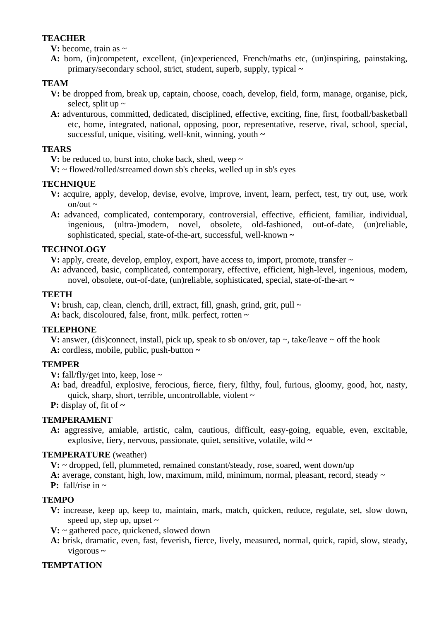# **TEACHER**

**V:** become, train as  $\sim$ 

 **A:** born, (in)competent, excellent, (in)experienced, French/maths etc, (un)inspiring, painstaking, primary/secondary school, strict, student, superb, supply, typical **~** 

## **TEAM**

- **V:** be dropped from, break up, captain, choose, coach, develop, field, form, manage, organise, pick, select, split up  $\sim$
- **A:** adventurous, committed, dedicated, disciplined, effective, exciting, fine, first, football/basketball etc, home, integrated, national, opposing, poor, representative, reserve, rival, school, special, successful, unique, visiting, well-knit, winning, youth **~**

### **TEARS**

**V:** be reduced to, burst into, choke back, shed, weep  $\sim$ 

 **V:** ~ flowed/rolled/streamed down sb's cheeks, welled up in sb's eyes

## **TECHNIQUE**

- **V:** acquire, apply, develop, devise, evolve, improve, invent, learn, perfect, test, try out, use, work on/out  $\sim$
- **A:** advanced, complicated, contemporary, controversial, effective, efficient, familiar, individual, ingenious, (ultra-)modern, novel, obsolete, old-fashioned, out-of-date, (un)reliable, sophisticated, special, state-of-the-art, successful, well-known **~**

## **TECHNOLOGY**

**V:** apply, create, develop, employ, export, have access to, import, promote, transfer  $\sim$ 

 **A:** advanced, basic, complicated, contemporary, effective, efficient, high-level, ingenious, modem, novel, obsolete, out-of-date, (un)reliable, sophisticated, special, state-of-the-art **~** 

## **TEETH**

**V:** brush, cap, clean, clench, drill, extract, fill, gnash, grind, grit, pull  $\sim$ 

 **A:** back, discoloured, false, front, milk. perfect, rotten **~** 

# **TELEPHONE**

**V:** answer, (dis)connect, install, pick up, speak to sb on/over, tap  $\sim$ , take/leave  $\sim$  off the hook  **A:** cordless, mobile, public, push-button **~** 

# **TEMPER**

**V:** fall/fly/get into, keep, lose  $\sim$ 

 **A:** bad, dreadful, explosive, ferocious, fierce, fiery, filthy, foul, furious, gloomy, good, hot, nasty, quick, sharp, short, terrible, uncontrollable, violent ~

**P:** display of, fit of  $\sim$ 

# **TEMPERAMENT**

 **A:** aggressive, amiable, artistic, calm, cautious, difficult, easy-going, equable, even, excitable, explosive, fiery, nervous, passionate, quiet, sensitive, volatile, wild **~** 

# **TEMPERATURE** (weather)

 **V:** ~ dropped, fell, plummeted, remained constant/steady, rose, soared, went down/up

A: average, constant, high, low, maximum, mild, minimum, normal, pleasant, record, steady  $\sim$ 

**P:** fall/rise in  $\sim$ 

# **TEMPO**

- **V:** increase, keep up, keep to, maintain, mark, match, quicken, reduce, regulate, set, slow down, speed up, step up, upset  $\sim$
- **V:** ~ gathered pace, quickened, slowed down
- **A:** brisk, dramatic, even, fast, feverish, fierce, lively, measured, normal, quick, rapid, slow, steady, vigorous **~**

# **TEMPTATION**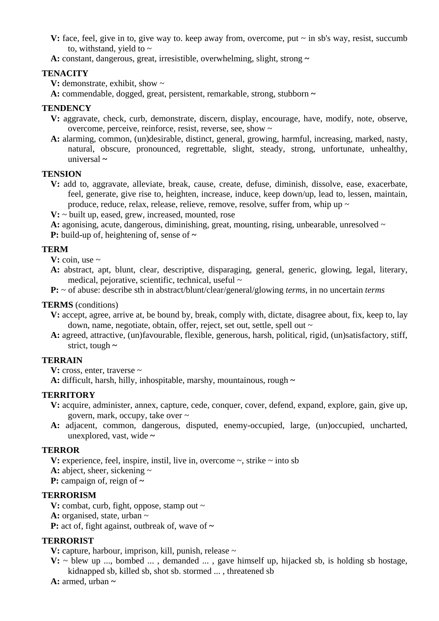- **V:** face, feel, give in to, give way to. keep away from, overcome, put  $\sim$  in sb's way, resist, succumb to, withstand, yield to  $\sim$
- **A:** constant, dangerous, great, irresistible, overwhelming, slight, strong **~**

#### **TENACITY**

**V:** demonstrate, exhibit, show  $\sim$ 

 **A:** commendable, dogged, great, persistent, remarkable, strong, stubborn **~** 

#### **TENDENCY**

- **V:** aggravate, check, curb, demonstrate, discern, display, encourage, have, modify, note, observe, overcome, perceive, reinforce, resist, reverse, see, show ~
- **A:** alarming, common, (un)desirable, distinct, general, growing, harmful, increasing, marked, nasty, natural, obscure, pronounced, regrettable, slight, steady, strong, unfortunate, unhealthy, universal **~**

### **TENSION**

 **V:** add to, aggravate, alleviate, break, cause, create, defuse, diminish, dissolve, ease, exacerbate, feel, generate, give rise to, heighten, increase, induce, keep down/up, lead to, lessen, maintain, produce, reduce, relax, release, relieve, remove, resolve, suffer from, whip up  $\sim$ 

**V:**  $\sim$  built up, eased, grew, increased, mounted, rose

A: agonising, acute, dangerous, diminishing, great, mounting, rising, unbearable, unresolved  $\sim$  **P:** build-up of, heightening of, sense of **~** 

### **TERM**

**V:** coin, use  $\sim$ 

 **A:** abstract, apt, blunt, clear, descriptive, disparaging, general, generic, glowing, legal, literary, medical, pejorative, scientific, technical, useful ~

 **P:** ~ of abuse: describe sth in abstract/blunt/clear/general/glowing *terms,* in no uncertain *terms* 

#### **TERMS** (conditions)

- **V:** accept, agree, arrive at, be bound by, break, comply with, dictate, disagree about, fix, keep to, lay down, name, negotiate, obtain, offer, reject, set out, settle, spell out ~
- **A:** agreed, attractive, (un)favourable, flexible, generous, harsh, political, rigid, (un)satisfactory, stiff, strict, tough **~**

#### **TERRAIN**

**V:** cross, enter, traverse  $\sim$ 

 **A:** difficult, harsh, hilly, inhospitable, marshy, mountainous, rough **~** 

#### **TERRITORY**

- **V:** acquire, administer, annex, capture, cede, conquer, cover, defend, expand, explore, gain, give up, govern, mark, occupy, take over ~
- **A:** adjacent, common, dangerous, disputed, enemy-occupied, large, (un)occupied, uncharted, unexplored, vast, wide **~**

### **TERROR**

**V:** experience, feel, inspire, instil, live in, overcome  $\sim$ , strike  $\sim$  into sb

A: abject, sheer, sickening  $\sim$ 

 **P:** campaign of, reign of **~** 

#### **TERRORISM**

**V:** combat, curb, fight, oppose, stamp out  $\sim$ 

A: organised, state, urban  $\sim$ 

**P:** act of, fight against, outbreak of, wave of  $\sim$ 

#### **TERRORIST**

**V:** capture, harbour, imprison, kill, punish, release  $\sim$ 

 $V: \sim$  blew up ..., bombed ..., demanded ..., gave himself up, hijacked sb, is holding sb hostage, kidnapped sb, killed sb, shot sb. stormed ... , threatened sb

 **A:** armed, urban **~**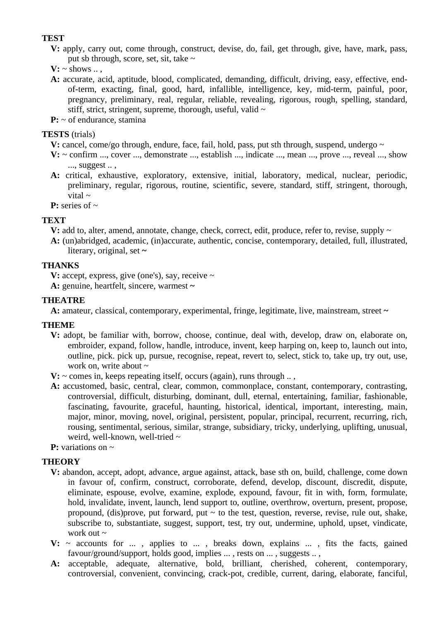# **TEST**

 **V:** apply, carry out, come through, construct, devise, do, fail, get through, give, have, mark, pass, put sb through, score, set, sit, take ~

 $V: \sim$  shows ...

 **A:** accurate, acid, aptitude, blood, complicated, demanding, difficult, driving, easy, effective, endof-term, exacting, final, good, hard, infallible, intelligence, key, mid-term, painful, poor, pregnancy, preliminary, real, regular, reliable, revealing, rigorous, rough, spelling, standard, stiff, strict, stringent, supreme, thorough, useful, valid  $\sim$ 

**P:**  $\sim$  of endurance, stamina

# **TESTS** (trials)

**V:** cancel, come/go through, endure, face, fail, hold, pass, put sth through, suspend, undergo  $\sim$ 

- **V:**  $\sim$  confirm ..., cover ..., demonstrate ..., establish ..., indicate ..., mean ..., prove ..., reveal ..., show ..., suggest .. ,
- **A:** critical, exhaustive, exploratory, extensive, initial, laboratory, medical, nuclear, periodic, preliminary, regular, rigorous, routine, scientific, severe, standard, stiff, stringent, thorough, vital  $\sim$

**P:** series of  $\sim$ 

# **TEXT**

**V:** add to, alter, amend, annotate, change, check, correct, edit, produce, refer to, revise, supply  $\sim$ 

 **A:** (un)abridged, academic, (in)accurate, authentic, concise, contemporary, detailed, full, illustrated, literary, original, set **~** 

# **THANKS**

**V:** accept, express, give (one's), say, receive  $\sim$ 

 **A:** genuine, heartfelt, sincere, warmest **~** 

# **THEATRE**

 **A:** amateur, classical, contemporary, experimental, fringe, legitimate, live, mainstream, street **~** 

# **THEME**

- **V:** adopt, be familiar with, borrow, choose, continue, deal with, develop, draw on, elaborate on, embroider, expand, follow, handle, introduce, invent, keep harping on, keep to, launch out into, outline, pick. pick up, pursue, recognise, repeat, revert to, select, stick to, take up, try out, use, work on, write about  $\sim$
- $V: \sim$  comes in, keeps repeating itself, occurs (again), runs through  $\ldots$
- **A:** accustomed, basic, central, clear, common, commonplace, constant, contemporary, contrasting, controversial, difficult, disturbing, dominant, dull, eternal, entertaining, familiar, fashionable, fascinating, favourite, graceful, haunting, historical, identical, important, interesting, main, major, minor, moving, novel, original, persistent, popular, principal, recurrent, recurring, rich, rousing, sentimental, serious, similar, strange, subsidiary, tricky, underlying, uplifting, unusual, weird, well-known, well-tried ~

**P:** variations on  $\sim$ 

# **THEORY**

- **V:** abandon, accept, adopt, advance, argue against, attack, base sth on, build, challenge, come down in favour of, confirm, construct, corroborate, defend, develop, discount, discredit, dispute, eliminate, espouse, evolve, examine, explode, expound, favour, fit in with, form, formulate, hold, invalidate, invent, launch, lend support to, outline, overthrow, overturn, present, propose, propound, (dis)prove, put forward, put  $\sim$  to the test, question, reverse, revise, rule out, shake, subscribe to, substantiate, suggest, support, test, try out, undermine, uphold, upset, vindicate, work out ~
- $V: \sim$  accounts for ..., applies to ..., breaks down, explains ..., fits the facts, gained favour/ground/support, holds good, implies ..., rests on ..., suggests ...
- **A:** acceptable, adequate, alternative, bold, brilliant, cherished, coherent, contemporary, controversial, convenient, convincing, crack-pot, credible, current, daring, elaborate, fanciful,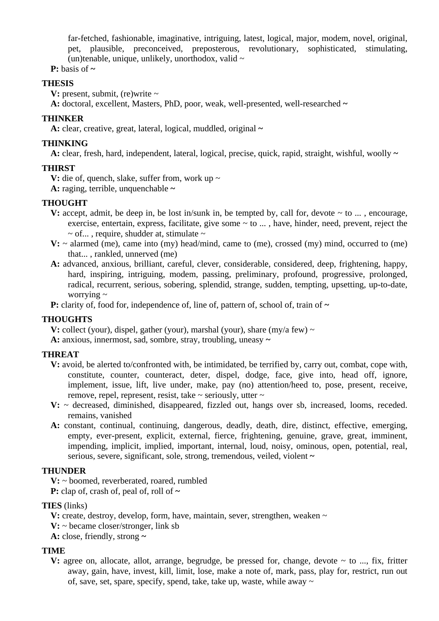far-fetched, fashionable, imaginative, intriguing, latest, logical, major, modem, novel, original, pet, plausible, preconceived, preposterous, revolutionary, sophisticated, stimulating, (un)tenable, unique, unlikely, unorthodox, valid  $\sim$ 

**P:** basis of  $\sim$ 

## **THESIS**

**V:** present, submit, (re)write  $\sim$ 

 **A:** doctoral, excellent, Masters, PhD, poor, weak, well-presented, well-researched **~** 

## **THINKER**

 **A:** clear, creative, great, lateral, logical, muddled, original **~** 

## **THINKING**

 **A:** clear, fresh, hard, independent, lateral, logical, precise, quick, rapid, straight, wishful, woolly **~** 

## **THIRST**

**V:** die of, quench, slake, suffer from, work up  $\sim$ 

 **A:** raging, terrible, unquenchable **~** 

# **THOUGHT**

- **V:** accept, admit, be deep in, be lost in/sunk in, be tempted by, call for, devote  $\sim$  to ..., encourage, exercise, entertain, express, facilitate, give some ~ to ... , have, hinder, need, prevent, reject the  $\sim$  of..., require, shudder at, stimulate  $\sim$
- **V:**  $\sim$  alarmed (me), came into (my) head/mind, came to (me), crossed (my) mind, occurred to (me) that... , rankled, unnerved (me)
- **A:** advanced, anxious, brilliant, careful, clever, considerable, considered, deep, frightening, happy, hard, inspiring, intriguing, modem, passing, preliminary, profound, progressive, prolonged, radical, recurrent, serious, sobering, splendid, strange, sudden, tempting, upsetting, up-to-date, worrying ~

**P:** clarity of, food for, independence of, line of, pattern of, school of, train of  $\sim$ 

# **THOUGHTS**

**V:** collect (your), dispel, gather (your), marshal (your), share (my/a few)  $\sim$ 

 **A:** anxious, innermost, sad, sombre, stray, troubling, uneasy **~** 

# **THREAT**

- **V:** avoid, be alerted to/confronted with, be intimidated, be terrified by, carry out, combat, cope with, constitute, counter, counteract, deter, dispel, dodge, face, give into, head off, ignore, implement, issue, lift, live under, make, pay (no) attention/heed to, pose, present, receive, remove, repel, represent, resist, take  $\sim$  seriously, utter  $\sim$
- **V:** ~ decreased, diminished, disappeared, fizzled out, hangs over sb, increased, looms, receded. remains, vanished
- **A:** constant, continual, continuing, dangerous, deadly, death, dire, distinct, effective, emerging, empty, ever-present, explicit, external, fierce, frightening, genuine, grave, great, imminent, impending, implicit, implied, important, internal, loud, noisy, ominous, open, potential, real, serious, severe, significant, sole, strong, tremendous, veiled, violent **~**

# **THUNDER**

 **V:** ~ boomed, reverberated, roared, rumbled  **P:** clap of, crash of, peal of, roll of **~** 

# **TIES** (links)

**V:** create, destroy, develop, form, have, maintain, sever, strengthen, weaken  $\sim$ 

- **V:** ~ became closer/stronger, link sb
- **A:** close, friendly, strong **~**

# **TIME**

**V:** agree on, allocate, allot, arrange, begrudge, be pressed for, change, devote  $\sim$  to  $\ldots$ , fix, fritter away, gain, have, invest, kill, limit, lose, make a note of, mark, pass, play for, restrict, run out of, save, set, spare, specify, spend, take, take up, waste, while away  $\sim$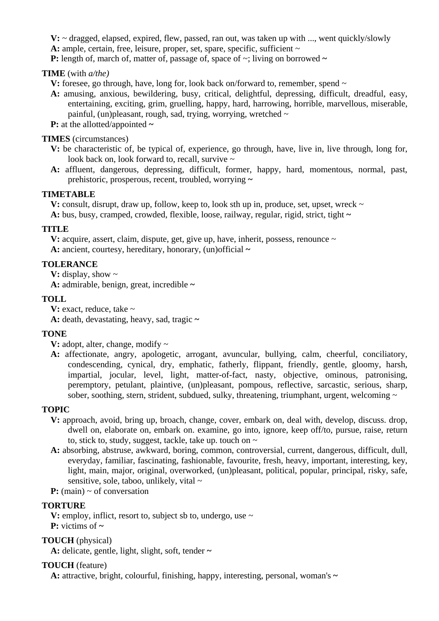**V:** ~ dragged, elapsed, expired, flew, passed, ran out, was taken up with ..., went quickly/slowly

A: ample, certain, free, leisure, proper, set, spare, specific, sufficient ~

**P:** length of, march of, matter of, passage of, space of  $\sim$ ; living on borrowed  $\sim$ 

### **TIME** (with *a/the)*

**V:** foresee, go through, have, long for, look back on/forward to, remember, spend  $\sim$ 

 **A:** amusing, anxious, bewildering, busy, critical, delightful, depressing, difficult, dreadful, easy, entertaining, exciting, grim, gruelling, happy, hard, harrowing, horrible, marvellous, miserable, painful, (un)pleasant, rough, sad, trying, worrying, wretched  $\sim$ 

 **P:** at the allotted/appointed **~** 

### **TIMES** (circumstances)

- **V:** be characteristic of, be typical of, experience, go through, have, live in, live through, long for, look back on, look forward to, recall, survive  $\sim$
- **A:** affluent, dangerous, depressing, difficult, former, happy, hard, momentous, normal, past, prehistoric, prosperous, recent, troubled, worrying **~**

# **TIMETABLE**

**V:** consult, disrupt, draw up, follow, keep to, look sth up in, produce, set, upset, wreck  $\sim$  **A:** bus, busy, cramped, crowded, flexible, loose, railway, regular, rigid, strict, tight **~** 

## **TITLE**

**V:** acquire, assert, claim, dispute, get, give up, have, inherit, possess, renounce  $\sim$  **A:** ancient, courtesy, hereditary, honorary, (un)official **~** 

## **TOLERANCE**

**V:** display, show  $\sim$ 

 **A:** admirable, benign, great, incredible **~** 

## **TOLL**

**V:** exact, reduce, take  $\sim$ 

 **A:** death, devastating, heavy, sad, tragic **~** 

### **TONE**

**V:** adopt, alter, change, modify  $\sim$ 

 **A:** affectionate, angry, apologetic, arrogant, avuncular, bullying, calm, cheerful, conciliatory, condescending, cynical, dry, emphatic, fatherly, flippant, friendly, gentle, gloomy, harsh, impartial, jocular, level, light, matter-of-fact, nasty, objective, ominous, patronising, peremptory, petulant, plaintive, (un)pleasant, pompous, reflective, sarcastic, serious, sharp, sober, soothing, stern, strident, subdued, sulky, threatening, triumphant, urgent, welcoming  $\sim$ 

### **TOPIC**

- **V:** approach, avoid, bring up, broach, change, cover, embark on, deal with, develop, discuss. drop, dwell on, elaborate on, embark on. examine, go into, ignore, keep off/to, pursue, raise, return to, stick to, study, suggest, tackle, take up. touch on  $\sim$
- **A:** absorbing, abstruse, awkward, boring, common, controversial, current, dangerous, difficult, dull, everyday, familiar, fascinating, fashionable, favourite, fresh, heavy, important, interesting, key, light, main, major, original, overworked, (un)pleasant, political, popular, principal, risky, safe, sensitive, sole, taboo, unlikely, vital  $\sim$
- **P:**  $(\text{main}) \sim \text{of}$  conversation

# **TORTURE**

**V:** employ, inflict, resort to, subject sb to, undergo, use  $\sim$ **P:** victims of  $\sim$ 

# **TOUCH** (physical)

 **A:** delicate, gentle, light, slight, soft, tender **~** 

# **TOUCH** (feature)

 **A:** attractive, bright, colourful, finishing, happy, interesting, personal, woman's **~**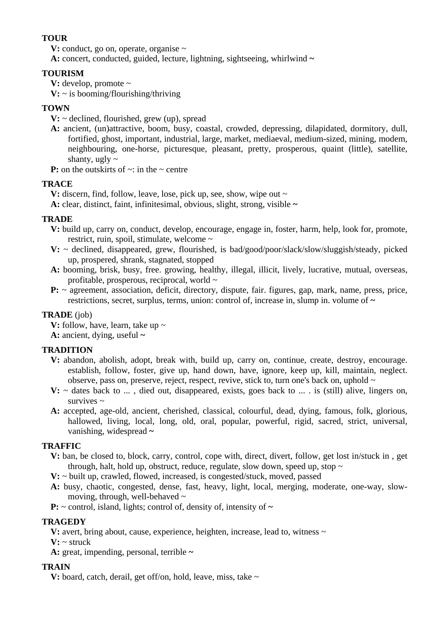# **TOUR**

**V:** conduct, go on, operate, organise ~  **A:** concert, conducted, guided, lecture, lightning, sightseeing, whirlwind **~** 

# **TOURISM**

- **V:** develop, promote ~
- **V:** ~ is booming/flourishing/thriving

# **TOWN**

 **V:** ~ declined, flourished, grew (up), spread

 **A:** ancient, (un)attractive, boom, busy, coastal, crowded, depressing, dilapidated, dormitory, dull, fortified, ghost, important, industrial, large, market, mediaeval, medium-sized, mining, modem, neighbouring, one-horse, picturesque, pleasant, pretty, prosperous, quaint (little), satellite, shanty, ugly  $\sim$ 

**P:** on the outskirts of  $\sim$ : in the  $\sim$  centre

# **TRACE**

**V:** discern, find, follow, leave, lose, pick up, see, show, wipe out  $\sim$ 

 **A:** clear, distinct, faint, infinitesimal, obvious, slight, strong, visible **~** 

# **TRADE**

- **V:** build up, carry on, conduct, develop, encourage, engage in, foster, harm, help, look for, promote, restrict, ruin, spoil, stimulate, welcome ~
- **V:** ~ declined, disappeared, grew, flourished, is bad/good/poor/slack/slow/sluggish/steady, picked up, prospered, shrank, stagnated, stopped
- **A:** booming, brisk, busy, free. growing, healthy, illegal, illicit, lively, lucrative, mutual, overseas, profitable, prosperous, reciprocal, world ~
- **P:**  $\sim$  agreement, association, deficit, directory, dispute, fair. figures, gap, mark, name, press, price, restrictions, secret, surplus, terms, union: control of, increase in, slump in. volume of **~**

# **TRADE** (job)

**V:** follow, have, learn, take up  $\sim$ 

 **A:** ancient, dying, useful **~** 

# **TRADITION**

- **V:** abandon, abolish, adopt, break with, build up, carry on, continue, create, destroy, encourage. establish, follow, foster, give up, hand down, have, ignore, keep up, kill, maintain, neglect. observe, pass on, preserve, reject, respect, revive, stick to, turn one's back on, uphold  $\sim$
- **V:**  $\sim$  dates back to ..., died out, disappeared, exists, goes back to ... . is (still) alive, lingers on, survives  $\sim$
- **A:** accepted, age-old, ancient, cherished, classical, colourful, dead, dying, famous, folk, glorious, hallowed, living, local, long, old, oral, popular, powerful, rigid, sacred, strict, universal, vanishing, widespread **~**

# **TRAFFIC**

- **V:** ban, be closed to, block, carry, control, cope with, direct, divert, follow, get lost in/stuck in , get through, halt, hold up, obstruct, reduce, regulate, slow down, speed up, stop  $\sim$
- **V:** ~ built up, crawled, flowed, increased, is congested/stuck, moved, passed
- **A:** busy, chaotic, congested, dense, fast, heavy, light, local, merging, moderate, one-way, slowmoving, through, well-behaved  $\sim$

**P:**  $\sim$  control, island, lights; control of, density of, intensity of  $\sim$ 

# **TRAGEDY**

**V:** avert, bring about, cause, experience, heighten, increase, lead to, witness  $\sim$  $V:~$   $\sim$  struck

 **A:** great, impending, personal, terrible **~** 

# **TRAIN**

**V:** board, catch, derail, get off/on, hold, leave, miss, take  $\sim$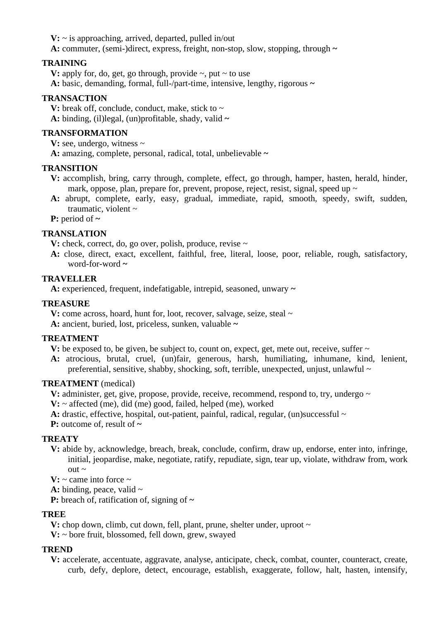**V:** ~ is approaching, arrived, departed, pulled in/out

 **A:** commuter, (semi-)direct, express, freight, non-stop, slow, stopping, through **~** 

## **TRAINING**

**V:** apply for, do, get, go through, provide  $\sim$ , put  $\sim$  to use

 **A:** basic, demanding, formal, full-/part-time, intensive, lengthy, rigorous **~** 

## **TRANSACTION**

**V:** break off, conclude, conduct, make, stick to  $\sim$ 

 **A:** binding, (il)legal, (un)profitable, shady, valid **~** 

### **TRANSFORMATION**

**V:** see, undergo, witness ~

 **A:** amazing, complete, personal, radical, total, unbelievable **~** 

## **TRANSITION**

- **V:** accomplish, bring, carry through, complete, effect, go through, hamper, hasten, herald, hinder, mark, oppose, plan, prepare for, prevent, propose, reject, resist, signal, speed up  $\sim$
- **A:** abrupt, complete, early, easy, gradual, immediate, rapid, smooth, speedy, swift, sudden, traumatic, violent ~

**P:** period of  $\sim$ 

## **TRANSLATION**

**V:** check, correct, do, go over, polish, produce, revise  $\sim$ 

 **A:** close, direct, exact, excellent, faithful, free, literal, loose, poor, reliable, rough, satisfactory, word-for-word **~** 

## **TRAVELLER**

 **A:** experienced, frequent, indefatigable, intrepid, seasoned, unwary **~** 

## **TREASURE**

**V:** come across, hoard, hunt for, loot, recover, salvage, seize, steal  $\sim$ 

 **A:** ancient, buried, lost, priceless, sunken, valuable **~** 

# **TREATMENT**

**V:** be exposed to, be given, be subject to, count on, expect, get, mete out, receive, suffer  $\sim$ 

 **A:** atrocious, brutal, cruel, (un)fair, generous, harsh, humiliating, inhumane, kind, lenient, preferential, sensitive, shabby, shocking, soft, terrible, unexpected, unjust, unlawful  $\sim$ 

## **TREATMENT** (medical)

**V:** administer, get, give, propose, provide, receive, recommend, respond to, try, undergo  $\sim$ 

 **V:** ~ affected (me), did (me) good, failed, helped (me), worked

A: drastic, effective, hospital, out-patient, painful, radical, regular, (un)successful ~

 **P:** outcome of, result of **~** 

# **TREATY**

 **V:** abide by, acknowledge, breach, break, conclude, confirm, draw up, endorse, enter into, infringe, initial, jeopardise, make, negotiate, ratify, repudiate, sign, tear up, violate, withdraw from, work out  $\sim$ 

 $V: \sim$  came into force  $\sim$ 

A: binding, peace, valid  $\sim$ 

**P:** breach of, ratification of, signing of  $\sim$ 

### **TREE**

**V:** chop down, climb, cut down, fell, plant, prune, shelter under, uproot  $\sim$ 

 **V:** ~ bore fruit, blossomed, fell down, grew, swayed

### **TREND**

 **V:** accelerate, accentuate, aggravate, analyse, anticipate, check, combat, counter, counteract, create, curb, defy, deplore, detect, encourage, establish, exaggerate, follow, halt, hasten, intensify,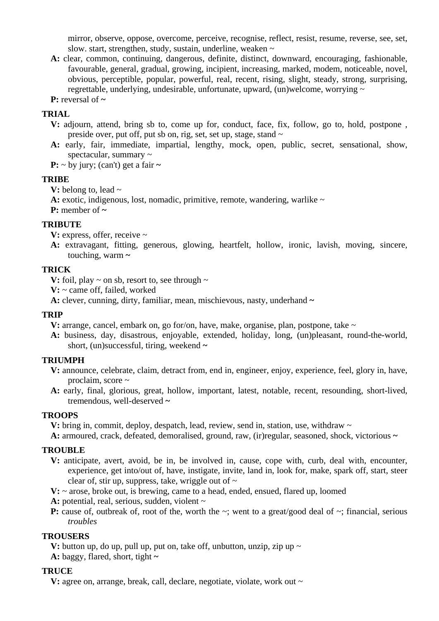mirror, observe, oppose, overcome, perceive, recognise, reflect, resist, resume, reverse, see, set, slow. start, strengthen, study, sustain, underline, weaken  $\sim$ 

 **A:** clear, common, continuing, dangerous, definite, distinct, downward, encouraging, fashionable, favourable, general, gradual, growing, incipient, increasing, marked, modem, noticeable, novel, obvious, perceptible, popular, powerful, real, recent, rising, slight, steady, strong, surprising, regrettable, underlying, undesirable, unfortunate, upward, (un)welcome, worrying ~

 **P:** reversal of **~** 

#### **TRIAL**

- **V:** adjourn, attend, bring sb to, come up for, conduct, face, fix, follow, go to, hold, postpone , preside over, put off, put sb on, rig, set, set up, stage, stand  $\sim$
- **A:** early, fair, immediate, impartial, lengthy, mock, open, public, secret, sensational, show, spectacular, summary ~
- **P:**  $\sim$  by jury; (can't) get a fair  $\sim$

#### **TRIBE**

**V:** belong to, lead  $\sim$ 

 **A:** exotic, indigenous, lost, nomadic, primitive, remote, wandering, warlike ~

 **P:** member of **~** 

### **TRIBUTE**

**V:** express, offer, receive  $\sim$ 

 **A:** extravagant, fitting, generous, glowing, heartfelt, hollow, ironic, lavish, moving, sincere, touching, warm **~** 

#### **TRICK**

**V:** foil, play  $\sim$  on sb, resort to, see through  $\sim$ 

 **V:** ~ came off, failed, worked

 **A:** clever, cunning, dirty, familiar, mean, mischievous, nasty, underhand **~** 

#### **TRIP**

**V:** arrange, cancel, embark on, go for/on, have, make, organise, plan, postpone, take  $\sim$ 

 **A:** business, day, disastrous, enjoyable, extended, holiday, long, (un)pleasant, round-the-world, short, (un)successful, tiring, weekend **~** 

#### **TRIUMPH**

- **V:** announce, celebrate, claim, detract from, end in, engineer, enjoy, experience, feel, glory in, have, proclaim, score ~
- **A:** early, final, glorious, great, hollow, important, latest, notable, recent, resounding, short-lived, tremendous, well-deserved **~**

### **TROOPS**

**V:** bring in, commit, deploy, despatch, lead, review, send in, station, use, withdraw  $\sim$ 

 **A:** armoured, crack, defeated, demoralised, ground, raw, (ir)regular, seasoned, shock, victorious **~** 

#### **TROUBLE**

 **V:** anticipate, avert, avoid, be in, be involved in, cause, cope with, curb, deal with, encounter, experience, get into/out of, have, instigate, invite, land in, look for, make, spark off, start, steer clear of, stir up, suppress, take, wriggle out of  $\sim$ 

 **V:** ~ arose, broke out, is brewing, came to a head, ended, ensued, flared up, loomed

A: potential, real, serious, sudden, violent ~

**P:** cause of, outbreak of, root of the, worth the  $\sim$ ; went to a great/good deal of  $\sim$ ; financial, serious *troubles* 

### **TROUSERS**

**V:** button up, do up, pull up, put on, take off, unbutton, unzip, zip up  $\sim$ 

 **A:** baggy, flared, short, tight **~** 

#### **TRUCE**

**V:** agree on, arrange, break, call, declare, negotiate, violate, work out  $\sim$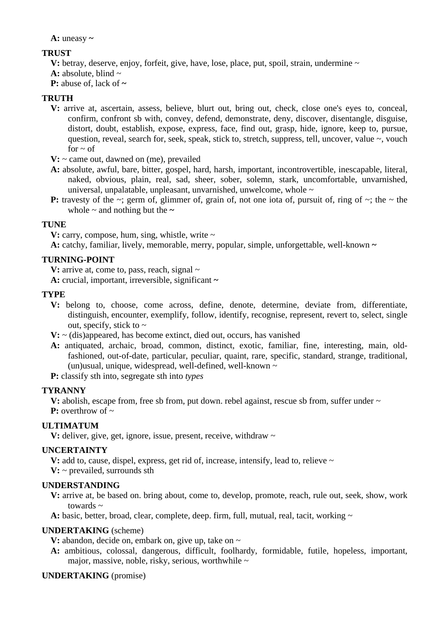A:  $\text{uneasy}$   $\sim$ 

# **TRUST**

V: betray, deserve, enjoy, forfeit, give, have, lose, place, put, spoil, strain, undermine ~

**A:** absolute, blind  $\sim$ 

**P:** abuse of, lack of  $\sim$ 

# **TRUTH**

- **V:** arrive at, ascertain, assess, believe, blurt out, bring out, check, close one's eyes to, conceal, confirm, confront sb with, convey, defend, demonstrate, deny, discover, disentangle, disguise, distort, doubt, establish, expose, express, face, find out, grasp, hide, ignore, keep to, pursue, question, reveal, search for, seek, speak, stick to, stretch, suppress, tell, uncover, value ~, vouch for  $\sim$  of
- **V:**  $\sim$  came out, dawned on (me), prevailed
- **A:** absolute, awful, bare, bitter, gospel, hard, harsh, important, incontrovertible, inescapable, literal, naked, obvious, plain, real, sad, sheer, sober, solemn, stark, uncomfortable, unvarnished, universal, unpalatable, unpleasant, unvarnished, unwelcome, whole  $\sim$
- **P:** travesty of the  $\sim$ ; germ of, glimmer of, grain of, not one iota of, pursuit of, ring of  $\sim$ ; the  $\sim$  the whole  $\sim$  and nothing but the  $\sim$

## **TUNE**

**V:** carry, compose, hum, sing, whistle, write  $\sim$ 

 **A:** catchy, familiar, lively, memorable, merry, popular, simple, unforgettable, well-known **~** 

# **TURNING-POINT**

**V:** arrive at, come to, pass, reach, signal  $\sim$ 

 **A:** crucial, important, irreversible, significant **~** 

### **TYPE**

- **V:** belong to, choose, come across, define, denote, determine, deviate from, differentiate, distinguish, encounter, exemplify, follow, identify, recognise, represent, revert to, select, single out, specify, stick to  $\sim$
- **V:** ~ (dis)appeared, has become extinct, died out, occurs, has vanished
- **A:** antiquated, archaic, broad, common, distinct, exotic, familiar, fine, interesting, main, oldfashioned, out-of-date, particular, peculiar, quaint, rare, specific, standard, strange, traditional, (un)usual, unique, widespread, well-defined, well-known  $\sim$

 **P:** classify sth into, segregate sth into *types* 

# **TYRANNY**

**V:** abolish, escape from, free sb from, put down. rebel against, rescue sb from, suffer under  $\sim$ **P:** overthrow of  $\sim$ 

# **ULTIMATUM**

**V:** deliver, give, get, ignore, issue, present, receive, withdraw  $\sim$ 

# **UNCERTAINTY**

**V:** add to, cause, dispel, express, get rid of, increase, intensify, lead to, relieve  $\sim$ 

**V:** ~ prevailed, surrounds sth

### **UNDERSTANDING**

 **V:** arrive at, be based on. bring about, come to, develop, promote, reach, rule out, seek, show, work towards ~

**A:** basic, better, broad, clear, complete, deep. firm, full, mutual, real, tacit, working  $\sim$ 

# **UNDERTAKING** (scheme)

**V:** abandon, decide on, embark on, give up, take on  $\sim$ 

 **A:** ambitious, colossal, dangerous, difficult, foolhardy, formidable, futile, hopeless, important, major, massive, noble, risky, serious, worthwhile  $\sim$ 

### **UNDERTAKING** (promise)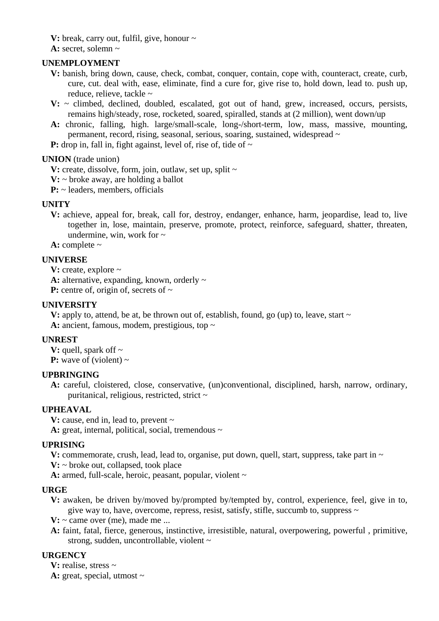**V:** break, carry out, fulfil, give, honour  $\sim$ 

A: secret, solemn ~

## **UNEMPLOYMENT**

- **V:** banish, bring down, cause, check, combat, conquer, contain, cope with, counteract, create, curb, cure, cut. deal with, ease, eliminate, find a cure for, give rise to, hold down, lead to. push up, reduce, relieve, tackle ~
- **V:** ~ climbed, declined, doubled, escalated, got out of hand, grew, increased, occurs, persists, remains high/steady, rose, rocketed, soared, spiralled, stands at (2 million), went down/up
- **A:** chronic, falling, high. large/small-scale, long-/short-term, low, mass, massive, mounting, permanent, record, rising, seasonal, serious, soaring, sustained, widespread ~

**P:** drop in, fall in, fight against, level of, rise of, tide of  $\sim$ 

## **UNION** (trade union)

**V:** create, dissolve, form, join, outlaw, set up, split ~

- **V:** ~ broke away, are holding a ballot
- P: ~ leaders, members, officials

# **UNITY**

 **V:** achieve, appeal for, break, call for, destroy, endanger, enhance, harm, jeopardise, lead to, live together in, lose, maintain, preserve, promote, protect, reinforce, safeguard, shatter, threaten, undermine, win, work for  $\sim$ 

 **A:** complete ~

# **UNIVERSE**

**V:** create, explore ~

A: alternative, expanding, known, orderly  $\sim$ 

**P:** centre of, origin of, secrets of  $\sim$ 

## **UNIVERSITY**

**V:** apply to, attend, be at, be thrown out of, establish, found, go (up) to, leave, start  $\sim$ A: ancient, famous, modem, prestigious, top ~

# **UNREST**

**V:** quell, spark off  $\sim$ **P:** wave of (violent)  $\sim$ 

### **UPBRINGING**

 **A:** careful, cloistered, close, conservative, (un)conventional, disciplined, harsh, narrow, ordinary, puritanical, religious, restricted, strict ~

# **UPHEAVAL**

**V:** cause, end in, lead to, prevent  $\sim$ 

A: great, internal, political, social, tremendous ~

# **UPRISING**

V: commemorate, crush, lead, lead to, organise, put down, quell, start, suppress, take part in ~

**V:** ~ broke out, collapsed, took place

A: armed, full-scale, heroic, peasant, popular, violent ~

### **URGE**

- **V:** awaken, be driven by/moved by/prompted by/tempted by, control, experience, feel, give in to, give way to, have, overcome, repress, resist, satisfy, stifle, succumb to, suppress  $\sim$
- $V: \sim$  came over (me), made me ...
- **A:** faint, fatal, fierce, generous, instinctive, irresistible, natural, overpowering, powerful , primitive, strong, sudden, uncontrollable, violent ~

# **URGENCY**

**V:** realise, stress  $\sim$ A: great, special, utmost ~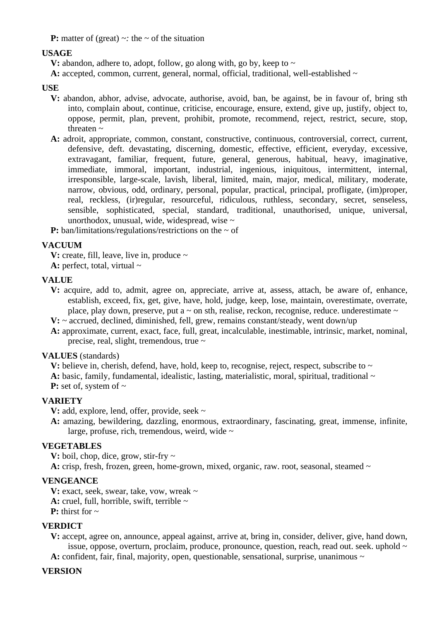**P:** matter of (great)  $\sim$ : the  $\sim$  of the situation

### **USAGE**

**V:** abandon, adhere to, adopt, follow, go along with, go by, keep to  $\sim$ 

A: accepted, common, current, general, normal, official, traditional, well-established ~

#### **USE**

- **V:** abandon, abhor, advise, advocate, authorise, avoid, ban, be against, be in favour of, bring sth into, complain about, continue, criticise, encourage, ensure, extend, give up, justify, object to, oppose, permit, plan, prevent, prohibit, promote, recommend, reject, restrict, secure, stop, threaten ~
- **A:** adroit, appropriate, common, constant, constructive, continuous, controversial, correct, current, defensive, deft. devastating, discerning, domestic, effective, efficient, everyday, excessive, extravagant, familiar, frequent, future, general, generous, habitual, heavy, imaginative, immediate, immoral, important, industrial, ingenious, iniquitous, intermittent, internal, irresponsible, large-scale, lavish, liberal, limited, main, major, medical, military, moderate, narrow, obvious, odd, ordinary, personal, popular, practical, principal, profligate, (im)proper, real, reckless, (ir)regular, resourceful, ridiculous, ruthless, secondary, secret, senseless, sensible, sophisticated, special, standard, traditional, unauthorised, unique, universal, unorthodox, unusual, wide, widespread, wise ~

**P:** ban/limitations/regulations/restrictions on the  $\sim$  of

# **VACUUM**

**V:** create, fill, leave, live in, produce  $\sim$ 

A: perfect, total, virtual  $\sim$ 

### **VALUE**

- **V:** acquire, add to, admit, agree on, appreciate, arrive at, assess, attach, be aware of, enhance, establish, exceed, fix, get, give, have, hold, judge, keep, lose, maintain, overestimate, overrate, place, play down, preserve, put a  $\sim$  on sth, realise, reckon, recognise, reduce. underestimate  $\sim$
- **V:** ~ accrued, declined, diminished, fell, grew, remains constant/steady, went down/up
- **A:** approximate, current, exact, face, full, great, incalculable, inestimable, intrinsic, market, nominal, precise, real, slight, tremendous, true ~

### **VALUES** (standards)

**V:** believe in, cherish, defend, have, hold, keep to, recognise, reject, respect, subscribe to  $\sim$  **A:** basic, family, fundamental, idealistic, lasting, materialistic, moral, spiritual, traditional ~

**P:** set of, system of  $\sim$ 

## **VARIETY**

**V:** add, explore, lend, offer, provide, seek ~

 **A:** amazing, bewildering, dazzling, enormous, extraordinary, fascinating, great, immense, infinite, large, profuse, rich, tremendous, weird, wide ~

#### **VEGETABLES**

**V:** boil, chop, dice, grow, stir-fry  $\sim$ 

**A:** crisp, fresh, frozen, green, home-grown, mixed, organic, raw. root, seasonal, steamed ~

## **VENGEANCE**

**V:** exact, seek, swear, take, yow, wreak  $\sim$ 

A: cruel, full, horrible, swift, terrible ~

**P:** thirst for  $\sim$ 

### **VERDICT**

 **V:** accept, agree on, announce, appeal against, arrive at, bring in, consider, deliver, give, hand down, issue, oppose, overturn, proclaim, produce, pronounce, question, reach, read out. seek. uphold ~

A: confident, fair, final, majority, open, questionable, sensational, surprise, unanimous ~

### **VERSION**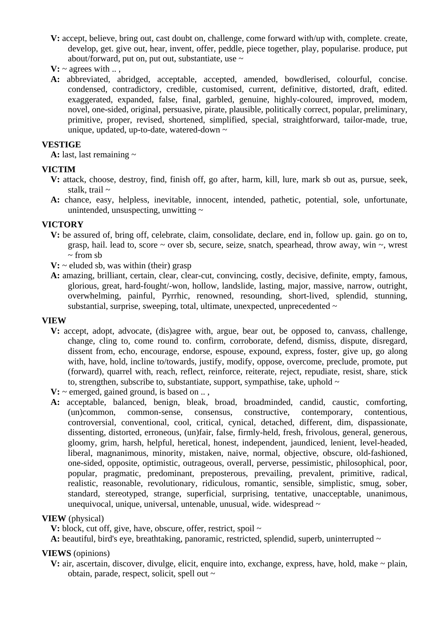- **V:** accept, believe, bring out, cast doubt on, challenge, come forward with/up with, complete. create, develop, get. give out, hear, invent, offer, peddle, piece together, play, popularise. produce, put about/forward, put on, put out, substantiate, use ~
- $V: \sim$  agrees with ...
- **A:** abbreviated, abridged, acceptable, accepted, amended, bowdlerised, colourful, concise. condensed, contradictory, credible, customised, current, definitive, distorted, draft, edited. exaggerated, expanded, false, final, garbled, genuine, highly-coloured, improved, modem, novel, one-sided, original, persuasive, pirate, plausible, politically correct, popular, preliminary, primitive, proper, revised, shortened, simplified, special, straightforward, tailor-made, true, unique, updated, up-to-date, watered-down ~

#### **VESTIGE**

 **A:** last, last remaining ~

#### **VICTIM**

- **V:** attack, choose, destroy, find, finish off, go after, harm, kill, lure, mark sb out as, pursue, seek, stalk, trail ~
- **A:** chance, easy, helpless, inevitable, innocent, intended, pathetic, potential, sole, unfortunate, unintended, unsuspecting, unwitting ~

#### **VICTORY**

- **V:** be assured of, bring off, celebrate, claim, consolidate, declare, end in, follow up. gain. go on to, grasp, hail. lead to, score ~ over sb, secure, seize, snatch, spearhead, throw away, win ~, wrest  $\sim$  from sh
- $V:$   $\sim$  eluded sb, was within (their) grasp
- **A:** amazing, brilliant, certain, clear, clear-cut, convincing, costly, decisive, definite, empty, famous, glorious, great, hard-fought/-won, hollow, landslide, lasting, major, massive, narrow, outright, overwhelming, painful, Pyrrhic, renowned, resounding, short-lived, splendid, stunning, substantial, surprise, sweeping, total, ultimate, unexpected, unprecedented  $\sim$

#### **VIEW**

- **V:** accept, adopt, advocate, (dis)agree with, argue, bear out, be opposed to, canvass, challenge, change, cling to, come round to. confirm, corroborate, defend, dismiss, dispute, disregard, dissent from, echo, encourage, endorse, espouse, expound, express, foster, give up, go along with, have, hold, incline to/towards, justify, modify, oppose, overcome, preclude, promote, put (forward), quarrel with, reach, reflect, reinforce, reiterate, reject, repudiate, resist, share, stick to, strengthen, subscribe to, substantiate, support, sympathise, take, uphold  $\sim$
- $V: \sim$  emerged, gained ground, is based on ...
- **A:** acceptable, balanced, benign, bleak, broad, broadminded, candid, caustic, comforting, (un)common, common-sense, consensus, constructive, contemporary, contentious, controversial, conventional, cool, critical, cynical, detached, different, dim, dispassionate, dissenting, distorted, erroneous, (un)fair, false, firmly-held, fresh, frivolous, general, generous, gloomy, grim, harsh, helpful, heretical, honest, independent, jaundiced, lenient, level-headed, liberal, magnanimous, minority, mistaken, naive, normal, objective, obscure, old-fashioned, one-sided, opposite, optimistic, outrageous, overall, perverse, pessimistic, philosophical, poor, popular, pragmatic, predominant, preposterous, prevailing, prevalent, primitive, radical, realistic, reasonable, revolutionary, ridiculous, romantic, sensible, simplistic, smug, sober, standard, stereotyped, strange, superficial, surprising, tentative, unacceptable, unanimous, unequivocal, unique, universal, untenable, unusual, wide. widespread  $\sim$

### **VIEW** (physical)

**V:** block, cut off, give, have, obscure, offer, restrict, spoil  $\sim$ 

A: beautiful, bird's eye, breathtaking, panoramic, restricted, splendid, superb, uninterrupted ~

### **VIEWS** (opinions)

**V:** air, ascertain, discover, divulge, elicit, enquire into, exchange, express, have, hold, make ~ plain, obtain, parade, respect, solicit, spell out ~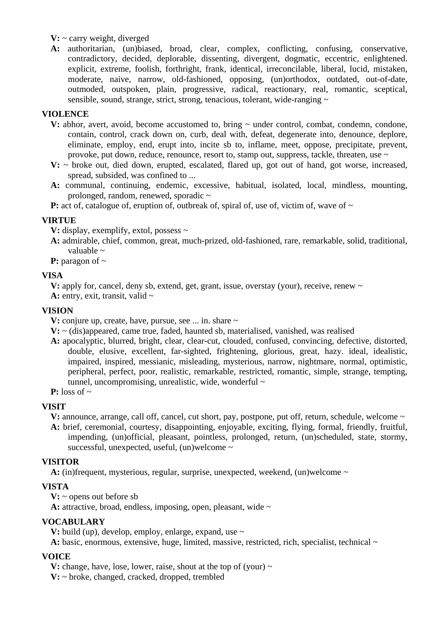- **V:** ~ carry weight, diverged
- A: authoritarian, (un)biased, broad, clear, complex, conflicting, confusing, conservative, contradictory, decided, deplorable, dissenting, divergent, dogmatic, eccentric, enlightened. explicit, extreme, foolish, forthright, frank, identical, irreconcilable, liberal, lucid, mistaken, moderate, naive, narrow, old-fashioned, opposing, (un)orthodox, outdated, out-of-date, outmoded, outspoken, plain, progressive, radical, reactionary, real, romantic, sceptical, sensible, sound, strange, strict, strong, tenacious, tolerant, wide-ranging  $\sim$

### **VIOLENCE**

- **V:** abhor, avert, avoid, become accustomed to, bring  $\sim$  under control, combat, condemn, condone, contain, control, crack down on, curb, deal with, defeat, degenerate into, denounce, deplore, eliminate, employ, end, erupt into, incite sb to, inflame, meet, oppose, precipitate, prevent, provoke, put down, reduce, renounce, resort to, stamp out, suppress, tackle, threaten, use ~
- **V:** ~ broke out, died down, erupted, escalated, flared up, got out of hand, got worse, increased, spread, subsided, was confined to ...
- **A:** communal, continuing, endemic, excessive, habitual, isolated, local, mindless, mounting, prolonged, random, renewed, sporadic ~

**P:** act of, catalogue of, eruption of, outbreak of, spiral of, use of, victim of, wave of  $\sim$ 

### **VIRTUE**

**V:** display, exemplify, extol, possess  $\sim$ 

- **A:** admirable, chief, common, great, much-prized, old-fashioned, rare, remarkable, solid, traditional, valuable ~
- **P:** paragon of  $\sim$

### **VISA**

**V:** apply for, cancel, deny sb, extend, get, grant, issue, overstay (your), receive, renew  $\sim$ **A:** entry, exit, transit, valid ~

### **VISION**

**V:** conjure up, create, have, pursue, see ... in. share  $\sim$ 

- **V:** ~ (dis)appeared, came true, faded, haunted sb, materialised, vanished, was realised
- **A:** apocalyptic, blurred, bright, clear, clear-cut, clouded, confused, convincing, defective, distorted, double, elusive, excellent, far-sighted, frightening, glorious, great, hazy. ideal, idealistic, impaired, inspired, messianic, misleading, mysterious, narrow, nightmare, normal, optimistic, peripheral, perfect, poor, realistic, remarkable, restricted, romantic, simple, strange, tempting, tunnel, uncompromising, unrealistic, wide, wonderful ~

**P:** loss of  $\sim$ 

### **VISIT**

**V:** announce, arrange, call off, cancel, cut short, pay, postpone, put off, return, schedule, welcome  $\sim$ 

 **A:** brief, ceremonial, courtesy, disappointing, enjoyable, exciting, flying, formal, friendly, fruitful, impending, (un)official, pleasant, pointless, prolonged, return, (un)scheduled, state, stormy, successful, unexpected, useful, (un)welcome  $\sim$ 

### **VISITOR**

A: (in)frequent, mysterious, regular, surprise, unexpected, weekend, (un)welcome ~

### **VISTA**

 **V:** ~ opens out before sb

A: attractive, broad, endless, imposing, open, pleasant, wide ~

### **VOCABULARY**

**V:** build (up), develop, employ, enlarge, expand, use  $\sim$ 

A: basic, enormous, extensive, huge, limited, massive, restricted, rich, specialist, technical ~

### **VOICE**

**V:** change, have, lose, lower, raise, shout at the top of (your)  $\sim$ 

 **V:** ~ broke, changed, cracked, dropped, trembled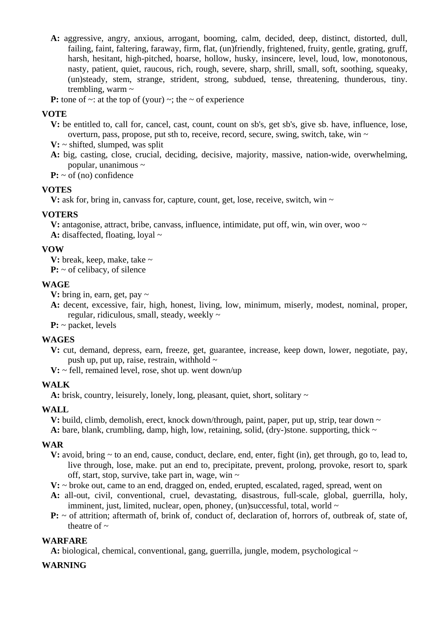**A:** aggressive, angry, anxious, arrogant, booming, calm, decided, deep, distinct, distorted, dull, failing, faint, faltering, faraway, firm, flat, (un)friendly, frightened, fruity, gentle, grating, gruff, harsh, hesitant, high-pitched, hoarse, hollow, husky, insincere, level, loud, low, monotonous, nasty, patient, quiet, raucous, rich, rough, severe, sharp, shrill, small, soft, soothing, squeaky, (un)steady, stem, strange, strident, strong, subdued, tense, threatening, thunderous, tiny. trembling, warm  $\sim$ 

**P:** tone of  $\sim$ : at the top of (your)  $\sim$ ; the  $\sim$  of experience

### **VOTE**

- **V:** be entitled to, call for, cancel, cast, count, count on sb's, get sb's, give sb. have, influence, lose, overturn, pass, propose, put sth to, receive, record, secure, swing, switch, take, win  $\sim$
- **V:** ~ shifted, slumped, was split
- **A:** big, casting, close, crucial, deciding, decisive, majority, massive, nation-wide, overwhelming, popular, unanimous ~

 $P: ~ of (no) confidence$ 

### **VOTES**

**V:** ask for, bring in, canvass for, capture, count, get, lose, receive, switch, win  $\sim$ 

### **VOTERS**

**V:** antagonise, attract, bribe, canvass, influence, intimidate, put off, win, win over, woo ~ A: disaffected, floating, loyal  $\sim$ 

### **VOW**

**V:** break, keep, make, take  $\sim$ 

**P:**  $\sim$  of celibacy, of silence

### **WAGE**

**V:** bring in, earn, get, pay  $\sim$ 

 **A:** decent, excessive, fair, high, honest, living, low, minimum, miserly, modest, nominal, proper, regular, ridiculous, small, steady, weekly ~

**P:**  $\sim$  packet, levels

### **WAGES**

- **V:** cut, demand, depress, earn, freeze, get, guarantee, increase, keep down, lower, negotiate, pay, push up, put up, raise, restrain, withhold  $\sim$
- **V:** ~ fell, remained level, rose, shot up. went down/up

### **WALK**

 **A:** brisk, country, leisurely, lonely, long, pleasant, quiet, short, solitary ~

### **WALL**

**V:** build, climb, demolish, erect, knock down/through, paint, paper, put up, strip, tear down  $\sim$ 

A: bare, blank, crumbling, damp, high, low, retaining, solid, (dry-)stone. supporting, thick  $\sim$ 

### **WAR**

- **V:** avoid, bring ~ to an end, cause, conduct, declare, end, enter, fight (in), get through, go to, lead to, live through, lose, make. put an end to, precipitate, prevent, prolong, provoke, resort to, spark off, start, stop, survive, take part in, wage, win  $\sim$
- **V:** ~ broke out, came to an end, dragged on, ended, erupted, escalated, raged, spread, went on
- **A:** all-out, civil, conventional, cruel, devastating, disastrous, full-scale, global, guerrilla, holy, imminent, just, limited, nuclear, open, phoney, (un)successful, total, world  $\sim$
- **P:**  $\sim$  of attrition; aftermath of, brink of, conduct of, declaration of, horrors of, outbreak of, state of, theatre of  $\sim$

### **WARFARE**

 **A:** biological, chemical, conventional, gang, guerrilla, jungle, modem, psychological ~

# **WARNING**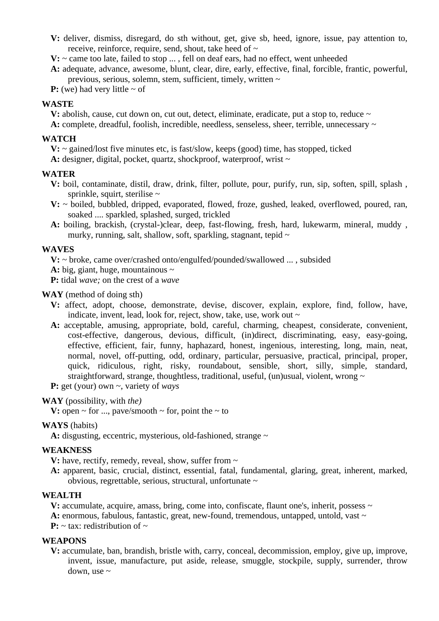- **V:** deliver, dismiss, disregard, do sth without, get, give sb, heed, ignore, issue, pay attention to, receive, reinforce, require, send, shout, take heed of  $\sim$
- **V:**  $\sim$  came too late, failed to stop ..., fell on deaf ears, had no effect, went unheeded
- **A:** adequate, advance, awesome, blunt, clear, dire, early, effective, final, forcible, frantic, powerful, previous, serious, solemn, stem, sufficient, timely, written ~
- **P:** (we) had very little  $\sim$  of

### **WASTE**

**V:** abolish, cause, cut down on, cut out, detect, eliminate, eradicate, put a stop to, reduce  $\sim$ A: complete, dreadful, foolish, incredible, needless, senseless, sheer, terrible, unnecessary  $\sim$ 

### **WATCH**

 **V:** ~ gained/lost five minutes etc, is fast/slow, keeps (good) time, has stopped, ticked A: designer, digital, pocket, quartz, shockproof, waterproof, wrist ~

### **WATER**

- **V:** boil, contaminate, distil, draw, drink, filter, pollute, pour, purify, run, sip, soften, spill, splash , sprinkle, squirt, sterilise  $\sim$
- **V:** ~ boiled, bubbled, dripped, evaporated, flowed, froze, gushed, leaked, overflowed, poured, ran, soaked .... sparkled, splashed, surged, trickled
- **A:** boiling, brackish, (crystal-)clear, deep, fast-flowing, fresh, hard, lukewarm, mineral, muddy , murky, running, salt, shallow, soft, sparkling, stagnant, tepid ~

### **WAVES**

 **V:** ~ broke, came over/crashed onto/engulfed/pounded/swallowed ... , subsided

 **A:** big, giant, huge, mountainous ~

 **P:** tidal *wave;* on the crest of a *wave* 

### **WAY** (method of doing sth)

- **V:** affect, adopt, choose, demonstrate, devise, discover, explain, explore, find, follow, have, indicate, invent, lead, look for, reject, show, take, use, work out  $\sim$
- **A:** acceptable, amusing, appropriate, bold, careful, charming, cheapest, considerate, convenient, cost-effective, dangerous, devious, difficult, (in)direct, discriminating, easy, easy-going, effective, efficient, fair, funny, haphazard, honest, ingenious, interesting, long, main, neat, normal, novel, off-putting, odd, ordinary, particular, persuasive, practical, principal, proper, quick, ridiculous, right, risky, roundabout, sensible, short, silly, simple, standard, straightforward, strange, thoughtless, traditional, useful, (un)usual, violent, wrong  $\sim$

 **P:** get (your) own ~, variety of *ways* 

### **WAY** (possibility, with *the)*

**V:** open  $\sim$  for ..., pave/smooth  $\sim$  for, point the  $\sim$  to

### **WAYS** (habits)

A: disgusting, eccentric, mysterious, old-fashioned, strange  $\sim$ 

### **WEAKNESS**

**V:** have, rectify, remedy, reveal, show, suffer from  $\sim$ 

 **A:** apparent, basic, crucial, distinct, essential, fatal, fundamental, glaring, great, inherent, marked, obvious, regrettable, serious, structural, unfortunate ~

### **WEALTH**

**V:** accumulate, acquire, amass, bring, come into, confiscate, flaunt one's, inherit, possess  $\sim$ 

 **A:** enormous, fabulous, fantastic, great, new-found, tremendous, untapped, untold, vast ~

 $P: \sim \text{tax: redistribution of } \sim$ 

### **WEAPONS**

 **V:** accumulate, ban, brandish, bristle with, carry, conceal, decommission, employ, give up, improve, invent, issue, manufacture, put aside, release, smuggle, stockpile, supply, surrender, throw down, use  $\sim$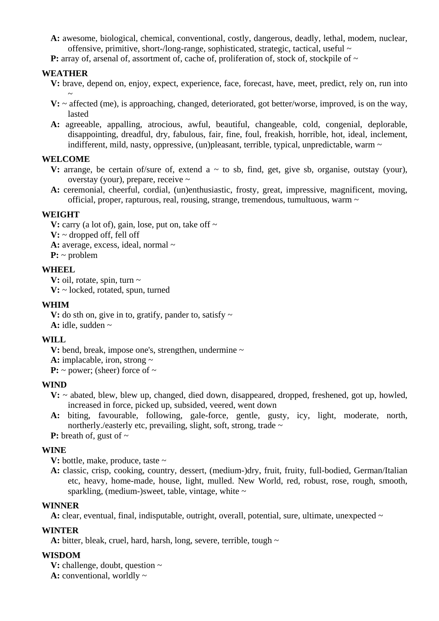**A:** awesome, biological, chemical, conventional, costly, dangerous, deadly, lethal, modem, nuclear, offensive, primitive, short-/long-range, sophisticated, strategic, tactical, useful ~

**P:** array of, arsenal of, assortment of, cache of, proliferation of, stock of, stockpile of  $\sim$ 

### **WEATHER**

- **V:** brave, depend on, enjoy, expect, experience, face, forecast, have, meet, predict, rely on, run into  $\sim$
- **V:** ~ affected (me), is approaching, changed, deteriorated, got better/worse, improved, is on the way, lasted
- **A:** agreeable, appalling, atrocious, awful, beautiful, changeable, cold, congenial, deplorable, disappointing, dreadful, dry, fabulous, fair, fine, foul, freakish, horrible, hot, ideal, inclement, indifferent, mild, nasty, oppressive, (un)pleasant, terrible, typical, unpredictable, warm  $\sim$

### **WELCOME**

- **V:** arrange, be certain of/sure of, extend a  $\sim$  to sb, find, get, give sb, organise, outstay (your), overstay (your), prepare, receive ~
- **A:** ceremonial, cheerful, cordial, (un)enthusiastic, frosty, great, impressive, magnificent, moving, official, proper, rapturous, real, rousing, strange, tremendous, tumultuous, warm ~

### **WEIGHT**

**V:** carry (a lot of), gain, lose, put on, take off  $\sim$ 

 **V:** ~ dropped off, fell off

A: average, excess, ideal, normal  $\sim$ 

 **P:** ~ problem

### **WHEEL**

**V:** oil, rotate, spin, turn  $\sim$ 

 **V:** ~ locked, rotated, spun, turned

### **WHIM**

**V:** do sth on, give in to, gratify, pander to, satisfy  $\sim$ A: idle, sudden ~

### **WILL**

**V:** bend, break, impose one's, strengthen, undermine  $\sim$ 

A: implacable, iron, strong  $\sim$ 

**P:**  $\sim$  power; (sheer) force of  $\sim$ 

### **WIND**

- **V:** ~ abated, blew, blew up, changed, died down, disappeared, dropped, freshened, got up, howled, increased in force, picked up, subsided, veered, went down
- **A:** biting, favourable, following, gale-force, gentle, gusty, icy, light, moderate, north, northerly./easterly etc, prevailing, slight, soft, strong, trade  $\sim$

**P:** breath of, gust of  $\sim$ 

### **WINE**

**V:** bottle, make, produce, taste ~

 **A:** classic, crisp, cooking, country, dessert, (medium-)dry, fruit, fruity, full-bodied, German/Italian etc, heavy, home-made, house, light, mulled. New World, red, robust, rose, rough, smooth, sparkling, (medium-)sweet, table, vintage, white  $\sim$ 

### **WINNER**

 **A:** clear, eventual, final, indisputable, outright, overall, potential, sure, ultimate, unexpected ~

### **WINTER**

A: bitter, bleak, cruel, hard, harsh, long, severe, terrible, tough ~

### **WISDOM**

**V:** challenge, doubt, question  $\sim$ A: conventional, worldly ~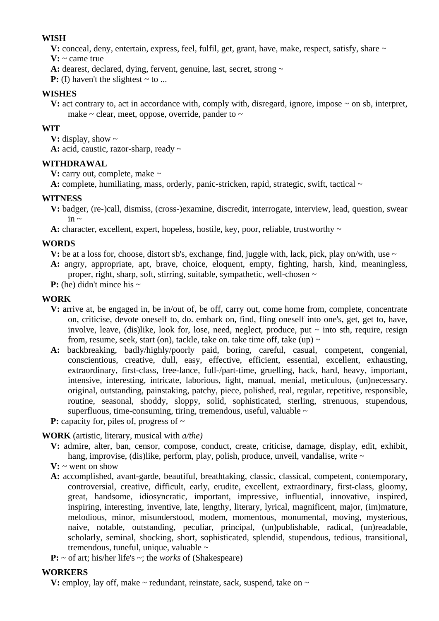### **WISH**

V: conceal, deny, entertain, express, feel, fulfil, get, grant, have, make, respect, satisfy, share ~

 **V:** ~ came true

A: dearest, declared, dying, fervent, genuine, last, secret, strong  $\sim$ 

**P:** (I) haven't the slightest  $\sim$  to ...

### **WISHES**

**V:** act contrary to, act in accordance with, comply with, disregard, ignore, impose  $\sim$  on sb, interpret, make  $\sim$  clear, meet, oppose, override, pander to  $\sim$ 

### **WIT**

**V:** display, show  $\sim$ 

A: acid, caustic, razor-sharp, ready  $\sim$ 

### **WITHDRAWAL**

**V:** carry out, complete, make  $\sim$ 

A: complete, humiliating, mass, orderly, panic-stricken, rapid, strategic, swift, tactical  $\sim$ 

### **WITNESS**

 **V:** badger, (re-)call, dismiss, (cross-)examine, discredit, interrogate, interview, lead, question, swear  $in \sim$ 

A: character, excellent, expert, hopeless, hostile, key, poor, reliable, trustworthy  $\sim$ 

### **WORDS**

**V:** be at a loss for, choose, distort sb's, exchange, find, juggle with, lack, pick, play on/with, use  $\sim$ 

 **A:** angry, appropriate, apt, brave, choice, eloquent, empty, fighting, harsh, kind, meaningless, proper, right, sharp, soft, stirring, suitable, sympathetic, well-chosen ~

**P:** (he) didn't mince his  $\sim$ 

### **WORK**

- **V:** arrive at, be engaged in, be in/out of, be off, carry out, come home from, complete, concentrate on, criticise, devote oneself to, do. embark on, find, fling oneself into one's, get, get to, have, involve, leave, (dis)like, look for, lose, need, neglect, produce, put  $\sim$  into sth, require, resign from, resume, seek, start (on), tackle, take on. take time off, take (up)  $\sim$
- **A:** backbreaking, badly/highly/poorly paid, boring, careful, casual, competent, congenial, conscientious, creative, dull, easy, effective, efficient, essential, excellent, exhausting, extraordinary, first-class, free-lance, full-/part-time, gruelling, hack, hard, heavy, important, intensive, interesting, intricate, laborious, light, manual, menial, meticulous, (un)necessary. original, outstanding, painstaking, patchy, piece, polished, real, regular, repetitive, responsible, routine, seasonal, shoddy, sloppy, solid, sophisticated, sterling, strenuous, stupendous, superfluous, time-consuming, tiring, tremendous, useful, valuable  $\sim$

**P:** capacity for, piles of, progress of  $\sim$ 

**WORK** (artistic, literary, musical with *a/the)* 

- **V:** admire, alter, ban, censor, compose, conduct, create, criticise, damage, display, edit, exhibit, hang, improvise, (dis)like, perform, play, polish, produce, unveil, vandalise, write  $\sim$
- $V: \sim$  went on show
- **A:** accomplished, avant-garde, beautiful, breathtaking, classic, classical, competent, contemporary, controversial, creative, difficult, early, erudite, excellent, extraordinary, first-class, gloomy, great, handsome, idiosyncratic, important, impressive, influential, innovative, inspired, inspiring, interesting, inventive, late, lengthy, literary, lyrical, magnificent, major, (im)mature, melodious, minor, misunderstood, modem, momentous, monumental, moving, mysterious, naive, notable, outstanding, peculiar, principal, (un)publishable, radical, (un)readable, scholarly, seminal, shocking, short, sophisticated, splendid, stupendous, tedious, transitional, tremendous, tuneful, unique, valuable ~

 **P:** ~ of art; his/her life's ~; the *works* of (Shakespeare)

# **WORKERS**

**V:** employ, lay off, make ~ redundant, reinstate, sack, suspend, take on ~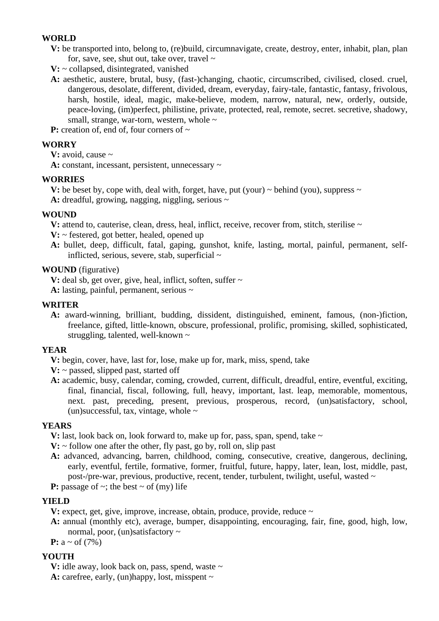### **WORLD**

- **V:** be transported into, belong to, (re)build, circumnavigate, create, destroy, enter, inhabit, plan, plan for, save, see, shut out, take over, travel  $\sim$
- **V:** ~ collapsed, disintegrated, vanished
- **A:** aesthetic, austere, brutal, busy, (fast-)changing, chaotic, circumscribed, civilised, closed. cruel, dangerous, desolate, different, divided, dream, everyday, fairy-tale, fantastic, fantasy, frivolous, harsh, hostile, ideal, magic, make-believe, modem, narrow, natural, new, orderly, outside, peace-loving, (im)perfect, philistine, private, protected, real, remote, secret. secretive, shadowy, small, strange, war-torn, western, whole  $\sim$

**P:** creation of, end of, four corners of  $\sim$ 

### **WORRY**

**V:** avoid, cause ~

A: constant, incessant, persistent, unnecessary  $\sim$ 

### **WORRIES**

**V:** be beset by, cope with, deal with, forget, have, put (your)  $\sim$  behind (you), suppress  $\sim$ 

A: dreadful, growing, nagging, niggling, serious  $\sim$ 

### **WOUND**

**V:** attend to, cauterise, clean, dress, heal, inflict, receive, recover from, stitch, sterilise ~

- **V:** ~ festered, got better, healed, opened up
- **A:** bullet, deep, difficult, fatal, gaping, gunshot, knife, lasting, mortal, painful, permanent, selfinflicted, serious, severe, stab, superficial  $\sim$

### **WOUND** (figurative)

**V:** deal sb, get over, give, heal, inflict, soften, suffer  $\sim$ 

 **A:** lasting, painful, permanent, serious ~

### **WRITER**

 **A:** award-winning, brilliant, budding, dissident, distinguished, eminent, famous, (non-)fiction, freelance, gifted, little-known, obscure, professional, prolific, promising, skilled, sophisticated, struggling, talented, well-known ~

### **YEAR**

- **V:** begin, cover, have, last for, lose, make up for, mark, miss, spend, take
- **V:** ~ passed, slipped past, started off
- **A:** academic, busy, calendar, coming, crowded, current, difficult, dreadful, entire, eventful, exciting, final, financial, fiscal, following, full, heavy, important, last. leap, memorable, momentous, next. past, preceding, present, previous, prosperous, record, (un)satisfactory, school, (un)successful, tax, vintage, whole  $\sim$

### **YEARS**

**V:** last, look back on, look forward to, make up for, pass, span, spend, take  $\sim$ 

- $V: \sim$  follow one after the other, fly past, go by, roll on, slip past
- A: advanced, advancing, barren, childhood, coming, consecutive, creative, dangerous, declining, early, eventful, fertile, formative, former, fruitful, future, happy, later, lean, lost, middle, past, post-/pre-war, previous, productive, recent, tender, turbulent, twilight, useful, wasted  $\sim$
- **P:** passage of  $\sim$ ; the best  $\sim$  of (my) life

### **YIELD**

**V:** expect, get, give, improve, increase, obtain, produce, provide, reduce  $\sim$ 

- **A:** annual (monthly etc), average, bumper, disappointing, encouraging, fair, fine, good, high, low, normal, poor, (un)satisfactory ~
- **P:**  $a \sim of (7\%)$

### **YOUTH**

**V:** idle away, look back on, pass, spend, waste  $\sim$ 

A: carefree, early, (un)happy, lost, misspent  $\sim$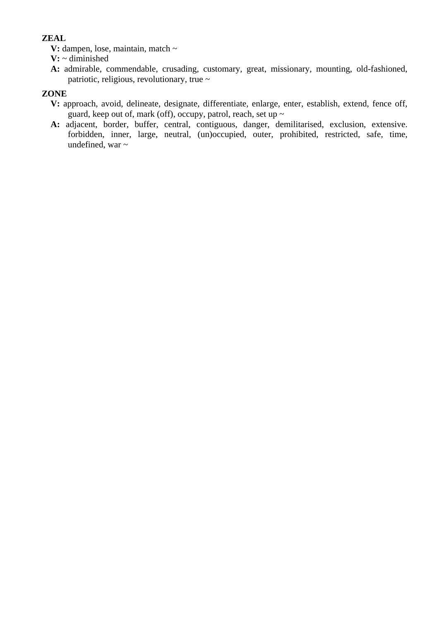### **ZEAL**

V: dampen, lose, maintain, match ~

 **V:** ~ diminished

 **A:** admirable, commendable, crusading, customary, great, missionary, mounting, old-fashioned, patriotic, religious, revolutionary, true ~

## **ZONE**

- **V:** approach, avoid, delineate, designate, differentiate, enlarge, enter, establish, extend, fence off, guard, keep out of, mark (off), occupy, patrol, reach, set up ~
- **A:** adjacent, border, buffer, central, contiguous, danger, demilitarised, exclusion, extensive. forbidden, inner, large, neutral, (un)occupied, outer, prohibited, restricted, safe, time, undefined, war ~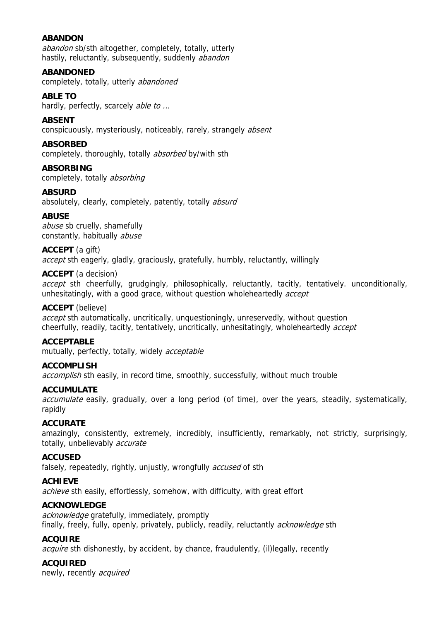### **ABANDON**

abandon sb/sth altogether, completely, totally, utterly hastily, reluctantly, subsequently, suddenly abandon

#### **ABANDONED**

completely, totally, utterly *abandoned* 

### **ABLE TO**

hardly, perfectly, scarcely *able to ...* 

### **ABSENT**

conspicuously, mysteriously, noticeably, rarely, strangely *absent* 

### **ABSORBED**

completely, thoroughly, totally absorbed by/with sth

### **ABSORBING**

completely, totally absorbing

### **ABSURD**

absolutely, clearly, completely, patently, totally *absurd* 

### **ABUSE**

abuse sb cruelly, shamefully constantly, habitually abuse

### **ACCEPT** (a gift)

accept sth eagerly, gladly, graciously, gratefully, humbly, reluctantly, willingly

### **ACCEPT** (a decision)

accept sth cheerfully, grudgingly, philosophically, reluctantly, tacitly, tentatively. unconditionally, unhesitatingly, with a good grace, without question wholeheartedly *accept* 

### **ACCEPT** (believe)

accept sth automatically, uncritically, unquestioningly, unreservedly, without question cheerfully, readily, tacitly, tentatively, uncritically, unhesitatingly, wholeheartedly *accept* 

### **ACCEPTABLE**

mutually, perfectly, totally, widely *acceptable* 

#### **ACCOMPLISH**

accomplish sth easily, in record time, smoothly, successfully, without much trouble

#### **ACCUMULATE**

accumulate easily, gradually, over a long period (of time), over the years, steadily, systematically, rapidly

### **ACCURATE**

amazingly, consistently, extremely, incredibly, insufficiently, remarkably, not strictly, surprisingly, totally, unbelievably *accurate* 

#### **ACCUSED**

falsely, repeatedly, rightly, unjustly, wrongfully *accused* of sth

#### **ACHIEVE**

achieve sth easily, effortlessly, somehow, with difficulty, with great effort

### **ACKNOWLEDGE**

acknowledge gratefully, immediately, promptly finally, freely, fully, openly, privately, publicly, readily, reluctantly *acknowledge* sth

### **ACQUIRE**

acquire sth dishonestly, by accident, by chance, fraudulently, (ii)legally, recently

### **ACQUIRED**

newly, recently *acquired*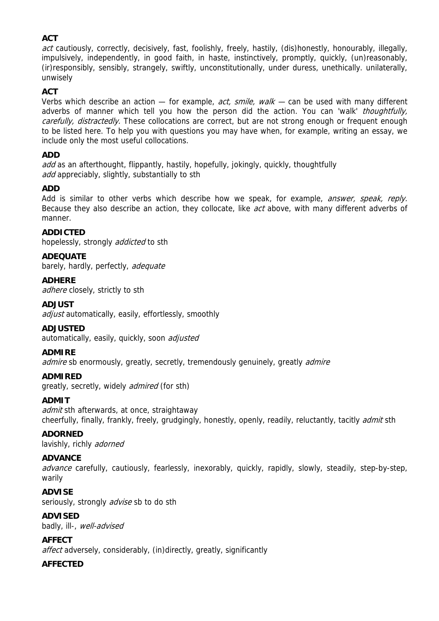### **ACT**

act cautiously, correctly, decisively, fast, foolishly, freely, hastily, (dis)honestly, honourably, illegally, impulsively, independently, in good faith, in haste, instinctively, promptly, quickly, (un)reasonably, (ir)responsibly, sensibly, strangely, swiftly, unconstitutionally, under duress, unethically. unilaterally, unwisely

### **ACT**

Verbs which describe an action — for example, *act, smile, walk* — can be used with many different adverbs of manner which tell you how the person did the action. You can 'walk' *thoughtfully*, carefully, distractedly. These collocations are correct, but are not strong enough or frequent enough to be listed here. To help you with questions you may have when, for example, writing an essay, we include only the most useful collocations.

### **ADD**

add as an afterthought, flippantly, hastily, hopefully, jokingly, quickly, thoughtfully add appreciably, slightly, substantially to sth

### **ADD**

Add is similar to other verbs which describe how we speak, for example, *answer, speak, reply.* Because they also describe an action, they collocate, like *act* above, with many different adverbs of manner.

### **ADDICTED**

hopelessly, strongly *addicted* to sth

**ADEQUATE**  barely, hardly, perfectly, adequate

### **ADHERE**

adhere closely, strictly to sth

### **ADJUST**

adjust automatically, easily, effortlessly, smoothly

### **ADJUSTED**

automatically, easily, quickly, soon *adjusted* 

### **ADMIRE**

admire sb enormously, greatly, secretly, tremendously genuinely, greatly *admire* 

### **ADMIRED**

greatly, secretly, widely *admired* (for sth)

### **ADMIT**

admit sth afterwards, at once, straightaway cheerfully, finally, frankly, freely, grudgingly, honestly, openly, readily, reluctantly, tacitly *admit* sth

### **ADORNED**

lavishly, richly adorned

### **ADVANCE**

advance carefully, cautiously, fearlessly, inexorably, quickly, rapidly, slowly, steadily, step-by-step, warily

### **ADVISE**

seriously, strongly *advise* sb to do sth

# **ADVISED**

badly, ill-, well-advised

### **AFFECT**

affect adversely, considerably, (in)directly, greatly, significantly

### **AFFECTED**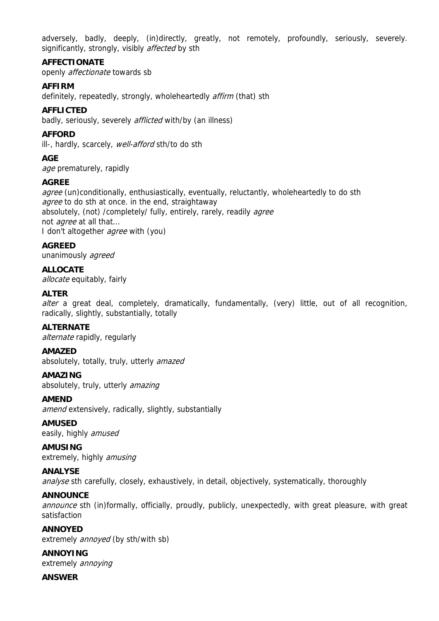adversely, badly, deeply, (in)directly, greatly, not remotely, profoundly, seriously, severely. significantly, strongly, visibly *affected* by sth

### **AFFECTIONATE**

openly *affectionate* towards sb

#### **AFFIRM**

definitely, repeatedly, strongly, wholeheartedly *affirm* (that) sth

#### **AFFLICTED**

badly, seriously, severely *afflicted* with/by (an illness)

### **AFFORD**

ill-, hardly, scarcely, well-afford sth/to do sth

#### **AGE**

age prematurely, rapidly

#### **AGREE**

agree (un)conditionally, enthusiastically, eventually, reluctantly, wholeheartedly to do sth agree to do sth at once. in the end, straightaway absolutely, (not) /completely/ fully, entirely, rarely, readily *agree* not *agree* at all that... I don't altogether *agree* with (you)

#### **AGREED**

unanimously *agreed* 

#### **ALLOCATE**

allocate equitably, fairly

#### **ALTER**

alter a great deal, completely, dramatically, fundamentally, (very) little, out of all recognition, radically, slightly, substantially, totally

#### **ALTERNATE**

alternate rapidly, regularly

#### **AMAZED**

absolutely, totally, truly, utterly *amazed* 

### **AMAZING**

absolutely, truly, utterly amazing

#### **AMEND**

amend extensively, radically, slightly, substantially

### **AMUSED**

easily, highly amused

### **AMUSING**

extremely, highly *amusing* 

### **ANALYSE**

analyse sth carefully, closely, exhaustively, in detail, objectively, systematically, thoroughly

### **ANNOUNCE**

announce sth (in)formally, officially, proudly, publicly, unexpectedly, with great pleasure, with great satisfaction

#### **ANNOYED**

extremely *annoyed* (by sth/with sb)

# **ANNOYING**

extremely annoying

**ANSWER**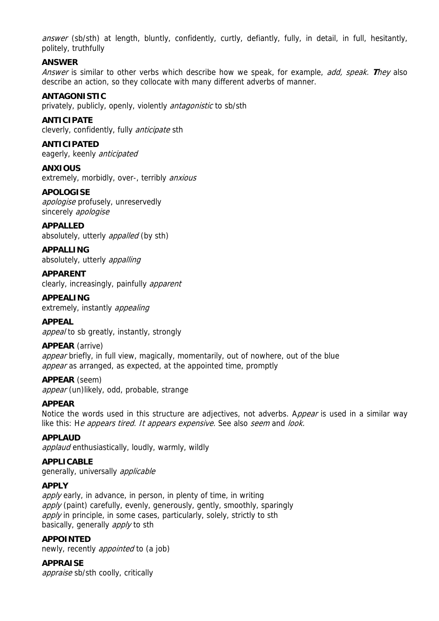answer (sb/sth) at length, bluntly, confidently, curtly, defiantly, fully, in detail, in full, hesitantly, politely, truthfully

### **ANSWER**

Answer is similar to other verbs which describe how we speak, for example, add, speak. **T**hey also describe an action, so they collocate with many different adverbs of manner.

### **ANTAGONISTIC**

privately, publicly, openly, violently *antagonistic* to sb/sth

### **ANTICIPATE**

cleverly, confidently, fully *anticipate* sth

### **ANTICIPATED**

eagerly, keenly anticipated

**ANXIOUS**  extremely, morbidly, over-, terribly *anxious* 

**APOLOGISE**  apologise profusely, unreservedly sincerely *apologise* 

**APPALLED**  absolutely, utterly *appalled* (by sth)

**APPALLING**  absolutely, utterly *appalling* 

**APPARENT**  clearly, increasingly, painfully *apparent* 

**APPEALING**  extremely, instantly *appealing* 

**APPEAL**  appeal to sb greatly, instantly, strongly

# **APPEAR** (arrive)

appear briefly, in full view, magically, momentarily, out of nowhere, out of the blue appear as arranged, as expected, at the appointed time, promptly

**APPEAR** (seem) appear (un)likely, odd, probable, strange

### **APPEAR**

Notice the words used in this structure are adjectives, not adverbs. Appear is used in a similar way like this: He appears tired. It appears expensive. See also seem and look.

### **APPLAUD**

applaud enthusiastically, loudly, warmly, wildly

### **APPLICABLE**

generally, universally *applicable* 

### **APPLY**

apply early, in advance, in person, in plenty of time, in writing apply (paint) carefully, evenly, generously, gently, smoothly, sparingly apply in principle, in some cases, particularly, solely, strictly to sth basically, generally *apply* to sth

### **APPOINTED**

newly, recently *appointed* to (a job)

**APPRAISE**  appraise sb/sth coolly, critically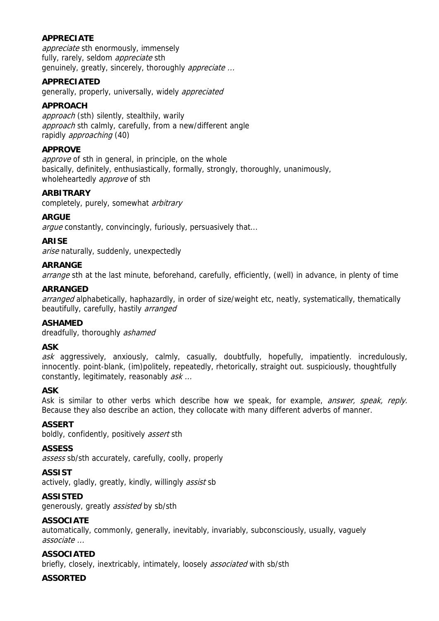### **APPRECIATE**

appreciate sth enormously, immensely fully, rarely, seldom *appreciate* sth genuinely, greatly, sincerely, thoroughly *appreciate ...* 

### **APPRECIATED**

generally, properly, universally, widely *appreciated* 

### **APPROACH**

approach (sth) silently, stealthily, warily approach sth calmly, carefully, from a new/different angle rapidly *approaching* (40)

### **APPROVE**

approve of sth in general, in principle, on the whole basically, definitely, enthusiastically, formally, strongly, thoroughly, unanimously, wholeheartedly *approve* of sth

### **ARBITRARY**

completely, purely, somewhat *arbitrary* 

### **ARGUE**

argue constantly, convincingly, furiously, persuasively that...

### **ARISE**

arise naturally, suddenly, unexpectedly

### **ARRANGE**

arrange sth at the last minute, beforehand, carefully, efficiently, (well) in advance, in plenty of time

#### **ARRANGED**

arranged alphabetically, haphazardly, in order of size/weight etc, neatly, systematically, thematically beautifully, carefully, hastily *arranged* 

### **ASHAMED**

dreadfully, thoroughly *ashamed* 

### **ASK**

ask aggressively, anxiously, calmly, casually, doubtfully, hopefully, impatiently. incredulously, innocently. point-blank, (im)politely, repeatedly, rhetorically, straight out. suspiciously, thoughtfully constantly, legitimately, reasonably ask ...

### **ASK**

Ask is similar to other verbs which describe how we speak, for example, *answer, speak, reply.* Because they also describe an action, they collocate with many different adverbs of manner.

### **ASSERT**

boldly, confidently, positively assert sth

### **ASSESS**

assess sb/sth accurately, carefully, coolly, properly

#### **ASSIST**

actively, gladly, greatly, kindly, willingly *assist* sb

### **ASSISTED**

generously, greatly *assisted* by sb/sth

### **ASSOCIATE**

automatically, commonly, generally, inevitably, invariably, subconsciously, usually, vaguely associate ...

### **ASSOCIATED**

briefly, closely, inextricably, intimately, loosely *associated* with sb/sth

### **ASSORTED**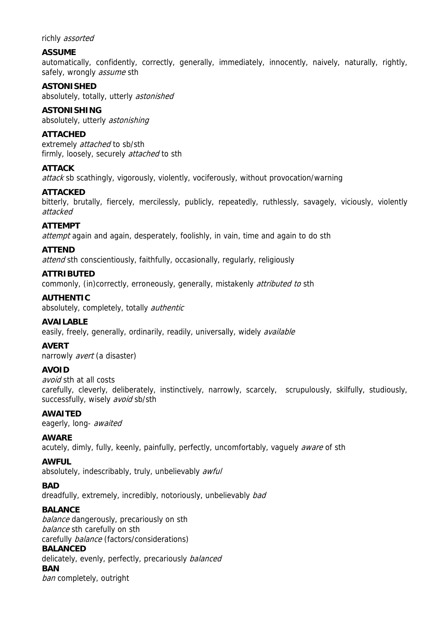richly assorted

### **ASSUME**

automatically, confidently, correctly, generally, immediately, innocently, naively, naturally, rightly, safely, wrongly *assume* sth

### **ASTONISHED**

absolutely, totally, utterly *astonished* 

### **ASTONISHING**

absolutely, utterly *astonishing* 

### **ATTACHED**

extremely *attached* to sb/sth firmly, loosely, securely attached to sth

### **ATTACK**

attack sb scathingly, vigorously, violently, vociferously, without provocation/warning

### **ATTACKED**

bitterly, brutally, fiercely, mercilessly, publicly, repeatedly, ruthlessly, savagely, viciously, violently attacked

### **ATTEMPT**

attempt again and again, desperately, foolishly, in vain, time and again to do sth

### **ATTEND**

attend sth conscientiously, faithfully, occasionally, regularly, religiously

### **ATTRIBUTED**

commonly, (in)correctly, erroneously, generally, mistakenly *attributed to* sth

### **AUTHENTIC**

absolutely, completely, totally *authentic* 

### **AVAILABLE**

easily, freely, generally, ordinarily, readily, universally, widely *available* 

### **AVERT**

narrowly avert (a disaster)

### **AVOID**

avoid sth at all costs carefully, cleverly, deliberately, instinctively, narrowly, scarcely, scrupulously, skilfully, studiously, successfully, wisely avoid sb/sth

### **AWAITED**

eagerly, long- awaited

### **AWARE**

acutely, dimly, fully, keenly, painfully, perfectly, uncomfortably, vaguely *aware* of sth

### **AWFUL**

absolutely, indescribably, truly, unbelievably awful

### **BAD**

dreadfully, extremely, incredibly, notoriously, unbelievably bad

### **BALANCE**

balance dangerously, precariously on sth balance sth carefully on sth carefully *balance* (factors/considerations) **BALANCED** 

delicately, evenly, perfectly, precariously balanced **BAN** 

ban completely, outright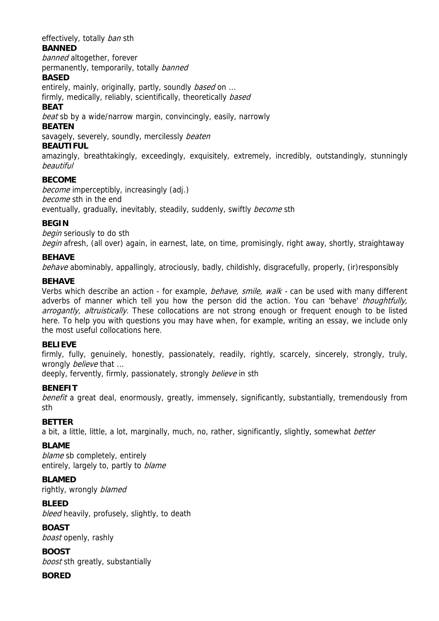# effectively, totally ban sth

**BANNED** 

banned altogether, forever

permanently, temporarily, totally banned

### **BASED**

entirely, mainly, originally, partly, soundly based on ... firmly, medically, reliably, scientifically, theoretically based

# **BEAT**

beat sb by a wide/narrow margin, convincingly, easily, narrowly

# **BEATEN**

savagely, severely, soundly, mercilessly beaten

### **BEAUTIFUL**

amazingly, breathtakingly, exceedingly, exquisitely, extremely, incredibly, outstandingly, stunningly beautiful

# **BECOME**

become imperceptibly, increasingly (adj.) become sth in the end eventually, gradually, inevitably, steadily, suddenly, swiftly become sth

# **BEGIN**

begin seriously to do sth

begin afresh, (all over) again, in earnest, late, on time, promisingly, right away, shortly, straightaway

# **BEHAVE**

behave abominably, appallingly, atrociously, badly, childishly, disgracefully, properly, (ir)responsibly

### **BEHAVE**

Verbs which describe an action - for example, *behave, smile, walk* - can be used with many different adverbs of manner which tell you how the person did the action. You can 'behave' *thoughtfully*, arrogantly, altruistically. These collocations are not strong enough or frequent enough to be listed here. To help you with questions you may have when, for example, writing an essay, we include only the most useful collocations here.

# **BELIEVE**

firmly, fully, genuinely, honestly, passionately, readily, rightly, scarcely, sincerely, strongly, truly, wrongly *believe* that ...

deeply, fervently, firmly, passionately, strongly believe in sth

# **BENEFIT**

benefit a great deal, enormously, greatly, immensely, significantly, substantially, tremendously from sth

### **BETTER**

a bit, a little, little, a lot, marginally, much, no, rather, significantly, slightly, somewhat *better* 

# **BLAME**

blame sb completely, entirely entirely, largely to, partly to *blame* 

### **BLAMED**

rightly, wrongly blamed

### **BLEED**

bleed heavily, profusely, slightly, to death

**BOAST** 

boast openly, rashly

**BOOST**  boost sth greatly, substantially

**BORED**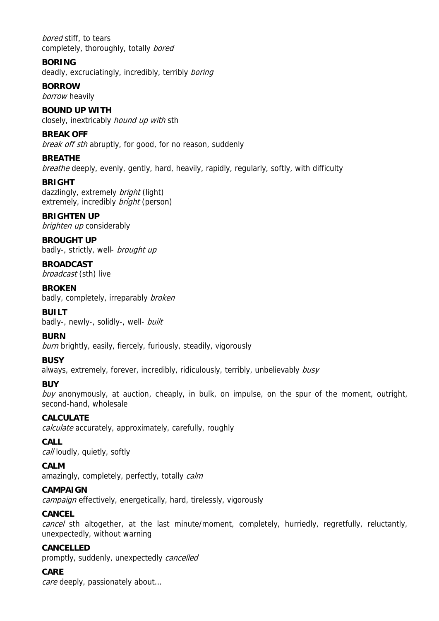bored stiff, to tears completely, thoroughly, totally bored

### **BORING**

deadly, excruciatingly, incredibly, terribly boring

### **BORROW**

borrow heavily

### **BOUND UP WITH**

closely, inextricably *hound up with* sth

### **BREAK OFF**

break off sth abruptly, for good, for no reason, suddenly

### **BREATHE**

breathe deeply, evenly, gently, hard, heavily, rapidly, regularly, softly, with difficulty

### **BRIGHT**

dazzlingly, extremely *bright* (light) extremely, incredibly *bright* (person)

### **BRIGHTEN UP**

brighten up considerably

**BROUGHT UP**  badly-, strictly, well- *brought up* 

**BROADCAST**  broadcast (sth) live

### **BROKEN**

badly, completely, irreparably broken

### **BUILT**

badly-, newly-, solidly-, well- built

### **BURN**

burn brightly, easily, fiercely, furiously, steadily, vigorously

### **BUSY**

always, extremely, forever, incredibly, ridiculously, terribly, unbelievably *busy* 

### **BUY**

buy anonymously, at auction, cheaply, in bulk, on impulse, on the spur of the moment, outright, second-hand, wholesale

### **CALCULATE**

calculate accurately, approximately, carefully, roughly

### **CALL**

call loudly, quietly, softly

### **CALM**

amazingly, completely, perfectly, totally calm

### **CAMPAIGN**

campaign effectively, energetically, hard, tirelessly, vigorously

### **CANCEL**

cancel sth altogether, at the last minute/moment, completely, hurriedly, regretfully, reluctantly, unexpectedly, without warning

### **CANCELLED**

promptly, suddenly, unexpectedly cancelled

### **CARE**

care deeply, passionately about...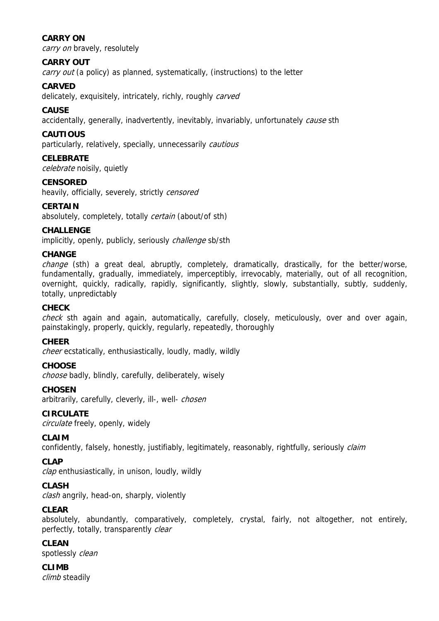### **CARRY ON**

carry on bravely, resolutely

### **CARRY OUT**

carry out (a policy) as planned, systematically, (instructions) to the letter

### **CARVED**

delicately, exquisitely, intricately, richly, roughly *carved* 

### **CAUSE**

accidentally, generally, inadvertently, inevitably, invariably, unfortunately cause sth

### **CAUTIOUS**

particularly, relatively, specially, unnecessarily *cautious* 

### **CELEBRATE**

celebrate noisily, quietly

### **CENSORED**

heavily, officially, severely, strictly censored

### **CERTAIN**

absolutely, completely, totally *certain* (about/of sth)

### **CHALLENGE**

implicitly, openly, publicly, seriously challenge sb/sth

### **CHANGE**

change (sth) a great deal, abruptly, completely, dramatically, drastically, for the better/worse, fundamentally, gradually, immediately, imperceptibly, irrevocably, materially, out of all recognition, overnight, quickly, radically, rapidly, significantly, slightly, slowly, substantially, subtly, suddenly, totally, unpredictably

### **CHECK**

check sth again and again, automatically, carefully, closely, meticulously, over and over again, painstakingly, properly, quickly, regularly, repeatedly, thoroughly

### **CHEER**

cheer ecstatically, enthusiastically, loudly, madly, wildly

### **CHOOSE**

choose badly, blindly, carefully, deliberately, wisely

### **CHOSEN**

arbitrarily, carefully, cleverly, ill-, well- chosen

### **CIRCULATE**

circulate freely, openly, widely

### **CLAIM**

confidently, falsely, honestly, justifiably, legitimately, reasonably, rightfully, seriously *claim* 

### **CLAP**

clap enthusiastically, in unison, loudly, wildly

#### **CLASH**

clash angrily, head-on, sharply, violently

### **CLEAR**

absolutely, abundantly, comparatively, completely, crystal, fairly, not altogether, not entirely, perfectly, totally, transparently *clear* 

### **CLEAN**

spotlessly clean

# **CLIMB**

climb steadily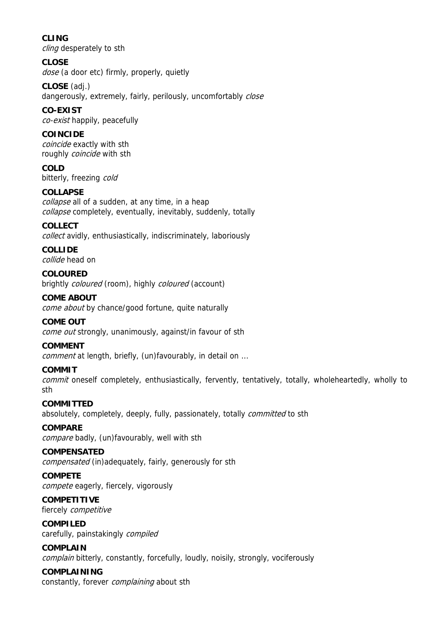**CLING**  cling desperately to sth

### **CLOSE**

dose (a door etc) firmly, properly, quietly

### **CLOSE** (adj.)

dangerously, extremely, fairly, perilously, uncomfortably close

### **CO-EXIST**

co-exist happily, peacefully

### **COINCIDE**

coincide exactly with sth roughly coincide with sth

**COLD** 

bitterly, freezing cold

### **COLLAPSE**

collapse all of a sudden, at any time, in a heap collapse completely, eventually, inevitably, suddenly, totally

### **COLLECT**

collect avidly, enthusiastically, indiscriminately, laboriously

# **COLLIDE**

collide head on

### **COLOURED**

brightly *coloured* (room), highly *coloured* (account)

### **COME ABOUT**

come about by chance/good fortune, quite naturally

### **COME OUT**

come out strongly, unanimously, against/in favour of sth

### **COMMENT**

comment at length, briefly, (un)favourably, in detail on ...

### **COMMIT**

commit oneself completely, enthusiastically, fervently, tentatively, totally, wholeheartedly, wholly to sth

### **COMMITTED**

absolutely, completely, deeply, fully, passionately, totally *committed* to sth

### **COMPARE**

compare badly, (un)favourably, well with sth

### **COMPENSATED**

compensated (in)adequately, fairly, generously for sth

### **COMPETE**

compete eagerly, fiercely, vigorously

#### **COMPETITIVE**  fiercely competitive

**COMPILED**  carefully, painstakingly compiled

### **COMPLAIN**  complain bitterly, constantly, forcefully, loudly, noisily, strongly, vociferously

### **COMPLAINING**  constantly, forever *complaining* about sth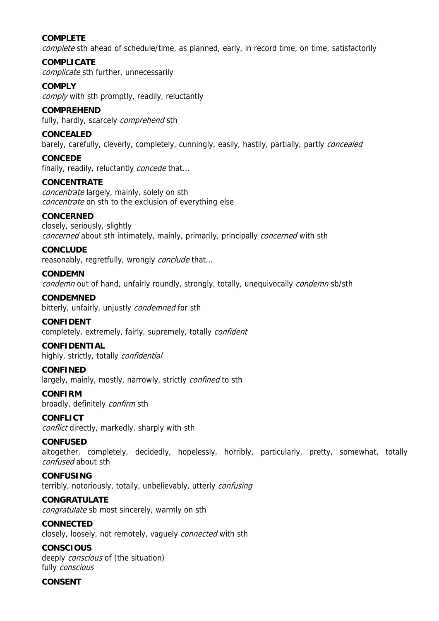### **COMPLETE**

complete sth ahead of schedule/time, as planned, early, in record time, on time, satisfactorily

#### **COMPLICATE**

complicate sth further, unnecessarily

### **COMPLY**

comply with sth promptly, readily, reluctantly

### **COMPREHEND**

fully, hardly, scarcely comprehend sth

#### **CONCEALED**

barely, carefully, cleverly, completely, cunningly, easily, hastily, partially, partly *concealed* 

#### **CONCEDE**

finally, readily, reluctantly concede that...

#### **CONCENTRATE**

concentrate largely, mainly, solely on sth concentrate on sth to the exclusion of everything else

#### **CONCERNED**

closely, seriously, slightly concerned about sth intimately, mainly, primarily, principally concerned with sth

#### **CONCLUDE**

reasonably, regretfully, wrongly conclude that...

#### **CONDEMN**

condemn out of hand, unfairly roundly, strongly, totally, unequivocally condemn sb/sth

#### **CONDEMNED**

bitterly, unfairly, unjustly *condemned* for sth

### **CONFIDENT**

completely, extremely, fairly, supremely, totally *confident* 

#### **CONFIDENTIAL**

highly, strictly, totally confidential

### **CONFINED**

largely, mainly, mostly, narrowly, strictly *confined* to sth

### **CONFIRM**

broadly, definitely confirm sth

### **CONFLICT**

conflict directly, markedly, sharply with sth

### **CONFUSED**

altogether, completely, decidedly, hopelessly, horribly, particularly, pretty, somewhat, totally confused about sth

#### **CONFUSING**

terribly, notoriously, totally, unbelievably, utterly *confusing* 

### **CONGRATULATE**

congratulate sb most sincerely, warmly on sth

#### **CONNECTED**

closely, loosely, not remotely, vaguely *connected* with sth

### **CONSCIOUS**

deeply *conscious* of (the situation) fully conscious

#### **CONSENT**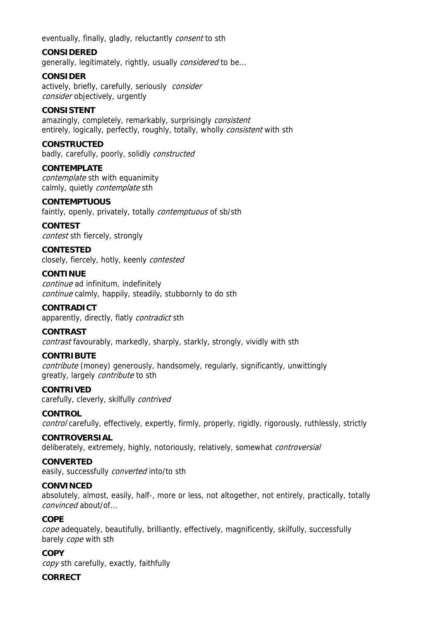eventually, finally, gladly, reluctantly *consent* to sth

### **CONSIDERED**

generally, legitimately, rightly, usually *considered* to be...

### **CONSIDER**

actively, briefly, carefully, seriously *consider* consider objectively, urgently

### **CONSISTENT**

amazingly, completely, remarkably, surprisingly consistent entirely, logically, perfectly, roughly, totally, wholly consistent with sth

### **CONSTRUCTED**

badly, carefully, poorly, solidly constructed

#### **CONTEMPLATE**

contemplate sth with equanimity calmly, quietly *contemplate* sth

#### **CONTEMPTUOUS**

faintly, openly, privately, totally *contemptuous* of sb/sth

#### **CONTEST**

contest sth fiercely, strongly

### **CONTESTED**

closely, fiercely, hotly, keenly contested

#### **CONTINUE**

continue ad infinitum, indefinitely continue calmly, happily, steadily, stubbornly to do sth

#### **CONTRADICT**

apparently, directly, flatly contradict sth

#### **CONTRAST**

contrast favourably, markedly, sharply, starkly, strongly, vividly with sth

#### **CONTRIBUTE**

contribute (money) generously, handsomely, regularly, significantly, unwittingly greatly, largely *contribute* to sth

#### **CONTRIVED**

carefully, cleverly, skilfully contrived

#### **CONTROL**

control carefully, effectively, expertly, firmly, properly, rigidly, rigorously, ruthlessly, strictly

### **CONTROVERSIAL**

deliberately, extremely, highly, notoriously, relatively, somewhat *controversial* 

#### **CONVERTED**

easily, successfully converted into/to sth

#### **CONVINCED**

absolutely, almost, easily, half-, more or less, not altogether, not entirely, practically, totally convinced about/of...

### **COPE**

cope adequately, beautifully, brilliantly, effectively, magnificently, skilfully, successfully barely cope with sth

### **COPY**

copy sth carefully, exactly, faithfully

### **CORRECT**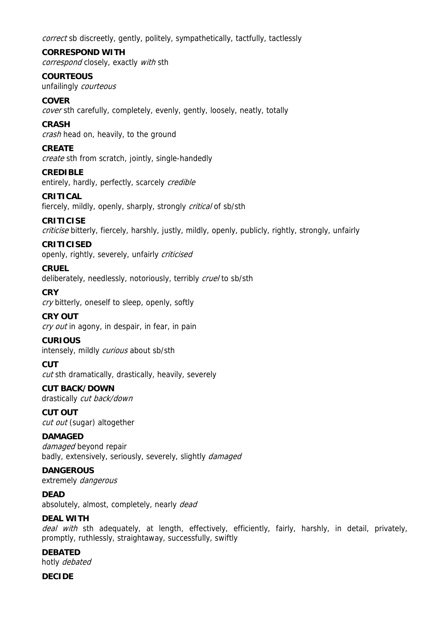correct sb discreetly, gently, politely, sympathetically, tactfully, tactlessly

#### **CORRESPOND WITH**

correspond closely, exactly with sth

### **COURTEOUS**

unfailingly *courteous* 

## **COVER**

cover sth carefully, completely, evenly, gently, loosely, neatly, totally

### **CRASH**

crash head on, heavily, to the ground

### **CREATE**

create sth from scratch, jointly, single-handedly

### **CREDIBLE**

entirely, hardly, perfectly, scarcely credible

### **CRITICAL**

fiercely, mildly, openly, sharply, strongly critical of sb/sth

### **CRITICISE**

criticise bitterly, fiercely, harshly, justly, mildly, openly, publicly, rightly, strongly, unfairly

### **CRITICISED**

openly, rightly, severely, unfairly criticised

### **CRUEL**

deliberately, needlessly, notoriously, terribly cruel to sb/sth

### **CRY**

cry bitterly, oneself to sleep, openly, softly

### **CRY OUT**

cry out in agony, in despair, in fear, in pain

### **CURIOUS**

intensely, mildly curious about sb/sth

### **CUT**

cut sth dramatically, drastically, heavily, severely

### **CUT BACK/DOWN**

drastically cut back/down

#### **CUT OUT**  cut out (sugar) altogether

### **DAMAGED**  damaged beyond repair

badly, extensively, seriously, severely, slightly *damaged* 

### **DANGEROUS**

extremely dangerous

### **DEAD**

absolutely, almost, completely, nearly dead

### **DEAL WITH**

deal with sth adequately, at length, effectively, efficiently, fairly, harshly, in detail, privately, promptly, ruthlessly, straightaway, successfully, swiftly

### **DEBATED**

hotly debated

### **DECIDE**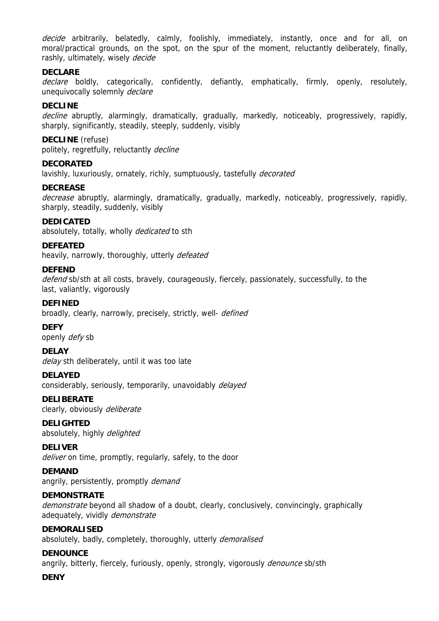decide arbitrarily, belatedly, calmly, foolishly, immediately, instantly, once and for all, on moral/practical grounds, on the spot, on the spur of the moment, reluctantly deliberately, finally, rashly, ultimately, wisely *decide* 

### **DECLARE**

declare boldly, categorically, confidently, defiantly, emphatically, firmly, openly, resolutely, unequivocally solemnly declare

#### **DECLINE**

decline abruptly, alarmingly, dramatically, gradually, markedly, noticeably, progressively, rapidly, sharply, significantly, steadily, steeply, suddenly, visibly

#### **DECLINE** (refuse)

politely, regretfully, reluctantly *decline* 

#### **DECORATED**

lavishly, luxuriously, ornately, richly, sumptuously, tastefully *decorated* 

#### **DECREASE**

decrease abruptly, alarmingly, dramatically, gradually, markedly, noticeably, progressively, rapidly, sharply, steadily, suddenly, visibly

#### **DEDICATED**

absolutely, totally, wholly *dedicated* to sth

### **DEFEATED**

heavily, narrowly, thoroughly, utterly *defeated* 

#### **DEFEND**

defend sb/sth at all costs, bravely, courageously, fiercely, passionately, successfully, to the last, valiantly, vigorously

#### **DEFINED**

broadly, clearly, narrowly, precisely, strictly, well- defined

#### **DEFY**

openly *defy* sb

#### **DELAY**

delay sth deliberately, until it was too late

#### **DELAYED**

considerably, seriously, temporarily, unavoidably *delayed* 

### **DELIBERATE**

clearly, obviously *deliberate* 

### **DELIGHTED**

absolutely, highly delighted

#### **DELIVER**

deliver on time, promptly, regularly, safely, to the door

#### **DEMAND**

angrily, persistently, promptly *demand* 

#### **DEMONSTRATE**

demonstrate beyond all shadow of a doubt, clearly, conclusively, convincingly, graphically adequately, vividly *demonstrate* 

#### **DEMORALISED**

absolutely, badly, completely, thoroughly, utterly *demoralised* 

#### **DENOUNCE**

angrily, bitterly, fiercely, furiously, openly, strongly, vigorously denounce sb/sth

### **DENY**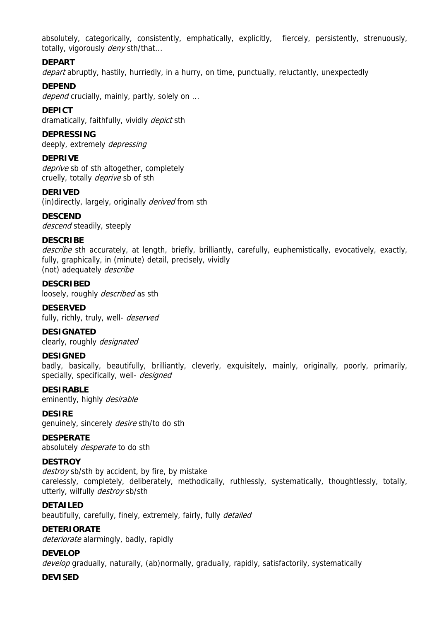absolutely, categorically, consistently, emphatically, explicitly, fiercely, persistently, strenuously, totally, vigorously *deny* sth/that...

### **DEPART**

depart abruptly, hastily, hurriedly, in a hurry, on time, punctually, reluctantly, unexpectedly

### **DEPEND**

depend crucially, mainly, partly, solely on ...

### **DEPICT**

dramatically, faithfully, vividly depict sth

#### **DEPRESSING**

deeply, extremely depressing

### **DEPRIVE**

deprive sb of sth altogether, completely cruelly, totally *deprive* sb of sth

#### **DERIVED**

(in)directly, largely, originally *derived* from sth

#### **DESCEND**

descend steadily, steeply

#### **DESCRIBE**

describe sth accurately, at length, briefly, brilliantly, carefully, euphemistically, evocatively, exactly, fully, graphically, in (minute) detail, precisely, vividly (not) adequately describe

#### **DESCRIBED**

loosely, roughly *described* as sth

#### **DESERVED**

fully, richly, truly, well- deserved

### **DESIGNATED**

clearly, roughly designated

#### **DESIGNED**

badly, basically, beautifully, brilliantly, cleverly, exquisitely, mainly, originally, poorly, primarily, specially, specifically, well- *designed* 

### **DESIRABLE**

eminently, highly desirable

### **DESIRE**

genuinely, sincerely desire sth/to do sth

### **DESPERATE**

absolutely *desperate* to do sth

### **DESTROY**

destroy sb/sth by accident, by fire, by mistake carelessly, completely, deliberately, methodically, ruthlessly, systematically, thoughtlessly, totally, utterly, wilfully *destroy* sb/sth

#### **DETAILED**

beautifully, carefully, finely, extremely, fairly, fully *detailed* 

### **DETERIORATE**

deteriorate alarmingly, badly, rapidly

### **DEVELOP**

develop gradually, naturally, (ab)normally, gradually, rapidly, satisfactorily, systematically

#### **DEVISED**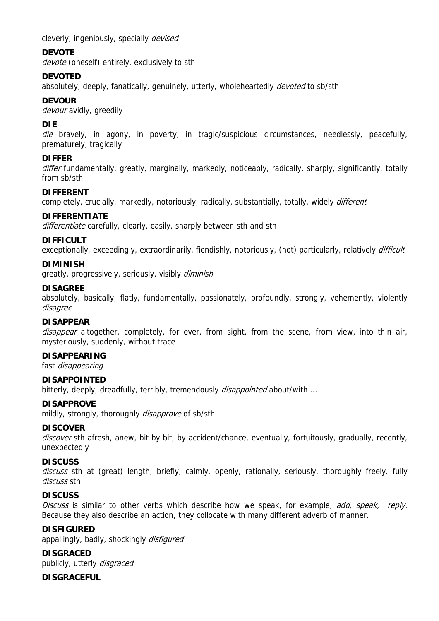cleverly, ingeniously, specially *devised* 

### **DEVOTE**

devote (oneself) entirely, exclusively to sth

### **DEVOTED**

absolutely, deeply, fanatically, genuinely, utterly, wholeheartedly *devoted* to sb/sth

**DEVOUR**  devour avidly, greedily

### **DIE**

die bravely, in agony, in poverty, in tragic/suspicious circumstances, needlessly, peacefully, prematurely, tragically

### **DIFFER**

differ fundamentally, greatly, marginally, markedly, noticeably, radically, sharply, significantly, totally from sb/sth

### **DIFFERENT**

completely, crucially, markedly, notoriously, radically, substantially, totally, widely *different* 

#### **DIFFERENTIATE**

differentiate carefully, clearly, easily, sharply between sth and sth

### **DIFFICULT**

exceptionally, exceedingly, extraordinarily, fiendishly, notoriously, (not) particularly, relatively *difficult* 

#### **DIMINISH**

greatly, progressively, seriously, visibly *diminish* 

#### **DISAGREE**

absolutely, basically, flatly, fundamentally, passionately, profoundly, strongly, vehemently, violently disagree

### **DISAPPEAR**

disappear altogether, completely, for ever, from sight, from the scene, from view, into thin air, mysteriously, suddenly, without trace

### **DISAPPEARING**

fast disappearing

### **DISAPPOINTED**

bitterly, deeply, dreadfully, terribly, tremendously *disappointed* about/with ...

#### **DISAPPROVE**

mildly, strongly, thoroughly *disapprove* of sb/sth

### **DISCOVER**

discover sth afresh, anew, bit by bit, by accident/chance, eventually, fortuitously, gradually, recently, unexpectedly

### **DISCUSS**

discuss sth at (great) length, briefly, calmly, openly, rationally, seriously, thoroughly freely. fully discuss sth

### **DISCUSS**

Discuss is similar to other verbs which describe how we speak, for example, add, speak, reply. Because they also describe an action, they collocate with many different adverb of manner.

### **DISFIGURED**

appallingly, badly, shockingly *disfigured* 

### **DISGRACED**

publicly, utterly disgraced

### **DISGRACEFUL**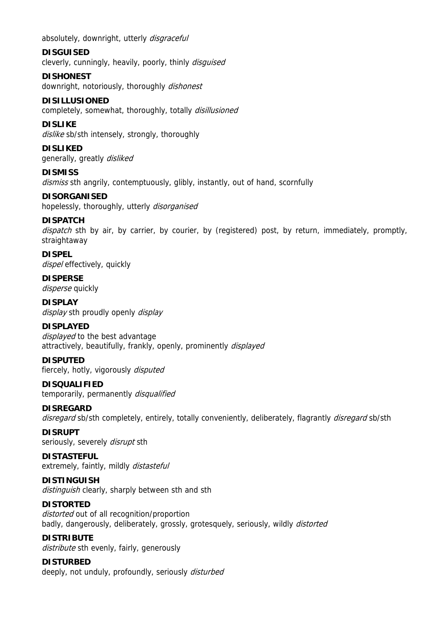absolutely, downright, utterly disgraceful

### **DISGUISED**

cleverly, cunningly, heavily, poorly, thinly disquised

### **DISHONEST**

downright, notoriously, thoroughly dishonest

### **DISILLUSIONED**  completely, somewhat, thoroughly, totally *disillusioned*

### **DISLIKE**

dislike sb/sth intensely, strongly, thoroughly

### **DISLIKED**

generally, greatly *disliked* 

### **DISMISS**  dismiss sth angrily, contemptuously, glibly, instantly, out of hand, scornfully

### **DISORGANISED**

hopelessly, thoroughly, utterly disorganised

### **DISPATCH**

dispatch sth by air, by carrier, by courier, by (registered) post, by return, immediately, promptly, straightaway

### **DISPEL**

dispel effectively, quickly

# **DISPERSE**

disperse quickly

### **DISPLAY**

display sth proudly openly display

### **DISPLAYED**

displayed to the best advantage attractively, beautifully, frankly, openly, prominently *displayed* 

### **DISPUTED**

fiercely, hotly, vigorously *disputed* 

### **DISQUALIFIED**

temporarily, permanently *disqualified* 

### **DISREGARD**

disregard sb/sth completely, entirely, totally conveniently, deliberately, flagrantly disregard sb/sth

### **DISRUPT**

seriously, severely *disrupt* sth

### **DISTASTEFUL**

extremely, faintly, mildly *distasteful* 

### **DISTINGUISH**

distinguish clearly, sharply between sth and sth

### **DISTORTED**

distorted out of all recognition/proportion badly, dangerously, deliberately, grossly, grotesquely, seriously, wildly *distorted* 

### **DISTRIBUTE**

distribute sth evenly, fairly, generously

### **DISTURBED**

deeply, not unduly, profoundly, seriously *disturbed*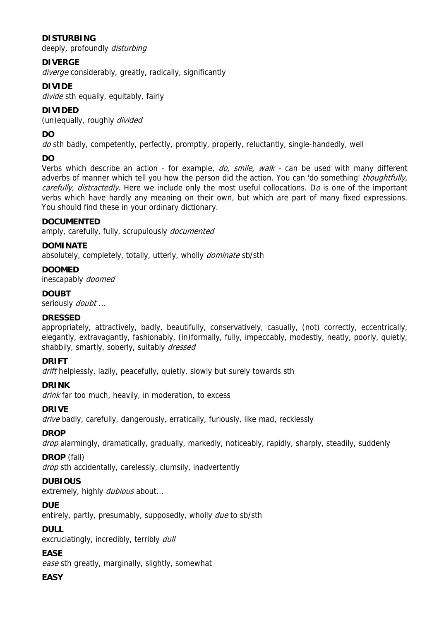### **DISTURBING**

deeply, profoundly *disturbing* 

### **DIVERGE**

diverge considerably, greatly, radically, significantly

### **DIVIDE**

divide sth equally, equitably, fairly

### **DIVIDED**

(un)equally, roughly divided

### **DO**

do sth badly, competently, perfectly, promptly, properly, reluctantly, single-handedly, well

### **DO**

Verbs which describe an action - for example, do, smile, walk - can be used with many different adverbs of manner which tell you how the person did the action. You can 'do something' *thoughtfully*, carefully, distractedly. Here we include only the most useful collocations. Do is one of the important verbs which have hardly any meaning on their own, but which are part of many fixed expressions. You should find these in your ordinary dictionary.

### **DOCUMENTED**

amply, carefully, fully, scrupulously *documented* 

### **DOMINATE**

absolutely, completely, totally, utterly, wholly *dominate* sb/sth

### **DOOMED**

inescapably doomed

### **DOUBT**

seriously *doubt* ...

### **DRESSED**

appropriately, attractively, badly, beautifully, conservatively, casually, (not) correctly, eccentrically, elegantly, extravagantly, fashionably, (in)formally, fully, impeccably, modestly, neatly, poorly, quietly, shabbily, smartly, soberly, suitably *dressed* 

### **DRIFT**

drift helplessly, lazily, peacefully, quietly, slowly but surely towards sth

#### **DRINK**

drink far too much, heavily, in moderation, to excess

### **DRIVE**

drive badly, carefully, dangerously, erratically, furiously, like mad, recklessly

### **DROP**

drop alarmingly, dramatically, gradually, markedly, noticeably, rapidly, sharply, steadily, suddenly

### **DROP** (fall)

drop sth accidentally, carelessly, clumsily, inadvertently

### **DUBIOUS**

extremely, highly *dubious* about...

### **DUE**

entirely, partly, presumably, supposedly, wholly *due* to sb/sth

### **DULL**

excruciatingly, incredibly, terribly dull

### **EASE**

ease sth greatly, marginally, slightly, somewhat

### **EASY**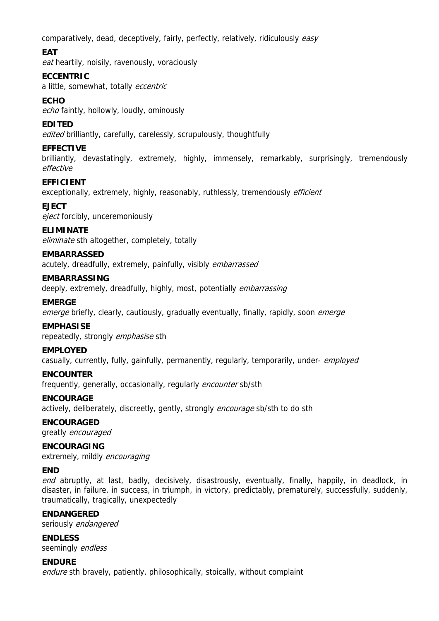comparatively, dead, deceptively, fairly, perfectly, relatively, ridiculously easy

# **EAT**

eat heartily, noisily, ravenously, voraciously

## **ECCENTRIC**

a little, somewhat, totally eccentric

### **ECHO**

echo faintly, hollowly, loudly, ominously

# **EDITED**

edited brilliantly, carefully, carelessly, scrupulously, thoughtfully

## **EFFECTIVE**

brilliantly, devastatingly, extremely, highly, immensely, remarkably, surprisingly, tremendously effective

### **EFFICIENT**

exceptionally, extremely, highly, reasonably, ruthlessly, tremendously *efficient* 

### **EJECT**

eject forcibly, unceremoniously

### **ELIMINATE**

eliminate sth altogether, completely, totally

### **EMBARRASSED**

acutely, dreadfully, extremely, painfully, visibly embarrassed

### **EMBARRASSING**

deeply, extremely, dreadfully, highly, most, potentially embarrassing

### **EMERGE**

emerge briefly, clearly, cautiously, gradually eventually, finally, rapidly, soon *emerge* 

### **EMPHASISE**

repeatedly, strongly emphasise sth

### **EMPLOYED**

casually, currently, fully, gainfully, permanently, regularly, temporarily, under- employed

### **ENCOUNTER**

frequently, generally, occasionally, regularly *encounter* sb/sth

### **ENCOURAGE**

actively, deliberately, discreetly, gently, strongly *encourage* sb/sth to do sth

### **ENCOURAGED**

greatly encouraged

# **ENCOURAGING**

extremely, mildly encouraging

### **END**

end abruptly, at last, badly, decisively, disastrously, eventually, finally, happily, in deadlock, in disaster, in failure, in success, in triumph, in victory, predictably, prematurely, successfully, suddenly, traumatically, tragically, unexpectedly

### **ENDANGERED**

seriously endangered

#### **ENDLESS**  seemingly endless

# **ENDURE**

endure sth bravely, patiently, philosophically, stoically, without complaint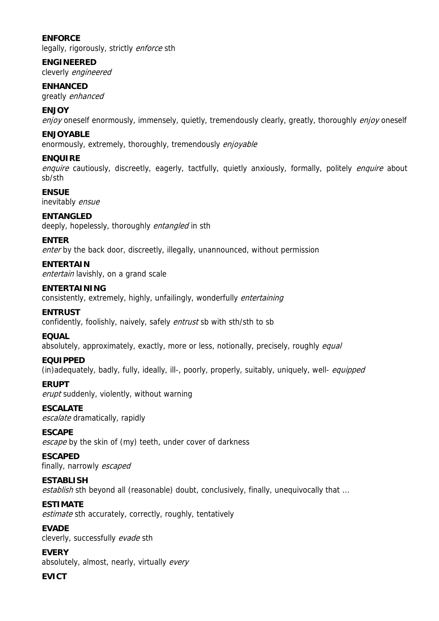### **ENFORCE**

legally, rigorously, strictly *enforce* sth

### **ENGINEERED**

cleverly engineered

### **ENHANCED**

greatly enhanced

# **ENJOY**

enjoy oneself enormously, immensely, quietly, tremendously clearly, greatly, thoroughly enjoy oneself

### **ENJOYABLE**

enormously, extremely, thoroughly, tremendously *enjoyable* 

### **ENQUIRE**

enquire cautiously, discreetly, eagerly, tactfully, quietly anxiously, formally, politely enquire about sb/sth

### **ENSUE**

inevitably ensue

### **ENTANGLED**

deeply, hopelessly, thoroughly entangled in sth

### **ENTER**

enter by the back door, discreetly, illegally, unannounced, without permission

### **ENTERTAIN**

entertain lavishly, on a grand scale

### **ENTERTAINING**

consistently, extremely, highly, unfailingly, wonderfully entertaining

### **ENTRUST**

confidently, foolishly, naively, safely *entrust* sb with sth/sth to sb

### **EQUAL**

absolutely, approximately, exactly, more or less, notionally, precisely, roughly equal

### **EQUIPPED**

(in)adequately, badly, fully, ideally, ill-, poorly, properly, suitably, uniquely, well- equipped

### **ERUPT**

erupt suddenly, violently, without warning

### **ESCALATE**

escalate dramatically, rapidly

### **ESCAPE**

escape by the skin of (my) teeth, under cover of darkness

### **ESCAPED**

finally, narrowly escaped

### **ESTABLISH**

establish sth beyond all (reasonable) doubt, conclusively, finally, unequivocally that ...

## **ESTIMATE**

estimate sth accurately, correctly, roughly, tentatively

### **EVADE**

cleverly, successfully evade sth

### **EVERY**

absolutely, almost, nearly, virtually every

### **EVICT**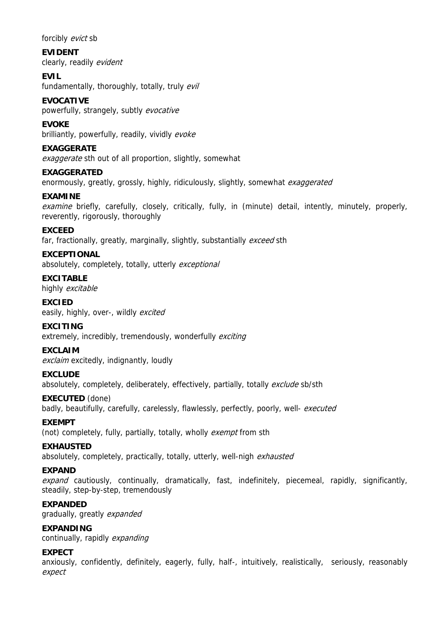forcibly evict sb

### **EVIDENT**

clearly, readily evident

### **EVIL**

fundamentally, thoroughly, totally, truly evil

### **EVOCATIVE**

powerfully, strangely, subtly evocative

### **EVOKE**

brilliantly, powerfully, readily, vividly evoke

### **EXAGGERATE**

exaggerate sth out of all proportion, slightly, somewhat

### **EXAGGERATED**

enormously, greatly, grossly, highly, ridiculously, slightly, somewhat *exaggerated* 

### **EXAMINE**

examine briefly, carefully, closely, critically, fully, in (minute) detail, intently, minutely, properly, reverently, rigorously, thoroughly

### **EXCEED**

far, fractionally, greatly, marginally, slightly, substantially exceed sth

### **EXCEPTIONAL**

absolutely, completely, totally, utterly *exceptional* 

### **EXCITABLE**

highly excitable

### **EXCIED**

easily, highly, over-, wildly excited

### **EXCITING**

extremely, incredibly, tremendously, wonderfully *exciting* 

### **EXCLAIM**

exclaim excitedly, indignantly, loudly

### **EXCLUDE**

absolutely, completely, deliberately, effectively, partially, totally exclude sb/sth

### **EXECUTED** (done)

badly, beautifully, carefully, carelessly, flawlessly, perfectly, poorly, well- executed

### **EXEMPT**

(not) completely, fully, partially, totally, wholly *exempt* from sth

### **EXHAUSTED**

absolutely, completely, practically, totally, utterly, well-nigh *exhausted* 

### **EXPAND**

expand cautiously, continually, dramatically, fast, indefinitely, piecemeal, rapidly, significantly, steadily, step-by-step, tremendously

### **EXPANDED**

gradually, greatly expanded

### **EXPANDING**

continually, rapidly expanding

### **EXPECT**

anxiously, confidently, definitely, eagerly, fully, half-, intuitively, realistically, seriously, reasonably expect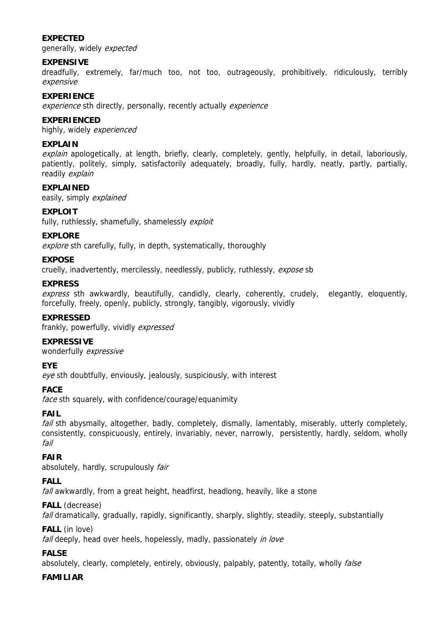### **EXPECTED**

generally, widely expected

### **EXPENSIVE**

dreadfully, extremely, far/much too, not too, outrageously, prohibitively, ridiculously, terribly expensive

### **EXPERIENCE**

experience sth directly, personally, recently actually experience

### **EXPERIENCED**

highly, widely experienced

#### **EXPLAIN**

explain apologetically, at length, briefly, clearly, completely, gently, helpfully, in detail, laboriously, patiently, politely, simply, satisfactorily adequately, broadly, fully, hardly, neatly, partly, partially, readily explain

#### **EXPLAINED**

easily, simply explained

### **EXPLOIT**

fully, ruthlessly, shamefully, shamelessly exploit

#### **EXPLORE**

explore sth carefully, fully, in depth, systematically, thoroughly

#### **EXPOSE**

cruelly, inadvertently, mercilessly, needlessly, publicly, ruthlessly, expose sb

#### **EXPRESS**

express sth awkwardly, beautifully, candidly, clearly, coherently, crudely, elegantly, eloquently, forcefully, freely, openly, publicly, strongly, tangibly, vigorously, vividly

#### **EXPRESSED**

frankly, powerfully, vividly expressed

#### **EXPRESSIVE**

wonderfully expressive

#### **EYE**

eye sth doubtfully, enviously, jealously, suspiciously, with interest

#### **FACE**

face sth squarely, with confidence/courage/equanimity

### **FAIL**

fail sth abysmally, altogether, badly, completely, dismally, lamentably, miserably, utterly completely, consistently, conspicuously, entirely, invariably, never, narrowly, persistently, hardly, seldom, wholly fail

### **FAIR**

absolutely, hardly, scrupulously fair

#### **FALL**

fall awkwardly, from a great height, headfirst, headlong, heavily, like a stone

#### **FALL** (decrease)

fall dramatically, gradually, rapidly, significantly, sharply, slightly, steadily, steeply, substantially

### **FALL** (in love)

fall deeply, head over heels, hopelessly, madly, passionately in love

### **FALSE**

absolutely, clearly, completely, entirely, obviously, palpably, patently, totally, wholly false

#### **FAMILIAR**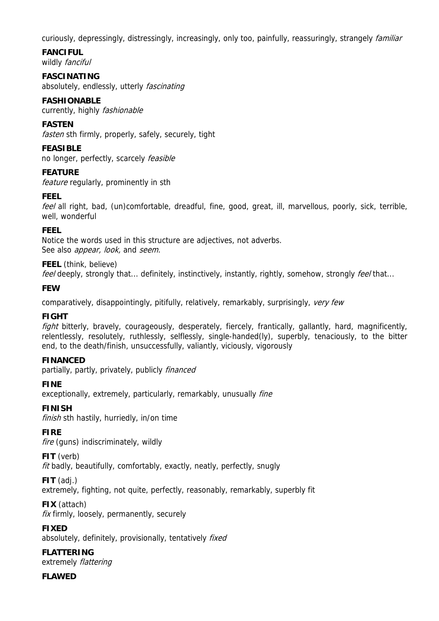curiously, depressingly, distressingly, increasingly, only too, painfully, reassuringly, strangely *familiar* 

### **FANCIFUL**

wildly *fanciful* 

### **FASCINATING**

absolutely, endlessly, utterly *fascinating* 

### **FASHIONABLE**

currently, highly fashionable

### **FASTEN**

fasten sth firmly, properly, safely, securely, tight

### **FEASIBLE**

no longer, perfectly, scarcely feasible

### **FEATURE**

feature regularly, prominently in sth

### **FEEL**

feel all right, bad, (un)comfortable, dreadful, fine, good, great, ill, marvellous, poorly, sick, terrible, well, wonderful

### **FEEL**

Notice the words used in this structure are adjectives, not adverbs. See also *appear, look*, and *seem*.

**FEEL** (think, believe)

feel deeply, strongly that... definitely, instinctively, instantly, rightly, somehow, strongly feel that...

### **FEW**

comparatively, disappointingly, pitifully, relatively, remarkably, surprisingly, very few

### **FIGHT**

fight bitterly, bravely, courageously, desperately, fiercely, frantically, gallantly, hard, magnificently, relentlessly, resolutely, ruthlessly, selflessly, single-handed(ly), superbly, tenaciously, to the bitter end, to the death/finish, unsuccessfully, valiantly, viciously, vigorously

### **FINANCED**

partially, partly, privately, publicly financed

### **FINE**

exceptionally, extremely, particularly, remarkably, unusually *fine* 

### **FINISH**

finish sth hastily, hurriedly, in/on time

### **FIRE**

fire (guns) indiscriminately, wildly

### **FIT** (verb)

fit badly, beautifully, comfortably, exactly, neatly, perfectly, snugly

### **FIT** (adj.)

extremely, fighting, not quite, perfectly, reasonably, remarkably, superbly fit

# **FIX** (attach)

 $fix$  firmly, loosely, permanently, securely

### **FIXED**

absolutely, definitely, provisionally, tentatively *fixed* 

### **FLATTERING**

extremely *flattering* 

### **FLAWED**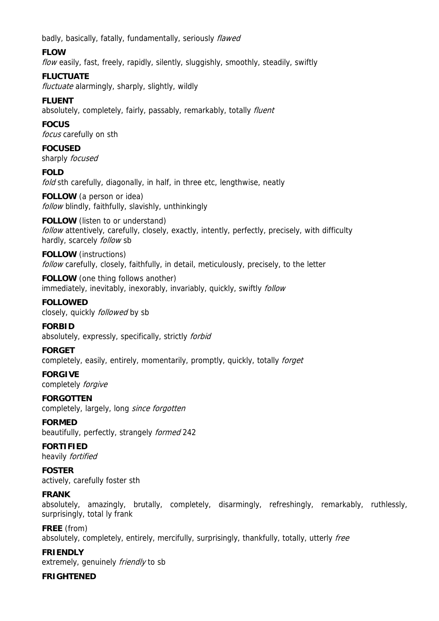badly, basically, fatally, fundamentally, seriously flawed

### **FLOW**

flow easily, fast, freely, rapidly, silently, sluggishly, smoothly, steadily, swiftly

### **FLUCTUATE**

fluctuate alarmingly, sharply, slightly, wildly

### **FLUENT**

absolutely, completely, fairly, passably, remarkably, totally *fluent* 

## **FOCUS**

focus carefully on sth

# **FOCUSED**

sharply *focused* 

### **FOLD**

fold sth carefully, diagonally, in half, in three etc, lengthwise, neatly

**FOLLOW** (a person or idea) follow blindly, faithfully, slavishly, unthinkingly

**FOLLOW** (listen to or understand) follow attentively, carefully, closely, exactly, intently, perfectly, precisely, with difficulty hardly, scarcely follow sb

**FOLLOW** (instructions) follow carefully, closely, faithfully, in detail, meticulously, precisely, to the letter

**FOLLOW** (one thing follows another) immediately, inevitably, inexorably, invariably, quickly, swiftly *follow* 

### **FOLLOWED**

closely, quickly *followed* by sb

### **FORBID**

absolutely, expressly, specifically, strictly *forbid* 

### **FORGET**

completely, easily, entirely, momentarily, promptly, quickly, totally *forget* 

### **FORGIVE**  completely *forgive*

**FORGOTTEN**  completely, largely, long since forgotten

### **FORMED**

beautifully, perfectly, strangely formed 242

**FORTIFIED**  heavily fortified

### **FOSTER**

actively, carefully foster sth

### **FRANK**

absolutely, amazingly, brutally, completely, disarmingly, refreshingly, remarkably, ruthlessly, surprisingly, total ly frank

### **FREE** (from)

absolutely, completely, entirely, mercifully, surprisingly, thankfully, totally, utterly free

### **FRIENDLY**

extremely, genuinely *friendly* to sb

### **FRIGHTENED**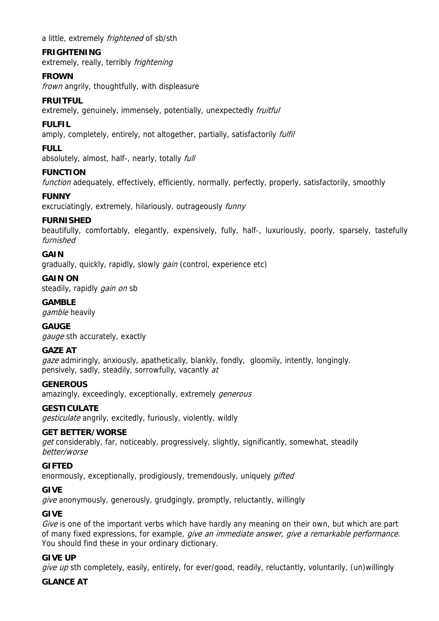a little, extremely *frightened* of sb/sth

### **FRIGHTENING**

extremely, really, terribly *frightening* 

### **FROWN**

frown angrily, thoughtfully, with displeasure

### **FRUITFUL**

extremely, genuinely, immensely, potentially, unexpectedly *fruitful* 

### **FULFIL**

amply, completely, entirely, not altogether, partially, satisfactorily *fulfil* 

### **FULL**

absolutely, almost, half-, nearly, totally full

### **FUNCTION**

function adequately, effectively, efficiently, normally, perfectly, properly, satisfactorily, smoothly

### **FUNNY**

excruciatingly, extremely, hilariously, outrageously funny

### **FURNISHED**

beautifully, comfortably, elegantly, expensively, fully, half-, luxuriously, poorly, sparsely, tastefully furnished

### **GAIN**

gradually, quickly, rapidly, slowly *gain* (control, experience etc)

### **GAIN ON**

steadily, rapidly *gain on* sb

### **GAMBLE**

gamble heavily

### **GAUGE**

gauge sth accurately, exactly

### **GAZE AT**

gaze admiringly, anxiously, apathetically, blankly, fondly, gloomily, intently, longingly. pensively, sadly, steadily, sorrowfully, vacantly at

### **GENEROUS**

amazingly, exceedingly, exceptionally, extremely *generous* 

### **GESTICULATE**

gesticulate angrily, excitedly, furiously, violently, wildly

### **GET BETTER/WORSE**

get considerably, far, noticeably, progressively, slightly, significantly, somewhat, steadily better/worse

### **GIFTED**

enormously, exceptionally, prodigiously, tremendously, uniquely *gifted* 

### **GIVE**

give anonymously, generously, grudgingly, promptly, reluctantly, willingly

### **GIVE**

Give is one of the important verbs which have hardly any meaning on their own, but which are part of many fixed expressions, for example, give an immediate answer, give a remarkable performance. You should find these in your ordinary dictionary.

### **GIVE UP**

give up sth completely, easily, entirely, for ever/good, readily, reluctantly, voluntarily, (un)willingly

### **GLANCE AT**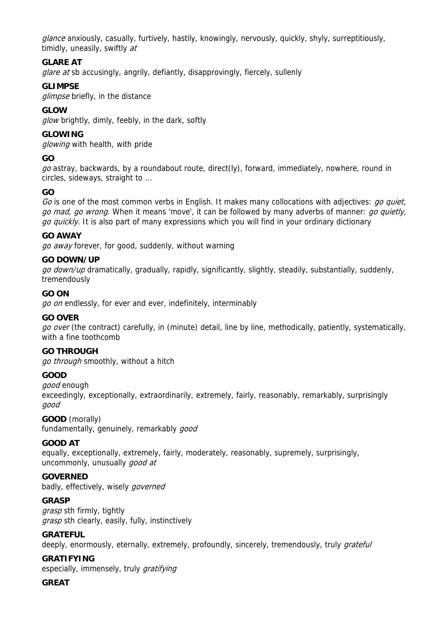glance anxiously, casually, furtively, hastily, knowingly, nervously, quickly, shyly, surreptitiously, timidly, uneasily, swiftly at

### **GLARE AT**

glare at sb accusingly, angrily, defiantly, disapprovingly, fiercely, sullenly

### **GLIMPSE**

glimpse briefly, in the distance

### **GLOW**

glow brightly, dimly, feebly, in the dark, softly

### **GLOWING**

glowing with health, with pride

### **GO**

go astray, backwards, by a roundabout route, direct(ly), forward, immediately, nowhere, round in circles, sideways, straight to ...

### **GO**

Go is one of the most common verbs in English. It makes many collocations with adjectives: *go quiet*, go mad, go wrong. When it means 'move', it can be followed by many adverbs of manner: go quietly, go quickly. It is also part of many expressions which you will find in your ordinary dictionary

### **GO AWAY**

go away forever, for good, suddenly, without warning

### **GO DOWN/UP**

go down/up dramatically, gradually, rapidly, significantly, slightly, steadily, substantially, suddenly, tremendously

#### **GO ON**

go on endlessly, for ever and ever, indefinitely, interminably

### **GO OVER**

go over (the contract) carefully, in (minute) detail, line by line, methodically, patiently, systematically, with a fine toothcomb

### **GO THROUGH**

go through smoothly, without a hitch

### **GOOD**

#### good enough

exceedingly, exceptionally, extraordinarily, extremely, fairly, reasonably, remarkably, surprisingly good

### **GOOD** (morally)

fundamentally, genuinely, remarkably good

### **GOOD AT**

equally, exceptionally, extremely, fairly, moderately, reasonably, supremely, surprisingly, uncommonly, unusually *good at* 

### **GOVERNED**

badly, effectively, wisely *governed* 

### **GRASP**

grasp sth firmly, tightly grasp sth clearly, easily, fully, instinctively

### **GRATEFUL**

deeply, enormously, eternally, extremely, profoundly, sincerely, tremendously, truly *grateful* 

### **GRATIFYING**

especially, immensely, truly gratifying

### **GREAT**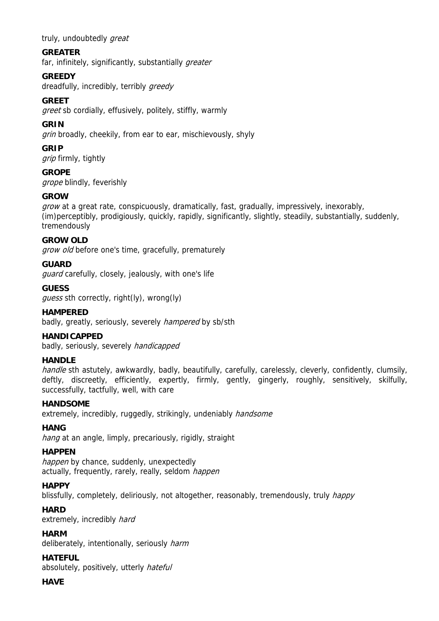#### truly, undoubtedly great

### **GREATER**

far, infinitely, significantly, substantially *greater* 

### **GREEDY**

dreadfully, incredibly, terribly *areedy* 

# **GREET**

greet sb cordially, effusively, politely, stiffly, warmly

### **GRIN**

*grin* broadly, cheekily, from ear to ear, mischievously, shyly

### **GRIP**

grip firmly, tightly

### **GROPE**

grope blindly, feverishly

### **GROW**

grow at a great rate, conspicuously, dramatically, fast, gradually, impressively, inexorably, (im)perceptibly, prodigiously, quickly, rapidly, significantly, slightly, steadily, substantially, suddenly, tremendously

### **GROW OLD**

grow old before one's time, gracefully, prematurely

### **GUARD**

guard carefully, closely, jealously, with one's life

### **GUESS**

guess sth correctly, right(ly), wrong(ly)

### **HAMPERED**

badly, greatly, seriously, severely *hampered* by sb/sth

### **HANDICAPPED**

badly, seriously, severely handicapped

### **HANDLE**

handle sth astutely, awkwardly, badly, beautifully, carefully, carelessly, cleverly, confidently, clumsily, deftly, discreetly, efficiently, expertly, firmly, gently, gingerly, roughly, sensitively, skilfully, successfully, tactfully, well, with care

### **HANDSOME**

extremely, incredibly, ruggedly, strikingly, undeniably *handsome* 

### **HANG**

hang at an angle, limply, precariously, rigidly, straight

### **HAPPEN**

happen by chance, suddenly, unexpectedly actually, frequently, rarely, really, seldom happen

### **HAPPY**

blissfully, completely, deliriously, not altogether, reasonably, tremendously, truly happy

### **HARD**

extremely, incredibly hard

### **HARM**

deliberately, intentionally, seriously harm

### **HATEFUL**

absolutely, positively, utterly hateful

### **HAVE**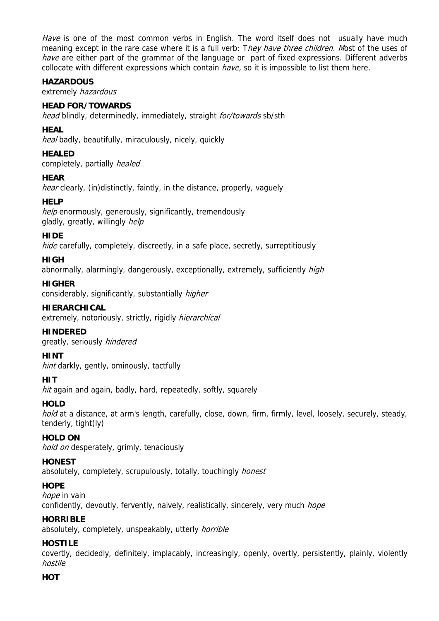Have is one of the most common verbs in English. The word itself does not usually have much meaning except in the rare case where it is a full verb: They have three children. Most of the uses of have are either part of the grammar of the language or part of fixed expressions. Different adverbs collocate with different expressions which contain *have*, so it is impossible to list them here.

### **HAZARDOUS**

extremely hazardous

### **HEAD FOR/TOWARDS**

head blindly, determinedly, immediately, straight for/towards sb/sth

### **HEAL**

heal badly, beautifully, miraculously, nicely, quickly

### **HEALED**

completely, partially *healed* 

### **HEAR**

hear clearly, (in)distinctly, faintly, in the distance, properly, vaguely

### **HELP**

help enormously, generously, significantly, tremendously gladly, greatly, willingly help

### **HIDE**

hide carefully, completely, discreetly, in a safe place, secretly, surreptitiously

### **HIGH**

abnormally, alarmingly, dangerously, exceptionally, extremely, sufficiently high

### **HIGHER**

considerably, significantly, substantially *higher* 

#### **HIERARCHICAL**

extremely, notoriously, strictly, rigidly *hierarchical* 

### **HINDERED**

greatly, seriously hindered

### **HINT**

hint darkly, gently, ominously, tactfully

### **HIT**

hit again and again, badly, hard, repeatedly, softly, squarely

### **HOLD**

hold at a distance, at arm's length, carefully, close, down, firm, firmly, level, loosely, securely, steady, tenderly, tight(ly)

### **HOLD ON**

hold on desperately, grimly, tenaciously

### **HONEST**

absolutely, completely, scrupulously, totally, touchingly *honest* 

### **HOPE**

hope in vain

confidently, devoutly, fervently, naively, realistically, sincerely, very much *hope* 

### **HORRIBLE**

absolutely, completely, unspeakably, utterly *horrible* 

### **HOSTILE**

covertly, decidedly, definitely, implacably, increasingly, openly, overtly, persistently, plainly, violently hostile

### **HOT**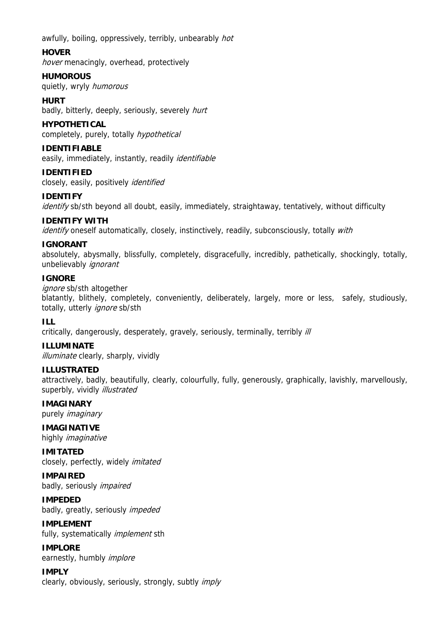awfully, boiling, oppressively, terribly, unbearably hot

## **HOVER**

hover menacingly, overhead, protectively

## **HUMOROUS**

quietly, wryly *humorous* 

**HURT**  badly, bitterly, deeply, seriously, severely hurt

## **HYPOTHETICAL**

completely, purely, totally *hypothetical* 

### **IDENTIFIABLE**

easily, immediately, instantly, readily *identifiable* 

## **IDENTIFIED**

closely, easily, positively identified

## **IDENTIFY**

identify sb/sth beyond all doubt, easily, immediately, straightaway, tentatively, without difficulty

## **IDENTIFY WITH**

identify oneself automatically, closely, instinctively, readily, subconsciously, totally with

## **IGNORANT**

absolutely, abysmally, blissfully, completely, disgracefully, incredibly, pathetically, shockingly, totally, unbelievably *ignorant* 

#### **IGNORE**

*ignore* sb/sth altogether blatantly, blithely, completely, conveniently, deliberately, largely, more or less, safely, studiously, totally, utterly *ignore* sb/sth

#### **ILL**

critically, dangerously, desperately, gravely, seriously, terminally, terribly ill

#### **ILLUMINATE**

illuminate clearly, sharply, vividly

#### **ILLUSTRATED**

attractively, badly, beautifully, clearly, colourfully, fully, generously, graphically, lavishly, marvellously, superbly, vividly *illustrated* 

#### **IMAGINARY**

purely *imaginary* 

## **IMAGINATIVE**

highly *imaginative* 

**IMITATED**  closely, perfectly, widely imitated

**IMPAIRED**  badly, seriously *impaired* 

### **IMPEDED**  badly, greatly, seriously impeded

**IMPLEMENT**  fully, systematically *implement* sth

**IMPLORE**  earnestly, humbly *implore* 

**IMPLY**  clearly, obviously, seriously, strongly, subtly *imply*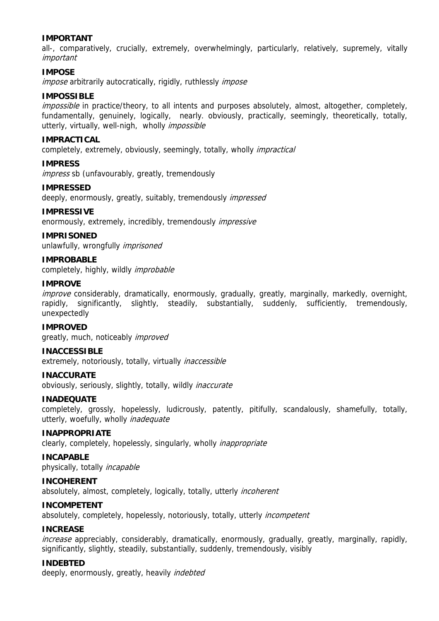#### **IMPORTANT**

all-, comparatively, crucially, extremely, overwhelmingly, particularly, relatively, supremely, vitally important

#### **IMPOSE**

impose arbitrarily autocratically, rigidly, ruthlessly impose

#### **IMPOSSIBLE**

impossible in practice/theory, to all intents and purposes absolutely, almost, altogether, completely, fundamentally, genuinely, logically, nearly. obviously, practically, seemingly, theoretically, totally, utterly, virtually, well-nigh, wholly *impossible* 

#### **IMPRACTICAL**

completely, extremely, obviously, seemingly, totally, wholly impractical

#### **IMPRESS**

impress sb (unfavourably, greatly, tremendously

#### **IMPRESSED**

deeply, enormously, greatly, suitably, tremendously *impressed* 

#### **IMPRESSIVE**

enormously, extremely, incredibly, tremendously *impressive* 

#### **IMPRISONED**

unlawfully, wrongfully *imprisoned* 

#### **IMPROBABLE**

completely, highly, wildly improbable

#### **IMPROVE**

improve considerably, dramatically, enormously, gradually, greatly, marginally, markedly, overnight, rapidly, significantly, slightly, steadily, substantially, suddenly, sufficiently, tremendously, unexpectedly

#### **IMPROVED**

greatly, much, noticeably *improved* 

#### **INACCESSIBLE**

extremely, notoriously, totally, virtually *inaccessible* 

#### **INACCURATE**

obviously, seriously, slightly, totally, wildly *inaccurate* 

#### **INADEQUATE**

completely, grossly, hopelessly, ludicrously, patently, pitifully, scandalously, shamefully, totally, utterly, woefully, wholly *inadequate* 

#### **INAPPROPRIATE**

clearly, completely, hopelessly, singularly, wholly *inappropriate* 

#### **INCAPABLE**

physically, totally incapable

#### **INCOHERENT**

absolutely, almost, completely, logically, totally, utterly *incoherent* 

#### **INCOMPETENT**

absolutely, completely, hopelessly, notoriously, totally, utterly *incompetent* 

#### **INCREASE**

increase appreciably, considerably, dramatically, enormously, gradually, greatly, marginally, rapidly, significantly, slightly, steadily, substantially, suddenly, tremendously, visibly

#### **INDEBTED**

deeply, enormously, greatly, heavily *indebted*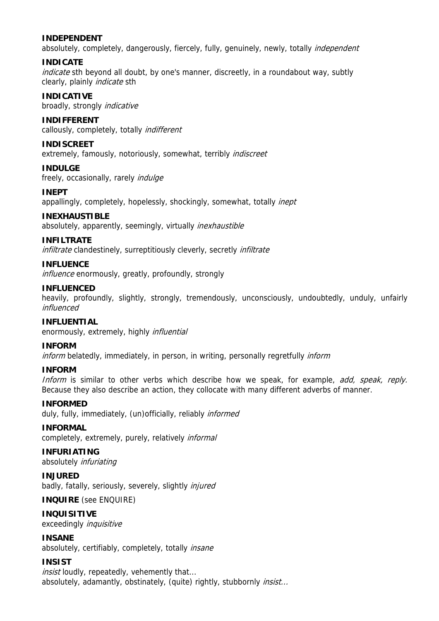#### **INDEPENDENT**

absolutely, completely, dangerously, fiercely, fully, genuinely, newly, totally *independent* 

## **INDICATE**

indicate sth beyond all doubt, by one's manner, discreetly, in a roundabout way, subtly clearly, plainly *indicate* sth

## **INDICATIVE**

broadly, strongly indicative

## **INDIFFERENT**

callously, completely, totally indifferent

## **INDISCREET**

extremely, famously, notoriously, somewhat, terribly indiscreet

## **INDULGE**

freely, occasionally, rarely *indulge* 

## **INEPT**

appallingly, completely, hopelessly, shockingly, somewhat, totally *inept* 

## **INEXHAUSTIBLE**

absolutely, apparently, seemingly, virtually *inexhaustible* 

## **INFILTRATE**

infiltrate clandestinely, surreptitiously cleverly, secretly *infiltrate* 

## **INFLUENCE**

influence enormously, greatly, profoundly, strongly

## **INFLUENCED**

heavily, profoundly, slightly, strongly, tremendously, unconsciously, undoubtedly, unduly, unfairly influenced

#### **INFLUENTIAL**

enormously, extremely, highly *influential* 

#### **INFORM**

inform belatedly, immediately, in person, in writing, personally regretfully *inform* 

#### **INFORM**

Inform is similar to other verbs which describe how we speak, for example, add, speak, reply. Because they also describe an action, they collocate with many different adverbs of manner.

#### **INFORMED**

duly, fully, immediately, (un) officially, reliably *informed* 

## **INFORMAL**

completely, extremely, purely, relatively *informal* 

## **INFURIATING**

absolutely infuriating

#### **INJURED**

badly, fatally, seriously, severely, slightly *injured* 

**INQUIRE** (see ENQUIRE)

# **INQUISITIVE**

exceedingly *inquisitive* 

## **INSANE**

absolutely, certifiably, completely, totally *insane* 

## **INSIST**

insist loudly, repeatedly, vehemently that... absolutely, adamantly, obstinately, (quite) rightly, stubbornly *insist...*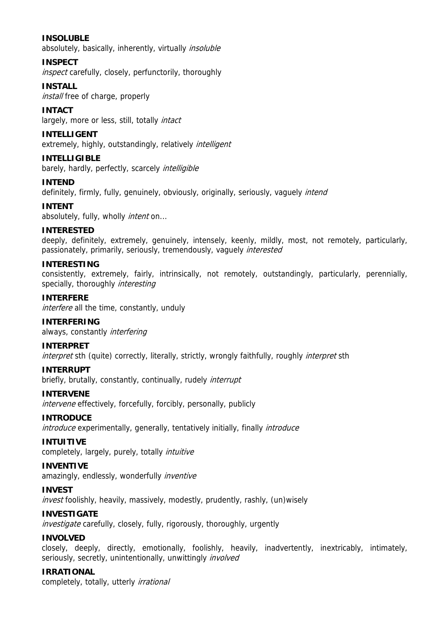## **INSOLUBLE**

absolutely, basically, inherently, virtually *insoluble* 

### **INSPECT**

inspect carefully, closely, perfunctorily, thoroughly

### **INSTALL**

install free of charge, properly

## **INTACT**

largely, more or less, still, totally *intact* 

## **INTELLIGENT**

extremely, highly, outstandingly, relatively intelligent

#### **INTELLIGIBLE**

barely, hardly, perfectly, scarcely intelligible

#### **INTEND**

definitely, firmly, fully, genuinely, obviously, originally, seriously, vaguely *intend* 

#### **INTENT**

absolutely, fully, wholly *intent* on...

#### **INTERESTED**

deeply, definitely, extremely, genuinely, intensely, keenly, mildly, most, not remotely, particularly, passionately, primarily, seriously, tremendously, vaguely interested

#### **INTERESTING**

consistently, extremely, fairly, intrinsically, not remotely, outstandingly, particularly, perennially, specially, thoroughly interesting

#### **INTERFERE**

*interfere* all the time, constantly, unduly

#### **INTERFERING**

always, constantly *interfering* 

#### **INTERPRET**

interpret sth (quite) correctly, literally, strictly, wrongly faithfully, roughly interpret sth

#### **INTERRUPT**

briefly, brutally, constantly, continually, rudely *interrupt* 

#### **INTERVENE**

intervene effectively, forcefully, forcibly, personally, publicly

#### **INTRODUCE**

introduce experimentally, generally, tentatively initially, finally introduce

#### **INTUITIVE**

completely, largely, purely, totally *intuitive* 

#### **INVENTIVE**

amazingly, endlessly, wonderfully inventive

#### **INVEST**

invest foolishly, heavily, massively, modestly, prudently, rashly, (un)wisely

### **INVESTIGATE**

investigate carefully, closely, fully, rigorously, thoroughly, urgently

#### **INVOLVED**

closely, deeply, directly, emotionally, foolishly, heavily, inadvertently, inextricably, intimately, seriously, secretly, unintentionally, unwittingly *involved* 

#### **IRRATIONAL**

completely, totally, utterly *irrational*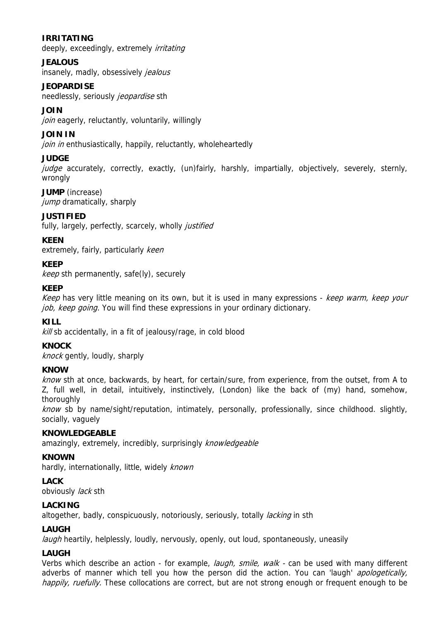#### **IRRITATING**

deeply, exceedingly, extremely *irritating* 

## **JEALOUS**

insanely, madly, obsessively jealous

## **JEOPARDISE**

needlessly, seriously jeopardise sth

## **JOIN**

join eagerly, reluctantly, voluntarily, willingly

## **JOIN IN**

join in enthusiastically, happily, reluctantly, wholeheartedly

## **JUDGE**

judge accurately, correctly, exactly, (un)fairly, harshly, impartially, objectively, severely, sternly, wrongly

**JUMP** (increase) jump dramatically, sharply

## **JUSTIFIED**

fully, largely, perfectly, scarcely, wholly justified

#### **KEEN**

extremely, fairly, particularly keen

#### **KEEP**

keep sth permanently, safe(ly), securely

#### **KEEP**

Keep has very little meaning on its own, but it is used in many expressions - keep warm, keep your job, keep going. You will find these expressions in your ordinary dictionary.

## **KILL**

kill sb accidentally, in a fit of jealousy/rage, in cold blood

#### **KNOCK**

knock gently, loudly, sharply

#### **KNOW**

know sth at once, backwards, by heart, for certain/sure, from experience, from the outset, from A to Z, full well, in detail, intuitively, instinctively, (London) like the back of (my) hand, somehow, thoroughly

know sb by name/sight/reputation, intimately, personally, professionally, since childhood. slightly, socially, vaguely

#### **KNOWLEDGEABLE**

amazingly, extremely, incredibly, surprisingly knowledgeable

#### **KNOWN**

hardly, internationally, little, widely known

#### **LACK**

obviously lack sth

#### **LACKING**

altogether, badly, conspicuously, notoriously, seriously, totally *lacking* in sth

#### **LAUGH**

laugh heartily, helplessly, loudly, nervously, openly, out loud, spontaneously, uneasily

#### **LAUGH**

Verbs which describe an action - for example, *laugh, smile, walk -* can be used with many different adverbs of manner which tell you how the person did the action. You can 'laugh' *apologetically*, happily, ruefully. These collocations are correct, but are not strong enough or frequent enough to be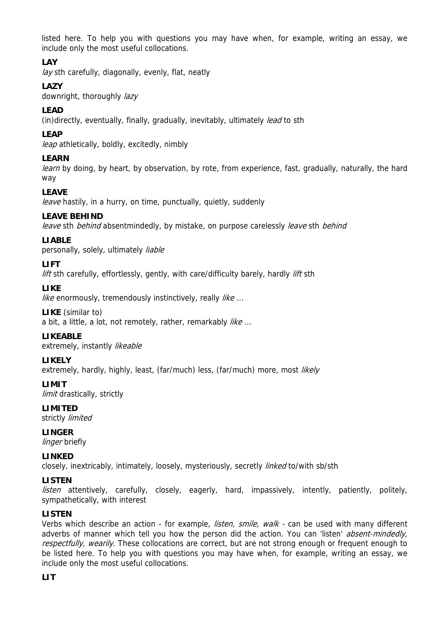listed here. To help you with questions you may have when, for example, writing an essay, we include only the most useful collocations.

## **LAY**

lay sth carefully, diagonally, evenly, flat, neatly

## **LAZY**

downright, thoroughly lazy

## **LEAD**

(in)directly, eventually, finally, gradually, inevitably, ultimately lead to sth

## **LEAP**

leap athletically, boldly, excitedly, nimbly

## **LEARN**

learn by doing, by heart, by observation, by rote, from experience, fast, gradually, naturally, the hard way

## **LEAVE**

leave hastily, in a hurry, on time, punctually, quietly, suddenly

## **LEAVE BEHIND**

leave sth behind absentmindedly, by mistake, on purpose carelessly leave sth behind

## **LIABLE**

personally, solely, ultimately liable

## **LIFT**

lift sth carefully, effortlessly, gently, with care/difficulty barely, hardly lift sth

## **LIKE**

*like* enormously, tremendously instinctively, really *like* ...

## **LIKE** (similar to)

a bit, a little, a lot, not remotely, rather, remarkably like  $\ldots$ 

## **LIKEABLE**

extremely, instantly likeable

## **LIKELY**

extremely, hardly, highly, least, (far/much) less, (far/much) more, most likely

#### **LIMIT**

limit drastically, strictly

## **LIMITED**

strictly limited

## **LINGER**

linger briefly

## **LINKED**

closely, inextricably, intimately, loosely, mysteriously, secretly *linked* to/with sb/sth

## **LISTEN**

listen attentively, carefully, closely, eagerly, hard, impassively, intently, patiently, politely, sympathetically, with interest

## **LISTEN**

Verbs which describe an action - for example, *listen, smile, walk* - can be used with many different adverbs of manner which tell you how the person did the action. You can 'listen' *absent-mindedly*, respectfully, wearily. These collocations are correct, but are not strong enough or frequent enough to be listed here. To help you with questions you may have when, for example, writing an essay, we include only the most useful collocations.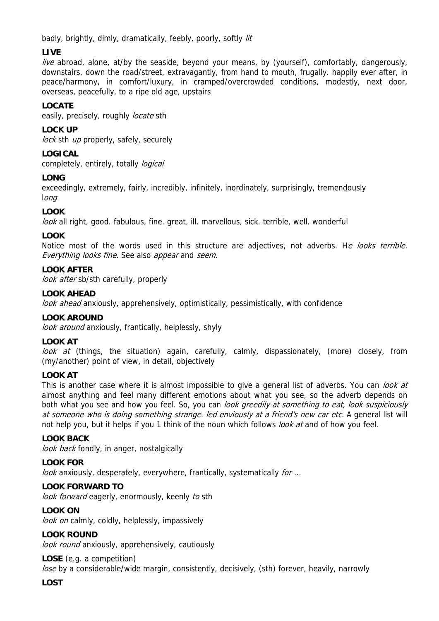badly, brightly, dimly, dramatically, feebly, poorly, softly lit

## **LIVE**

live abroad, alone, at/by the seaside, beyond your means, by (yourself), comfortably, dangerously, downstairs, down the road/street, extravagantly, from hand to mouth, frugally. happily ever after, in peace/harmony, in comfort/luxury, in cramped/overcrowded conditions, modestly, next door, overseas, peacefully, to a ripe old age, upstairs

## **LOCATE**

easily, precisely, roughly locate sth

## **LOCK UP**

lock sth up properly, safely, securely

## **LOGICAL**

completely, entirely, totally *logical* 

## **LONG**

exceedingly, extremely, fairly, incredibly, infinitely, inordinately, surprisingly, tremendously long

## **LOOK**

look all right, good. fabulous, fine. great, ill. marvellous, sick. terrible, well. wonderful

## **LOOK**

Notice most of the words used in this structure are adjectives, not adverbs. He looks terrible. Everything looks fine. See also appear and seem.

## **LOOK AFTER**

look after sb/sth carefully, properly

## **LOOK AHEAD**

look ahead anxiously, apprehensively, optimistically, pessimistically, with confidence

#### **LOOK AROUND**

look around anxiously, frantically, helplessly, shyly

#### **LOOK AT**

look at (things, the situation) again, carefully, calmly, dispassionately, (more) closely, from (my/another) point of view, in detail, objectively

#### **LOOK AT**

This is another case where it is almost impossible to give a general list of adverbs. You can *look at* almost anything and feel many different emotions about what you see, so the adverb depends on both what you see and how you feel. So, you can look greedily at something to eat, look suspiciously at someone who is doing something strange. led enviously at a friend's new car etc. A general list will not help you, but it helps if you 1 think of the noun which follows look at and of how you feel.

#### **LOOK BACK**

look back fondly, in anger, nostalgically

#### **LOOK FOR**

look anxiously, desperately, everywhere, frantically, systematically for ...

#### **LOOK FORWARD TO**

look forward eagerly, enormously, keenly to sth

#### **LOOK ON**

look on calmly, coldly, helplessly, impassively

## **LOOK ROUND**

look round anxiously, apprehensively, cautiously

## **LOSE** (e.g. a competition)

lose by a considerable/wide margin, consistently, decisively, (sth) forever, heavily, narrowly

#### **LOST**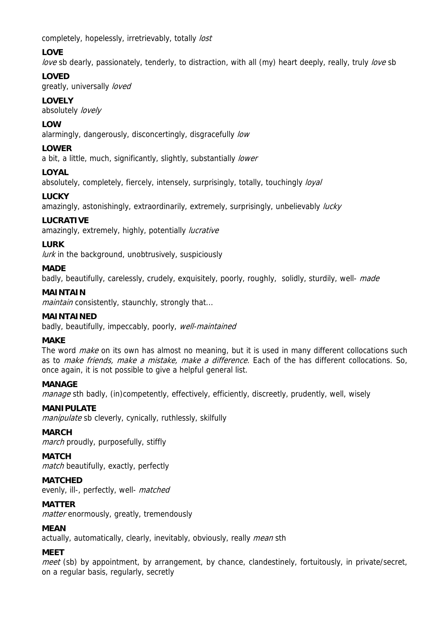completely, hopelessly, irretrievably, totally lost

## **LOVE**

love sb dearly, passionately, tenderly, to distraction, with all (my) heart deeply, really, truly love sb

## **LOVED**

areatly, universally loved

## **LOVELY**

absolutely lovely

## **LOW**

alarmingly, dangerously, disconcertingly, disgracefully low

## **LOWER**

a bit, a little, much, significantly, slightly, substantially lower

## **LOYAL**

absolutely, completely, fiercely, intensely, surprisingly, totally, touchingly loyal

## **LUCKY**

amazingly, astonishingly, extraordinarily, extremely, surprisingly, unbelievably *lucky* 

## **LUCRATIVE**

amazingly, extremely, highly, potentially *lucrative* 

## **LURK**

lurk in the background, unobtrusively, suspiciously

## **MADE**

badly, beautifully, carelessly, crudely, exquisitely, poorly, roughly, solidly, sturdily, well- made

## **MAINTAIN**

maintain consistently, staunchly, strongly that...

## **MAINTAINED**

badly, beautifully, impeccably, poorly, well-maintained

## **MAKE**

The word *make* on its own has almost no meaning, but it is used in many different collocations such as to *make friends, make a mistake, make a difference*. Each of the has different collocations. So, once again, it is not possible to give a helpful general list.

## **MANAGE**

manage sth badly, (in)competently, effectively, efficiently, discreetly, prudently, well, wisely

## **MANIPULATE**

manipulate sb cleverly, cynically, ruthlessly, skilfully

## **MARCH**

march proudly, purposefully, stiffly

## **MATCH**

match beautifully, exactly, perfectly

## **MATCHED**

evenly, ill-, perfectly, well- matched

## **MATTER**

matter enormously, greatly, tremendously

## **MEAN**

actually, automatically, clearly, inevitably, obviously, really *mean* sth

## **MEET**

meet (sb) by appointment, by arrangement, by chance, clandestinely, fortuitously, in private/secret, on a regular basis, regularly, secretly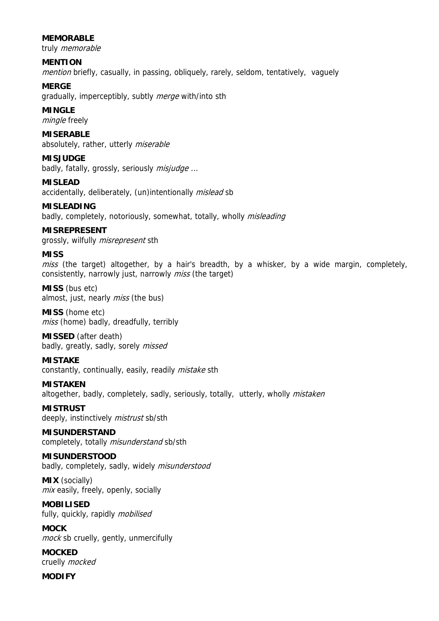#### **MEMORABLE**

truly memorable

### **MENTION**

mention briefly, casually, in passing, obliquely, rarely, seldom, tentatively, vaguely

#### **MERGE**

gradually, imperceptibly, subtly merge with/into sth

#### **MINGLE**

mingle freely

## **MISERABLE**

absolutely, rather, utterly miserable

#### **MISJUDGE**

badly, fatally, grossly, seriously *misjudge* ...

#### **MISLEAD**

accidentally, deliberately, (un)intentionally *mislead* sb

### **MISLEADING**

badly, completely, notoriously, somewhat, totally, wholly *misleading* 

#### **MISREPRESENT**

grossly, wilfully misrepresent sth

#### **MISS**

miss (the target) altogether, by a hair's breadth, by a whisker, by a wide margin, completely, consistently, narrowly just, narrowly *miss* (the target)

**MISS** (bus etc) almost, just, nearly *miss* (the bus)

**MISS** (home etc) miss (home) badly, dreadfully, terribly

**MISSED** (after death) badly, greatly, sadly, sorely *missed* 

## **MISTAKE**

constantly, continually, easily, readily *mistake* sth

#### **MISTAKEN**

altogether, badly, completely, sadly, seriously, totally, utterly, wholly mistaken

#### **MISTRUST**  deeply, instinctively *mistrust* sb/sth

**MISUNDERSTAND**  completely, totally *misunderstand* sb/sth

## **MISUNDERSTOOD**

badly, completely, sadly, widely *misunderstood* 

**MIX** (socially) mix easily, freely, openly, socially

#### **MOBILISED**  fully, quickly, rapidly mobilised

**MOCK**  mock sb cruelly, gently, unmercifully

## **MOCKED**  cruelly mocked

**MODIFY**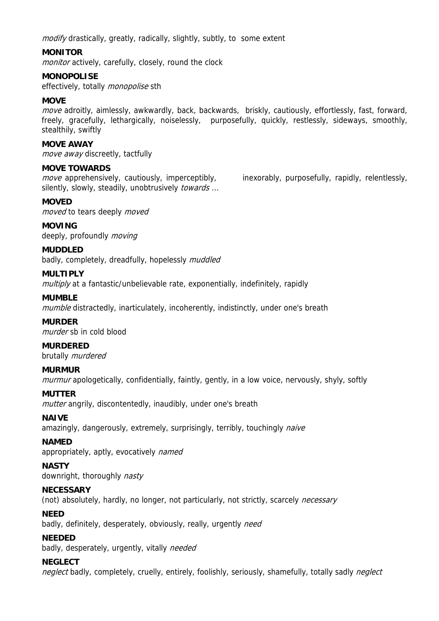modify drastically, greatly, radically, slightly, subtly, to some extent

#### **MONITOR**

monitor actively, carefully, closely, round the clock

#### **MONOPOLISE**

effectively, totally *monopolise* sth

#### **MOVE**

move adroitly, aimlessly, awkwardly, back, backwards, briskly, cautiously, effortlessly, fast, forward, freely, gracefully, lethargically, noiselessly, purposefully, quickly, restlessly, sideways, smoothly, stealthily, swiftly

#### **MOVE AWAY**

move away discreetly, tactfully

#### **MOVE TOWARDS**

*move* apprehensively, cautiously, imperceptibly,  $\qquad$  inexorably, purposefully, rapidly, relentlessly, silently, slowly, steadily, unobtrusively *towards* ...

#### **MOVED**

moved to tears deeply moved

#### **MOVING**

deeply, profoundly *moving* 

#### **MUDDLED**

badly, completely, dreadfully, hopelessly *muddled* 

#### **MULTIPLY**

multiply at a fantastic/unbelievable rate, exponentially, indefinitely, rapidly

#### **MUMBLE**

mumble distractedly, inarticulately, incoherently, indistinctly, under one's breath

#### **MURDER**

murder sb in cold blood

**MURDERED** 

brutally murdered

### **MURMUR**

murmur apologetically, confidentially, faintly, gently, in a low voice, nervously, shyly, softly

#### **MUTTER**

mutter angrily, discontentedly, inaudibly, under one's breath

#### **NAIVE**

amazingly, dangerously, extremely, surprisingly, terribly, touchingly *naive* 

#### **NAMED**

appropriately, aptly, evocatively named

#### **NASTY**

downright, thoroughly nasty

#### **NECESSARY**

(not) absolutely, hardly, no longer, not particularly, not strictly, scarcely *necessary* 

#### **NEED**

badly, definitely, desperately, obviously, really, urgently need

## **NEEDED**

badly, desperately, urgently, vitally needed

## **NEGLECT**

neglect badly, completely, cruelly, entirely, foolishly, seriously, shamefully, totally sadly neglect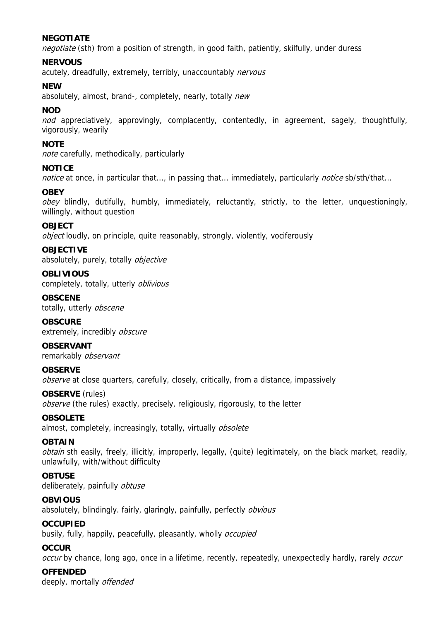#### **NEGOTIATE**

negotiate (sth) from a position of strength, in good faith, patiently, skilfully, under duress

#### **NERVOUS**

acutely, dreadfully, extremely, terribly, unaccountably *nervous* 

#### **NEW**

absolutely, almost, brand-, completely, nearly, totally new

#### **NOD**

nod appreciatively, approvingly, complacently, contentedly, in agreement, sagely, thoughtfully, vigorously, wearily

#### **NOTE**

note carefully, methodically, particularly

#### **NOTICE**

notice at once, in particular that..., in passing that... immediately, particularly notice sb/sth/that...

#### **OBEY**

obey blindly, dutifully, humbly, immediately, reluctantly, strictly, to the letter, unquestioningly, willingly, without question

#### **OBJECT**

object loudly, on principle, quite reasonably, strongly, violently, vociferously

#### **OBJECTIVE**

absolutely, purely, totally objective

#### **OBLIVIOUS**

completely, totally, utterly *oblivious* 

**OBSCENE**  totally, utterly obscene

**OBSCURE**  extremely, incredibly obscure

**OBSERVANT**  remarkably observant

#### **OBSERVE**

observe at close quarters, carefully, closely, critically, from a distance, impassively

#### **OBSERVE** (rules)

observe (the rules) exactly, precisely, religiously, rigorously, to the letter

#### **OBSOLETE**

almost, completely, increasingly, totally, virtually *obsolete* 

#### **OBTAIN**

obtain sth easily, freely, illicitly, improperly, legally, (quite) legitimately, on the black market, readily, unlawfully, with/without difficulty

#### **OBTUSE**

deliberately, painfully obtuse

#### **OBVIOUS**

absolutely, blindingly. fairly, glaringly, painfully, perfectly *obvious* 

#### **OCCUPIED**

busily, fully, happily, peacefully, pleasantly, wholly occupied

#### **OCCUR**

occur by chance, long ago, once in a lifetime, recently, repeatedly, unexpectedly hardly, rarely occur

#### **OFFENDED**

deeply, mortally offended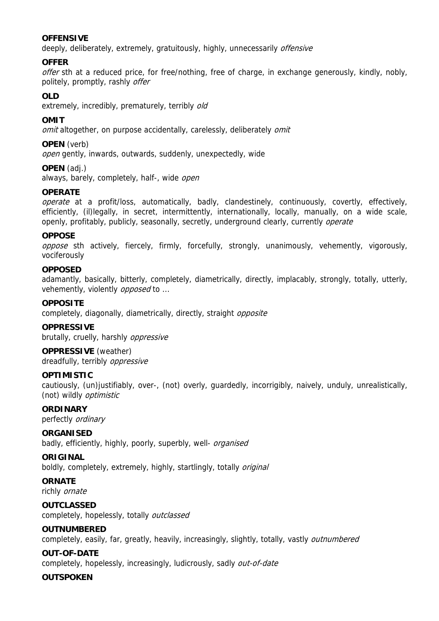#### **OFFENSIVE**

deeply, deliberately, extremely, gratuitously, highly, unnecessarily *offensive* 

#### **OFFER**

offer sth at a reduced price, for free/nothing, free of charge, in exchange generously, kindly, nobly, politely, promptly, rashly *offer* 

#### **OLD**

extremely, incredibly, prematurely, terribly old

### **OMIT**

omit altogether, on purpose accidentally, carelessly, deliberately *omit* 

#### **OPEN** (verb)

open gently, inwards, outwards, suddenly, unexpectedly, wide

#### **OPEN** (adj.)

always, barely, completely, half-, wide open

#### **OPERATE**

operate at a profit/loss, automatically, badly, clandestinely, continuously, covertly, effectively, efficiently, (il)legally, in secret, intermittently, internationally, locally, manually, on a wide scale, openly, profitably, publicly, seasonally, secretly, underground clearly, currently *operate* 

#### **OPPOSE**

oppose sth actively, fiercely, firmly, forcefully, strongly, unanimously, vehemently, vigorously, vociferously

#### **OPPOSED**

adamantly, basically, bitterly, completely, diametrically, directly, implacably, strongly, totally, utterly, vehemently, violently *opposed* to ...

#### **OPPOSITE**

completely, diagonally, diametrically, directly, straight *opposite* 

## **OPPRESSIVE**

brutally, cruelly, harshly *oppressive* 

**OPPRESSIVE** (weather) dreadfully, terribly *oppressive* 

#### **OPTIMISTIC**

cautiously, (un)justifiably, over-, (not) overly, guardedly, incorrigibly, naively, unduly, unrealistically, (not) wildly optimistic

**ORDINARY** 

perfectly ordinary

**ORGANISED**  badly, efficiently, highly, poorly, superbly, well- *organised* 

#### **ORIGINAL**

boldly, completely, extremely, highly, startlingly, totally *original* 

**ORNATE**  richly *ornate* 

## **OUTCLASSED**

completely, hopelessly, totally *outclassed* 

#### **OUTNUMBERED**

completely, easily, far, greatly, heavily, increasingly, slightly, totally, vastly *outnumbered* 

#### **OUT-OF-DATE**

completely, hopelessly, increasingly, ludicrously, sadly *out-of-date* 

#### **OUTSPOKEN**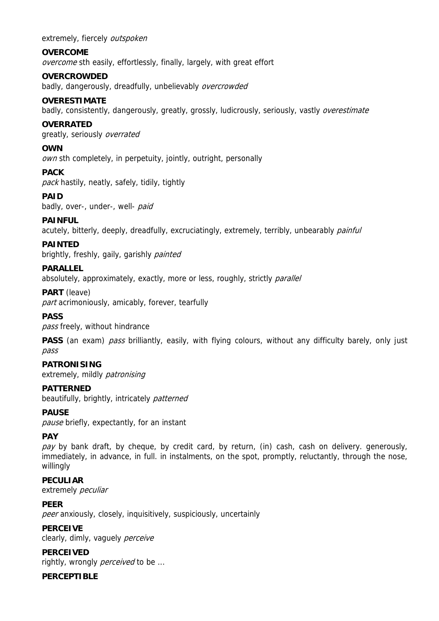extremely, fiercely outspoken

## **OVERCOME**

overcome sth easily, effortlessly, finally, largely, with great effort

## **OVERCROWDED**

badly, dangerously, dreadfully, unbelievably *overcrowded* 

## **OVERESTIMATE**

badly, consistently, dangerously, greatly, grossly, ludicrously, seriously, vastly *overestimate* 

## **OVERRATED**

greatly, seriously overrated

#### **OWN**

own sth completely, in perpetuity, jointly, outright, personally

## **PACK**

pack hastily, neatly, safely, tidily, tightly

## **PAID**

badly, over-, under-, well- paid

## **PAINFUL**

acutely, bitterly, deeply, dreadfully, excruciatingly, extremely, terribly, unbearably painful

## **PAINTED**

brightly, freshly, gaily, garishly *painted* 

## **PARALLEL**

absolutely, approximately, exactly, more or less, roughly, strictly *parallel* 

## **PART** (leave)

part acrimoniously, amicably, forever, tearfully

#### **PASS**

pass freely, without hindrance

**PASS** (an exam) *pass* brilliantly, easily, with flying colours, without any difficulty barely, only just pass

## **PATRONISING**

extremely, mildly *patronising* 

#### **PATTERNED**

beautifully, brightly, intricately *patterned* 

#### **PAUSE**

pause briefly, expectantly, for an instant

#### **PAY**

pay by bank draft, by cheque, by credit card, by return, (in) cash, cash on delivery. generously, immediately, in advance, in full. in instalments, on the spot, promptly, reluctantly, through the nose, willingly

#### **PECULIAR**

extremely *peculiar* 

#### **PEER**

peer anxiously, closely, inquisitively, suspiciously, uncertainly

#### **PERCEIVE**

clearly, dimly, vaguely perceive

## **PERCEIVED**

rightly, wrongly *perceived* to be ...

## **PERCEPTIBLE**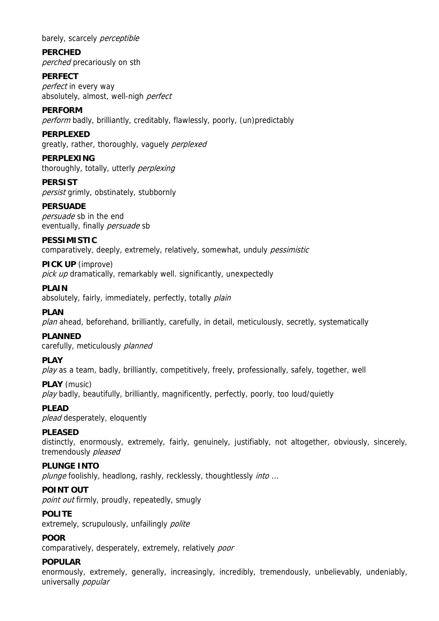barely, scarcely perceptible

#### **PERCHED**  perched precariously on sth

**PERFECT**  perfect in every way absolutely, almost, well-nigh *perfect* 

## **PERFORM**

perform badly, brilliantly, creditably, flawlessly, poorly, (un)predictably

### **PERPLEXED**

greatly, rather, thoroughly, vaguely *perplexed* 

### **PERPLEXING**  thoroughly, totally, utterly *perplexing*

**PERSIST**  persist grimly, obstinately, stubbornly

## **PERSUADE**

persuade sb in the end eventually, finally *persuade* sb

## **PESSIMISTIC**

comparatively, deeply, extremely, relatively, somewhat, unduly *pessimistic* 

## **PICK UP** (improve)

pick up dramatically, remarkably well. significantly, unexpectedly

#### **PLAIN**

absolutely, fairly, immediately, perfectly, totally *plain* 

## **PLAN**

plan ahead, beforehand, brilliantly, carefully, in detail, meticulously, secretly, systematically

## **PLANNED**

carefully, meticulously planned

## **PLAY**

play as a team, badly, brilliantly, competitively, freely, professionally, safely, together, well

#### **PLAY** (music)

play badly, beautifully, brilliantly, magnificently, perfectly, poorly, too loud/quietly

#### **PLEAD**

plead desperately, eloquently

#### **PLEASED**

distinctly, enormously, extremely, fairly, genuinely, justifiably, not altogether, obviously, sincerely, tremendously *pleased* 

## **PLUNGE INTO**

plunge foolishly, headlong, rashly, recklessly, thoughtlessly *into* ...

## **POINT OUT**

point out firmly, proudly, repeatedly, smugly

#### **POLITE**

extremely, scrupulously, unfailingly *polite* 

#### **POOR**

comparatively, desperately, extremely, relatively poor

## **POPULAR**

enormously, extremely, generally, increasingly, incredibly, tremendously, unbelievably, undeniably, universally *popular*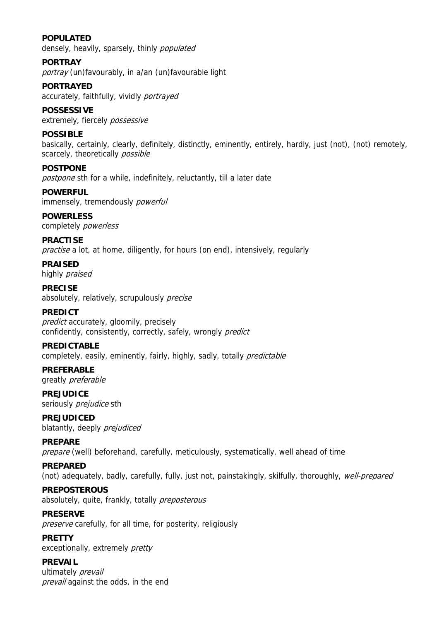## **POPULATED**

densely, heavily, sparsely, thinly *populated* 

### **PORTRAY**

portray (un)favourably, in a/an (un)favourable light

### **PORTRAYED**

accurately, faithfully, vividly portrayed

### **POSSESSIVE**

extremely, fiercely possessive

### **POSSIBLE**

basically, certainly, clearly, definitely, distinctly, eminently, entirely, hardly, just (not), (not) remotely, scarcely, theoretically possible

#### **POSTPONE**

postpone sth for a while, indefinitely, reluctantly, till a later date

#### **POWERFUL**

immensely, tremendously *powerful* 

#### **POWERLESS**

completely *powerless* 

#### **PRACTISE**

practise a lot, at home, diligently, for hours (on end), intensively, regularly

## **PRAISED**

highly praised

## **PRECISE**

absolutely, relatively, scrupulously *precise* 

## **PREDICT**

predict accurately, gloomily, precisely confidently, consistently, correctly, safely, wrongly *predict* 

#### **PREDICTABLE**

completely, easily, eminently, fairly, highly, sadly, totally predictable

#### **PREFERABLE**

greatly preferable

**PREJUDICE**  seriously *prejudice* sth

## **PREJUDICED**

blatantly, deeply *prejudiced* 

#### **PREPARE**

prepare (well) beforehand, carefully, meticulously, systematically, well ahead of time

#### **PREPARED**

(not) adequately, badly, carefully, fully, just not, painstakingly, skilfully, thoroughly, well-prepared

#### **PREPOSTEROUS**

absolutely, quite, frankly, totally *preposterous* 

#### **PRESERVE**

preserve carefully, for all time, for posterity, religiously

#### **PRETTY**

exceptionally, extremely *pretty* 

#### **PREVAIL**

ultimately *prevail* prevail against the odds, in the end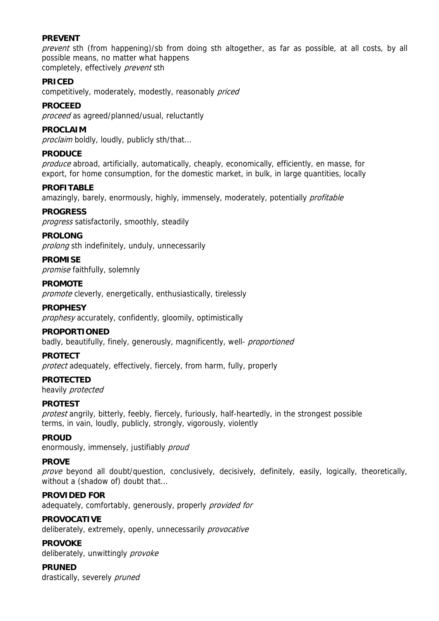#### **PREVENT**

prevent sth (from happening)/sb from doing sth altogether, as far as possible, at all costs, by all possible means, no matter what happens completely, effectively prevent sth

#### **PRICED**

competitively, moderately, modestly, reasonably priced

#### **PROCEED**

proceed as agreed/planned/usual, reluctantly

#### **PROCLAIM**

proclaim boldly, loudly, publicly sth/that...

#### **PRODUCE**

produce abroad, artificially, automatically, cheaply, economically, efficiently, en masse, for export, for home consumption, for the domestic market, in bulk, in large quantities, locally

#### **PROFITABLE**

amazingly, barely, enormously, highly, immensely, moderately, potentially *profitable* 

#### **PROGRESS**

progress satisfactorily, smoothly, steadily

#### **PROLONG**

prolong sth indefinitely, unduly, unnecessarily

#### **PROMISE**

promise faithfully, solemnly

#### **PROMOTE**

promote cleverly, energetically, enthusiastically, tirelessly

### **PROPHESY**

prophesy accurately, confidently, gloomily, optimistically

#### **PROPORTIONED**

badly, beautifully, finely, generously, magnificently, well- proportioned

#### **PROTECT**

protect adequately, effectively, fiercely, from harm, fully, properly

#### **PROTECTED**

heavily *protected* 

#### **PROTEST**

protest angrily, bitterly, feebly, fiercely, furiously, half-heartedly, in the strongest possible terms, in vain, loudly, publicly, strongly, vigorously, violently

#### **PROUD**

enormously, immensely, justifiably *proud* 

#### **PROVE**

prove beyond all doubt/question, conclusively, decisively, definitely, easily, logically, theoretically, without a (shadow of) doubt that...

#### **PROVIDED FOR**

adequately, comfortably, generously, properly *provided for* 

## **PROVOCATIVE**

deliberately, extremely, openly, unnecessarily *provocative* 

## **PROVOKE**

deliberately, unwittingly *provoke* 

## **PRUNED**

drastically, severely *pruned*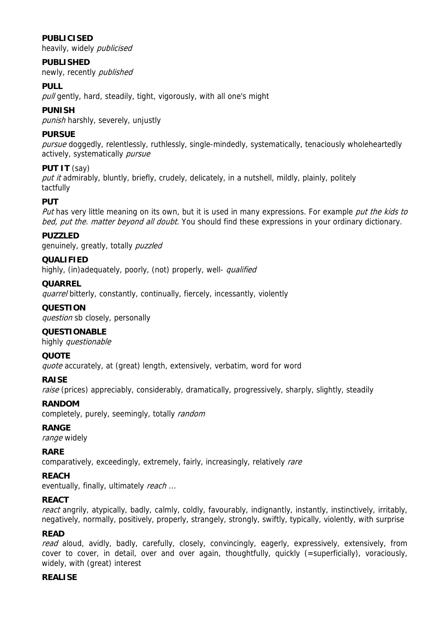#### **PUBLICISED**

heavily, widely *publicised* 

#### **PUBLISHED**

newly, recently *published* 

#### **PULL**

pull gently, hard, steadily, tight, vigorously, with all one's might

### **PUNISH**

punish harshly, severely, unjustly

### **PURSUE**

pursue doggedly, relentlessly, ruthlessly, single-mindedly, systematically, tenaciously wholeheartedly actively, systematically pursue

#### **PUT IT** (say)

put it admirably, bluntly, briefly, crudely, delicately, in a nutshell, mildly, plainly, politely tactfully

## **PUT**

Put has very little meaning on its own, but it is used in many expressions. For example put the kids to bed, put the. matter beyond all doubt. You should find these expressions in your ordinary dictionary.

## **PUZZLED**

genuinely, greatly, totally *puzzled* 

## **QUALIFIED**

highly, (in)adequately, poorly, (not) properly, well- qualified

#### **QUARREL**

quarrel bitterly, constantly, continually, fiercely, incessantly, violently

#### **QUESTION**

question sb closely, personally

#### **QUESTIONABLE**

highly questionable

#### **QUOTE**

quote accurately, at (great) length, extensively, verbatim, word for word

#### **RAISE**

raise (prices) appreciably, considerably, dramatically, progressively, sharply, slightly, steadily

#### **RANDOM**

completely, purely, seemingly, totally random

#### **RANGE**

range widely

#### **RARE**

comparatively, exceedingly, extremely, fairly, increasingly, relatively rare

#### **REACH**

eventually, finally, ultimately reach ...

#### **REACT**

react angrily, atypically, badly, calmly, coldly, favourably, indignantly, instantly, instinctively, irritably, negatively, normally, positively, properly, strangely, strongly, swiftly, typically, violently, with surprise

#### **READ**

read aloud, avidly, badly, carefully, closely, convincingly, eagerly, expressively, extensively, from cover to cover, in detail, over and over again, thoughtfully, quickly (=superficially), voraciously, widely, with (great) interest

### **REALISE**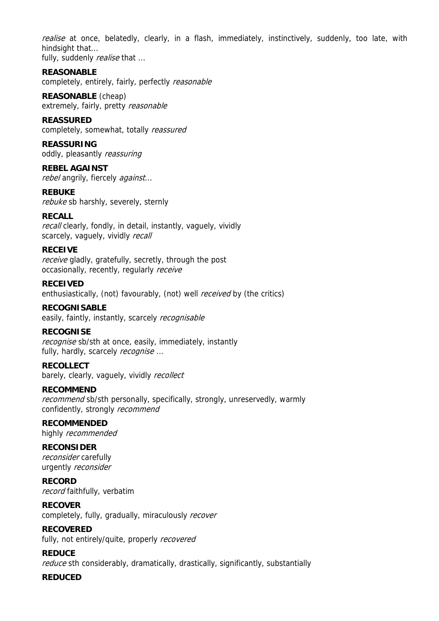realise at once, belatedly, clearly, in a flash, immediately, instinctively, suddenly, too late, with hindsight that...

fully, suddenly *realise* that ...

**REASONABLE**  completely, entirely, fairly, perfectly reasonable

**REASONABLE** (cheap) extremely, fairly, pretty reasonable

### **REASSURED**

completely, somewhat, totally reassured

## **REASSURING**

oddly, pleasantly reassuring

**REBEL AGAINST**  rebel angrily, fiercely against...

**REBUKE** 

rebuke sb harshly, severely, sternly

## **RECALL**

recall clearly, fondly, in detail, instantly, vaguely, vividly scarcely, vaguely, vividly recall

## **RECEIVE**

receive gladly, gratefully, secretly, through the post occasionally, recently, regularly receive

#### **RECEIVED**

enthusiastically, (not) favourably, (not) well *received* by (the critics)

**RECOGNISABLE**  easily, faintly, instantly, scarcely recognisable

#### **RECOGNISE**

recognise sb/sth at once, easily, immediately, instantly fully, hardly, scarcely recognise ...

#### **RECOLLECT**

barely, clearly, vaguely, vividly recollect

#### **RECOMMEND**

recommend sb/sth personally, specifically, strongly, unreservedly, warmly confidently, strongly recommend

### **RECOMMENDED**

highly recommended

#### **RECONSIDER**

reconsider carefully urgently reconsider

**RECORD** 

record faithfully, verbatim

## **RECOVER**

completely, fully, gradually, miraculously recover

#### **RECOVERED**

fully, not entirely/quite, properly recovered

#### **REDUCE**

reduce sth considerably, dramatically, drastically, significantly, substantially

#### **REDUCED**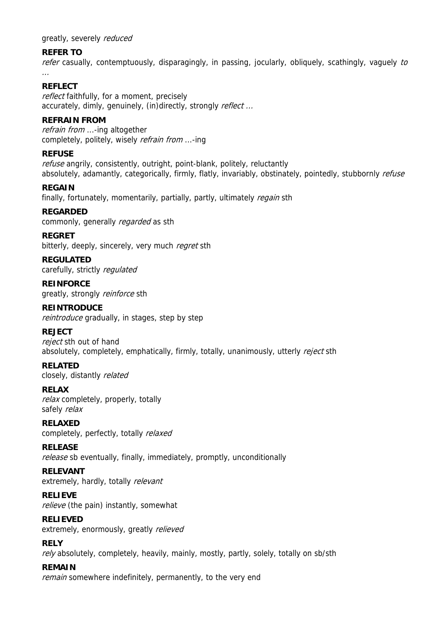#### greatly, severely reduced

## **REFER TO**

refer casually, contemptuously, disparagingly, in passing, jocularly, obliquely, scathingly, vaguely to

## **REFLECT**

...

reflect faithfully, for a moment, precisely accurately, dimly, genuinely, (in)directly, strongly reflect ...

## **REFRAIN FROM**

refrain from ...-ing altogether completely, politely, wisely refrain from ...-ing

## **REFUSE**

refuse angrily, consistently, outright, point-blank, politely, reluctantly absolutely, adamantly, categorically, firmly, flatly, invariably, obstinately, pointedly, stubbornly refuse

## **REGAIN**

finally, fortunately, momentarily, partially, partly, ultimately regain sth

## **REGARDED**

commonly, generally regarded as sth

#### **REGRET**

bitterly, deeply, sincerely, very much regret sth

## **REGULATED**

carefully, strictly regulated

**REINFORCE**  greatly, strongly *reinforce* sth

## **REINTRODUCE**

reintroduce gradually, in stages, step by step

## **REJECT**

reject sth out of hand absolutely, completely, emphatically, firmly, totally, unanimously, utterly reject sth

## **RELATED**

closely, distantly related

#### **RELAX**

relax completely, properly, totally safely relax

## **RELAXED**

completely, perfectly, totally relaxed

#### **RELEASE**

release sb eventually, finally, immediately, promptly, unconditionally

#### **RELEVANT**

extremely, hardly, totally relevant

## **RELIEVE**

relieve (the pain) instantly, somewhat

#### **RELIEVED**

extremely, enormously, greatly relieved

## **RELY**

rely absolutely, completely, heavily, mainly, mostly, partly, solely, totally on sb/sth

#### **REMAIN**

remain somewhere indefinitely, permanently, to the very end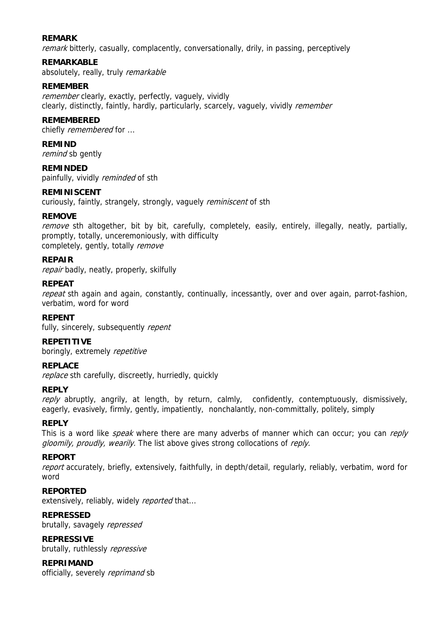#### **REMARK**

remark bitterly, casually, complacently, conversationally, drily, in passing, perceptively

#### **REMARKABLE**

absolutely, really, truly remarkable

#### **REMEMBER**

remember clearly, exactly, perfectly, vaguely, vividly clearly, distinctly, faintly, hardly, particularly, scarcely, vaguely, vividly remember

#### **REMEMBERED**

chiefly *remembered* for ...

#### **REMIND**

remind sb gently

**REMINDED**  painfully, vividly reminded of sth

#### **REMINISCENT**

curiously, faintly, strangely, strongly, vaguely *reminiscent* of sth

#### **REMOVE**

remove sth altogether, bit by bit, carefully, completely, easily, entirely, illegally, neatly, partially, promptly, totally, unceremoniously, with difficulty completely, gently, totally remove

#### **REPAIR**

repair badly, neatly, properly, skilfully

#### **REPEAT**

repeat sth again and again, constantly, continually, incessantly, over and over again, parrot-fashion, verbatim, word for word

#### **REPENT**

fully, sincerely, subsequently repent

#### **REPETITIVE**

boringly, extremely repetitive

#### **REPLACE**

replace sth carefully, discreetly, hurriedly, quickly

#### **REPLY**

reply abruptly, angrily, at length, by return, calmly, confidently, contemptuously, dismissively, eagerly, evasively, firmly, gently, impatiently, nonchalantly, non-committally, politely, simply

#### **REPLY**

This is a word like *speak* where there are many adverbs of manner which can occur; you can *reply* gloomily, proudly, wearily. The list above gives strong collocations of reply.

#### **REPORT**

report accurately, briefly, extensively, faithfully, in depth/detail, regularly, reliably, verbatim, word for word

#### **REPORTED**

extensively, reliably, widely reported that...

## **REPRESSED**

brutally, savagely repressed

#### **REPRESSIVE**

brutally, ruthlessly repressive

#### **REPRIMAND**

officially, severely reprimand sb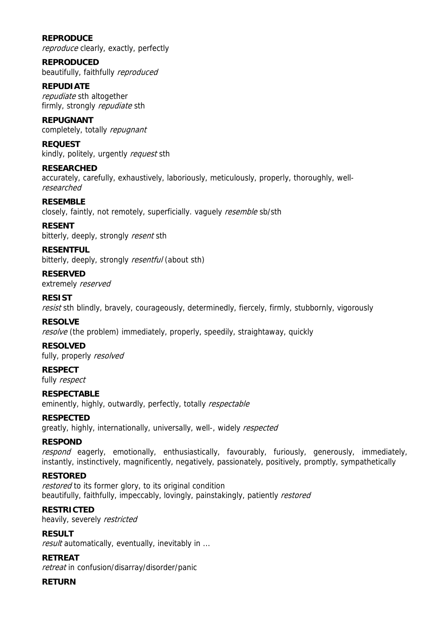#### **REPRODUCE**

reproduce clearly, exactly, perfectly

## **REPRODUCED**

beautifully, faithfully reproduced

## **REPUDIATE**

repudiate sth altogether firmly, strongly *repudiate* sth

#### **REPUGNANT**

completely, totally repugnant

#### **REQUEST**

kindly, politely, urgently request sth

#### **RESEARCHED**

accurately, carefully, exhaustively, laboriously, meticulously, properly, thoroughly, wellresearched

#### **RESEMBLE**

closely, faintly, not remotely, superficially. vaguely resemble sb/sth

#### **RESENT**

bitterly, deeply, strongly resent sth

#### **RESENTFUL**

bitterly, deeply, strongly resentful (about sth)

## **RESERVED**

extremely reserved

#### **RESIST**

resist sth blindly, bravely, courageously, determinedly, fiercely, firmly, stubbornly, vigorously

#### **RESOLVE**

resolve (the problem) immediately, properly, speedily, straightaway, quickly

#### **RESOLVED**

fully, properly resolved

#### **RESPECT**

fully respect

#### **RESPECTABLE**

eminently, highly, outwardly, perfectly, totally respectable

#### **RESPECTED**

greatly, highly, internationally, universally, well-, widely respected

#### **RESPOND**

respond eagerly, emotionally, enthusiastically, favourably, furiously, generously, immediately, instantly, instinctively, magnificently, negatively, passionately, positively, promptly, sympathetically

#### **RESTORED**

restored to its former glory, to its original condition beautifully, faithfully, impeccably, lovingly, painstakingly, patiently restored

#### **RESTRICTED**

heavily, severely restricted

#### **RESULT**

result automatically, eventually, inevitably in ...

#### **RETREAT**

retreat in confusion/disarray/disorder/panic

#### **RETURN**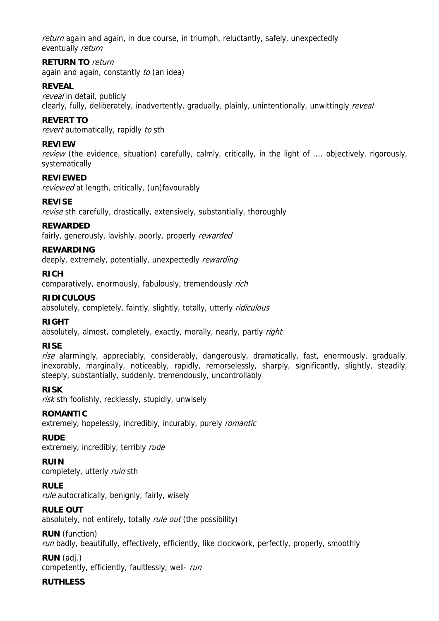return again and again, in due course, in triumph, reluctantly, safely, unexpectedly eventually return

#### **RETURN TO** return

again and again, constantly to (an idea)

## **REVEAL**

reveal in detail, publicly clearly, fully, deliberately, inadvertently, gradually, plainly, unintentionally, unwittingly reveal

## **REVERT TO**

revert automatically, rapidly to sth

## **REVIEW**

review (the evidence, situation) carefully, calmly, critically, in the light of .... objectively, rigorously, systematically

#### **REVIEWED**

reviewed at length, critically, (un)favourably

#### **REVISE**

revise sth carefully, drastically, extensively, substantially, thoroughly

#### **REWARDED**

fairly, generously, lavishly, poorly, properly rewarded

#### **REWARDING**

deeply, extremely, potentially, unexpectedly rewarding

#### **RICH**

comparatively, enormously, fabulously, tremendously rich

#### **RIDICULOUS**

absolutely, completely, faintly, slightly, totally, utterly ridiculous

#### **RIGHT**

absolutely, almost, completely, exactly, morally, nearly, partly right

#### **RISE**

rise alarmingly, appreciably, considerably, dangerously, dramatically, fast, enormously, gradually, inexorably, marginally, noticeably, rapidly, remorselessly, sharply, significantly, slightly, steadily, steeply, substantially, suddenly, tremendously, uncontrollably

#### **RISK**

risk sth foolishly, recklessly, stupidly, unwisely

#### **ROMANTIC**

extremely, hopelessly, incredibly, incurably, purely romantic

#### **RUDE**

extremely, incredibly, terribly rude

#### **RUIN**

completely, utterly ruin sth

#### **RULE**

rule autocratically, benignly, fairly, wisely

#### **RULE OUT**

absolutely, not entirely, totally rule out (the possibility)

## **RUN** (function)

run badly, beautifully, effectively, efficiently, like clockwork, perfectly, properly, smoothly

## **RUN** (adj.)

competently, efficiently, faultlessly, well- run

#### **RUTHLESS**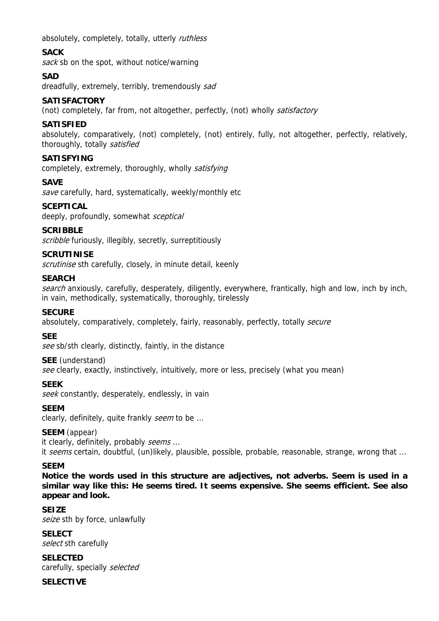absolutely, completely, totally, utterly *ruthless* 

## **SACK**

sack sb on the spot, without notice/warning

## **SAD**

dreadfully, extremely, terribly, tremendously sad

## **SATISFACTORY**

(not) completely, far from, not altogether, perfectly, (not) wholly satisfactory

## **SATISFIED**

absolutely, comparatively, (not) completely, (not) entirely, fully, not altogether, perfectly, relatively, thoroughly, totally satisfied

## **SATISFYING**

completely, extremely, thoroughly, wholly satisfying

## **SAVE**

save carefully, hard, systematically, weekly/monthly etc

## **SCEPTICAL**

deeply, profoundly, somewhat sceptical

#### **SCRIBBLE**

scribble furiously, illegibly, secretly, surreptitiously

## **SCRUTINISE**

scrutinise sth carefully, closely, in minute detail, keenly

## **SEARCH**

search anxiously, carefully, desperately, diligently, everywhere, frantically, high and low, inch by inch, in vain, methodically, systematically, thoroughly, tirelessly

## **SECURE**

absolutely, comparatively, completely, fairly, reasonably, perfectly, totally secure

## **SEE**

see sb/sth clearly, distinctly, faintly, in the distance

## **SEE** (understand)

see clearly, exactly, instinctively, intuitively, more or less, precisely (what you mean)

#### **SEEK**

seek constantly, desperately, endlessly, in vain

#### **SEEM**

clearly, definitely, quite frankly seem to be ...

## **SEEM** (appear)

it clearly, definitely, probably seems ... it seems certain, doubtful, (un)likely, plausible, possible, probable, reasonable, strange, wrong that ...

## **SEEM**

**Notice the words used in this structure are adjectives, not adverbs. Seem is used in a similar way like this: He seems tired. It seems expensive. She seems efficient. See also appear and look.** 

#### **SEIZE**

seize sth by force, unlawfully

**SELECT**  select sth carefully

**SELECTED**  carefully, specially selected

**SELECTIVE**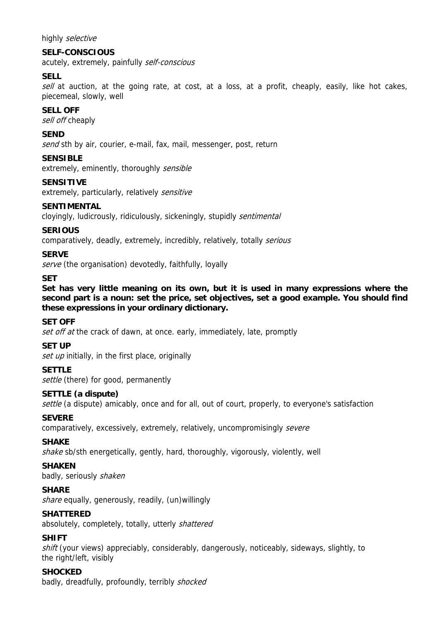highly selective

## **SELF-CONSCIOUS**

acutely, extremely, painfully self-conscious

## **SELL**

sell at auction, at the going rate, at cost, at a loss, at a profit, cheaply, easily, like hot cakes, piecemeal, slowly, well

## **SELL OFF**

sell off cheaply

### **SEND**

send sth by air, courier, e-mail, fax, mail, messenger, post, return

#### **SENSIBLE**

extremely, eminently, thoroughly sensible

## **SENSITIVE**

extremely, particularly, relatively sensitive

## **SENTIMENTAL**

cloyingly, ludicrously, ridiculously, sickeningly, stupidly sentimental

## **SERIOUS**

comparatively, deadly, extremely, incredibly, relatively, totally serious

#### **SERVE**

serve (the organisation) devotedly, faithfully, loyally

#### **SET**

**Set has very little meaning on its own, but it is used in many expressions where the second part is a noun: set the price, set objectives, set a good example. You should find these expressions in your ordinary dictionary.** 

#### **SET OFF**

set off at the crack of dawn, at once. early, immediately, late, promptly

#### **SET UP**

set up initially, in the first place, originally

#### **SETTLE**

settle (there) for good, permanently

#### **SETTLE (a dispute)**

settle (a dispute) amicably, once and for all, out of court, properly, to everyone's satisfaction

#### **SEVERE**

comparatively, excessively, extremely, relatively, uncompromisingly severe

#### **SHAKE**

shake sb/sth energetically, gently, hard, thoroughly, vigorously, violently, well

#### **SHAKEN**

badly, seriously shaken

#### **SHARE**

share equally, generously, readily, (un)willingly

#### **SHATTERED**

absolutely, completely, totally, utterly shattered

#### **SHIFT**

shift (your views) appreciably, considerably, dangerously, noticeably, sideways, slightly, to the right/left, visibly

#### **SHOCKED**

badly, dreadfully, profoundly, terribly shocked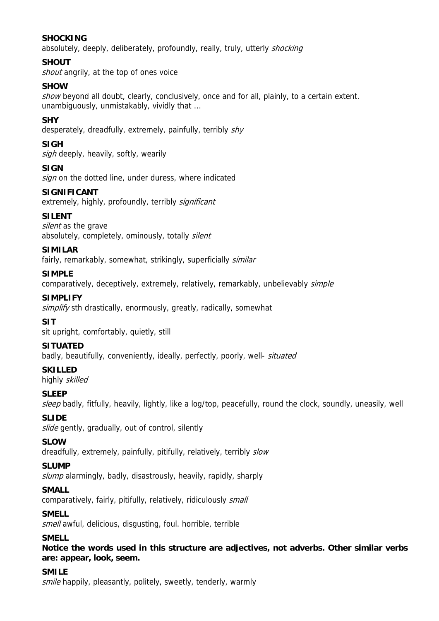## **SHOCKING**

absolutely, deeply, deliberately, profoundly, really, truly, utterly shocking

## **SHOUT**

shout angrily, at the top of ones voice

## **SHOW**

show beyond all doubt, clearly, conclusively, once and for all, plainly, to a certain extent. unambiguously, unmistakably, vividly that ...

## **SHY**

desperately, dreadfully, extremely, painfully, terribly shy

## **SIGH**

sigh deeply, heavily, softly, wearily

#### **SIGN**

sign on the dotted line, under duress, where indicated

## **SIGNIFICANT**

extremely, highly, profoundly, terribly significant

#### **SILENT**

silent as the grave absolutely, completely, ominously, totally silent

## **SIMILAR**

fairly, remarkably, somewhat, strikingly, superficially similar

#### **SIMPLE**

comparatively, deceptively, extremely, relatively, remarkably, unbelievably simple

#### **SIMPLIFY**

simplify sth drastically, enormously, greatly, radically, somewhat

#### **SIT**

sit upright, comfortably, quietly, still

#### **SITUATED**

badly, beautifully, conveniently, ideally, perfectly, poorly, well- situated

## **SKILLED**

highly skilled

#### **SLEEP**

sleep badly, fitfully, heavily, lightly, like a log/top, peacefully, round the clock, soundly, uneasily, well

#### **SLIDE**

slide gently, gradually, out of control, silently

#### **SLOW**

dreadfully, extremely, painfully, pitifully, relatively, terribly slow

#### **SLUMP**

slump alarmingly, badly, disastrously, heavily, rapidly, sharply

## **SMALL**

comparatively, fairly, pitifully, relatively, ridiculously small

#### **SMELL**

smell awful, delicious, disgusting, foul. horrible, terrible

## **SMELL**

**Notice the words used in this structure are adjectives, not adverbs. Other similar verbs are: appear, look, seem.** 

#### **SMILE**

smile happily, pleasantly, politely, sweetly, tenderly, warmly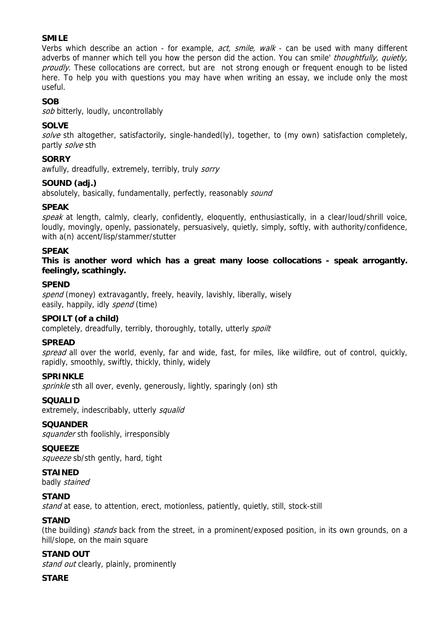## **SMILE**

Verbs which describe an action - for example, *act, smile, walk* - can be used with many different adverbs of manner which tell you how the person did the action. You can smile' *thoughtfully, quietly,* proudly. These collocations are correct, but are not strong enough or frequent enough to be listed here. To help you with questions you may have when writing an essay, we include only the most useful.

## **SOB**

sob bitterly, loudly, uncontrollably

## **SOLVE**

solve sth altogether, satisfactorily, single-handed(ly), together, to (my own) satisfaction completely, partly solve sth

## **SORRY**

awfully, dreadfully, extremely, terribly, truly sorry

#### **SOUND (adj.)**

absolutely, basically, fundamentally, perfectly, reasonably sound

#### **SPEAK**

speak at length, calmly, clearly, confidently, eloquently, enthusiastically, in a clear/loud/shrill voice, loudly, movingly, openly, passionately, persuasively, quietly, simply, softly, with authority/confidence, with a(n) accent/lisp/stammer/stutter

#### **SPEAK**

**This is another word which has a great many loose collocations - speak arrogantly. feelingly, scathingly.** 

#### **SPEND**

spend (money) extravagantly, freely, heavily, lavishly, liberally, wisely easily, happily, idly *spend* (time)

#### **SPOILT (of a child)**

completely, dreadfully, terribly, thoroughly, totally, utterly *spoilt* 

#### **SPREAD**

spread all over the world, evenly, far and wide, fast, for miles, like wildfire, out of control, quickly, rapidly, smoothly, swiftly, thickly, thinly, widely

#### **SPRINKLE**

sprinkle sth all over, evenly, generously, lightly, sparingly (on) sth

#### **SQUALID**

extremely, indescribably, utterly squalid

#### **SQUANDER**

squander sth foolishly, irresponsibly

#### **SQUEEZE**

squeeze sb/sth gently, hard, tight

#### **STAINED**

badly stained

#### **STAND**

stand at ease, to attention, erect, motionless, patiently, quietly, still, stock-still

#### **STAND**

(the building) *stands* back from the street, in a prominent/exposed position, in its own grounds, on a hill/slope, on the main square

#### **STAND OUT**

stand out clearly, plainly, prominently

#### **STARE**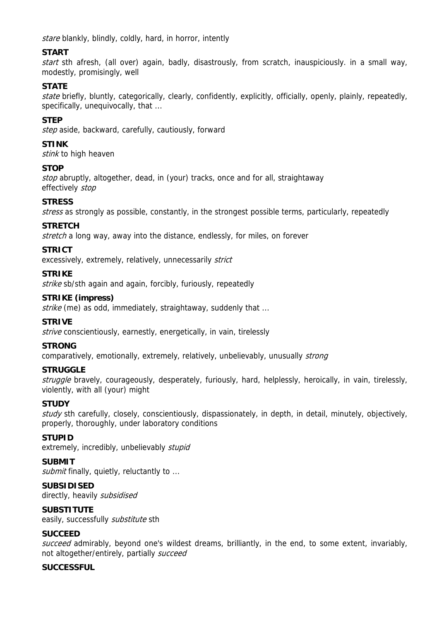stare blankly, blindly, coldly, hard, in horror, intently

## **START**

start sth afresh, (all over) again, badly, disastrously, from scratch, inauspiciously, in a small way, modestly, promisingly, well

### **STATE**

state briefly, bluntly, categorically, clearly, confidently, explicitly, officially, openly, plainly, repeatedly, specifically, unequivocally, that ...

## **STEP**

step aside, backward, carefully, cautiously, forward

### **STINK**

stink to high heaven

#### **STOP**

stop abruptly, altogether, dead, in (your) tracks, once and for all, straightaway effectively stop

## **STRESS**

stress as strongly as possible, constantly, in the strongest possible terms, particularly, repeatedly

#### **STRETCH**

stretch a long way, away into the distance, endlessly, for miles, on forever

## **STRICT**

excessively, extremely, relatively, unnecessarily strict

#### **STRIKE**

strike sb/sth again and again, forcibly, furiously, repeatedly

## **STRIKE (impress)**

strike (me) as odd, immediately, straightaway, suddenly that ...

#### **STRIVE**

strive conscientiously, earnestly, energetically, in vain, tirelessly

#### **STRONG**

comparatively, emotionally, extremely, relatively, unbelievably, unusually strong

#### **STRUGGLE**

struggle bravely, courageously, desperately, furiously, hard, helplessly, heroically, in vain, tirelessly, violently, with all (your) might

#### **STUDY**

study sth carefully, closely, conscientiously, dispassionately, in depth, in detail, minutely, objectively, properly, thoroughly, under laboratory conditions

#### **STUPID**

extremely, incredibly, unbelievably stupid

#### **SUBMIT**

submit finally, quietly, reluctantly to ...

#### **SUBSIDISED**

directly, heavily subsidised

#### **SUBSTITUTE**

easily, successfully substitute sth

#### **SUCCEED**

succeed admirably, beyond one's wildest dreams, brilliantly, in the end, to some extent, invariably, not altogether/entirely, partially succeed

## **SUCCESSFUL**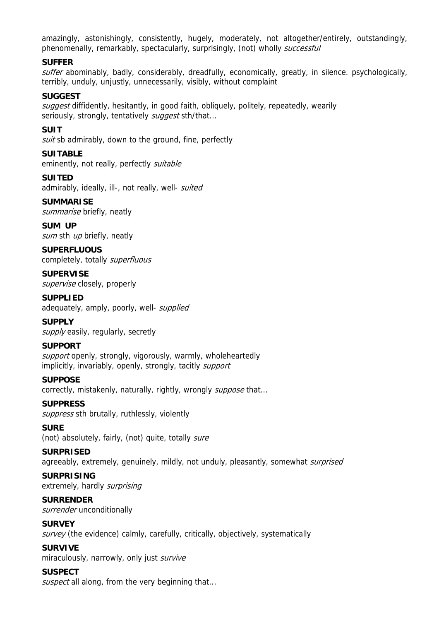amazingly, astonishingly, consistently, hugely, moderately, not altogether/entirely, outstandingly, phenomenally, remarkably, spectacularly, surprisingly, (not) wholly successful

#### **SUFFER**

suffer abominably, badly, considerably, dreadfully, economically, greatly, in silence. psychologically, terribly, unduly, unjustly, unnecessarily, visibly, without complaint

#### **SUGGEST**

suggest diffidently, hesitantly, in good faith, obliquely, politely, repeatedly, wearily seriously, strongly, tentatively *suggest* sth/that...

### **SUIT**

suit sb admirably, down to the ground, fine, perfectly

#### **SUITABLE**

eminently, not really, perfectly suitable

**SUITED**  admirably, ideally, ill-, not really, well- suited

## **SUMMARISE**

summarise briefly, neatly

**SUM UP**  sum sth  $\mu p$  briefly, neatly

**SUPERFLUOUS**  completely, totally superfluous

**SUPERVISE**  supervise closely, properly

#### **SUPPLIED**

adequately, amply, poorly, well- supplied

**SUPPLY** 

supply easily, regularly, secretly

#### **SUPPORT**

support openly, strongly, vigorously, warmly, wholeheartedly implicitly, invariably, openly, strongly, tacitly *support* 

**SUPPOSE** 

correctly, mistakenly, naturally, rightly, wrongly suppose that...

**SUPPRESS** 

suppress sth brutally, ruthlessly, violently

#### **SURE**

(not) absolutely, fairly, (not) quite, totally sure

#### **SURPRISED**

agreeably, extremely, genuinely, mildly, not unduly, pleasantly, somewhat *surprised* 

## **SURPRISING**

extremely, hardly *surprising* 

## **SURRENDER**

surrender unconditionally

#### **SURVEY**

survey (the evidence) calmly, carefully, critically, objectively, systematically

#### **SURVIVE**

miraculously, narrowly, only just *survive* 

#### **SUSPECT**

suspect all along, from the very beginning that...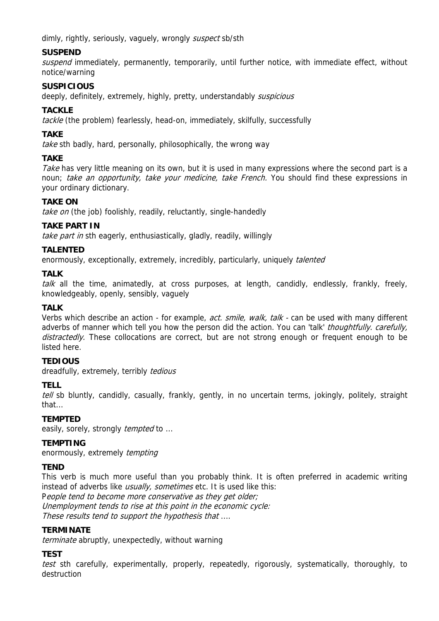dimly, rightly, seriously, vaguely, wrongly *suspect* sb/sth

## **SUSPEND**

suspend immediately, permanently, temporarily, until further notice, with immediate effect, without notice/warning

## **SUSPICIOUS**

deeply, definitely, extremely, highly, pretty, understandably suspicious

## **TACKLE**

tackle (the problem) fearlessly, head-on, immediately, skilfully, successfully

## **TAKE**

take sth badly, hard, personally, philosophically, the wrong way

## **TAKE**

Take has very little meaning on its own, but it is used in many expressions where the second part is a noun; take an opportunity, take your medicine, take French. You should find these expressions in your ordinary dictionary.

## **TAKE ON**

take on (the job) foolishly, readily, reluctantly, single-handedly

## **TAKE PART IN**

take part in sth eagerly, enthusiastically, gladly, readily, willingly

## **TALENTED**

enormously, exceptionally, extremely, incredibly, particularly, uniquely talented

#### **TALK**

talk all the time, animatedly, at cross purposes, at length, candidly, endlessly, frankly, freely, knowledgeably, openly, sensibly, vaguely

## **TALK**

Verbs which describe an action - for example, *act. smile, walk, talk -* can be used with many different adverbs of manner which tell you how the person did the action. You can 'talk' *thoughtfully, carefully,* distractedly. These collocations are correct, but are not strong enough or frequent enough to be listed here.

#### **TEDIOUS**

dreadfully, extremely, terribly tedious

#### **TELL**

tell sb bluntly, candidly, casually, frankly, gently, in no uncertain terms, jokingly, politely, straight that...

## **TEMPTED**

easily, sorely, strongly *tempted* to ...

#### **TEMPTING**

enormously, extremely tempting

#### **TEND**

This verb is much more useful than you probably think. It is often preferred in academic writing instead of adverbs like *usually, sometimes* etc. It is used like this:

People tend to become more conservative as they get older;

Unemployment tends to rise at this point in the economic cycle: These results tend to support the hypothesis that ....

#### **TERMINATE**

terminate abruptly, unexpectedly, without warning

#### **TEST**

test sth carefully, experimentally, properly, repeatedly, rigorously, systematically, thoroughly, to destruction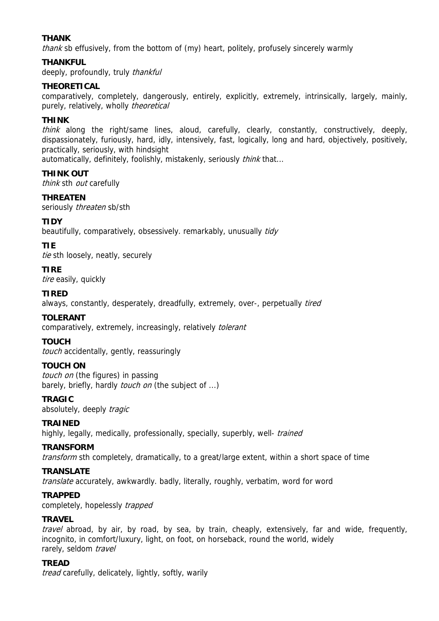## **THANK**

thank sb effusively, from the bottom of (my) heart, politely, profusely sincerely warmly

## **THANKFUL**

deeply, profoundly, truly thankful

### **THEORETICAL**

comparatively, completely, dangerously, entirely, explicitly, extremely, intrinsically, largely, mainly, purely, relatively, wholly *theoretical* 

### **THINK**

think along the right/same lines, aloud, carefully, clearly, constantly, constructively, deeply, dispassionately, furiously, hard, idly, intensively, fast, logically, long and hard, objectively, positively, practically, seriously, with hindsight

automatically, definitely, foolishly, mistakenly, seriously *think* that...

#### **THINK OUT**

think sth out carefully

## **THREATEN**

seriously *threaten* sb/sth

## **TIDY**

beautifully, comparatively, obsessively. remarkably, unusually tidy

## **TIE**

tie sth loosely, neatly, securely

#### **TIRE**

tire easily, quickly

## **TIRED**

always, constantly, desperately, dreadfully, extremely, over-, perpetually *tired* 

#### **TOLERANT**

comparatively, extremely, increasingly, relatively tolerant

#### **TOUCH**

touch accidentally, gently, reassuringly

#### **TOUCH ON**

touch on (the figures) in passing barely, briefly, hardly *touch on* (the subject of ...)

#### **TRAGIC**

absolutely, deeply *tragic* 

#### **TRAINED**

highly, legally, medically, professionally, specially, superbly, well- *trained* 

#### **TRANSFORM**

transform sth completely, dramatically, to a great/large extent, within a short space of time

#### **TRANSLATE**

translate accurately, awkwardly. badly, literally, roughly, verbatim, word for word

#### **TRAPPED**

completely, hopelessly *trapped* 

#### **TRAVEL**

travel abroad, by air, by road, by sea, by train, cheaply, extensively, far and wide, frequently, incognito, in comfort/luxury, light, on foot, on horseback, round the world, widely rarely, seldom travel

#### **TREAD**

tread carefully, delicately, lightly, softly, warily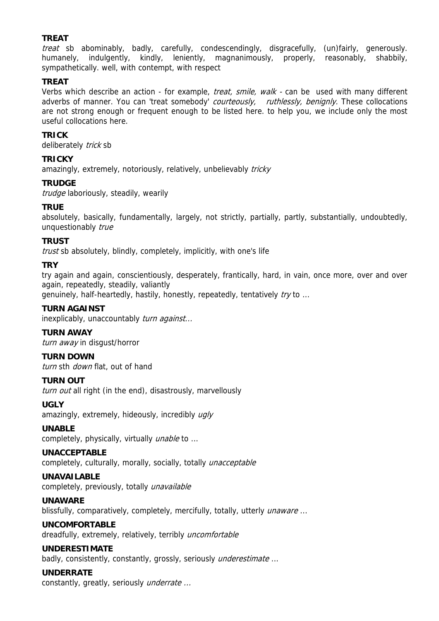### **TREAT**

treat sb abominably, badly, carefully, condescendingly, disgracefully, (un)fairly, generously. humanely, indulgently, kindly, leniently, magnanimously, properly, reasonably, shabbily, sympathetically. well, with contempt, with respect

## **TREAT**

Verbs which describe an action - for example, *treat, smile, walk -* can be used with many different adverbs of manner. You can 'treat somebody' *courteously, ruthlessly, benignly*. These collocations are not strong enough or frequent enough to be listed here. to help you, we include only the most useful collocations here.

### **TRICK**

deliberately trick sb

## **TRICKY**

amazingly, extremely, notoriously, relatively, unbelievably tricky

## **TRUDGE**

trudge laboriously, steadily, wearily

## **TRUE**

absolutely, basically, fundamentally, largely, not strictly, partially, partly, substantially, undoubtedly, unquestionably true

## **TRUST**

trust sb absolutely, blindly, completely, implicitly, with one's life

## **TRY**

try again and again, conscientiously, desperately, frantically, hard, in vain, once more, over and over again, repeatedly, steadily, valiantly

genuinely, half-heartedly, hastily, honestly, repeatedly, tentatively try to ...

### **TURN AGAINST**

inexplicably, unaccountably turn against...

#### **TURN AWAY**

turn away in disgust/horror

#### **TURN DOWN**

turn sth down flat, out of hand

#### **TURN OUT**

turn out all right (in the end), disastrously, marvellously

#### **UGLY**

amazingly, extremely, hideously, incredibly ugly

## **UNABLE**

completely, physically, virtually *unable* to ...

#### **UNACCEPTABLE**

completely, culturally, morally, socially, totally *unacceptable* 

#### **UNAVAILABLE**

completely, previously, totally *unavailable* 

#### **UNAWARE**

blissfully, comparatively, completely, mercifully, totally, utterly *unaware* ...

#### **UNCOMFORTABLE**

dreadfully, extremely, relatively, terribly *uncomfortable* 

#### **UNDERESTIMATE**

badly, consistently, constantly, grossly, seriously *underestimate* ...

#### **UNDERRATE**

constantly, greatly, seriously *underrate* ...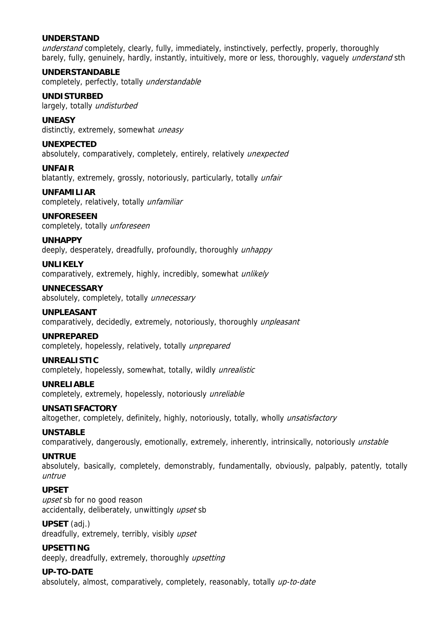#### **UNDERSTAND**

understand completely, clearly, fully, immediately, instinctively, perfectly, properly, thoroughly barely, fully, genuinely, hardly, instantly, intuitively, more or less, thoroughly, vaguely *understand* sth

#### **UNDERSTANDABLE**

completely, perfectly, totally understandable

### **UNDISTURBED**

largely, totally undisturbed

#### **UNEASY**

distinctly, extremely, somewhat *uneasy* 

### **UNEXPECTED**

absolutely, comparatively, completely, entirely, relatively unexpected

## **UNFAIR**

blatantly, extremely, grossly, notoriously, particularly, totally *unfair* 

#### **UNFAMILIAR**

completely, relatively, totally *unfamiliar* 

## **UNFORESEEN**

completely, totally *unforeseen* 

#### **UNHAPPY**

deeply, desperately, dreadfully, profoundly, thoroughly unhappy

## **UNLIKELY**

comparatively, extremely, highly, incredibly, somewhat *unlikely* 

### **UNNECESSARY**

absolutely, completely, totally *unnecessary* 

## **UNPLEASANT**

comparatively, decidedly, extremely, notoriously, thoroughly *unpleasant* 

#### **UNPREPARED**

completely, hopelessly, relatively, totally *unprepared* 

#### **UNREALISTIC**

completely, hopelessly, somewhat, totally, wildly *unrealistic* 

#### **UNRELIABLE**

completely, extremely, hopelessly, notoriously *unreliable* 

#### **UNSATISFACTORY**

altogether, completely, definitely, highly, notoriously, totally, wholly *unsatisfactory* 

#### **UNSTABLE**

comparatively, dangerously, emotionally, extremely, inherently, intrinsically, notoriously *unstable* 

#### **UNTRUE**

absolutely, basically, completely, demonstrably, fundamentally, obviously, palpably, patently, totally untrue

#### **UPSET**

upset sb for no good reason accidentally, deliberately, unwittingly upset sb

#### **UPSET** (adj.)

dreadfully, extremely, terribly, visibly upset

#### **UPSETTING**

deeply, dreadfully, extremely, thoroughly upsetting

#### **UP-TO-DATE**

absolutely, almost, comparatively, completely, reasonably, totally up-to-date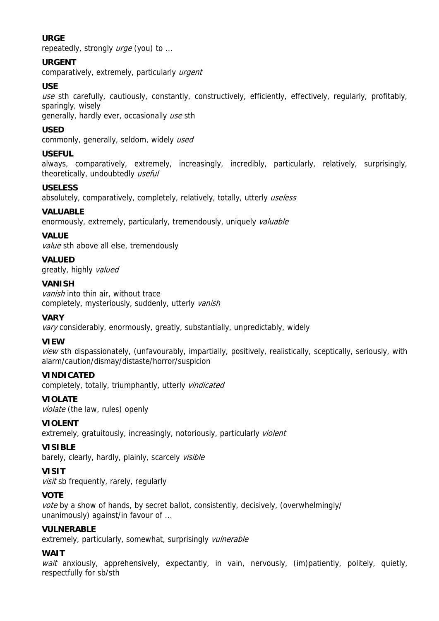## **URGE**

repeatedly, strongly *urge* (you) to ...

## **URGENT**

comparatively, extremely, particularly *urgent* 

## **USE**

use sth carefully, cautiously, constantly, constructively, efficiently, effectively, regularly, profitably, sparingly, wisely

generally, hardly ever, occasionally use sth

## **USED**

commonly, generally, seldom, widely used

## **USEFUL**

always, comparatively, extremely, increasingly, incredibly, particularly, relatively, surprisingly, theoretically, undoubtedly useful

## **USELESS**

absolutely, comparatively, completely, relatively, totally, utterly useless

## **VALUABLE**

enormously, extremely, particularly, tremendously, uniquely valuable

## **VALUE**

value sth above all else, tremendously

## **VALUED**

greatly, highly valued

## **VANISH**

vanish into thin air, without trace completely, mysteriously, suddenly, utterly vanish

#### **VARY**

vary considerably, enormously, greatly, substantially, unpredictably, widely

#### **VIEW**

view sth dispassionately, (unfavourably, impartially, positively, realistically, sceptically, seriously, with alarm/caution/dismay/distaste/horror/suspicion

## **VINDICATED**

completely, totally, triumphantly, utterly vindicated

## **VIOLATE**

violate (the law, rules) openly

## **VIOLENT**

extremely, gratuitously, increasingly, notoriously, particularly *violent* 

#### **VISIBLE**

barely, clearly, hardly, plainly, scarcely visible

#### **VISIT**

visit sb frequently, rarely, regularly

#### **VOTE**

vote by a show of hands, by secret ballot, consistently, decisively, (overwhelmingly/ unanimously) against/in favour of ...

#### **VULNERABLE**

extremely, particularly, somewhat, surprisingly *vulnerable* 

## **WAIT**

wait anxiously, apprehensively, expectantly, in vain, nervously, (im)patiently, politely, quietly, respectfully for sb/sth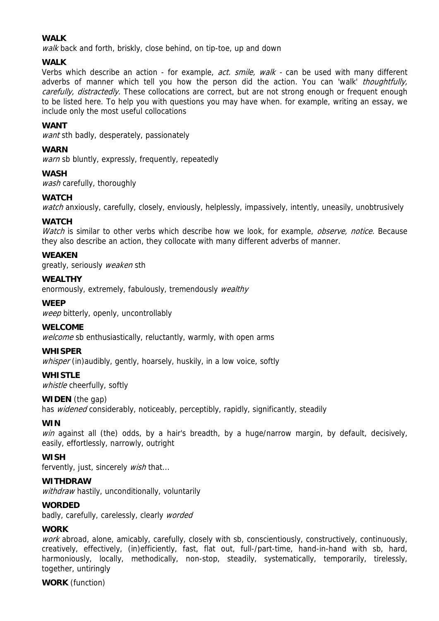#### **WALK**

walk back and forth, briskly, close behind, on tip-toe, up and down

#### **WALK**

Verbs which describe an action - for example, act. smile, walk - can be used with many different adverbs of manner which tell you how the person did the action. You can 'walk' *thoughtfully*, carefully, distractedly. These collocations are correct, but are not strong enough or frequent enough to be listed here. To help you with questions you may have when. for example, writing an essay, we include only the most useful collocations

## **WANT**

want sth badly, desperately, passionately

#### **WARN**

warn sb bluntly, expressly, frequently, repeatedly

#### **WASH**

wash carefully, thoroughly

#### **WATCH**

watch anxiously, carefully, closely, enviously, helplessly, impassively, intently, uneasily, unobtrusively

#### **WATCH**

Watch is similar to other verbs which describe how we look, for example, *observe, notice*. Because they also describe an action, they collocate with many different adverbs of manner.

## **WEAKEN**

greatly, seriously weaken sth

#### **WEALTHY**

enormously, extremely, fabulously, tremendously wealthy

#### **WEEP**

weep bitterly, openly, uncontrollably

#### **WELCOME**

welcome sb enthusiastically, reluctantly, warmly, with open arms

#### **WHISPER**

whisper (in)audibly, gently, hoarsely, huskily, in a low voice, softly

#### **WHISTLE**

whistle cheerfully, softly

#### **WIDEN** (the gap)

has *widened* considerably, noticeably, perceptibly, rapidly, significantly, steadily

#### **WIN**

win against all (the) odds, by a hair's breadth, by a huge/narrow margin, by default, decisively, easily, effortlessly, narrowly, outright

#### **WISH**

fervently, just, sincerely *wish* that...

## **WITHDRAW**

withdraw hastily, unconditionally, voluntarily

#### **WORDED**

badly, carefully, carelessly, clearly worded

#### **WORK**

work abroad, alone, amicably, carefully, closely with sb, conscientiously, constructively, continuously, creatively, effectively, (in)efficiently, fast, flat out, full-/part-time, hand-in-hand with sb, hard, harmoniously, locally, methodically, non-stop, steadily, systematically, temporarily, tirelessly, together, untiringly

**WORK** (function)